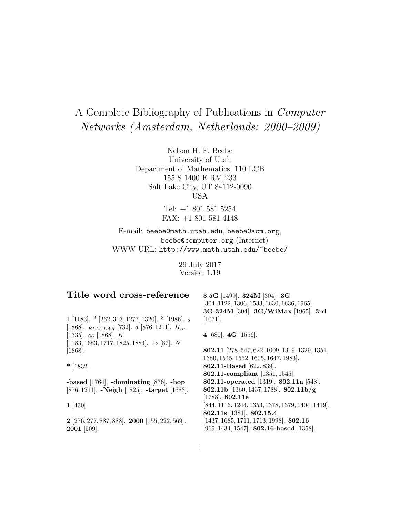# A Complete Bibliography of Publications in Computer Networks (Amsterdam, Netherlands: 2000–2009)

Nelson H. F. Beebe University of Utah Department of Mathematics, 110 LCB 155 S 1400 E RM 233 Salt Lake City, UT 84112-0090 USA

> Tel: +1 801 581 5254 FAX: +1 801 581 4148

E-mail: beebe@math.utah.edu, beebe@acm.org, beebe@computer.org (Internet) WWW URL: http://www.math.utah.edu/~beebe/

> 29 July 2017 Version 1.19

| Title word cross-reference                                                            | 3.5G [1499]. 324M [304]. 3G<br>$[304, 1122, 1306, 1533, 1630, 1636, 1965].$<br>3G-324M [304]. 3G/WiMax [1965]. 3rd |
|---------------------------------------------------------------------------------------|--------------------------------------------------------------------------------------------------------------------|
| $1$ [1183]. $^2$ [262, 313, 1277, 1320]. $^3$ [1986]. $_2$                            | $[1071]$ .                                                                                                         |
| [1868]. $_{ELLULAR}$ [732]. d [876, 1211]. $H_{\infty}$<br>[1335]. $\infty$ [1868]. K | 4 [680]. 4G [1556].                                                                                                |
| $[1183, 1683, 1717, 1825, 1884]$ . $\Leftrightarrow$ [87]. N<br>$[1868]$ .            | 802.11 [278, 547, 622, 1009, 1319, 1329, 1351,                                                                     |
|                                                                                       | 1380, 1545, 1552, 1605, 1647, 1983.                                                                                |
| $*$ [1832].                                                                           | 802.11-Based [622, 839].                                                                                           |
|                                                                                       | 802.11-compliant [1351, 1545].                                                                                     |
| -based $[1764]$ . -dominating $[876]$ . -hop                                          | 802.11-operated [1319]. 802.11a [548].                                                                             |
| [876, 1211]. - Neigh [1825]. - target [1683].                                         | 802.11b [1360, 1437, 1788]. 802.11b/g                                                                              |
|                                                                                       | [1788]. $802.11e$                                                                                                  |
| 1 [430].                                                                              | $[844, 1116, 1244, 1353, 1378, 1379, 1404, 1419].$                                                                 |
|                                                                                       | 802.11s [1381]. 802.15.4                                                                                           |
| $2$ [276, 277, 887, 888]. <b>2000</b> [155, 222, 569].                                | $[1437, 1685, 1711, 1713, 1998]$ . 802.16                                                                          |
| $2001$ [509].                                                                         | [969, 1434, 1547]. 802.16-based [1358].                                                                            |
|                                                                                       |                                                                                                                    |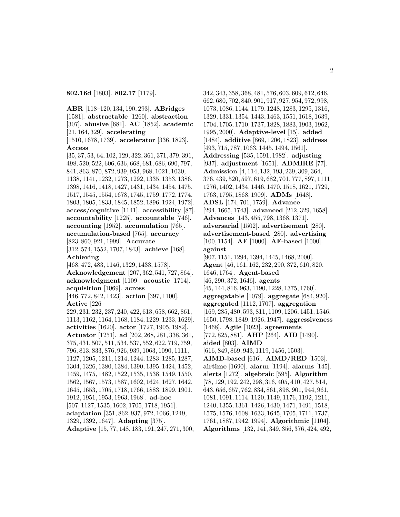**802.16d** [1803]. **802.17** [1179].

**ABR** [118–120, 134, 190, 293]. **ABridges** [1581]. **abstractable** [1260]. **abstraction** [307]. **abusive** [681]. **AC** [1852]. **academic** [21, 164, 329]. **accelerating** [1510, 1678, 1739]. **accelerator** [336, 1823]. **Access** [35, 37, 53, 64, 102, 129, 322, 361, 371, 379, 391, 498, 520, 522, 606, 636, 668, 681, 686, 690, 797, 841, 863, 870, 872, 939, 953, 968, 1021, 1030, 1138, 1141, 1232, 1273, 1292, 1335, 1353, 1386, 1398, 1416, 1418, 1427, 1431, 1434, 1454, 1475, 1517, 1545, 1554, 1678, 1745, 1759, 1772, 1774, 1803, 1805, 1833, 1845, 1852, 1896, 1924, 1972]. **access/cognitive** [1141]. **accessibility** [87]. **accountability** [1225]. **accountable** [746]. **accounting** [1952]. **accumulation** [765]. **accumulation-based** [765]. **accuracy** [823, 860, 921, 1999]. **Accurate** [312, 574, 1552, 1707, 1843]. **achieve** [168]. **Achieving** [468, 472, 483, 1146, 1329, 1433, 1578]. **Acknowledgement** [207, 362, 541, 727, 864]. **acknowledgment** [1109]. **acoustic** [1714]. **acquisition** [1069]. **across** [446, 772, 842, 1423]. **action** [397, 1100]. **Active** [226– 229, 231, 232, 237, 240, 422, 613, 658, 662, 861, 1113, 1162, 1164, 1168, 1184, 1229, 1233, 1629]. **activities** [1620]. **actor** [1727, 1905, 1982]. **Actuator** [1251]. **ad** [202, 268, 281, 338, 361, 375, 431, 507, 511, 534, 537, 552, 622, 719, 759, 796, 813, 833, 876, 926, 939, 1063, 1090, 1111, 1127, 1205, 1211, 1214, 1244, 1283, 1285, 1287, 1304, 1326, 1380, 1384, 1390, 1395, 1424, 1452, 1459, 1475, 1482, 1522, 1535, 1538, 1549, 1550, 1562, 1567, 1573, 1587, 1602, 1624, 1627, 1642, 1645, 1653, 1705, 1718, 1766, 1883, 1899, 1901, 1912, 1951, 1953, 1963, 1968]. **ad-hoc** [507, 1127, 1535, 1602, 1705, 1718, 1951]. **adaptation** [351, 862, 937, 972, 1066, 1249, 1329, 1392, 1647]. **Adapting** [375]. **Adaptive** [15, 77, 148, 183, 191, 247, 271, 300,

342, 343, 358, 368, 481, 576, 603, 609, 612, 646, 662, 680, 702, 840, 901, 917, 927, 954, 972, 998, 1073, 1086, 1144, 1179, 1248, 1283, 1295, 1316, 1329, 1331, 1354, 1443, 1463, 1551, 1618, 1639, 1704, 1705, 1710, 1737, 1828, 1883, 1903, 1962, 1995, 2000]. **Adaptive-level** [15]. **added** [1484]. **additive** [869, 1206, 1823]. **address** [493, 715, 787, 1063, 1445, 1494, 1561]. **Addressing** [535, 1591, 1982]. **adjusting** [937]. **adjustment** [1651]. **ADMIRE** [77]. **Admission** [4, 114, 132, 193, 239, 309, 364, 376, 439, 520, 597, 619, 682, 701, 777, 897, 1111, 1276, 1402, 1434, 1446, 1470, 1518, 1621, 1729, 1763, 1795, 1868, 1909]. **ADMs** [1648]. **ADSL** [174, 701, 1759]. **Advance** [294, 1665, 1743]. **advanced** [212, 329, 1658]. **Advances** [143, 455, 798, 1368, 1371]. **adversarial** [1502]. **advertisement** [280]. **advertisement-based** [280]. **advertising** [100, 1154]. **AF** [1000]. **AF-based** [1000]. **against** [907, 1151, 1294, 1394, 1445, 1468, 2000]. **Agent** [46, 161, 162, 232, 290, 372, 610, 820, 1646, 1764]. **Agent-based** [46, 290, 372, 1646]. **agents** [45, 144, 816, 963, 1190, 1228, 1375, 1760]. **aggregatable** [1079]. **aggregate** [684, 920]. **aggregated** [1112, 1707]. **aggregation** [169, 285, 480, 593, 811, 1109, 1206, 1451, 1546, 1650, 1798, 1849, 1926, 1947]. **aggressiveness** [1468]. **Agile** [1023]. **agreements** [772, 825, 881]. **AHP** [264]. **AID** [1490]. **aided** [803]. **AIMD** [616, 849, 869, 943, 1119, 1456, 1503]. **AIMD-based** [616]. **AIMD/RED** [1503]. **airtime** [1690]. **alarm** [1194]. **alarms** [145]. **alerts** [1272]. **algebraic** [595]. **Algorithm** [78, 129, 192, 242, 298, 316, 405, 410, 427, 514, 643, 656, 657, 762, 834, 861, 898, 901, 944, 961, 1081, 1091, 1114, 1120, 1149, 1176, 1192, 1211, 1240, 1355, 1361, 1426, 1430, 1471, 1491, 1518, 1575, 1576, 1608, 1633, 1645, 1705, 1711, 1737, 1761, 1887, 1942, 1994]. **Algorithmic** [1104]. **Algorithms** [132, 141, 349, 356, 376, 424, 492,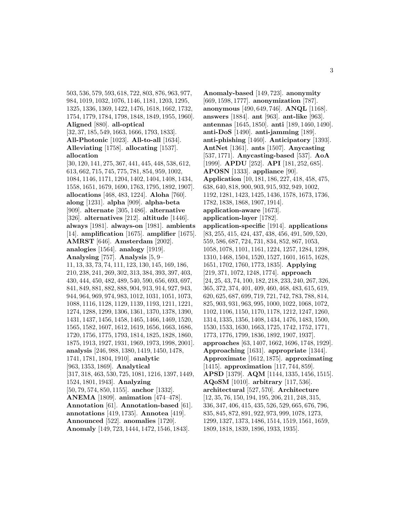503, 536, 579, 593, 618, 722, 803, 876, 963, 977, 984, 1019, 1032, 1076, 1146, 1181, 1203, 1295, 1325, 1336, 1369, 1422, 1476, 1618, 1662, 1732, 1754, 1779, 1784, 1798, 1848, 1849, 1955, 1960]. **Aligned** [880]. **all-optical** [32, 37, 185, 549, 1663, 1666, 1793, 1833]. **All-Photonic** [1023]. **All-to-all** [1634]. **Alleviating** [1758]. **allocating** [1537]. **allocation** [30, 120, 141, 275, 367, 441, 445, 448, 538, 612, 613, 662, 715, 745, 775, 781, 854, 959, 1002, 1084, 1146, 1171, 1204, 1402, 1404, 1408, 1434, 1558, 1651, 1679, 1690, 1763, 1795, 1892, 1907]. **allocations** [468, 483, 1224]. **Aloha** [760]. **along** [1231]. **alpha** [909]. **alpha-beta** [909]. **alternate** [305, 1486]. **alternative** [326]. **alternatives** [212]. **altitude** [1446]. **always** [1981]. **always-on** [1981]. **ambients** [14]. **amplification** [1675]. **amplifier** [1675]. **AMRST** [646]. **Amsterdam** [2002]. **analogies** [1564]. **analogy** [1919]. **Analysing** [757]. **Analysis** [5, 9– 11, 13, 33, 73, 74, 111, 123, 130, 145, 169, 186, 210, 238, 241, 269, 302, 313, 384, 393, 397, 403, 430, 444, 450, 482, 489, 540, 590, 656, 693, 697, 841, 849, 881, 882, 888, 904, 913, 914, 927, 943, 944, 964, 969, 974, 983, 1012, 1031, 1051, 1073, 1088, 1116, 1128, 1129, 1139, 1193, 1211, 1221, 1274, 1288, 1299, 1306, 1361, 1370, 1378, 1390, 1431, 1437, 1456, 1458, 1465, 1466, 1469, 1520, 1565, 1582, 1607, 1612, 1619, 1656, 1663, 1686, 1720, 1756, 1775, 1793, 1814, 1825, 1828, 1860, 1875, 1913, 1927, 1931, 1969, 1973, 1998, 2001]. **analysis** [246, 988, 1380, 1419, 1450, 1478, 1741, 1781, 1804, 1910]. **analytic** [963, 1353, 1869]. **Analytical** [317, 318, 463, 530, 725, 1081, 1216, 1397, 1449, 1524, 1801, 1943]. **Analyzing** [50, 79, 574, 850, 1155]. **anchor** [1332]. **ANEMA** [1809]. **animation** [474–478]. **Annotation** [61]. **Annotation-based** [61]. **annotations** [419, 1735]. **Annotea** [419]. **Announced** [522]. **anomalies** [1720]. **Anomaly** [149, 723, 1444, 1472, 1546, 1843].

**Anomaly-based** [149, 723]. **anonymity** [669, 1598, 1777]. **anonymization** [787]. **anonymous** [490, 649, 746]. **ANQL** [1168]. **answers** [1884]. **ant** [963]. **ant-like** [963]. **antennas** [1645, 1850]. **anti** [189, 1460, 1490]. **anti-DoS** [1490]. **anti-jamming** [189]. **anti-phishing** [1460]. **Anticipatory** [1393]. **AntNet** [1361]. **ants** [1507]. **Anycasting** [537, 1771]. **Anycasting-based** [537]. **AoA** [1999]. **APDU** [252]. **API** [181, 252, 685]. **APOSN** [1333]. **appliance** [90]. **Application** [10, 181, 186, 227, 418, 458, 475, 638, 640, 818, 900, 903, 915, 932, 949, 1002, 1192, 1281, 1423, 1425, 1436, 1578, 1673, 1736, 1782, 1838, 1868, 1907, 1914]. **application-aware** [1673]. **application-layer** [1782]. **application-specific** [1914]. **applications** [83, 255, 415, 424, 437, 438, 456, 491, 509, 520, 559, 586, 687, 724, 731, 834, 852, 867, 1053, 1058, 1078, 1101, 1161, 1224, 1257, 1284, 1298, 1310, 1468, 1504, 1520, 1527, 1601, 1615, 1628, 1651, 1702, 1760, 1773, 1835]. **Applying** [219, 371, 1072, 1248, 1774]. **approach** [24, 25, 43, 74, 100, 182, 218, 233, 240, 267, 326, 365, 372, 374, 401, 409, 460, 468, 483, 615, 619, 620, 625, 687, 699, 719, 721, 742, 783, 788, 814, 825, 903, 931, 963, 995, 1000, 1022, 1068, 1072, 1102, 1106, 1150, 1170, 1178, 1212, 1247, 1260, 1314, 1335, 1356, 1408, 1434, 1476, 1483, 1500, 1530, 1533, 1630, 1663, 1725, 1742, 1752, 1771, 1773, 1776, 1799, 1836, 1892, 1907, 1937]. **approaches** [63, 1407, 1662, 1696, 1748, 1929]. **Approaching** [1631]. **appropriate** [1344]. **Approximate** [1612, 1875]. **approximating** [1415]. **approximation** [117, 744, 859]. **APSD** [1379]. **AQM** [1144, 1335, 1456, 1515]. **AQoSM** [1010]. **arbitrary** [117, 536]. **architectural** [527, 570]. **Architecture** [12, 35, 76, 150, 194, 195, 206, 211, 248, 315, 336, 347, 406, 415, 435, 526, 529, 665, 676, 796, 835, 845, 872, 891, 922, 973, 999, 1078, 1273, 1299, 1327, 1373, 1486, 1514, 1519, 1561, 1659, 1809, 1818, 1839, 1896, 1933, 1935].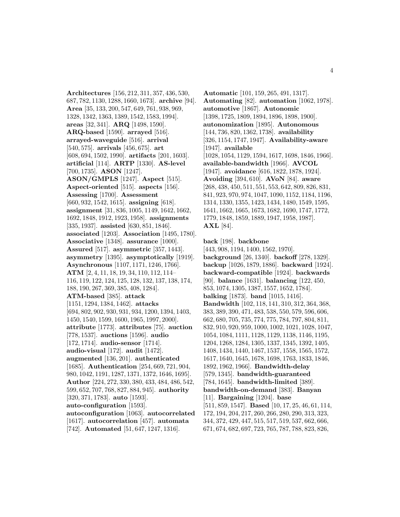**Architectures** [156, 212, 311, 357, 436, 530, 687, 782, 1130, 1288, 1660, 1673]. **archive** [94]. **Area** [35, 133, 200, 547, 649, 761, 938, 969, 1328, 1342, 1363, 1389, 1542, 1583, 1994]. **areas** [32, 341]. **ARQ** [1498, 1590]. **ARQ-based** [1590]. **arrayed** [516]. **arrayed-waveguide** [516]. **arrival** [540, 575]. **arrivals** [456, 675]. **art** [608, 694, 1502, 1990]. **artifacts** [201, 1603]. **artificial** [114]. **ARTP** [1330]. **AS-level** [700, 1735]. **ASON** [1247]. **ASON/GMPLS** [1247]. **Aspect** [515]. **Aspect-oriented** [515]. **aspects** [156]. **Assessing** [1700]. **Assessment** [660, 932, 1542, 1615]. **assigning** [618]. **assignment** [31, 836, 1005, 1149, 1642, 1662, 1692, 1848, 1912, 1923, 1958]. **assignments** [335, 1937]. **assisted** [630, 851, 1846]. **associated** [1203]. **Association** [1495, 1780]. **Associative** [1348]. **assurance** [1000]. **Assured** [517]. **asymmetric** [357, 1443]. **asymmetry** [1395]. **asymptotically** [1919]. **Asynchronous** [1107, 1171, 1246, 1766]. **ATM** [2, 4, 11, 18, 19, 34, 110, 112, 114– 116, 119, 122, 124, 125, 128, 132, 137, 138, 174, 188, 190, 267, 369, 385, 408, 1284]. **ATM-based** [385]. **attack** [1151, 1294, 1384, 1462]. **attacks** [694, 802, 902, 930, 931, 934, 1200, 1394, 1403, 1450, 1540, 1599, 1600, 1965, 1997, 2000]. **attribute** [1773]. **attributes** [75]. **auction** [778, 1537]. **auctions** [1596]. **audio** [172, 1714]. **audio-sensor** [1714]. **audio-visual** [172]. **audit** [1472]. **augmented** [136, 201]. **authenticated** [1685]. **Authentication** [254, 669, 721, 904, 980, 1042, 1191, 1287, 1371, 1372, 1646, 1695]. **Author** [224, 272, 330, 380, 433, 484, 486, 542, 599, 652, 707, 768, 827, 884, 945]. **authority** [320, 371, 1783]. **auto** [1593]. **auto-configuration** [1593]. **autoconfiguration** [1063]. **autocorrelated** [1617]. **autocorrelation** [457]. **automata** [742]. **Automated** [51, 647, 1247, 1316].

**Automatic** [101, 159, 265, 491, 1317]. **Automating** [82]. **automation** [1062, 1978]. **automotive** [1867]. **Autonomic** [1398, 1725, 1809, 1894, 1896, 1898, 1900]. **autonomization** [1895]. **Autonomous** [144, 736, 820, 1362, 1738]. **availability** [326, 1154, 1747, 1947]. **Availability-aware** [1947]. **available** [1028, 1054, 1129, 1594, 1617, 1698, 1846, 1966]. **available-bandwidth** [1966]. **AVCOL** [1947]. **avoidance** [616, 1822, 1878, 1924]. **Avoiding** [394, 610]. **AVoN** [84]. **aware** [268, 438, 450, 511, 551, 553, 642, 809, 826, 831, 841, 923, 970, 974, 1047, 1090, 1152, 1184, 1196, 1314, 1330, 1355, 1423, 1434, 1480, 1549, 1595, 1641, 1662, 1665, 1673, 1682, 1690, 1747, 1772, 1779, 1848, 1859, 1889, 1947, 1958, 1987]. **AXL** [84].

**back** [198]. **backbone** [443, 908, 1194, 1400, 1562, 1970]. **background** [26, 1340]. **backoff** [278, 1329]. **backup** [1026, 1879, 1886]. **backward** [1924]. **backward-compatible** [1924]. **backwards** [90]. **balance** [1631]. **balancing** [122, 450, 853, 1074, 1305, 1387, 1557, 1652, 1784]. **balking** [1873]. **band** [1015, 1416]. **Bandwidth** [102, 118, 141, 310, 312, 364, 368, 383, 389, 390, 471, 483, 538, 550, 579, 596, 606, 662, 680, 705, 735, 774, 775, 784, 797, 804, 811, 832, 910, 920, 959, 1000, 1002, 1021, 1028, 1047, 1054, 1084, 1111, 1128, 1129, 1138, 1146, 1195, 1204, 1268, 1284, 1305, 1337, 1345, 1392, 1405, 1408, 1434, 1440, 1467, 1537, 1558, 1565, 1572, 1617, 1640, 1645, 1678, 1698, 1763, 1833, 1846, 1892, 1962, 1966]. **Bandwidth-delay** [579, 1345]. **bandwidth-guaranteed** [784, 1645]. **bandwidth-limited** [389].

**bandwidth-on-demand** [383]. **Banyan** [11]. **Bargaining** [1204]. **base** [511, 859, 1547]. **Based** [10, 17, 25, 46, 61, 114, 172, 194, 204, 217, 260, 266, 280, 290, 313, 323, 344, 372, 429, 447, 515, 517, 519, 537, 662, 666, 671, 674, 682, 697, 723, 765, 787, 788, 823, 826,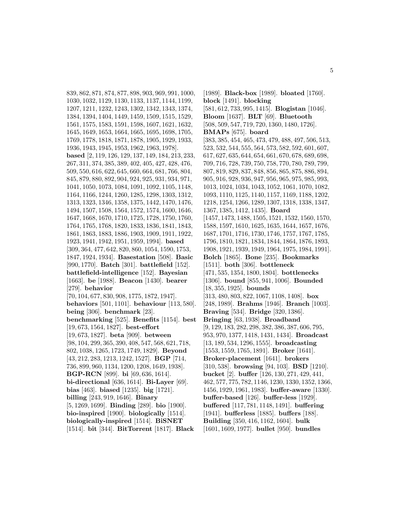839, 862, 871, 874, 877, 898, 903, 969, 991, 1000, 1030, 1032, 1129, 1130, 1133, 1137, 1144, 1199, 1207, 1211, 1232, 1243, 1302, 1342, 1343, 1374, 1384, 1394, 1404, 1449, 1459, 1509, 1515, 1529, 1561, 1575, 1583, 1591, 1598, 1607, 1621, 1632, 1645, 1649, 1653, 1664, 1665, 1695, 1698, 1705, 1769, 1778, 1818, 1871, 1878, 1905, 1929, 1933, 1936, 1943, 1945, 1953, 1962, 1963, 1978]. **based** [2, 119, 126, 129, 137, 149, 184, 213, 233, 267, 311, 374, 385, 389, 402, 405, 427, 428, 476, 509, 550, 616, 622, 645, 660, 664, 681, 766, 804, 845, 879, 880, 892, 904, 924, 925, 931, 934, 971, 1041, 1050, 1073, 1084, 1091, 1092, 1105, 1148, 1164, 1166, 1244, 1260, 1285, 1298, 1303, 1312, 1313, 1323, 1346, 1358, 1375, 1442, 1470, 1476, 1494, 1507, 1508, 1564, 1572, 1574, 1600, 1646, 1647, 1668, 1670, 1710, 1725, 1728, 1750, 1760, 1764, 1765, 1768, 1820, 1833, 1836, 1841, 1843, 1861, 1863, 1883, 1886, 1903, 1909, 1911, 1922, 1923, 1941, 1942, 1951, 1959, 1994]. **based** [309, 364, 477, 642, 820, 860, 1054, 1590, 1753, 1847, 1924, 1934]. **Basestation** [508]. **Basic** [990, 1770]. **Batch** [301]. **battlefield** [152]. **battlefield-intelligence** [152]. **Bayesian** [1663]. **be** [1988]. **Beacon** [1430]. **bearer** [279]. **behavior** [70, 104, 677, 830, 908, 1775, 1872, 1947]. **behaviors** [501, 1101]. **behaviour** [113, 580]. **being** [306]. **benchmark** [23]. **benchmarking** [525]. **Benefits** [1154]. **best** [19, 673, 1564, 1827]. **best-effort** [19, 673, 1827]. **beta** [909]. **between** [98, 104, 299, 365, 390, 408, 547, 568, 621, 718, 802, 1038, 1265, 1723, 1749, 1829]. **Beyond** [43, 212, 283, 1213, 1242, 1527]. **BGP** [714, 736, 899, 960, 1134, 1200, 1208, 1649, 1938]. **BGP-RCN** [899]. **bi** [69, 636, 1614]. **bi-directional** [636, 1614]. **Bi-Layer** [69]. **bias** [463]. **biased** [1235]. **big** [1721]. **billing** [243, 919, 1646]. **Binary** [5, 1269, 1699]. **Binding** [289]. **bio** [1900]. **bio-inspired** [1900]. **biologically** [1514]. **biologically-inspired** [1514]. **BiSNET** [1514]. **bit** [344]. **BitTorrent** [1817]. **Black**

[1989]. **Black-box** [1989]. **bloated** [1760]. **block** [1491]. **blocking** [581, 612, 733, 995, 1415]. **Blogistan** [1046]. **Bloom** [1637]. **BLT** [69]. **Bluetooth** [508, 509, 547, 719, 720, 1360, 1480, 1726]. **BMAPs** [675]. **board** [383, 385, 454, 465, 473, 479, 488, 497, 506, 513, 523, 532, 544, 555, 564, 573, 582, 592, 601, 607, 617, 627, 635, 644, 654, 661, 670, 678, 689, 698, 709, 716, 728, 739, 750, 758, 770, 780, 789, 799, 807, 819, 829, 837, 848, 856, 865, 875, 886, 894, 905, 916, 928, 936, 947, 956, 965, 975, 985, 993, 1013, 1024, 1034, 1043, 1052, 1061, 1070, 1082, 1093, 1110, 1125, 1140, 1157, 1169, 1188, 1202, 1218, 1254, 1266, 1289, 1307, 1318, 1338, 1347, 1367, 1385, 1412, 1435]. **Board** [1457, 1473, 1488, 1505, 1521, 1532, 1560, 1570, 1588, 1597, 1610, 1625, 1635, 1644, 1657, 1676, 1687, 1701, 1716, 1730, 1746, 1757, 1767, 1785, 1796, 1810, 1821, 1834, 1844, 1864, 1876, 1893, 1908, 1921, 1939, 1949, 1964, 1975, 1984, 1991]. **Bolch** [1865]. **Bone** [235]. **Bookmarks** [1511]. **both** [306]. **bottleneck** [471, 535, 1354, 1800, 1804]. **bottlenecks** [1306]. **bound** [855, 941, 1006]. **Bounded** [18, 355, 1925]. **bounds** [313, 480, 803, 822, 1067, 1108, 1408]. **box** [248, 1989]. **Brahms** [1946]. **Branch** [1003]. **Braving** [534]. **Bridge** [320, 1386]. **Bringing** [63, 1938]. **Broadband** [9, 129, 183, 282, 298, 382, 386, 387, 606, 795, 953, 970, 1377, 1418, 1431, 1434]. **Broadcast** [13, 189, 534, 1296, 1555]. **broadcasting** [1553, 1559, 1765, 1891]. **Broker** [1641]. **Broker-placement** [1641]. **brokers** [310, 538]. **browsing** [94, 103]. **BSD** [1210]. **bucket** [2]. **buffer** [126, 130, 271, 429, 441, 462, 577, 775, 782, 1146, 1230, 1330, 1352, 1366, 1456, 1929, 1961, 1983]. **buffer-aware** [1330]. **buffer-based** [126]. **buffer-less** [1929]. **buffered** [117, 781, 1148, 1491]. **buffering** [1941]. **bufferless** [1885]. **buffers** [188]. **Building** [350, 416, 1162, 1604]. **bulk** [1601, 1609, 1977]. **bullet** [950]. **bundles**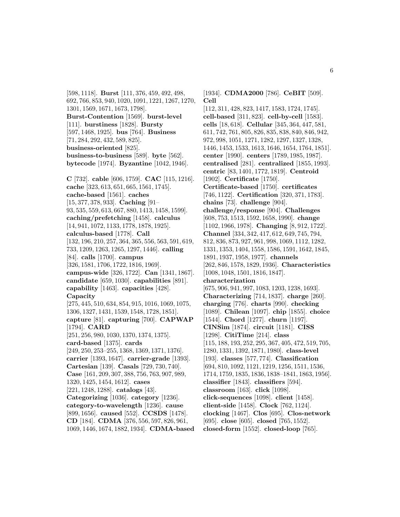[598, 1118]. **Burst** [111, 376, 459, 492, 498, 692, 766, 853, 940, 1020, 1091, 1221, 1267, 1270, 1301, 1569, 1671, 1673, 1798]. **Burst-Contention** [1569]. **burst-level** [111]. **burstiness** [1828]. **Bursty** [597, 1468, 1925]. **bus** [764]. **Business** [71, 284, 292, 432, 589, 825]. **business-oriented** [825]. **business-to-business** [589]. **byte** [562]. **bytecode** [1974]. **Byzantine** [1042, 1946].

**C** [732]. **cable** [606, 1759]. **CAC** [115, 1216]. **cache** [323, 613, 651, 665, 1561, 1745]. **cache-based** [1561]. **caches** [15, 377, 378, 933]. **Caching** [91– 93, 535, 559, 613, 667, 880, 1413, 1458, 1599]. **caching/prefetching** [1458]. **calculus** [14, 941, 1072, 1133, 1778, 1878, 1925]. **calculus-based** [1778]. **Call** [132, 196, 210, 257, 364, 365, 556, 563, 591, 619, 733, 1209, 1263, 1265, 1297, 1446]. **calling** [84]. **calls** [1700]. **campus** [326, 1581, 1706, 1722, 1816, 1969]. **campus-wide** [326, 1722]. **Can** [1341, 1867]. **candidate** [659, 1030]. **capabilities** [891]. **capability** [1463]. **capacities** [428]. **Capacity** [275, 445, 510, 634, 854, 915, 1016, 1069, 1075, 1306, 1327, 1431, 1539, 1548, 1728, 1851]. **capture** [81]. **capturing** [700]. **CAPWAP** [1794]. **CARD** [251, 256, 980, 1030, 1370, 1374, 1375]. **card-based** [1375]. **cards** [249, 250, 253–255, 1368, 1369, 1371, 1376]. **carrier** [1393, 1647]. **carrier-grade** [1393]. **Cartesian** [139]. **Casals** [729, 730, 740]. **Case** [161, 209, 307, 388, 756, 763, 907, 989, 1320, 1425, 1454, 1612]. **cases** [221, 1248, 1288]. **catalogs** [43]. **Categorizing** [1036]. **category** [1236]. **category-to-wavelength** [1236]. **cause** [899, 1656]. **caused** [552]. **CCSDS** [1478]. **CD** [184]. **CDMA** [376, 556, 597, 826, 961,

1069, 1446, 1674, 1882, 1934]. **CDMA-based**

[1934]. **CDMA2000** [786]. **CeBIT** [509]. **Cell**

[112, 311, 428, 823, 1417, 1583, 1724, 1745]. **cell-based** [311, 823]. **cell-by-cell** [1583]. **cells** [18, 618]. **Cellular** [345, 364, 447, 581, 611, 742, 761, 805, 826, 835, 838, 840, 846, 942, 972, 998, 1051, 1271, 1282, 1297, 1327, 1328, 1446, 1453, 1533, 1613, 1646, 1654, 1764, 1851]. **center** [1990]. **centers** [1789, 1985, 1987]. **centralised** [281]. **centralized** [1855, 1993]. **centric** [83, 1401, 1772, 1819]. **Centroid** [1902]. **Certificate** [1750]. **Certificate-based** [1750]. **certificates** [746, 1122]. **Certification** [320, 371, 1783]. **chains** [73]. **challenge** [904]. **challenge/response** [904]. **Challenges** [608, 753, 1513, 1592, 1658, 1990]. **change** [1102, 1966, 1978]. **Changing** [8, 912, 1722]. **Channel** [334, 342, 417, 612, 649, 745, 794, 812, 836, 873, 927, 961, 998, 1069, 1112, 1282, 1331, 1353, 1404, 1558, 1586, 1591, 1642, 1845, 1891, 1937, 1958, 1977]. **channels** [262, 846, 1578, 1829, 1936]. **Characteristics** [1008, 1048, 1501, 1816, 1847]. **characterization** [675, 906, 941, 997, 1083, 1203, 1238, 1693]. **Characterizing** [714, 1837]. **charge** [260]. **charging** [776]. **charts** [990]. **checking** [1089]. **Chilean** [1097]. **chip** [1855]. **choice** [1544]. **Chord** [1277]. **churn** [1197]. **CINSim** [1874]. **circuit** [1181]. **CISS** [1298]. **CitiTime** [214]. **class** [115, 188, 193, 252, 295, 367, 405, 472, 519, 705, 1280, 1331, 1392, 1871, 1980]. **class-level** [193]. **classes** [577, 774]. **Classification** [694, 810, 1092, 1121, 1219, 1256, 1511, 1536, 1714, 1759, 1835, 1836, 1838–1841, 1863, 1956]. **classifier** [1843]. **classifiers** [594]. **classroom** [163]. **click** [1098]. **click-sequences** [1098]. **client** [1458]. **client-side** [1458]. **Clock** [762, 1124]. **clocking** [1467]. **Clos** [695]. **Clos-network** [695]. **close** [605]. **closed** [765, 1552]. **closed-form** [1552]. **closed-loop** [765].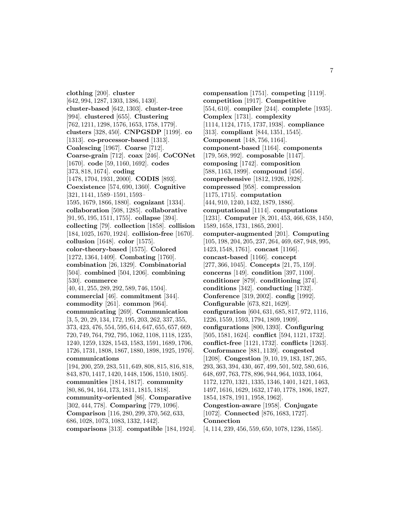**clothing** [200]. **cluster** [642, 994, 1287, 1303, 1386, 1430]. **cluster-based** [642, 1303]. **cluster-tree** [994]. **clustered** [655]. **Clustering** [762, 1211, 1298, 1576, 1653, 1758, 1779]. **clusters** [328, 450]. **CNPGSDP** [1199]. **co** [1313]. **co-processor-based** [1313]. **Coalescing** [1967]. **Coarse** [712]. **Coarse-grain** [712]. **coax** [246]. **CoCONet** [1670]. **code** [59, 1160, 1692]. **codes** [373, 818, 1674]. **coding** [1478, 1704, 1931, 2000]. **CODIS** [893]. **Coexistence** [574, 690, 1360]. **Cognitive** [321, 1141, 1589–1591, 1593– 1595, 1679, 1866, 1880]. **cognizant** [1334]. **collaboration** [508, 1285]. **collaborative** [91, 95, 195, 1511, 1755]. **collapse** [394]. **collecting** [79]. **collection** [1858]. **collision** [184, 1025, 1670, 1924]. **collision-free** [1670]. **collusion** [1648]. **color** [1575]. **color-theory-based** [1575]. **Colored** [1272, 1364, 1409]. **Combating** [1760]. **combination** [26, 1329]. **Combinatorial** [504]. **combined** [504, 1206]. **combining** [530]. **commerce** [40, 41, 255, 289, 292, 589, 746, 1504]. **commercial** [46]. **commitment** [344]. **commodity** [261]. **common** [964]. **communicating** [269]. **Communication** [3, 5, 20, 29, 134, 172, 195, 203, 262, 337, 355, 373, 423, 476, 554, 595, 614, 647, 655, 657, 669, 720, 749, 764, 792, 795, 1062, 1108, 1118, 1235, 1240, 1259, 1328, 1543, 1583, 1591, 1689, 1706, 1726, 1731, 1808, 1867, 1880, 1898, 1925, 1976]. **communications** [194, 200, 259, 283, 511, 649, 808, 815, 816, 818, 843, 870, 1417, 1420, 1448, 1506, 1510, 1805]. **communities** [1814, 1817]. **community** [80, 86, 94, 164, 173, 1811, 1815, 1818]. **community-oriented** [86]. **Comparative** [302, 444, 778]. **Comparing** [779, 1096]. **Comparison** [116, 280, 299, 370, 562, 633, 686, 1028, 1073, 1083, 1332, 1442]. **comparisons** [313]. **compatible** [184, 1924].

**compensation** [1751]. **competing** [1119]. **competition** [1917]. **Competitive** [554, 610]. **compiler** [244]. **complete** [1935]. **Complex** [1731]. **complexity** [1114, 1124, 1715, 1737, 1938]. **compliance** [313]. **compliant** [844, 1351, 1545]. **Component** [148, 756, 1164]. **component-based** [1164]. **components** [179, 568, 992]. **composable** [1147]. **composing** [1742]. **composition** [588, 1163, 1899]. **compound** [456]. **comprehensive** [1812, 1926, 1928]. **compressed** [958]. **compression** [1175, 1715]. **computation** [444, 910, 1240, 1432, 1879, 1886]. **computational** [1114]. **computations** [1231]. **Computer** [8, 201, 453, 466, 638, 1450, 1589, 1658, 1731, 1865, 2001]. **computer-augmented** [201]. **Computing** [105, 198, 204, 205, 237, 264, 469, 687, 948, 995, 1423, 1548, 1761]. **concast** [1166]. **concast-based** [1166]. **concept** [277, 366, 1045]. **Concepts** [21, 75, 159]. **concerns** [149]. **condition** [397, 1100]. **conditioner** [879]. **conditioning** [374]. **conditions** [342]. **conducting** [1732]. **Conference** [319, 2002]. **config** [1992]. **Configurable** [673, 821, 1629]. **configuration** [604, 631, 685, 817, 972, 1116, 1226, 1559, 1593, 1794, 1809, 1909]. **configurations** [800, 1393]. **Configuring** [505, 1581, 1624]. **conflict** [594, 1121, 1732]. **conflict-free** [1121, 1732]. **conflicts** [1263]. **Conformance** [881, 1139]. **congested** [1208]. **Congestion** [9, 10, 19, 183, 187, 265, 293, 363, 394, 430, 467, 499, 501, 502, 580, 616, 648, 697, 763, 778, 896, 944, 964, 1033, 1064, 1172, 1270, 1321, 1335, 1346, 1401, 1421, 1463, 1497, 1616, 1629, 1632, 1740, 1778, 1806, 1827, 1854, 1878, 1911, 1958, 1962]. **Congestion-aware** [1958]. **Conjugate** [1072]. **Connected** [876, 1683, 1727]. **Connection** [4, 114, 239, 456, 559, 650, 1078, 1236, 1585].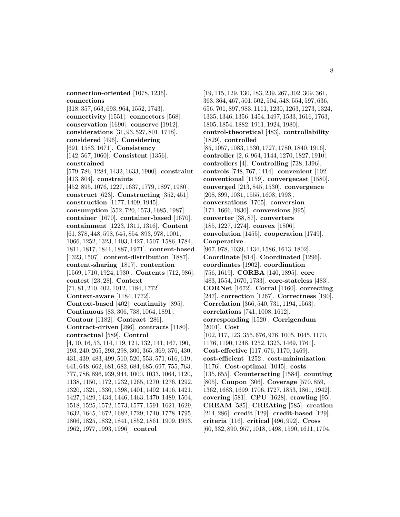**connection-oriented** [1078, 1236]. **connections** [318, 357, 663, 693, 964, 1552, 1743]. **connectivity** [1551]. **connectors** [568]. **conservation** [1690]. **conserve** [1912]. **considerations** [31, 93, 527, 801, 1718]. **considered** [496]. **Considering** [691, 1583, 1671]. **Consistency** [142, 567, 1060]. **Consistent** [1356]. **constrained** [579, 786, 1284, 1432, 1633, 1900]. **constraint** [413, 804]. **constraints** [452, 895, 1076, 1227, 1637, 1779, 1897, 1980]. **construct** [623]. **Constructing** [352, 451]. **construction** [1177, 1409, 1945]. **consumption** [552, 720, 1573, 1685, 1987]. **container** [1670]. **container-based** [1670]. **containment** [1223, 1311, 1316]. **Content** [61, 378, 448, 598, 645, 854, 893, 978, 1001, 1066, 1252, 1323, 1403, 1427, 1507, 1586, 1784, 1811, 1817, 1841, 1887, 1971]. **content-based** [1323, 1507]. **content-distribution** [1887]. **content-sharing** [1817]. **contention** [1569, 1710, 1924, 1930]. **Contents** [712, 986]. **contest** [23, 28]. **Context** [71, 81, 210, 402, 1012, 1184, 1772]. **Context-aware** [1184, 1772]. **Context-based** [402]. **continuity** [895]. **Continuous** [83, 306, 738, 1064, 1891]. **Contour** [1182]. **Contract** [286]. **Contract-driven** [286]. **contracts** [1180]. **contractual** [589]. **Control** [4, 10, 16, 53, 114, 119, 121, 132, 141, 167, 190, 193, 240, 265, 293, 298, 300, 365, 369, 376, 430, 431, 439, 483, 499, 510, 520, 553, 571, 616, 619, 641, 648, 662, 681, 682, 684, 685, 697, 755, 763, 777, 786, 896, 939, 944, 1000, 1033, 1064, 1120, 1138, 1150, 1172, 1232, 1265, 1270, 1276, 1292, 1320, 1321, 1330, 1398, 1401, 1402, 1416, 1421, 1427, 1429, 1434, 1446, 1463, 1470, 1489, 1504, 1518, 1525, 1572, 1573, 1577, 1591, 1621, 1629, 1632, 1645, 1672, 1682, 1729, 1740, 1778, 1795, 1806, 1825, 1832, 1841, 1852, 1861, 1909, 1953, 1962, 1977, 1993, 1996]. **control**

[19, 115, 129, 130, 183, 239, 267, 302, 309, 361, 363, 364, 467, 501, 502, 504, 548, 554, 597, 636, 656, 701, 897, 983, 1111, 1230, 1263, 1273, 1324, 1335, 1346, 1356, 1454, 1497, 1533, 1616, 1763, 1805, 1854, 1882, 1911, 1924, 1980]. **control-theoretical** [483]. **controllability** [1829]. **controlled** [85, 1057, 1083, 1530, 1727, 1780, 1840, 1916]. **controller** [2, 6, 964, 1144, 1270, 1827, 1910]. **controllers** [4]. **Controlling** [738, 1396]. **controls** [748, 767, 1414]. **convenient** [102]. **conventional** [1159]. **convergecast** [1580]. **converged** [213, 845, 1530]. **convergence** [208, 899, 1031, 1555, 1608, 1993]. **conversations** [1705]. **conversion** [171, 1666, 1830]. **conversions** [995]. **converter** [38, 87]. **converters** [185, 1227, 1274]. **convex** [1806]. **convolution** [1455]. **cooperation** [1749]. **Cooperative** [967, 978, 1039, 1434, 1586, 1613, 1802]. **Coordinate** [814]. **Coordinated** [1296]. **coordinates** [1902]. **coordination** [756, 1619]. **CORBA** [140, 1895]. **core** [483, 1554, 1670, 1733]. **core-stateless** [483]. **CORNet** [1672]. **Corral** [1160]. **correcting** [247]. **correction** [1267]. **Correctness** [190]. **Correlation** [366, 540, 731, 1194, 1563]. **correlations** [741, 1008, 1612]. **corresponding** [1520]. **Corrigendum** [2001]. **Cost** [102, 117, 123, 355, 676, 976, 1005, 1045, 1170, 1176, 1190, 1248, 1252, 1323, 1469, 1761]. **Cost-effective** [117, 676, 1170, 1469]. **cost-efficient** [1252]. **cost-minimization** [1176]. **Cost-optimal** [1045]. **costs** [135, 655]. **Counteracting** [1584]. **counting** [805]. **Coupon** [306]. **Coverage** [570, 859, 1362, 1683, 1699, 1706, 1727, 1853, 1861, 1942]. **covering** [581]. **CPU** [1628]. **crawling** [95]. **CREAM** [585]. **CREAting** [585]. **creation** [214, 286]. **credit** [129]. **credit-based** [129]. **criteria** [116]. **critical** [496, 992]. **Cross** [60, 332, 890, 957, 1018, 1498, 1590, 1611, 1704,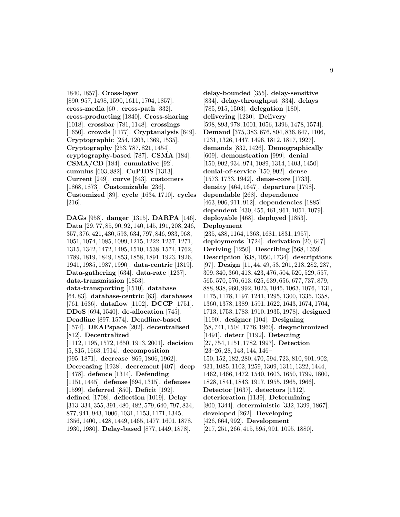1840, 1857]. **Cross-layer** [890, 957, 1498, 1590, 1611, 1704, 1857]. **cross-media** [60]. **cross-path** [332]. **cross-producting** [1840]. **Cross-sharing** [1018]. **crossbar** [781, 1148]. **crossings** [1650]. **crowds** [1177]. **Cryptanalysis** [649]. **Cryptographic** [254, 1203, 1369, 1535]. **Cryptography** [253, 787, 821, 1454]. **cryptography-based** [787]. **CSMA** [184]. **CSMA/CD** [184]. **cumulative** [92]. **cumulus** [603, 882]. **CuPIDS** [1313]. **Current** [249]. **curve** [643]. **customers** [1868, 1873]. **Customizable** [236]. **Customized** [89]. **cycle** [1634, 1710]. **cycles** [216].

**DAGs** [958]. **danger** [1315]. **DARPA** [146]. **Data** [29, 77, 85, 90, 92, 140, 145, 191, 208, 246, 357, 376, 421, 430, 593, 634, 797, 846, 933, 968, 1051, 1074, 1085, 1099, 1215, 1222, 1237, 1271, 1315, 1342, 1472, 1495, 1510, 1538, 1574, 1762, 1789, 1819, 1849, 1853, 1858, 1891, 1923, 1926, 1941, 1985, 1987, 1990]. **data-centric** [1819]. **Data-gathering** [634]. **data-rate** [1237]. **data-transmission** [1853]. **data-transporting** [1510]. **database** [64, 83]. **database-centric** [83]. **databases** [761, 1636]. **dataflow** [1102]. **DCCP** [1751]. **DDoS** [694, 1540]. **de-allocation** [745]. **Deadline** [897, 1574]. **Deadline-based** [1574]. **DEAPspace** [202]. **decentralised** [812]. **Decentralized** [1112, 1195, 1572, 1650, 1913, 2001]. **decision** [5, 815, 1663, 1914]. **decomposition** [995, 1871]. **decrease** [869, 1806, 1962]. **Decreasing** [1938]. **decrement** [407]. **deep** [1478]. **defence** [1314]. **Defending** [1151, 1445]. **defense** [694, 1315]. **defenses** [1599]. **deferred** [850]. **Deficit** [192]. **defined** [1708]. **deflection** [1019]. **Delay** [313, 334, 355, 391, 480, 482, 579, 640, 797, 834, 877, 941, 943, 1006, 1031, 1153, 1171, 1345, 1356, 1400, 1428, 1449, 1465, 1477, 1601, 1878, 1930, 1980]. **Delay-based** [877, 1449, 1878].

**delay-bounded** [355]. **delay-sensitive** [834]. **delay-throughput** [334]. **delays** [785, 915, 1503]. **delegation** [180]. **delivering** [1230]. **Delivery** [598, 893, 978, 1001, 1056, 1396, 1478, 1574]. **Demand** [375, 383, 676, 804, 836, 847, 1106, 1231, 1326, 1447, 1496, 1812, 1817, 1927]. **demands** [832, 1426]. **Demographically** [609]. **demonstration** [999]. **denial** [150, 902, 934, 974, 1089, 1314, 1403, 1450]. **denial-of-service** [150, 902]. **dense** [1573, 1733, 1942]. **dense-core** [1733]. **density** [464, 1647]. **departure** [1798]. **dependable** [268]. **dependence** [463, 906, 911, 912]. **dependencies** [1885]. **dependent** [430, 455, 461, 961, 1051, 1079]. **deployable** [468]. **deployed** [1853]. **Deployment** [235, 438, 1164, 1363, 1681, 1831, 1957]. **deployments** [1724]. **derivation** [20, 647]. **Deriving** [1250]. **Describing** [568, 1359]. **Description** [638, 1050, 1734]. **descriptions** [97]. **Design** [11, 44, 49, 53, 201, 218, 282, 287, 309, 340, 360, 418, 423, 476, 504, 520, 529, 557, 565, 570, 576, 613, 625, 639, 656, 677, 737, 879, 888, 938, 960, 992, 1023, 1045, 1063, 1076, 1131, 1175, 1178, 1197, 1241, 1295, 1300, 1335, 1358, 1360, 1378, 1389, 1591, 1622, 1643, 1674, 1704, 1713, 1753, 1783, 1910, 1935, 1978]. **designed** [1190]. **designer** [104]. **Designing** [58, 741, 1504, 1776, 1960]. **desynchronized** [1491]. **detect** [1192]. **Detecting** [27, 754, 1151, 1782, 1997]. **Detection** [23–26, 28, 143, 144, 146– 150, 152, 182, 280, 470, 594, 723, 810, 901, 902, 931, 1085, 1102, 1259, 1309, 1311, 1322, 1444, 1462, 1466, 1472, 1540, 1603, 1650, 1799, 1800, 1828, 1841, 1843, 1917, 1955, 1965, 1966]. **Detector** [1637]. **detectors** [1312]. **deterioration** [1139]. **Determining** [800, 1344]. **deterministic** [332, 1399, 1867]. **developed** [262]. **Developing** [426, 664, 992]. **Development** [217, 251, 266, 415, 595, 991, 1095, 1880].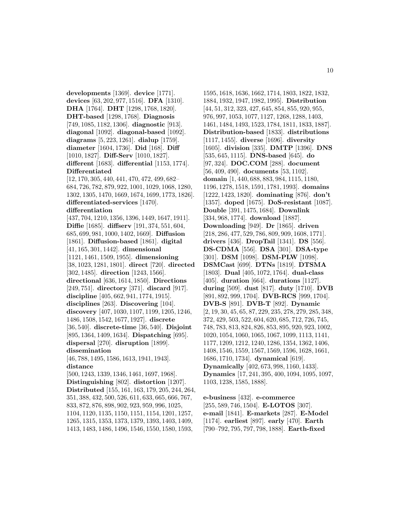**developments** [1369]. **device** [1771]. **devices** [63, 202, 977, 1516]. **DFA** [1310]. **DHA** [1764]. **DHT** [1298, 1768, 1820]. **DHT-based** [1298, 1768]. **Diagnosis** [749, 1085, 1182, 1306]. **diagnostic** [913]. **diagonal** [1092]. **diagonal-based** [1092]. **diagrams** [5, 223, 1261]. **dialup** [1759]. **diameter** [1604, 1736]. **Did** [168]. **Diff** [1010, 1827]. **Diff-Serv** [1010, 1827]. **different** [1683]. **differential** [1153, 1774]. **Differentiated**

[12, 170, 305, 440, 441, 470, 472, 499, 682– 684, 726, 782, 879, 922, 1001, 1029, 1068, 1280, 1302, 1305, 1470, 1669, 1674, 1699, 1773, 1826]. **differentiated-services** [1470].

#### **differentiation**

[437, 704, 1210, 1356, 1396, 1449, 1647, 1911]. **Diffie** [1685]. **diffserv** [191, 374, 551, 604, 685, 699, 981, 1000, 1402, 1669]. **Diffusion** [1861]. **Diffusion-based** [1861]. **digital** [41, 165, 301, 1442]. **dimensional** [1121, 1461, 1509, 1955]. **dimensioning** [38, 1023, 1281, 1801]. **direct** [720]. **directed** [302, 1485]. **direction** [1243, 1566]. **directional** [636, 1614, 1850]. **Directions** [249, 751]. **directory** [371]. **discard** [917]. **discipline** [405, 662, 941, 1774, 1915]. **disciplines** [263]. **Discovering** [104]. **discovery** [407, 1030, 1107, 1199, 1205, 1246, 1486, 1508, 1542, 1677, 1927]. **discrete** [36, 540]. **discrete-time** [36, 540]. **Disjoint** [895, 1364, 1409, 1634]. **Dispatching** [695]. **dispersal** [270]. **disruption** [1899]. **dissemination**

[46, 788, 1495, 1586, 1613, 1941, 1943]. **distance**

[500, 1243, 1339, 1346, 1461, 1697, 1968]. **Distinguishing** [802]. **distortion** [1207]. **Distributed** [155, 161, 163, 179, 205, 244, 264, 351, 388, 432, 500, 526, 611, 633, 665, 666, 767, 833, 872, 876, 898, 902, 923, 959, 996, 1025, 1104, 1120, 1135, 1150, 1151, 1154, 1201, 1257, 1265, 1315, 1353, 1373, 1379, 1393, 1403, 1409, 1413, 1483, 1486, 1496, 1546, 1550, 1580, 1593,

1595, 1618, 1636, 1662, 1714, 1803, 1822, 1832, 1884, 1932, 1947, 1982, 1995]. **Distribution** [44, 51, 312, 323, 427, 645, 854, 855, 920, 955, 976, 997, 1053, 1077, 1127, 1268, 1288, 1403, 1461, 1484, 1493, 1523, 1784, 1811, 1833, 1887]. **Distribution-based** [1833]. **distributions** [1117, 1455]. **diverse** [1696]. **diversity** [1605]. **division** [335]. **DMTP** [1396]. **DNS** [535, 645, 1115]. **DNS-based** [645]. **do** [97, 324]. **DOC.COM** [288]. **document** [56, 409, 490]. **documents** [53, 1102]. **domain** [1, 440, 688, 883, 984, 1115, 1180, 1196, 1278, 1518, 1591, 1781, 1993]. **domains** [1222, 1423, 1820]. **dominating** [876]. **don't** [1357]. **doped** [1675]. **DoS-resistant** [1087]. **Double** [391, 1475, 1684]. **Downlink** [334, 968, 1774]. **download** [1887]. **Downloading** [949]. **Dr** [1865]. **driven** [218, 286, 477, 529, 786, 809, 909, 1608, 1771]. **drivers** [436]. **DropTail** [1341]. **DS** [556]. **DS-CDMA** [556]. **DSA** [301]. **DSA-type** [301]. **DSM** [1098]. **DSM-PLW** [1098]. **DSMCast** [699]. **DTNs** [1819]. **DTSMA** [1803]. **Dual** [405, 1072, 1764]. **dual-class** [405]. **duration** [664]. **durations** [1127]. **during** [509]. **dust** [817]. **duty** [1710]. **DVB** [891, 892, 999, 1704]. **DVB-RCS** [999, 1704]. **DVB-S** [891]. **DVB-T** [892]. **Dynamic** [2, 19, 30, 45, 65, 87, 229, 235, 278, 279, 285, 348, 372, 429, 503, 522, 604, 620, 685, 712, 726, 745, 748, 783, 813, 824, 826, 853, 895, 920, 923, 1002, 1020, 1054, 1060, 1065, 1067, 1099, 1113, 1141, 1177, 1209, 1212, 1240, 1286, 1354, 1362, 1406, 1408, 1546, 1559, 1567, 1569, 1596, 1628, 1661, 1686, 1710, 1734]. **dynamical** [619]. **Dynamically** [402, 673, 998, 1160, 1433]. **Dynamics** [17, 241, 395, 400, 1094, 1095, 1097, 1103, 1238, 1585, 1888].

**e-business** [432]. **e-commerce** [255, 589, 746, 1504]. **E-LOTOS** [307]. **e-mail** [1841]. **E-markets** [287]. **E-Model** [1174]. **earliest** [897]. **early** [470]. **Earth** [790–792, 795, 797, 798, 1888]. **Earth-fixed**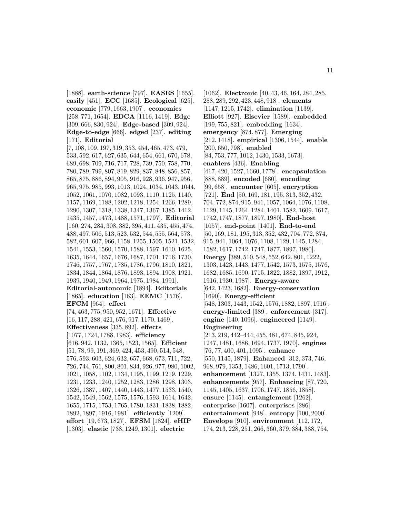[1888]. **earth-science** [797]. **EASES** [1655]. **easily** [451]. **ECC** [1685]. **Ecological** [625]. **economic** [779, 1663, 1907]. **economics** [258, 771, 1654]. **EDCA** [1116, 1419]. **Edge** [309, 666, 830, 924]. **Edge-based** [309, 924]. **Edge-to-edge** [666]. **edged** [237]. **editing** [171]. **Editorial** [7, 108, 109, 197, 319, 353, 454, 465, 473, 479, 533, 592, 617, 627, 635, 644, 654, 661, 670, 678, 689, 698, 709, 716, 717, 728, 739, 750, 758, 770, 780, 789, 799, 807, 819, 829, 837, 848, 856, 857, 865, 875, 886, 894, 905, 916, 928, 936, 947, 956, 965, 975, 985, 993, 1013, 1024, 1034, 1043, 1044, 1052, 1061, 1070, 1082, 1093, 1110, 1125, 1140, 1157, 1169, 1188, 1202, 1218, 1254, 1266, 1289, 1290, 1307, 1318, 1338, 1347, 1367, 1385, 1412, 1435, 1457, 1473, 1488, 1571, 1797]. **Editorial** [160, 274, 284, 308, 382, 395, 411, 435, 455, 474, 488, 497, 506, 513, 523, 532, 544, 555, 564, 573, 582, 601, 607, 966, 1158, 1255, 1505, 1521, 1532, 1541, 1553, 1560, 1570, 1588, 1597, 1610, 1625, 1635, 1644, 1657, 1676, 1687, 1701, 1716, 1730, 1746, 1757, 1767, 1785, 1786, 1796, 1810, 1821, 1834, 1844, 1864, 1876, 1893, 1894, 1908, 1921, 1939, 1940, 1949, 1964, 1975, 1984, 1991]. **Editorial-autonomic** [1894]. **Editorials** [1865]. **education** [163]. **EEMC** [1576]. **EFCM** [964]. **effect** [74, 463, 775, 950, 952, 1671]. **Effective** [16, 117, 288, 421, 676, 917, 1170, 1469]. **Effectiveness** [335, 892]. **effects** [1077, 1724, 1788, 1983]. **efficiency** [616, 942, 1132, 1365, 1523, 1565]. **Efficient** [51, 78, 99, 191, 369, 424, 453, 490, 514, 548, 576, 593, 603, 624, 632, 657, 668, 673, 711, 722, 726, 744, 761, 800, 801, 834, 926, 977, 980, 1002, 1021, 1058, 1102, 1134, 1195, 1199, 1219, 1229, 1231, 1233, 1240, 1252, 1283, 1286, 1298, 1303, 1326, 1387, 1407, 1440, 1443, 1477, 1533, 1540, 1542, 1549, 1562, 1575, 1576, 1593, 1614, 1642, 1655, 1715, 1753, 1765, 1780, 1831, 1838, 1882, 1892, 1897, 1916, 1981]. **efficiently** [1209]. **effort** [19, 673, 1827]. **EFSM** [1824]. **eHIP** [1303]. **elastic** [738, 1249, 1301]. **electric**

[1062]. **Electronic** [40, 43, 46, 164, 284, 285, 288, 289, 292, 423, 448, 918]. **elements** [1147, 1215, 1742]. **elimination** [1139]. **Elliott** [927]. **Elsevier** [1589]. **embedded** [199, 755, 821]. **embedding** [1634]. **emergency** [874, 877]. **Emerging** [212, 1418]. **empirical** [1306, 1544]. **enable** [200, 650, 798]. **enabled** [84, 753, 777, 1012, 1430, 1533, 1673]. **enablers** [436]. **Enabling** [417, 420, 1527, 1660, 1778]. **encapsulation** [888, 889]. **encoded** [680]. **encoding** [99, 658]. **encounter** [605]. **encryption** [721]. **End** [50, 169, 181, 195, 313, 352, 432, 704, 772, 874, 915, 941, 1057, 1064, 1076, 1108, 1129, 1145, 1264, 1284, 1401, 1582, 1609, 1617, 1742, 1747, 1877, 1897, 1980]. **End-host** [1057]. **end-point** [1401]. **End-to-end** [50, 169, 181, 195, 313, 352, 432, 704, 772, 874, 915, 941, 1064, 1076, 1108, 1129, 1145, 1284, 1582, 1617, 1742, 1747, 1877, 1897, 1980]. **Energy** [389, 510, 548, 552, 642, 801, 1222, 1303, 1423, 1443, 1477, 1542, 1573, 1575, 1576, 1682, 1685, 1690, 1715, 1822, 1882, 1897, 1912, 1916, 1930, 1987]. **Energy-aware** [642, 1423, 1682]. **Energy-conservation** [1690]. **Energy-efficient** [548, 1303, 1443, 1542, 1576, 1882, 1897, 1916]. **energy-limited** [389]. **enforcement** [317]. **engine** [140, 1096]. **engineered** [1149]. **Engineering** [213, 219, 442–444, 455, 481, 674, 845, 924, 1247, 1481, 1686, 1694, 1737, 1970]. **engines** [76, 77, 400, 401, 1095]. **enhance** [550, 1145, 1879]. **Enhanced** [312, 373, 746, 968, 979, 1353, 1486, 1601, 1713, 1790]. **enhancement** [1327, 1355, 1374, 1431, 1483]. **enhancements** [957]. **Enhancing** [87, 720, 1145, 1405, 1637, 1706, 1747, 1856, 1858]. **ensure** [1145]. **entanglement** [1262]. **enterprise** [1607]. **enterprises** [286]. **entertainment** [948]. **entropy** [100, 2000]. **Envelope** [910]. **environment** [112, 172, 174, 213, 228, 251, 266, 360, 379, 384, 388, 754,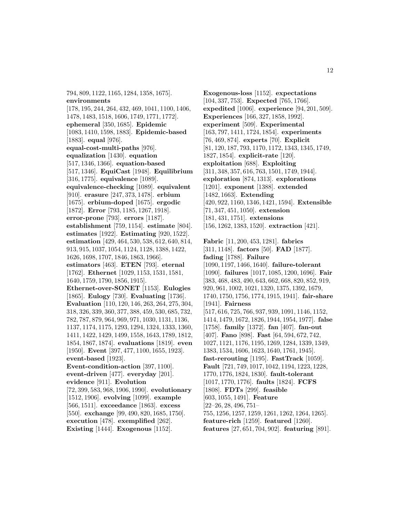794, 809, 1122, 1165, 1284, 1358, 1675]. **environments**

[178, 195, 244, 264, 432, 469, 1041, 1100, 1406, 1478, 1483, 1518, 1606, 1749, 1771, 1772]. **ephemeral** [350, 1685]. **Epidemic** [1083, 1410, 1598, 1883]. **Epidemic-based** [1883]. **equal** [976]. **equal-cost-multi-paths** [976]. **equalization** [1430]. **equation** [517, 1346, 1366]. **equation-based** [517, 1346]. **EquiCast** [1948]. **Equilibrium** [316, 1775]. **equivalence** [1089]. **equivalence-checking** [1089]. **equivalent** [910]. **erasure** [247, 373, 1478]. **erbium** [1675]. **erbium-doped** [1675]. **ergodic** [1872]. **Error** [793, 1185, 1267, 1918]. **error-prone** [793]. **errors** [1187]. **establishment** [759, 1154]. **estimate** [804]. **estimates** [1922]. **Estimating** [920, 1522]. **estimation** [429, 464, 530, 538, 612, 640, 814, 913, 915, 1037, 1054, 1124, 1128, 1388, 1422, 1626, 1698, 1707, 1846, 1863, 1966]. **estimators** [463]. **ETEN** [793]. **eternal** [1762]. **Ethernet** [1029, 1153, 1531, 1581, 1640, 1759, 1790, 1856, 1915]. **Ethernet-over-SONET** [1153]. **Eulogies** [1865]. **Eulogy** [730]. **Evaluating** [1736]. **Evaluation** [110, 120, 146, 263, 264, 275, 304, 318, 326, 339, 360, 377, 388, 459, 530, 685, 732, 782, 787, 879, 964, 969, 971, 1030, 1131, 1136, 1137, 1174, 1175, 1293, 1294, 1324, 1333, 1360, 1411, 1422, 1429, 1499, 1558, 1643, 1789, 1812, 1854, 1867, 1874]. **evaluations** [1819]. **even** [1950]. **Event** [397, 477, 1100, 1655, 1923]. **event-based** [1923]. **Event-condition-action** [397, 1100]. **event-driven** [477]. **everyday** [201]. **evidence** [911]. **Evolution** [72, 399, 583, 968, 1906, 1990]. **evolutionary** [1512, 1906]. **evolving** [1099]. **example** [566, 1511]. **exceedance** [1863]. **excess** [550]. **exchange** [99, 490, 820, 1685, 1750].

**execution** [478]. **exemplified** [262].

**Existing** [1444]. **Exogenous** [1152].

**Exogenous-loss** [1152]. **expectations** [104, 337, 753]. **Expected** [765, 1766]. **expedited** [1006]. **experience** [94, 201, 509]. **Experiences** [166, 327, 1858, 1992]. **experiment** [509]. **Experimental** [163, 797, 1411, 1724, 1854]. **experiments** [76, 469, 874]. **experts** [70]. **Explicit** [81, 120, 187, 793, 1170, 1172, 1343, 1345, 1749, 1827, 1854]. **explicit-rate** [120]. **exploitation** [688]. **Exploiting** [311, 348, 357, 616, 763, 1501, 1749, 1944]. **exploration** [874, 1313]. **explorations** [1201]. **exponent** [1388]. **extended** [1482, 1663]. **Extending** [420, 922, 1160, 1346, 1421, 1594]. **Extensible** [71, 347, 451, 1050]. **extension** [181, 431, 1751]. **extensions** [156, 1262, 1383, 1520]. **extraction** [421].

**Fabric** [11, 200, 453, 1281]. **fabrics** [311, 1148]. **factors** [50]. **FAD** [1877]. **fading** [1788]. **Failure** [1090, 1197, 1466, 1640]. **failure-tolerant** [1090]. **failures** [1017, 1085, 1200, 1696]. **Fair** [383, 468, 483, 490, 643, 662, 668, 820, 852, 919, 920, 961, 1002, 1021, 1320, 1375, 1392, 1679, 1740, 1750, 1756, 1774, 1915, 1941]. **fair-share** [1941]. **Fairness** [517, 616, 725, 766, 937, 939, 1091, 1146, 1152, 1414, 1479, 1672, 1826, 1944, 1954, 1977]. **false** [1758]. **family** [1372]. **fan** [407]. **fan-out** [407]. **Fano** [898]. **Fast** [64, 594, 672, 742, 1027, 1121, 1176, 1195, 1269, 1284, 1339, 1349, 1383, 1534, 1606, 1623, 1640, 1761, 1945]. **fast-rerouting** [1195]. **FastTrack** [1059]. **Fault** [721, 749, 1017, 1042, 1194, 1223, 1228, 1770, 1776, 1824, 1830]. **fault-tolerant** [1017, 1770, 1776]. **faults** [1824]. **FCFS** [1808]. **FDTs** [299]. **feasible** [603, 1055, 1491]. **Feature** [22–26, 28, 496, 751– 755, 1256, 1257, 1259, 1261, 1262, 1264, 1265]. **feature-rich** [1259]. **featured** [1260]. **features** [27, 651, 704, 902]. **featuring** [891].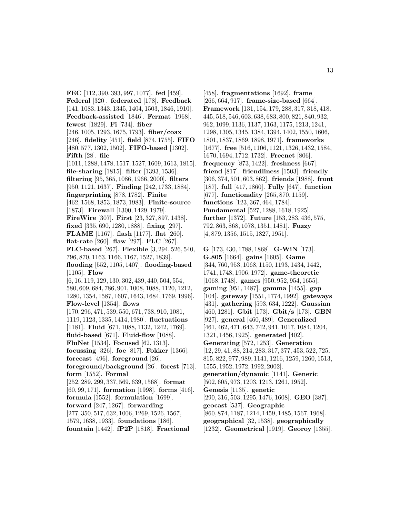**FEC** [112, 390, 393, 997, 1077]. **fed** [459]. **Federal** [320]. **federated** [178]. **Feedback** [141, 1083, 1343, 1345, 1404, 1503, 1846, 1910]. **Feedback-assisted** [1846]. **Fermat** [1968]. **fewest** [1829]. **Fi** [734]. **fiber** [246, 1005, 1293, 1675, 1793]. **fiber/coax** [246]. **fidelity** [451]. **field** [874, 1755]. **FIFO** [480, 577, 1302, 1502]. **FIFO-based** [1302]. **Fifth** [28]. **file** [1011, 1288, 1478, 1517, 1527, 1609, 1613, 1815]. **file-sharing** [1815]. **filter** [1393, 1536]. **filtering** [95, 365, 1086, 1966, 2000]. **filters** [950, 1121, 1637]. **Finding** [242, 1733, 1884]. **fingerprinting** [878, 1782]. **Finite** [462, 1568, 1853, 1873, 1983]. **Finite-source** [1873]. **Firewall** [1300, 1429, 1979]. **FireWire** [307]. **First** [23, 327, 897, 1438]. **fixed** [335, 690, 1280, 1888]. **fixing** [297]. **FLAME** [1167]. **flash** [1177]. **flat** [260]. **flat-rate** [260]. **flaw** [297]. **FLC** [267]. **FLC-based** [267]. **Flexible** [3, 294, 526, 540, 796, 870, 1163, 1166, 1167, 1527, 1839]. **flooding** [552, 1105, 1407]. **flooding-based** [1105]. **Flow** [6, 16, 119, 129, 130, 302, 439, 440, 504, 554, 580, 609, 684, 786, 901, 1008, 1088, 1120, 1212, 1280, 1354, 1587, 1607, 1643, 1684, 1769, 1996]. **Flow-level** [1354]. **flows** [170, 296, 471, 539, 550, 671, 738, 910, 1081, 1119, 1123, 1335, 1414, 1980]. **fluctuations** [1181]. **Fluid** [671, 1088, 1132, 1242, 1769]. **fluid-based** [671]. **Fluid-flow** [1088]. **FluNet** [1534]. **Focused** [62, 1313]. **focussing** [326]. **foe** [817]. **Fokker** [1366]. **forecast** [496]. **foreground** [26]. **foreground/background** [26]. **forest** [713]. **form** [1552]. **Formal** [252, 289, 299, 337, 569, 639, 1568]. **format** [60, 99, 171]. **formation** [1998]. **forms** [416]. **formula** [1552]. **formulation** [1699]. **forward** [247, 1267]. **forwarding** [277, 350, 517, 632, 1006, 1269, 1526, 1567, 1579, 1638, 1933]. **foundations** [186]. **fountain** [1442]. **fP2P** [1818]. **Fractional**

[458]. **fragmentations** [1692]. **frame** [266, 664, 917]. **frame-size-based** [664]. **Framework** [131, 154, 179, 288, 317, 318, 418, 445, 518, 546, 603, 638, 683, 800, 821, 840, 932, 962, 1099, 1136, 1137, 1163, 1175, 1213, 1241, 1298, 1305, 1345, 1384, 1394, 1402, 1550, 1606, 1801, 1837, 1869, 1898, 1971]. **frameworks** [1677]. **free** [516, 1106, 1121, 1326, 1432, 1584, 1670, 1694, 1712, 1732]. **Freenet** [806]. **frequency** [873, 1422]. **freshness** [667]. **friend** [817]. **friendliness** [1503]. **friendly** [306, 374, 501, 603, 862]. **friends** [1988]. **front** [187]. **full** [417, 1860]. **Fully** [647]. **function** [677]. **functionality** [265, 870, 1159]. **functions** [123, 367, 464, 1784]. **Fundamental** [527, 1288, 1618, 1925]. **further** [1372]. **Future** [153, 283, 436, 575, 792, 863, 868, 1078, 1351, 1481]. **Fuzzy** [4, 879, 1356, 1515, 1827, 1951].

**G** [173, 430, 1788, 1868]. **G-WiN** [173]. **G.805** [1664]. **gains** [1605]. **Game** [344, 760, 953, 1068, 1150, 1193, 1434, 1442, 1741, 1748, 1906, 1972]. **game-theoretic** [1068, 1748]. **games** [950, 952, 954, 1655]. **gaming** [951, 1487]. **gamma** [1455]. **gap** [104]. **gateway** [1551, 1774, 1992]. **gateways** [431]. **gathering** [593, 634, 1222]. **Gaussian** [460, 1281]. **Gbit** [173]. **Gbit/s** [173]. **GBN** [927]. **general** [460, 489]. **Generalized** [461, 462, 471, 643, 742, 941, 1017, 1084, 1204, 1321, 1456, 1925]. **generated** [402]. **Generating** [572, 1253]. **Generation** [12, 29, 41, 88, 214, 283, 317, 377, 453, 522, 725, 815, 822, 977, 989, 1141, 1216, 1259, 1260, 1513, 1555, 1952, 1972, 1992, 2002]. **generation/dynamic** [1141]. **Generic** [502, 605, 973, 1203, 1213, 1261, 1952]. **Genesis** [1135]. **genetic** [290, 316, 503, 1295, 1476, 1608]. **GEO** [387]. **geocast** [537]. **Geographic** [860, 874, 1187, 1214, 1459, 1485, 1567, 1968]. **geographical** [32, 1538]. **geographically** [1232]. **Geometrical** [1919]. **Georoy** [1355].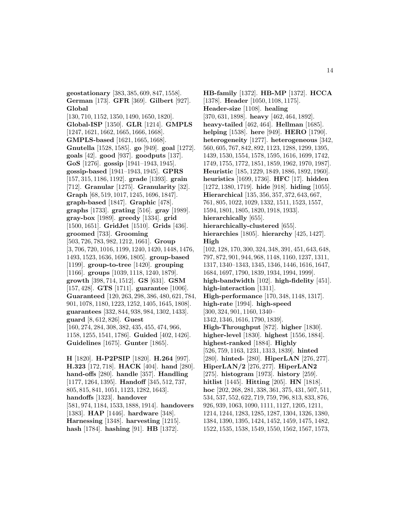**geostationary** [383, 385, 609, 847, 1558]. **German** [173]. **GFR** [369]. **Gilbert** [927]. **Global** [130, 710, 1152, 1350, 1490, 1650, 1820]. **Global-ISP** [1350]. **GLR** [1214]. **GMPLS** [1247, 1621, 1662, 1665, 1666, 1668]. **GMPLS-based** [1621, 1665, 1668]. **Gnutella** [1528, 1585]. **go** [949]. **goal** [1272]. **goals** [42]. **good** [937]. **goodputs** [137]. **GoS** [1276]. **gossip** [1941–1943, 1945]. **gossip-based** [1941–1943, 1945]. **GPRS** [157, 315, 1186, 1192]. **grade** [1393]. **grain** [712]. **Granular** [1275]. **Granularity** [32]. **Graph** [68, 519, 1017, 1245, 1696, 1847]. **graph-based** [1847]. **Graphic** [478]. **graphs** [1733]. **grating** [516]. **gray** [1989]. **gray-box** [1989]. **greedy** [1334]. **grid** [1500, 1651]. **GridJet** [1510]. **Grids** [436]. **groomed** [733]. **Grooming** [503, 726, 783, 982, 1212, 1661]. **Group** [3, 706, 720, 1016, 1199, 1240, 1420, 1448, 1476, 1493, 1523, 1636, 1696, 1805]. **group-based** [1199]. **group-to-tree** [1420]. **grouping** [1166]. **groups** [1039, 1118, 1240, 1879]. **growth** [398, 714, 1512]. **GS** [631]. **GSM** [157, 428]. **GTS** [1711]. **guarantee** [1006]. **Guaranteed** [120, 263, 298, 386, 480, 621, 784, 901, 1078, 1180, 1223, 1252, 1405, 1645, 1808]. **guarantees** [332, 844, 938, 984, 1302, 1433]. **guard** [8, 612, 826]. **Guest** [160, 274, 284, 308, 382, 435, 455, 474, 966, 1158, 1255, 1541, 1786]. **Guided** [402, 1426]. **Guidelines** [1675]. **Gunter** [1865].

**H** [1820]. **H-P2PSIP** [1820]. **H.264** [997]. **H.323** [172, 718]. **HACK** [404]. **hand** [280]. **hand-offs** [280]. **handle** [357]. **Handling** [1177, 1264, 1395]. **Handoff** [345, 512, 737, 805, 815, 841, 1051, 1123, 1282, 1643]. **handoffs** [1323]. **handover** [581, 974, 1184, 1533, 1888, 1914]. **handovers** [1383]. **HAP** [1446]. **hardware** [348]. **Harnessing** [1348]. **harvesting** [1215]. **hash** [1784]. **hashing** [91]. **HB** [1372].

**HB-family** [1372]. **HB-MP** [1372]. **HCCA** [1378]. **Header** [1050, 1108, 1175]. **Header-size** [1108]. **healing** [370, 631, 1898]. **heavy** [462, 464, 1892]. **heavy-tailed** [462, 464]. **Hellman** [1685]. **helping** [1538]. **here** [949]. **HERO** [1790]. **heterogeneity** [1277]. **heterogeneous** [342, 560, 605, 767, 842, 892, 1123, 1288, 1299, 1395, 1439, 1530, 1554, 1578, 1595, 1616, 1699, 1742, 1749, 1755, 1772, 1851, 1859, 1962, 1970, 1987]. **Heuristic** [185, 1229, 1849, 1886, 1892, 1960]. **heuristics** [1699, 1736]. **HFC** [17]. **hidden** [1272, 1380, 1719]. **hide** [918]. **hiding** [1055]. **Hierarchical** [135, 356, 357, 372, 643, 667, 761, 805, 1022, 1029, 1332, 1511, 1523, 1557, 1594, 1801, 1805, 1820, 1918, 1933]. **hierarchically** [655]. **hierarchically-clustered** [655]. **hierarchies** [1805]. **hierarchy** [425, 1427]. **High** [102, 128, 170, 300, 324, 348, 391, 451, 643, 648, 797, 872, 901, 944, 968, 1148, 1160, 1237, 1311, 1317, 1340–1343, 1345, 1346, 1446, 1616, 1647, 1684, 1697, 1790, 1839, 1934, 1994, 1999]. **high-bandwidth** [102]. **high-fidelity** [451]. **high-interaction** [1311]. **High-performance** [170, 348, 1148, 1317]. **high-rate** [1994]. **high-speed** [300, 324, 901, 1160, 1340– 1342, 1346, 1616, 1790, 1839]. **High-Throughput** [872]. **higher** [1830]. **higher-level** [1830]. **highest** [1556, 1884]. **highest-ranked** [1884]. **Highly** [526, 759, 1163, 1231, 1313, 1839]. **hinted** [280]. **hinted-** [280]. **HiperLAN** [276, 277]. **HiperLAN/2** [276, 277]. **HiperLAN2** [275]. **histogram** [1973]. **history** [259]. **hitlist** [1445]. **Hitting** [205]. **HN** [1818]. **hoc** [202, 268, 281, 338, 361, 375, 431, 507, 511, 534, 537, 552, 622, 719, 759, 796, 813, 833, 876, 926, 939, 1063, 1090, 1111, 1127, 1205, 1211, 1214, 1244, 1283, 1285, 1287, 1304, 1326, 1380, 1384, 1390, 1395, 1424, 1452, 1459, 1475, 1482, 1522, 1535, 1538, 1549, 1550, 1562, 1567, 1573,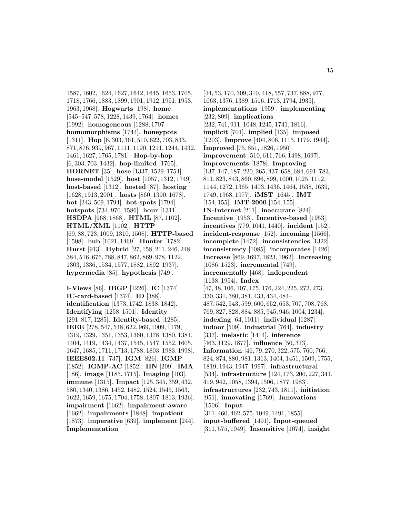1587, 1602, 1624, 1627, 1642, 1645, 1653, 1705, 1718, 1766, 1883, 1899, 1901, 1912, 1951, 1953, 1963, 1968]. **Hogwarts** [198]. **home** [545–547, 578, 1228, 1439, 1764]. **homes** [1992]. **homogeneous** [1288, 1707]. **homomorphisms** [1744]. **honeypots** [1311]. **Hop** [6, 303, 361, 510, 622, 703, 833, 871, 876, 939, 967, 1111, 1190, 1211, 1244, 1432, 1461, 1627, 1765, 1781]. **Hop-by-hop** [6, 303, 703, 1432]. **hop-limited** [1765]. **HORNET** [35]. **hose** [1337, 1529, 1754]. **hose-model** [1529]. **host** [1057, 1312, 1749]. **host-based** [1312]. **hosted** [87]. **hosting** [1628, 1913, 2001]. **hosts** [860, 1390, 1678]. **hot** [243, 509, 1794]. **hot-spots** [1794]. **hotspots** [734, 970, 1586]. **hour** [1311]. **HSDPA** [968, 1868]. **HTML** [87, 1102]. **HTML/XML** [1102]. **HTTP** [69, 88, 723, 1009, 1310, 1508]. **HTTP-based** [1508]. **hub** [1021, 1469]. **Hunter** [1782]. **Hurst** [913]. **Hybrid** [27, 158, 211, 246, 248, 384, 516, 676, 788, 847, 862, 869, 978, 1122, 1303, 1336, 1534, 1577, 1882, 1892, 1937]. **hypermedia** [85]. **hypothesis** [749].

**I-Views** [86]. **IBGP** [1226]. **IC** [1374]. **IC-card-based** [1374]. **ID** [388]. **identification** [1373, 1742, 1838, 1842]. **Identifying** [1258, 1501]. **Identity** [291, 817, 1285]. **Identity-based** [1285]. **IEEE** [278, 547, 548, 622, 969, 1009, 1179, 1319, 1329, 1351, 1353, 1360, 1378, 1380, 1381, 1404, 1419, 1434, 1437, 1545, 1547, 1552, 1605, 1647, 1685, 1711, 1713, 1788, 1803, 1983, 1998]. **IEEE802.11** [737]. **IGM** [826]. **IGMP** [1852]. **IGMP-AC** [1852]. **IIN** [209]. **IMA** [186]. **image** [1185, 1715]. **Imaging** [103]. **immune** [1315]. **Impact** [125, 345, 359, 432, 580, 1340, 1386, 1452, 1482, 1524, 1545, 1563, 1622, 1659, 1675, 1704, 1758, 1807, 1813, 1936]. **impairment** [1662]. **impairment-aware** [1662]. **impairments** [1848]. **impatient** [1873]. **imperative** [639]. **implement** [244]. **Implementation**

[44, 53, 170, 309, 310, 418, 557, 737, 888, 977, 1063, 1376, 1389, 1516, 1713, 1794, 1935]. **implementations** [1959]. **implementing** [232, 809]. **implications** [232, 741, 911, 1048, 1245, 1741, 1816]. **implicit** [701]. **implied** [135]. **imposed** [1203]. **Improve** [404, 806, 1115, 1179, 1944]. **Improved** [75, 851, 1826, 1950]. **improvement** [510, 611, 766, 1498, 1697]. **improvements** [1878]. **Improving** [137, 147, 187, 220, 265, 437, 658, 684, 691, 783, 811, 823, 843, 860, 896, 899, 1000, 1025, 1112, 1144, 1272, 1365, 1403, 1436, 1464, 1538, 1639, 1749, 1968, 1977]. **iMST** [1645]. **IMT** [154, 155]. **IMT-2000** [154, 155]. **IN-Internet** [211]. **inaccurate** [824]. **Incentive** [1953]. **Incentive-based** [1953]. **incentives** [779, 1041, 1440]. **incident** [152]. **incident-response** [152]. **incoming** [1566]. **incomplete** [1472]. **inconsistencies** [1322]. **inconsistency** [1085]. **incorporates** [1426]. **Increase** [869, 1697, 1823, 1962]. **Increasing** [1086, 1523]. **incremental** [749]. **incrementally** [468]. **independent** [1138, 1954]. **Index** [47, 48, 106, 107, 175, 176, 224, 225, 272, 273, 330, 331, 380, 381, 433, 434, 484– 487, 542, 543, 599, 600, 652, 653, 707, 708, 768, 769, 827, 828, 884, 885, 945, 946, 1004, 1234]. **indexing** [64, 1011]. **individual** [1287]. **indoor** [509]. **industrial** [764]. **industry** [337]. **inelastic** [1414]. **inference** [463, 1129, 1877]. **influence** [50, 313]. **Information** [46, 79, 270, 322, 575, 760, 766, 824, 874, 880, 981, 1313, 1404, 1451, 1509, 1755, 1819, 1943, 1947, 1997]. **infrastructural** [534]. **infrastructure** [124, 173, 200, 227, 341, 419, 942, 1058, 1394, 1506, 1877, 1983]. **infrastructures** [232, 743, 1811]. **initiation** [951]. **innovating** [1769]. **Innovations** [1506]. **Input** [311, 460, 462, 575, 1049, 1491, 1855]. **input-buffered** [1491]. **Input-queued** [311, 575, 1049]. **Insensitive** [1074]. **insight**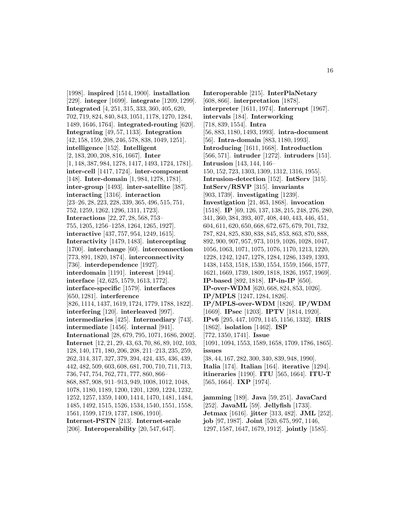[1998]. **inspired** [1514, 1900]. **installation** [229]. **integer** [1699]. **integrate** [1209, 1299]. **Integrated** [4, 251, 315, 333, 360, 405, 620, 702, 719, 824, 840, 843, 1051, 1178, 1270, 1284, 1489, 1646, 1764]. **integrated-routing** [620]. **Integrating** [49, 57, 1133]. **Integration** [42, 158, 159, 208, 246, 578, 838, 1049, 1251]. **intelligence** [152]. **Intelligent** [2, 183, 200, 208, 816, 1667]. **Inter** [1, 148, 387, 984, 1278, 1417, 1493, 1724, 1781]. **inter-cell** [1417, 1724]. **inter-component** [148]. **Inter-domain** [1, 984, 1278, 1781]. **inter-group** [1493]. **inter-satellite** [387]. **interacting** [1316]. **interaction** [23–26, 28, 223, 228, 339, 365, 496, 515, 751, 752, 1259, 1262, 1296, 1311, 1723]. **Interactions** [22, 27, 28, 568, 753– 755, 1205, 1256–1258, 1264, 1265, 1927]. **interactive** [437, 757, 954, 1249, 1615]. **Interactivity** [1479, 1483]. **intercepting** [1700]. **interchange** [60]. **interconnection** [773, 891, 1820, 1874]. **interconnectivity** [736]. **interdependence** [1927]. **interdomain** [1191]. **interest** [1944]. **interface** [42, 625, 1579, 1613, 1772]. **interface-specific** [1579]. **interfaces** [650, 1281]. **interference** [826, 1114, 1437, 1619, 1724, 1779, 1788, 1822]. **interfering** [120]. **interleaved** [997]. **intermediaries** [425]. **Intermediary** [743]. **intermediate** [1456]. **internal** [941]. **International** [28, 679, 795, 1071, 1686, 2002]. **Internet** [12, 21, 29, 43, 63, 70, 86, 89, 102, 103, 128, 140, 171, 180, 206, 208, 211–213, 235, 259, 262, 314, 317, 327, 379, 394, 424, 435, 436, 439, 442, 482, 509, 603, 608, 681, 700, 710, 711, 713, 736, 747, 754, 762, 771, 777, 860, 866– 868, 887, 908, 911–913, 949, 1008, 1012, 1048, 1078, 1180, 1189, 1200, 1201, 1209, 1224, 1232, 1252, 1257, 1359, 1400, 1414, 1470, 1481, 1484, 1485, 1492, 1515, 1526, 1534, 1540, 1551, 1558, 1561, 1599, 1719, 1737, 1806, 1910]. **Internet-PSTN** [213]. **Internet-scale** [206]. **Interoperability** [20, 547, 647].

**Interoperable** [215]. **InterPlaNetary** [608, 866]. **interpretation** [1878]. **interpreter** [1611, 1974]. **Interrupt** [1967]. **intervals** [184]. **Interworking** [718, 839, 1554]. **Intra** [56, 883, 1180, 1493, 1993]. **intra-document** [56]. **Intra-domain** [883, 1180, 1993]. **Introducing** [1611, 1668]. **Introduction** [566, 571]. **intruder** [1272]. **intruders** [151]. **Intrusion** [143, 144, 146– 150, 152, 723, 1303, 1309, 1312, 1316, 1955]. **Intrusion-detection** [152]. **IntServ** [315]. **IntServ/RSVP** [315]. **invariants** [903, 1739]. **investigating** [1239]. **Investigation** [21, 463, 1868]. **invocation** [1518]. **IP** [69, 126, 137, 138, 215, 248, 276, 280, 341, 360, 384, 393, 407, 408, 440, 443, 446, 451, 604, 611, 620, 650, 668, 672, 675, 679, 701, 732, 787, 824, 825, 830, 838, 845, 853, 863, 870, 888, 892, 900, 907, 957, 973, 1019, 1026, 1028, 1047, 1056, 1063, 1071, 1075, 1076, 1170, 1213, 1220, 1228, 1242, 1247, 1278, 1284, 1286, 1349, 1393, 1438, 1453, 1518, 1530, 1554, 1559, 1566, 1577, 1621, 1669, 1739, 1809, 1818, 1826, 1957, 1969]. **IP-based** [892, 1818]. **IP-in-IP** [650]. **IP-over-WDM** [620, 668, 824, 853, 1026]. **IP/MPLS** [1247, 1284, 1826]. **IP/MPLS-over-WDM** [1826]. **IP/WDM** [1669]. **IPsec** [1203]. **IPTV** [1814, 1920]. **IPv6** [295, 447, 1079, 1145, 1156, 1332]. **IRIS** [1862]. **isolation** [1462]. **ISP** [772, 1350, 1741]. **Issue** [1091, 1094, 1553, 1589, 1658, 1709, 1786, 1865]. **issues** [38, 44, 167, 282, 300, 340, 839, 948, 1990]. **Italia** [174]. **Italian** [164]. **iterative** [1294]. **itineraries** [1190]. **ITU** [565, 1664]. **ITU-T** [565, 1664]. **IXP** [1974]. **jamming** [189]. **Java** [59, 251]. **JavaCard**

[252]. **JavaML** [59]. **Jellyfish** [1733]. **Jetmax** [1616]. **jitter** [313, 482]. **JML** [252]. **job** [97, 1987]. **Joint** [520, 675, 997, 1146, 1297, 1587, 1647, 1679, 1912]. **jointly** [1585].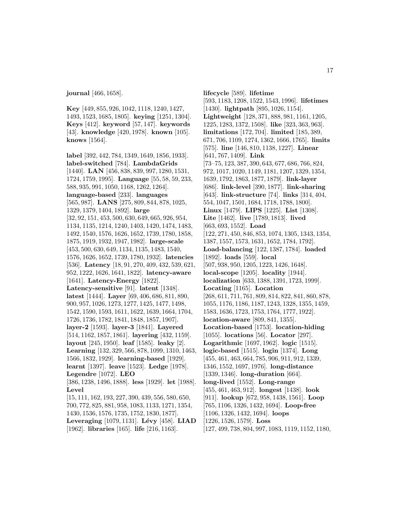**journal** [466, 1658].

**Key** [449, 855, 926, 1042, 1118, 1240, 1427, 1493, 1523, 1685, 1805]. **keying** [1251, 1304]. **Keys** [412]. **keyword** [57, 147]. **keywords** [43]. **knowledge** [420, 1978]. **known** [105]. **knows** [1564].

**label** [392, 442, 784, 1349, 1649, 1856, 1933]. **label-switched** [784]. **LambdaGrids** [1440]. **LAN** [456, 838, 839, 997, 1280, 1531, 1724, 1759, 1995]. **Language** [55, 58, 59, 233, 588, 935, 991, 1050, 1168, 1262, 1264]. **language-based** [233]. **languages** [565, 987]. **LANS** [275, 809, 844, 878, 1025, 1329, 1379, 1404, 1892]. **large** [32, 92, 151, 453, 500, 630, 649, 665, 926, 954, 1134, 1135, 1214, 1240, 1403, 1420, 1474, 1483, 1492, 1540, 1576, 1626, 1652, 1739, 1780, 1858, 1875, 1919, 1932, 1947, 1982]. **large-scale** [453, 500, 630, 649, 1134, 1135, 1483, 1540, 1576, 1626, 1652, 1739, 1780, 1932]. **latencies** [536]. **Latency** [18, 91, 270, 409, 432, 539, 621, 952, 1222, 1626, 1641, 1822]. **latency-aware** [1641]. **Latency-Energy** [1822]. **Latency-sensitive** [91]. **latent** [1348]. **latest** [1444]. **Layer** [69, 406, 686, 811, 890, 900, 957, 1026, 1273, 1277, 1425, 1477, 1498, 1542, 1590, 1593, 1611, 1622, 1639, 1664, 1704, 1726, 1736, 1782, 1841, 1848, 1857, 1907]. **layer-2** [1593]. **layer-3** [1841]. **Layered** [514, 1162, 1857, 1861]. **layering** [432, 1159]. **layout** [245, 1950]. **leaf** [1585]. **leaky** [2]. **Learning** [132, 329, 566, 878, 1099, 1310, 1463, 1566, 1832, 1929]. **learning-based** [1929]. **learnt** [1397]. **leave** [1523]. **Ledge** [1978]. **Legendre** [1072]. **LEO** [386, 1238, 1496, 1888]. **less** [1929]. **let** [1988]. **Level** [15, 111, 162, 193, 227, 390, 439, 556, 580, 650, 700, 772, 825, 881, 958, 1083, 1133, 1271, 1354, 1430, 1536, 1576, 1735, 1752, 1830, 1877]. **Leveraging** [1079, 1131]. **L´evy** [458]. **LIAD**

[1962]. **libraries** [165]. **life** [216, 1163].

**lifecycle** [589]. **lifetime** [593, 1183, 1208, 1522, 1543, 1996]. **lifetimes** [1430]. **lightpath** [895, 1026, 1154]. **Lightweight** [128, 371, 888, 981, 1161, 1205, 1225, 1283, 1372, 1508]. **like** [323, 363, 963]. **limitations** [172, 704]. **limited** [185, 389, 671, 706, 1109, 1274, 1362, 1666, 1765]. **limits** [575]. **line** [146, 810, 1138, 1227]. **Linear** [641, 767, 1409]. **Link** [73–75, 123, 387, 390, 643, 677, 686, 766, 824, 972, 1017, 1020, 1149, 1181, 1207, 1329, 1354, 1639, 1792, 1863, 1877, 1879]. **link-layer** [686]. **link-level** [390, 1877]. **link-sharing** [643]. **link-structure** [74]. **links** [314, 404, 554, 1047, 1501, 1684, 1718, 1788, 1800]. **Linux** [1479]. **LIPS** [1225]. **List** [1308]. **Lite** [1462]. **live** [1789, 1813]. **lived** [663, 693, 1552]. **Load** [122, 271, 450, 846, 853, 1074, 1305, 1343, 1354, 1387, 1557, 1573, 1631, 1652, 1784, 1792]. **Load-balancing** [122, 1387, 1784]. **loaded** [1892]. **loads** [559]. **local** [507, 938, 950, 1205, 1223, 1426, 1648]. **local-scope** [1205]. **locality** [1944]. **localization** [633, 1388, 1391, 1723, 1999]. **Locating** [1165]. **Location** [268, 611, 711, 761, 809, 814, 822, 841, 860, 878, 1055, 1176, 1186, 1187, 1243, 1328, 1355, 1459, 1583, 1636, 1723, 1753, 1764, 1777, 1922]. **location-aware** [809, 841, 1355]. **Location-based** [1753]. **location-hiding** [1055]. **locations** [56]. **Locator** [297]. **Logarithmic** [1697, 1962]. **logic** [1515]. **logic-based** [1515]. **login** [1374]. **Long** [455, 461, 463, 664, 785, 906, 911, 912, 1339, 1346, 1552, 1697, 1976]. **long-distance** [1339, 1346]. **long-duration** [664]. **long-lived** [1552]. **Long-range** [455, 461, 463, 912]. **longest** [1438]. **look** [911]. **lookup** [672, 958, 1438, 1561]. **Loop** [765, 1106, 1326, 1432, 1694]. **Loop-free** [1106, 1326, 1432, 1694]. **loops** [1226, 1526, 1579]. **Loss** [127, 499, 738, 804, 997, 1083, 1119, 1152, 1180,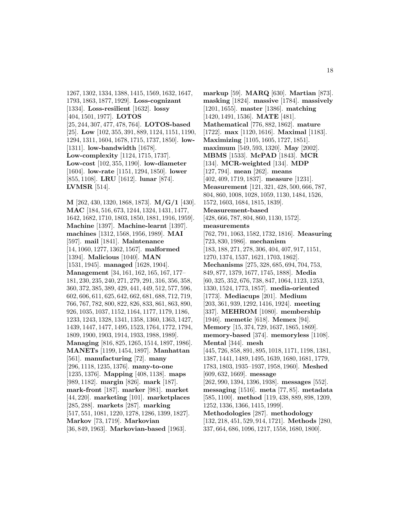1267, 1302, 1334, 1388, 1415, 1569, 1632, 1647, 1793, 1863, 1877, 1929]. **Loss-cognizant** [1334]. **Loss-resilient** [1632]. **lossy** [404, 1501, 1977]. **LOTOS** [25, 244, 307, 477, 478, 764]. **LOTOS-based** [25]. **Low** [102, 355, 391, 889, 1124, 1151, 1190, 1294, 1311, 1604, 1678, 1715, 1737, 1850]. **low-** [1311]. **low-bandwidth** [1678]. **Low-complexity** [1124, 1715, 1737]. **Low-cost** [102, 355, 1190]. **low-diameter** [1604]. **low-rate** [1151, 1294, 1850]. **lower** [855, 1108]. **LRU** [1612]. **lunar** [874]. **LVMSR** [514].

**M** [262, 430, 1320, 1868, 1873]. **M/G/1** [430]. **MAC** [184, 516, 673, 1244, 1324, 1431, 1477, 1642, 1682, 1710, 1803, 1850, 1881, 1916, 1959]. **Machine** [1397]. **Machine-learnt** [1397]. **machines** [1312, 1568, 1956, 1989]. **MAI** [597]. **mail** [1841]. **Maintenance** [14, 1060, 1277, 1362, 1567]. **malformed** [1394]. **Malicious** [1040]. **MAN** [1531, 1945]. **managed** [1628, 1904]. **Management** [34, 161, 162, 165, 167, 177– 181, 230, 235, 240, 271, 279, 291, 316, 356, 358, 360, 372, 385, 389, 429, 441, 449, 512, 577, 596, 602, 606, 611, 625, 642, 662, 681, 688, 712, 719, 766, 767, 782, 800, 822, 826, 833, 861, 863, 890, 926, 1035, 1037, 1152, 1164, 1177, 1179, 1186, 1233, 1243, 1328, 1341, 1358, 1360, 1363, 1427, 1439, 1447, 1477, 1495, 1523, 1764, 1772, 1794, 1809, 1900, 1903, 1914, 1933, 1988, 1989]. **Managing** [816, 825, 1265, 1514, 1897, 1986]. **MANETs** [1199, 1454, 1897]. **Manhattan** [561]. **manufacturing** [72]. **many** [296, 1118, 1235, 1376]. **many-to-one** [1235, 1376]. **Mapping** [408, 1138]. **maps** [989, 1182]. **margin** [826]. **mark** [187]. **mark-front** [187]. **marker** [981]. **market** [44, 220]. **marketing** [101]. **marketplaces** [285, 288]. **markets** [287]. **marking** [517, 551, 1081, 1220, 1278, 1286, 1399, 1827]. **Markov** [73, 1719]. **Markovian** [36, 849, 1963]. **Markovian-based** [1963].

**markup** [59]. **MARQ** [630]. **Martian** [873]. **masking** [1824]. **massive** [1784]. **massively** [1201, 1655]. **master** [1386]. **matching** [1420, 1491, 1536]. **MATE** [481]. **Mathematical** [776, 882, 1862]. **mature** [1722]. **max** [1120, 1616]. **Maximal** [1183]. **Maximizing** [1105, 1605, 1727, 1851]. **maximum** [549, 593, 1320]. **May** [2002]. **MBMS** [1533]. **McPAD** [1843]. **MCR** [134]. **MCR-weighted** [134]. **MDP** [127, 794]. **mean** [262]. **means** [402, 409, 1719, 1837]. **measure** [1231]. **Measurement** [121, 321, 428, 500, 666, 787, 804, 860, 1008, 1028, 1059, 1130, 1484, 1526, 1572, 1603, 1684, 1815, 1839]. **Measurement-based** [428, 666, 787, 804, 860, 1130, 1572]. **measurements** [762, 791, 1063, 1582, 1732, 1816]. **Measuring** [723, 830, 1986]. **mechanism** [183, 188, 271, 278, 306, 404, 407, 917, 1151, 1270, 1374, 1537, 1621, 1703, 1862]. **Mechanisms** [275, 328, 685, 694, 704, 753, 849, 877, 1379, 1677, 1745, 1888]. **Media** [60, 325, 352, 676, 738, 847, 1064, 1123, 1253, 1330, 1524, 1773, 1857]. **media-oriented** [1773]. **Mediacups** [201]. **Medium** [203, 361, 939, 1292, 1416, 1924]. **meeting** [337]. **MEHROM** [1080]. **membership** [1946]. **memetic** [618]. **Memex** [94]. **Memory** [15, 374, 729, 1637, 1865, 1869]. **memory-based** [374]. **memoryless** [1108]. **Mental** [344]. **mesh** [445, 726, 858, 891, 895, 1018, 1171, 1198, 1381, 1387, 1441, 1489, 1495, 1639, 1680, 1681, 1779, 1783, 1803, 1935–1937, 1958, 1960]. **Meshed** [609, 632, 1669]. **message** [262, 990, 1394, 1396, 1938]. **messages** [552]. **messaging** [1516]. **meta** [77, 85]. **metadata** [585, 1100]. **method** [119, 438, 889, 898, 1209, 1252, 1336, 1366, 1415, 1999]. **Methodologies** [287]. **methodology** [132, 218, 451, 529, 914, 1721]. **Methods** [280, 337, 664, 686, 1096, 1217, 1558, 1680, 1800].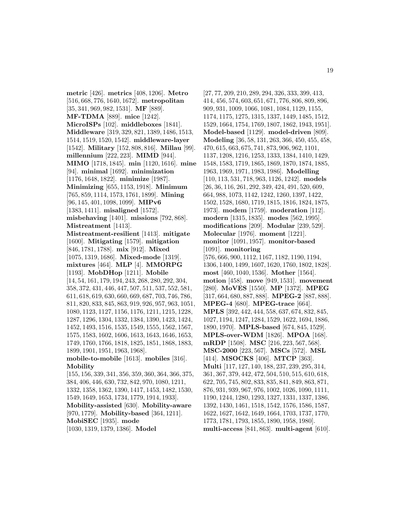**metric** [426]. **metrics** [408, 1206]. **Metro** [516, 668, 776, 1640, 1672]. **metropolitan** [35, 341, 969, 982, 1531]. **MF** [889]. **MF-TDMA** [889]. **mice** [1242]. **MicroISPs** [102]. **middleboxes** [1841]. **Middleware** [319, 329, 821, 1389, 1486, 1513, 1514, 1519, 1520, 1542]. **middleware-layer** [1542]. **Military** [152, 808, 816]. **Millau** [99]. **millennium** [222, 223]. **MIMD** [944]. **MIMO** [1718, 1845]. **min** [1120, 1616]. **mine** [94]. **minimal** [1692]. **minimization** [1176, 1648, 1822]. **minimize** [1987]. **Minimizing** [655, 1153, 1918]. **Minimum** [765, 859, 1114, 1573, 1761, 1899]. **Mining** [96, 145, 401, 1098, 1099]. **MIPv6** [1383, 1411]. **misaligned** [1572]. **misbehaving** [1401]. **missions** [792, 868]. **Mistreatment** [1413]. **Mistreatment-resilient** [1413]. **mitigate** [1600]. **Mitigating** [1579]. **mitigation** [846, 1781, 1788]. **mix** [912]. **Mixed** [1075, 1319, 1686]. **Mixed-mode** [1319]. **mixtures** [464]. **MLP** [4]. **MMORPG** [1193]. **MobDHop** [1211]. **Mobile** [14, 54, 161, 179, 194, 243, 268, 280, 292, 304, 358, 372, 431, 446, 447, 507, 511, 537, 552, 581, 611, 618, 619, 630, 660, 669, 687, 703, 746, 786, 811, 820, 833, 845, 863, 919, 926, 957, 963, 1051, 1080, 1123, 1127, 1156, 1176, 1211, 1215, 1228, 1287, 1296, 1304, 1332, 1384, 1390, 1423, 1424, 1452, 1493, 1516, 1535, 1549, 1555, 1562, 1567, 1575, 1583, 1602, 1606, 1613, 1643, 1646, 1653, 1749, 1760, 1766, 1818, 1825, 1851, 1868, 1883, 1899, 1901, 1951, 1963, 1968]. **mobile-to-mobile** [1613]. **mobiles** [316]. **Mobility** [155, 156, 339, 341, 356, 359, 360, 364, 366, 375, 384, 406, 446, 630, 732, 842, 970, 1080, 1211, 1332, 1358, 1362, 1390, 1417, 1453, 1482, 1530, 1549, 1649, 1653, 1734, 1779, 1914, 1933]. **Mobility-assisted** [630]. **Mobility-aware** [970, 1779]. **Mobility-based** [364, 1211]. **MobiSEC** [1935]. **mode** [1030, 1319, 1379, 1386]. **Model**

[27, 77, 209, 210, 289, 294, 326, 333, 399, 413, 414, 456, 574, 603, 651, 671, 776, 806, 809, 896, 909, 931, 1009, 1066, 1081, 1084, 1129, 1155, 1174, 1175, 1275, 1315, 1337, 1449, 1485, 1512, 1529, 1664, 1754, 1769, 1807, 1862, 1943, 1951]. **Model-based** [1129]. **model-driven** [809]. **Modeling** [36, 58, 131, 263, 366, 450, 455, 458, 470, 615, 663, 675, 741, 873, 906, 962, 1101, 1137, 1208, 1216, 1253, 1333, 1384, 1410, 1429, 1548, 1583, 1719, 1865, 1869, 1870, 1874, 1885, 1963, 1969, 1971, 1983, 1986]. **Modelling** [110, 113, 531, 718, 963, 1126, 1242]. **models** [26, 36, 116, 261, 292, 349, 424, 491, 520, 609, 664, 988, 1073, 1142, 1242, 1260, 1397, 1422, 1502, 1528, 1680, 1719, 1815, 1816, 1824, 1875, 1973]. **modem** [1759]. **moderation** [112]. **modern** [1315, 1835]. **modes** [562, 1995]. **modifications** [209]. **Modular** [239, 529]. **Molecular** [1976]. **moment** [1221]. **monitor** [1091, 1957]. **monitor-based** [1091]. **monitoring** [576, 666, 900, 1112, 1167, 1182, 1190, 1194, 1306, 1400, 1499, 1607, 1620, 1760, 1802, 1828]. **most** [460, 1040, 1536]. **Mother** [1564]. **motion** [458]. **move** [949, 1531]. **movement** [280]. **MoVES** [1550]. **MP** [1372]. **MPEG** [317, 664, 680, 887, 888]. **MPEG-2** [887, 888]. **MPEG-4** [680]. **MPEG-trace** [664]. **MPLS** [392, 442, 444, 558, 637, 674, 832, 845, 1027, 1194, 1247, 1284, 1529, 1622, 1694, 1886, 1890, 1970]. **MPLS-based** [674, 845, 1529]. **MPLS-over-WDM** [1826]. **MPOA** [168]. **mRDP** [1508]. **MSC** [216, 223, 567, 568]. **MSC-2000** [223, 567]. **MSCs** [572]. **MSL** [414]. **MSOCKS** [406]. **MTCP** [363]. **Multi** [117, 127, 140, 188, 237, 239, 295, 314, 361, 367, 379, 442, 472, 504, 510, 515, 610, 618, 622, 705, 745, 802, 833, 835, 841, 849, 863, 871, 876, 931, 939, 967, 976, 1002, 1026, 1090, 1111, 1190, 1244, 1280, 1293, 1327, 1331, 1337, 1386, 1392, 1430, 1461, 1518, 1542, 1576, 1586, 1587, 1622, 1627, 1642, 1649, 1664, 1703, 1737, 1770, 1773, 1781, 1793, 1855, 1890, 1958, 1980]. **multi-access** [841, 863]. **multi-agent** [610].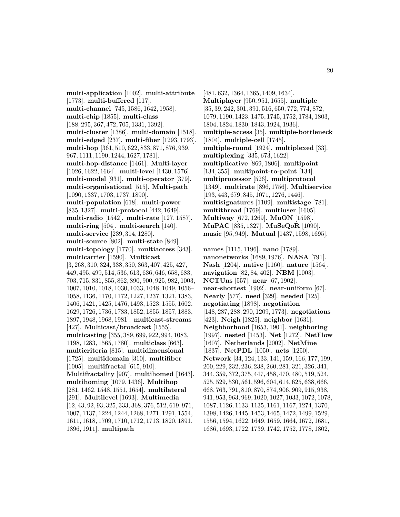**multi-application** [1002]. **multi-attribute** [1773]. **multi-buffered** [117]. **multi-channel** [745, 1586, 1642, 1958]. **multi-chip** [1855]. **multi-class** [188, 295, 367, 472, 705, 1331, 1392]. **multi-cluster** [1386]. **multi-domain** [1518]. **multi-edged** [237]. **multi-fiber** [1293, 1793]. **multi-hop** [361, 510, 622, 833, 871, 876, 939, 967, 1111, 1190, 1244, 1627, 1781]. **multi-hop-distance** [1461]. **Multi-layer** [1026, 1622, 1664]. **multi-level** [1430, 1576]. **multi-model** [931]. **multi-operator** [379]. **multi-organisational** [515]. **Multi-path** [1090, 1337, 1703, 1737, 1890]. **multi-population** [618]. **multi-power** [835, 1327]. **multi-protocol** [442, 1649]. **multi-radio** [1542]. **multi-rate** [127, 1587]. **multi-ring** [504]. **multi-search** [140]. **multi-service** [239, 314, 1280]. **multi-source** [802]. **multi-state** [849]. **multi-topology** [1770]. **multiaccess** [343]. **multicarrier** [1590]. **Multicast** [3, 268, 310, 324, 338, 350, 363, 407, 425, 427, 449, 495, 499, 514, 536, 613, 636, 646, 658, 683, 703, 715, 831, 855, 862, 890, 900, 925, 982, 1003, 1007, 1010, 1018, 1030, 1033, 1048, 1049, 1056– 1058, 1136, 1170, 1172, 1227, 1237, 1321, 1383, 1406, 1421, 1425, 1476, 1493, 1523, 1555, 1602, 1629, 1726, 1736, 1783, 1852, 1855, 1857, 1883, 1897, 1948, 1968, 1981]. **multicast-streams** [427]. **Multicast/broadcast** [1555]. **multicasting** [355, 389, 699, 922, 994, 1083, 1198, 1283, 1565, 1780]. **multiclass** [663]. **multicriteria** [815]. **multidimensional** [1725]. **multidomain** [310]. **multifiber** [1005]. **multifractal** [615, 910]. **Multifractality** [907]. **multihomed** [1643]. **multihoming** [1079, 1436]. **Multihop** [281, 1462, 1548, 1551, 1654]. **multilateral** [291]. **Multilevel** [1693]. **Multimedia** [12, 43, 92, 93, 325, 333, 368, 376, 512, 619, 971, 1007, 1137, 1224, 1244, 1268, 1271, 1291, 1554, 1611, 1618, 1709, 1710, 1712, 1713, 1820, 1891, 1896, 1911]. **multipath**

[481, 632, 1364, 1365, 1409, 1634]. **Multiplayer** [950, 951, 1655]. **multiple** [35, 39, 242, 301, 391, 516, 650, 772, 774, 872, 1079, 1190, 1423, 1475, 1745, 1752, 1784, 1803, 1804, 1824, 1830, 1843, 1924, 1936]. **multiple-access** [35]. **multiple-bottleneck** [1804]. **multiple-cell** [1745]. **multiple-round** [1924]. **multiplexed** [33]. **multiplexing** [335, 673, 1622]. **multiplicative** [869, 1806]. **multipoint** [134, 355]. **multipoint-to-point** [134]. **multiprocessor** [526]. **multiprotocol** [1349]. **multirate** [896, 1756]. **Multiservice** [193, 443, 679, 845, 1071, 1276, 1446]. **multisignatures** [1109]. **multistage** [781]. **multithread** [1769]. **multiuser** [1605]. **Multiway** [672, 1269]. **MuON** [1598]. **MuPAC** [835, 1327]. **MuSeQoR** [1090]. **music** [95, 949]. **Mutual** [1437, 1598, 1695].

**names** [1115, 1196]. **nano** [1789]. **nanonetworks** [1689, 1976]. **NASA** [791]. **Nash** [1204]. **native** [1160]. **nature** [1564]. **navigation** [82, 84, 402]. **NBM** [1003]. **NCTUns** [557]. **near** [67, 1902]. **near-shortest** [1902]. **near-uniform** [67]. **Nearly** [577]. **need** [329]. **needed** [125]. **negotiating** [1898]. **negotiation** [148, 287, 288, 290, 1209, 1773]. **negotiations** [423]. **Neigh** [1825]. **neighbor** [1631]. **Neighborhood** [1653, 1901]. **neighboring** [1997]. **nested** [1453]. **Net** [1272]. **NetFlow** [1607]. **Netherlands** [2002]. **NetMine** [1837]. **NetPDL** [1050]. **nets** [1250]. **Network** [34, 124, 133, 141, 159, 166, 177, 199, 200, 229, 232, 236, 238, 260, 281, 321, 326, 341, 344, 359, 372, 375, 447, 458, 470, 480, 519, 524, 525, 529, 530, 561, 596, 604, 614, 625, 638, 666, 668, 763, 791, 810, 870, 874, 906, 909, 915, 938, 941, 953, 963, 969, 1020, 1027, 1033, 1072, 1078, 1087, 1126, 1133, 1135, 1161, 1167, 1274, 1370, 1398, 1426, 1445, 1453, 1465, 1472, 1499, 1529, 1556, 1594, 1622, 1649, 1659, 1664, 1672, 1681, 1686, 1693, 1722, 1739, 1742, 1752, 1778, 1802,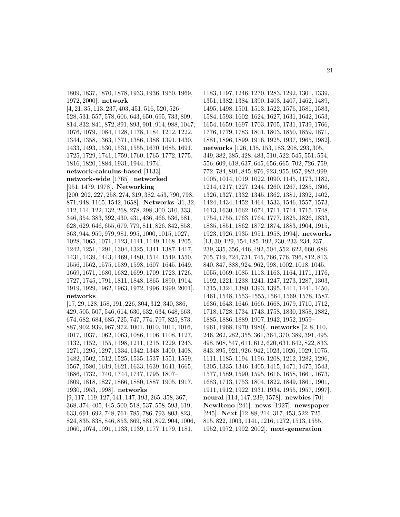1809, 1837, 1870, 1878, 1933, 1936, 1950, 1969, 1972, 2000]. **network** [4, 21, 35, 113, 237, 403, 451, 516, 520, 526– 528, 531, 557, 578, 606, 643, 650, 695, 733, 809, 814, 832, 841, 872, 891, 893, 901, 914, 988, 1047, 1076, 1079, 1084, 1128, 1178, 1184, 1212, 1222, 1344, 1358, 1363, 1371, 1386, 1388, 1391, 1430, 1433, 1493, 1530, 1531, 1555, 1670, 1685, 1691, 1725, 1729, 1741, 1759, 1760, 1765, 1772, 1775, 1816, 1820, 1884, 1931, 1944, 1974]. **network-calculus-based** [1133]. **network-wide** [1765]. **networked** [951, 1479, 1978]. **Networking** [200, 202, 227, 258, 274, 319, 382, 453, 790, 798, 871, 948, 1165, 1542, 1658]. **Networks** [31, 32, 112, 114, 122, 132, 268, 278, 298, 300, 310, 333, 346, 354, 383, 392, 430, 431, 436, 466, 536, 581, 628, 629, 646, 655, 679, 779, 811, 826, 842, 858, 863, 944, 959, 979, 981, 995, 1000, 1015, 1027, 1028, 1065, 1071, 1123, 1141, 1149, 1168, 1205, 1242, 1251, 1291, 1304, 1325, 1341, 1387, 1417, 1431, 1439, 1443, 1469, 1480, 1514, 1549, 1550, 1556, 1562, 1575, 1589, 1598, 1607, 1645, 1649, 1669, 1671, 1680, 1682, 1699, 1709, 1723, 1726, 1727, 1745, 1791, 1811, 1848, 1865, 1890, 1914, 1919, 1929, 1962, 1963, 1972, 1996, 1999, 2001]. **networks** [17, 29, 128, 158, 191, 226, 304, 312, 340, 386, 429, 505, 507, 546, 614, 630, 632, 634, 648, 663,

674, 682, 684, 685, 725, 747, 774, 797, 825, 873, 887, 902, 939, 967, 972, 1001, 1010, 1011, 1016, 1017, 1037, 1062, 1063, 1086, 1106, 1108, 1127, 1132, 1152, 1155, 1198, 1211, 1215, 1229, 1243, 1271, 1295, 1297, 1334, 1342, 1348, 1400, 1408, 1482, 1502, 1512, 1525, 1535, 1537, 1551, 1559, 1567, 1580, 1619, 1621, 1633, 1639, 1641, 1665, 1686, 1732, 1740, 1744, 1747, 1795, 1807– 1809, 1818, 1827, 1866, 1880, 1887, 1905, 1917, 1930, 1953, 1998]. **networks** [9, 117, 119, 127, 141, 147, 193, 265, 358, 367,

368, 374, 405, 445, 500, 518, 537, 558, 593, 619, 633, 691, 692, 748, 761, 785, 786, 793, 803, 823, 824, 835, 838, 846, 853, 869, 881, 892, 904, 1006, 1060, 1074, 1091, 1133, 1139, 1177, 1179, 1181,

1183, 1197, 1246, 1270, 1283, 1292, 1301, 1339, 1351, 1382, 1384, 1390, 1403, 1407, 1462, 1489, 1495, 1498, 1501, 1513, 1522, 1576, 1581, 1583, 1584, 1593, 1602, 1624, 1627, 1631, 1642, 1653, 1654, 1659, 1697, 1703, 1705, 1731, 1739, 1766, 1776, 1779, 1783, 1801, 1803, 1850, 1859, 1871, 1881, 1896, 1899, 1916, 1925, 1937, 1965, 1982]. **networks** [126, 138, 153, 183, 208, 293, 305, 349, 382, 385, 428, 483, 510, 522, 545, 551, 554, 556, 609, 618, 637, 645, 656, 665, 702, 726, 759, 772, 784, 801, 845, 876, 923, 955, 957, 982, 999, 1005, 1014, 1019, 1022, 1090, 1145, 1173, 1182, 1214, 1217, 1227, 1244, 1260, 1267, 1285, 1306, 1326, 1327, 1332, 1345, 1362, 1381, 1392, 1402, 1424, 1434, 1452, 1464, 1533, 1546, 1557, 1573, 1613, 1630, 1662, 1674, 1711, 1714, 1715, 1748, 1754, 1755, 1763, 1764, 1777, 1825, 1826, 1833, 1835, 1851, 1862, 1872, 1874, 1883, 1904, 1915, 1923, 1926, 1935, 1951, 1958, 1994]. **networks** [13, 30, 129, 154, 185, 192, 230, 233, 234, 237, 239, 335, 356, 446, 492, 504, 552, 622, 660, 686, 705, 719, 724, 731, 745, 766, 776, 796, 812, 813, 840, 847, 888, 924, 962, 998, 1002, 1018, 1045, 1055, 1069, 1085, 1113, 1163, 1164, 1171, 1176, 1192, 1221, 1238, 1241, 1247, 1273, 1287, 1303, 1315, 1324, 1380, 1393, 1395, 1411, 1441, 1450, 1461, 1548, 1553–1555, 1564, 1569, 1578, 1587, 1636, 1643, 1646, 1666, 1668, 1679, 1710, 1712, 1718, 1728, 1734, 1743, 1758, 1830, 1858, 1882, 1885, 1886, 1889, 1907, 1942, 1952, 1959– 1961, 1968, 1970, 1980]. **networks** [2, 8, 110, 246, 262, 282, 355, 361, 364, 370, 389, 391, 495, 498, 508, 547, 611, 612, 620, 631, 642, 822, 833, 843, 895, 921, 926, 942, 1023, 1026, 1029, 1075, 1111, 1185, 1194, 1196, 1208, 1212, 1282, 1296, 1305, 1335, 1346, 1405, 1415, 1471, 1475, 1543, 1577, 1589, 1590, 1595, 1616, 1658, 1661, 1673, 1683, 1713, 1753, 1804, 1822, 1849, 1861, 1901, 1911, 1912, 1922, 1931, 1934, 1955, 1957, 1997]. **neural** [114, 147, 239, 1578]. **newbies** [70]. **NewReno** [241]. **news** [1927]. **newspaper** [245]. **Next** [12, 88, 214, 317, 453, 522, 725, 815, 822, 1003, 1141, 1216, 1272, 1513, 1555, 1952, 1972, 1992, 2002]. **next-generation**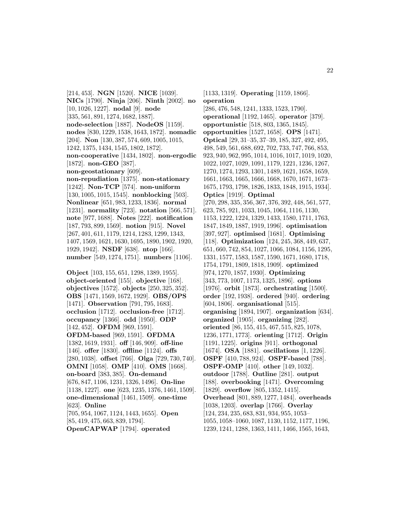[214, 453]. **NGN** [1520]. **NICE** [1039]. **NICs** [1790]. **Ninja** [206]. **Ninth** [2002]. **no** [10, 1026, 1227]. **nodal** [9]. **node** [335, 561, 891, 1274, 1682, 1887]. **node-selection** [1887]. **NodeOS** [1159]. **nodes** [830, 1229, 1538, 1643, 1872]. **nomadic** [204]. **Non** [130, 387, 574, 609, 1005, 1015, 1242, 1375, 1434, 1545, 1802, 1872]. **non-cooperative** [1434, 1802]. **non-ergodic** [1872]. **non-GEO** [387]. **non-geostationary** [609]. **non-repudiation** [1375]. **non-stationary** [1242]. **Non-TCP** [574]. **non-uniform** [130, 1005, 1015, 1545]. **nonblocking** [503]. **Nonlinear** [651, 983, 1233, 1836]. **normal** [1231]. **normality** [723]. **notation** [566, 571]. **note** [977, 1688]. **Notes** [222]. **notification** [187, 793, 899, 1569]. **notion** [915]. **Novel** [267, 401, 611, 1179, 1214, 1283, 1299, 1343, 1407, 1569, 1621, 1630, 1695, 1890, 1902, 1920, 1929, 1942]. **NSDF** [638]. **ntop** [166]. **number** [549, 1274, 1751]. **numbers** [1106].

**Object** [103, 155, 651, 1298, 1389, 1955]. **object-oriented** [155]. **objective** [168]. **objectives** [1572]. **objects** [250, 325, 352]. **OBS** [1471, 1569, 1672, 1929]. **OBS/OPS** [1471]. **Observation** [791, 795, 1683]. **occlusion** [1712]. **occlusion-free** [1712]. **occupancy** [1366]. **odd** [1950]. **ODP** [142, 452]. **OFDM** [969, 1591]. **OFDM-based** [969, 1591]. **OFDMA** [1382, 1619, 1931]. **off** [146, 909]. **off-line** [146]. **offer** [1830]. **offline** [1124]. **offs** [280, 1038]. **offset** [766]. **Olga** [729, 730, 740]. **OMNI** [1058]. **OMP** [410]. **OMS** [1668]. **on-board** [383, 385]. **On-demand** [676, 847, 1106, 1231, 1326, 1496]. **On-line** [1138, 1227]. **one** [623, 1235, 1376, 1461, 1509]. **one-dimensional** [1461, 1509]. **one-time** [623]. **Online** [705, 954, 1067, 1124, 1443, 1655]. **Open** [85, 419, 475, 663, 839, 1794].

**OpenCAPWAP** [1794]. **operated**

[1133, 1319]. **Operating** [1159, 1866]. **operation** [286, 476, 548, 1241, 1333, 1523, 1790]. **operational** [1192, 1465]. **operator** [379]. **opportunistic** [518, 803, 1365, 1845]. **opportunities** [1527, 1658]. **OPS** [1471]. **Optical** [29, 31–35, 37–39, 185, 327, 492, 495, 498, 549, 561, 688, 692, 702, 733, 747, 766, 853, 923, 940, 962, 995, 1014, 1016, 1017, 1019, 1020, 1022, 1027, 1029, 1091, 1179, 1221, 1236, 1267, 1270, 1274, 1293, 1301, 1489, 1621, 1658, 1659, 1661, 1663, 1665, 1666, 1668, 1670, 1671, 1673– 1675, 1793, 1798, 1826, 1833, 1848, 1915, 1934]. **Optics** [1919]. **Optimal** [270, 298, 335, 356, 367, 376, 392, 448, 561, 577, 623, 785, 921, 1033, 1045, 1064, 1116, 1130, 1153, 1222, 1224, 1329, 1433, 1580, 1711, 1763, 1847, 1849, 1887, 1919, 1996]. **optimisation** [397, 927]. **optimised** [1681]. **Optimising** [118]. **Optimization** [124, 245, 368, 449, 637, 651, 660, 742, 854, 1027, 1066, 1084, 1156, 1295, 1331, 1577, 1583, 1587, 1590, 1671, 1680, 1718, 1754, 1791, 1809, 1818, 1909]. **optimized** [974, 1270, 1857, 1930]. **Optimizing** [343, 773, 1007, 1173, 1325, 1896]. **options** [1976]. **orbit** [1873]. **orchestrating** [1500]. **order** [192, 1938]. **ordered** [940]. **ordering** [604, 1806]. **organisational** [515]. **organising** [1894, 1907]. **organization** [634]. **organized** [1905]. **organizing** [282]. **oriented** [86, 155, 415, 467, 515, 825, 1078, 1236, 1771, 1773]. **orienting** [1712]. **Origin** [1191, 1225]. **origins** [911]. **orthogonal** [1674]. **OSA** [1881]. **oscillations** [1, 1226]. **OSPF** [410, 788, 924]. **OSPF-based** [788]. **OSPF-OMP** [410]. **other** [149, 1032]. **outdoor** [1788]. **Outline** [281]. **output** [188]. **overbooking** [1471]. **Overcoming** [1829]. **overflow** [805, 1352, 1415]. **Overhead** [801, 889, 1277, 1484]. **overheads** [1038, 1203]. **overlap** [1766]. **Overlay** [124, 234, 235, 683, 831, 934, 955, 1053– 1055, 1058–1060, 1087, 1130, 1152, 1177, 1196, 1239, 1241, 1288, 1363, 1411, 1466, 1565, 1643,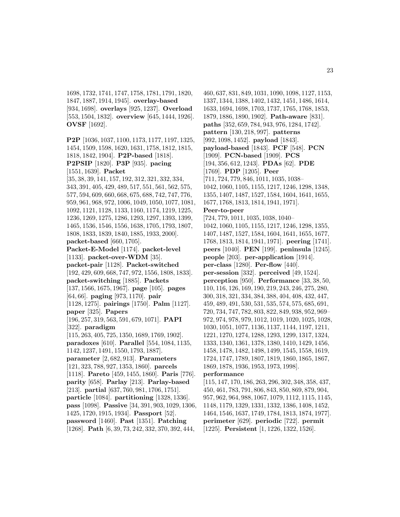1698, 1732, 1741, 1747, 1758, 1781, 1791, 1820, 1847, 1887, 1914, 1945]. **overlay-based** [934, 1698]. **overlays** [925, 1237]. **Overload** [553, 1504, 1832]. **overview** [645, 1444, 1926]. **OVSF** [1692].

**P2P** [1036, 1037, 1100, 1173, 1177, 1197, 1325, 1454, 1509, 1598, 1620, 1631, 1758, 1812, 1815, 1818, 1842, 1904]. **P2P-based** [1818]. **P2PSIP** [1820]. **P3P** [935]. **pacing** [1551, 1639]. **Packet** [35, 38, 39, 141, 157, 192, 312, 321, 332, 334, 343, 391, 405, 429, 489, 517, 551, 561, 562, 575, 577, 594, 609, 660, 668, 675, 688, 742, 747, 776, 959, 961, 968, 972, 1006, 1049, 1050, 1077, 1081, 1092, 1121, 1128, 1133, 1160, 1174, 1219, 1225, 1236, 1269, 1275, 1286, 1293, 1297, 1393, 1399, 1465, 1536, 1546, 1556, 1638, 1705, 1793, 1807, 1808, 1833, 1839, 1840, 1885, 1933, 2000]. **packet-based** [660, 1705]. **Packet-E-Model** [1174]. **packet-level** [1133]. **packet-over-WDM** [35]. **packet-pair** [1128]. **Packet-switched** [192, 429, 609, 668, 747, 972, 1556, 1808, 1833]. **packet-switching** [1885]. **Packets** [137, 1566, 1675, 1967]. **page** [105]. **pages** [64, 66]. **paging** [973, 1170]. **pair** [1128, 1275]. **pairings** [1750]. **Palm** [1127]. **paper** [325]. **Papers** [196, 257, 319, 563, 591, 679, 1071]. **PAPI** [322]. **paradigm** [115, 263, 405, 725, 1350, 1689, 1769, 1902]. **paradoxes** [610]. **Parallel** [554, 1084, 1135, 1142, 1237, 1491, 1550, 1793, 1887]. **parameter** [2, 682, 913]. **Parameters** [121, 323, 788, 927, 1353, 1860]. **parcels** [1118]. **Pareto** [459, 1455, 1860]. **Paris** [776]. **parity** [658]. **Parlay** [213]. **Parlay-based** [213]. **partial** [637, 760, 981, 1706, 1751]. **particle** [1084]. **partitioning** [1328, 1336]. **pass** [1098]. **Passive** [34, 391, 903, 1029, 1306, 1425, 1720, 1915, 1934]. **Passport** [52]. **password** [1460]. **Past** [1351]. **Patching** [1268]. **Path** [6, 39, 73, 242, 332, 370, 392, 444,

460, 637, 831, 849, 1031, 1090, 1098, 1127, 1153, 1337, 1344, 1388, 1402, 1432, 1451, 1486, 1614, 1633, 1694, 1698, 1703, 1737, 1765, 1768, 1853, 1879, 1886, 1890, 1902]. **Path-aware** [831]. **paths** [352, 659, 784, 943, 976, 1284, 1742]. **pattern** [130, 218, 997]. **patterns** [992, 1098, 1452]. **payload** [1843]. **payload-based** [1843]. **PCF** [548]. **PCN** [1909]. **PCN-based** [1909]. **PCS** [194, 356, 612, 1243]. **PDAs** [62]. **PDE** [1769]. **PDP** [1205]. **Peer** [711, 724, 779, 846, 1011, 1035, 1038– 1042, 1060, 1105, 1155, 1217, 1246, 1298, 1348, 1355, 1407, 1487, 1527, 1584, 1604, 1641, 1655, 1677, 1768, 1813, 1814, 1941, 1971]. **Peer-to-peer** [724, 779, 1011, 1035, 1038, 1040– 1042, 1060, 1105, 1155, 1217, 1246, 1298, 1355, 1407, 1487, 1527, 1584, 1604, 1641, 1655, 1677, 1768, 1813, 1814, 1941, 1971]. **peering** [1741]. **peers** [1040]. **PEN** [199]. **peninsula** [1245]. **people** [203]. **per-application** [1914]. **per-class** [1280]. **Per-flow** [440]. **per-session** [332]. **perceived** [49, 1524]. **perception** [950]. **Performance** [33, 38, 50, 110, 116, 126, 169, 190, 219, 243, 246, 275, 280, 300, 318, 321, 334, 384, 388, 404, 408, 432, 447, 459, 489, 491, 530, 531, 535, 574, 575, 685, 691, 720, 734, 747, 782, 803, 822, 849, 938, 952, 969– 972, 974, 978, 979, 1012, 1019, 1020, 1025, 1028, 1030, 1051, 1077, 1136, 1137, 1144, 1197, 1211, 1221, 1270, 1274, 1288, 1293, 1299, 1317, 1324, 1333, 1340, 1361, 1378, 1380, 1410, 1429, 1456, 1458, 1478, 1482, 1498, 1499, 1545, 1558, 1619, 1724, 1747, 1789, 1807, 1819, 1860, 1865, 1867, 1869, 1878, 1936, 1953, 1973, 1998]. **performance** [115, 147, 170, 186, 263, 296, 302, 348, 358, 437,

450, 461, 783, 791, 806, 843, 850, 869, 879, 904, 957, 962, 964, 988, 1067, 1079, 1112, 1115, 1145, 1148, 1179, 1329, 1331, 1332, 1386, 1408, 1452, 1464, 1546, 1637, 1749, 1784, 1813, 1874, 1977]. **perimeter** [629]. **periodic** [722]. **permit** [1225]. **Persistent** [1, 1226, 1322, 1526].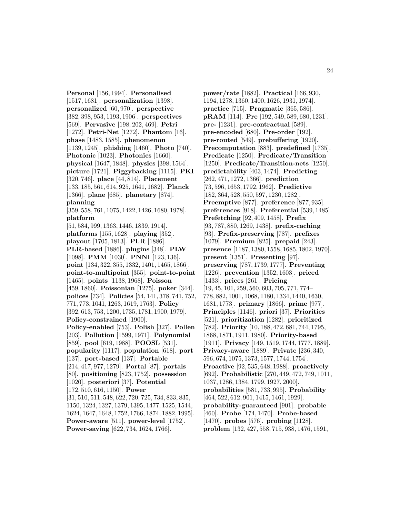**Personal** [156, 1994]. **Personalised** [1517, 1681]. **personalization** [1398]. **personalized** [60, 970]. **perspective** [382, 398, 953, 1193, 1906]. **perspectives** [569]. **Pervasive** [198, 202, 469]. **Petri** [1272]. **Petri-Net** [1272]. **Phantom** [16]. **phase** [1483, 1585]. **phenomenon** [1139, 1245]. **phishing** [1460]. **Photo** [740]. **Photonic** [1023]. **Photonics** [1660]. **physical** [1647, 1848]. **physics** [398, 1564]. **picture** [1721]. **Piggybacking** [1115]. **PKI** [320, 746]. **place** [44, 814]. **Placement** [133, 185, 561, 614, 925, 1641, 1682]. **Planck** [1366]. **plane** [685]. **planetary** [874]. **planning** [359, 558, 761, 1075, 1422, 1426, 1680, 1978]. **platform** [51, 584, 999, 1363, 1446, 1839, 1914]. **platforms** [155, 1628]. **playing** [352]. **playout** [1705, 1813]. **PLR** [1886]. **PLR-based** [1886]. **plugins** [348]. **PLW** [1098]. **PMM** [1030]. **PNNI** [123, 136]. **point** [134, 322, 355, 1332, 1401, 1465, 1866]. **point-to-multipoint** [355]. **point-to-point** [1465]. **points** [1138, 1968]. **Poisson** [459, 1860]. **Poissonian** [1275]. **poker** [344]. **polices** [734]. **Policies** [54, 141, 378, 741, 752, 771, 773, 1041, 1263, 1619, 1763]. **Policy** [392, 613, 753, 1200, 1735, 1781, 1900, 1979]. **Policy-constrained** [1900]. **Policy-enabled** [753]. **Polish** [327]. **Pollen** [203]. **Pollution** [1599, 1971]. **Polynomial** [859]. **pool** [619, 1988]. **POOSL** [531]. **popularity** [1117]. **population** [618]. **port** [137]. **port-based** [137]. **Portable** [214, 417, 977, 1279]. **Portal** [87]. **portals** [80]. **positioning** [823, 1752]. **possession** [1020]. **posteriori** [37]. **Potential** [172, 510, 616, 1150]. **Power** [31, 510, 511, 548, 622, 720, 725, 734, 833, 835, 1150, 1324, 1327, 1379, 1395, 1477, 1525, 1544, 1624, 1647, 1648, 1752, 1766, 1874, 1882, 1995]. **Power-aware** [511]. **power-level** [1752]. **Power-saving** [622, 734, 1624, 1766].

**power/rate** [1882]. **Practical** [166, 930, 1194, 1278, 1360, 1400, 1626, 1931, 1974]. **practice** [715]. **Pragmatic** [365, 586]. **pRAM** [114]. **Pre** [192, 549, 589, 680, 1231]. **pre-** [1231]. **pre-contractual** [589]. **pre-encoded** [680]. **Pre-order** [192]. **pre-routed** [549]. **prebuffering** [1920]. **Precomputation** [883]. **predefined** [1735]. **Predicate** [1250]. **Predicate/Transition** [1250]. **Predicate/Transition-nets** [1250]. **predictability** [403, 1474]. **Predicting** [262, 471, 1272, 1366]. **prediction** [73, 596, 1653, 1792, 1962]. **Predictive** [182, 364, 528, 550, 597, 1230, 1282]. **Preemptive** [877]. **preference** [877, 935]. **preferences** [918]. **Preferential** [539, 1485]. **Prefetching** [92, 409, 1458]. **Prefix** [93, 787, 880, 1269, 1438]. **prefix-caching** [93]. **Prefix-preserving** [787]. **prefixes** [1079]. **Premium** [825]. **prepaid** [243]. **presence** [1187, 1380, 1558, 1685, 1802, 1970]. **present** [1351]. **Presenting** [97]. **preserving** [787, 1739, 1777]. **Preventing** [1226]. **prevention** [1352, 1603]. **priced** [1433]. **prices** [261]. **Pricing** [19, 45, 101, 259, 560, 603, 705, 771, 774– 778, 882, 1001, 1068, 1180, 1334, 1440, 1630, 1681, 1773]. **primary** [1866]. **prime** [977]. **Principles** [1146]. **priori** [37]. **Priorities** [521]. **prioritization** [1282]. **prioritized** [782]. **Priority** [10, 188, 472, 681, 744, 1795, 1868, 1871, 1911, 1980]. **Priority-based** [1911]. **Privacy** [149, 1519, 1744, 1777, 1889]. **Privacy-aware** [1889]. **Private** [236, 340, 596, 674, 1075, 1373, 1577, 1744, 1754]. **Proactive** [92, 535, 648, 1988]. **proactively** [692]. **Probabilistic** [270, 449, 472, 749, 1011, 1037, 1286, 1384, 1799, 1927, 2000]. **probabilities** [581, 733, 995]. **Probability** [464, 522, 612, 901, 1415, 1461, 1929]. **probability-guaranteed** [901]. **probable** [460]. **Probe** [174, 1470]. **Probe-based** [1470]. **probes** [576]. **probing** [1128]. **problem** [132, 427, 558, 715, 938, 1476, 1591,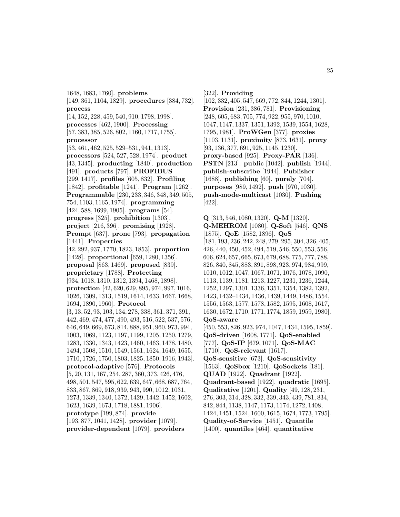1648, 1683, 1760]. **problems** [149, 361, 1104, 1829]. **procedures** [384, 732]. **process** [14, 152, 228, 459, 540, 910, 1798, 1998]. **processes** [462, 1900]. **Processing** [57, 383, 385, 526, 802, 1160, 1717, 1755]. **processor** [53, 461, 462, 525, 529–531, 941, 1313]. **processors** [524, 527, 528, 1974]. **product** [43, 1345]. **producting** [1840]. **production** [491]. **products** [797]. **PROFIBUS** [299, 1417]. **profiles** [605, 832]. **Profiling** [1842]. **profitable** [1241]. **Program** [1262]. **Programmable** [230, 233, 346, 348, 349, 505, 754, 1103, 1165, 1974]. **programming** [424, 588, 1699, 1905]. **programs** [54]. **progress** [325]. **prohibition** [1303]. **project** [216, 396]. **promising** [1928]. **Prompt** [637]. **prone** [793]. **propagation** [1441]. **Properties** [42, 292, 937, 1770, 1823, 1853]. **proportion** [1428]. **proportional** [659, 1280, 1356]. **proposal** [863, 1469]. **proposed** [839]. **proprietary** [1788]. **Protecting** [934, 1018, 1310, 1312, 1394, 1468, 1898]. **protection** [42, 620, 629, 895, 974, 997, 1016, 1026, 1309, 1313, 1519, 1614, 1633, 1667, 1668, 1694, 1890, 1960]. **Protocol** [3, 13, 52, 93, 103, 134, 278, 338, 361, 371, 391, 442, 469, 474, 477, 490, 493, 516, 522, 537, 576, 646, 649, 669, 673, 814, 888, 951, 960, 973, 994, 1003, 1069, 1123, 1197, 1199, 1205, 1250, 1279, 1283, 1330, 1343, 1423, 1460, 1463, 1478, 1480, 1494, 1508, 1510, 1549, 1561, 1624, 1649, 1655, 1710, 1726, 1750, 1803, 1825, 1850, 1916, 1943]. **protocol-adaptive** [576]. **Protocols** [5, 20, 131, 167, 254, 287, 360, 373, 426, 476, 498, 501, 547, 595, 622, 639, 647, 668, 687, 764, 833, 867, 869, 918, 939, 943, 990, 1012, 1031, 1273, 1339, 1340, 1372, 1429, 1442, 1452, 1602, 1623, 1639, 1673, 1718, 1881, 1906]. **prototype** [199, 874]. **provide** [193, 877, 1041, 1428]. **provider** [1079]. **provider-dependent** [1079]. **providers**

[322]. **Providing**

[102, 332, 405, 547, 669, 772, 844, 1244, 1301]. **Provision** [231, 386, 781]. **Provisioning** [248, 605, 683, 705, 774, 922, 955, 970, 1010, 1047, 1147, 1337, 1351, 1392, 1539, 1554, 1628, 1795, 1981]. **ProWGen** [377]. **proxies** [1103, 1131]. **proximity** [873, 1631]. **proxy** [93, 136, 377, 691, 925, 1145, 1230]. **proxy-based** [925]. **Proxy-PAR** [136]. **PSTN** [213]. **public** [1042]. **publish** [1944]. **publish-subscribe** [1944]. **Publisher** [1688]. **publishing** [60]. **purely** [704]. **purposes** [989, 1492]. **push** [970, 1030]. **push-mode-multicast** [1030]. **Pushing** [422].

**Q** [313, 546, 1080, 1320]. **Q-M** [1320]. **Q-MEHROM** [1080]. **Q-Soft** [546]. **QNS** [1875]. **QoE** [1582, 1896]. **QoS** [181, 193, 236, 242, 248, 279, 295, 304, 326, 405, 426, 440, 450, 452, 494, 519, 546, 550, 553, 556, 606, 624, 657, 665, 673, 679, 688, 775, 777, 788, 826, 840, 845, 883, 891, 898, 923, 974, 984, 999, 1010, 1012, 1047, 1067, 1071, 1076, 1078, 1090, 1113, 1139, 1181, 1213, 1227, 1231, 1236, 1244, 1252, 1297, 1301, 1336, 1351, 1354, 1382, 1392, 1423, 1432–1434, 1436, 1439, 1449, 1486, 1554, 1556, 1563, 1577, 1578, 1582, 1595, 1608, 1617, 1630, 1672, 1710, 1771, 1774, 1859, 1959, 1980]. **QoS-aware** [450, 553, 826, 923, 974, 1047, 1434, 1595, 1859]. **QoS-driven** [1608, 1771]. **QoS-enabled** [777]. **QoS-IP** [679, 1071]. **QoS-MAC** [1710]. **QoS-relevant** [1617]. **QoS-sensitive** [673]. **QoS-sensitivity** [1563]. **QoSbox** [1210]. **QoSockets** [181]. **QUAD** [1922]. **Quadrant** [1922]. **Quadrant-based** [1922]. **quadratic** [1695]. **Qualitative** [1201]. **Quality** [49, 128, 231, 276, 303, 314, 328, 332, 339, 343, 439, 781, 834, 842, 844, 1138, 1147, 1173, 1174, 1272, 1408, 1424, 1451, 1524, 1600, 1615, 1674, 1773, 1795]. **Quality-of-Service** [1451]. **Quantile** [1400]. **quantiles** [464]. **quantitative**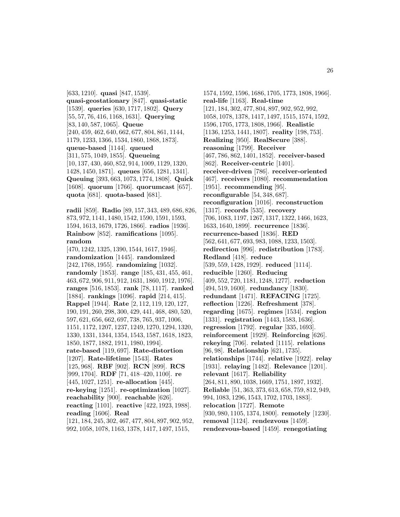[633, 1210]. **quasi** [847, 1539]. **quasi-geostationary** [847]. **quasi-static** [1539]. **queries** [630, 1717, 1802]. **Query** [55, 57, 76, 416, 1168, 1631]. **Querying** [83, 140, 587, 1065]. **Queue** [240, 459, 462, 640, 662, 677, 804, 861, 1144, 1179, 1233, 1366, 1534, 1860, 1868, 1873]. **queue-based** [1144]. **queued** [311, 575, 1049, 1855]. **Queueing** [10, 137, 430, 460, 852, 914, 1009, 1129, 1320, 1428, 1450, 1871]. **queues** [656, 1281, 1341]. **Queuing** [393, 663, 1073, 1774, 1808]. **Quick** [1608]. **quorum** [1766]. **quorumcast** [657]. **quota** [681]. **quota-based** [681].

**radii** [859]. **Radio** [89, 157, 343, 489, 686, 826, 873, 972, 1141, 1480, 1542, 1590, 1591, 1593, 1594, 1613, 1679, 1726, 1866]. **radios** [1936]. **Rainbow** [852]. **ramifications** [1095]. **random**

[470, 1242, 1325, 1390, 1544, 1617, 1946]. **randomization** [1445]. **randomized** [242, 1768, 1955]. **randomizing** [1032]. **randomly** [1853]. **range** [185, 431, 455, 461, 463, 672, 906, 911, 912, 1631, 1860, 1912, 1976]. **ranges** [516, 1853]. **rank** [78, 1117]. **ranked** [1884]. **rankings** [1096]. **rapid** [214, 415]. **Rappel** [1944]. **Rate** [2, 112, 119, 120, 127, 190, 191, 260, 298, 300, 429, 441, 468, 480, 520, 597, 621, 656, 662, 697, 738, 765, 937, 1006, 1151, 1172, 1207, 1237, 1249, 1270, 1294, 1320, 1330, 1331, 1344, 1354, 1543, 1587, 1618, 1823, 1850, 1877, 1882, 1911, 1980, 1994]. **rate-based** [119, 697]. **Rate-distortion** [1207]. **Rate-lifetime** [1543]. **Rates** [125, 968]. **RBF** [902]. **RCN** [899]. **RCS** [999, 1704]. **RDF** [71, 418–420, 1100]. **re** [445, 1027, 1251]. **re-allocation** [445]. **re-keying** [1251]. **re-optimization** [1027]. **reachability** [900]. **reachable** [626]. **reacting** [1101]. **reactive** [422, 1923, 1988]. **reading** [1606]. **Real** [121, 184, 245, 302, 467, 477, 804, 897, 902, 952,

992, 1058, 1078, 1163, 1378, 1417, 1497, 1515,

1574, 1592, 1596, 1686, 1705, 1773, 1808, 1966]. **real-life** [1163]. **Real-time** [121, 184, 302, 477, 804, 897, 902, 952, 992, 1058, 1078, 1378, 1417, 1497, 1515, 1574, 1592, 1596, 1705, 1773, 1808, 1966]. **Realistic** [1136, 1253, 1441, 1807]. **reality** [198, 753]. **Realizing** [950]. **RealSecure** [388]. **reasoning** [1799]. **Receiver** [467, 786, 862, 1401, 1852]. **receiver-based** [862]. **Receiver-centric** [1401]. **receiver-driven** [786]. **receiver-oriented** [467]. **receivers** [1080]. **recommendation** [1951]. **recommending** [95]. **reconfigurable** [54, 348, 687]. **reconfiguration** [1016]. **reconstruction** [1317]. **records** [535]. **recovery** [706, 1083, 1197, 1267, 1317, 1322, 1466, 1623, 1633, 1640, 1899]. **recurrence** [1836]. **recurrence-based** [1836]. **RED** [562, 641, 677, 693, 983, 1088, 1233, 1503]. **redirection** [996]. **redistribution** [1783]. **Redland** [418]. **reduce** [539, 559, 1428, 1929]. **reduced** [1114]. **reducible** [1260]. **Reducing** [409, 552, 720, 1181, 1248, 1277]. **reduction** [494, 519, 1600]. **redundancy** [1830]. **redundant** [1471]. **REFACING** [1725]. **reflection** [1226]. **Refreshment** [378]. **regarding** [1675]. **regimes** [1534]. **region** [1331]. **registration** [1443, 1583, 1636]. **regression** [1792]. **regular** [335, 1693]. **reinforcement** [1929]. **Reinforcing** [626]. **rekeying** [706]. **related** [1115]. **relations** [96, 98]. **Relationship** [621, 1735]. **relationships** [1744]. **relative** [1922]. **relay** [1931]. **relaying** [1482]. **Relevance** [1201]. **relevant** [1617]. **Reliability** [264, 811, 890, 1038, 1669, 1751, 1897, 1932]. **Reliable** [51, 363, 373, 613, 658, 759, 812, 949, 994, 1083, 1296, 1543, 1702, 1703, 1883]. **relocation** [1727]. **Remote** [930, 980, 1105, 1374, 1800]. **remotely** [1230]. **removal** [1124]. **rendezvous** [1459]. **rendezvous-based** [1459]. **renegotiating**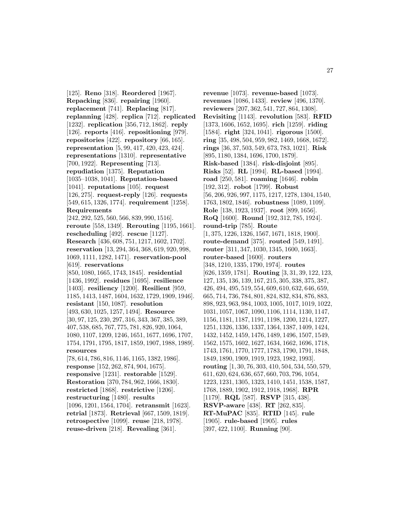[125]. **Reno** [318]. **Reordered** [1967]. **Repacking** [836]. **repairing** [1960]. **replacement** [741]. **Replacing** [817]. **replanning** [428]. **replica** [712]. **replicated** [1232]. **replication** [356, 712, 1862]. **reply** [126]. **reports** [416]. **repositioning** [979]. **repositories** [422]. **repository** [66, 165]. **representation** [5, 99, 417, 420, 423, 424]. **representations** [1310]. **representative** [700, 1922]. **Representing** [713]. **repudiation** [1375]. **Reputation** [1035–1038, 1041]. **Reputation-based** [1041]. **reputations** [105]. **request** [126, 275]. **request-reply** [126]. **requests** [549, 615, 1326, 1774]. **requirement** [1258]. **Requirements** [242, 292, 525, 560, 566, 839, 990, 1516]. **reroute** [558, 1349]. **Rerouting** [1195, 1661]. **rescheduling** [492]. **rescue** [1127]. **Research** [436, 608, 751, 1217, 1602, 1702]. **reservation** [13, 294, 364, 368, 619, 920, 998, 1069, 1111, 1282, 1471]. **reservation-pool** [619]. **reservations** [850, 1080, 1665, 1743, 1845]. **residential** [1436, 1992]. **residues** [1695]. **resilience** [1403]. **resiliency** [1200]. **Resilient** [959, 1185, 1413, 1487, 1604, 1632, 1729, 1909, 1946]. **resistant** [150, 1087]. **resolution** [493, 630, 1025, 1257, 1494]. **Resource** [30, 97, 125, 230, 297, 316, 343, 367, 385, 389, 407, 538, 685, 767, 775, 781, 826, 920, 1064, 1080, 1107, 1209, 1246, 1651, 1677, 1696, 1707, 1754, 1791, 1795, 1817, 1859, 1907, 1988, 1989]. **resources** [78, 614, 786, 816, 1146, 1165, 1382, 1986]. **response** [152, 262, 874, 904, 1675]. **responsive** [1231]. **restorable** [1529]. **Restoration** [370, 784, 962, 1666, 1830]. **restricted** [1868]. **restrictive** [1206]. **restructuring** [1480]. **results** [1096, 1201, 1564, 1704]. **retransmit** [1623]. **retrial** [1873]. **Retrieval** [667, 1509, 1819]. **retrospective** [1099]. **reuse** [218, 1978].

**reuse-driven** [218]. **Revealing** [361].

**revenue** [1073]. **revenue-based** [1073]. **revenues** [1086, 1433]. **review** [496, 1370]. **reviewers** [207, 362, 541, 727, 864, 1308]. **Revisiting** [1143]. **revolution** [583]. **RFID** [1373, 1606, 1652, 1695]. **rich** [1259]. **riding** [1584]. **right** [324, 1041]. **rigorous** [1500]. **ring** [35, 498, 504, 959, 982, 1469, 1668, 1672]. **rings** [36, 37, 503, 549, 673, 783, 1021]. **Risk** [895, 1180, 1384, 1696, 1700, 1879]. **Risk-based** [1384]. **risk-disjoint** [895]. **Risks** [52]. **RL** [1994]. **RL-based** [1994]. **road** [250, 581]. **roaming** [1646]. **robin** [192, 312]. **robot** [1799]. **Robust** [56, 206, 926, 997, 1175, 1217, 1278, 1304, 1540, 1763, 1802, 1846]. **robustness** [1089, 1109]. **Role** [138, 1923, 1937]. **root** [899, 1656]. **RoQ** [1600]. **Round** [192, 312, 785, 1924]. **round-trip** [785]. **Route** [1, 375, 1226, 1326, 1567, 1671, 1818, 1900]. **route-demand** [375]. **routed** [549, 1491]. **router** [311, 347, 1030, 1345, 1600, 1663]. **router-based** [1600]. **routers** [348, 1210, 1335, 1790, 1974]. **routes** [626, 1359, 1781]. **Routing** [3, 31, 39, 122, 123, 127, 135, 136, 139, 167, 215, 305, 338, 375, 387, 426, 494, 495, 519, 554, 609, 610, 632, 646, 659, 665, 714, 736, 784, 801, 824, 832, 834, 876, 883, 898, 923, 963, 984, 1003, 1005, 1017, 1019, 1022, 1031, 1057, 1067, 1090, 1106, 1114, 1130, 1147, 1156, 1181, 1187, 1191, 1198, 1200, 1214, 1227, 1251, 1326, 1336, 1337, 1364, 1387, 1409, 1424, 1432, 1452, 1459, 1476, 1489, 1496, 1507, 1549, 1562, 1575, 1602, 1627, 1634, 1662, 1696, 1718, 1743, 1761, 1770, 1777, 1783, 1790, 1791, 1848, 1849, 1890, 1909, 1919, 1923, 1982, 1993]. **routing** [1, 30, 76, 303, 410, 504, 534, 550, 579, 611, 620, 624, 636, 657, 660, 703, 796, 1054, 1223, 1231, 1305, 1323, 1410, 1451, 1538, 1587, 1768, 1889, 1902, 1912, 1918, 1968]. **RPR** [1179]. **RQL** [587]. **RSVP** [315, 438]. **RSVP-aware** [438]. **RT** [262, 835]. **RT-MuPAC** [835]. **RTID** [145]. **rule** [1905]. **rule-based** [1905]. **rules** [397, 422, 1100]. **Running** [90].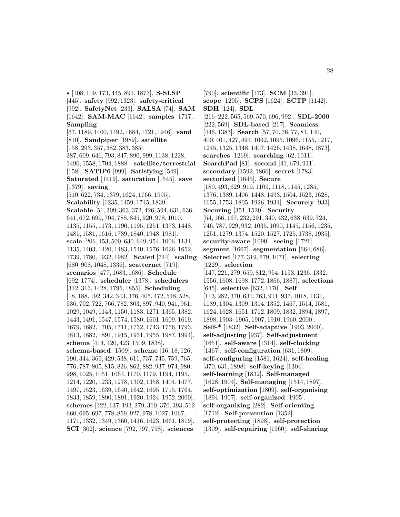**s** [108, 109, 173, 445, 891, 1873]. **S-SLSP** [445]. **safety** [992, 1323]. **safety-critical** [992]. **SafetyNet** [233]. **SALSA** [74]. **SAM** [1642]. **SAM-MAC** [1642]. **samples** [1717]. **Sampling** [67, 1189, 1400, 1492, 1684, 1721, 1946]. **sand** [810]. **Sandpiper** [1989]. **satellite** [158, 293, 357, 382, 383, 385– 387, 609, 646, 793, 847, 890, 999, 1138, 1238, 1496, 1558, 1704, 1888]. **satellite/terrestrial** [158]. **SATIP6** [999]. **Satisfying** [549]. **Saturated** [1419]. **saturation** [1545]. **save** [1379]. **saving** [510, 622, 734, 1379, 1624, 1766, 1995]. **Scalability** [1235, 1459, 1745, 1839]. **Scalable** [51, 309, 363, 372, 426, 594, 631, 636, 641, 672, 699, 704, 788, 845, 920, 978, 1010, 1135, 1155, 1173, 1190, 1195, 1251, 1373, 1448, 1481, 1581, 1616, 1789, 1840, 1948, 1981]. **scale** [206, 453, 500, 630, 649, 954, 1006, 1134, 1135, 1403, 1420, 1483, 1540, 1576, 1626, 1652, 1739, 1780, 1932, 1982]. **Scaled** [744]. **scaling** [680, 908, 1048, 1336]. **scatternet** [719]. **scenarios** [477, 1683, 1686]. **Schedule** [692, 1774]. **scheduler** [1378]. **schedulers** [312, 313, 1428, 1795, 1855]. **Scheduling** [18, 188, 192, 342, 343, 376, 405, 472, 518, 528, 536, 702, 722, 766, 782, 803, 897, 940, 941, 961, 1029, 1049, 1143, 1150, 1183, 1271, 1365, 1382, 1443, 1491, 1547, 1574, 1580, 1601, 1609, 1619, 1679, 1682, 1705, 1711, 1732, 1743, 1756, 1793, 1813, 1882, 1891, 1915, 1931, 1955, 1987, 1994]. **schema** [414, 420, 423, 1509, 1838]. **schema-based** [1509]. **scheme** [16, 18, 126, 190, 344, 369, 429, 538, 611, 737, 745, 759, 765, 776, 787, 805, 815, 826, 862, 882, 937, 974, 980, 998, 1025, 1051, 1064, 1170, 1179, 1194, 1195, 1214, 1220, 1233, 1278, 1302, 1358, 1404, 1477, 1497, 1523, 1639, 1640, 1642, 1695, 1715, 1764, 1833, 1859, 1890, 1891, 1920, 1924, 1952, 2000]. **schemes** [122, 137, 193, 279, 310, 370, 393, 512, 660, 695, 697, 778, 859, 927, 978, 1027, 1067, 1171, 1332, 1349, 1360, 1416, 1623, 1661, 1819]. **SCI** [302]. **science** [792, 797, 798]. **sciences**

[790]. **scientific** [173]. **SCM** [33, 391]. **scope** [1205]. **SCPS** [1624]. **SCTP** [1142]. **SDH** [124]. **SDL** [216–222, 565, 569, 570, 696, 992]. **SDL-2000** [222, 569]. **SDL-based** [217]. **Seamless** [446, 1383]. **Search** [57, 70, 76, 77, 81, 140, 400, 401, 427, 494, 1092, 1095, 1096, 1155, 1217, 1245, 1325, 1348, 1407, 1426, 1438, 1648, 1873]. **searches** [1269]. **searching** [62, 1011]. **SearchPad** [81]. **second** [41, 679, 911]. **secondary** [1592, 1866]. **secret** [1783]. **sectorized** [1645]. **Secure** [180, 493, 629, 919, 1109, 1118, 1145, 1285, 1376, 1389, 1406, 1448, 1493, 1504, 1523, 1628, 1655, 1753, 1805, 1926, 1934]. **Securely** [933]. **Securing** [351, 1520]. **Security** [54, 166, 167, 232, 291, 340, 432, 638, 639, 724, 746, 787, 929, 932, 1035, 1090, 1145, 1156, 1235, 1251, 1279, 1374, 1520, 1527, 1725, 1738, 1935]. **security-aware** [1090]. **seeing** [1721]. **segment** [1667]. **segmentation** [664, 686]. **Selected** [177, 319, 679, 1071]. **selecting** [1229]. **selection** [147, 221, 279, 659, 812, 954, 1153, 1236, 1332, 1556, 1608, 1698, 1772, 1866, 1887]. **selections** [645]. **selective** [632, 1170]. **Self** [113, 282, 370, 631, 763, 911, 937, 1018, 1131, 1189, 1304, 1309, 1314, 1352, 1467, 1514, 1581, 1624, 1628, 1651, 1712, 1809, 1832, 1894, 1897, 1898, 1903–1905, 1907, 1910, 1960, 2000]. **Self-\*** [1832]. **Self-adaptive** [1903, 2000]. **self-adjusting** [937]. **Self-adjustment** [1651]. **self-aware** [1314]. **self-clocking** [1467]. **self-configuration** [631, 1809]. **self-configuring** [1581, 1624]. **self-healing** [370, 631, 1898]. **self-keying** [1304]. **self-learning** [1832]. **Self-managed** [1628, 1904]. **Self-managing** [1514, 1897]. **self-optimization** [1809]. **self-organising** [1894, 1907]. **self-organized** [1905]. **self-organizing** [282]. **Self-orienting** [1712]. **Self-prevention** [1352]. **self-protecting** [1898]. **self-protection** [1309]. **self-repairing** [1960]. **self-sharing**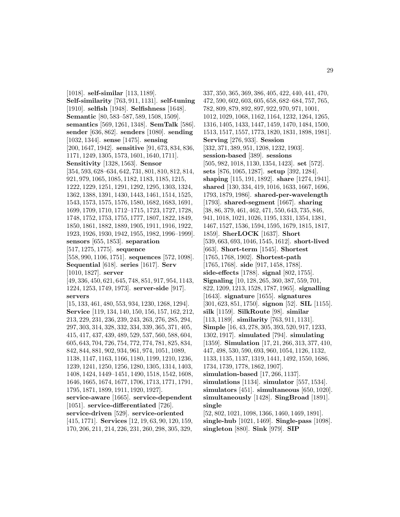[1018]. **self-similar** [113, 1189]. **Self-similarity** [763, 911, 1131]. **self-tuning** [1910]. **selfish** [1948]. **Selfishness** [1648]. **Semantic** [80, 583–587, 589, 1508, 1509]. **semantics** [569, 1261, 1348]. **SemTalk** [586]. **sender** [636, 862]. **senders** [1080]. **sending** [1032, 1344]. **sense** [1475]. **sensing** [200, 1647, 1942]. **sensitive** [91, 673, 834, 836, 1171, 1249, 1305, 1573, 1601, 1640, 1711]. **Sensitivity** [1328, 1563]. **Sensor** [354, 593, 628–634, 642, 731, 801, 810, 812, 814, 921, 979, 1065, 1085, 1182, 1183, 1185, 1215, 1222, 1229, 1251, 1291, 1292, 1295, 1303, 1324, 1362, 1388, 1391, 1430, 1443, 1461, 1514, 1525, 1543, 1573, 1575, 1576, 1580, 1682, 1683, 1691, 1699, 1709, 1710, 1712–1715, 1723, 1727, 1728, 1748, 1752, 1753, 1755, 1777, 1807, 1822, 1849, 1850, 1861, 1882, 1889, 1905, 1911, 1916, 1922, 1923, 1926, 1930, 1942, 1955, 1982, 1996–1999]. **sensors** [655, 1853]. **separation** [517, 1275, 1775]. **sequence** [558, 990, 1106, 1751]. **sequences** [572, 1098]. **Sequential** [618]. **series** [1617]. **Serv** [1010, 1827]. **server** [49, 336, 450, 621, 645, 748, 851, 917, 954, 1143, 1224, 1253, 1749, 1973]. **server-side** [917]. **servers** [15, 133, 461, 480, 553, 934, 1230, 1268, 1294]. **Service** [119, 134, 140, 150, 156, 157, 162, 212, 213, 229, 231, 236, 239, 243, 263, 276, 285, 294, 297, 303, 314, 328, 332, 334, 339, 365, 371, 405, 415, 417, 437, 439, 489, 529, 537, 560, 588, 604, 605, 643, 704, 726, 754, 772, 774, 781, 825, 834, 842, 844, 881, 902, 934, 961, 974, 1051, 1089, 1138, 1147, 1163, 1166, 1180, 1199, 1210, 1236, 1239, 1241, 1250, 1256, 1280, 1305, 1314, 1403, 1408, 1424, 1449–1451, 1490, 1518, 1542, 1608, 1646, 1665, 1674, 1677, 1706, 1713, 1771, 1791, 1795, 1871, 1899, 1911, 1920, 1927]. **service-aware** [1665]. **service-dependent** [1051]. **service-differentiated** [726]. **service-driven** [529]. **service-oriented** [415, 1771]. **Services** [12, 19, 63, 90, 120, 159, 170, 206, 211, 214, 226, 231, 260, 298, 305, 329,

337, 350, 365, 369, 386, 405, 422, 440, 441, 470, 472, 590, 602, 603, 605, 658, 682–684, 757, 765, 782, 809, 879, 892, 897, 922, 970, 971, 1001, 1012, 1029, 1068, 1162, 1164, 1232, 1264, 1265, 1316, 1405, 1433, 1447, 1459, 1470, 1484, 1500, 1513, 1517, 1557, 1773, 1820, 1831, 1898, 1981]. **Serving** [276, 933]. **Session** [332, 371, 389, 951, 1208, 1232, 1903]. **session-based** [389]. **sessions** [505, 982, 1018, 1130, 1354, 1423]. **set** [572]. **sets** [876, 1065, 1287]. **setup** [392, 1284]. **shaping** [115, 191, 1892]. **share** [1274, 1941]. **shared** [130, 334, 419, 1016, 1633, 1667, 1696, 1793, 1879, 1986]. **shared-per-wavelength** [1793]. **shared-segment** [1667]. **sharing** [38, 86, 379, 461, 462, 471, 550, 643, 735, 846, 941, 1018, 1021, 1026, 1195, 1331, 1354, 1381, 1467, 1527, 1536, 1594, 1595, 1679, 1815, 1817, 1859]. **SherLOCK** [1637]. **Short** [539, 663, 693, 1046, 1545, 1612]. **short-lived** [663]. **Short-term** [1545]. **Shortest** [1765, 1768, 1902]. **Shortest-path** [1765, 1768]. **side** [917, 1458, 1788]. **side-effects** [1788]. **signal** [802, 1755]. **Signaling** [10, 128, 265, 360, 387, 559, 701, 822, 1209, 1213, 1528, 1787, 1965]. **signalling** [1643]. **signature** [1655]. **signatures** [301, 623, 851, 1750]. **signon** [52]. **SIL** [1155]. **silk** [1159]. **SilkRoute** [98]. **similar** [113, 1189]. **similarity** [763, 911, 1131]. **Simple** [16, 43, 278, 305, 393, 520, 917, 1233, 1302, 1917]. **simulated** [794]. **simulating** [1359]. **Simulation** [17, 21, 266, 313, 377, 410, 447, 498, 530, 590, 693, 960, 1054, 1126, 1132, 1133, 1135, 1137, 1319, 1441, 1492, 1550, 1686, 1734, 1739, 1778, 1862, 1907]. **simulation-based** [17, 266, 1137]. **simulations** [1134]. **simulator** [557, 1534]. **simulators** [451]. **simultaneous** [650, 1020]. **simultaneously** [1428]. **SingBroad** [1891]. **single** [52, 802, 1021, 1098, 1366, 1460, 1469, 1891]. **single-hub** [1021, 1469]. **Single-pass** [1098]. **singleton** [880]. **Sink** [979]. **SIP**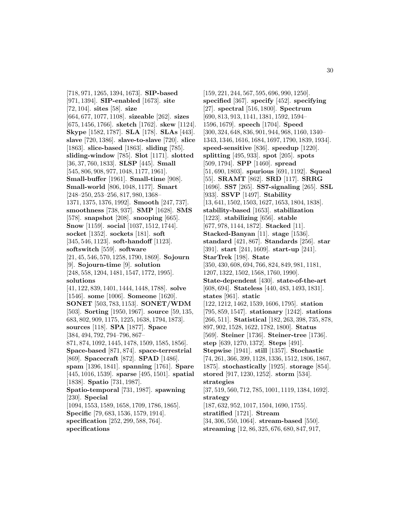[718, 971, 1265, 1394, 1673]. **SIP-based** [971, 1394]. **SIP-enabled** [1673]. **site** [72, 104]. **sites** [58]. **size** [664, 677, 1077, 1108]. **sizeable** [262]. **sizes** [675, 1456, 1766]. **sketch** [1762]. **skew** [1124]. **Skype** [1582, 1787]. **SLA** [178]. **SLAs** [443]. **slave** [720, 1386]. **slave-to-slave** [720]. **slice** [1863]. **slice-based** [1863]. **sliding** [785]. **sliding-window** [785]. **Slot** [1171]. **slotted** [36, 37, 760, 1833]. **SLSP** [445]. **Small** [545, 806, 908, 977, 1048, 1177, 1961]. **Small-buffer** [1961]. **Small-time** [908]. **Small-world** [806, 1048, 1177]. **Smart** [248–250, 253–256, 817, 980, 1368– 1371, 1375, 1376, 1992]. **Smooth** [247, 737]. **smoothness** [738, 937]. **SMP** [1628]. **SMS** [578]. **snapshot** [208]. **snooping** [665]. **Snow** [1159]. **social** [1037, 1512, 1744]. **socket** [1352]. **sockets** [181]. **soft** [345, 546, 1123]. **soft-handoff** [1123]. **softswitch** [559]. **software** [21, 45, 546, 570, 1258, 1790, 1869]. **Sojourn** [9]. **Sojourn-time** [9]. **solution** [248, 558, 1204, 1481, 1547, 1772, 1995]. **solutions** [41, 122, 839, 1401, 1444, 1448, 1788]. **solve** [1546]. **some** [1006]. **Someone** [1620]. **SONET** [503, 783, 1153]. **SONET/WDM** [503]. **Sorting** [1950, 1967]. **source** [59, 135, 683, 802, 909, 1175, 1225, 1638, 1794, 1873]. **sources** [118]. **SPA** [1877]. **Space** [384, 494, 792, 794–796, 867– 871, 874, 1092, 1445, 1478, 1509, 1585, 1856]. **Space-based** [871, 874]. **space-terrestrial** [869]. **Spacecraft** [872]. **SPAD** [1486]. **spam** [1396, 1841]. **spanning** [1761]. **Spare** [445, 1016, 1539]. **sparse** [495, 1501]. **spatial** [1838]. **Spatio** [731, 1987]. **Spatio-temporal** [731, 1987]. **spawning** [230]. **Special** [1094, 1553, 1589, 1658, 1709, 1786, 1865]. **Specific** [79, 683, 1536, 1579, 1914]. **specification** [252, 299, 588, 764]. **specifications**

[159, 221, 244, 567, 595, 696, 990, 1250]. **specified** [367]. **specify** [452]. **specifying** [27]. **spectral** [516, 1800]. **Spectrum** [690, 813, 913, 1141, 1381, 1592, 1594– 1596, 1679]. **speech** [1704]. **Speed** [300, 324, 648, 836, 901, 944, 968, 1160, 1340– 1343, 1346, 1616, 1684, 1697, 1790, 1839, 1934]. **speed-sensitive** [836]. **speedup** [1220]. **splitting** [495, 933]. **spot** [205]. **spots** [509, 1794]. **SPP** [1460]. **spread** [51, 690, 1803]. **spurious** [691, 1192]. **Squeal** [55]. **SRAMT** [862]. **SRD** [117]. **SRRG** [1696]. **SS7** [265]. **SS7-signaling** [265]. **SSL** [933]. **SSVP** [1497]. **Stability** [13, 641, 1502, 1503, 1627, 1653, 1804, 1838]. **stability-based** [1653]. **stabilization** [1223]. **stabilizing** [656]. **stable** [677, 978, 1144, 1872]. **Stacked** [11]. **Stacked-Banyan** [11]. **stage** [1536]. **standard** [421, 867]. **Standards** [256]. **star** [391]. **start** [241, 1609]. **start-up** [241]. **StarTrek** [198]. **State** [350, 430, 608, 694, 766, 824, 849, 981, 1181, 1207, 1322, 1502, 1568, 1760, 1990]. **State-dependent** [430]. **state-of-the-art** [608, 694]. **Stateless** [440, 483, 1493, 1831]. **states** [961]. **static** [122, 1212, 1462, 1539, 1606, 1795]. **station** [795, 859, 1547]. **stationary** [1242]. **stations** [266, 511]. **Statistical** [182, 263, 398, 735, 878, 897, 902, 1528, 1622, 1782, 1800]. **Status** [569]. **Steiner** [1736]. **Steiner-tree** [1736]. **step** [639, 1270, 1372]. **Steps** [491]. **Stepwise** [1941]. **still** [1357]. **Stochastic** [74, 261, 366, 399, 1128, 1336, 1512, 1806, 1867, 1875]. **stochastically** [1925]. **storage** [854]. **stored** [917, 1230, 1252]. **storm** [534]. **strategies** [37, 519, 560, 712, 785, 1001, 1119, 1384, 1692]. **strategy** [187, 632, 952, 1017, 1504, 1690, 1755]. **stratified** [1721]. **Stream** [34, 306, 550, 1064]. **stream-based** [550]. **streaming** [12, 86, 325, 676, 680, 847, 917,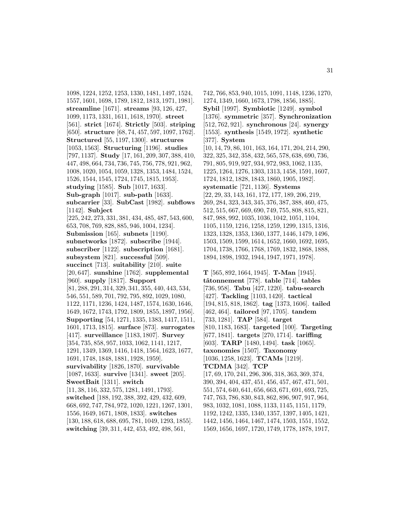1098, 1224, 1252, 1253, 1330, 1481, 1497, 1524, 1557, 1601, 1698, 1789, 1812, 1813, 1971, 1981]. **streamline** [1671]. **streams** [93, 126, 427, 1099, 1173, 1331, 1611, 1618, 1970]. **street** [561]. **strict** [1674]. **Strictly** [503]. **striping** [650]. **structure** [68, 74, 457, 597, 1097, 1762]. **Structured** [55, 1197, 1300]. **structures** [1053, 1563]. **Structuring** [1196]. **studies** [797, 1137]. **Study** [17, 161, 209, 307, 388, 410, 447, 498, 664, 734, 736, 745, 756, 778, 921, 962, 1008, 1020, 1054, 1059, 1328, 1353, 1484, 1524, 1526, 1544, 1545, 1724, 1745, 1815, 1953]. **studying** [1585]. **Sub** [1017, 1633]. **Sub-graph** [1017]. **sub-path** [1633]. **subcarrier** [33]. **SubCast** [1982]. **subflows** [1142]. **Subject** [225, 242, 273, 331, 381, 434, 485, 487, 543, 600, 653, 708, 769, 828, 885, 946, 1004, 1234]. **Submission** [165]. **subnets** [1190]. **subnetworks** [1872]. **subscribe** [1944]. **subscriber** [1122]. **subscription** [1681]. **subsystem** [821]. **successful** [509]. **succinct** [713]. **suitability** [210]. **suite** [20, 647]. **sunshine** [1762]. **supplemental** [960]. **supply** [1817]. **Support** [81, 288, 291, 314, 329, 341, 355, 440, 443, 534, 546, 551, 589, 701, 792, 795, 892, 1029, 1080, 1122, 1171, 1236, 1424, 1487, 1574, 1630, 1646, 1649, 1672, 1743, 1792, 1809, 1855, 1897, 1956]. **Supporting** [54, 1271, 1335, 1383, 1417, 1511, 1601, 1713, 1815]. **surface** [873]. **surrogates** [417]. **surveillance** [1183, 1807]. **Survey** [354, 735, 858, 957, 1033, 1062, 1141, 1217, 1291, 1349, 1369, 1416, 1418, 1564, 1623, 1677, 1691, 1748, 1848, 1881, 1928, 1959]. **survivability** [1826, 1870]. **survivable** [1087, 1633]. **survive** [1341]. **sweet** [205]. **SweetBait** [1311]. **switch** [11, 38, 116, 332, 575, 1281, 1491, 1793]. **switched** [188, 192, 388, 392, 429, 432, 609, 668, 692, 747, 784, 972, 1020, 1221, 1267, 1301, 1556, 1649, 1671, 1808, 1833]. **switches** [130, 188, 618, 688, 695, 781, 1049, 1293, 1855]. **switching** [39, 311, 442, 453, 492, 498, 561,

742, 766, 853, 940, 1015, 1091, 1148, 1236, 1270, 1274, 1349, 1660, 1673, 1798, 1856, 1885]. **Sybil** [1997]. **Symbiotic** [1249]. **symbol** [1376]. **symmetric** [357]. **Synchronization** [512, 762, 921]. **synchronous** [24]. **synergy** [1553]. **synthesis** [1549, 1972]. **synthetic** [377]. **System** [10, 14, 79, 86, 101, 163, 164, 171, 204, 214, 290, 322, 325, 342, 358, 432, 565, 578, 638, 690, 736, 791, 805, 919, 927, 934, 972, 983, 1062, 1135, 1225, 1264, 1276, 1303, 1313, 1458, 1591, 1607, 1724, 1812, 1828, 1843, 1860, 1905, 1982]. **systematic** [721, 1136]. **Systems** [22, 29, 33, 143, 161, 172, 177, 189, 206, 219, 269, 284, 323, 343, 345, 376, 387, 388, 460, 475, 512, 515, 667, 669, 690, 749, 755, 808, 815, 821, 847, 988, 992, 1035, 1036, 1042, 1051, 1104, 1105, 1159, 1216, 1258, 1259, 1299, 1315, 1316, 1323, 1328, 1353, 1360, 1377, 1446, 1479, 1496, 1503, 1509, 1599, 1614, 1652, 1660, 1692, 1695, 1704, 1738, 1766, 1768, 1769, 1832, 1868, 1888, 1894, 1898, 1932, 1944, 1947, 1971, 1978].

**T** [565, 892, 1664, 1945]. **T-Man** [1945]. **tˆatonnement** [778]. **table** [714]. **tables** [736, 958]. **Tabu** [427, 1220]. **tabu-search** [427]. **Tackling** [1103, 1420]. **tactical** [194, 815, 818, 1862]. **tag** [1373, 1606]. **tailed** [462, 464]. **tailored** [97, 1705]. **tandem** [733, 1281]. **TAP** [584]. **target** [810, 1183, 1683]. **targeted** [100]. **Targeting** [677, 1841]. **targets** [270, 1714]. **tariffing** [603]. **TARP** [1480, 1494]. **task** [1065]. **taxonomies** [1507]. **Taxonomy** [1036, 1258, 1623]. **TCAMs** [1219]. **TCDMA** [342]. **TCP** [17, 69, 170, 241, 296, 306, 318, 363, 369, 374, 390, 394, 404, 437, 451, 456, 457, 467, 471, 501, 551, 574, 640, 641, 656, 663, 671, 691, 693, 725, 747, 763, 786, 830, 843, 862, 896, 907, 917, 964, 983, 1032, 1081, 1088, 1133, 1145, 1151, 1179, 1192, 1242, 1335, 1340, 1357, 1397, 1405, 1421, 1442, 1456, 1464, 1467, 1474, 1503, 1551, 1552, 1569, 1656, 1697, 1720, 1749, 1778, 1878, 1917,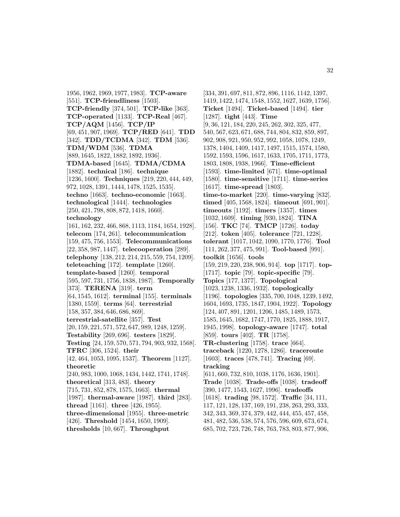1956, 1962, 1969, 1977, 1983]. **TCP-aware** [551]. **TCP-friendliness** [1503]. **TCP-friendly** [374, 501]. **TCP-like** [363]. **TCP-operated** [1133]. **TCP-Real** [467]. **TCP/AQM** [1456]. **TCP/IP** [69, 451, 907, 1969]. **TCP/RED** [641]. **TDD** [342]. **TDD/TCDMA** [342]. **TDM** [536]. **TDM/WDM** [536]. **TDMA** [889, 1645, 1822, 1882, 1892, 1936]. **TDMA-based** [1645]. **TDMA/CDMA** [1882]. **technical** [186]. **technique** [1236, 1600]. **Techniques** [219, 220, 444, 449, 972, 1028, 1391, 1444, 1478, 1525, 1535]. **techno** [1663]. **techno-economic** [1663]. **technological** [1444]. **technologies** [250, 421, 798, 808, 872, 1418, 1660]. **technology** [161, 162, 232, 466, 868, 1113, 1184, 1654, 1928]. **telecom** [174, 261]. **telecommunication** [159, 475, 756, 1553]. **Telecommunications** [22, 358, 987, 1447]. **telecooperation** [289]. **telephony** [138, 212, 214, 215, 559, 754, 1209]. **teleteaching** [172]. **template** [1260]. **template-based** [1260]. **temporal** [595, 597, 731, 1756, 1838, 1987]. **Temporally** [373]. **TERENA** [319]. **term** [64, 1545, 1612]. **terminal** [155]. **terminals** [1380, 1559]. **terms** [64]. **terrestrial** [158, 357, 384, 646, 686, 869]. **terrestrial-satellite** [357]. **Test** [20, 159, 221, 571, 572, 647, 989, 1248, 1259]. **Testability** [269, 696]. **testers** [1829]. **Testing** [24, 159, 570, 571, 794, 903, 932, 1568]. **TFRC** [306, 1524]. **their** [42, 464, 1053, 1095, 1537]. **Theorem** [1127]. **theoretic** [240, 983, 1000, 1068, 1434, 1442, 1741, 1748]. **theoretical** [313, 483]. **theory** [715, 731, 852, 878, 1575, 1663]. **thermal** [1987]. **thermal-aware** [1987]. **third** [283]. **thread** [1161]. **three** [426, 1955]. **three-dimensional** [1955]. **three-metric** [426]. **Threshold** [1454, 1650, 1909]. **thresholds** [10, 667]. **Throughput**

[334, 391, 697, 811, 872, 896, 1116, 1142, 1397, 1419, 1422, 1474, 1548, 1552, 1627, 1639, 1756]. **Ticket** [1494]. **Ticket-based** [1494]. **tier** [1287]. **tight** [443]. **Time** [9, 36, 121, 184, 220, 245, 262, 302, 325, 477, 540, 567, 623, 671, 688, 744, 804, 832, 859, 897, 902, 908, 921, 950, 952, 992, 1058, 1078, 1249, 1378, 1404, 1409, 1417, 1497, 1515, 1574, 1580, 1592, 1593, 1596, 1617, 1633, 1705, 1711, 1773, 1803, 1808, 1938, 1966]. **Time-efficient** [1593]. **time-limited** [671]. **time-optimal** [1580]. **time-sensitive** [1711]. **time-series** [1617]. **time-spread** [1803]. **time-to-market** [220]. **time-varying** [832]. **timed** [405, 1568, 1824]. **timeout** [691, 901]. **timeouts** [1192]. **timers** [1357]. **times** [1032, 1609]. **timing** [930, 1824]. **TINA** [156]. **TKC** [74]. **TMCP** [1726]. **today** [212]. **token** [405]. **tolerance** [721, 1228]. **tolerant** [1017, 1042, 1090, 1770, 1776]. **Tool** [111, 262, 377, 475, 991]. **Tool-based** [991]. **toolkit** [1656]. **tools** [159, 219, 220, 238, 906, 914]. **top** [1717]. **top-** [1717]. **topic** [79]. **topic-specific** [79]. **Topics** [177, 1377]. **Topological** [1023, 1238, 1336, 1932]. **topologically** [1196]. **topologies** [335, 700, 1048, 1239, 1492, 1604, 1693, 1735, 1847, 1904, 1922]. **Topology** [124, 407, 891, 1201, 1206, 1485, 1489, 1573, 1585, 1645, 1682, 1747, 1770, 1825, 1888, 1917, 1945, 1998]. **topology-aware** [1747]. **total** [859]. **tours** [402]. **TR** [1758]. **TR-clustering** [1758]. **trace** [664]. **traceback** [1220, 1278, 1286]. **traceroute** [1603]. **traces** [478, 741]. **Tracing** [69]. **tracking** [611, 660, 732, 810, 1038, 1176, 1636, 1901]. **Trade** [1038]. **Trade-offs** [1038]. **tradeoff** [390, 1477, 1543, 1627, 1996]. **tradeoffs** [1618]. **trading** [98, 1572]. **Traffic** [34, 111, 117, 121, 128, 137, 169, 191, 238, 263, 293, 333, 342, 343, 369, 374, 379, 442, 444, 455, 457, 458, 481, 482, 536, 538, 574, 576, 596, 609, 673, 674, 685, 702, 723, 726, 748, 763, 783, 803, 877, 906,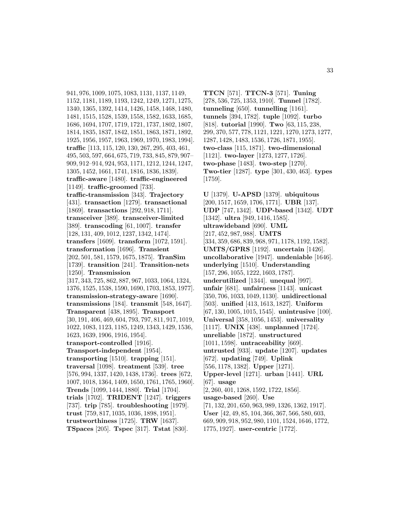941, 976, 1009, 1075, 1083, 1131, 1137, 1149, 1152, 1181, 1189, 1193, 1242, 1249, 1271, 1275, 1340, 1365, 1392, 1414, 1426, 1458, 1468, 1480, 1481, 1515, 1528, 1539, 1558, 1582, 1633, 1685, 1686, 1694, 1707, 1719, 1721, 1737, 1802, 1807, 1814, 1835, 1837, 1842, 1851, 1863, 1871, 1892, 1925, 1956, 1957, 1963, 1969, 1970, 1983, 1994]. **traffic** [113, 115, 120, 130, 267, 295, 403, 461, 495, 503, 597, 664, 675, 719, 733, 845, 879, 907– 909, 912–914, 924, 953, 1171, 1212, 1244, 1247, 1305, 1452, 1661, 1741, 1816, 1836, 1839]. **traffic-aware** [1480]. **traffic-engineered** [1149]. **traffic-groomed** [733]. **traffic-transmission** [343]. **Trajectory** [431]. **transaction** [1279]. **transactional** [1869]. **transactions** [292, 918, 1711]. **transceiver** [389]. **transceiver-limited** [389]. **transcoding** [61, 1007]. **transfer** [128, 131, 409, 1012, 1237, 1342, 1474]. **transfers** [1609]. **transform** [1072, 1591]. **transformation** [1696]. **Transient** [202, 501, 581, 1579, 1675, 1875]. **TranSim** [1739]. **transition** [241]. **Transition-nets** [1250]. **Transmission** [317, 343, 725, 862, 887, 967, 1033, 1064, 1324, 1376, 1525, 1538, 1590, 1690, 1703, 1853, 1977]. **transmission-strategy-aware** [1690]. **transmissions** [184]. **transmit** [548, 1647]. **Transparent** [438, 1895]. **Transport** [30, 191, 406, 469, 604, 793, 797, 811, 917, 1019, 1022, 1083, 1123, 1185, 1249, 1343, 1429, 1536, 1623, 1639, 1906, 1916, 1954]. **transport-controlled** [1916]. **Transport-independent** [1954]. **transporting** [1510]. **trapping** [151]. **traversal** [1098]. **treatment** [539]. **tree** [576, 994, 1337, 1420, 1438, 1736]. **trees** [672, 1007, 1018, 1364, 1409, 1650, 1761, 1765, 1960]. **Trends** [1099, 1444, 1880]. **Trial** [1704]. **trials** [1702]. **TRIDENT** [1247]. **triggers** [737]. **trip** [785]. **troubleshooting** [1979]. **trust** [759, 817, 1035, 1036, 1898, 1951]. **trustworthiness** [1725]. **TRW** [1637]. **TSpaces** [205]. **Tspec** [317]. **Tstat** [830].

**TTCN** [571]. **TTCN-3** [571]. **Tuning** [278, 536, 725, 1353, 1910]. **Tunnel** [1782]. **tunneling** [650]. **tunnelling** [1161]. **tunnels** [394, 1782]. **tuple** [1092]. **turbo** [818]. **tutorial** [1990]. **Two** [63, 115, 238, 299, 370, 577, 778, 1121, 1221, 1270, 1273, 1277, 1287, 1428, 1483, 1536, 1726, 1871, 1955]. **two-class** [115, 1871]. **two-dimensional** [1121]. **two-layer** [1273, 1277, 1726]. **two-phase** [1483]. **two-step** [1270]. **Two-tier** [1287]. **type** [301, 430, 463]. **types** [1759].

**U** [1379]. **U-APSD** [1379]. **ubiquitous** [200, 1517, 1659, 1706, 1771]. **UBR** [137]. **UDP** [747, 1342]. **UDP-based** [1342]. **UDT** [1342]. **ultra** [949, 1416, 1585]. **ultrawideband** [690]. **UML** [217, 452, 987, 988]. **UMTS** [334, 359, 686, 839, 968, 971, 1178, 1192, 1582]. **UMTS/GPRS** [1192]. **uncertain** [1426]. **uncollaborative** [1947]. **undeniable** [1646]. **underlying** [1510]. **Understanding** [157, 296, 1055, 1222, 1603, 1787]. **underutilized** [1344]. **unequal** [997]. **unfair** [681]. **unfairness** [1143]. **unicast** [350, 706, 1033, 1049, 1130]. **unidirectional** [503]. **unified** [413, 1613, 1827]. **Uniform** [67, 130, 1005, 1015, 1545]. **unintrusive** [100]. **Universal** [358, 1056, 1453]. **universality** [1117]. **UNIX** [438]. **unplanned** [1724]. **unreliable** [1872]. **unstructured** [1011, 1598]. **untraceability** [669]. **untrusted** [933]. **update** [1207]. **updates** [672]. **updating** [749]. **Uplink** [556, 1178, 1382]. **Upper** [1271]. **Upper-level** [1271]. **urban** [1441]. **URL** [67]. **usage** [2, 260, 401, 1268, 1592, 1722, 1856]. **usage-based** [260]. **Use** [71, 132, 201, 650, 963, 989, 1326, 1362, 1917]. **User** [42, 49, 85, 104, 366, 367, 566, 580, 603, 669, 909, 918, 952, 980, 1101, 1524, 1646, 1772, 1775, 1927]. **user-centric** [1772].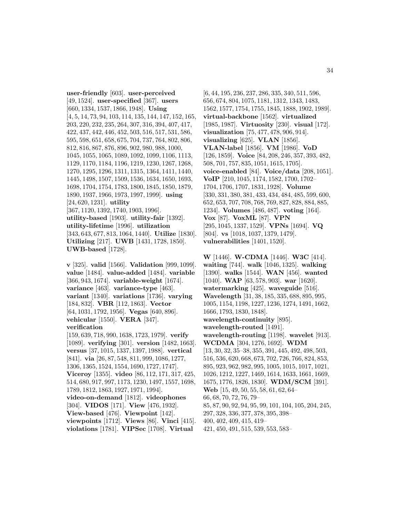**user-friendly** [603]. **user-perceived** [49, 1524]. **user-specified** [367]. **users** [660, 1334, 1537, 1866, 1948]. **Using** [4, 5, 14, 73, 94, 103, 114, 135, 144, 147, 152, 165, 203, 220, 232, 235, 264, 307, 316, 394, 407, 417, 422, 437, 442, 446, 452, 503, 516, 517, 531, 586, 595, 598, 651, 658, 675, 704, 737, 764, 802, 806, 812, 816, 867, 876, 896, 902, 980, 988, 1000, 1045, 1055, 1065, 1089, 1092, 1099, 1106, 1113, 1129, 1170, 1184, 1196, 1219, 1230, 1267, 1268, 1270, 1295, 1296, 1311, 1315, 1364, 1411, 1440, 1445, 1498, 1507, 1509, 1536, 1634, 1650, 1693, 1698, 1704, 1754, 1783, 1800, 1845, 1850, 1879, 1890, 1937, 1966, 1973, 1997, 1999]. **using** [24, 620, 1231]. **utility** [367, 1120, 1392, 1740, 1903, 1996]. **utility-based** [1903]. **utility-fair** [1392]. **utility-lifetime** [1996]. **utilization** [343, 643, 677, 813, 1064, 1440]. **Utilize** [1830]. **Utilizing** [217]. **UWB** [1431, 1728, 1850]. **UWB-based** [1728].

**v** [325]. **valid** [1566]. **Validation** [999, 1099]. **value** [1484]. **value-added** [1484]. **variable** [366, 943, 1674]. **variable-weight** [1674]. **variance** [463]. **variance-type** [463]. **variant** [1340]. **variations** [1736]. **varying** [184, 832]. **VBR** [112, 1863]. **Vector** [64, 1031, 1792, 1956]. **Vegas** [640, 896]. **vehicular** [1550]. **VERA** [347]. **verification** [159, 639, 718, 990, 1638, 1723, 1979]. **verify**

[1089]. **verifying** [301]. **version** [1482, 1663]. **versus** [37, 1015, 1337, 1397, 1988]. **vertical** [841]. **via** [26, 87, 548, 811, 999, 1086, 1277, 1306, 1365, 1524, 1554, 1690, 1727, 1747]. **Viceroy** [1355]. **video** [86, 112, 171, 317, 425, 514, 680, 917, 997, 1173, 1230, 1497, 1557, 1698, 1789, 1812, 1863, 1927, 1971, 1994]. **video-on-demand** [1812]. **videophones** [304]. **VIDOS** [171]. **View** [476, 1932]. **View-based** [476]. **Viewpoint** [142].

**viewpoints** [1712]. **Views** [86]. **Vinci** [415]. **violations** [1781]. **VIPSec** [1708]. **Virtual**

[6, 44, 195, 236, 237, 286, 335, 340, 511, 596, 656, 674, 804, 1075, 1181, 1312, 1343, 1483, 1562, 1577, 1754, 1755, 1845, 1888, 1902, 1989]. **virtual-backbone** [1562]. **virtualized** [1985, 1987]. **Virtuosity** [230]. **visual** [172]. **visualization** [75, 477, 478, 906, 914]. **visualizing** [625]. **VLAN** [1856]. **VLAN-label** [1856]. **VM** [1986]. **VoD** [126, 1859]. **Voice** [84, 208, 246, 357, 393, 482, 508, 701, 757, 835, 1051, 1615, 1705]. **voice-enabled** [84]. **Voice/data** [208, 1051]. **VoIP** [210, 1045, 1174, 1582, 1700, 1702– 1704, 1706, 1707, 1831, 1928]. **Volume** [330, 331, 380, 381, 433, 434, 484, 485, 599, 600, 652, 653, 707, 708, 768, 769, 827, 828, 884, 885, 1234]. **Volumes** [486, 487]. **voting** [164]. **Vox** [87]. **VoxML** [87]. **VPN** [295, 1045, 1337, 1529]. **VPNs** [1694]. **VQ** [804]. **vs** [1018, 1037, 1379, 1479]. **vulnerabilities** [1401, 1520].

**W** [1446]. **W-CDMA** [1446]. **W3C** [414]. **waiting** [744]. **walk** [1046, 1325]. **walking** [1390]. **walks** [1544]. **WAN** [456]. **wanted** [1040]. **WAP** [63, 578, 903]. **war** [1620]. **watermarking** [425]. **waveguide** [516]. **Wavelength** [31, 38, 185, 335, 688, 895, 995, 1005, 1154, 1198, 1227, 1236, 1274, 1491, 1662, 1666, 1793, 1830, 1848]. **wavelength-continuity** [895]. **wavelength-routed** [1491]. **wavelength-routing** [1198]. **wavelet** [913]. **WCDMA** [304, 1276, 1692]. **WDM** [13, 30, 32, 35–38, 355, 391, 445, 492, 498, 503, 516, 536, 620, 668, 673, 702, 726, 766, 824, 853, 895, 923, 962, 982, 995, 1005, 1015, 1017, 1021, 1026, 1212, 1227, 1469, 1614, 1633, 1661, 1669, 1675, 1776, 1826, 1830]. **WDM/SCM** [391]. **Web** [15, 49, 50, 55, 58, 61, 62, 64– 66, 68, 70, 72, 76, 79– 85, 87, 90, 92, 94, 95, 99, 101, 104, 105, 204, 245, 297, 328, 336, 377, 378, 395, 398– 400, 402, 409, 415, 419– 421, 450, 491, 515, 539, 553, 583–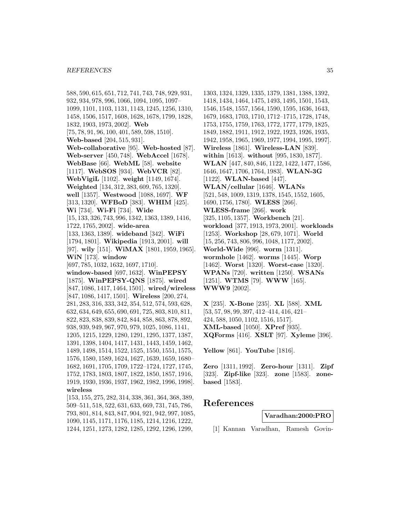588, 590, 615, 651, 712, 741, 743, 748, 929, 931, 932, 934, 978, 996, 1066, 1094, 1095, 1097– 1099, 1101, 1103, 1131, 1143, 1245, 1256, 1310, 1458, 1506, 1517, 1608, 1628, 1678, 1799, 1828, 1832, 1903, 1973, 2002]. **Web** [75, 78, 91, 96, 100, 401, 589, 598, 1510]. **Web-based** [204, 515, 931]. **Web-collaborative** [95]. **Web-hosted** [87]. **Web-server** [450, 748]. **WebAccel** [1678]. **WebBase** [66]. **WebML** [58]. **website** [1117]. **WebSOS** [934]. **WebVCR** [82]. **WebVigiL** [1102]. **weight** [1149, 1674]. **Weighted** [134, 312, 383, 609, 765, 1320]. **well** [1357]. **Westwood** [1088, 1697]. **WF** [313, 1320]. **WFBoD** [383]. **WHIM** [425]. **Wi** [734]. **Wi-Fi** [734]. **Wide** [15, 133, 326, 743, 996, 1342, 1363, 1389, 1416, 1722, 1765, 2002]. **wide-area** [133, 1363, 1389]. **wideband** [342]. **WiFi** [1794, 1801]. **Wikipedia** [1913, 2001]. **will** [97]. **wily** [151]. **WiMAX** [1801, 1959, 1965]. **WiN** [173]. **window** [697, 785, 1032, 1632, 1697, 1710]. **window-based** [697, 1632]. **WinPEPSY** [1875]. **WinPEPSY-QNS** [1875]. **wired** [847, 1086, 1417, 1464, 1501]. **wired/wireless** [847, 1086, 1417, 1501]. **Wireless** [200, 274, 281, 283, 316, 333, 342, 354, 512, 574, 593, 628, 632, 634, 649, 655, 690, 691, 725, 803, 810, 811, 822, 823, 838, 839, 842, 844, 858, 863, 878, 892, 938, 939, 949, 967, 970, 979, 1025, 1086, 1141, 1205, 1215, 1229, 1280, 1291, 1295, 1377, 1387, 1391, 1398, 1404, 1417, 1431, 1443, 1459, 1462, 1489, 1498, 1514, 1522, 1525, 1550, 1551, 1575, 1576, 1580, 1589, 1624, 1627, 1639, 1659, 1680– 1682, 1691, 1705, 1709, 1722–1724, 1727, 1745, 1752, 1783, 1803, 1807, 1822, 1850, 1857, 1916, 1919, 1930, 1936, 1937, 1962, 1982, 1996, 1998]. **wireless**

[153, 155, 275, 282, 314, 338, 361, 364, 368, 389, 509–511, 518, 522, 631, 633, 669, 731, 745, 786, 793, 801, 814, 843, 847, 904, 921, 942, 997, 1085, 1090, 1145, 1171, 1176, 1185, 1214, 1216, 1222, 1244, 1251, 1273, 1282, 1285, 1292, 1296, 1299,

1303, 1324, 1329, 1335, 1379, 1381, 1388, 1392, 1418, 1434, 1464, 1475, 1493, 1495, 1501, 1543, 1546, 1548, 1557, 1564, 1590, 1595, 1636, 1643, 1679, 1683, 1703, 1710, 1712–1715, 1728, 1748, 1753, 1755, 1759, 1763, 1772, 1777, 1779, 1825, 1849, 1882, 1911, 1912, 1922, 1923, 1926, 1935, 1942, 1958, 1965, 1969, 1977, 1994, 1995, 1997]. **Wireless** [1861]. **Wireless-LAN** [839]. **within** [1613]. **without** [995, 1830, 1877]. **WLAN** [447, 840, 846, 1122, 1422, 1477, 1586, 1646, 1647, 1706, 1764, 1983]. **WLAN-3G** [1122]. **WLAN-based** [447]. **WLAN/cellular** [1646]. **WLANs** [521, 548, 1009, 1319, 1378, 1545, 1552, 1605, 1690, 1756, 1780]. **WLESS** [266]. **WLESS-frame** [266]. **work** [325, 1105, 1357]. **Workbench** [21]. **workload** [377, 1913, 1973, 2001]. **workloads** [1253]. **Workshop** [28, 679, 1071]. **World** [15, 256, 743, 806, 996, 1048, 1177, 2002]. **World-Wide** [996]. **worm** [1311]. **wormhole** [1462]. **worms** [1445]. **Worp** [1462]. **Worst** [1320]. **Worst-case** [1320]. **WPANs** [720]. **written** [1250]. **WSANs** [1251]. **WTMS** [79]. **WWW** [165]. **WWW9** [2002].

**X** [235]. **X-Bone** [235]. **XL** [588]. **XML** [53, 57, 98, 99, 397, 412–414, 416, 421– 424, 588, 1050, 1102, 1516, 1517]. **XML-based** [1050]. **XPref** [935]. **XQForms** [416]. **XSLT** [97]. **Xyleme** [396].

**Yellow** [861]. **YouTube** [1816].

**Zero** [1311, 1992]. **Zero-hour** [1311]. **Zipf** [323]. **Zipf-like** [323]. **zone** [1583]. **zonebased** [1583].

## **References**

**Varadhan:2000:PRO**

[1] Kannan Varadhan, Ramesh Govin-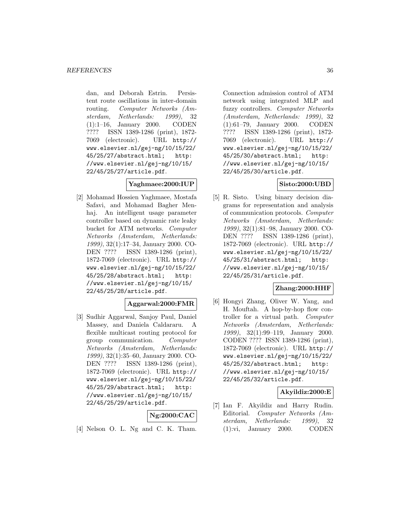dan, and Deborah Estrin. Persistent route oscillations in inter-domain routing. Computer Networks (Amsterdam, Netherlands: 1999), 32 (1):1–16, January 2000. CODEN ???? ISSN 1389-1286 (print), 1872- 7069 (electronic). URL http:// www.elsevier.nl/gej-ng/10/15/22/ 45/25/27/abstract.html; http: //www.elsevier.nl/gej-ng/10/15/ 22/45/25/27/article.pdf.

#### **Yaghmaee:2000:IUP**

[2] Mohamad Hossien Yaghmaee, Mostafa Safavi, and Mohamad Bagher Menhaj. An intelligent usage parameter controller based on dynamic rate leaky bucket for ATM networks. Computer Networks (Amsterdam, Netherlands: 1999), 32(1):17–34, January 2000. CO-DEN ???? ISSN 1389-1286 (print), 1872-7069 (electronic). URL http:// www.elsevier.nl/gej-ng/10/15/22/ 45/25/28/abstract.html; http: //www.elsevier.nl/gej-ng/10/15/ 22/45/25/28/article.pdf.

#### **Aggarwal:2000:FMR**

[3] Sudhir Aggarwal, Sanjoy Paul, Daniel Massey, and Daniela Caldararu. A flexible multicast routing protocol for group communication. Computer Networks (Amsterdam, Netherlands: 1999), 32(1):35–60, January 2000. CO-DEN ???? ISSN 1389-1286 (print), 1872-7069 (electronic). URL http:// www.elsevier.nl/gej-ng/10/15/22/ 45/25/29/abstract.html; http: //www.elsevier.nl/gej-ng/10/15/ 22/45/25/29/article.pdf.

#### **Ng:2000:CAC**

[4] Nelson O. L. Ng and C. K. Tham.

Connection admission control of ATM network using integrated MLP and fuzzy controllers. Computer Networks (Amsterdam, Netherlands: 1999), 32 (1):61–79, January 2000. CODEN ???? ISSN 1389-1286 (print), 1872- 7069 (electronic). URL http:// www.elsevier.nl/gej-ng/10/15/22/ 45/25/30/abstract.html; http: //www.elsevier.nl/gej-ng/10/15/ 22/45/25/30/article.pdf.

### **Sisto:2000:UBD**

[5] R. Sisto. Using binary decision diagrams for representation and analysis of communication protocols. Computer Networks (Amsterdam, Netherlands: 1999), 32(1):81–98, January 2000. CO-DEN ???? ISSN 1389-1286 (print), 1872-7069 (electronic). URL http:// www.elsevier.nl/gej-ng/10/15/22/ 45/25/31/abstract.html; http: //www.elsevier.nl/gej-ng/10/15/ 22/45/25/31/article.pdf.

#### **Zhang:2000:HHF**

[6] Hongyi Zhang, Oliver W. Yang, and H. Mouftah. A hop-by-hop flow controller for a virtual path. Computer Networks (Amsterdam, Netherlands: 1999), 32(1):99–119, January 2000. CODEN ???? ISSN 1389-1286 (print), 1872-7069 (electronic). URL http:// www.elsevier.nl/gej-ng/10/15/22/ 45/25/32/abstract.html; http: //www.elsevier.nl/gej-ng/10/15/ 22/45/25/32/article.pdf.

#### **Akyildiz:2000:E**

[7] Ian F. Akyildiz and Harry Rudin. Editorial. Computer Networks (Amsterdam, Netherlands: 1999), 32 (1):vi, January 2000. CODEN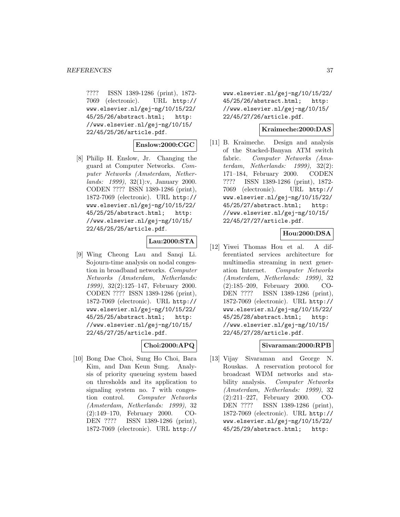???? ISSN 1389-1286 (print), 1872- 7069 (electronic). URL http:// www.elsevier.nl/gej-ng/10/15/22/ 45/25/26/abstract.html; http: //www.elsevier.nl/gej-ng/10/15/ 22/45/25/26/article.pdf.

### **Enslow:2000:CGC**

[8] Philip H. Enslow, Jr. Changing the guard at Computer Networks. Computer Networks (Amsterdam, Netherlands: 1999), 32(1):v, January 2000. CODEN ???? ISSN 1389-1286 (print), 1872-7069 (electronic). URL http:// www.elsevier.nl/gej-ng/10/15/22/ 45/25/25/abstract.html; http: //www.elsevier.nl/gej-ng/10/15/ 22/45/25/25/article.pdf.

## **Lau:2000:STA**

[9] Wing Cheong Lau and Sanqi Li. Sojourn-time analysis on nodal congestion in broadband networks. Computer Networks (Amsterdam, Netherlands: 1999), 32(2):125–147, February 2000. CODEN ???? ISSN 1389-1286 (print), 1872-7069 (electronic). URL http:// www.elsevier.nl/gej-ng/10/15/22/ 45/25/25/abstract.html; http: //www.elsevier.nl/gej-ng/10/15/ 22/45/27/25/article.pdf.

### **Choi:2000:APQ**

[10] Bong Dae Choi, Sung Ho Choi, Bara Kim, and Dan Keun Sung. Analysis of priority queueing system based on thresholds and its application to signaling system no. 7 with congestion control. Computer Networks (Amsterdam, Netherlands: 1999), 32 (2):149–170, February 2000. CO-DEN ???? ISSN 1389-1286 (print), 1872-7069 (electronic). URL http://

www.elsevier.nl/gej-ng/10/15/22/ 45/25/26/abstract.html; http: //www.elsevier.nl/gej-ng/10/15/ 22/45/27/26/article.pdf.

### **Kraimeche:2000:DAS**

[11] B. Kraimeche. Design and analysis of the Stacked-Banyan ATM switch fabric. Computer Networks (Amsterdam, Netherlands: 1999), 32(2): 171–184, February 2000. CODEN ???? ISSN 1389-1286 (print), 1872- 7069 (electronic). URL http:// www.elsevier.nl/gej-ng/10/15/22/ 45/25/27/abstract.html; http: //www.elsevier.nl/gej-ng/10/15/ 22/45/27/27/article.pdf.

## **Hou:2000:DSA**

[12] Yiwei Thomas Hou et al. A differentiated services architecture for multimedia streaming in next generation Internet. Computer Networks (Amsterdam, Netherlands: 1999), 32 (2):185–209, February 2000. CO-DEN ???? ISSN 1389-1286 (print), 1872-7069 (electronic). URL http:// www.elsevier.nl/gej-ng/10/15/22/ 45/25/28/abstract.html; http: //www.elsevier.nl/gej-ng/10/15/ 22/45/27/28/article.pdf.

# **Sivaraman:2000:RPB**

[13] Vijay Sivaraman and George N. Rouskas. A reservation protocol for broadcast WDM networks and stability analysis. Computer Networks (Amsterdam, Netherlands: 1999), 32 (2):211–227, February 2000. CO-DEN ???? ISSN 1389-1286 (print), 1872-7069 (electronic). URL http:// www.elsevier.nl/gej-ng/10/15/22/ 45/25/29/abstract.html; http: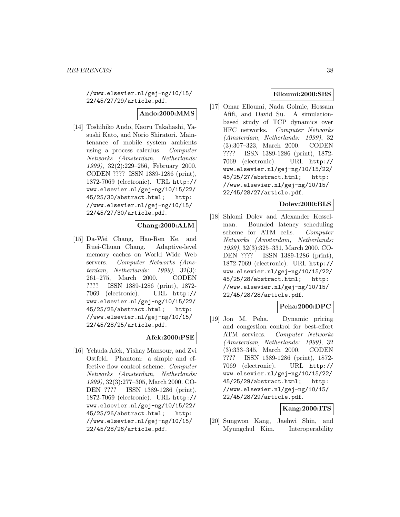//www.elsevier.nl/gej-ng/10/15/ 22/45/27/29/article.pdf.

# **Ando:2000:MMS**

[14] Toshihiko Ando, Kaoru Takahashi, Yasushi Kato, and Norio Shiratori. Maintenance of mobile system ambients using a process calculus. Computer Networks (Amsterdam, Netherlands: 1999), 32(2):229–256, February 2000. CODEN ???? ISSN 1389-1286 (print), 1872-7069 (electronic). URL http:// www.elsevier.nl/gej-ng/10/15/22/ 45/25/30/abstract.html; http: //www.elsevier.nl/gej-ng/10/15/ 22/45/27/30/article.pdf.

## **Chang:2000:ALM**

[15] Da-Wei Chang, Hao-Ren Ke, and Ruei-Chuan Chang. Adaptive-level memory caches on World Wide Web servers. Computer Networks (Amsterdam, Netherlands: 1999), 32(3): 261–275, March 2000. CODEN ???? ISSN 1389-1286 (print), 1872- 7069 (electronic). URL http:// www.elsevier.nl/gej-ng/10/15/22/ 45/25/25/abstract.html; http: //www.elsevier.nl/gej-ng/10/15/ 22/45/28/25/article.pdf.

### **Afek:2000:PSE**

[16] Yehuda Afek, Yishay Mansour, and Zvi Ostfeld. Phantom: a simple and effective flow control scheme. Computer Networks (Amsterdam, Netherlands: 1999), 32(3):277–305, March 2000. CO-DEN ???? ISSN 1389-1286 (print), 1872-7069 (electronic). URL http:// www.elsevier.nl/gej-ng/10/15/22/ 45/25/26/abstract.html; http: //www.elsevier.nl/gej-ng/10/15/ 22/45/28/26/article.pdf.

# **Elloumi:2000:SBS**

[17] Omar Elloumi, Nada Golmie, Hossam Afifi, and David Su. A simulationbased study of TCP dynamics over HFC networks. Computer Networks (Amsterdam, Netherlands: 1999), 32 (3):307–323, March 2000. CODEN ???? ISSN 1389-1286 (print), 1872- 7069 (electronic). URL http:// www.elsevier.nl/gej-ng/10/15/22/ 45/25/27/abstract.html; http: //www.elsevier.nl/gej-ng/10/15/ 22/45/28/27/article.pdf.

## **Dolev:2000:BLS**

[18] Shlomi Dolev and Alexander Kesselman. Bounded latency scheduling scheme for ATM cells. Computer Networks (Amsterdam, Netherlands: 1999), 32(3):325–331, March 2000. CO-DEN ???? ISSN 1389-1286 (print), 1872-7069 (electronic). URL http:// www.elsevier.nl/gej-ng/10/15/22/ 45/25/28/abstract.html; http: //www.elsevier.nl/gej-ng/10/15/ 22/45/28/28/article.pdf.

### **Peha:2000:DPC**

[19] Jon M. Peha. Dynamic pricing and congestion control for best-effort ATM services. Computer Networks (Amsterdam, Netherlands: 1999), 32 (3):333–345, March 2000. CODEN ???? ISSN 1389-1286 (print), 1872- 7069 (electronic). URL http:// www.elsevier.nl/gej-ng/10/15/22/ 45/25/29/abstract.html; http: //www.elsevier.nl/gej-ng/10/15/ 22/45/28/29/article.pdf.

### **Kang:2000:ITS**

[20] Sungwon Kang, Jaehwi Shin, and Myungchul Kim. Interoperability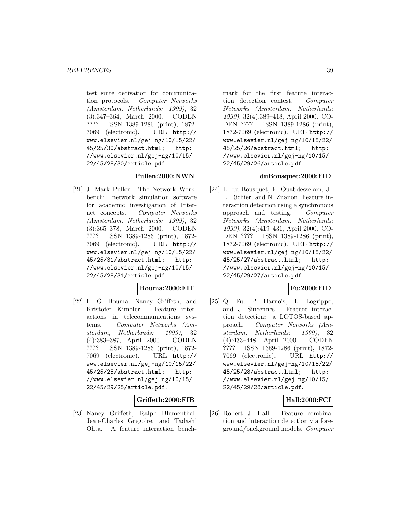test suite derivation for communication protocols. Computer Networks (Amsterdam, Netherlands: 1999), 32 (3):347–364, March 2000. CODEN ???? ISSN 1389-1286 (print), 1872- 7069 (electronic). URL http:// www.elsevier.nl/gej-ng/10/15/22/ 45/25/30/abstract.html; http: //www.elsevier.nl/gej-ng/10/15/ 22/45/28/30/article.pdf.

### **Pullen:2000:NWN**

[21] J. Mark Pullen. The Network Workbench: network simulation software for academic investigation of Internet concepts. Computer Networks (Amsterdam, Netherlands: 1999), 32 (3):365–378, March 2000. CODEN ???? ISSN 1389-1286 (print), 1872- 7069 (electronic). URL http:// www.elsevier.nl/gej-ng/10/15/22/ 45/25/31/abstract.html; http: //www.elsevier.nl/gej-ng/10/15/ 22/45/28/31/article.pdf.

## **Bouma:2000:FIT**

[22] L. G. Bouma, Nancy Griffeth, and Kristofer Kimbler. Feature interactions in telecommunications systems. Computer Networks (Amsterdam, Netherlands: 1999), 32 (4):383–387, April 2000. CODEN ???? ISSN 1389-1286 (print), 1872- 7069 (electronic). URL http:// www.elsevier.nl/gej-ng/10/15/22/ 45/25/25/abstract.html; http: //www.elsevier.nl/gej-ng/10/15/ 22/45/29/25/article.pdf.

### **Griffeth:2000:FIB**

[23] Nancy Griffeth, Ralph Blumenthal, Jean-Charles Gregoire, and Tadashi Ohta. A feature interaction bench-

mark for the first feature interaction detection contest. Computer Networks (Amsterdam, Netherlands: 1999), 32(4):389–418, April 2000. CO-DEN ???? ISSN 1389-1286 (print), 1872-7069 (electronic). URL http:// www.elsevier.nl/gej-ng/10/15/22/ 45/25/26/abstract.html; http: //www.elsevier.nl/gej-ng/10/15/ 22/45/29/26/article.pdf.

#### **duBousquet:2000:FID**

[24] L. du Bousquet, F. Ouabdesselam, J.- L. Richier, and N. Zuanon. Feature interaction detection using a synchronous approach and testing. Computer Networks (Amsterdam, Netherlands: 1999), 32(4):419–431, April 2000. CO-DEN ???? ISSN 1389-1286 (print), 1872-7069 (electronic). URL http:// www.elsevier.nl/gej-ng/10/15/22/ 45/25/27/abstract.html; http: //www.elsevier.nl/gej-ng/10/15/ 22/45/29/27/article.pdf.

### **Fu:2000:FID**

[25] Q. Fu, P. Harnois, L. Logrippo, and J. Sincennes. Feature interaction detection: a LOTOS-based approach. Computer Networks (Amsterdam, Netherlands: 1999), 32 (4):433–448, April 2000. CODEN ???? ISSN 1389-1286 (print), 1872- 7069 (electronic). URL http:// www.elsevier.nl/gej-ng/10/15/22/ 45/25/28/abstract.html; http: //www.elsevier.nl/gej-ng/10/15/ 22/45/29/28/article.pdf.

### **Hall:2000:FCI**

[26] Robert J. Hall. Feature combination and interaction detection via foreground/background models. Computer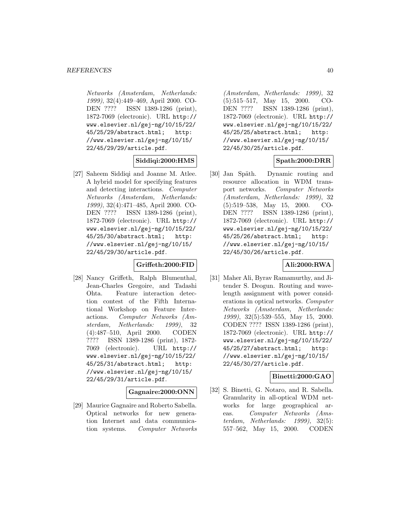Networks (Amsterdam, Netherlands: 1999), 32(4):449–469, April 2000. CO-DEN ???? ISSN 1389-1286 (print), 1872-7069 (electronic). URL http:// www.elsevier.nl/gej-ng/10/15/22/ 45/25/29/abstract.html; http: //www.elsevier.nl/gej-ng/10/15/ 22/45/29/29/article.pdf.

### **Siddiqi:2000:HMS**

[27] Saheem Siddiqi and Joanne M. Atlee. A hybrid model for specifying features and detecting interactions. Computer Networks (Amsterdam, Netherlands: 1999), 32(4):471–485, April 2000. CO-DEN ???? ISSN 1389-1286 (print), 1872-7069 (electronic). URL http:// www.elsevier.nl/gej-ng/10/15/22/ 45/25/30/abstract.html; http: //www.elsevier.nl/gej-ng/10/15/ 22/45/29/30/article.pdf.

### **Griffeth:2000:FID**

[28] Nancy Griffeth, Ralph Blumenthal, Jean-Charles Gregoire, and Tadashi Ohta. Feature interaction detection contest of the Fifth International Workshop on Feature Interactions. Computer Networks (Amsterdam, Netherlands: 1999), 32 (4):487–510, April 2000. CODEN ???? ISSN 1389-1286 (print), 1872- 7069 (electronic). URL http:// www.elsevier.nl/gej-ng/10/15/22/ 45/25/31/abstract.html; http: //www.elsevier.nl/gej-ng/10/15/ 22/45/29/31/article.pdf.

### **Gagnaire:2000:ONN**

[29] Maurice Gagnaire and Roberto Sabella. Optical networks for new generation Internet and data communication systems. Computer Networks

(Amsterdam, Netherlands: 1999), 32 (5):515–517, May 15, 2000. CO-DEN ???? ISSN 1389-1286 (print), 1872-7069 (electronic). URL http:// www.elsevier.nl/gej-ng/10/15/22/ 45/25/25/abstract.html; http: //www.elsevier.nl/gej-ng/10/15/ 22/45/30/25/article.pdf.

### **Spath:2000:DRR**

[30] Jan Späth. Dynamic routing and resource allocation in WDM transport networks. Computer Networks (Amsterdam, Netherlands: 1999), 32 (5):519–538, May 15, 2000. CO-DEN ???? ISSN 1389-1286 (print), 1872-7069 (electronic). URL http:// www.elsevier.nl/gej-ng/10/15/22/ 45/25/26/abstract.html; http: //www.elsevier.nl/gej-ng/10/15/ 22/45/30/26/article.pdf.

### **Ali:2000:RWA**

[31] Maher Ali, Byrav Ramamurthy, and Jitender S. Deogun. Routing and wavelength assignment with power considerations in optical networks. Computer Networks (Amsterdam, Netherlands: 1999), 32(5):539–555, May 15, 2000. CODEN ???? ISSN 1389-1286 (print), 1872-7069 (electronic). URL http:// www.elsevier.nl/gej-ng/10/15/22/ 45/25/27/abstract.html; http: //www.elsevier.nl/gej-ng/10/15/ 22/45/30/27/article.pdf.

### **Binetti:2000:GAO**

[32] S. Binetti, G. Notaro, and R. Sabella. Granularity in all-optical WDM networks for large geographical areas. Computer Networks (Amsterdam, Netherlands: 1999), 32(5): 557–562, May 15, 2000. CODEN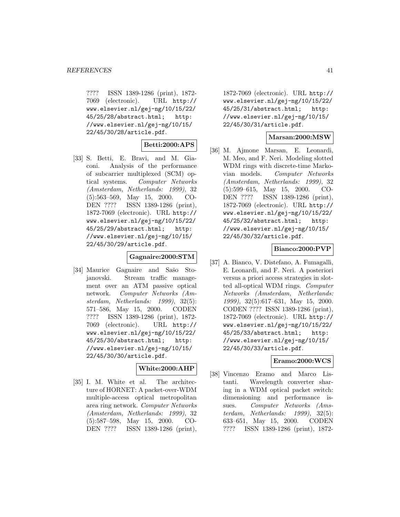???? ISSN 1389-1286 (print), 1872- 7069 (electronic). URL http:// www.elsevier.nl/gej-ng/10/15/22/ 45/25/28/abstract.html; http: //www.elsevier.nl/gej-ng/10/15/ 22/45/30/28/article.pdf.

### **Betti:2000:APS**

[33] S. Betti, E. Bravi, and M. Giaconi. Analysis of the performance of subcarrier multiplexed (SCM) optical systems. Computer Networks (Amsterdam, Netherlands: 1999), 32 (5):563–569, May 15, 2000. CO-DEN ???? ISSN 1389-1286 (print), 1872-7069 (electronic). URL http:// www.elsevier.nl/gej-ng/10/15/22/ 45/25/29/abstract.html; http: //www.elsevier.nl/gej-ng/10/15/ 22/45/30/29/article.pdf.

#### **Gagnaire:2000:STM**

[34] Maurice Gagnaire and Sašo Stojanovski. Stream traffic management over an ATM passive optical network. Computer Networks (Amsterdam, Netherlands: 1999), 32(5): 571–586, May 15, 2000. CODEN ???? ISSN 1389-1286 (print), 1872- 7069 (electronic). URL http:// www.elsevier.nl/gej-ng/10/15/22/ 45/25/30/abstract.html; http: //www.elsevier.nl/gej-ng/10/15/ 22/45/30/30/article.pdf.

#### **White:2000:AHP**

[35] I. M. White et al. The architecture of HORNET: A packet-over-WDM multiple-access optical metropolitan area ring network. Computer Networks (Amsterdam, Netherlands: 1999), 32 (5):587–598, May 15, 2000. CO-DEN ???? ISSN 1389-1286 (print),

1872-7069 (electronic). URL http:// www.elsevier.nl/gej-ng/10/15/22/ 45/25/31/abstract.html; http: //www.elsevier.nl/gej-ng/10/15/ 22/45/30/31/article.pdf.

#### **Marsan:2000:MSW**

[36] M. Ajmone Marsan, E. Leonardi, M. Meo, and F. Neri. Modeling slotted WDM rings with discrete-time Markovian models. Computer Networks (Amsterdam, Netherlands: 1999), 32 (5):599–615, May 15, 2000. CO-DEN ???? ISSN 1389-1286 (print), 1872-7069 (electronic). URL http:// www.elsevier.nl/gej-ng/10/15/22/ 45/25/32/abstract.html; http: //www.elsevier.nl/gej-ng/10/15/ 22/45/30/32/article.pdf.

### **Bianco:2000:PVP**

[37] A. Bianco, V. Distefano, A. Fumagalli, E. Leonardi, and F. Neri. A posteriori versus a priori access strategies in slotted all-optical WDM rings. Computer Networks (Amsterdam, Netherlands: 1999), 32(5):617–631, May 15, 2000. CODEN ???? ISSN 1389-1286 (print), 1872-7069 (electronic). URL http:// www.elsevier.nl/gej-ng/10/15/22/ 45/25/33/abstract.html; http: //www.elsevier.nl/gej-ng/10/15/ 22/45/30/33/article.pdf.

### **Eramo:2000:WCS**

[38] Vincenzo Eramo and Marco Listanti. Wavelength converter sharing in a WDM optical packet switch: dimensioning and performance issues. Computer Networks (Amsterdam, Netherlands: 1999), 32(5): 633–651, May 15, 2000. CODEN ???? ISSN 1389-1286 (print), 1872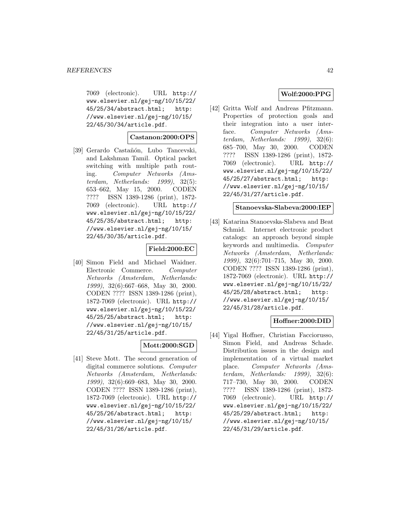7069 (electronic). URL http:// www.elsevier.nl/gej-ng/10/15/22/ 45/25/34/abstract.html; http: //www.elsevier.nl/gej-ng/10/15/ 22/45/30/34/article.pdf.

### **Castanon:2000:OPS**

[39] Gerardo Castañón, Lubo Tancevski, and Lakshman Tamil. Optical packet switching with multiple path routing. Computer Networks (Amsterdam, Netherlands: 1999), 32(5): 653–662, May 15, 2000. CODEN ???? ISSN 1389-1286 (print), 1872- 7069 (electronic). URL http:// www.elsevier.nl/gej-ng/10/15/22/ 45/25/35/abstract.html; http: //www.elsevier.nl/gej-ng/10/15/ 22/45/30/35/article.pdf.

### **Field:2000:EC**

[40] Simon Field and Michael Waidner. Electronic Commerce. Computer Networks (Amsterdam, Netherlands: 1999), 32(6):667–668, May 30, 2000. CODEN ???? ISSN 1389-1286 (print), 1872-7069 (electronic). URL http:// www.elsevier.nl/gej-ng/10/15/22/ 45/25/25/abstract.html; http: //www.elsevier.nl/gej-ng/10/15/ 22/45/31/25/article.pdf.

### **Mott:2000:SGD**

[41] Steve Mott. The second generation of digital commerce solutions. Computer Networks (Amsterdam, Netherlands: 1999), 32(6):669–683, May 30, 2000. CODEN ???? ISSN 1389-1286 (print), 1872-7069 (electronic). URL http:// www.elsevier.nl/gej-ng/10/15/22/ 45/25/26/abstract.html; http: //www.elsevier.nl/gej-ng/10/15/ 22/45/31/26/article.pdf.

## **Wolf:2000:PPG**

[42] Gritta Wolf and Andreas Pfitzmann. Properties of protection goals and their integration into a user interface. Computer Networks (Amsterdam, Netherlands: 1999), 32(6): 685–700, May 30, 2000. CODEN ???? ISSN 1389-1286 (print), 1872- 7069 (electronic). URL http:// www.elsevier.nl/gej-ng/10/15/22/ 45/25/27/abstract.html; http: //www.elsevier.nl/gej-ng/10/15/ 22/45/31/27/article.pdf.

#### **Stanoevska-Slabeva:2000:IEP**

[43] Katarina Stanoevska-Slabeva and Beat Schmid. Internet electronic product catalogs: an approach beyond simple keywords and multimedia. Computer Networks (Amsterdam, Netherlands: 1999), 32(6):701–715, May 30, 2000. CODEN ???? ISSN 1389-1286 (print), 1872-7069 (electronic). URL http:// www.elsevier.nl/gej-ng/10/15/22/ 45/25/28/abstract.html; http: //www.elsevier.nl/gej-ng/10/15/ 22/45/31/28/article.pdf.

## **Hoffner:2000:DID**

[44] Yigal Hoffner, Christian Facciorusso, Simon Field, and Andreas Schade. Distribution issues in the design and implementation of a virtual market place. Computer Networks (Amsterdam, Netherlands: 1999), 32(6): 717–730, May 30, 2000. CODEN ???? ISSN 1389-1286 (print), 1872- 7069 (electronic). URL http:// www.elsevier.nl/gej-ng/10/15/22/ 45/25/29/abstract.html; http: //www.elsevier.nl/gej-ng/10/15/ 22/45/31/29/article.pdf.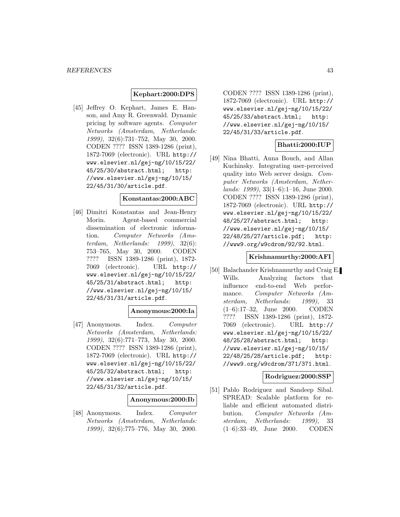#### **Kephart:2000:DPS**

[45] Jeffrey O. Kephart, James E. Hanson, and Amy R. Greenwald. Dynamic pricing by software agents. Computer Networks (Amsterdam, Netherlands: 1999), 32(6):731–752, May 30, 2000. CODEN ???? ISSN 1389-1286 (print), 1872-7069 (electronic). URL http:// www.elsevier.nl/gej-ng/10/15/22/ 45/25/30/abstract.html; http: //www.elsevier.nl/gej-ng/10/15/ 22/45/31/30/article.pdf.

#### **Konstantas:2000:ABC**

[46] Dimitri Konstantas and Jean-Henry Morin. Agent-based commercial dissemination of electronic information. Computer Networks (Amsterdam, Netherlands: 1999), 32(6): 753–765, May 30, 2000. CODEN ???? ISSN 1389-1286 (print), 1872- 7069 (electronic). URL http:// www.elsevier.nl/gej-ng/10/15/22/ 45/25/31/abstract.html; http: //www.elsevier.nl/gej-ng/10/15/ 22/45/31/31/article.pdf.

#### **Anonymous:2000:Ia**

[47] Anonymous. Index. Computer Networks (Amsterdam, Netherlands: 1999), 32(6):771–773, May 30, 2000. CODEN ???? ISSN 1389-1286 (print), 1872-7069 (electronic). URL http:// www.elsevier.nl/gej-ng/10/15/22/ 45/25/32/abstract.html; http: //www.elsevier.nl/gej-ng/10/15/ 22/45/31/32/article.pdf.

#### **Anonymous:2000:Ib**

[48] Anonymous. Index. Computer Networks (Amsterdam, Netherlands: 1999), 32(6):775–776, May 30, 2000.

CODEN ???? ISSN 1389-1286 (print), 1872-7069 (electronic). URL http:// www.elsevier.nl/gej-ng/10/15/22/ 45/25/33/abstract.html; http: //www.elsevier.nl/gej-ng/10/15/ 22/45/31/33/article.pdf.

### **Bhatti:2000:IUP**

[49] Nina Bhatti, Anna Bouch, and Allan Kuchinsky. Integrating user-perceived quality into Web server design. Computer Networks (Amsterdam, Netherlands: 1999), 33(1–6):1–16, June 2000. CODEN ???? ISSN 1389-1286 (print), 1872-7069 (electronic). URL http:// www.elsevier.nl/gej-ng/10/15/22/ 48/25/27/abstract.html; http: //www.elsevier.nl/gej-ng/10/15/ 22/48/25/27/article.pdf; http: //www9.org/w9cdrom/92/92.html.

### **Krishnamurthy:2000:AFI**

[50] Balachander Krishnamurthy and Craig E. Wills. Analyzing factors that influence end-to-end Web performance. Computer Networks (Amsterdam, Netherlands: 1999), 33 (1–6):17–32, June 2000. CODEN ???? ISSN 1389-1286 (print), 1872- 7069 (electronic). URL http:// www.elsevier.nl/gej-ng/10/15/22/ 48/25/28/abstract.html; http: //www.elsevier.nl/gej-ng/10/15/ 22/48/25/28/article.pdf; http: //www9.org/w9cdrom/371/371.html.

### **Rodriguez:2000:SSP**

[51] Pablo Rodriguez and Sandeep Sibal. SPREAD: Scalable platform for reliable and efficient automated distribution. Computer Networks (Amsterdam, Netherlands: 1999), 33 (1–6):33–49, June 2000. CODEN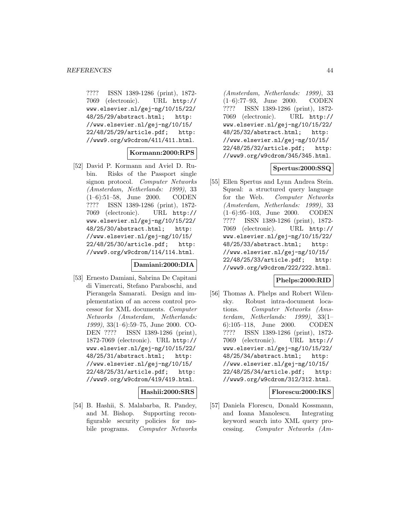???? ISSN 1389-1286 (print), 1872- 7069 (electronic). URL http:// www.elsevier.nl/gej-ng/10/15/22/ 48/25/29/abstract.html; http: //www.elsevier.nl/gej-ng/10/15/ 22/48/25/29/article.pdf; http: //www9.org/w9cdrom/411/411.html.

## **Kormann:2000:RPS**

[52] David P. Kormann and Aviel D. Rubin. Risks of the Passport single signon protocol. Computer Networks (Amsterdam, Netherlands: 1999), 33 (1–6):51–58, June 2000. CODEN ???? ISSN 1389-1286 (print), 1872- 7069 (electronic). URL http:// www.elsevier.nl/gej-ng/10/15/22/ 48/25/30/abstract.html; http: //www.elsevier.nl/gej-ng/10/15/ 22/48/25/30/article.pdf; http: //www9.org/w9cdrom/114/114.html.

#### **Damiani:2000:DIA**

[53] Ernesto Damiani, Sabrina De Capitani di Vimercati, Stefano Paraboschi, and Pierangela Samarati. Design and implementation of an access control processor for XML documents. Computer Networks (Amsterdam, Netherlands: 1999), 33(1–6):59–75, June 2000. CO-DEN ???? ISSN 1389-1286 (print), 1872-7069 (electronic). URL http:// www.elsevier.nl/gej-ng/10/15/22/ 48/25/31/abstract.html; http: //www.elsevier.nl/gej-ng/10/15/ 22/48/25/31/article.pdf; http: //www9.org/w9cdrom/419/419.html.

**Hashii:2000:SRS**

[54] B. Hashii, S. Malabarba, R. Pandey, and M. Bishop. Supporting reconfigurable security policies for mobile programs. Computer Networks

(Amsterdam, Netherlands: 1999), 33 (1–6):77–93, June 2000. CODEN ???? ISSN 1389-1286 (print), 1872- 7069 (electronic). URL http:// www.elsevier.nl/gej-ng/10/15/22/ 48/25/32/abstract.html; http: //www.elsevier.nl/gej-ng/10/15/ 22/48/25/32/article.pdf; http: //www9.org/w9cdrom/345/345.html.

### **Spertus:2000:SSQ**

[55] Ellen Spertus and Lynn Andrea Stein. Squeal: a structured query language for the Web. Computer Networks (Amsterdam, Netherlands: 1999), 33 (1–6):95–103, June 2000. CODEN ???? ISSN 1389-1286 (print), 1872- 7069 (electronic). URL http:// www.elsevier.nl/gej-ng/10/15/22/ 48/25/33/abstract.html; http: //www.elsevier.nl/gej-ng/10/15/ 22/48/25/33/article.pdf; http: //www9.org/w9cdrom/222/222.html.

### **Phelps:2000:RID**

[56] Thomas A. Phelps and Robert Wilensky. Robust intra-document locations. Computer Networks (Amsterdam, Netherlands: 1999), 33(1– 6):105–118, June 2000. CODEN ???? ISSN 1389-1286 (print), 1872- 7069 (electronic). URL http:// www.elsevier.nl/gej-ng/10/15/22/ 48/25/34/abstract.html; http: //www.elsevier.nl/gej-ng/10/15/ 22/48/25/34/article.pdf; http: //www9.org/w9cdrom/312/312.html.

## **Florescu:2000:IKS**

[57] Daniela Florescu, Donald Kossmann, and Ioana Manolescu. Integrating keyword search into XML query processing. Computer Networks (Am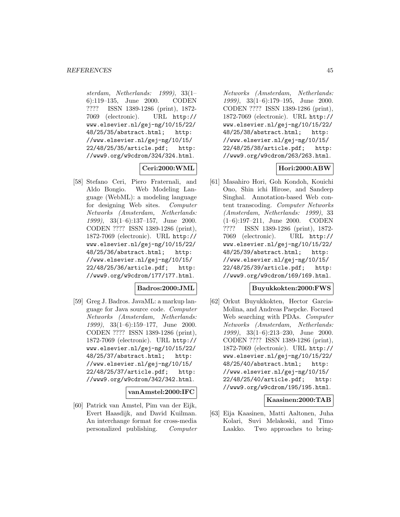sterdam, Netherlands: 1999), 33(1– 6):119–135, June 2000. CODEN ???? ISSN 1389-1286 (print), 1872- 7069 (electronic). URL http:// www.elsevier.nl/gej-ng/10/15/22/ 48/25/35/abstract.html; http: //www.elsevier.nl/gej-ng/10/15/ 22/48/25/35/article.pdf; http: //www9.org/w9cdrom/324/324.html.

## **Ceri:2000:WML**

[58] Stefano Ceri, Piero Fraternali, and Aldo Bongio. Web Modeling Language (WebML): a modeling language for designing Web sites. Computer Networks (Amsterdam, Netherlands: 1999), 33(1–6):137–157, June 2000. CODEN ???? ISSN 1389-1286 (print), 1872-7069 (electronic). URL http:// www.elsevier.nl/gej-ng/10/15/22/ 48/25/36/abstract.html; http: //www.elsevier.nl/gej-ng/10/15/ 22/48/25/36/article.pdf; http: //www9.org/w9cdrom/177/177.html.

### **Badros:2000:JML**

[59] Greg J. Badros. JavaML: a markup language for Java source code. Computer Networks (Amsterdam, Netherlands: 1999), 33(1–6):159–177, June 2000. CODEN ???? ISSN 1389-1286 (print), 1872-7069 (electronic). URL http:// www.elsevier.nl/gej-ng/10/15/22/ 48/25/37/abstract.html; http: //www.elsevier.nl/gej-ng/10/15/ 22/48/25/37/article.pdf; http: //www9.org/w9cdrom/342/342.html.

**vanAmstel:2000:IFC**

[60] Patrick van Amstel, Pim van der Eijk, Evert Haasdijk, and David Kuilman. An interchange format for cross-media personalized publishing. Computer

Networks (Amsterdam, Netherlands: 1999), 33(1–6):179–195, June 2000. CODEN ???? ISSN 1389-1286 (print), 1872-7069 (electronic). URL http:// www.elsevier.nl/gej-ng/10/15/22/ 48/25/38/abstract.html; http: //www.elsevier.nl/gej-ng/10/15/ 22/48/25/38/article.pdf; http: //www9.org/w9cdrom/263/263.html.

### **Hori:2000:ABW**

[61] Masahiro Hori, Goh Kondoh, Kouichi Ono, Shin ichi Hirose, and Sandeep Singhal. Annotation-based Web content transcoding. Computer Networks (Amsterdam, Netherlands: 1999), 33 (1–6):197–211, June 2000. CODEN ???? ISSN 1389-1286 (print), 1872- 7069 (electronic). URL http:// www.elsevier.nl/gej-ng/10/15/22/ 48/25/39/abstract.html; http: //www.elsevier.nl/gej-ng/10/15/ 22/48/25/39/article.pdf; http: //www9.org/w9cdrom/169/169.html.

#### **Buyukkokten:2000:FWS**

[62] Orkut Buyukkokten, Hector Garcia-Molina, and Andreas Paepcke. Focused Web searching with PDAs. Computer Networks (Amsterdam, Netherlands: 1999), 33(1–6):213–230, June 2000. CODEN ???? ISSN 1389-1286 (print), 1872-7069 (electronic). URL http:// www.elsevier.nl/gej-ng/10/15/22/ 48/25/40/abstract.html; http: //www.elsevier.nl/gej-ng/10/15/ 22/48/25/40/article.pdf; http: //www9.org/w9cdrom/195/195.html.

### **Kaasinen:2000:TAB**

[63] Eija Kaasinen, Matti Aaltonen, Juha Kolari, Suvi Melakoski, and Timo Laakko. Two approaches to bring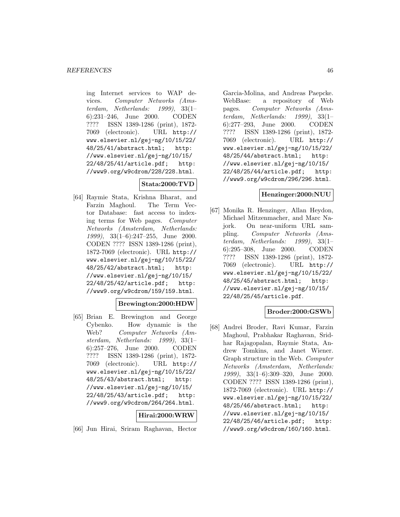ing Internet services to WAP devices. Computer Networks (Amsterdam, Netherlands: 1999), 33(1– 6):231–246, June 2000. CODEN ???? ISSN 1389-1286 (print), 1872- 7069 (electronic). URL http:// www.elsevier.nl/gej-ng/10/15/22/ 48/25/41/abstract.html; http: //www.elsevier.nl/gej-ng/10/15/ 22/48/25/41/article.pdf; http: //www9.org/w9cdrom/228/228.html.

## **Stata:2000:TVD**

[64] Raymie Stata, Krishna Bharat, and Farzin Maghoul. The Term Vector Database: fast access to indexing terms for Web pages. Computer Networks (Amsterdam, Netherlands: 1999), 33(1–6):247–255, June 2000. CODEN ???? ISSN 1389-1286 (print), 1872-7069 (electronic). URL http:// www.elsevier.nl/gej-ng/10/15/22/ 48/25/42/abstract.html; http: //www.elsevier.nl/gej-ng/10/15/ 22/48/25/42/article.pdf; http: //www9.org/w9cdrom/159/159.html.

## **Brewington:2000:HDW**

[65] Brian E. Brewington and George Cybenko. How dynamic is the Web? Computer Networks (Amsterdam, Netherlands: 1999), 33(1– 6):257–276, June 2000. CODEN ???? ISSN 1389-1286 (print), 1872- 7069 (electronic). URL http:// www.elsevier.nl/gej-ng/10/15/22/ 48/25/43/abstract.html; http: //www.elsevier.nl/gej-ng/10/15/ 22/48/25/43/article.pdf; http: //www9.org/w9cdrom/264/264.html.

## **Hirai:2000:WRW**

[66] Jun Hirai, Sriram Raghavan, Hector

Garcia-Molina, and Andreas Paepcke. WebBase: a repository of Web pages. Computer Networks (Amsterdam, Netherlands: 1999), 33(1– 6):277–293, June 2000. CODEN ???? ISSN 1389-1286 (print), 1872- 7069 (electronic). URL http:// www.elsevier.nl/gej-ng/10/15/22/ 48/25/44/abstract.html; http: //www.elsevier.nl/gej-ng/10/15/ 22/48/25/44/article.pdf; http: //www9.org/w9cdrom/296/296.html.

## **Henzinger:2000:NUU**

[67] Monika R. Henzinger, Allan Heydon, Michael Mitzenmacher, and Marc Najork. On near-uniform URL sampling. Computer Networks (Amsterdam, Netherlands: 1999), 33(1– 6):295–308, June 2000. CODEN ???? ISSN 1389-1286 (print), 1872- 7069 (electronic). URL http:// www.elsevier.nl/gej-ng/10/15/22/ 48/25/45/abstract.html; http: //www.elsevier.nl/gej-ng/10/15/ 22/48/25/45/article.pdf.

## **Broder:2000:GSWb**

[68] Andrei Broder, Ravi Kumar, Farzin Maghoul, Prabhakar Raghavan, Sridhar Rajagopalan, Raymie Stata, Andrew Tomkins, and Janet Wiener. Graph structure in the Web. Computer Networks (Amsterdam, Netherlands: 1999), 33(1–6):309–320, June 2000. CODEN ???? ISSN 1389-1286 (print), 1872-7069 (electronic). URL http:// www.elsevier.nl/gej-ng/10/15/22/ 48/25/46/abstract.html; http: //www.elsevier.nl/gej-ng/10/15/ 22/48/25/46/article.pdf; http: //www9.org/w9cdrom/160/160.html.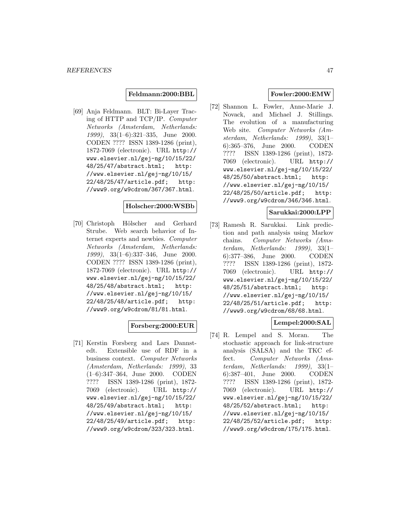#### **Feldmann:2000:BBL**

[69] Anja Feldmann. BLT: Bi-Layer Tracing of HTTP and TCP/IP. Computer Networks (Amsterdam, Netherlands: 1999), 33(1–6):321–335, June 2000. CODEN ???? ISSN 1389-1286 (print), 1872-7069 (electronic). URL http:// www.elsevier.nl/gej-ng/10/15/22/ 48/25/47/abstract.html; http: //www.elsevier.nl/gej-ng/10/15/ 22/48/25/47/article.pdf; http: //www9.org/w9cdrom/367/367.html.

#### **Holscher:2000:WSBb**

[70] Christoph Hölscher and Gerhard Strube. Web search behavior of Internet experts and newbies. Computer Networks (Amsterdam, Netherlands: 1999), 33(1–6):337–346, June 2000. CODEN ???? ISSN 1389-1286 (print), 1872-7069 (electronic). URL http:// www.elsevier.nl/gej-ng/10/15/22/ 48/25/48/abstract.html; http: //www.elsevier.nl/gej-ng/10/15/ 22/48/25/48/article.pdf; http: //www9.org/w9cdrom/81/81.html.

### **Forsberg:2000:EUR**

[71] Kerstin Forsberg and Lars Dannstedt. Extensible use of RDF in a business context. Computer Networks (Amsterdam, Netherlands: 1999), 33 (1–6):347–364, June 2000. CODEN ???? ISSN 1389-1286 (print), 1872- 7069 (electronic). URL http:// www.elsevier.nl/gej-ng/10/15/22/ 48/25/49/abstract.html; http: //www.elsevier.nl/gej-ng/10/15/ 22/48/25/49/article.pdf; http: //www9.org/w9cdrom/323/323.html.

## **Fowler:2000:EMW**

[72] Shannon L. Fowler, Anne-Marie J. Novack, and Michael J. Stillings. The evolution of a manufacturing Web site. Computer Networks (Amsterdam, Netherlands: 1999), 33(1– 6):365–376, June 2000. CODEN ???? ISSN 1389-1286 (print), 1872- 7069 (electronic). URL http:// www.elsevier.nl/gej-ng/10/15/22/ 48/25/50/abstract.html; http: //www.elsevier.nl/gej-ng/10/15/ 22/48/25/50/article.pdf; http: //www9.org/w9cdrom/346/346.html.

### **Sarukkai:2000:LPP**

[73] Ramesh R. Sarukkai. Link prediction and path analysis using Markov chains. Computer Networks (Amsterdam, Netherlands: 1999), 33(1– 6):377–386, June 2000. CODEN ???? ISSN 1389-1286 (print), 1872- 7069 (electronic). URL http:// www.elsevier.nl/gej-ng/10/15/22/ 48/25/51/abstract.html; http: //www.elsevier.nl/gej-ng/10/15/ 22/48/25/51/article.pdf; http: //www9.org/w9cdrom/68/68.html.

# **Lempel:2000:SAL**

[74] R. Lempel and S. Moran. The stochastic approach for link-structure analysis (SALSA) and the TKC effect. Computer Networks (Amsterdam, Netherlands: 1999), 33(1– 6):387–401, June 2000. CODEN ???? ISSN 1389-1286 (print), 1872- 7069 (electronic). URL http:// www.elsevier.nl/gej-ng/10/15/22/ 48/25/52/abstract.html; http: //www.elsevier.nl/gej-ng/10/15/ 22/48/25/52/article.pdf; http: //www9.org/w9cdrom/175/175.html.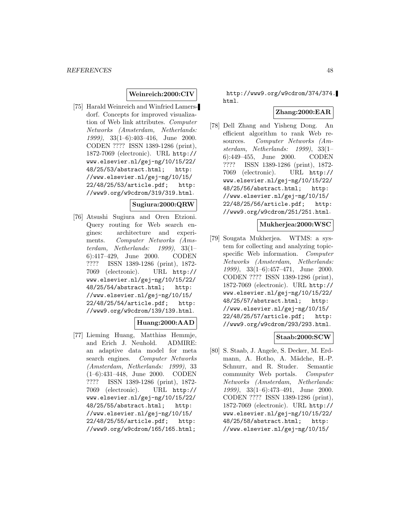### **Weinreich:2000:CIV**

[75] Harald Weinreich and Winfried Lamersdorf. Concepts for improved visualization of Web link attributes. Computer Networks (Amsterdam, Netherlands: 1999), 33(1–6):403–416, June 2000. CODEN ???? ISSN 1389-1286 (print), 1872-7069 (electronic). URL http:// www.elsevier.nl/gej-ng/10/15/22/ 48/25/53/abstract.html; http: //www.elsevier.nl/gej-ng/10/15/ 22/48/25/53/article.pdf; http: //www9.org/w9cdrom/319/319.html.

### **Sugiura:2000:QRW**

[76] Atsushi Sugiura and Oren Etzioni. Query routing for Web search engines: architecture and experiments. Computer Networks (Amsterdam, Netherlands: 1999), 33(1– 6):417–429, June 2000. CODEN ???? ISSN 1389-1286 (print), 1872- 7069 (electronic). URL http:// www.elsevier.nl/gej-ng/10/15/22/ 48/25/54/abstract.html; http: //www.elsevier.nl/gej-ng/10/15/ 22/48/25/54/article.pdf; http: //www9.org/w9cdrom/139/139.html.

## **Huang:2000:AAD**

[77] Lieming Huang, Matthias Hemmje, and Erich J. Neuhold. ADMIRE: an adaptive data model for meta search engines. Computer Networks (Amsterdam, Netherlands: 1999), 33 (1–6):431–448, June 2000. CODEN ???? ISSN 1389-1286 (print), 1872- 7069 (electronic). URL http:// www.elsevier.nl/gej-ng/10/15/22/ 48/25/55/abstract.html; http: //www.elsevier.nl/gej-ng/10/15/ 22/48/25/55/article.pdf; http: //www9.org/w9cdrom/165/165.html;

http://www9.org/w9cdrom/374/374. html.

#### **Zhang:2000:EAR**

[78] Dell Zhang and Yisheng Dong. An efficient algorithm to rank Web resources. Computer Networks (Amsterdam, Netherlands: 1999), 33(1– 6):449–455, June 2000. CODEN ???? ISSN 1389-1286 (print), 1872- 7069 (electronic). URL http:// www.elsevier.nl/gej-ng/10/15/22/ 48/25/56/abstract.html; http: //www.elsevier.nl/gej-ng/10/15/ 22/48/25/56/article.pdf; http: //www9.org/w9cdrom/251/251.html.

### **Mukherjea:2000:WSC**

[79] Sougata Mukherjea. WTMS: a system for collecting and analyzing topicspecific Web information. Computer Networks (Amsterdam, Netherlands: 1999), 33(1–6):457–471, June 2000. CODEN ???? ISSN 1389-1286 (print), 1872-7069 (electronic). URL http:// www.elsevier.nl/gej-ng/10/15/22/ 48/25/57/abstract.html; http: //www.elsevier.nl/gej-ng/10/15/ 22/48/25/57/article.pdf; http: //www9.org/w9cdrom/293/293.html.

#### **Staab:2000:SCW**

[80] S. Staab, J. Angele, S. Decker, M. Erdmann, A. Hotho, A. Mädche, H.-P. Schnurr, and R. Studer. Semantic community Web portals. Computer Networks (Amsterdam, Netherlands: 1999), 33(1–6):473–491, June 2000. CODEN ???? ISSN 1389-1286 (print), 1872-7069 (electronic). URL http:// www.elsevier.nl/gej-ng/10/15/22/ 48/25/58/abstract.html; http: //www.elsevier.nl/gej-ng/10/15/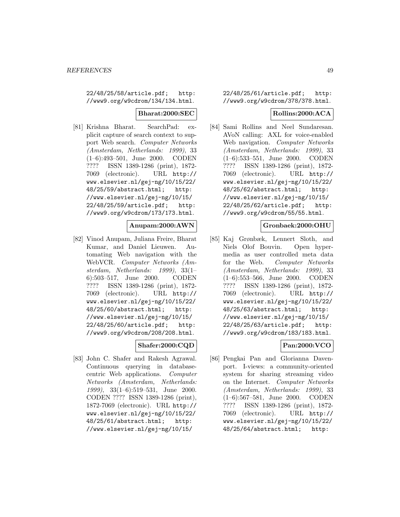22/48/25/58/article.pdf; http: //www9.org/w9cdrom/134/134.html.

#### **Bharat:2000:SEC**

[81] Krishna Bharat. SearchPad: explicit capture of search context to support Web search. Computer Networks (Amsterdam, Netherlands: 1999), 33 (1–6):493–501, June 2000. CODEN ???? ISSN 1389-1286 (print), 1872- 7069 (electronic). URL http:// www.elsevier.nl/gej-ng/10/15/22/ 48/25/59/abstract.html; http: //www.elsevier.nl/gej-ng/10/15/ 22/48/25/59/article.pdf; http: //www9.org/w9cdrom/173/173.html.

### **Anupam:2000:AWN**

[82] Vinod Anupam, Juliana Freire, Bharat Kumar, and Daniel Lieuwen. Automating Web navigation with the WebVCR. Computer Networks (Amsterdam, Netherlands: 1999), 33(1– 6):503–517, June 2000. CODEN ???? ISSN 1389-1286 (print), 1872- 7069 (electronic). URL http:// www.elsevier.nl/gej-ng/10/15/22/ 48/25/60/abstract.html; http: //www.elsevier.nl/gej-ng/10/15/ 22/48/25/60/article.pdf; http: //www9.org/w9cdrom/208/208.html.

### **Shafer:2000:CQD**

[83] John C. Shafer and Rakesh Agrawal. Continuous querying in databasecentric Web applications. Computer Networks (Amsterdam, Netherlands: 1999), 33(1–6):519–531, June 2000. CODEN ???? ISSN 1389-1286 (print), 1872-7069 (electronic). URL http:// www.elsevier.nl/gej-ng/10/15/22/ 48/25/61/abstract.html; http: //www.elsevier.nl/gej-ng/10/15/

22/48/25/61/article.pdf; http: //www9.org/w9cdrom/378/378.html.

### **Rollins:2000:ACA**

[84] Sami Rollins and Neel Sundaresan. AVoN calling: AXL for voice-enabled Web navigation. Computer Networks (Amsterdam, Netherlands: 1999), 33 (1–6):533–551, June 2000. CODEN ???? ISSN 1389-1286 (print), 1872- 7069 (electronic). URL http:// www.elsevier.nl/gej-ng/10/15/22/ 48/25/62/abstract.html; http: //www.elsevier.nl/gej-ng/10/15/ 22/48/25/62/article.pdf; http: //www9.org/w9cdrom/55/55.html.

#### **Gronbaek:2000:OHU**

[85] Kaj Grønbæk, Lennert Sloth, and Niels Olof Bouvin. Open hypermedia as user controlled meta data for the Web. Computer Networks (Amsterdam, Netherlands: 1999), 33 (1–6):553–566, June 2000. CODEN ???? ISSN 1389-1286 (print), 1872- 7069 (electronic). URL http:// www.elsevier.nl/gej-ng/10/15/22/ 48/25/63/abstract.html; http: //www.elsevier.nl/gej-ng/10/15/ 22/48/25/63/article.pdf; http: //www9.org/w9cdrom/183/183.html.

# **Pan:2000:VCO**

[86] Pengkai Pan and Glorianna Davenport. I-views: a community-oriented system for sharing streaming video on the Internet. Computer Networks (Amsterdam, Netherlands: 1999), 33 (1–6):567–581, June 2000. CODEN ???? ISSN 1389-1286 (print), 1872- 7069 (electronic). URL http:// www.elsevier.nl/gej-ng/10/15/22/ 48/25/64/abstract.html; http: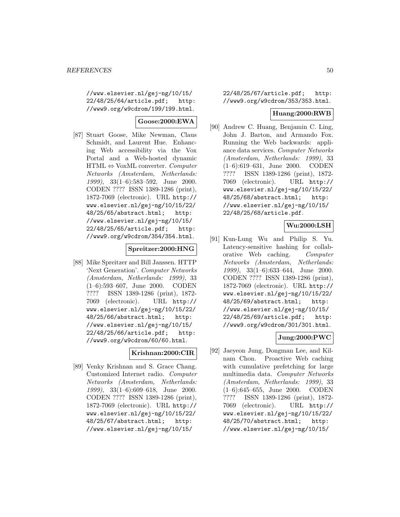//www.elsevier.nl/gej-ng/10/15/ 22/48/25/64/article.pdf; http: //www9.org/w9cdrom/199/199.html.

## **Goose:2000:EWA**

[87] Stuart Goose, Mike Newman, Claus Schmidt, and Laurent Hue. Enhancing Web accessibility via the Vox Portal and a Web-hosted dynamic  $HTML \Leftrightarrow \text{VoxML converter. } Computer$ Networks (Amsterdam, Netherlands: 1999), 33(1–6):583–592, June 2000. CODEN ???? ISSN 1389-1286 (print), 1872-7069 (electronic). URL http:// www.elsevier.nl/gej-ng/10/15/22/ 48/25/65/abstract.html; http: //www.elsevier.nl/gej-ng/10/15/ 22/48/25/65/article.pdf; http: //www9.org/w9cdrom/354/354.html.

### **Spreitzer:2000:HNG**

[88] Mike Spreitzer and Bill Janssen. HTTP 'Next Generation'. Computer Networks (Amsterdam, Netherlands: 1999), 33 (1–6):593–607, June 2000. CODEN ???? ISSN 1389-1286 (print), 1872- 7069 (electronic). URL http:// www.elsevier.nl/gej-ng/10/15/22/ 48/25/66/abstract.html; http: //www.elsevier.nl/gej-ng/10/15/ 22/48/25/66/article.pdf; http: //www9.org/w9cdrom/60/60.html.

### **Krishnan:2000:CIR**

[89] Venky Krishnan and S. Grace Chang. Customized Internet radio. Computer Networks (Amsterdam, Netherlands: 1999), 33(1–6):609–618, June 2000. CODEN ???? ISSN 1389-1286 (print), 1872-7069 (electronic). URL http:// www.elsevier.nl/gej-ng/10/15/22/ 48/25/67/abstract.html; http: //www.elsevier.nl/gej-ng/10/15/

22/48/25/67/article.pdf; http: //www9.org/w9cdrom/353/353.html.

### **Huang:2000:RWB**

[90] Andrew C. Huang, Benjamin C. Ling, John J. Barton, and Armando Fox. Running the Web backwards: appliance data services. Computer Networks (Amsterdam, Netherlands: 1999), 33 (1–6):619–631, June 2000. CODEN ???? ISSN 1389-1286 (print), 1872- 7069 (electronic). URL http:// www.elsevier.nl/gej-ng/10/15/22/ 48/25/68/abstract.html; http: //www.elsevier.nl/gej-ng/10/15/ 22/48/25/68/article.pdf.

# **Wu:2000:LSH**

[91] Kun-Lung Wu and Philip S. Yu. Latency-sensitive hashing for collaborative Web caching. Computer Networks (Amsterdam, Netherlands: 1999), 33(1–6):633–644, June 2000. CODEN ???? ISSN 1389-1286 (print), 1872-7069 (electronic). URL http:// www.elsevier.nl/gej-ng/10/15/22/ 48/25/69/abstract.html; http: //www.elsevier.nl/gej-ng/10/15/ 22/48/25/69/article.pdf; http: //www9.org/w9cdrom/301/301.html.

## **Jung:2000:PWC**

[92] Jaeyeon Jung, Dongman Lee, and Kilnam Chon. Proactive Web caching with cumulative prefetching for large multimedia data. Computer Networks (Amsterdam, Netherlands: 1999), 33 (1–6):645–655, June 2000. CODEN ???? ISSN 1389-1286 (print), 1872- 7069 (electronic). URL http:// www.elsevier.nl/gej-ng/10/15/22/ 48/25/70/abstract.html; http: //www.elsevier.nl/gej-ng/10/15/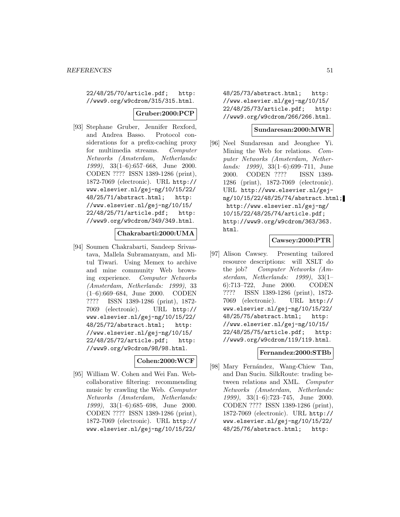22/48/25/70/article.pdf; http: //www9.org/w9cdrom/315/315.html.

#### **Gruber:2000:PCP**

[93] Stephane Gruber, Jennifer Rexford, and Andrea Basso. Protocol considerations for a prefix-caching proxy for multimedia streams. Computer Networks (Amsterdam, Netherlands: 1999), 33(1–6):657–668, June 2000. CODEN ???? ISSN 1389-1286 (print), 1872-7069 (electronic). URL http:// www.elsevier.nl/gej-ng/10/15/22/ 48/25/71/abstract.html; http: //www.elsevier.nl/gej-ng/10/15/ 22/48/25/71/article.pdf; http: //www9.org/w9cdrom/349/349.html.

### **Chakrabarti:2000:UMA**

[94] Soumen Chakrabarti, Sandeep Srivastava, Mallela Subramanyam, and Mitul Tiwari. Using Memex to archive and mine community Web browsing experience. Computer Networks (Amsterdam, Netherlands: 1999), 33 (1–6):669–684, June 2000. CODEN ???? ISSN 1389-1286 (print), 1872- 7069 (electronic). URL http:// www.elsevier.nl/gej-ng/10/15/22/ 48/25/72/abstract.html; http: //www.elsevier.nl/gej-ng/10/15/ 22/48/25/72/article.pdf; http: //www9.org/w9cdrom/98/98.html.

### **Cohen:2000:WCF**

[95] William W. Cohen and Wei Fan. Webcollaborative filtering: recommending music by crawling the Web. Computer Networks (Amsterdam, Netherlands: 1999), 33(1–6):685–698, June 2000. CODEN ???? ISSN 1389-1286 (print), 1872-7069 (electronic). URL http:// www.elsevier.nl/gej-ng/10/15/22/

48/25/73/abstract.html; http: //www.elsevier.nl/gej-ng/10/15/ 22/48/25/73/article.pdf; http: //www9.org/w9cdrom/266/266.html.

## **Sundaresan:2000:MWR**

[96] Neel Sundaresan and Jeonghee Yi. Mining the Web for relations. Computer Networks (Amsterdam, Netherlands: 1999), 33(1–6):699–711, June 2000. CODEN ???? ISSN 1389- 1286 (print), 1872-7069 (electronic). URL http://www.elsevier.nl/gejng/10/15/22/48/25/74/abstract.html; http://www.elsevier.nl/gej-ng/ 10/15/22/48/25/74/article.pdf; http://www9.org/w9cdrom/363/363. html.

## **Cawsey:2000:PTR**

[97] Alison Cawsey. Presenting tailored resource descriptions: will XSLT do the job? Computer Networks (Amsterdam, Netherlands: 1999), 33(1– 6):713–722, June 2000. CODEN ???? ISSN 1389-1286 (print), 1872- 7069 (electronic). URL http:// www.elsevier.nl/gej-ng/10/15/22/ 48/25/75/abstract.html; http: //www.elsevier.nl/gej-ng/10/15/ 22/48/25/75/article.pdf; http: //www9.org/w9cdrom/119/119.html.

#### **Fernandez:2000:STBb**

[98] Mary Fernández, Wang-Chiew Tan, and Dan Suciu. SilkRoute: trading between relations and XML. Computer Networks (Amsterdam, Netherlands: 1999), 33(1–6):723–745, June 2000. CODEN ???? ISSN 1389-1286 (print), 1872-7069 (electronic). URL http:// www.elsevier.nl/gej-ng/10/15/22/ 48/25/76/abstract.html; http: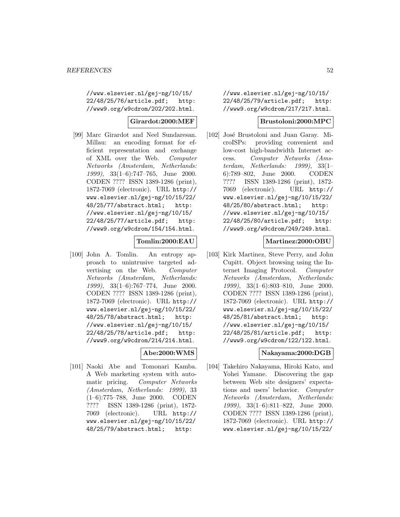//www.elsevier.nl/gej-ng/10/15/ 22/48/25/76/article.pdf; http: //www9.org/w9cdrom/202/202.html.

### **Girardot:2000:MEF**

[99] Marc Girardot and Neel Sundaresan. Millau: an encoding format for efficient representation and exchange of XML over the Web. Computer Networks (Amsterdam, Netherlands: 1999), 33(1–6):747–765, June 2000. CODEN ???? ISSN 1389-1286 (print), 1872-7069 (electronic). URL http:// www.elsevier.nl/gej-ng/10/15/22/ 48/25/77/abstract.html; http: //www.elsevier.nl/gej-ng/10/15/ 22/48/25/77/article.pdf; http: //www9.org/w9cdrom/154/154.html.

### **Tomlin:2000:EAU**

[100] John A. Tomlin. An entropy approach to unintrusive targeted advertising on the Web. Computer Networks (Amsterdam, Netherlands: 1999), 33(1–6):767–774, June 2000. CODEN ???? ISSN 1389-1286 (print), 1872-7069 (electronic). URL http:// www.elsevier.nl/gej-ng/10/15/22/ 48/25/78/abstract.html; http: //www.elsevier.nl/gej-ng/10/15/ 22/48/25/78/article.pdf; http: //www9.org/w9cdrom/214/214.html.

### **Abe:2000:WMS**

[101] Naoki Abe and Tomonari Kamba. A Web marketing system with automatic pricing. Computer Networks (Amsterdam, Netherlands: 1999), 33 (1–6):775–788, June 2000. CODEN ???? ISSN 1389-1286 (print), 1872- 7069 (electronic). URL http:// www.elsevier.nl/gej-ng/10/15/22/ 48/25/79/abstract.html; http:

//www.elsevier.nl/gej-ng/10/15/ 22/48/25/79/article.pdf; http: //www9.org/w9cdrom/217/217.html.

#### **Brustoloni:2000:MPC**

[102] José Brustoloni and Juan Garay. MicroISPs: providing convenient and low-cost high-bandwidth Internet access. Computer Networks (Amsterdam, Netherlands: 1999), 33(1– 6):789–802, June 2000. CODEN ???? ISSN 1389-1286 (print), 1872- 7069 (electronic). URL http:// www.elsevier.nl/gej-ng/10/15/22/ 48/25/80/abstract.html; http: //www.elsevier.nl/gej-ng/10/15/ 22/48/25/80/article.pdf; http: //www9.org/w9cdrom/249/249.html.

### **Martinez:2000:OBU**

[103] Kirk Martinez, Steve Perry, and John Cupitt. Object browsing using the Internet Imaging Protocol. Computer Networks (Amsterdam, Netherlands: 1999), 33(1–6):803–810, June 2000. CODEN ???? ISSN 1389-1286 (print), 1872-7069 (electronic). URL http:// www.elsevier.nl/gej-ng/10/15/22/ 48/25/81/abstract.html; http: //www.elsevier.nl/gej-ng/10/15/ 22/48/25/81/article.pdf; http: //www9.org/w9cdrom/122/122.html.

### **Nakayama:2000:DGB**

[104] Takehiro Nakayama, Hiroki Kato, and Yohei Yamane. Discovering the gap between Web site designers' expectations and users' behavior. Computer Networks (Amsterdam, Netherlands: 1999), 33(1–6):811–822, June 2000. CODEN ???? ISSN 1389-1286 (print), 1872-7069 (electronic). URL http:// www.elsevier.nl/gej-ng/10/15/22/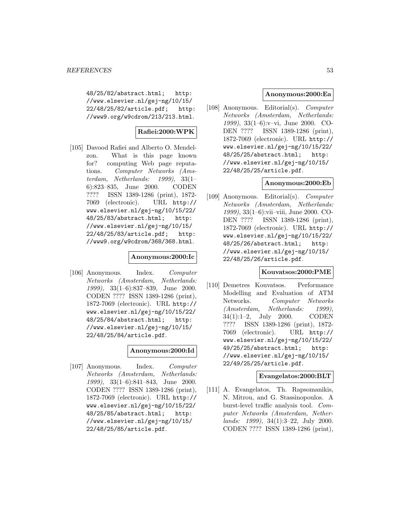48/25/82/abstract.html; http: //www.elsevier.nl/gej-ng/10/15/ 22/48/25/82/article.pdf; http: //www9.org/w9cdrom/213/213.html.

# **Rafiei:2000:WPK**

[105] Davood Rafiei and Alberto O. Mendelzon. What is this page known for? computing Web page reputations. Computer Networks (Amsterdam, Netherlands: 1999), 33(1– 6):823–835, June 2000. CODEN ???? ISSN 1389-1286 (print), 1872- 7069 (electronic). URL http:// www.elsevier.nl/gej-ng/10/15/22/ 48/25/83/abstract.html; http: //www.elsevier.nl/gej-ng/10/15/ 22/48/25/83/article.pdf; http: //www9.org/w9cdrom/368/368.html.

## **Anonymous:2000:Ic**

[106] Anonymous. Index. Computer Networks (Amsterdam, Netherlands: 1999), 33(1–6):837–839, June 2000. CODEN ???? ISSN 1389-1286 (print), 1872-7069 (electronic). URL http:// www.elsevier.nl/gej-ng/10/15/22/ 48/25/84/abstract.html; http: //www.elsevier.nl/gej-ng/10/15/ 22/48/25/84/article.pdf.

### **Anonymous:2000:Id**

[107] Anonymous. Index. Computer Networks (Amsterdam, Netherlands: 1999), 33(1–6):841–843, June 2000. CODEN ???? ISSN 1389-1286 (print), 1872-7069 (electronic). URL http:// www.elsevier.nl/gej-ng/10/15/22/ 48/25/85/abstract.html; http: //www.elsevier.nl/gej-ng/10/15/ 22/48/25/85/article.pdf.

### **Anonymous:2000:Ea**

[108] Anonymous. Editorial(s). Computer Networks (Amsterdam, Netherlands: 1999), 33(1–6):v–vi, June 2000. CO-DEN ???? ISSN 1389-1286 (print), 1872-7069 (electronic). URL http:// www.elsevier.nl/gej-ng/10/15/22/ 48/25/25/abstract.html; http: //www.elsevier.nl/gej-ng/10/15/ 22/48/25/25/article.pdf.

### **Anonymous:2000:Eb**

[109] Anonymous. Editorial(s). Computer Networks (Amsterdam, Netherlands: 1999), 33(1–6):vii–viii, June 2000. CO-DEN ???? ISSN 1389-1286 (print), 1872-7069 (electronic). URL http:// www.elsevier.nl/gej-ng/10/15/22/ 48/25/26/abstract.html; http: //www.elsevier.nl/gej-ng/10/15/ 22/48/25/26/article.pdf.

#### **Kouvatsos:2000:PME**

[110] Demetres Kouvatsos. Performance Modelling and Evaluation of ATM Networks. Computer Networks (Amsterdam, Netherlands: 1999), 34(1):1–2, July 2000. CODEN ???? ISSN 1389-1286 (print), 1872- 7069 (electronic). URL http:// www.elsevier.nl/gej-ng/10/15/22/ 49/25/25/abstract.html; http: //www.elsevier.nl/gej-ng/10/15/ 22/49/25/25/article.pdf.

#### **Evangelatos:2000:BLT**

[111] A. Evangelatos, Th. Rapsomanikis, N. Mitrou, and G. Stassinopoulos. A burst-level traffic analysis tool. Computer Networks (Amsterdam, Netherlands: 1999), 34(1):3–22, July 2000. CODEN ???? ISSN 1389-1286 (print),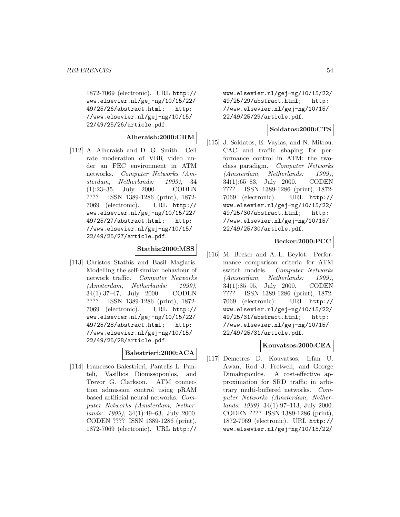1872-7069 (electronic). URL http:// www.elsevier.nl/gej-ng/10/15/22/ 49/25/26/abstract.html; http: //www.elsevier.nl/gej-ng/10/15/ 22/49/25/26/article.pdf.

### **Alheraish:2000:CRM**

[112] A. Alheraish and D. G. Smith. Cell rate moderation of VBR video under an FEC environment in ATM networks. Computer Networks (Amsterdam, Netherlands: 1999), 34 (1):23–35, July 2000. CODEN ???? ISSN 1389-1286 (print), 1872- 7069 (electronic). URL http:// www.elsevier.nl/gej-ng/10/15/22/ 49/25/27/abstract.html; http: //www.elsevier.nl/gej-ng/10/15/ 22/49/25/27/article.pdf.

# **Stathis:2000:MSS**

[113] Christos Stathis and Basil Maglaris. Modelling the self-similar behaviour of network traffic. Computer Networks (Amsterdam, Netherlands: 1999), 34(1):37–47, July 2000. CODEN ???? ISSN 1389-1286 (print), 1872- 7069 (electronic). URL http:// www.elsevier.nl/gej-ng/10/15/22/ 49/25/28/abstract.html; http: //www.elsevier.nl/gej-ng/10/15/ 22/49/25/28/article.pdf.

### **Balestrieri:2000:ACA**

[114] Francesco Balestrieri, Pantelis L. Panteli, Vasillios Dionissopoulos, and Trevor G. Clarkson. ATM connection admission control using pRAM based artificial neural networks. Computer Networks (Amsterdam, Netherlands: 1999), 34(1):49–63, July 2000. CODEN ???? ISSN 1389-1286 (print), 1872-7069 (electronic). URL http://

www.elsevier.nl/gej-ng/10/15/22/ 49/25/29/abstract.html; http: //www.elsevier.nl/gej-ng/10/15/ 22/49/25/29/article.pdf.

### **Soldatos:2000:CTS**

[115] J. Soldatos, E. Vayias, and N. Mitrou. CAC and traffic shaping for performance control in ATM: the twoclass paradigm. Computer Networks (Amsterdam, Netherlands: 1999), 34(1):65–83, July 2000. CODEN ???? ISSN 1389-1286 (print), 1872- 7069 (electronic). URL http:// www.elsevier.nl/gej-ng/10/15/22/ 49/25/30/abstract.html; http: //www.elsevier.nl/gej-ng/10/15/ 22/49/25/30/article.pdf.

### **Becker:2000:PCC**

[116] M. Becker and A.-L. Beylot. Performance comparison criteria for ATM switch models. Computer Networks (Amsterdam, Netherlands: 1999), 34(1):85–95, July 2000. CODEN ???? ISSN 1389-1286 (print), 1872- 7069 (electronic). URL http:// www.elsevier.nl/gej-ng/10/15/22/ 49/25/31/abstract.html; http: //www.elsevier.nl/gej-ng/10/15/ 22/49/25/31/article.pdf.

# **Kouvatsos:2000:CEA**

[117] Demetres D. Kouvatsos, Irfan U. Awan, Rod J. Fretwell, and George Dimakopoulos. A cost-effective approximation for SRD traffic in arbitrary multi-buffered networks. Computer Networks (Amsterdam, Netherlands: 1999), 34(1):97–113, July 2000. CODEN ???? ISSN 1389-1286 (print), 1872-7069 (electronic). URL http:// www.elsevier.nl/gej-ng/10/15/22/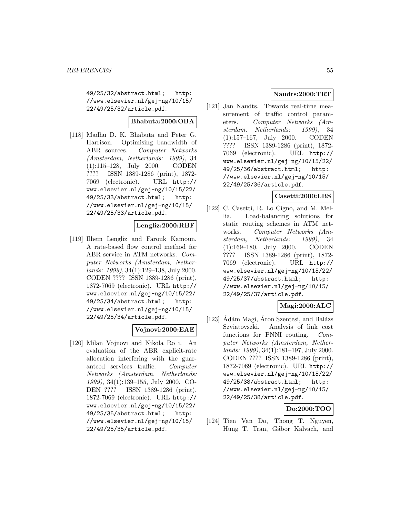49/25/32/abstract.html; http: //www.elsevier.nl/gej-ng/10/15/ 22/49/25/32/article.pdf.

# **Bhabuta:2000:OBA**

[118] Madhu D. K. Bhabuta and Peter G. Harrison. Optimising bandwidth of ABR sources. Computer Networks (Amsterdam, Netherlands: 1999), 34 (1):115–128, July 2000. CODEN ???? ISSN 1389-1286 (print), 1872- 7069 (electronic). URL http:// www.elsevier.nl/gej-ng/10/15/22/ 49/25/33/abstract.html; http: //www.elsevier.nl/gej-ng/10/15/ 22/49/25/33/article.pdf.

# **Lengliz:2000:RBF**

[119] Ilhem Lengliz and Farouk Kamoun. A rate-based flow control method for ABR service in ATM networks. Computer Networks (Amsterdam, Netherlands: 1999), 34(1):129–138, July 2000. CODEN ???? ISSN 1389-1286 (print), 1872-7069 (electronic). URL http:// www.elsevier.nl/gej-ng/10/15/22/ 49/25/34/abstract.html; http: //www.elsevier.nl/gej-ng/10/15/ 22/49/25/34/article.pdf.

### **Vojnovi:2000:EAE**

[120] Milan Vojnovi and Nikola Ro i. An evaluation of the ABR explicit-rate allocation interfering with the guaranteed services traffic. Computer Networks (Amsterdam, Netherlands: 1999), 34(1):139–155, July 2000. CO-DEN ???? ISSN 1389-1286 (print), 1872-7069 (electronic). URL http:// www.elsevier.nl/gej-ng/10/15/22/ 49/25/35/abstract.html; http: //www.elsevier.nl/gej-ng/10/15/ 22/49/25/35/article.pdf.

# **Naudts:2000:TRT**

[121] Jan Naudts. Towards real-time measurement of traffic control parameters. Computer Networks (Amsterdam, Netherlands: 1999), 34 (1):157–167, July 2000. CODEN ???? ISSN 1389-1286 (print), 1872- 7069 (electronic). URL http:// www.elsevier.nl/gej-ng/10/15/22/ 49/25/36/abstract.html; http: //www.elsevier.nl/gej-ng/10/15/ 22/49/25/36/article.pdf.

### **Casetti:2000:LBS**

[122] C. Casetti, R. Lo Cigno, and M. Mellia. Load-balancing solutions for static routing schemes in ATM networks. Computer Networks (Amsterdam, Netherlands: 1999), 34 (1):169–180, July 2000. CODEN ???? ISSN 1389-1286 (print), 1872- 7069 (electronic). URL http:// www.elsevier.nl/gej-ng/10/15/22/ 49/25/37/abstract.html; http: //www.elsevier.nl/gej-ng/10/15/ 22/49/25/37/article.pdf.

# **Magi:2000:ALC**

[123]  $\hat{A}$ dám Magi, Áron Szentesi, and Balázs Szviatovszki. Analysis of link cost functions for PNNI routing. Computer Networks (Amsterdam, Netherlands: 1999), 34(1):181–197, July 2000. CODEN ???? ISSN 1389-1286 (print), 1872-7069 (electronic). URL http:// www.elsevier.nl/gej-ng/10/15/22/ 49/25/38/abstract.html; http: //www.elsevier.nl/gej-ng/10/15/ 22/49/25/38/article.pdf.

## **Do:2000:TOO**

[124] Tien Van Do, Thong T. Nguyen, Hung T. Tran, Gábor Kalvach, and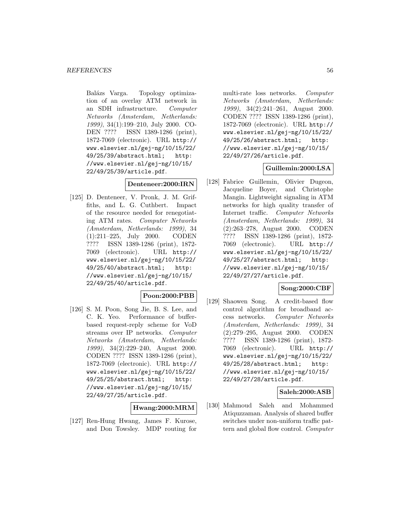Balázs Varga. Topology optimization of an overlay ATM network in an SDH infrastructure. Computer Networks (Amsterdam, Netherlands: 1999), 34(1):199–210, July 2000. CO-DEN ???? ISSN 1389-1286 (print), 1872-7069 (electronic). URL http:// www.elsevier.nl/gej-ng/10/15/22/ 49/25/39/abstract.html; http: //www.elsevier.nl/gej-ng/10/15/ 22/49/25/39/article.pdf.

### **Denteneer:2000:IRN**

[125] D. Denteneer, V. Pronk, J. M. Griffiths, and L. G. Cuthbert. Impact of the resource needed for renegotiating ATM rates. Computer Networks (Amsterdam, Netherlands: 1999), 34 (1):211–225, July 2000. CODEN ???? ISSN 1389-1286 (print), 1872- 7069 (electronic). URL http:// www.elsevier.nl/gej-ng/10/15/22/ 49/25/40/abstract.html; http: //www.elsevier.nl/gej-ng/10/15/ 22/49/25/40/article.pdf.

### **Poon:2000:PBB**

[126] S. M. Poon, Song Jie, B. S. Lee, and C. K. Yeo. Performance of bufferbased request-reply scheme for VoD streams over IP networks. Computer Networks (Amsterdam, Netherlands: 1999), 34(2):229–240, August 2000. CODEN ???? ISSN 1389-1286 (print), 1872-7069 (electronic). URL http:// www.elsevier.nl/gej-ng/10/15/22/ 49/25/25/abstract.html; http: //www.elsevier.nl/gej-ng/10/15/ 22/49/27/25/article.pdf.

### **Hwang:2000:MRM**

[127] Ren-Hung Hwang, James F. Kurose, and Don Towsley. MDP routing for

multi-rate loss networks. Computer Networks (Amsterdam, Netherlands: 1999), 34(2):241-261, August 2000. CODEN ???? ISSN 1389-1286 (print), 1872-7069 (electronic). URL http:// www.elsevier.nl/gej-ng/10/15/22/ 49/25/26/abstract.html; http: //www.elsevier.nl/gej-ng/10/15/ 22/49/27/26/article.pdf.

### **Guillemin:2000:LSA**

[128] Fabrice Guillemin, Olivier Dugeon, Jacqueline Boyer, and Christophe Mangin. Lightweight signaling in ATM networks for high quality transfer of Internet traffic. Computer Networks (Amsterdam, Netherlands: 1999), 34 (2):263–278, August 2000. CODEN ???? ISSN 1389-1286 (print), 1872- 7069 (electronic). URL http:// www.elsevier.nl/gej-ng/10/15/22/ 49/25/27/abstract.html; http: //www.elsevier.nl/gej-ng/10/15/ 22/49/27/27/article.pdf.

### **Song:2000:CBF**

[129] Shaowen Song. A credit-based flow control algorithm for broadband access networks. Computer Networks (Amsterdam, Netherlands: 1999), 34 (2):279–295, August 2000. CODEN ???? ISSN 1389-1286 (print), 1872- 7069 (electronic). URL http:// www.elsevier.nl/gej-ng/10/15/22/ 49/25/28/abstract.html; http: //www.elsevier.nl/gej-ng/10/15/ 22/49/27/28/article.pdf.

### **Saleh:2000:ASB**

[130] Mahmoud Saleh and Mohammed Atiquzzaman. Analysis of shared buffer switches under non-uniform traffic pattern and global flow control. Computer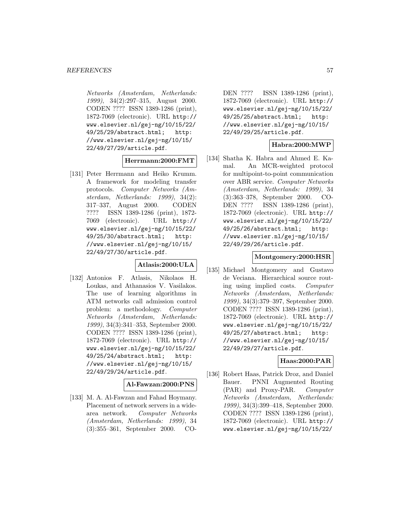Networks (Amsterdam, Netherlands: 1999), 34(2):297–315, August 2000. CODEN ???? ISSN 1389-1286 (print), 1872-7069 (electronic). URL http:// www.elsevier.nl/gej-ng/10/15/22/ 49/25/29/abstract.html; http: //www.elsevier.nl/gej-ng/10/15/ 22/49/27/29/article.pdf.

#### **Herrmann:2000:FMT**

[131] Peter Herrmann and Heiko Krumm. A framework for modeling transfer protocols. Computer Networks (Amsterdam, Netherlands: 1999), 34(2): 317–337, August 2000. CODEN ???? ISSN 1389-1286 (print), 1872- 7069 (electronic). URL http:// www.elsevier.nl/gej-ng/10/15/22/ 49/25/30/abstract.html; http: //www.elsevier.nl/gej-ng/10/15/ 22/49/27/30/article.pdf.

### **Atlasis:2000:ULA**

[132] Antonios F. Atlasis, Nikolaos H. Loukas, and Athanasios V. Vasilakos. The use of learning algorithms in ATM networks call admission control problem: a methodology. Computer Networks (Amsterdam, Netherlands: 1999), 34(3):341–353, September 2000. CODEN ???? ISSN 1389-1286 (print), 1872-7069 (electronic). URL http:// www.elsevier.nl/gej-ng/10/15/22/ 49/25/24/abstract.html; http: //www.elsevier.nl/gej-ng/10/15/ 22/49/29/24/article.pdf.

### **Al-Fawzan:2000:PNS**

[133] M. A. Al-Fawzan and Fahad Hoymany. Placement of network servers in a widearea network. Computer Networks (Amsterdam, Netherlands: 1999), 34 (3):355–361, September 2000. CO-

DEN ???? ISSN 1389-1286 (print), 1872-7069 (electronic). URL http:// www.elsevier.nl/gej-ng/10/15/22/ 49/25/25/abstract.html; http: //www.elsevier.nl/gej-ng/10/15/ 22/49/29/25/article.pdf.

#### **Habra:2000:MWP**

[134] Shatha K. Habra and Ahmed E. Kamal. An MCR-weighted protocol for multipoint-to-point communication over ABR service. Computer Networks (Amsterdam, Netherlands: 1999), 34 (3):363–378, September 2000. CO-DEN ???? ISSN 1389-1286 (print), 1872-7069 (electronic). URL http:// www.elsevier.nl/gej-ng/10/15/22/ 49/25/26/abstract.html; http: //www.elsevier.nl/gej-ng/10/15/ 22/49/29/26/article.pdf.

### **Montgomery:2000:HSR**

[135] Michael Montgomery and Gustavo de Veciana. Hierarchical source routing using implied costs. Computer Networks (Amsterdam, Netherlands: 1999), 34(3):379–397, September 2000. CODEN ???? ISSN 1389-1286 (print), 1872-7069 (electronic). URL http:// www.elsevier.nl/gej-ng/10/15/22/ 49/25/27/abstract.html; http: //www.elsevier.nl/gej-ng/10/15/ 22/49/29/27/article.pdf.

### **Haas:2000:PAR**

[136] Robert Haas, Patrick Droz, and Daniel Bauer. PNNI Augmented Routing (PAR) and Proxy-PAR. Computer Networks (Amsterdam, Netherlands: 1999), 34(3):399–418, September 2000. CODEN ???? ISSN 1389-1286 (print), 1872-7069 (electronic). URL http:// www.elsevier.nl/gej-ng/10/15/22/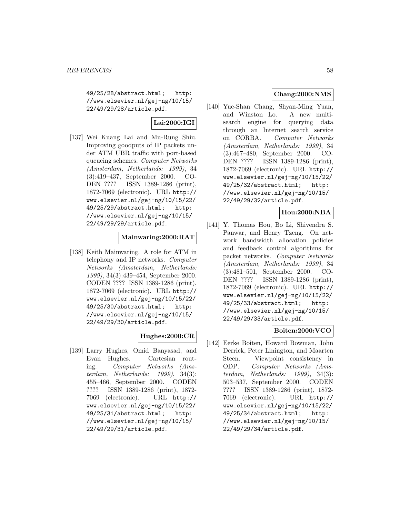49/25/28/abstract.html; http: //www.elsevier.nl/gej-ng/10/15/ 22/49/29/28/article.pdf.

# **Lai:2000:IGI**

[137] Wei Kuang Lai and Mu-Rung Shiu. Improving goodputs of IP packets under ATM UBR traffic with port-based queueing schemes. Computer Networks (Amsterdam, Netherlands: 1999), 34 (3):419–437, September 2000. CO-DEN ???? ISSN 1389-1286 (print), 1872-7069 (electronic). URL http:// www.elsevier.nl/gej-ng/10/15/22/ 49/25/29/abstract.html; http: //www.elsevier.nl/gej-ng/10/15/ 22/49/29/29/article.pdf.

## **Mainwaring:2000:RAT**

[138] Keith Mainwaring. A role for ATM in telephony and IP networks. Computer Networks (Amsterdam, Netherlands: 1999), 34(3):439–454, September 2000. CODEN ???? ISSN 1389-1286 (print), 1872-7069 (electronic). URL http:// www.elsevier.nl/gej-ng/10/15/22/ 49/25/30/abstract.html; http: //www.elsevier.nl/gej-ng/10/15/ 22/49/29/30/article.pdf.

# **Hughes:2000:CR**

[139] Larry Hughes, Omid Banyasad, and Evan Hughes. Cartesian routing. Computer Networks (Amsterdam, Netherlands: 1999), 34(3): 455–466, September 2000. CODEN ???? ISSN 1389-1286 (print), 1872- 7069 (electronic). URL http:// www.elsevier.nl/gej-ng/10/15/22/ 49/25/31/abstract.html; http: //www.elsevier.nl/gej-ng/10/15/ 22/49/29/31/article.pdf.

# **Chang:2000:NMS**

[140] Yue-Shan Chang, Shyan-Ming Yuan, and Winston Lo. A new multisearch engine for querying data through an Internet search service on CORBA. Computer Networks (Amsterdam, Netherlands: 1999), 34 (3):467–480, September 2000. CO-DEN ???? ISSN 1389-1286 (print), 1872-7069 (electronic). URL http:// www.elsevier.nl/gej-ng/10/15/22/ 49/25/32/abstract.html; http: //www.elsevier.nl/gej-ng/10/15/ 22/49/29/32/article.pdf.

## **Hou:2000:NBA**

[141] Y. Thomas Hou, Bo Li, Shivendra S. Panwar, and Henry Tzeng. On network bandwidth allocation policies and feedback control algorithms for packet networks. Computer Networks (Amsterdam, Netherlands: 1999), 34 (3):481–501, September 2000. CO-DEN ???? ISSN 1389-1286 (print), 1872-7069 (electronic). URL http:// www.elsevier.nl/gej-ng/10/15/22/ 49/25/33/abstract.html; http: //www.elsevier.nl/gej-ng/10/15/ 22/49/29/33/article.pdf.

## **Boiten:2000:VCO**

[142] Eerke Boiten, Howard Bowman, John Derrick, Peter Linington, and Maarten Steen. Viewpoint consistency in ODP. Computer Networks (Amsterdam, Netherlands: 1999), 34(3): 503–537, September 2000. CODEN ???? ISSN 1389-1286 (print), 1872- 7069 (electronic). URL http:// www.elsevier.nl/gej-ng/10/15/22/ 49/25/34/abstract.html; http: //www.elsevier.nl/gej-ng/10/15/ 22/49/29/34/article.pdf.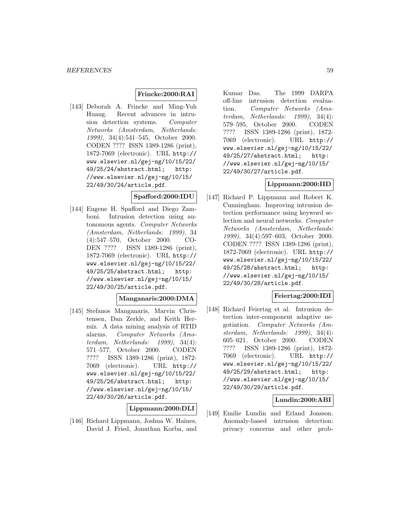## **Frincke:2000:RAI**

[143] Deborah A. Frincke and Ming-Yuh Huang. Recent advances in intrusion detection systems. Computer Networks (Amsterdam, Netherlands: 1999), 34(4):541–545, October 2000. CODEN ???? ISSN 1389-1286 (print), 1872-7069 (electronic). URL http:// www.elsevier.nl/gej-ng/10/15/22/ 49/25/24/abstract.html; http: //www.elsevier.nl/gej-ng/10/15/ 22/49/30/24/article.pdf.

#### **Spafford:2000:IDU**

[144] Eugene H. Spafford and Diego Zamboni. Intrusion detection using autonomous agents. Computer Networks (Amsterdam, Netherlands: 1999), 34 (4):547–570, October 2000. CO-DEN ???? ISSN 1389-1286 (print), 1872-7069 (electronic). URL http:// www.elsevier.nl/gej-ng/10/15/22/ 49/25/25/abstract.html; http: //www.elsevier.nl/gej-ng/10/15/ 22/49/30/25/article.pdf.

## **Manganaris:2000:DMA**

[145] Stefanos Manganaris, Marvin Christensen, Dan Zerkle, and Keith Hermiz. A data mining analysis of RTID alarms. Computer Networks (Amsterdam, Netherlands: 1999), 34(4): 571–577, October 2000. CODEN ???? ISSN 1389-1286 (print), 1872- 7069 (electronic). URL http:// www.elsevier.nl/gej-ng/10/15/22/ 49/25/26/abstract.html; http: //www.elsevier.nl/gej-ng/10/15/ 22/49/30/26/article.pdf.

**Lippmann:2000:DLI**

[146] Richard Lippmann, Joshua W. Haines, David J. Fried, Jonathan Korba, and

Kumar Das. The 1999 DARPA off-line intrusion detection evaluation. Computer Networks (Amsterdam, Netherlands: 1999), 34(4): 579–595, October 2000. CODEN ???? ISSN 1389-1286 (print), 1872- 7069 (electronic). URL http:// www.elsevier.nl/gej-ng/10/15/22/ 49/25/27/abstract.html; http: //www.elsevier.nl/gej-ng/10/15/ 22/49/30/27/article.pdf.

### **Lippmann:2000:IID**

[147] Richard P. Lippmann and Robert K. Cunningham. Improving intrusion detection performance using keyword selection and neural networks. Computer Networks (Amsterdam, Netherlands: 1999), 34(4):597–603, October 2000. CODEN ???? ISSN 1389-1286 (print), 1872-7069 (electronic). URL http:// www.elsevier.nl/gej-ng/10/15/22/ 49/25/28/abstract.html; http: //www.elsevier.nl/gej-ng/10/15/ 22/49/30/28/article.pdf.

### **Feiertag:2000:IDI**

[148] Richard Feiertag et al. Intrusion detection inter-component adaptive negotiation. Computer Networks (Amsterdam, Netherlands: 1999), 34(4): 605–621, October 2000. CODEN ???? ISSN 1389-1286 (print), 1872- 7069 (electronic). URL http:// www.elsevier.nl/gej-ng/10/15/22/ 49/25/29/abstract.html; http: //www.elsevier.nl/gej-ng/10/15/ 22/49/30/29/article.pdf.

### **Lundin:2000:ABI**

[149] Emilie Lundin and Erland Jonsson. Anomaly-based intrusion detection: privacy concerns and other prob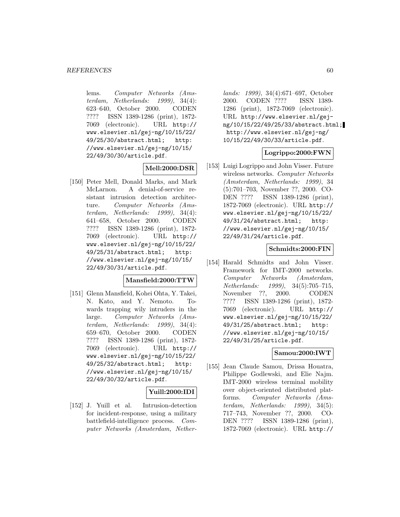lems. Computer Networks (Amsterdam, Netherlands: 1999), 34(4): 623–640, October 2000. CODEN ???? ISSN 1389-1286 (print), 1872- 7069 (electronic). URL http:// www.elsevier.nl/gej-ng/10/15/22/ 49/25/30/abstract.html; http: //www.elsevier.nl/gej-ng/10/15/ 22/49/30/30/article.pdf.

## **Mell:2000:DSR**

[150] Peter Mell, Donald Marks, and Mark McLarnon. A denial-of-service resistant intrusion detection architecture. Computer Networks (Amsterdam, Netherlands: 1999), 34(4): 641–658, October 2000. CODEN ???? ISSN 1389-1286 (print), 1872- 7069 (electronic). URL http:// www.elsevier.nl/gej-ng/10/15/22/ 49/25/31/abstract.html; http: //www.elsevier.nl/gej-ng/10/15/ 22/49/30/31/article.pdf.

### **Mansfield:2000:TTW**

[151] Glenn Mansfield, Kohei Ohta, Y. Takei, N. Kato, and Y. Nemoto. Towards trapping wily intruders in the large. Computer Networks (Amsterdam, Netherlands: 1999), 34(4): 659–670, October 2000. CODEN ???? ISSN 1389-1286 (print), 1872- 7069 (electronic). URL http:// www.elsevier.nl/gej-ng/10/15/22/ 49/25/32/abstract.html; http: //www.elsevier.nl/gej-ng/10/15/ 22/49/30/32/article.pdf.

### **Yuill:2000:IDI**

[152] J. Yuill et al. Intrusion-detection for incident-response, using a military battlefield-intelligence process. Computer Networks (Amsterdam, Nether-

lands: 1999), 34(4):671–697, October 2000. CODEN ???? ISSN 1389- 1286 (print), 1872-7069 (electronic). URL http://www.elsevier.nl/gejng/10/15/22/49/25/33/abstract.html; http://www.elsevier.nl/gej-ng/ 10/15/22/49/30/33/article.pdf.

### **Logrippo:2000:FWN**

[153] Luigi Logrippo and John Visser. Future wireless networks. Computer Networks (Amsterdam, Netherlands: 1999), 34 (5):701–703, November ??, 2000. CO-DEN ???? ISSN 1389-1286 (print), 1872-7069 (electronic). URL http:// www.elsevier.nl/gej-ng/10/15/22/ 49/31/24/abstract.html; http: //www.elsevier.nl/gej-ng/10/15/ 22/49/31/24/article.pdf.

### **Schmidts:2000:FIN**

[154] Harald Schmidts and John Visser. Framework for IMT-2000 networks. Computer Networks (Amsterdam, Netherlands: 1999), 34(5):705–715, November ??, 2000. CODEN ???? ISSN 1389-1286 (print), 1872- 7069 (electronic). URL http:// www.elsevier.nl/gej-ng/10/15/22/ 49/31/25/abstract.html; http: //www.elsevier.nl/gej-ng/10/15/ 22/49/31/25/article.pdf.

### **Samou:2000:IWT**

[155] Jean Claude Samou, Drissa Houatra, Philippe Godlewski, and Elie Najm. IMT-2000 wireless terminal mobility over object-oriented distributed platforms. Computer Networks (Amsterdam, Netherlands: 1999), 34(5): 717–743, November ??, 2000. CO-DEN ???? ISSN 1389-1286 (print), 1872-7069 (electronic). URL http://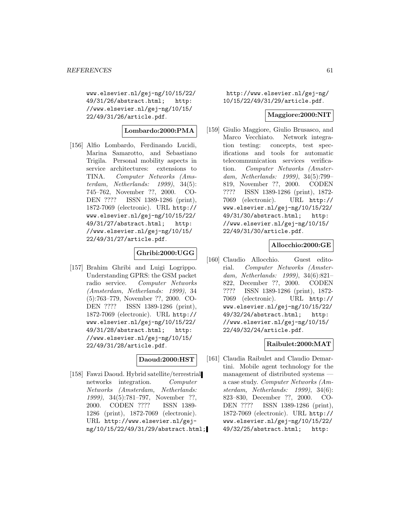www.elsevier.nl/gej-ng/10/15/22/ 49/31/26/abstract.html; http: //www.elsevier.nl/gej-ng/10/15/ 22/49/31/26/article.pdf.

## **Lombardo:2000:PMA**

[156] Alfio Lombardo, Ferdinando Lucidi, Marina Samarotto, and Sebastiano Trigila. Personal mobility aspects in service architectures: extensions to TINA. Computer Networks (Amsterdam, Netherlands: 1999), 34(5): 745–762, November ??, 2000. CO-DEN ???? ISSN 1389-1286 (print), 1872-7069 (electronic). URL http:// www.elsevier.nl/gej-ng/10/15/22/ 49/31/27/abstract.html; http: //www.elsevier.nl/gej-ng/10/15/ 22/49/31/27/article.pdf.

## **Ghribi:2000:UGG**

[157] Brahim Ghribi and Luigi Logrippo. Understanding GPRS: the GSM packet radio service. Computer Networks (Amsterdam, Netherlands: 1999), 34 (5):763–779, November ??, 2000. CO-DEN ???? ISSN 1389-1286 (print), 1872-7069 (electronic). URL http:// www.elsevier.nl/gej-ng/10/15/22/ 49/31/28/abstract.html; http: //www.elsevier.nl/gej-ng/10/15/ 22/49/31/28/article.pdf.

### **Daoud:2000:HST**

[158] Fawzi Daoud. Hybrid satellite/terrestrial networks integration. Computer Networks (Amsterdam, Netherlands: 1999), 34(5):781–797, November ??, 2000. CODEN ???? ISSN 1389- 1286 (print), 1872-7069 (electronic). URL http://www.elsevier.nl/gejng/10/15/22/49/31/29/abstract.html;

http://www.elsevier.nl/gej-ng/ 10/15/22/49/31/29/article.pdf.

#### **Maggiore:2000:NIT**

[159] Giulio Maggiore, Giulio Brusasco, and Marco Vecchiato. Network integration testing: concepts, test specifications and tools for automatic telecommunication services verification. Computer Networks (Amsterdam, Netherlands: 1999), 34(5):799– 819, November ??, 2000. CODEN ???? ISSN 1389-1286 (print), 1872- 7069 (electronic). URL http:// www.elsevier.nl/gej-ng/10/15/22/ 49/31/30/abstract.html; http: //www.elsevier.nl/gej-ng/10/15/ 22/49/31/30/article.pdf.

### **Allocchio:2000:GE**

[160] Claudio Allocchio. Guest editorial. Computer Networks (Amsterdam, Netherlands: 1999), 34(6):821– 822, December ??, 2000. CODEN ???? ISSN 1389-1286 (print), 1872- 7069 (electronic). URL http:// www.elsevier.nl/gej-ng/10/15/22/ 49/32/24/abstract.html; http: //www.elsevier.nl/gej-ng/10/15/ 22/49/32/24/article.pdf.

### **Raibulet:2000:MAT**

[161] Claudia Raibulet and Claudio Demartini. Mobile agent technology for the management of distributed systems a case study. Computer Networks (Amsterdam, Netherlands: 1999), 34(6): 823–830, December ??, 2000. CO-DEN ???? ISSN 1389-1286 (print), 1872-7069 (electronic). URL http:// www.elsevier.nl/gej-ng/10/15/22/ 49/32/25/abstract.html; http: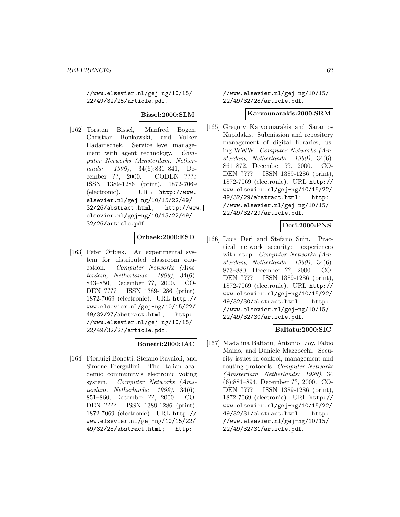//www.elsevier.nl/gej-ng/10/15/ 22/49/32/25/article.pdf.

**Bissel:2000:SLM**

[162] Torsten Bissel, Manfred Bogen, Christian Bonkowski, and Volker Hadamschek. Service level management with agent technology. Computer Networks (Amsterdam, Netherlands: 1999), 34(6):831–841, December ??, 2000. CODEN ???? ISSN 1389-1286 (print), 1872-7069 (electronic). URL http://www. elsevier.nl/gej-ng/10/15/22/49/ 32/26/abstract.html; http://www. elsevier.nl/gej-ng/10/15/22/49/ 32/26/article.pdf.

## **Orbaek:2000:ESD**

[163] Peter Ørbæk. An experimental system for distributed classroom education. Computer Networks (Amsterdam, Netherlands: 1999), 34(6): 843–850, December ??, 2000. CO-DEN ???? ISSN 1389-1286 (print), 1872-7069 (electronic). URL http:// www.elsevier.nl/gej-ng/10/15/22/ 49/32/27/abstract.html; http: //www.elsevier.nl/gej-ng/10/15/ 22/49/32/27/article.pdf.

## **Bonetti:2000:IAC**

[164] Pierluigi Bonetti, Stefano Ravaioli, and Simone Piergallini. The Italian academic community's electronic voting system. Computer Networks (Amsterdam, Netherlands:  $1999$ ,  $34(6)$ : 851–860, December ??, 2000. CO-DEN ???? ISSN 1389-1286 (print), 1872-7069 (electronic). URL http:// www.elsevier.nl/gej-ng/10/15/22/ 49/32/28/abstract.html; http:

//www.elsevier.nl/gej-ng/10/15/ 22/49/32/28/article.pdf.

#### **Karvounarakis:2000:SRM**

[165] Gregory Karvounarakis and Sarantos Kapidakis. Submission and repository management of digital libraries, using WWW. Computer Networks (Amsterdam, Netherlands: 1999), 34(6): 861–872, December ??, 2000. CO-DEN ???? ISSN 1389-1286 (print), 1872-7069 (electronic). URL http:// www.elsevier.nl/gej-ng/10/15/22/ 49/32/29/abstract.html; http: //www.elsevier.nl/gej-ng/10/15/ 22/49/32/29/article.pdf.

# **Deri:2000:PNS**

[166] Luca Deri and Stefano Suin. Practical network security: experiences with ntop. Computer Networks (Amsterdam, Netherlands: 1999), 34(6): 873–880, December ??, 2000. CO-DEN ???? ISSN 1389-1286 (print), 1872-7069 (electronic). URL http:// www.elsevier.nl/gej-ng/10/15/22/ 49/32/30/abstract.html; http: //www.elsevier.nl/gej-ng/10/15/ 22/49/32/30/article.pdf.

### **Baltatu:2000:SIC**

[167] Madalina Baltatu, Antonio Lioy, Fabio Maino, and Daniele Mazzocchi. Security issues in control, management and routing protocols. Computer Networks (Amsterdam, Netherlands: 1999), 34 (6):881–894, December ??, 2000. CO-DEN ???? ISSN 1389-1286 (print), 1872-7069 (electronic). URL http:// www.elsevier.nl/gej-ng/10/15/22/ 49/32/31/abstract.html; http: //www.elsevier.nl/gej-ng/10/15/ 22/49/32/31/article.pdf.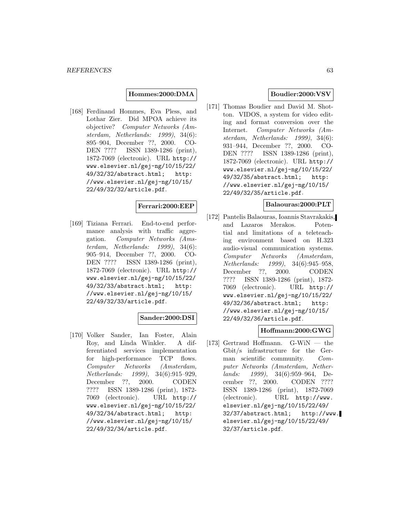#### **Hommes:2000:DMA**

[168] Ferdinand Hommes, Eva Pless, and Lothar Zier. Did MPOA achieve its objective? Computer Networks (Amsterdam, Netherlands: 1999), 34(6): 895–904, December ??, 2000. CO-DEN ???? ISSN 1389-1286 (print), 1872-7069 (electronic). URL http:// www.elsevier.nl/gej-ng/10/15/22/ 49/32/32/abstract.html; http: //www.elsevier.nl/gej-ng/10/15/ 22/49/32/32/article.pdf.

### **Ferrari:2000:EEP**

[169] Tiziana Ferrari. End-to-end performance analysis with traffic aggregation. Computer Networks (Amsterdam, Netherlands: 1999), 34(6): 905–914, December ??, 2000. CO-DEN ???? ISSN 1389-1286 (print), 1872-7069 (electronic). URL http:// www.elsevier.nl/gej-ng/10/15/22/ 49/32/33/abstract.html; http: //www.elsevier.nl/gej-ng/10/15/ 22/49/32/33/article.pdf.

### **Sander:2000:DSI**

[170] Volker Sander, Ian Foster, Alain Roy, and Linda Winkler. A differentiated services implementation for high-performance TCP flows. Computer Networks (Amsterdam, Netherlands: 1999), 34(6):915–929, December ??, 2000. CODEN ???? ISSN 1389-1286 (print), 1872- 7069 (electronic). URL http:// www.elsevier.nl/gej-ng/10/15/22/ 49/32/34/abstract.html; http: //www.elsevier.nl/gej-ng/10/15/ 22/49/32/34/article.pdf.

## **Boudier:2000:VSV**

[171] Thomas Boudier and David M. Shotton. VIDOS, a system for video editing and format conversion over the Internet. Computer Networks (Amsterdam, Netherlands: 1999), 34(6): 931–944, December ??, 2000. CO-DEN ???? ISSN 1389-1286 (print), 1872-7069 (electronic). URL http:// www.elsevier.nl/gej-ng/10/15/22/ 49/32/35/abstract.html; http: //www.elsevier.nl/gej-ng/10/15/ 22/49/32/35/article.pdf.

### **Balaouras:2000:PLT**

[172] Pantelis Balaouras, Ioannis Stavrakakis, and Lazaros Merakos. Potential and limitations of a teleteaching environment based on H.323 audio-visual communication systems. Computer Networks (Amsterdam, Netherlands: 1999), 34(6):945–958, December ??, 2000. CODEN ???? ISSN 1389-1286 (print), 1872- 7069 (electronic). URL http:// www.elsevier.nl/gej-ng/10/15/22/ 49/32/36/abstract.html; http: //www.elsevier.nl/gej-ng/10/15/ 22/49/32/36/article.pdf.

#### **Hoffmann:2000:GWG**

[173] Gertraud Hoffmann. G-WiN — the Gbit/s infrastructure for the German scientific community. Computer Networks (Amsterdam, Netherlands: 1999), 34(6):959–964, December ??, 2000. CODEN ???? ISSN 1389-1286 (print), 1872-7069 (electronic). URL http://www. elsevier.nl/gej-ng/10/15/22/49/ 32/37/abstract.html; http://www. elsevier.nl/gej-ng/10/15/22/49/ 32/37/article.pdf.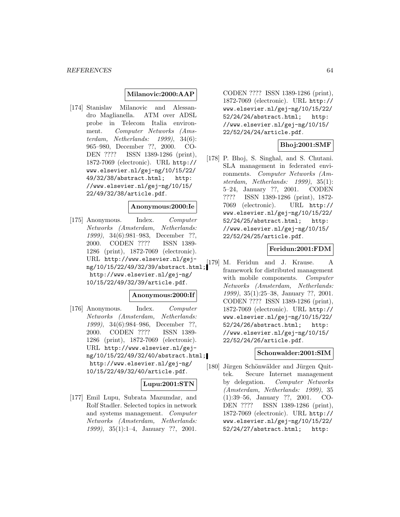#### **Milanovic:2000:AAP**

[174] Stanislav Milanovic and Alessandro Maglianella. ATM over ADSL probe in Telecom Italia environment. Computer Networks (Amsterdam, Netherlands: 1999), 34(6): 965–980, December ??, 2000. CO-DEN ???? ISSN 1389-1286 (print), 1872-7069 (electronic). URL http:// www.elsevier.nl/gej-ng/10/15/22/ 49/32/38/abstract.html; http: //www.elsevier.nl/gej-ng/10/15/ 22/49/32/38/article.pdf.

#### **Anonymous:2000:Ie**

[175] Anonymous. Index. Computer Networks (Amsterdam, Netherlands: 1999), 34(6):981–983, December ??, 2000. CODEN ???? ISSN 1389- 1286 (print), 1872-7069 (electronic). URL http://www.elsevier.nl/gejng/10/15/22/49/32/39/abstract.html; http://www.elsevier.nl/gej-ng/ 10/15/22/49/32/39/article.pdf.

#### **Anonymous:2000:If**

[176] Anonymous. Index. Computer Networks (Amsterdam, Netherlands: 1999), 34(6):984–986, December ??, 2000. CODEN ???? ISSN 1389- 1286 (print), 1872-7069 (electronic). URL http://www.elsevier.nl/gejng/10/15/22/49/32/40/abstract.html; http://www.elsevier.nl/gej-ng/ 10/15/22/49/32/40/article.pdf.

### **Lupu:2001:STN**

[177] Emil Lupu, Subrata Mazumdar, and Rolf Stadler. Selected topics in network and systems management. Computer Networks (Amsterdam, Netherlands: 1999), 35(1):1–4, January ??, 2001.

CODEN ???? ISSN 1389-1286 (print), 1872-7069 (electronic). URL http:// www.elsevier.nl/gej-ng/10/15/22/ 52/24/24/abstract.html; http: //www.elsevier.nl/gej-ng/10/15/ 22/52/24/24/article.pdf.

### **Bhoj:2001:SMF**

[178] P. Bhoj, S. Singhal, and S. Chutani. SLA management in federated environments. Computer Networks (Amsterdam, Netherlands: 1999), 35(1): 5–24, January ??, 2001. CODEN ???? ISSN 1389-1286 (print), 1872- 7069 (electronic). URL http:// www.elsevier.nl/gej-ng/10/15/22/ 52/24/25/abstract.html; http: //www.elsevier.nl/gej-ng/10/15/ 22/52/24/25/article.pdf.

#### **Feridun:2001:FDM**

[179] M. Feridun and J. Krause. A framework for distributed management with mobile components. Computer Networks (Amsterdam, Netherlands: 1999), 35(1):25–38, January ??, 2001. CODEN ???? ISSN 1389-1286 (print), 1872-7069 (electronic). URL http:// www.elsevier.nl/gej-ng/10/15/22/ 52/24/26/abstract.html; http: //www.elsevier.nl/gej-ng/10/15/ 22/52/24/26/article.pdf.

#### **Schonwalder:2001:SIM**

[180] Jürgen Schönwälder and Jürgen Quittek. Secure Internet management by delegation. Computer Networks (Amsterdam, Netherlands: 1999), 35 (1):39–56, January ??, 2001. CO-DEN ???? ISSN 1389-1286 (print), 1872-7069 (electronic). URL http:// www.elsevier.nl/gej-ng/10/15/22/ 52/24/27/abstract.html; http: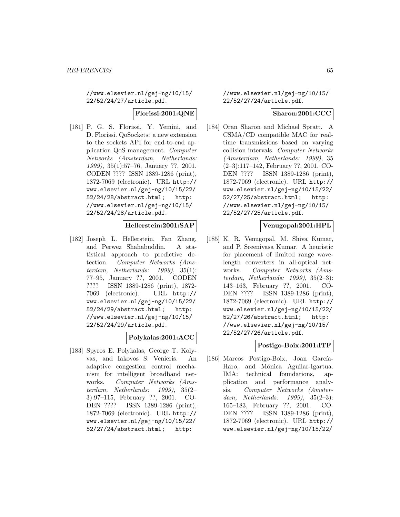//www.elsevier.nl/gej-ng/10/15/ 22/52/24/27/article.pdf.

#### **Florissi:2001:QNE**

[181] P. G. S. Florissi, Y. Yemini, and D. Florissi. QoSockets: a new extension to the sockets API for end-to-end application QoS management. Computer Networks (Amsterdam, Netherlands: 1999), 35(1):57–76, January ??, 2001. CODEN ???? ISSN 1389-1286 (print), 1872-7069 (electronic). URL http:// www.elsevier.nl/gej-ng/10/15/22/ 52/24/28/abstract.html; http: //www.elsevier.nl/gej-ng/10/15/ 22/52/24/28/article.pdf.

## **Hellerstein:2001:SAP**

[182] Joseph L. Hellerstein, Fan Zhang, and Perwez Shahabuddin. A statistical approach to predictive detection. Computer Networks (Amsterdam, Netherlands: 1999), 35(1): 77–95, January ??, 2001. CODEN ???? ISSN 1389-1286 (print), 1872- 7069 (electronic). URL http:// www.elsevier.nl/gej-ng/10/15/22/ 52/24/29/abstract.html; http: //www.elsevier.nl/gej-ng/10/15/ 22/52/24/29/article.pdf.

### **Polykalas:2001:ACC**

[183] Spyros E. Polykalas, George T. Kolyvas, and Iakovos S. Venieris. An adaptive congestion control mechanism for intelligent broadband networks. Computer Networks (Amsterdam, Netherlands: 1999), 35(2– 3):97–115, February ??, 2001. CO-DEN ???? ISSN 1389-1286 (print), 1872-7069 (electronic). URL http:// www.elsevier.nl/gej-ng/10/15/22/ 52/27/24/abstract.html; http:

//www.elsevier.nl/gej-ng/10/15/ 22/52/27/24/article.pdf.

### **Sharon:2001:CCC**

[184] Oran Sharon and Michael Spratt. A CSMA/CD compatible MAC for realtime transmissions based on varying collision intervals. Computer Networks (Amsterdam, Netherlands: 1999), 35 (2–3):117–142, February ??, 2001. CO-DEN ???? ISSN 1389-1286 (print), 1872-7069 (electronic). URL http:// www.elsevier.nl/gej-ng/10/15/22/ 52/27/25/abstract.html; http: //www.elsevier.nl/gej-ng/10/15/ 22/52/27/25/article.pdf.

### **Venugopal:2001:HPL**

[185] K. R. Venugopal, M. Shiva Kumar, and P. Sreenivasa Kumar. A heuristic for placement of limited range wavelength converters in all-optical networks. Computer Networks (Amsterdam, Netherlands: 1999), 35(2–3): 143–163, February ??, 2001. CO-DEN ???? ISSN 1389-1286 (print), 1872-7069 (electronic). URL http:// www.elsevier.nl/gej-ng/10/15/22/ 52/27/26/abstract.html; http: //www.elsevier.nl/gej-ng/10/15/ 22/52/27/26/article.pdf.

## **Postigo-Boix:2001:ITF**

[186] Marcos Postigo-Boix, Joan García-Haro, and Mónica Aguilar-Igartua. IMA: technical foundations, application and performance analysis. Computer Networks (Amsterdam, Netherlands: 1999), 35(2–3): 165–183, February ??, 2001. CO-DEN ???? ISSN 1389-1286 (print), 1872-7069 (electronic). URL http:// www.elsevier.nl/gej-ng/10/15/22/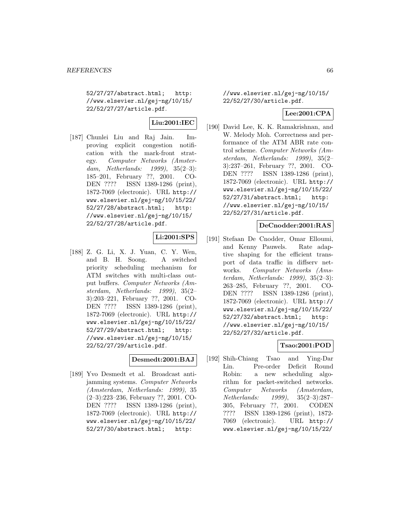52/27/27/abstract.html; http: //www.elsevier.nl/gej-ng/10/15/ 22/52/27/27/article.pdf.

# **Liu:2001:IEC**

[187] Chunlei Liu and Raj Jain. Improving explicit congestion notification with the mark-front strategy. Computer Networks (Amsterdam, Netherlands: 1999), 35(2–3): 185–201, February ??, 2001. CO-DEN ???? ISSN 1389-1286 (print), 1872-7069 (electronic). URL http:// www.elsevier.nl/gej-ng/10/15/22/ 52/27/28/abstract.html; http: //www.elsevier.nl/gej-ng/10/15/ 22/52/27/28/article.pdf.

# **Li:2001:SPS**

[188] Z. G. Li, X. J. Yuan, C. Y. Wen, and B. H. Soong. A switched priority scheduling mechanism for ATM switches with multi-class output buffers. Computer Networks (Amsterdam, Netherlands: 1999), 35(2– 3):203–221, February ??, 2001. CO-DEN ???? ISSN 1389-1286 (print), 1872-7069 (electronic). URL http:// www.elsevier.nl/gej-ng/10/15/22/ 52/27/29/abstract.html; http: //www.elsevier.nl/gej-ng/10/15/ 22/52/27/29/article.pdf.

### **Desmedt:2001:BAJ**

[189] Yvo Desmedt et al. Broadcast antijamming systems. Computer Networks (Amsterdam, Netherlands: 1999), 35 (2–3):223–236, February ??, 2001. CO-DEN ???? ISSN 1389-1286 (print), 1872-7069 (electronic). URL http:// www.elsevier.nl/gej-ng/10/15/22/ 52/27/30/abstract.html; http:

//www.elsevier.nl/gej-ng/10/15/ 22/52/27/30/article.pdf.

## **Lee:2001:CPA**

[190] David Lee, K. K. Ramakrishnan, and W. Melody Moh. Correctness and performance of the ATM ABR rate control scheme. Computer Networks (Amsterdam, Netherlands: 1999), 35(2– 3):237–261, February ??, 2001. CO-DEN ???? ISSN 1389-1286 (print), 1872-7069 (electronic). URL http:// www.elsevier.nl/gej-ng/10/15/22/ 52/27/31/abstract.html; http: //www.elsevier.nl/gej-ng/10/15/ 22/52/27/31/article.pdf.

### **DeCnodder:2001:RAS**

[191] Stefaan De Cnodder, Omar Elloumi, and Kenny Pauwels. Rate adaptive shaping for the efficient transport of data traffic in diffserv networks. Computer Networks (Amsterdam, Netherlands: 1999), 35(2–3): 263–285, February ??, 2001. CO-DEN ???? ISSN 1389-1286 (print), 1872-7069 (electronic). URL http:// www.elsevier.nl/gej-ng/10/15/22/ 52/27/32/abstract.html; http: //www.elsevier.nl/gej-ng/10/15/ 22/52/27/32/article.pdf.

## **Tsao:2001:POD**

[192] Shih-Chiang Tsao and Ying-Dar Lin. Pre-order Deficit Round Robin: a new scheduling algorithm for packet-switched networks. Computer Networks (Amsterdam, Netherlands: 1999), 35(2–3):287– 305, February ??, 2001. CODEN ???? ISSN 1389-1286 (print), 1872- 7069 (electronic). URL http:// www.elsevier.nl/gej-ng/10/15/22/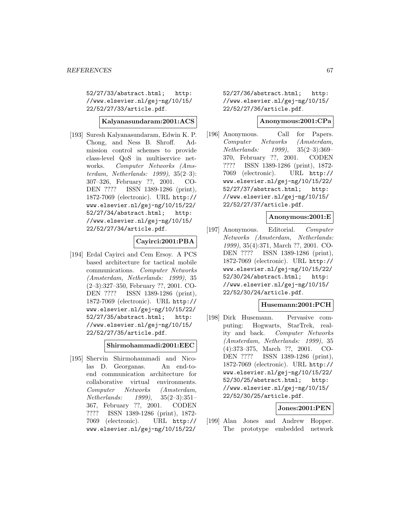52/27/33/abstract.html; http: //www.elsevier.nl/gej-ng/10/15/ 22/52/27/33/article.pdf.

**Kalyanasundaram:2001:ACS**

[193] Suresh Kalyanasundaram, Edwin K. P. Chong, and Ness B. Shroff. Admission control schemes to provide class-level QoS in multiservice networks. Computer Networks (Amsterdam, Netherlands: 1999), 35(2–3): 307–326, February ??, 2001. CO-DEN ???? ISSN 1389-1286 (print), 1872-7069 (electronic). URL http:// www.elsevier.nl/gej-ng/10/15/22/ 52/27/34/abstract.html; http: //www.elsevier.nl/gej-ng/10/15/ 22/52/27/34/article.pdf.

### **Cayirci:2001:PBA**

[194] Erdal Cayirci and Cem Ersoy. A PCS based architecture for tactical mobile communications. Computer Networks (Amsterdam, Netherlands: 1999), 35 (2–3):327–350, February ??, 2001. CO-DEN ???? ISSN 1389-1286 (print), 1872-7069 (electronic). URL http:// www.elsevier.nl/gej-ng/10/15/22/ 52/27/35/abstract.html; http: //www.elsevier.nl/gej-ng/10/15/ 22/52/27/35/article.pdf.

#### **Shirmohammadi:2001:EEC**

[195] Shervin Shirmohammadi and Nicolas D. Georganas. An end-toend communication architecture for collaborative virtual environments. Computer Networks (Amsterdam, Netherlands: 1999), 35(2–3):351– 367, February ??, 2001. CODEN ???? ISSN 1389-1286 (print), 1872- 7069 (electronic). URL http:// www.elsevier.nl/gej-ng/10/15/22/

52/27/36/abstract.html; http: //www.elsevier.nl/gej-ng/10/15/ 22/52/27/36/article.pdf.

## **Anonymous:2001:CPa**

[196] Anonymous. Call for Papers. Computer Networks (Amsterdam, Netherlands: 1999), 35(2–3):369– 370, February ??, 2001. CODEN ???? ISSN 1389-1286 (print), 1872- 7069 (electronic). URL http:// www.elsevier.nl/gej-ng/10/15/22/ 52/27/37/abstract.html; http: //www.elsevier.nl/gej-ng/10/15/ 22/52/27/37/article.pdf.

#### **Anonymous:2001:E**

[197] Anonymous. Editorial. Computer Networks (Amsterdam, Netherlands: 1999), 35(4):371, March ??, 2001. CO-DEN ???? ISSN 1389-1286 (print), 1872-7069 (electronic). URL http:// www.elsevier.nl/gej-ng/10/15/22/ 52/30/24/abstract.html; http: //www.elsevier.nl/gej-ng/10/15/ 22/52/30/24/article.pdf.

### **Husemann:2001:PCH**

[198] Dirk Husemann. Pervasive computing: Hogwarts, StarTrek, reality and back. Computer Networks (Amsterdam, Netherlands: 1999), 35 (4):373–375, March ??, 2001. CO-DEN ???? ISSN 1389-1286 (print), 1872-7069 (electronic). URL http:// www.elsevier.nl/gej-ng/10/15/22/ 52/30/25/abstract.html; http: //www.elsevier.nl/gej-ng/10/15/ 22/52/30/25/article.pdf.

### **Jones:2001:PEN**

[199] Alan Jones and Andrew Hopper. The prototype embedded network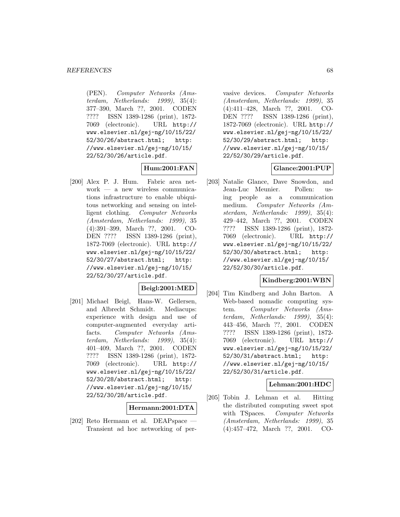(PEN). Computer Networks (Amsterdam, Netherlands: 1999), 35(4): 377–390, March ??, 2001. CODEN ???? ISSN 1389-1286 (print), 1872- 7069 (electronic). URL http:// www.elsevier.nl/gej-ng/10/15/22/ 52/30/26/abstract.html; http: //www.elsevier.nl/gej-ng/10/15/ 22/52/30/26/article.pdf.

# **Hum:2001:FAN**

[200] Alex P. J. Hum. Fabric area network — a new wireless communications infrastructure to enable ubiquitous networking and sensing on intelligent clothing. Computer Networks (Amsterdam, Netherlands: 1999), 35 (4):391–399, March ??, 2001. CO-DEN ???? ISSN 1389-1286 (print), 1872-7069 (electronic). URL http:// www.elsevier.nl/gej-ng/10/15/22/ 52/30/27/abstract.html; http: //www.elsevier.nl/gej-ng/10/15/ 22/52/30/27/article.pdf.

### **Beigl:2001:MED**

[201] Michael Beigl, Hans-W. Gellersen, and Albrecht Schmidt. Mediacups: experience with design and use of computer-augmented everyday artifacts. Computer Networks (Amsterdam, Netherlands: 1999), 35(4): 401–409, March ??, 2001. CODEN ???? ISSN 1389-1286 (print), 1872- 7069 (electronic). URL http:// www.elsevier.nl/gej-ng/10/15/22/ 52/30/28/abstract.html; http: //www.elsevier.nl/gej-ng/10/15/ 22/52/30/28/article.pdf.

### **Hermann:2001:DTA**

[202] Reto Hermann et al. DEAPspace — Transient ad hoc networking of per-

vasive devices. Computer Networks (Amsterdam, Netherlands: 1999), 35 (4):411–428, March ??, 2001. CO-DEN ???? ISSN 1389-1286 (print), 1872-7069 (electronic). URL http:// www.elsevier.nl/gej-ng/10/15/22/ 52/30/29/abstract.html; http: //www.elsevier.nl/gej-ng/10/15/ 22/52/30/29/article.pdf.

### **Glance:2001:PUP**

[203] Natalie Glance, Dave Snowdon, and Jean-Luc Meunier. Pollen: using people as a communication medium. Computer Networks (Amsterdam, Netherlands: 1999), 35(4): 429–442, March ??, 2001. CODEN ???? ISSN 1389-1286 (print), 1872- 7069 (electronic). URL http:// www.elsevier.nl/gej-ng/10/15/22/ 52/30/30/abstract.html; http: //www.elsevier.nl/gej-ng/10/15/ 22/52/30/30/article.pdf.

#### **Kindberg:2001:WBN**

[204] Tim Kindberg and John Barton. A Web-based nomadic computing system. Computer Networks (Amsterdam, Netherlands: 1999), 35(4): 443–456, March ??, 2001. CODEN ???? ISSN 1389-1286 (print), 1872- 7069 (electronic). URL http:// www.elsevier.nl/gej-ng/10/15/22/ 52/30/31/abstract.html; http: //www.elsevier.nl/gej-ng/10/15/ 22/52/30/31/article.pdf.

### **Lehman:2001:HDC**

[205] Tobin J. Lehman et al. Hitting the distributed computing sweet spot with TSpaces. Computer Networks (Amsterdam, Netherlands: 1999), 35 (4):457–472, March ??, 2001. CO-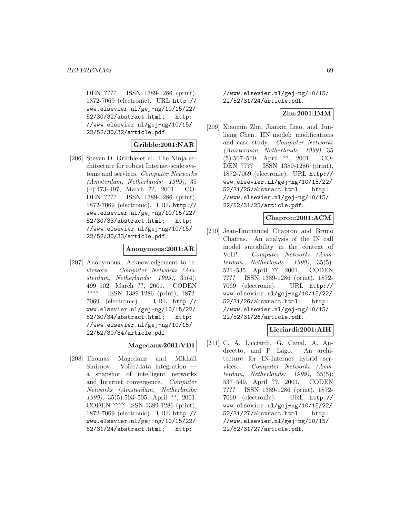DEN ???? ISSN 1389-1286 (print), 1872-7069 (electronic). URL http:// www.elsevier.nl/gej-ng/10/15/22/ 52/30/32/abstract.html; http: //www.elsevier.nl/gej-ng/10/15/ 22/52/30/32/article.pdf.

#### **Gribble:2001:NAR**

[206] Steven D. Gribble et al. The Ninja architecture for robust Internet-scale systems and services. Computer Networks (Amsterdam, Netherlands: 1999), 35 (4):473–497, March ??, 2001. CO-DEN ???? ISSN 1389-1286 (print), 1872-7069 (electronic). URL http:// www.elsevier.nl/gej-ng/10/15/22/ 52/30/33/abstract.html; http: //www.elsevier.nl/gej-ng/10/15/ 22/52/30/33/article.pdf.

#### **Anonymous:2001:AR**

[207] Anonymous. Acknowledgement to reviewers. Computer Networks (Amsterdam, Netherlands: 1999), 35(4): 499–502, March ??, 2001. CODEN ???? ISSN 1389-1286 (print), 1872- 7069 (electronic). URL http:// www.elsevier.nl/gej-ng/10/15/22/ 52/30/34/abstract.html; http: //www.elsevier.nl/gej-ng/10/15/ 22/52/30/34/article.pdf.

### **Magedanz:2001:VDI**

[208] Thomas Magedanz and Mikhail Smirnov. Voice/data integration a snapshot of intelligent networks and Internet convergence. Computer Networks (Amsterdam, Netherlands: 1999), 35(5):503–505, April ??, 2001. CODEN ???? ISSN 1389-1286 (print), 1872-7069 (electronic). URL http:// www.elsevier.nl/gej-ng/10/15/22/ 52/31/24/abstract.html; http:

//www.elsevier.nl/gej-ng/10/15/ 22/52/31/24/article.pdf.

### **Zhu:2001:IMM**

[209] Xiaomin Zhu, Jianxin Liao, and Junliang Chen. IIN model: modifications and case study. Computer Networks (Amsterdam, Netherlands: 1999), 35 (5):507–519, April ??, 2001. CO-DEN ???? ISSN 1389-1286 (print), 1872-7069 (electronic). URL http:// www.elsevier.nl/gej-ng/10/15/22/ 52/31/25/abstract.html; http: //www.elsevier.nl/gej-ng/10/15/ 22/52/31/25/article.pdf.

### **Chapron:2001:ACM**

[210] Jean-Emmanuel Chapron and Bruno Chatras. An analysis of the IN call model suitability in the context of VoIP. Computer Networks (Amsterdam, Netherlands: 1999), 35(5): 521–535, April ??, 2001. CODEN ???? ISSN 1389-1286 (print), 1872- 7069 (electronic). URL http:// www.elsevier.nl/gej-ng/10/15/22/ 52/31/26/abstract.html; http: //www.elsevier.nl/gej-ng/10/15/ 22/52/31/26/article.pdf.

### **Licciardi:2001:AIH**

[211] C. A. Licciardi, G. Canal, A. Andreetto, and P. Lago. An architecture for IN-Internet hybrid services. Computer Networks (Amsterdam, Netherlands: 1999), 35(5): 537–549, April ??, 2001. CODEN ???? ISSN 1389-1286 (print), 1872- 7069 (electronic). URL http:// www.elsevier.nl/gej-ng/10/15/22/ 52/31/27/abstract.html; http: //www.elsevier.nl/gej-ng/10/15/ 22/52/31/27/article.pdf.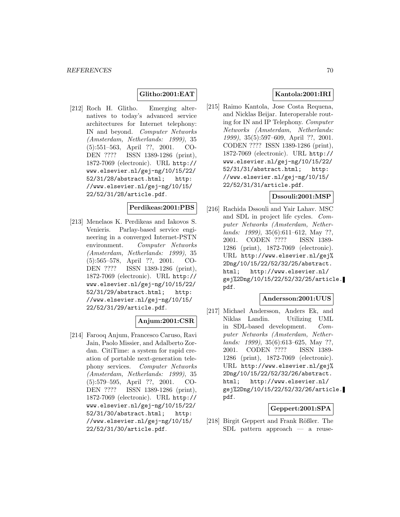## **Glitho:2001:EAT**

[212] Roch H. Glitho. Emerging alternatives to today's advanced service architectures for Internet telephony: IN and beyond. Computer Networks (Amsterdam, Netherlands: 1999), 35 (5):551–563, April ??, 2001. CO-DEN ???? ISSN 1389-1286 (print), 1872-7069 (electronic). URL http:// www.elsevier.nl/gej-ng/10/15/22/ 52/31/28/abstract.html; http: //www.elsevier.nl/gej-ng/10/15/ 22/52/31/28/article.pdf.

## **Perdikeas:2001:PBS**

[213] Menelaos K. Perdikeas and Iakovos S. Venieris. Parlay-based service engineering in a converged Internet-PSTN environment. Computer Networks (Amsterdam, Netherlands: 1999), 35 (5):565–578, April ??, 2001. CO-DEN ???? ISSN 1389-1286 (print), 1872-7069 (electronic). URL http:// www.elsevier.nl/gej-ng/10/15/22/ 52/31/29/abstract.html; http: //www.elsevier.nl/gej-ng/10/15/ 22/52/31/29/article.pdf.

### **Anjum:2001:CSR**

[214] Farooq Anjum, Francesco Caruso, Ravi Jain, Paolo Missier, and Adalberto Zordan. CitiTime: a system for rapid creation of portable next-generation telephony services. Computer Networks (Amsterdam, Netherlands: 1999), 35 (5):579–595, April ??, 2001. CO-DEN ???? ISSN 1389-1286 (print), 1872-7069 (electronic). URL http:// www.elsevier.nl/gej-ng/10/15/22/ 52/31/30/abstract.html; http: //www.elsevier.nl/gej-ng/10/15/ 22/52/31/30/article.pdf.

## **Kantola:2001:IRI**

[215] Raimo Kantola, Jose Costa Requena, and Nicklas Beijar. Interoperable routing for IN and IP Telephony. Computer Networks (Amsterdam, Netherlands: 1999), 35(5):597–609, April ??, 2001. CODEN ???? ISSN 1389-1286 (print), 1872-7069 (electronic). URL http:// www.elsevier.nl/gej-ng/10/15/22/ 52/31/31/abstract.html; http: //www.elsevier.nl/gej-ng/10/15/ 22/52/31/31/article.pdf.

### **Dssouli:2001:MSP**

[216] Rachida Dssouli and Yair Lahav. MSC and SDL in project life cycles. Computer Networks (Amsterdam, Netherlands: 1999), 35(6):611–612, May ??, 2001. CODEN ???? ISSN 1389- 1286 (print), 1872-7069 (electronic). URL http://www.elsevier.nl/gej% 2Dng/10/15/22/52/32/25/abstract. html; http://www.elsevier.nl/ gej%2Dng/10/15/22/52/32/25/article. pdf.

### **Andersson:2001:UUS**

[217] Michael Andersson, Anders Ek, and Niklas Landin. Utilizing UML in SDL-based development. Computer Networks (Amsterdam, Netherlands: 1999), 35(6):613–625, May ??, 2001. CODEN ???? ISSN 1389- 1286 (print), 1872-7069 (electronic). URL http://www.elsevier.nl/gej% 2Dng/10/15/22/52/32/26/abstract. html; http://www.elsevier.nl/ gej%2Dng/10/15/22/52/32/26/article. pdf.

# **Geppert:2001:SPA**

[218] Birgit Geppert and Frank Rößler. The SDL pattern approach — a reuse-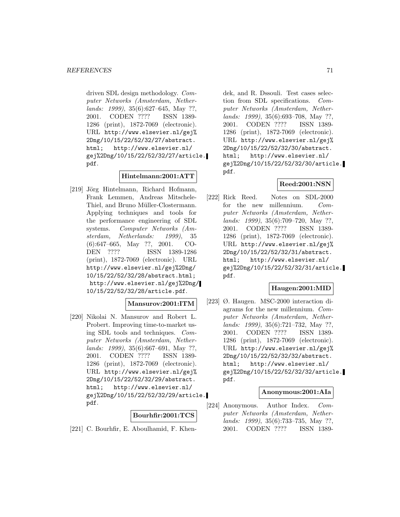driven SDL design methodology. Computer Networks (Amsterdam, Netherlands: 1999), 35(6):627–645, May ??, 2001. CODEN ???? ISSN 1389- 1286 (print), 1872-7069 (electronic). URL http://www.elsevier.nl/gej% 2Dng/10/15/22/52/32/27/abstract. html; http://www.elsevier.nl/ gej%2Dng/10/15/22/52/32/27/article. pdf.

### **Hintelmann:2001:ATT**

[219] Jörg Hintelmann, Richard Hofmann, Frank Lemmen, Andreas Mitschele-Thiel, and Bruno Müller-Clostermann. Applying techniques and tools for the performance engineering of SDL systems. Computer Networks (Amsterdam, Netherlands: 1999), 35 (6):647–665, May ??, 2001. CO-DEN ???? ISSN 1389-1286 (print), 1872-7069 (electronic). URL http://www.elsevier.nl/gej%2Dng/ 10/15/22/52/32/28/abstract.html; http://www.elsevier.nl/gej%2Dng/ 10/15/22/52/32/28/article.pdf.

### **Mansurov:2001:ITM**

[220] Nikolai N. Mansurov and Robert L. Probert. Improving time-to-market using SDL tools and techniques. Computer Networks (Amsterdam, Netherlands: 1999), 35(6):667–691, May ??, 2001. CODEN ???? ISSN 1389- 1286 (print), 1872-7069 (electronic). URL http://www.elsevier.nl/gej% 2Dng/10/15/22/52/32/29/abstract. html; http://www.elsevier.nl/ gej%2Dng/10/15/22/52/32/29/article. pdf.

### **Bourhfir:2001:TCS**

[221] C. Bourhfir, E. Aboulhamid, F. Khen-

dek, and R. Dssouli. Test cases selection from SDL specifications. Computer Networks (Amsterdam, Netherlands: 1999), 35(6):693–708, May ??, 2001. CODEN ???? ISSN 1389- 1286 (print), 1872-7069 (electronic). URL http://www.elsevier.nl/gej% 2Dng/10/15/22/52/32/30/abstract. html; http://www.elsevier.nl/ gej%2Dng/10/15/22/52/32/30/article. pdf.

# **Reed:2001:NSN**

[222] Rick Reed. Notes on SDL-2000 for the new millennium. Computer Networks (Amsterdam, Netherlands: 1999), 35(6):709–720, May ??, 2001. CODEN ???? ISSN 1389- 1286 (print), 1872-7069 (electronic). URL http://www.elsevier.nl/gej% 2Dng/10/15/22/52/32/31/abstract. html; http://www.elsevier.nl/ gej%2Dng/10/15/22/52/32/31/article. pdf.

### **Haugen:2001:MID**

[223] Ø. Haugen. MSC-2000 interaction diagrams for the new millennium. Computer Networks (Amsterdam, Netherlands: 1999), 35(6):721–732, May ??, 2001. CODEN ???? ISSN 1389- 1286 (print), 1872-7069 (electronic). URL http://www.elsevier.nl/gej% 2Dng/10/15/22/52/32/32/abstract. html; http://www.elsevier.nl/ gej%2Dng/10/15/22/52/32/32/article. pdf.

### **Anonymous:2001:AIa**

[224] Anonymous. Author Index. Computer Networks (Amsterdam, Netherlands: 1999), 35(6):733–735, May ??, 2001. CODEN ???? ISSN 1389-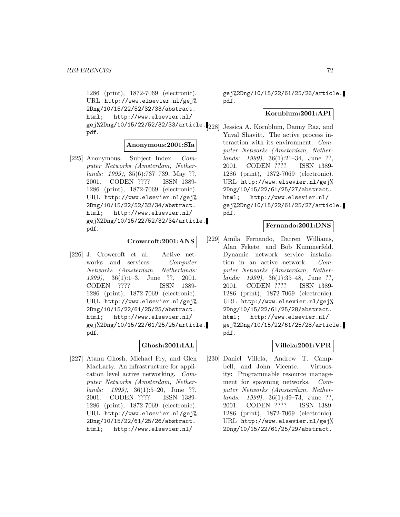1286 (print), 1872-7069 (electronic). URL http://www.elsevier.nl/gej% 2Dng/10/15/22/52/32/33/abstract. html; http://www.elsevier.nl/ gej%2Dng/10/15/22/52/32/33/article. [228] Jessica A. Kornblum, Danny Raz, and pdf.

#### **Anonymous:2001:SIa**

[225] Anonymous. Subject Index. Computer Networks (Amsterdam, Netherlands: 1999), 35(6):737–739, May ??, 2001. CODEN ???? ISSN 1389- 1286 (print), 1872-7069 (electronic). URL http://www.elsevier.nl/gej% 2Dng/10/15/22/52/32/34/abstract. html; http://www.elsevier.nl/ gej%2Dng/10/15/22/52/32/34/article. pdf.

#### **Crowcroft:2001:ANS**

[226] J. Crowcroft et al. Active networks and services. Computer Networks (Amsterdam, Netherlands: 1999), 36(1):1–3, June ??, 2001. CODEN ???? ISSN 1389- 1286 (print), 1872-7069 (electronic). URL http://www.elsevier.nl/gej% 2Dng/10/15/22/61/25/25/abstract. html; http://www.elsevier.nl/ gej%2Dng/10/15/22/61/25/25/article. pdf.

### **Ghosh:2001:IAL**

[227] Atanu Ghosh, Michael Fry, and Glen MacLarty. An infrastructure for application level active networking. Computer Networks (Amsterdam, Netherlands: 1999), 36(1):5–20, June ??, 2001. CODEN ???? ISSN 1389- 1286 (print), 1872-7069 (electronic). URL http://www.elsevier.nl/gej% 2Dng/10/15/22/61/25/26/abstract. html; http://www.elsevier.nl/

gej%2Dng/10/15/22/61/25/26/article. pdf.

#### **Kornblum:2001:API**

Yuval Shavitt. The active process interaction with its environment. Computer Networks (Amsterdam, Netherlands: 1999), 36(1):21–34, June ??, 2001. CODEN ???? ISSN 1389- 1286 (print), 1872-7069 (electronic). URL http://www.elsevier.nl/gej% 2Dng/10/15/22/61/25/27/abstract. html; http://www.elsevier.nl/ gej%2Dng/10/15/22/61/25/27/article. pdf.

### **Fernando:2001:DNS**

[229] Amila Fernando, Darren Williams, Alan Fekete, and Bob Kummerfeld. Dynamic network service installation in an active network. Computer Networks (Amsterdam, Nether*lands: 1999)*, 36(1):35–48, June ??,<br>2001. CODEN ???? ISSN 1389-2001. CODEN ???? ISSN 1389- 1286 (print), 1872-7069 (electronic). URL http://www.elsevier.nl/gej% 2Dng/10/15/22/61/25/28/abstract. html; http://www.elsevier.nl/ gej%2Dng/10/15/22/61/25/28/article. pdf.

### **Villela:2001:VPR**

[230] Daniel Villela, Andrew T. Campbell, and John Vicente. Virtuosity: Programmable resource management for spawning networks. Computer Networks (Amsterdam, Netherlands: 1999), 36(1):49–73, June ??, 2001. CODEN ???? ISSN 1389- 1286 (print), 1872-7069 (electronic). URL http://www.elsevier.nl/gej% 2Dng/10/15/22/61/25/29/abstract.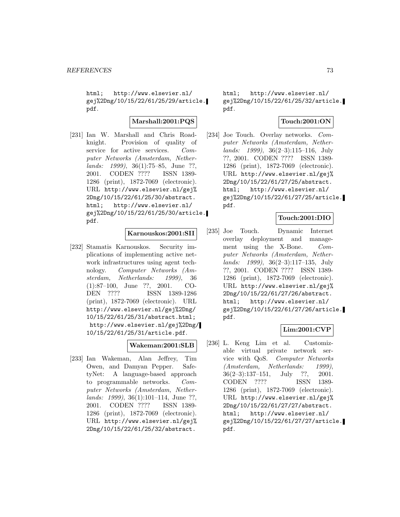html; http://www.elsevier.nl/ gej%2Dng/10/15/22/61/25/29/article. pdf.

#### **Marshall:2001:PQS**

[231] Ian W. Marshall and Chris Roadknight. Provision of quality of service for active services. Computer Networks (Amsterdam, Netherlands: 1999), 36(1):75–85, June ??, 2001. CODEN ???? ISSN 1389- 1286 (print), 1872-7069 (electronic). URL http://www.elsevier.nl/gej% 2Dng/10/15/22/61/25/30/abstract. html; http://www.elsevier.nl/ gej%2Dng/10/15/22/61/25/30/article. pdf.

# **Karnouskos:2001:SII**

[232] Stamatis Karnouskos. Security implications of implementing active network infrastructures using agent technology. Computer Networks (Amsterdam, Netherlands: 1999), 36 (1):87–100, June ??, 2001. CO-DEN ???? ISSN 1389-1286 (print), 1872-7069 (electronic). URL http://www.elsevier.nl/gej%2Dng/ 10/15/22/61/25/31/abstract.html; http://www.elsevier.nl/gej%2Dng/ 10/15/22/61/25/31/article.pdf.

#### **Wakeman:2001:SLB**

[233] Ian Wakeman, Alan Jeffrey, Tim Owen, and Damyan Pepper. SafetyNet: A language-based approach to programmable networks. Computer Networks (Amsterdam, Netherlands: 1999), 36(1):101–114, June ??, 2001. CODEN ???? ISSN 1389- 1286 (print), 1872-7069 (electronic). URL http://www.elsevier.nl/gej% 2Dng/10/15/22/61/25/32/abstract.

html; http://www.elsevier.nl/ gej%2Dng/10/15/22/61/25/32/article. pdf.

#### **Touch:2001:ON**

[234] Joe Touch. Overlay networks. Computer Networks (Amsterdam, Netherlands: 1999), 36(2–3):115–116, July ??, 2001. CODEN ???? ISSN 1389- 1286 (print), 1872-7069 (electronic). URL http://www.elsevier.nl/gej% 2Dng/10/15/22/61/27/25/abstract. html; http://www.elsevier.nl/ gej%2Dng/10/15/22/61/27/25/article. pdf.

# **Touch:2001:DIO**

[235] Joe Touch. Dynamic Internet overlay deployment and management using the X-Bone. Computer Networks (Amsterdam, Netherlands: 1999), 36(2–3):117–135, July ??, 2001. CODEN ???? ISSN 1389- 1286 (print), 1872-7069 (electronic). URL http://www.elsevier.nl/gej% 2Dng/10/15/22/61/27/26/abstract. html; http://www.elsevier.nl/ gej%2Dng/10/15/22/61/27/26/article. pdf.

## **Lim:2001:CVP**

[236] L. Keng Lim et al. Customizable virtual private network service with QoS. Computer Networks (Amsterdam, Netherlands: 1999), 36(2–3):137–151, July ??, 2001. CODEN ???? ISSN 1389- 1286 (print), 1872-7069 (electronic). URL http://www.elsevier.nl/gej% 2Dng/10/15/22/61/27/27/abstract. html; http://www.elsevier.nl/ gej%2Dng/10/15/22/61/27/27/article. pdf.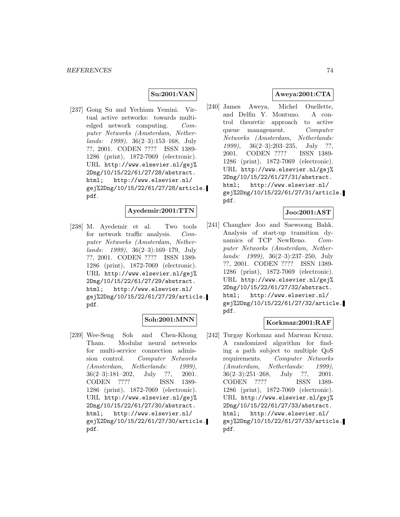#### **Su:2001:VAN**

[237] Gong Su and Yechiam Yemini. Virtual active networks: towards multiedged network computing. Computer Networks (Amsterdam, Netherlands: 1999), 36(2–3):153–168, July ??, 2001. CODEN ???? ISSN 1389- 1286 (print), 1872-7069 (electronic). URL http://www.elsevier.nl/gej% 2Dng/10/15/22/61/27/28/abstract. html; http://www.elsevier.nl/ gej%2Dng/10/15/22/61/27/28/article. pdf.

### **Ayedemir:2001:TTN**

[238] M. Ayedemir et al. Two tools for network traffic analysis. Computer Networks (Amsterdam, Nether $lands: 1999, 36(2-3):169-179, July$ ??, 2001. CODEN ???? ISSN 1389- 1286 (print), 1872-7069 (electronic). URL http://www.elsevier.nl/gej% 2Dng/10/15/22/61/27/29/abstract. html; http://www.elsevier.nl/ gej%2Dng/10/15/22/61/27/29/article. pdf.

### **Soh:2001:MNN**

[239] Wee-Seng Soh and Chen-Khong Tham. Modular neural networks for multi-service connection admission control. Computer Networks (Amsterdam, Netherlands: 1999), 36(2–3):181–202, July ??, 2001. CODEN ???? ISSN 1389- 1286 (print), 1872-7069 (electronic). URL http://www.elsevier.nl/gej% 2Dng/10/15/22/61/27/30/abstract. html; http://www.elsevier.nl/ gej%2Dng/10/15/22/61/27/30/article. pdf.

# **Aweya:2001:CTA**

[240] James Aweya, Michel Ouellette, and Delfin Y. Montuno. A control theoretic approach to active queue management. Computer Networks (Amsterdam, Netherlands: 1999), 36(2–3):203–235, July ??, 2001. CODEN ???? ISSN 1389- 1286 (print), 1872-7069 (electronic). URL http://www.elsevier.nl/gej% 2Dng/10/15/22/61/27/31/abstract. html; http://www.elsevier.nl/ gej%2Dng/10/15/22/61/27/31/article. pdf.

### **Joo:2001:AST**

[241] Changhee Joo and Saewoong Bahk. Analysis of start-up transition dynamics of TCP NewReno. Computer Networks (Amsterdam, Netherlands: 1999), 36(2–3):237–250, July ??, 2001. CODEN ???? ISSN 1389- 1286 (print), 1872-7069 (electronic). URL http://www.elsevier.nl/gej% 2Dng/10/15/22/61/27/32/abstract. html; http://www.elsevier.nl/ gej%2Dng/10/15/22/61/27/32/article. pdf.

# **Korkmaz:2001:RAF**

[242] Turgay Korkmaz and Marwan Krunz. A randomized algorithm for finding a path subject to multiple QoS requirements. Computer Networks (Amsterdam, Netherlands: 1999), 36(2–3):251–268, July ??, 2001. CODEN ???? ISSN 1389- 1286 (print), 1872-7069 (electronic). URL http://www.elsevier.nl/gej% 2Dng/10/15/22/61/27/33/abstract. html; http://www.elsevier.nl/ gej%2Dng/10/15/22/61/27/33/article. pdf.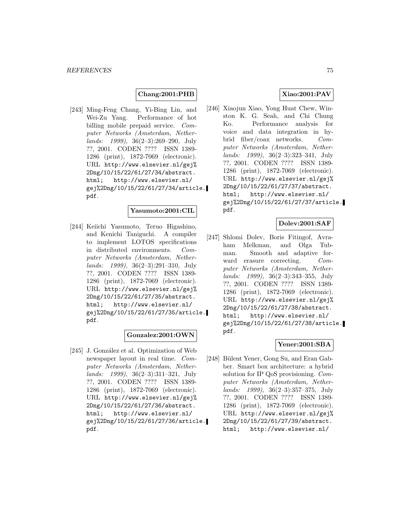### **Chang:2001:PHB**

[243] Ming-Feng Chang, Yi-Bing Lin, and Wei-Zu Yang. Performance of hot billing mobile prepaid service. Computer Networks (Amsterdam, Netherlands: 1999), 36(2–3):269–290, July ??, 2001. CODEN ???? ISSN 1389- 1286 (print), 1872-7069 (electronic). URL http://www.elsevier.nl/gej% 2Dng/10/15/22/61/27/34/abstract. html; http://www.elsevier.nl/ gej%2Dng/10/15/22/61/27/34/article. pdf.

# **Yasumoto:2001:CIL**

[244] Keiichi Yasumoto, Teruo Higashino, and Kenichi Taniguchi. A compiler to implement LOTOS specifications in distributed environments. Computer Networks (Amsterdam, Netherlands: 1999), 36(2–3):291–310, July ??, 2001. CODEN ???? ISSN 1389- 1286 (print), 1872-7069 (electronic). URL http://www.elsevier.nl/gej% 2Dng/10/15/22/61/27/35/abstract. html; http://www.elsevier.nl/ gej%2Dng/10/15/22/61/27/35/article. pdf.

#### **Gonzalez:2001:OWN**

[245] J. González et al. Optimization of Web newspaper layout in real time. Computer Networks (Amsterdam, Netherlands: 1999), 36(2–3):311–321, July ??, 2001. CODEN ???? ISSN 1389- 1286 (print), 1872-7069 (electronic). URL http://www.elsevier.nl/gej% 2Dng/10/15/22/61/27/36/abstract. html; http://www.elsevier.nl/ gej%2Dng/10/15/22/61/27/36/article. pdf.

[246] Xiaojun Xiao, Yong Huat Chew, Winston K. G. Seah, and Chi Chung Ko. Performance analysis for voice and data integration in hybrid fiber/coax networks. Computer Networks (Amsterdam, Netherlands: 1999), 36(2–3):323–341, July ??, 2001. CODEN ???? ISSN 1389- 1286 (print), 1872-7069 (electronic). URL http://www.elsevier.nl/gej% 2Dng/10/15/22/61/27/37/abstract. html; http://www.elsevier.nl/ gej%2Dng/10/15/22/61/27/37/article. pdf.

#### **Dolev:2001:SAF**

[247] Shlomi Dolev, Boris Fitingof, Avraham Melkman, and Olga Tubman. Smooth and adaptive forward erasure correcting. Computer Networks (Amsterdam, Netherlands: 1999), 36(2–3):343–355, July ??, 2001. CODEN ???? ISSN 1389- 1286 (print), 1872-7069 (electronic). URL http://www.elsevier.nl/gej% 2Dng/10/15/22/61/27/38/abstract. html; http://www.elsevier.nl/ gej%2Dng/10/15/22/61/27/38/article. pdf.

# **Yener:2001:SBA**

[248] Bülent Yener, Gong Su, and Eran Gabber. Smart box architecture: a hybrid solution for IP QoS provisioning. Computer Networks (Amsterdam, Netherlands: 1999), 36(2–3):357–375, July ??, 2001. CODEN ???? ISSN 1389- 1286 (print), 1872-7069 (electronic). URL http://www.elsevier.nl/gej% 2Dng/10/15/22/61/27/39/abstract. html; http://www.elsevier.nl/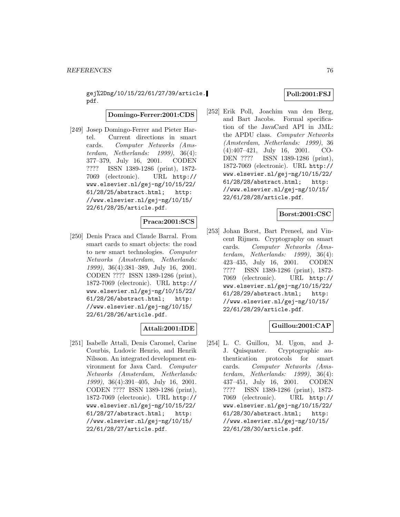gej%2Dng/10/15/22/61/27/39/article. pdf.

**Domingo-Ferrer:2001:CDS**

[249] Josep Domingo-Ferrer and Pieter Hartel. Current directions in smart cards. Computer Networks (Amsterdam, Netherlands: 1999), 36(4): 377–379, July 16, 2001. CODEN ???? ISSN 1389-1286 (print), 1872- 7069 (electronic). URL http:// www.elsevier.nl/gej-ng/10/15/22/ 61/28/25/abstract.html; http: //www.elsevier.nl/gej-ng/10/15/ 22/61/28/25/article.pdf.

#### **Praca:2001:SCS**

[250] Denis Praca and Claude Barral. From smart cards to smart objects: the road to new smart technologies. Computer Networks (Amsterdam, Netherlands: 1999), 36(4):381–389, July 16, 2001. CODEN ???? ISSN 1389-1286 (print), 1872-7069 (electronic). URL http:// www.elsevier.nl/gej-ng/10/15/22/ 61/28/26/abstract.html; http: //www.elsevier.nl/gej-ng/10/15/ 22/61/28/26/article.pdf.

### **Attali:2001:IDE**

[251] Isabelle Attali, Denis Caromel, Carine Courbis, Ludovic Henrio, and Henrik Nilsson. An integrated development environment for Java Card. Computer Networks (Amsterdam, Netherlands: 1999), 36(4):391–405, July 16, 2001. CODEN ???? ISSN 1389-1286 (print), 1872-7069 (electronic). URL http:// www.elsevier.nl/gej-ng/10/15/22/ 61/28/27/abstract.html; http: //www.elsevier.nl/gej-ng/10/15/ 22/61/28/27/article.pdf.

# **Poll:2001:FSJ**

[252] Erik Poll, Joachim van den Berg, and Bart Jacobs. Formal specification of the JavaCard API in JML: the APDU class. Computer Networks (Amsterdam, Netherlands: 1999), 36 (4):407–421, July 16, 2001. CO-DEN ???? ISSN 1389-1286 (print), 1872-7069 (electronic). URL http:// www.elsevier.nl/gej-ng/10/15/22/ 61/28/28/abstract.html; http: //www.elsevier.nl/gej-ng/10/15/ 22/61/28/28/article.pdf.

# **Borst:2001:CSC**

[253] Johan Borst, Bart Preneel, and Vincent Rijmen. Cryptography on smart cards. Computer Networks (Amsterdam, Netherlands: 1999), 36(4): 423–435, July 16, 2001. CODEN ???? ISSN 1389-1286 (print), 1872- 7069 (electronic). URL http:// www.elsevier.nl/gej-ng/10/15/22/ 61/28/29/abstract.html; http: //www.elsevier.nl/gej-ng/10/15/ 22/61/28/29/article.pdf.

### **Guillou:2001:CAP**

[254] L. C. Guillou, M. Ugon, and J-J. Quisquater. Cryptographic authentication protocols for smart cards. Computer Networks (Amsterdam, Netherlands: 1999), 36(4): 437–451, July 16, 2001. CODEN ???? ISSN 1389-1286 (print), 1872- 7069 (electronic). URL http:// www.elsevier.nl/gej-ng/10/15/22/ 61/28/30/abstract.html; http: //www.elsevier.nl/gej-ng/10/15/ 22/61/28/30/article.pdf.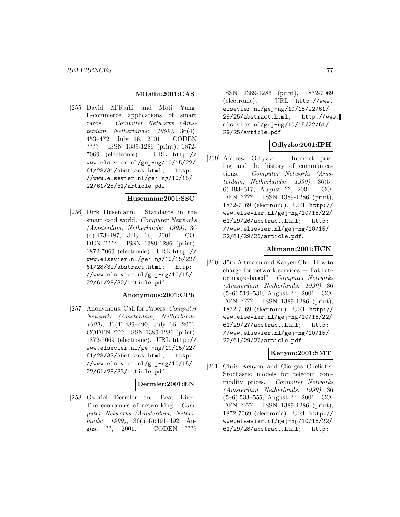### **MRaihi:2001:CAS**

[255] David M'Raïhi and Moti Yung. E-commerce applications of smart cards. Computer Networks (Amsterdam, Netherlands: 1999), 36(4): 453–472, July 16, 2001. CODEN ???? ISSN 1389-1286 (print), 1872- 7069 (electronic). URL http:// www.elsevier.nl/gej-ng/10/15/22/ 61/28/31/abstract.html; http: //www.elsevier.nl/gej-ng/10/15/ 22/61/28/31/article.pdf.

#### **Husemann:2001:SSC**

[256] Dirk Husemann. Standards in the smart card world. Computer Networks (Amsterdam, Netherlands: 1999), 36 (4):473–487, July 16, 2001. CO-DEN ???? ISSN 1389-1286 (print), 1872-7069 (electronic). URL http:// www.elsevier.nl/gej-ng/10/15/22/ 61/28/32/abstract.html; http: //www.elsevier.nl/gej-ng/10/15/ 22/61/28/32/article.pdf.

#### **Anonymous:2001:CPb**

[257] Anonymous. Call for Papers. Computer Networks (Amsterdam, Netherlands: 1999), 36(4):489–490, July 16, 2001. CODEN ???? ISSN 1389-1286 (print), 1872-7069 (electronic). URL http:// www.elsevier.nl/gej-ng/10/15/22/ 61/28/33/abstract.html; http: //www.elsevier.nl/gej-ng/10/15/ 22/61/28/33/article.pdf.

### **Dermler:2001:EN**

[258] Gabriel Dermler and Beat Liver. The economics of networking. Computer Networks (Amsterdam, Netherlands: 1999), 36(5–6):491–492, August ??, 2001. CODEN ????

ISSN 1389-1286 (print), 1872-7069 (electronic). URL http://www. elsevier.nl/gej-ng/10/15/22/61/ 29/25/abstract.html; http://www. elsevier.nl/gej-ng/10/15/22/61/ 29/25/article.pdf.

### **Odlyzko:2001:IPH**

[259] Andrew Odlyzko. Internet pricing and the history of communications. Computer Networks (Amsterdam, Netherlands: 1999), 36(5– 6):493–517, August ??, 2001. CO-DEN ???? ISSN 1389-1286 (print), 1872-7069 (electronic). URL http:// www.elsevier.nl/gej-ng/10/15/22/ 61/29/26/abstract.html; http: //www.elsevier.nl/gej-ng/10/15/ 22/61/29/26/article.pdf.

### **Altmann:2001:HCN**

[260] Jörn Altmann and Karyen Chu. How to charge for network services — flat-rate or usage-based? Computer Networks (Amsterdam, Netherlands: 1999), 36 (5–6):519–531, August ??, 2001. CO-DEN ???? ISSN 1389-1286 (print), 1872-7069 (electronic). URL http:// www.elsevier.nl/gej-ng/10/15/22/ 61/29/27/abstract.html; http: //www.elsevier.nl/gej-ng/10/15/ 22/61/29/27/article.pdf.

### **Kenyon:2001:SMT**

[261] Chris Kenyon and Giorgos Cheliotis. Stochastic models for telecom commodity prices. Computer Networks (Amsterdam, Netherlands: 1999), 36 (5–6):533–555, August ??, 2001. CO-DEN ???? ISSN 1389-1286 (print), 1872-7069 (electronic). URL http:// www.elsevier.nl/gej-ng/10/15/22/ 61/29/28/abstract.html; http: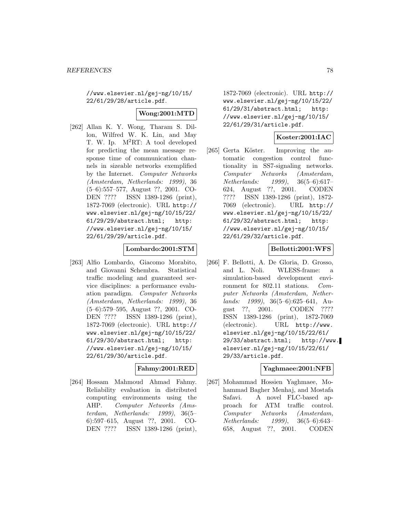//www.elsevier.nl/gej-ng/10/15/ 22/61/29/28/article.pdf.

### **Wong:2001:MTD**

[262] Allan K. Y. Wong, Tharam S. Dillon, Wilfred W. K. Lin, and May T. W. Ip. M<sup>2</sup>RT: A tool developed for predicting the mean message response time of communication channels in sizeable networks exemplified by the Internet. Computer Networks (Amsterdam, Netherlands: 1999), 36 (5–6):557–577, August ??, 2001. CO-DEN ???? ISSN 1389-1286 (print), 1872-7069 (electronic). URL http:// www.elsevier.nl/gej-ng/10/15/22/ 61/29/29/abstract.html; http: //www.elsevier.nl/gej-ng/10/15/ 22/61/29/29/article.pdf.

### **Lombardo:2001:STM**

[263] Alfio Lombardo, Giacomo Morabito, and Giovanni Schembra. Statistical traffic modeling and guaranteed service disciplines: a performance evaluation paradigm. Computer Networks (Amsterdam, Netherlands: 1999), 36 (5–6):579–595, August ??, 2001. CO-DEN ???? ISSN 1389-1286 (print), 1872-7069 (electronic). URL http:// www.elsevier.nl/gej-ng/10/15/22/ 61/29/30/abstract.html; http: //www.elsevier.nl/gej-ng/10/15/ 22/61/29/30/article.pdf.

### **Fahmy:2001:RED**

[264] Hossam Mahmoud Ahmad Fahmy. Reliability evaluation in distributed computing environments using the AHP. Computer Networks (Amsterdam, Netherlands: 1999), 36(5– 6):597–615, August ??, 2001. CO-DEN ???? ISSN 1389-1286 (print),

1872-7069 (electronic). URL http:// www.elsevier.nl/gej-ng/10/15/22/ 61/29/31/abstract.html; http: //www.elsevier.nl/gej-ng/10/15/ 22/61/29/31/article.pdf.

# **Koster:2001:IAC**

[265] Gerta Köster. Improving the automatic congestion control functionality in SS7-signaling networks. Computer Networks (Amsterdam, Netherlands: 1999), 36(5–6):617– 624, August ??, 2001. CODEN ???? ISSN 1389-1286 (print), 1872- 7069 (electronic). URL http:// www.elsevier.nl/gej-ng/10/15/22/ 61/29/32/abstract.html; http: //www.elsevier.nl/gej-ng/10/15/ 22/61/29/32/article.pdf.

### **Bellotti:2001:WFS**

[266] F. Bellotti, A. De Gloria, D. Grosso, and L. Noli. WLESS-frame: a simulation-based development environment for 802.11 stations. Computer Networks (Amsterdam, Netherlands: 1999), 36(5–6):625–641, August ??, 2001. CODEN ???? ISSN 1389-1286 (print), 1872-7069 (electronic). URL http://www. elsevier.nl/gej-ng/10/15/22/61/ 29/33/abstract.html; http://www. elsevier.nl/gej-ng/10/15/22/61/ 29/33/article.pdf.

#### **Yaghmaee:2001:NFB**

[267] Mohammad Hossien Yaghmaee, Mohammad Bagher Menhaj, and Mostafa Safavi. A novel FLC-based approach for ATM traffic control. Computer Networks (Amsterdam, Netherlands: 1999), 36(5–6):643– 658, August ??, 2001. CODEN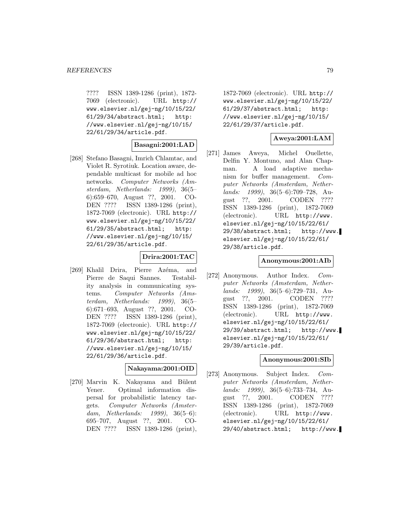???? ISSN 1389-1286 (print), 1872- 7069 (electronic). URL http:// www.elsevier.nl/gej-ng/10/15/22/ 61/29/34/abstract.html; http: //www.elsevier.nl/gej-ng/10/15/ 22/61/29/34/article.pdf.

# **Basagni:2001:LAD**

[268] Stefano Basagni, Imrich Chlamtac, and Violet R. Syrotiuk. Location aware, dependable multicast for mobile ad hoc networks. Computer Networks (Amsterdam, Netherlands: 1999), 36(5– 6):659–670, August ??, 2001. CO-DEN ???? ISSN 1389-1286 (print), 1872-7069 (electronic). URL http:// www.elsevier.nl/gej-ng/10/15/22/ 61/29/35/abstract.html; http: //www.elsevier.nl/gej-ng/10/15/ 22/61/29/35/article.pdf.

### **Drira:2001:TAC**

[269] Khalil Drira, Pierre Azéma, and Pierre de Saqui Sannes. Testability analysis in communicating systems. Computer Networks (Amsterdam, Netherlands: 1999), 36(5– 6):671–693, August ??, 2001. CO-DEN ???? ISSN 1389-1286 (print), 1872-7069 (electronic). URL http:// www.elsevier.nl/gej-ng/10/15/22/ 61/29/36/abstract.html; http: //www.elsevier.nl/gej-ng/10/15/ 22/61/29/36/article.pdf.

#### **Nakayama:2001:OID**

[270] Marvin K. Nakayama and Bülent Yener. Optimal information dispersal for probabilistic latency targets. Computer Networks (Amsterdam, Netherlands: 1999), 36(5–6): 695–707, August ??, 2001. CO-DEN ???? ISSN 1389-1286 (print),

1872-7069 (electronic). URL http:// www.elsevier.nl/gej-ng/10/15/22/ 61/29/37/abstract.html; http: //www.elsevier.nl/gej-ng/10/15/ 22/61/29/37/article.pdf.

# **Aweya:2001:LAM**

[271] James Aweya, Michel Ouellette, Delfin Y. Montuno, and Alan Chapman. A load adaptive mechanism for buffer management. Computer Networks (Amsterdam, Netherlands: 1999), 36(5–6):709–728, August ??, 2001. CODEN ???? ISSN 1389-1286 (print), 1872-7069 (electronic). URL http://www. elsevier.nl/gej-ng/10/15/22/61/ 29/38/abstract.html; http://www. elsevier.nl/gej-ng/10/15/22/61/ 29/38/article.pdf.

# **Anonymous:2001:AIb**

[272] Anonymous. Author Index. Computer Networks (Amsterdam, Netherlands: 1999), 36(5–6):729–731, August ??, 2001. CODEN ???? ISSN 1389-1286 (print), 1872-7069 (electronic). URL http://www. elsevier.nl/gej-ng/10/15/22/61/ 29/39/abstract.html; http://www. elsevier.nl/gej-ng/10/15/22/61/ 29/39/article.pdf.

#### **Anonymous:2001:SIb**

[273] Anonymous. Subject Index. Computer Networks (Amsterdam, Netherlands: 1999), 36(5–6):733–734, August ??, 2001. CODEN ???? ISSN 1389-1286 (print), 1872-7069 (electronic). URL http://www. elsevier.nl/gej-ng/10/15/22/61/ 29/40/abstract.html; http://www.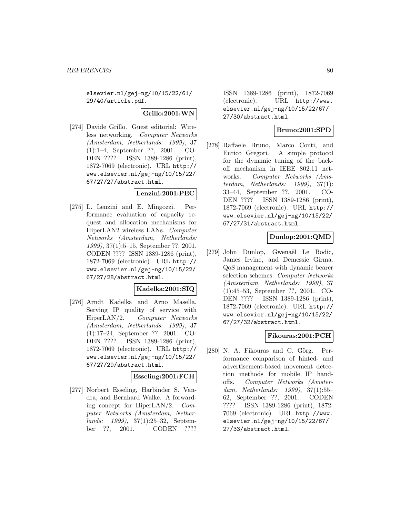elsevier.nl/gej-ng/10/15/22/61/ 29/40/article.pdf.

**Grillo:2001:WN**

[274] Davide Grillo. Guest editorial: Wireless networking. Computer Networks (Amsterdam, Netherlands: 1999), 37 (1):1–4, September ??, 2001. CO-DEN ???? ISSN 1389-1286 (print), 1872-7069 (electronic). URL http:// www.elsevier.nl/gej-ng/10/15/22/ 67/27/27/abstract.html.

# **Lenzini:2001:PEC**

[275] L. Lenzini and E. Mingozzi. Performance evaluation of capacity request and allocation mechanisms for HiperLAN2 wireless LANs. Computer Networks (Amsterdam, Netherlands: 1999), 37(1):5–15, September ??, 2001. CODEN ???? ISSN 1389-1286 (print), 1872-7069 (electronic). URL http:// www.elsevier.nl/gej-ng/10/15/22/ 67/27/28/abstract.html.

### **Kadelka:2001:SIQ**

[276] Arndt Kadelka and Arno Masella. Serving IP quality of service with HiperLAN/2. Computer Networks (Amsterdam, Netherlands: 1999), 37 (1):17–24, September ??, 2001. CO-DEN ???? ISSN 1389-1286 (print), 1872-7069 (electronic). URL http:// www.elsevier.nl/gej-ng/10/15/22/ 67/27/29/abstract.html.

# **Esseling:2001:FCH**

[277] Norbert Esseling, Harbinder S. Vandra, and Bernhard Walke. A forwarding concept for HiperLAN/2. Computer Networks (Amsterdam, Netherlands: 1999), 37(1):25–32, September ??, 2001. CODEN ????

ISSN 1389-1286 (print), 1872-7069 (electronic). URL http://www. elsevier.nl/gej-ng/10/15/22/67/ 27/30/abstract.html.

# **Bruno:2001:SPD**

[278] Raffaele Bruno, Marco Conti, and Enrico Gregori. A simple protocol for the dynamic tuning of the backoff mechanism in IEEE 802.11 networks. Computer Networks (Amsterdam, Netherlands: 1999), 37(1): 33–44, September ??, 2001. CO-DEN ???? ISSN 1389-1286 (print), 1872-7069 (electronic). URL http:// www.elsevier.nl/gej-ng/10/15/22/ 67/27/31/abstract.html.

# **Dunlop:2001:QMD**

[279] John Dunlop, Gwenaël Le Bodic, James Irvine, and Demessie Girma. QoS management with dynamic bearer selection schemes. Computer Networks (Amsterdam, Netherlands: 1999), 37 (1):45–53, September ??, 2001. CO-DEN ???? ISSN 1389-1286 (print), 1872-7069 (electronic). URL http:// www.elsevier.nl/gej-ng/10/15/22/ 67/27/32/abstract.html.

### **Fikouras:2001:PCH**

[280] N. A. Fikouras and C. Görg. Performance comparison of hinted- and advertisement-based movement detection methods for mobile IP handoffs. Computer Networks (Amsterdam, Netherlands: 1999), 37(1):55– 62, September ??, 2001. CODEN ???? ISSN 1389-1286 (print), 1872- 7069 (electronic). URL http://www. elsevier.nl/gej-ng/10/15/22/67/ 27/33/abstract.html.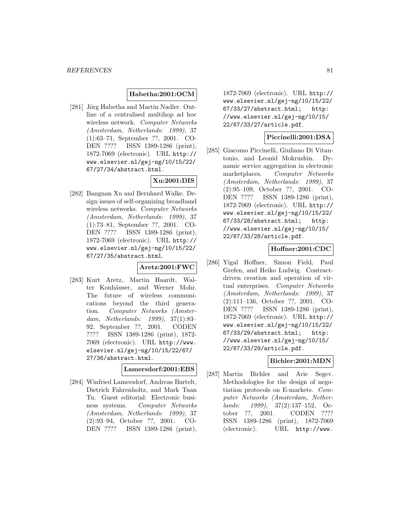### **Habetha:2001:OCM**

[281] Jörg Habetha and Martin Nadler. Outline of a centralised multihop ad hoc wireless network. Computer Networks (Amsterdam, Netherlands: 1999), 37 (1):63–71, September ??, 2001. CO-DEN ???? ISSN 1389-1286 (print), 1872-7069 (electronic). URL http:// www.elsevier.nl/gej-ng/10/15/22/ 67/27/34/abstract.html.

# **Xu:2001:DIS**

[282] Bangnan Xu and Bernhard Walke. Design issues of self-organizing broadband wireless networks. Computer Networks (Amsterdam, Netherlands: 1999), 37 (1):73–81, September ??, 2001. CO-DEN ???? ISSN 1389-1286 (print), 1872-7069 (electronic). URL http:// www.elsevier.nl/gej-ng/10/15/22/ 67/27/35/abstract.html.

**Aretz:2001:FWC**

[283] Kurt Aretz, Martin Haardt, Walter Konhäuser, and Werner Mohr. The future of wireless communications beyond the third generation. Computer Networks (Amsterdam, Netherlands: 1999), 37(1):83– 92, September ??, 2001. CODEN ???? ISSN 1389-1286 (print), 1872- 7069 (electronic). URL http://www. elsevier.nl/gej-ng/10/15/22/67/ 27/36/abstract.html.

# **Lamersdorf:2001:EBS**

[284] Winfried Lamersdorf, Andreas Bartelt, Dietrich Fahrenholtz, and Mark Tuan Tu. Guest editorial: Electronic business systems. Computer Networks (Amsterdam, Netherlands: 1999), 37 (2):93–94, October ??, 2001. CO-DEN ???? ISSN 1389-1286 (print),

1872-7069 (electronic). URL http:// www.elsevier.nl/gej-ng/10/15/22/ 67/33/27/abstract.html; http: //www.elsevier.nl/gej-ng/10/15/ 22/67/33/27/article.pdf.

### **Piccinelli:2001:DSA**

[285] Giacomo Piccinelli, Giuliano Di Vitantonio, and Leonid Mokrushin. Dynamic service aggregation in electronic marketplaces. Computer Networks (Amsterdam, Netherlands: 1999), 37 (2):95–109, October ??, 2001. CO-DEN ???? ISSN 1389-1286 (print), 1872-7069 (electronic). URL http:// www.elsevier.nl/gej-ng/10/15/22/ 67/33/28/abstract.html; http: //www.elsevier.nl/gej-ng/10/15/ 22/67/33/28/article.pdf.

### **Hoffner:2001:CDC**

[286] Yigal Hoffner, Simon Field, Paul Grefen, and Heiko Ludwig. Contractdriven creation and operation of virtual enterprises. Computer Networks (Amsterdam, Netherlands: 1999), 37 (2):111–136, October ??, 2001. CO-DEN ???? ISSN 1389-1286 (print), 1872-7069 (electronic). URL http:// www.elsevier.nl/gej-ng/10/15/22/ 67/33/29/abstract.html; http: //www.elsevier.nl/gej-ng/10/15/ 22/67/33/29/article.pdf.

### **Bichler:2001:MDN**

[287] Martin Bichler and Arie Segev. Methodologies for the design of negotiation protocols on E-markets. Computer Networks (Amsterdam, Netherlands: 1999), 37(2):137–152, October ??, 2001. CODEN ???? ISSN 1389-1286 (print), 1872-7069 (electronic). URL http://www.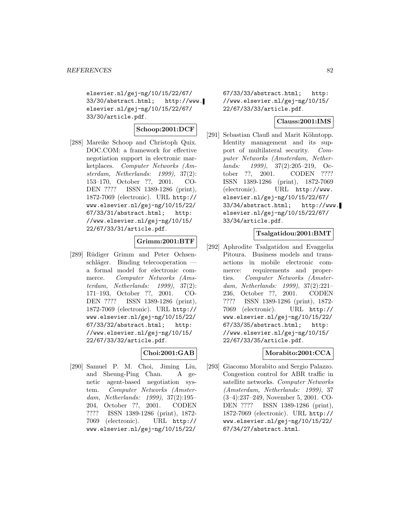elsevier.nl/gej-ng/10/15/22/67/ 33/30/abstract.html; http://www. elsevier.nl/gej-ng/10/15/22/67/ 33/30/article.pdf.

# **Schoop:2001:DCF**

[288] Mareike Schoop and Christoph Quix. DOC.COM: a framework for effective negotiation support in electronic marketplaces. Computer Networks (Amsterdam, Netherlands: 1999), 37(2): 153–170, October ??, 2001. CO-DEN ???? ISSN 1389-1286 (print), 1872-7069 (electronic). URL http:// www.elsevier.nl/gej-ng/10/15/22/ 67/33/31/abstract.html; http: //www.elsevier.nl/gej-ng/10/15/ 22/67/33/31/article.pdf.

# **Grimm:2001:BTF**

[289] Rüdiger Grimm and Peter Ochsen $schläger.$  Binding telecooperation  $$ a formal model for electronic commerce. Computer Networks (Amsterdam, Netherlands: 1999), 37(2): 171–193, October ??, 2001. CO-DEN ???? ISSN 1389-1286 (print), 1872-7069 (electronic). URL http:// www.elsevier.nl/gej-ng/10/15/22/ 67/33/32/abstract.html; http: //www.elsevier.nl/gej-ng/10/15/ 22/67/33/32/article.pdf.

### **Choi:2001:GAB**

[290] Samuel P. M. Choi, Jiming Liu, and Sheung-Ping Chan. A genetic agent-based negotiation system. Computer Networks (Amsterdam, Netherlands: 1999), 37(2):195– 204, October ??, 2001. CODEN ???? ISSN 1389-1286 (print), 1872- 7069 (electronic). URL http:// www.elsevier.nl/gej-ng/10/15/22/

67/33/33/abstract.html; http: //www.elsevier.nl/gej-ng/10/15/ 22/67/33/33/article.pdf.

#### **Clauss:2001:IMS**

[291] Sebastian Clauß and Marit Köhntopp. Identity management and its support of multilateral security. Computer Networks (Amsterdam, Netherlands: 1999), 37(2):205–219, October ??, 2001. CODEN ???? ISSN 1389-1286 (print), 1872-7069 (electronic). URL http://www. elsevier.nl/gej-ng/10/15/22/67/ 33/34/abstract.html; http://www. elsevier.nl/gej-ng/10/15/22/67/ 33/34/article.pdf.

### **Tsalgatidou:2001:BMT**

[292] Aphrodite Tsalgatidou and Evaggelia Pitoura. Business models and transactions in mobile electronic commerce: requirements and properties. Computer Networks (Amsterdam, Netherlands: 1999), 37(2):221– 236, October ??, 2001. CODEN ???? ISSN 1389-1286 (print), 1872- 7069 (electronic). URL http:// www.elsevier.nl/gej-ng/10/15/22/ 67/33/35/abstract.html; http: //www.elsevier.nl/gej-ng/10/15/ 22/67/33/35/article.pdf.

### **Morabito:2001:CCA**

[293] Giacomo Morabito and Sergio Palazzo. Congestion control for ABR traffic in satellite networks. Computer Networks (Amsterdam, Netherlands: 1999), 37 (3–4):237–249, November 5, 2001. CO-DEN ???? ISSN 1389-1286 (print), 1872-7069 (electronic). URL http:// www.elsevier.nl/gej-ng/10/15/22/ 67/34/27/abstract.html.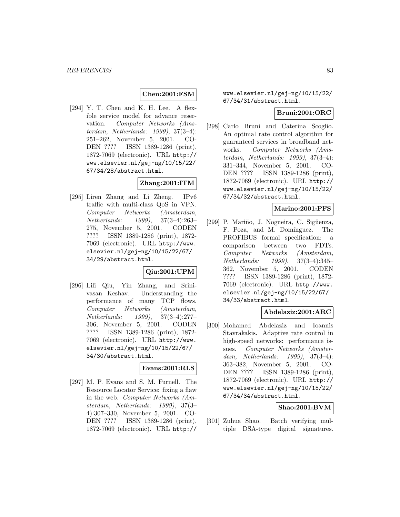### **Chen:2001:FSM**

[294] Y. T. Chen and K. H. Lee. A flexible service model for advance reservation. Computer Networks (Amsterdam, Netherlands: 1999), 37(3–4): 251–262, November 5, 2001. CO-DEN ???? ISSN 1389-1286 (print), 1872-7069 (electronic). URL http:// www.elsevier.nl/gej-ng/10/15/22/ 67/34/28/abstract.html.

# **Zhang:2001:ITM**

[295] Liren Zhang and Li Zheng. IPv6 traffic with multi-class QoS in VPN. Computer Networks (Amsterdam, Netherlands: 1999), 37(3–4):263– 275, November 5, 2001. CODEN ???? ISSN 1389-1286 (print), 1872- 7069 (electronic). URL http://www. elsevier.nl/gej-ng/10/15/22/67/ 34/29/abstract.html.

# **Qiu:2001:UPM**

[296] Lili Qiu, Yin Zhang, and Srinivasan Keshav. Understanding the performance of many TCP flows. Computer Networks (Amsterdam, Netherlands: 1999), 37(3–4):277– 306, November 5, 2001. CODEN ???? ISSN 1389-1286 (print), 1872- 7069 (electronic). URL http://www. elsevier.nl/gej-ng/10/15/22/67/ 34/30/abstract.html.

### **Evans:2001:RLS**

[297] M. P. Evans and S. M. Furnell. The Resource Locator Service: fixing a flaw in the web. Computer Networks (Amsterdam, Netherlands: 1999), 37(3– 4):307–330, November 5, 2001. CO-DEN ???? ISSN 1389-1286 (print), 1872-7069 (electronic). URL http://

# www.elsevier.nl/gej-ng/10/15/22/ 67/34/31/abstract.html.

### **Bruni:2001:ORC**

[298] Carlo Bruni and Caterina Scoglio. An optimal rate control algorithm for guaranteed services in broadband networks. Computer Networks (Amsterdam, Netherlands: 1999), 37(3–4): 331–344, November 5, 2001. CO-DEN ???? ISSN 1389-1286 (print), 1872-7069 (electronic). URL http:// www.elsevier.nl/gej-ng/10/15/22/ 67/34/32/abstract.html.

### **Marino:2001:PFS**

[299] P. Mariño, J. Nogueira, C. Sigüenza, F. Poza, and M. Domínguez. The PROFIBUS formal specification: a comparison between two FDTs. Computer Networks (Amsterdam, Netherlands: 1999), 37(3–4):345– 362, November 5, 2001. CODEN ???? ISSN 1389-1286 (print), 1872- 7069 (electronic). URL http://www. elsevier.nl/gej-ng/10/15/22/67/ 34/33/abstract.html.

# **Abdelaziz:2001:ARC**

[300] Mohamed Abdelaziz and Ioannis Stavrakakis. Adaptive rate control in high-speed networks: performance issues. Computer Networks (Amsterdam, Netherlands: 1999), 37(3–4): 363–382, November 5, 2001. CO-DEN ???? ISSN 1389-1286 (print), 1872-7069 (electronic). URL http:// www.elsevier.nl/gej-ng/10/15/22/ 67/34/34/abstract.html.

### **Shao:2001:BVM**

[301] Zuhua Shao. Batch verifying multiple DSA-type digital signatures.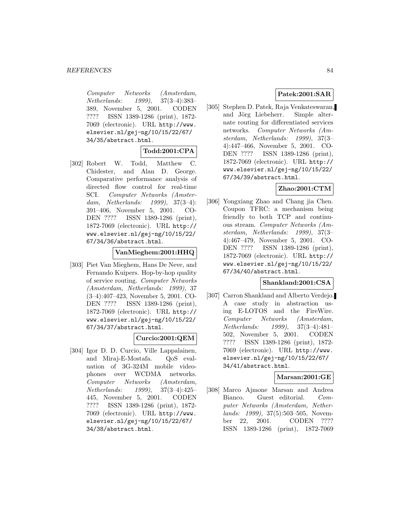Computer Networks (Amsterdam, Netherlands: 1999), 37(3–4):383– 389, November 5, 2001. CODEN ???? ISSN 1389-1286 (print), 1872- 7069 (electronic). URL http://www. elsevier.nl/gej-ng/10/15/22/67/ 34/35/abstract.html.

### **Todd:2001:CPA**

[302] Robert W. Todd, Matthew C. Chidester, and Alan D. George. Comparative performance analysis of directed flow control for real-time SCI. Computer Networks (Amsterdam, Netherlands: 1999), 37(3–4): 391–406, November 5, 2001. CO-DEN ???? ISSN 1389-1286 (print), 1872-7069 (electronic). URL http:// www.elsevier.nl/gej-ng/10/15/22/ 67/34/36/abstract.html.

#### **VanMieghem:2001:HHQ**

[303] Piet Van Mieghem, Hans De Neve, and Fernando Kuipers. Hop-by-hop quality of service routing. Computer Networks (Amsterdam, Netherlands: 1999), 37 (3–4):407–423, November 5, 2001. CO-DEN ???? ISSN 1389-1286 (print), 1872-7069 (electronic). URL http:// www.elsevier.nl/gej-ng/10/15/22/ 67/34/37/abstract.html.

### **Curcio:2001:QEM**

[304] Igor D. D. Curcio, Ville Lappalainen, and Miraj-E-Mostafa. QoS evaluation of 3G-324M mobile videophones over WCDMA networks. Computer Networks (Amsterdam, Netherlands: 1999), 37(3–4):425– 445, November 5, 2001. CODEN ???? ISSN 1389-1286 (print), 1872- 7069 (electronic). URL http://www. elsevier.nl/gej-ng/10/15/22/67/ 34/38/abstract.html.

# **Patek:2001:SAR**

[305] Stephen D. Patek, Raja Venkateswaran, and Jörg Liebeherr. Simple alternate routing for differentiated services networks. Computer Networks (Amsterdam, Netherlands: 1999), 37(3– 4):447–466, November 5, 2001. CO-DEN ???? ISSN 1389-1286 (print), 1872-7069 (electronic). URL http:// www.elsevier.nl/gej-ng/10/15/22/ 67/34/39/abstract.html.

# **Zhao:2001:CTM**

[306] Yongxiang Zhao and Chang jia Chen. Coupon TFRC: a mechanism being friendly to both TCP and continuous stream. Computer Networks (Amsterdam, Netherlands: 1999), 37(3– 4):467–479, November 5, 2001. CO-DEN ???? ISSN 1389-1286 (print), 1872-7069 (electronic). URL http:// www.elsevier.nl/gej-ng/10/15/22/ 67/34/40/abstract.html.

### **Shankland:2001:CSA**

[307] Carron Shankland and Alberto Verdejo. A case study in abstraction using E-LOTOS and the FireWire. Computer Networks (Amsterdam, Netherlands: 1999), 37(3–4):481– 502, November 5, 2001. CODEN ???? ISSN 1389-1286 (print), 1872- 7069 (electronic). URL http://www. elsevier.nl/gej-ng/10/15/22/67/ 34/41/abstract.html.

### **Marsan:2001:GE**

[308] Marco Ajmone Marsan and Andrea Bianco. Guest editorial. Computer Networks (Amsterdam, Netherlands: 1999), 37(5):503–505, November 22, 2001. CODEN ???? ISSN 1389-1286 (print), 1872-7069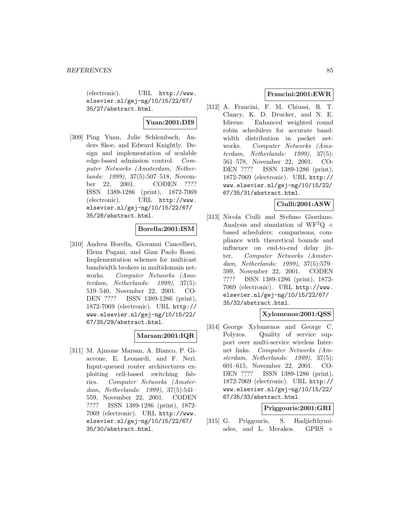(electronic). URL http://www. elsevier.nl/gej-ng/10/15/22/67/ 35/27/abstract.html.

# **Yuan:2001:DIS**

[309] Ping Yuan, Julie Schlembach, Anders Skoe, and Edward Knightly. Design and implementation of scalable edge-based admission control. Computer Networks (Amsterdam, Netherlands: 1999), 37(5):507–518, November 22, 2001. CODEN ???? ISSN 1389-1286 (print), 1872-7069 (electronic). URL http://www. elsevier.nl/gej-ng/10/15/22/67/ 35/28/abstract.html.

# **Borella:2001:ISM**

[310] Andrea Borella, Giovanni Cancellieri, Elena Pagani, and Gian Paolo Rossi. Implementation schemes for multicast bandwidth brokers in multidomain networks. Computer Networks (Amsterdam, Netherlands: 1999), 37(5): 519–540, November 22, 2001. CO-DEN ???? ISSN 1389-1286 (print), 1872-7069 (electronic). URL http:// www.elsevier.nl/gej-ng/10/15/22/ 67/35/29/abstract.html.

# **Marsan:2001:IQR**

[311] M. Ajmone Marsan, A. Bianco, P. Giaccone, E. Leonardi, and F. Neri. Input-queued router architectures exploiting cell-based switching fabrics. Computer Networks (Amsterdam, Netherlands: 1999), 37(5):541– 559, November 22, 2001. CODEN ???? ISSN 1389-1286 (print), 1872- 7069 (electronic). URL http://www. elsevier.nl/gej-ng/10/15/22/67/ 35/30/abstract.html.

### **Francini:2001:EWR**

[312] A. Francini, F. M. Chiussi, R. T. Clancy, K. D. Drucker, and N. E. Idirene. Enhanced weighted round robin schedulers for accurate bandwidth distribution in packet networks. Computer Networks (Amsterdam, Netherlands: 1999), 37(5): 561–578, November 22, 2001. CO-DEN ???? ISSN 1389-1286 (print), 1872-7069 (electronic). URL http:// www.elsevier.nl/gej-ng/10/15/22/ 67/35/31/abstract.html.

# **Ciulli:2001:ASW**

[313] Nicola Ciulli and Stefano Giordano. Analysis and simulation of  $WF^2Q +$ based schedulers: comparisons, compliance with theoretical bounds and influence on end-to-end delay jitter. Computer Networks (Amsterdam, Netherlands: 1999), 37(5):579– 599, November 22, 2001. CODEN ???? ISSN 1389-1286 (print), 1872- 7069 (electronic). URL http://www. elsevier.nl/gej-ng/10/15/22/67/ 35/32/abstract.html.

### **Xylomenos:2001:QSS**

[314] George Xylomenos and George C. Polyzos. Quality of service support over multi-service wireless Internet links. Computer Networks (Amsterdam, Netherlands: 1999), 37(5): 601–615, November 22, 2001. CO-DEN ???? ISSN 1389-1286 (print), 1872-7069 (electronic). URL http:// www.elsevier.nl/gej-ng/10/15/22/ 67/35/33/abstract.html.

#### **Priggouris:2001:GRI**

[315] G. Priggouris, S. Hadjiefthymiades, and L. Merakos. GPRS +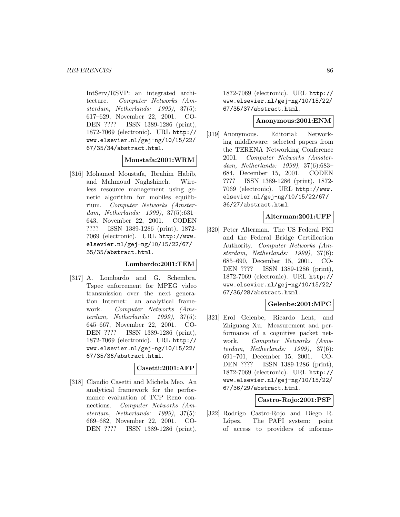IntServ/RSVP: an integrated architecture. Computer Networks (Amsterdam, Netherlands: 1999), 37(5): 617–629, November 22, 2001. CO-DEN ???? ISSN 1389-1286 (print), 1872-7069 (electronic). URL http:// www.elsevier.nl/gej-ng/10/15/22/ 67/35/34/abstract.html.

#### **Moustafa:2001:WRM**

[316] Mohamed Moustafa, Ibrahim Habib, and Mahmoud Naghshineh. Wireless resource management using genetic algorithm for mobiles equilibrium. Computer Networks (Amsterdam, Netherlands: 1999), 37(5):631– 643, November 22, 2001. CODEN ???? ISSN 1389-1286 (print), 1872- 7069 (electronic). URL http://www. elsevier.nl/gej-ng/10/15/22/67/ 35/35/abstract.html.

### **Lombardo:2001:TEM**

[317] A. Lombardo and G. Schembra. Tspec enforcement for MPEG video transmission over the next generation Internet: an analytical framework. Computer Networks (Amsterdam, Netherlands: 1999), 37(5): 645–667, November 22, 2001. CO-DEN ???? ISSN 1389-1286 (print), 1872-7069 (electronic). URL http:// www.elsevier.nl/gej-ng/10/15/22/ 67/35/36/abstract.html.

### **Casetti:2001:AFP**

[318] Claudio Casetti and Michela Meo. An analytical framework for the performance evaluation of TCP Reno connections. Computer Networks (Amsterdam, Netherlands: 1999), 37(5): 669–682, November 22, 2001. CO-DEN ???? ISSN 1389-1286 (print),

1872-7069 (electronic). URL http:// www.elsevier.nl/gej-ng/10/15/22/ 67/35/37/abstract.html.

### **Anonymous:2001:ENM**

[319] Anonymous. Editorial: Networking middleware: selected papers from the TERENA Networking Conference 2001. Computer Networks (Amsterdam, Netherlands: 1999), 37(6):683– 684, December 15, 2001. CODEN ???? ISSN 1389-1286 (print), 1872- 7069 (electronic). URL http://www. elsevier.nl/gej-ng/10/15/22/67/ 36/27/abstract.html.

# **Alterman:2001:UFP**

[320] Peter Alterman. The US Federal PKI and the Federal Bridge Certification Authority. Computer Networks (Amsterdam, Netherlands: 1999), 37(6): 685–690, December 15, 2001. CO-DEN ???? ISSN 1389-1286 (print), 1872-7069 (electronic). URL http:// www.elsevier.nl/gej-ng/10/15/22/ 67/36/28/abstract.html.

#### **Gelenbe:2001:MPC**

[321] Erol Gelenbe, Ricardo Lent, and Zhiguang Xu. Measurement and performance of a cognitive packet network. Computer Networks (Amsterdam, Netherlands: 1999), 37(6): 691–701, December 15, 2001. CO-DEN ???? ISSN 1389-1286 (print), 1872-7069 (electronic). URL http:// www.elsevier.nl/gej-ng/10/15/22/ 67/36/29/abstract.html.

#### **Castro-Rojo:2001:PSP**

[322] Rodrigo Castro-Rojo and Diego R. López. The PAPI system: point of access to providers of informa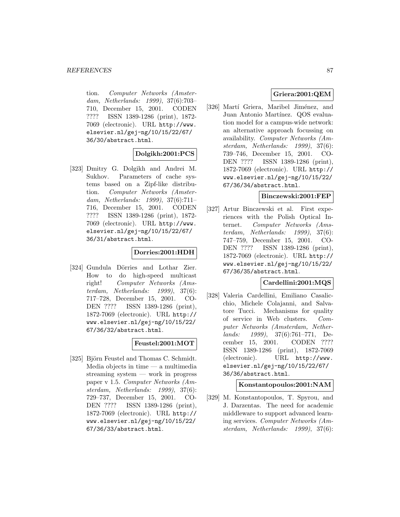tion. Computer Networks (Amsterdam, Netherlands: 1999), 37(6):703– 710, December 15, 2001. CODEN ???? ISSN 1389-1286 (print), 1872- 7069 (electronic). URL http://www. elsevier.nl/gej-ng/10/15/22/67/ 36/30/abstract.html.

### **Dolgikh:2001:PCS**

[323] Dmitry G. Dolgikh and Andrei M. Sukhov. Parameters of cache systems based on a Zipf-like distribution. Computer Networks (Amsterdam, Netherlands: 1999), 37(6):711– 716, December 15, 2001. CODEN ???? ISSN 1389-1286 (print), 1872- 7069 (electronic). URL http://www. elsevier.nl/gej-ng/10/15/22/67/ 36/31/abstract.html.

#### **Dorries:2001:HDH**

[324] Gundula Dörries and Lothar Zier. How to do high-speed multicast right! Computer Networks (Amsterdam, Netherlands: 1999), 37(6): 717–728, December 15, 2001. CO-DEN ???? ISSN 1389-1286 (print), 1872-7069 (electronic). URL http:// www.elsevier.nl/gej-ng/10/15/22/ 67/36/32/abstract.html.

### **Feustel:2001:MOT**

[325] Björn Feustel and Thomas C. Schmidt. Media objects in time — a multimedia streaming system — work in progress paper v 1.5. Computer Networks (Amsterdam, Netherlands: 1999), 37(6): 729–737, December 15, 2001. CO-DEN ???? ISSN 1389-1286 (print), 1872-7069 (electronic). URL http:// www.elsevier.nl/gej-ng/10/15/22/ 67/36/33/abstract.html.

# **Griera:2001:QEM**

[326] Martí Griera, Maribel Jiménez, and Juan Antonio Martínez. QOS evaluation model for a campus-wide network: an alternative approach focussing on availability. Computer Networks (Amsterdam, Netherlands: 1999), 37(6): 739–746, December 15, 2001. CO-DEN ???? ISSN 1389-1286 (print), 1872-7069 (electronic). URL http:// www.elsevier.nl/gej-ng/10/15/22/ 67/36/34/abstract.html.

#### **Binczewski:2001:FEP**

[327] Artur Binczewski et al. First experiences with the Polish Optical Internet. Computer Networks (Amsterdam, Netherlands: 1999), 37(6): 747–759, December 15, 2001. CO-DEN ???? ISSN 1389-1286 (print), 1872-7069 (electronic). URL http:// www.elsevier.nl/gej-ng/10/15/22/ 67/36/35/abstract.html.

#### **Cardellini:2001:MQS**

[328] Valeria Cardellini, Emiliano Casalicchio, Michele Colajanni, and Salvatore Tucci. Mechanisms for quality of service in Web clusters. Computer Networks (Amsterdam, Netherlands: 1999), 37(6):761–771, December 15, 2001. CODEN ???? ISSN 1389-1286 (print), 1872-7069 (electronic). URL http://www. elsevier.nl/gej-ng/10/15/22/67/ 36/36/abstract.html.

### **Konstantopoulos:2001:NAM**

[329] M. Konstantopoulos, T. Spyrou, and J. Darzentas. The need for academic middleware to support advanced learning services. Computer Networks (Amsterdam, Netherlands: 1999), 37(6):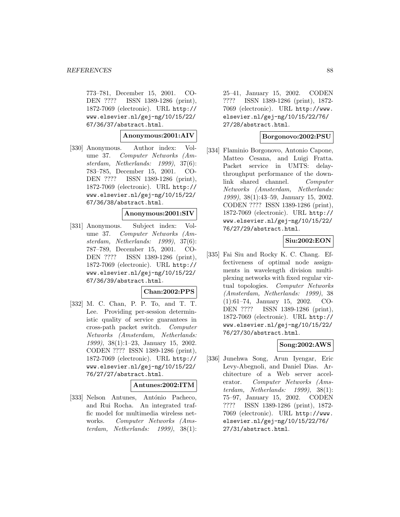773–781, December 15, 2001. CO-DEN ???? ISSN 1389-1286 (print), 1872-7069 (electronic). URL http:// www.elsevier.nl/gej-ng/10/15/22/ 67/36/37/abstract.html.

### **Anonymous:2001:AIV**

[330] Anonymous. Author index: Volume 37. Computer Networks (Amsterdam, Netherlands: 1999), 37(6): 783–785, December 15, 2001. CO-DEN ???? ISSN 1389-1286 (print), 1872-7069 (electronic). URL http:// www.elsevier.nl/gej-ng/10/15/22/ 67/36/38/abstract.html.

#### **Anonymous:2001:SIV**

[331] Anonymous. Subject index: Volume 37. Computer Networks (Amsterdam, Netherlands: 1999), 37(6): 787–789, December 15, 2001. CO-DEN ???? ISSN 1389-1286 (print), 1872-7069 (electronic). URL http:// www.elsevier.nl/gej-ng/10/15/22/ 67/36/39/abstract.html.

#### **Chan:2002:PPS**

[332] M. C. Chan, P. P. To, and T. T. Lee. Providing per-session deterministic quality of service guarantees in cross-path packet switch. Computer Networks (Amsterdam, Netherlands: 1999), 38(1):1–23, January 15, 2002. CODEN ???? ISSN 1389-1286 (print), 1872-7069 (electronic). URL http:// www.elsevier.nl/gej-ng/10/15/22/ 76/27/27/abstract.html.

#### **Antunes:2002:ITM**

[333] Nelson Antunes, António Pacheco, and Rui Rocha. An integrated traffic model for multimedia wireless networks. Computer Networks (Amsterdam, Netherlands: 1999), 38(1): 25–41, January 15, 2002. CODEN ???? ISSN 1389-1286 (print), 1872- 7069 (electronic). URL http://www. elsevier.nl/gej-ng/10/15/22/76/ 27/28/abstract.html.

# **Borgonovo:2002:PSU**

[334] Flaminio Borgonovo, Antonio Capone, Matteo Cesana, and Luigi Fratta. Packet service in UMTS: delaythroughput performance of the downlink shared channel. Computer Networks (Amsterdam, Netherlands: 1999), 38(1):43–59, January 15, 2002. CODEN ???? ISSN 1389-1286 (print), 1872-7069 (electronic). URL http:// www.elsevier.nl/gej-ng/10/15/22/ 76/27/29/abstract.html.

### **Siu:2002:EON**

[335] Fai Siu and Rocky K. C. Chang. Effectiveness of optimal node assignments in wavelength division multiplexing networks with fixed regular virtual topologies. Computer Networks (Amsterdam, Netherlands: 1999), 38 (1):61–74, January 15, 2002. CO-DEN ???? ISSN 1389-1286 (print), 1872-7069 (electronic). URL http:// www.elsevier.nl/gej-ng/10/15/22/ 76/27/30/abstract.html.

# **Song:2002:AWS**

[336] Junehwa Song, Arun Iyengar, Eric Levy-Abegnoli, and Daniel Dias. Architecture of a Web server accelerator. Computer Networks (Amsterdam, Netherlands: 1999), 38(1): 75–97, January 15, 2002. CODEN ???? ISSN 1389-1286 (print), 1872- 7069 (electronic). URL http://www. elsevier.nl/gej-ng/10/15/22/76/ 27/31/abstract.html.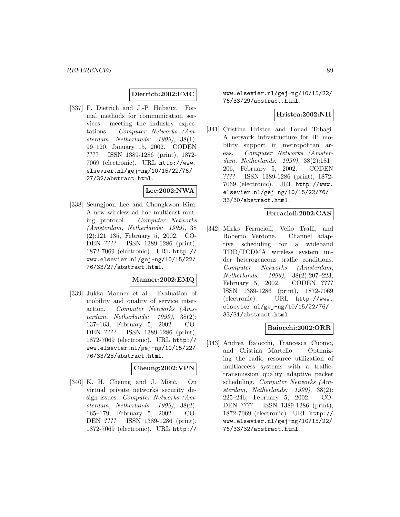### **Dietrich:2002:FMC**

[337] F. Dietrich and J.-P. Hubaux. Formal methods for communication services: meeting the industry expectations. Computer Networks (Amsterdam, Netherlands: 1999), 38(1): 99–120, January 15, 2002. CODEN ???? ISSN 1389-1286 (print), 1872- 7069 (electronic). URL http://www. elsevier.nl/gej-ng/10/15/22/76/ 27/32/abstract.html.

# **Lee:2002:NWA**

[338] Seungjoon Lee and Chongkwon Kim. A new wireless ad hoc multicast routing protocol. Computer Networks (Amsterdam, Netherlands: 1999), 38 (2):121–135, February 5, 2002. CO-DEN ???? ISSN 1389-1286 (print), 1872-7069 (electronic). URL http:// www.elsevier.nl/gej-ng/10/15/22/ 76/33/27/abstract.html.

# **Manner:2002:EMQ**

[339] Jukka Manner et al. Evaluation of mobility and quality of service interaction. Computer Networks (Amsterdam, Netherlands: 1999), 38(2): 137–163, February 5, 2002. CO-DEN ???? ISSN 1389-1286 (print), 1872-7069 (electronic). URL http:// www.elsevier.nl/gej-ng/10/15/22/ 76/33/28/abstract.html.

#### **Cheung:2002:VPN**

 $[340]$  K. H. Cheung and J. Mišić. On virtual private networks security design issues. Computer Networks (Amsterdam, Netherlands: 1999), 38(2): 165–179, February 5, 2002. CO-DEN ???? ISSN 1389-1286 (print), 1872-7069 (electronic). URL http://

www.elsevier.nl/gej-ng/10/15/22/ 76/33/29/abstract.html.

# **Hristea:2002:NII**

[341] Cristina Hristea and Fouad Tobagi. A network infrastructure for IP mobility support in metropolitan areas. Computer Networks (Amsterdam, Netherlands: 1999), 38(2):181– 206, February 5, 2002. CODEN ???? ISSN 1389-1286 (print), 1872- 7069 (electronic). URL http://www. elsevier.nl/gej-ng/10/15/22/76/ 33/30/abstract.html.

### **Ferracioli:2002:CAS**

[342] Mirko Ferracioli, Velio Tralli, and Roberto Verdone. Channel adaptive scheduling for a wideband TDD/TCDMA wireless system under heterogeneous traffic conditions. Computer Networks (Amsterdam, Netherlands: 1999), 38(2):207–223, February 5, 2002. CODEN ???? ISSN 1389-1286 (print), 1872-7069 (electronic). URL http://www. elsevier.nl/gej-ng/10/15/22/76/ 33/31/abstract.html.

#### **Baiocchi:2002:ORR**

[343] Andrea Baiocchi, Francesca Cuomo, and Cristina Martello. Optimizing the radio resource utilization of multiaccess systems with a traffictransmission quality adaptive packet scheduling. Computer Networks (Amsterdam, Netherlands: 1999), 38(2): 225–246, February 5, 2002. CO-DEN ???? ISSN 1389-1286 (print), 1872-7069 (electronic). URL http:// www.elsevier.nl/gej-ng/10/15/22/ 76/33/32/abstract.html.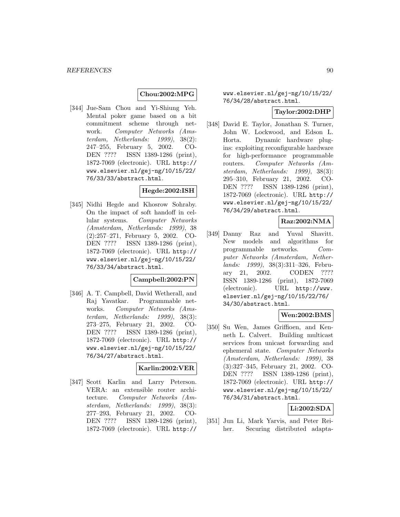# **Chou:2002:MPG**

[344] Jue-Sam Chou and Yi-Shiung Yeh. Mental poker game based on a bit commitment scheme through network. Computer Networks (Amsterdam, Netherlands: 1999), 38(2): 247–255, February 5, 2002. CO-DEN ???? ISSN 1389-1286 (print), 1872-7069 (electronic). URL http:// www.elsevier.nl/gej-ng/10/15/22/ 76/33/33/abstract.html.

### **Hegde:2002:ISH**

[345] Nidhi Hegde and Khosrow Sohraby. On the impact of soft handoff in cellular systems. Computer Networks (Amsterdam, Netherlands: 1999), 38 (2):257–271, February 5, 2002. CO-DEN ???? ISSN 1389-1286 (print), 1872-7069 (electronic). URL http:// www.elsevier.nl/gej-ng/10/15/22/ 76/33/34/abstract.html.

#### **Campbell:2002:PN**

[346] A. T. Campbell, David Wetherall, and Raj Yavatkar. Programmable networks. Computer Networks (Amsterdam, Netherlands: 1999), 38(3): 273–275, February 21, 2002. CO-DEN ???? ISSN 1389-1286 (print), 1872-7069 (electronic). URL http:// www.elsevier.nl/gej-ng/10/15/22/ 76/34/27/abstract.html.

#### **Karlin:2002:VER**

[347] Scott Karlin and Larry Peterson. VERA: an extensible router architecture. Computer Networks (Amsterdam, Netherlands: 1999), 38(3): 277–293, February 21, 2002. CO-DEN ???? ISSN 1389-1286 (print), 1872-7069 (electronic). URL http://

# www.elsevier.nl/gej-ng/10/15/22/ 76/34/28/abstract.html.

### **Taylor:2002:DHP**

[348] David E. Taylor, Jonathan S. Turner, John W. Lockwood, and Edson L. Horta. Dynamic hardware plugins: exploiting reconfigurable hardware for high-performance programmable routers. Computer Networks (Amsterdam, Netherlands: 1999), 38(3): 295–310, February 21, 2002. CO-DEN ???? ISSN 1389-1286 (print), 1872-7069 (electronic). URL http:// www.elsevier.nl/gej-ng/10/15/22/ 76/34/29/abstract.html.

# **Raz:2002:NMA**

[349] Danny Raz and Yuval Shavitt. New models and algorithms for programmable networks. Computer Networks (Amsterdam, Netherlands: 1999), 38(3):311–326, February 21, 2002. CODEN ???? ISSN 1389-1286 (print), 1872-7069 (electronic). URL http://www. elsevier.nl/gej-ng/10/15/22/76/ 34/30/abstract.html.

### **Wen:2002:BMS**

[350] Su Wen, James Griffioen, and Kenneth L. Calvert. Building multicast services from unicast forwarding and ephemeral state. Computer Networks (Amsterdam, Netherlands: 1999), 38 (3):327–345, February 21, 2002. CO-DEN ???? ISSN 1389-1286 (print), 1872-7069 (electronic). URL http:// www.elsevier.nl/gej-ng/10/15/22/ 76/34/31/abstract.html.

# **Li:2002:SDA**

[351] Jun Li, Mark Yarvis, and Peter Reiher. Securing distributed adapta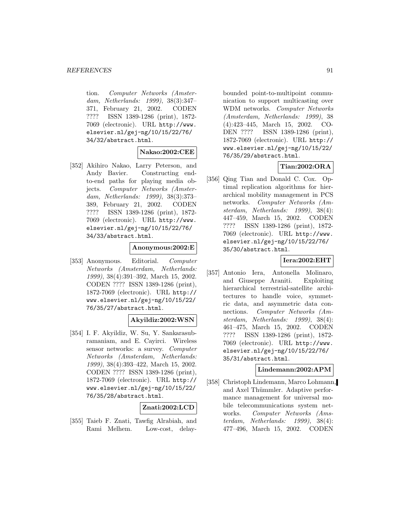tion. Computer Networks (Amsterdam, Netherlands: 1999), 38(3):347– 371, February 21, 2002. CODEN ???? ISSN 1389-1286 (print), 1872- 7069 (electronic). URL http://www. elsevier.nl/gej-ng/10/15/22/76/ 34/32/abstract.html.

#### **Nakao:2002:CEE**

[352] Akihiro Nakao, Larry Peterson, and Andy Bavier. Constructing endto-end paths for playing media objects. Computer Networks (Amsterdam, Netherlands: 1999), 38(3):373– 389, February 21, 2002. CODEN ???? ISSN 1389-1286 (print), 1872- 7069 (electronic). URL http://www. elsevier.nl/gej-ng/10/15/22/76/ 34/33/abstract.html.

### **Anonymous:2002:E**

[353] Anonymous. Editorial. Computer Networks (Amsterdam, Netherlands: 1999), 38(4):391–392, March 15, 2002. CODEN ???? ISSN 1389-1286 (print), 1872-7069 (electronic). URL http:// www.elsevier.nl/gej-ng/10/15/22/ 76/35/27/abstract.html.

### **Akyildiz:2002:WSN**

[354] I. F. Akyildiz, W. Su, Y. Sankarasubramaniam, and E. Cayirci. Wireless sensor networks: a survey. Computer Networks (Amsterdam, Netherlands: 1999), 38(4):393–422, March 15, 2002. CODEN ???? ISSN 1389-1286 (print), 1872-7069 (electronic). URL http:// www.elsevier.nl/gej-ng/10/15/22/ 76/35/28/abstract.html.

### **Znati:2002:LCD**

[355] Taieb F. Znati, Tawfig Alrabiah, and Rami Melhem. Low-cost, delay-

bounded point-to-multipoint communication to support multicasting over WDM networks. Computer Networks (Amsterdam, Netherlands: 1999), 38 (4):423–445, March 15, 2002. CO-DEN ???? ISSN 1389-1286 (print), 1872-7069 (electronic). URL http:// www.elsevier.nl/gej-ng/10/15/22/ 76/35/29/abstract.html.

# **Tian:2002:ORA**

[356] Qing Tian and Donald C. Cox. Optimal replication algorithms for hierarchical mobility management in PCS networks. Computer Networks (Amsterdam, Netherlands: 1999), 38(4): 447–459, March 15, 2002. CODEN ???? ISSN 1389-1286 (print), 1872- 7069 (electronic). URL http://www. elsevier.nl/gej-ng/10/15/22/76/ 35/30/abstract.html.

# **Iera:2002:EHT**

[357] Antonio Iera, Antonella Molinaro, and Giuseppe Araniti. Exploiting hierarchical terrestrial-satellite architectures to handle voice, symmetric data, and asymmetric data connections. Computer Networks (Amsterdam, Netherlands: 1999), 38(4): 461–475, March 15, 2002. CODEN ???? ISSN 1389-1286 (print), 1872- 7069 (electronic). URL http://www. elsevier.nl/gej-ng/10/15/22/76/ 35/31/abstract.html.

### **Lindemann:2002:APM**

[358] Christoph Lindemann, Marco Lohmann, and Axel Thümmler. Adaptive performance management for universal mobile telecommunications system networks. Computer Networks (Amsterdam, Netherlands: 1999), 38(4): 477–496, March 15, 2002. CODEN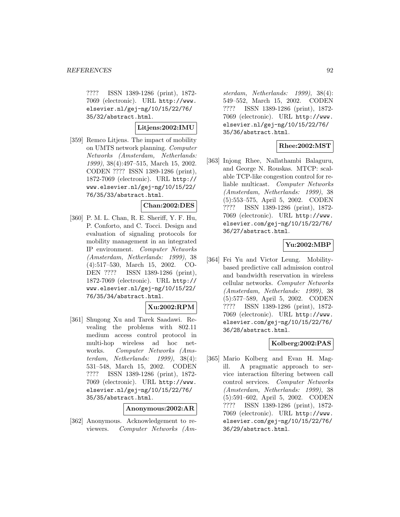???? ISSN 1389-1286 (print), 1872- 7069 (electronic). URL http://www. elsevier.nl/gej-ng/10/15/22/76/ 35/32/abstract.html.

**Litjens:2002:IMU**

[359] Remco Litjens. The impact of mobility on UMTS network planning. Computer Networks (Amsterdam, Netherlands: 1999), 38(4):497–515, March 15, 2002. CODEN ???? ISSN 1389-1286 (print), 1872-7069 (electronic). URL http:// www.elsevier.nl/gej-ng/10/15/22/ 76/35/33/abstract.html.

### **Chan:2002:DES**

[360] P. M. L. Chan, R. E. Sheriff, Y. F. Hu, P. Conforto, and C. Tocci. Design and evaluation of signaling protocols for mobility management in an integrated IP environment. Computer Networks (Amsterdam, Netherlands: 1999), 38 (4):517–530, March 15, 2002. CO-DEN ???? ISSN 1389-1286 (print), 1872-7069 (electronic). URL http:// www.elsevier.nl/gej-ng/10/15/22/ 76/35/34/abstract.html.

# **Xu:2002:RPM**

[361] Shugong Xu and Tarek Saadawi. Revealing the problems with 802.11 medium access control protocol in multi-hop wireless ad hoc networks. Computer Networks (Amsterdam, Netherlands: 1999), 38(4): 531–548, March 15, 2002. CODEN ???? ISSN 1389-1286 (print), 1872- 7069 (electronic). URL http://www. elsevier.nl/gej-ng/10/15/22/76/ 35/35/abstract.html.

#### **Anonymous:2002:AR**

[362] Anonymous. Acknowledgement to reviewers. Computer Networks (Am-

sterdam, Netherlands: 1999), 38(4): 549–552, March 15, 2002. CODEN ???? ISSN 1389-1286 (print), 1872- 7069 (electronic). URL http://www. elsevier.nl/gej-ng/10/15/22/76/ 35/36/abstract.html.

# **Rhee:2002:MST**

[363] Injong Rhee, Nallathambi Balaguru, and George N. Rouskas. MTCP: scalable TCP-like congestion control for reliable multicast. Computer Networks (Amsterdam, Netherlands: 1999), 38 (5):553–575, April 5, 2002. CODEN ???? ISSN 1389-1286 (print), 1872- 7069 (electronic). URL http://www. elsevier.com/gej-ng/10/15/22/76/ 36/27/abstract.html.

### **Yu:2002:MBP**

[364] Fei Yu and Victor Leung. Mobilitybased predictive call admission control and bandwidth reservation in wireless cellular networks. Computer Networks (Amsterdam, Netherlands: 1999), 38 (5):577–589, April 5, 2002. CODEN ???? ISSN 1389-1286 (print), 1872- 7069 (electronic). URL http://www. elsevier.com/gej-ng/10/15/22/76/ 36/28/abstract.html.

# **Kolberg:2002:PAS**

[365] Mario Kolberg and Evan H. Magill. A pragmatic approach to service interaction filtering between call control services. Computer Networks (Amsterdam, Netherlands: 1999), 38 (5):591–602, April 5, 2002. CODEN ???? ISSN 1389-1286 (print), 1872- 7069 (electronic). URL http://www. elsevier.com/gej-ng/10/15/22/76/ 36/29/abstract.html.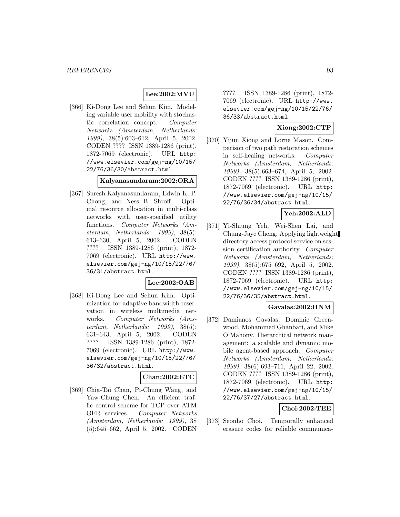# **Lee:2002:MVU**

[366] Ki-Dong Lee and Sehun Kim. Modeling variable user mobility with stochastic correlation concept. Computer Networks (Amsterdam, Netherlands: 1999), 38(5):603–612, April 5, 2002. CODEN ???? ISSN 1389-1286 (print), 1872-7069 (electronic). URL http: //www.elsevier.com/gej-ng/10/15/ 22/76/36/30/abstract.html.

#### **Kalyanasundaram:2002:ORA**

[367] Suresh Kalyanasundaram, Edwin K. P. Chong, and Ness B. Shroff. Optimal resource allocation in multi-class networks with user-specified utility functions. Computer Networks (Amsterdam, Netherlands: 1999), 38(5): 613–630, April 5, 2002. CODEN ???? ISSN 1389-1286 (print), 1872- 7069 (electronic). URL http://www. elsevier.com/gej-ng/10/15/22/76/ 36/31/abstract.html.

### **Lee:2002:OAB**

[368] Ki-Dong Lee and Sehun Kim. Optimization for adaptive bandwidth reservation in wireless multimedia networks. Computer Networks (Amsterdam, Netherlands: 1999), 38(5): 631–643, April 5, 2002. CODEN ???? ISSN 1389-1286 (print), 1872- 7069 (electronic). URL http://www. elsevier.com/gej-ng/10/15/22/76/ 36/32/abstract.html.

# **Chan:2002:ETC**

[369] Chia-Tai Chan, Pi-Chung Wang, and Yaw-Chung Chen. An efficient traffic control scheme for TCP over ATM GFR services. Computer Networks (Amsterdam, Netherlands: 1999), 38 (5):645–662, April 5, 2002. CODEN

???? ISSN 1389-1286 (print), 1872- 7069 (electronic). URL http://www. elsevier.com/gej-ng/10/15/22/76/ 36/33/abstract.html.

# **Xiong:2002:CTP**

[370] Yijun Xiong and Lorne Mason. Comparison of two path restoration schemes in self-healing networks. Computer Networks (Amsterdam, Netherlands: 1999), 38(5):663–674, April 5, 2002. CODEN ???? ISSN 1389-1286 (print), 1872-7069 (electronic). URL http: //www.elsevier.com/gej-ng/10/15/ 22/76/36/34/abstract.html.

### **Yeh:2002:ALD**

[371] Yi-Shiung Yeh, Wei-Shen Lai, and Chung-Jaye Cheng. Applying lightweight directory access protocol service on session certification authority. Computer Networks (Amsterdam, Netherlands: 1999), 38(5):675–692, April 5, 2002. CODEN ???? ISSN 1389-1286 (print), 1872-7069 (electronic). URL http: //www.elsevier.com/gej-ng/10/15/ 22/76/36/35/abstract.html.

#### **Gavalas:2002:HNM**

[372] Damianos Gavalas, Dominic Greenwood, Mohammed Ghanbari, and Mike O'Mahony. Hierarchical network management: a scalable and dynamic mobile agent-based approach. Computer Networks (Amsterdam, Netherlands: 1999), 38(6):693–711, April 22, 2002. CODEN ???? ISSN 1389-1286 (print), 1872-7069 (electronic). URL http: //www.elsevier.com/gej-ng/10/15/ 22/76/37/27/abstract.html.

# **Choi:2002:TEE**

[373] Seonho Choi. Temporally enhanced erasure codes for reliable communica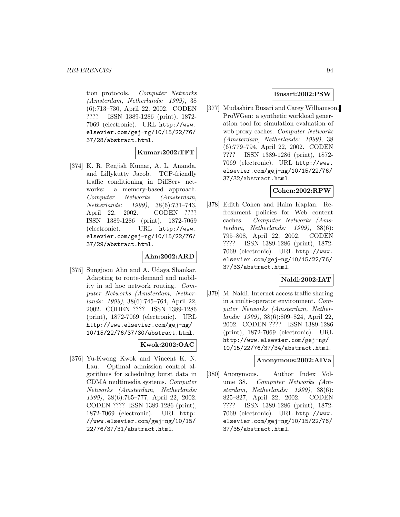tion protocols. Computer Networks (Amsterdam, Netherlands: 1999), 38 (6):713–730, April 22, 2002. CODEN ???? ISSN 1389-1286 (print), 1872- 7069 (electronic). URL http://www. elsevier.com/gej-ng/10/15/22/76/ 37/28/abstract.html.

### **Kumar:2002:TFT**

[374] K. R. Renjish Kumar, A. L. Ananda, and Lillykutty Jacob. TCP-friendly traffic conditioning in DiffServ networks: a memory-based approach. Computer Networks (Amsterdam, Netherlands: 1999), 38(6):731–743, April 22, 2002. CODEN ???? ISSN 1389-1286 (print), 1872-7069 (electronic). URL http://www. elsevier.com/gej-ng/10/15/22/76/ 37/29/abstract.html.

### **Ahn:2002:ARD**

[375] Sungjoon Ahn and A. Udaya Shankar. Adapting to route-demand and mobility in ad hoc network routing. Computer Networks (Amsterdam, Netherlands: 1999), 38(6):745–764, April 22, 2002. CODEN ???? ISSN 1389-1286 (print), 1872-7069 (electronic). URL http://www.elsevier.com/gej-ng/ 10/15/22/76/37/30/abstract.html.

### **Kwok:2002:OAC**

[376] Yu-Kwong Kwok and Vincent K. N. Lau. Optimal admission control algorithms for scheduling burst data in CDMA multimedia systems. Computer Networks (Amsterdam, Netherlands: 1999), 38(6):765–777, April 22, 2002. CODEN ???? ISSN 1389-1286 (print), 1872-7069 (electronic). URL http: //www.elsevier.com/gej-ng/10/15/ 22/76/37/31/abstract.html.

### **Busari:2002:PSW**

[377] Mudashiru Busari and Carey Williamson. ProWGen: a synthetic workload generation tool for simulation evaluation of web proxy caches. Computer Networks (Amsterdam, Netherlands: 1999), 38 (6):779–794, April 22, 2002. CODEN ???? ISSN 1389-1286 (print), 1872- 7069 (electronic). URL http://www. elsevier.com/gej-ng/10/15/22/76/ 37/32/abstract.html.

# **Cohen:2002:RPW**

[378] Edith Cohen and Haim Kaplan. Refreshment policies for Web content caches. Computer Networks (Amsterdam, Netherlands: 1999), 38(6): 795–808, April 22, 2002. CODEN ???? ISSN 1389-1286 (print), 1872- 7069 (electronic). URL http://www. elsevier.com/gej-ng/10/15/22/76/ 37/33/abstract.html.

### **Naldi:2002:IAT**

[379] M. Naldi. Internet access traffic sharing in a multi-operator environment. Computer Networks (Amsterdam, Netherlands: 1999), 38(6):809–824, April 22, 2002. CODEN ???? ISSN 1389-1286 (print), 1872-7069 (electronic). URL http://www.elsevier.com/gej-ng/ 10/15/22/76/37/34/abstract.html.

### **Anonymous:2002:AIVa**

[380] Anonymous. Author Index Volume 38. Computer Networks (Amsterdam, Netherlands: 1999), 38(6): 825–827, April 22, 2002. CODEN ???? ISSN 1389-1286 (print), 1872- 7069 (electronic). URL http://www. elsevier.com/gej-ng/10/15/22/76/ 37/35/abstract.html.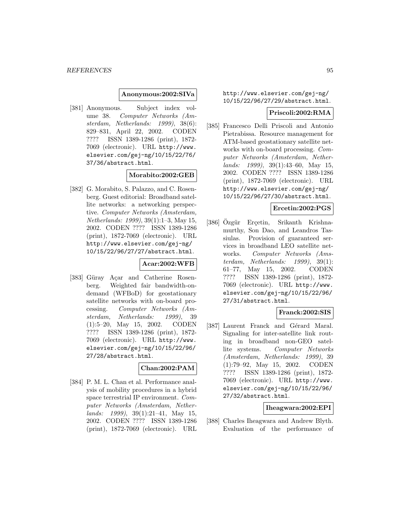#### **Anonymous:2002:SIVa**

[381] Anonymous. Subject index volume 38. Computer Networks (Amsterdam, Netherlands: 1999), 38(6): 829–831, April 22, 2002. CODEN ???? ISSN 1389-1286 (print), 1872- 7069 (electronic). URL http://www. elsevier.com/gej-ng/10/15/22/76/ 37/36/abstract.html.

#### **Morabito:2002:GEB**

[382] G. Morabito, S. Palazzo, and C. Rosenberg. Guest editorial: Broadband satellite networks: a networking perspective. Computer Networks (Amsterdam, Netherlands: 1999), 39(1):1–3, May 15, 2002. CODEN ???? ISSN 1389-1286 (print), 1872-7069 (electronic). URL http://www.elsevier.com/gej-ng/ 10/15/22/96/27/27/abstract.html.

#### **Acar:2002:WFB**

[383] Güray Açar and Catherine Rosenberg. Weighted fair bandwidth-ondemand (WFBoD) for geostationary satellite networks with on-board processing. Computer Networks (Amsterdam, Netherlands: 1999), 39 (1):5–20, May 15, 2002. CODEN ???? ISSN 1389-1286 (print), 1872- 7069 (electronic). URL http://www. elsevier.com/gej-ng/10/15/22/96/ 27/28/abstract.html.

### **Chan:2002:PAM**

[384] P. M. L. Chan et al. Performance analysis of mobility procedures in a hybrid space terrestrial IP environment. Computer Networks (Amsterdam, Netherlands: 1999), 39(1):21–41, May 15, 2002. CODEN ???? ISSN 1389-1286 (print), 1872-7069 (electronic). URL http://www.elsevier.com/gej-ng/ 10/15/22/96/27/29/abstract.html.

#### **Priscoli:2002:RMA**

[385] Francesco Delli Priscoli and Antonio Pietrabissa. Resource management for ATM-based geostationary satellite networks with on-board processing. Computer Networks (Amsterdam, Netherlands: 1999), 39(1):43–60, May 15, 2002. CODEN ???? ISSN 1389-1286 (print), 1872-7069 (electronic). URL http://www.elsevier.com/gej-ng/ 10/15/22/96/27/30/abstract.html.

### **Ercetin:2002:PGS**

[386] Ozgür Erçetin, Srikanth Krishnamurthy, Son Dao, and Leandros Tassiulas. Provision of guaranteed services in broadband LEO satellite networks. Computer Networks (Amsterdam, Netherlands: 1999), 39(1): 61–77, May 15, 2002. CODEN ???? ISSN 1389-1286 (print), 1872- 7069 (electronic). URL http://www. elsevier.com/gej-ng/10/15/22/96/ 27/31/abstract.html.

# **Franck:2002:SIS**

[387] Laurent Franck and Gérard Maral. Signaling for inter-satellite link routing in broadband non-GEO satellite systems. Computer Networks (Amsterdam, Netherlands: 1999), 39 (1):79–92, May 15, 2002. CODEN ???? ISSN 1389-1286 (print), 1872- 7069 (electronic). URL http://www. elsevier.com/gej-ng/10/15/22/96/ 27/32/abstract.html.

# **Iheagwara:2002:EPI**

[388] Charles Iheagwara and Andrew Blyth. Evaluation of the performance of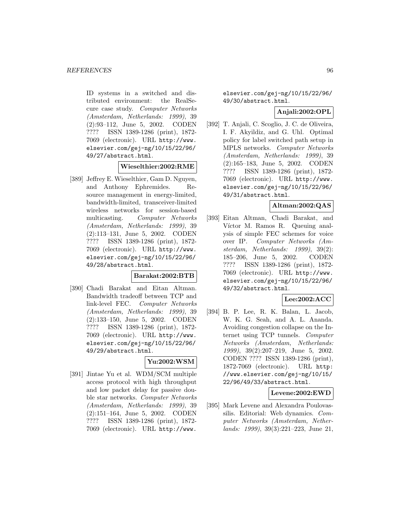ID systems in a switched and distributed environment: the RealSecure case study. Computer Networks (Amsterdam, Netherlands: 1999), 39 (2):93–112, June 5, 2002. CODEN ???? ISSN 1389-1286 (print), 1872- 7069 (electronic). URL http://www. elsevier.com/gej-ng/10/15/22/96/ 49/27/abstract.html.

### **Wieselthier:2002:RME**

[389] Jeffrey E. Wieselthier, Gam D. Nguyen, and Anthony Ephremides. Resource management in energy-limited, bandwidth-limited, transceiver-limited wireless networks for session-based multicasting. Computer Networks (Amsterdam, Netherlands: 1999), 39 (2):113–131, June 5, 2002. CODEN ???? ISSN 1389-1286 (print), 1872- 7069 (electronic). URL http://www. elsevier.com/gej-ng/10/15/22/96/ 49/28/abstract.html.

#### **Barakat:2002:BTB**

[390] Chadi Barakat and Eitan Altman. Bandwidth tradeoff between TCP and link-level FEC. Computer Networks (Amsterdam, Netherlands: 1999), 39 (2):133–150, June 5, 2002. CODEN ???? ISSN 1389-1286 (print), 1872- 7069 (electronic). URL http://www. elsevier.com/gej-ng/10/15/22/96/ 49/29/abstract.html.

# **Yu:2002:WSM**

[391] Jintae Yu et al. WDM/SCM multiple access protocol with high throughput and low packet delay for passive double star networks. Computer Networks (Amsterdam, Netherlands: 1999), 39 (2):151–164, June 5, 2002. CODEN ???? ISSN 1389-1286 (print), 1872- 7069 (electronic). URL http://www.

elsevier.com/gej-ng/10/15/22/96/ 49/30/abstract.html.

### **Anjali:2002:OPL**

[392] T. Anjali, C. Scoglio, J. C. de Oliveira, I. F. Akyildiz, and G. Uhl. Optimal policy for label switched path setup in MPLS networks. Computer Networks (Amsterdam, Netherlands: 1999), 39 (2):165–183, June 5, 2002. CODEN ???? ISSN 1389-1286 (print), 1872- 7069 (electronic). URL http://www. elsevier.com/gej-ng/10/15/22/96/ 49/31/abstract.html.

# **Altman:2002:QAS**

[393] Eitan Altman, Chadi Barakat, and Víctor M. Ramos R. Queuing analysis of simple FEC schemes for voice over IP. Computer Networks (Amsterdam, Netherlands: 1999), 39(2): 185–206, June 5, 2002. CODEN ???? ISSN 1389-1286 (print), 1872- 7069 (electronic). URL http://www. elsevier.com/gej-ng/10/15/22/96/ 49/32/abstract.html.

# **Lee:2002:ACC**

[394] B. P. Lee, R. K. Balan, L. Jacob, W. K. G. Seah, and A. L. Ananda. Avoiding congestion collapse on the Internet using TCP tunnels. Computer Networks (Amsterdam, Netherlands: 1999), 39(2):207–219, June 5, 2002. CODEN ???? ISSN 1389-1286 (print), 1872-7069 (electronic). URL http: //www.elsevier.com/gej-ng/10/15/ 22/96/49/33/abstract.html.

### **Levene:2002:EWD**

[395] Mark Levene and Alexandra Poulovassilis. Editorial: Web dynamics. Computer Networks (Amsterdam, Netherlands: 1999), 39(3):221–223, June 21,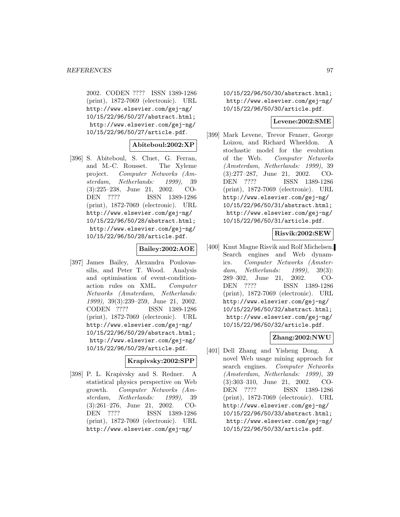2002. CODEN ???? ISSN 1389-1286 (print), 1872-7069 (electronic). URL http://www.elsevier.com/gej-ng/ 10/15/22/96/50/27/abstract.html; http://www.elsevier.com/gej-ng/ 10/15/22/96/50/27/article.pdf.

#### **Abiteboul:2002:XP**

[396] S. Abiteboul, S. Cluet, G. Ferran, and M.-C. Rousset. The Xyleme project. Computer Networks (Amsterdam, Netherlands: 1999), 39 (3):225–238, June 21, 2002. CO-DEN ???? ISSN 1389-1286 (print), 1872-7069 (electronic). URL http://www.elsevier.com/gej-ng/ 10/15/22/96/50/28/abstract.html; http://www.elsevier.com/gej-ng/ 10/15/22/96/50/28/article.pdf.

### **Bailey:2002:AOE**

[397] James Bailey, Alexandra Poulovassilis, and Peter T. Wood. Analysis and optimisation of event-conditionaction rules on XML. Computer Networks (Amsterdam, Netherlands: 1999), 39(3):239–259, June 21, 2002. CODEN ???? ISSN 1389-1286 (print), 1872-7069 (electronic). URL http://www.elsevier.com/gej-ng/ 10/15/22/96/50/29/abstract.html; http://www.elsevier.com/gej-ng/ 10/15/22/96/50/29/article.pdf.

### **Krapivsky:2002:SPP**

[398] P. L. Krapivsky and S. Redner. A statistical physics perspective on Web growth. Computer Networks (Amsterdam, Netherlands: 1999), 39 (3):261–276, June 21, 2002. CO-DEN ???? ISSN 1389-1286 (print), 1872-7069 (electronic). URL http://www.elsevier.com/gej-ng/

10/15/22/96/50/30/abstract.html; http://www.elsevier.com/gej-ng/ 10/15/22/96/50/30/article.pdf.

### **Levene:2002:SME**

[399] Mark Levene, Trevor Fenner, George Loizou, and Richard Wheeldon. A stochastic model for the evolution of the Web. Computer Networks (Amsterdam, Netherlands: 1999), 39 (3):277–287, June 21, 2002. CO-DEN ???? ISSN 1389-1286 (print), 1872-7069 (electronic). URL http://www.elsevier.com/gej-ng/ 10/15/22/96/50/31/abstract.html; http://www.elsevier.com/gej-ng/ 10/15/22/96/50/31/article.pdf.

# **Risvik:2002:SEW**

[400] Knut Magne Risvik and Rolf Michelsen. Search engines and Web dynamics. Computer Networks (Amsterdam, Netherlands: 1999), 39(3): 289–302, June 21, 2002. CO-DEN ???? ISSN 1389-1286 (print), 1872-7069 (electronic). URL http://www.elsevier.com/gej-ng/ 10/15/22/96/50/32/abstract.html; http://www.elsevier.com/gej-ng/ 10/15/22/96/50/32/article.pdf.

### **Zhang:2002:NWU**

[401] Dell Zhang and Yisheng Dong. A novel Web usage mining approach for search engines. Computer Networks (Amsterdam, Netherlands: 1999), 39 (3):303–310, June 21, 2002. CO-DEN ???? ISSN 1389-1286 (print), 1872-7069 (electronic). URL http://www.elsevier.com/gej-ng/ 10/15/22/96/50/33/abstract.html; http://www.elsevier.com/gej-ng/ 10/15/22/96/50/33/article.pdf.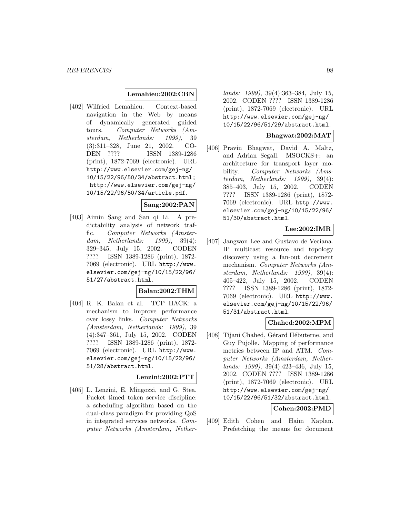#### **Lemahieu:2002:CBN**

[402] Wilfried Lemahieu. Context-based navigation in the Web by means of dynamically generated guided tours. Computer Networks (Amsterdam, Netherlands: 1999), 39 (3):311–328, June 21, 2002. CO-DEN ???? ISSN 1389-1286 (print), 1872-7069 (electronic). URL http://www.elsevier.com/gej-ng/ 10/15/22/96/50/34/abstract.html; http://www.elsevier.com/gej-ng/ 10/15/22/96/50/34/article.pdf.

# **Sang:2002:PAN**

[403] Aimin Sang and San qi Li. A predictability analysis of network traffic. Computer Networks (Amsterdam, Netherlands: 1999), 39(4): 329–345, July 15, 2002. CODEN ???? ISSN 1389-1286 (print), 1872- 7069 (electronic). URL http://www. elsevier.com/gej-ng/10/15/22/96/ 51/27/abstract.html.

### **Balan:2002:THM**

[404] R. K. Balan et al. TCP HACK: a mechanism to improve performance over lossy links. Computer Networks (Amsterdam, Netherlands: 1999), 39 (4):347–361, July 15, 2002. CODEN ???? ISSN 1389-1286 (print), 1872- 7069 (electronic). URL http://www. elsevier.com/gej-ng/10/15/22/96/ 51/28/abstract.html.

# **Lenzini:2002:PTT**

[405] L. Lenzini, E. Mingozzi, and G. Stea. Packet timed token service discipline: a scheduling algorithm based on the dual-class paradigm for providing QoS in integrated services networks. Computer Networks (Amsterdam, Nether-

lands: 1999), 39(4):363–384, July 15, 2002. CODEN ???? ISSN 1389-1286 (print), 1872-7069 (electronic). URL http://www.elsevier.com/gej-ng/ 10/15/22/96/51/29/abstract.html.

# **Bhagwat:2002:MAT**

[406] Pravin Bhagwat, David A. Maltz, and Adrian Segall. MSOCKS+: an architecture for transport layer mobility. Computer Networks (Amsterdam, Netherlands: 1999), 39(4): 385–403, July 15, 2002. CODEN ???? ISSN 1389-1286 (print), 1872- 7069 (electronic). URL http://www. elsevier.com/gej-ng/10/15/22/96/ 51/30/abstract.html.

### **Lee:2002:IMR**

[407] Jangwon Lee and Gustavo de Veciana. IP multicast resource and topology discovery using a fan-out decrement mechanism. Computer Networks (Amsterdam, Netherlands: 1999), 39(4): 405–422, July 15, 2002. CODEN ???? ISSN 1389-1286 (print), 1872- 7069 (electronic). URL http://www. elsevier.com/gej-ng/10/15/22/96/ 51/31/abstract.html.

# **Chahed:2002:MPM**

[408] Tijani Chahed, Gérard Hébuterne, and Guy Pujolle. Mapping of performance metrics between IP and ATM. Computer Networks (Amsterdam, Netherlands: 1999), 39(4):423–436, July 15, 2002. CODEN ???? ISSN 1389-1286 (print), 1872-7069 (electronic). URL http://www.elsevier.com/gej-ng/ 10/15/22/96/51/32/abstract.html.

# **Cohen:2002:PMD**

[409] Edith Cohen and Haim Kaplan. Prefetching the means for document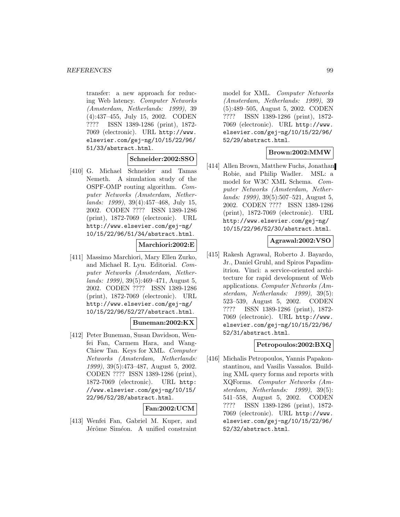transfer: a new approach for reducing Web latency. Computer Networks (Amsterdam, Netherlands: 1999), 39 (4):437–455, July 15, 2002. CODEN ???? ISSN 1389-1286 (print), 1872- 7069 (electronic). URL http://www. elsevier.com/gej-ng/10/15/22/96/ 51/33/abstract.html.

### **Schneider:2002:SSO**

[410] G. Michael Schneider and Tamas Nemeth. A simulation study of the OSPF-OMP routing algorithm. Computer Networks (Amsterdam, Netherlands: 1999), 39(4):457–468, July 15, 2002. CODEN ???? ISSN 1389-1286 (print), 1872-7069 (electronic). URL http://www.elsevier.com/gej-ng/ 10/15/22/96/51/34/abstract.html.

**Marchiori:2002:E**

[411] Massimo Marchiori, Mary Ellen Zurko, and Michael R. Lyu. Editorial. Computer Networks (Amsterdam, Netherlands: 1999), 39(5):469–471, August 5, 2002. CODEN ???? ISSN 1389-1286 (print), 1872-7069 (electronic). URL http://www.elsevier.com/gej-ng/ 10/15/22/96/52/27/abstract.html.

# **Buneman:2002:KX**

[412] Peter Buneman, Susan Davidson, Wenfei Fan, Carmem Hara, and Wang-Chiew Tan. Keys for XML. Computer Networks (Amsterdam, Netherlands: 1999), 39(5):473–487, August 5, 2002. CODEN ???? ISSN 1389-1286 (print), 1872-7069 (electronic). URL http: //www.elsevier.com/gej-ng/10/15/ 22/96/52/28/abstract.html.

### **Fan:2002:UCM**

[413] Wenfei Fan, Gabriel M. Kuper, and Jérôme Siméon. A unified constraint

model for XML. Computer Networks (Amsterdam, Netherlands: 1999), 39 (5):489–505, August 5, 2002. CODEN ???? ISSN 1389-1286 (print), 1872- 7069 (electronic). URL http://www. elsevier.com/gej-ng/10/15/22/96/ 52/29/abstract.html.

# **Brown:2002:MMW**

[414] Allen Brown, Matthew Fuchs, Jonathan Robie, and Philip Wadler. MSL: a model for W3C XML Schema. Computer Networks (Amsterdam, Netherlands: 1999), 39(5):507–521, August 5, 2002. CODEN ???? ISSN 1389-1286 (print), 1872-7069 (electronic). URL http://www.elsevier.com/gej-ng/ 10/15/22/96/52/30/abstract.html.

# **Agrawal:2002:VSO**

[415] Rakesh Agrawal, Roberto J. Bayardo, Jr., Daniel Gruhl, and Spiros Papadimitriou. Vinci: a service-oriented architecture for rapid development of Web applications. Computer Networks (Amsterdam, Netherlands: 1999), 39(5): 523–539, August 5, 2002. CODEN ???? ISSN 1389-1286 (print), 1872- 7069 (electronic). URL http://www. elsevier.com/gej-ng/10/15/22/96/ 52/31/abstract.html.

# **Petropoulos:2002:BXQ**

[416] Michalis Petropoulos, Yannis Papakonstantinou, and Vasilis Vassalos. Building XML query forms and reports with XQForms. Computer Networks (Amsterdam, Netherlands: 1999), 39(5): 541–558, August 5, 2002. CODEN ???? ISSN 1389-1286 (print), 1872- 7069 (electronic). URL http://www. elsevier.com/gej-ng/10/15/22/96/ 52/32/abstract.html.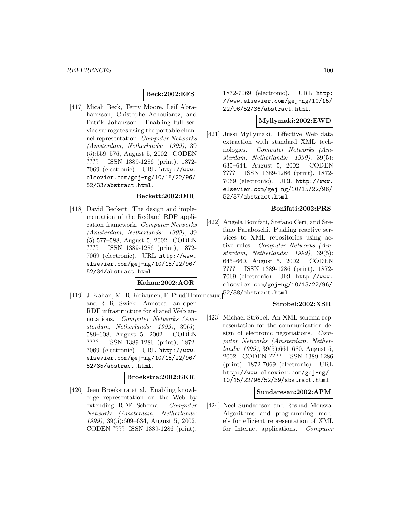### **Beck:2002:EFS**

[417] Micah Beck, Terry Moore, Leif Abrahamsson, Chistophe Achouiantz, and Patrik Johansson. Enabling full service surrogates using the portable channel representation. Computer Networks (Amsterdam, Netherlands: 1999), 39 (5):559–576, August 5, 2002. CODEN ???? ISSN 1389-1286 (print), 1872- 7069 (electronic). URL http://www. elsevier.com/gej-ng/10/15/22/96/ 52/33/abstract.html.

#### **Beckett:2002:DIR**

[418] David Beckett. The design and implementation of the Redland RDF application framework. Computer Networks (Amsterdam, Netherlands: 1999), 39 (5):577–588, August 5, 2002. CODEN ???? ISSN 1389-1286 (print), 1872- 7069 (electronic). URL http://www. elsevier.com/gej-ng/10/15/22/96/ 52/34/abstract.html.

#### **Kahan:2002:AOR**

[419] J. Kahan, M.-R. Koivunen, E. Prud'Hommeaux, 52/38/abstract.html. and R. R. Swick. Annotea: an open RDF infrastructure for shared Web annotations. Computer Networks (Amsterdam, Netherlands: 1999), 39(5): 589–608, August 5, 2002. CODEN ???? ISSN 1389-1286 (print), 1872- 7069 (electronic). URL http://www. elsevier.com/gej-ng/10/15/22/96/ 52/35/abstract.html.

# **Broekstra:2002:EKR**

[420] Jeen Broekstra et al. Enabling knowledge representation on the Web by extending RDF Schema. Computer Networks (Amsterdam, Netherlands: 1999), 39(5):609–634, August 5, 2002. CODEN ???? ISSN 1389-1286 (print),

1872-7069 (electronic). URL http: //www.elsevier.com/gej-ng/10/15/ 22/96/52/36/abstract.html.

### **Myllymaki:2002:EWD**

[421] Jussi Myllymaki. Effective Web data extraction with standard XML technologies. Computer Networks (Amsterdam, Netherlands: 1999), 39(5): 635–644, August 5, 2002. CODEN ???? ISSN 1389-1286 (print), 1872- 7069 (electronic). URL http://www. elsevier.com/gej-ng/10/15/22/96/ 52/37/abstract.html.

#### **Bonifati:2002:PRS**

[422] Angela Bonifati, Stefano Ceri, and Stefano Paraboschi. Pushing reactive services to XML repositories using active rules. Computer Networks (Amsterdam, Netherlands: 1999), 39(5): 645–660, August 5, 2002. CODEN ???? ISSN 1389-1286 (print), 1872- 7069 (electronic). URL http://www. elsevier.com/gej-ng/10/15/22/96/

### **Strobel:2002:XSR**

[423] Michael Ströbel. An XML schema representation for the communication design of electronic negotiations. Computer Networks (Amsterdam, Netherlands: 1999), 39(5):661–680, August 5, 2002. CODEN ???? ISSN 1389-1286 (print), 1872-7069 (electronic). URL http://www.elsevier.com/gej-ng/ 10/15/22/96/52/39/abstract.html.

### **Sundaresan:2002:APM**

[424] Neel Sundaresan and Reshad Moussa. Algorithms and programming models for efficient representation of XML for Internet applications. Computer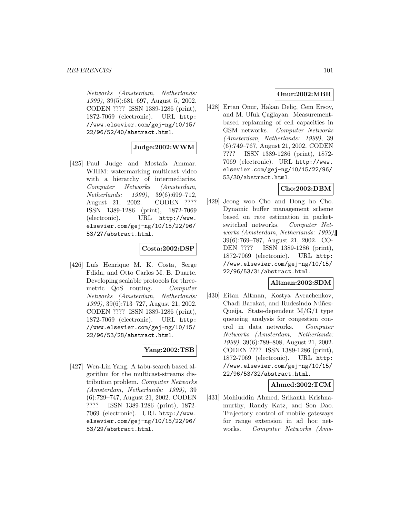Networks (Amsterdam, Netherlands: 1999), 39(5):681–697, August 5, 2002. CODEN ???? ISSN 1389-1286 (print), 1872-7069 (electronic). URL http: //www.elsevier.com/gej-ng/10/15/ 22/96/52/40/abstract.html.

### **Judge:2002:WWM**

[425] Paul Judge and Mostafa Ammar. WHIM: watermarking multicast video with a hierarchy of intermediaries. Computer Networks (Amsterdam, Netherlands: 1999), 39(6):699–712, August 21, 2002. CODEN ???? ISSN 1389-1286 (print), 1872-7069 (electronic). URL http://www. elsevier.com/gej-ng/10/15/22/96/ 53/27/abstract.html.

# **Costa:2002:DSP**

[426] Luís Henrique M. K. Costa, Serge Fdida, and Otto Carlos M. B. Duarte. Developing scalable protocols for threemetric QoS routing. Computer Networks (Amsterdam, Netherlands: 1999), 39(6):713–727, August 21, 2002. CODEN ???? ISSN 1389-1286 (print), 1872-7069 (electronic). URL http: //www.elsevier.com/gej-ng/10/15/ 22/96/53/28/abstract.html.

### **Yang:2002:TSB**

[427] Wen-Lin Yang. A tabu-search based algorithm for the multicast-streams distribution problem. Computer Networks (Amsterdam, Netherlands: 1999), 39 (6):729–747, August 21, 2002. CODEN ???? ISSN 1389-1286 (print), 1872- 7069 (electronic). URL http://www. elsevier.com/gej-ng/10/15/22/96/ 53/29/abstract.html.

# **Onur:2002:MBR**

[428] Ertan Onur, Hakan Deliç, Cem Ersoy, and M. Ufuk Çağlayan. Measurementbased replanning of cell capacities in GSM networks. Computer Networks (Amsterdam, Netherlands: 1999), 39 (6):749–767, August 21, 2002. CODEN ???? ISSN 1389-1286 (print), 1872- 7069 (electronic). URL http://www. elsevier.com/gej-ng/10/15/22/96/ 53/30/abstract.html.

### **Cho:2002:DBM**

[429] Jeong woo Cho and Dong ho Cho. Dynamic buffer management scheme based on rate estimation in packetswitched networks. Computer Networks (Amsterdam, Netherlands: 1999), 39(6):769–787, August 21, 2002. CO-DEN ???? ISSN 1389-1286 (print), 1872-7069 (electronic). URL http: //www.elsevier.com/gej-ng/10/15/ 22/96/53/31/abstract.html.

#### **Altman:2002:SDM**

[430] Eitan Altman, Kostya Avrachenkov, Chadi Barakat, and Rudesindo Núñez-Queija. State-dependent M/G/1 type queueing analysis for congestion control in data networks. Computer Networks (Amsterdam, Netherlands: 1999), 39(6):789–808, August 21, 2002. CODEN ???? ISSN 1389-1286 (print), 1872-7069 (electronic). URL http: //www.elsevier.com/gej-ng/10/15/ 22/96/53/32/abstract.html.

### **Ahmed:2002:TCM**

[431] Mohiuddin Ahmed, Srikanth Krishnamurthy, Randy Katz, and Son Dao. Trajectory control of mobile gateways for range extension in ad hoc networks. Computer Networks (Ams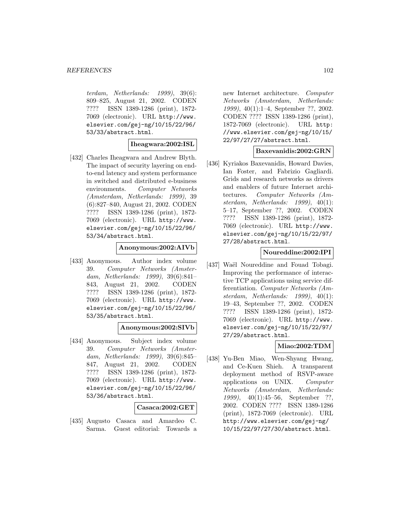terdam, Netherlands: 1999), 39(6): 809–825, August 21, 2002. CODEN ???? ISSN 1389-1286 (print), 1872- 7069 (electronic). URL http://www. elsevier.com/gej-ng/10/15/22/96/ 53/33/abstract.html.

### **Iheagwara:2002:ISL**

[432] Charles Iheagwara and Andrew Blyth. The impact of security layering on endto-end latency and system performance in switched and distributed e-business environments. Computer Networks (Amsterdam, Netherlands: 1999), 39 (6):827–840, August 21, 2002. CODEN ???? ISSN 1389-1286 (print), 1872- 7069 (electronic). URL http://www. elsevier.com/gej-ng/10/15/22/96/ 53/34/abstract.html.

#### **Anonymous:2002:AIVb**

[433] Anonymous. Author index volume 39. Computer Networks (Amsterdam, Netherlands: 1999), 39(6):841– 843, August 21, 2002. CODEN ???? ISSN 1389-1286 (print), 1872- 7069 (electronic). URL http://www. elsevier.com/gej-ng/10/15/22/96/ 53/35/abstract.html.

### **Anonymous:2002:SIVb**

[434] Anonymous. Subject index volume 39. Computer Networks (Amsterdam, Netherlands: 1999), 39(6):845– 847, August 21, 2002. CODEN ???? ISSN 1389-1286 (print), 1872- 7069 (electronic). URL http://www. elsevier.com/gej-ng/10/15/22/96/ 53/36/abstract.html.

### **Casaca:2002:GET**

[435] Augusto Casaca and Amardeo C. Sarma. Guest editorial: Towards a

new Internet architecture. Computer Networks (Amsterdam, Netherlands: 1999), 40(1):1–4, September ??, 2002. CODEN ???? ISSN 1389-1286 (print), 1872-7069 (electronic). URL http: //www.elsevier.com/gej-ng/10/15/ 22/97/27/27/abstract.html.

### **Baxevanidis:2002:GRN**

[436] Kyriakos Baxevanidis, Howard Davies, Ian Foster, and Fabrizio Gagliardi. Grids and research networks as drivers and enablers of future Internet architectures. Computer Networks (Amsterdam, Netherlands: 1999), 40(1): 5–17, September ??, 2002. CODEN ???? ISSN 1389-1286 (print), 1872- 7069 (electronic). URL http://www. elsevier.com/gej-ng/10/15/22/97/ 27/28/abstract.html.

#### **Noureddine:2002:IPI**

[437] Waël Noureddine and Fouad Tobagi. Improving the performance of interactive TCP applications using service differentiation. Computer Networks (Amsterdam, Netherlands: 1999), 40(1): 19–43, September ??, 2002. CODEN ???? ISSN 1389-1286 (print), 1872- 7069 (electronic). URL http://www. elsevier.com/gej-ng/10/15/22/97/ 27/29/abstract.html.

### **Miao:2002:TDM**

[438] Yu-Ben Miao, Wen-Shyang Hwang, and Ce-Kuen Shieh. A transparent deployment method of RSVP-aware applications on UNIX. Computer Networks (Amsterdam, Netherlands: 1999), 40(1):45–56, September ??, 2002. CODEN ???? ISSN 1389-1286 (print), 1872-7069 (electronic). URL http://www.elsevier.com/gej-ng/ 10/15/22/97/27/30/abstract.html.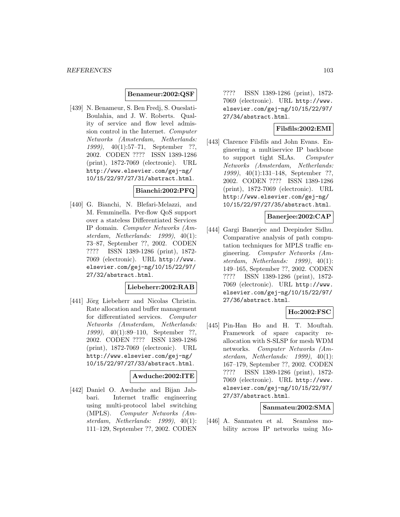#### **Benameur:2002:QSF**

[439] N. Benameur, S. Ben Fredj, S. Oueslati-Boulahia, and J. W. Roberts. Quality of service and flow level admission control in the Internet. Computer Networks (Amsterdam, Netherlands: 1999), 40(1):57–71, September ??, 2002. CODEN ???? ISSN 1389-1286 (print), 1872-7069 (electronic). URL http://www.elsevier.com/gej-ng/ 10/15/22/97/27/31/abstract.html.

# **Bianchi:2002:PFQ**

[440] G. Bianchi, N. Blefari-Melazzi, and M. Femminella. Per-flow QoS support over a stateless Differentiated Services IP domain. Computer Networks (Amsterdam, Netherlands: 1999), 40(1): 73–87, September ??, 2002. CODEN ???? ISSN 1389-1286 (print), 1872- 7069 (electronic). URL http://www. elsevier.com/gej-ng/10/15/22/97/ 27/32/abstract.html.

### **Liebeherr:2002:RAB**

[441] Jörg Liebeherr and Nicolas Christin. Rate allocation and buffer management for differentiated services. Computer Networks (Amsterdam, Netherlands: 1999), 40(1):89–110, September ??, 2002. CODEN ???? ISSN 1389-1286 (print), 1872-7069 (electronic). URL http://www.elsevier.com/gej-ng/ 10/15/22/97/27/33/abstract.html.

#### **Awduche:2002:ITE**

[442] Daniel O. Awduche and Bijan Jabbari. Internet traffic engineering using multi-protocol label switching (MPLS). Computer Networks (Amsterdam, Netherlands: 1999), 40(1): 111–129, September ??, 2002. CODEN

???? ISSN 1389-1286 (print), 1872- 7069 (electronic). URL http://www. elsevier.com/gej-ng/10/15/22/97/ 27/34/abstract.html.

# **Filsfils:2002:EMI**

[443] Clarence Filsfils and John Evans. Engineering a multiservice IP backbone to support tight SLAs. Computer Networks (Amsterdam, Netherlands: 1999), 40(1):131–148, September ??, 2002. CODEN ???? ISSN 1389-1286 (print), 1872-7069 (electronic). URL http://www.elsevier.com/gej-ng/ 10/15/22/97/27/35/abstract.html.

### **Banerjee:2002:CAP**

[444] Gargi Banerjee and Deepinder Sidhu. Comparative analysis of path computation techniques for MPLS traffic engineering. Computer Networks (Amsterdam, Netherlands: 1999), 40(1): 149–165, September ??, 2002. CODEN ???? ISSN 1389-1286 (print), 1872- 7069 (electronic). URL http://www. elsevier.com/gej-ng/10/15/22/97/ 27/36/abstract.html.

# **Ho:2002:FSC**

[445] Pin-Han Ho and H. T. Mouftah. Framework of spare capacity reallocation with S-SLSP for mesh WDM networks. Computer Networks (Amsterdam, Netherlands: 1999), 40(1): 167–179, September ??, 2002. CODEN ???? ISSN 1389-1286 (print), 1872- 7069 (electronic). URL http://www. elsevier.com/gej-ng/10/15/22/97/ 27/37/abstract.html.

#### **Sanmateu:2002:SMA**

[446] A. Sanmateu et al. Seamless mobility across IP networks using Mo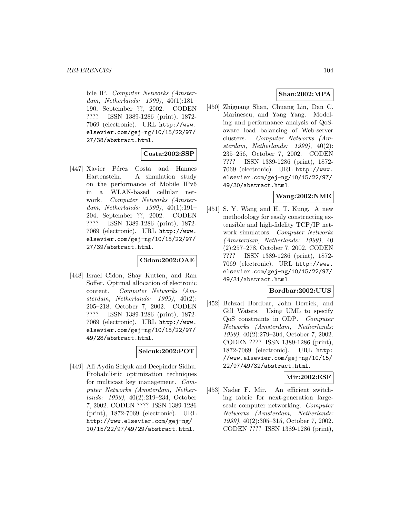bile IP. Computer Networks (Amsterdam, Netherlands: 1999), 40(1):181– 190, September ??, 2002. CODEN ???? ISSN 1389-1286 (print), 1872- 7069 (electronic). URL http://www. elsevier.com/gej-ng/10/15/22/97/ 27/38/abstract.html.

### **Costa:2002:SSP**

[447] Xavier Pérez Costa and Hannes Hartenstein. A simulation study on the performance of Mobile IPv6 in a WLAN-based cellular network. Computer Networks (Amsterdam, Netherlands: 1999), 40(1):191– 204, September ??, 2002. CODEN ???? ISSN 1389-1286 (print), 1872- 7069 (electronic). URL http://www. elsevier.com/gej-ng/10/15/22/97/ 27/39/abstract.html.

### **Cidon:2002:OAE**

[448] Israel Cidon, Shay Kutten, and Ran Soffer. Optimal allocation of electronic content. Computer Networks (Amsterdam, Netherlands: 1999), 40(2): 205–218, October 7, 2002. CODEN ???? ISSN 1389-1286 (print), 1872- 7069 (electronic). URL http://www. elsevier.com/gej-ng/10/15/22/97/ 49/28/abstract.html.

### **Selcuk:2002:POT**

[449] Ali Aydin Selçuk and Deepinder Sidhu. Probabilistic optimization techniques for multicast key management. Computer Networks (Amsterdam, Netherlands: 1999), 40(2):219–234, October 7, 2002. CODEN ???? ISSN 1389-1286 (print), 1872-7069 (electronic). URL http://www.elsevier.com/gej-ng/ 10/15/22/97/49/29/abstract.html.

# **Shan:2002:MPA**

[450] Zhiguang Shan, Chuang Lin, Dan C. Marinescu, and Yang Yang. Modeling and performance analysis of QoSaware load balancing of Web-server clusters. Computer Networks (Amsterdam, Netherlands: 1999), 40(2): 235–256, October 7, 2002. CODEN ???? ISSN 1389-1286 (print), 1872- 7069 (electronic). URL http://www. elsevier.com/gej-ng/10/15/22/97/ 49/30/abstract.html.

### **Wang:2002:NME**

[451] S. Y. Wang and H. T. Kung. A new methodology for easily constructing extensible and high-fidelity TCP/IP network simulators. Computer Networks (Amsterdam, Netherlands: 1999), 40 (2):257–278, October 7, 2002. CODEN ???? ISSN 1389-1286 (print), 1872- 7069 (electronic). URL http://www. elsevier.com/gej-ng/10/15/22/97/ 49/31/abstract.html.

# **Bordbar:2002:UUS**

[452] Behzad Bordbar, John Derrick, and Gill Waters. Using UML to specify QoS constraints in ODP. Computer Networks (Amsterdam, Netherlands: 1999), 40(2):279–304, October 7, 2002. CODEN ???? ISSN 1389-1286 (print), 1872-7069 (electronic). URL http: //www.elsevier.com/gej-ng/10/15/ 22/97/49/32/abstract.html.

# **Mir:2002:ESF**

[453] Nader F. Mir. An efficient switching fabric for next-generation largescale computer networking. Computer Networks (Amsterdam, Netherlands: 1999), 40(2):305–315, October 7, 2002. CODEN ???? ISSN 1389-1286 (print),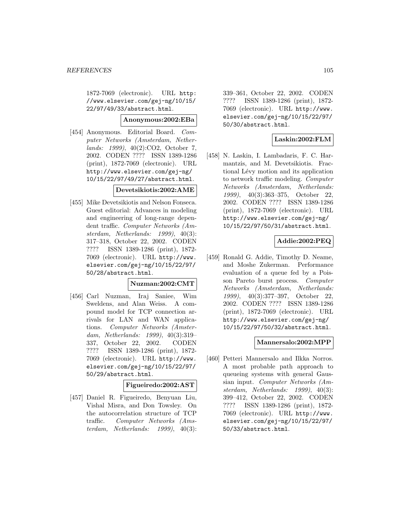1872-7069 (electronic). URL http: //www.elsevier.com/gej-ng/10/15/ 22/97/49/33/abstract.html.

### **Anonymous:2002:EBa**

[454] Anonymous. Editorial Board. Computer Networks (Amsterdam, Netherlands: 1999), 40(2):CO2, October 7, 2002. CODEN ???? ISSN 1389-1286 (print), 1872-7069 (electronic). URL http://www.elsevier.com/gej-ng/ 10/15/22/97/49/27/abstract.html.

### **Devetsikiotis:2002:AME**

[455] Mike Devetsikiotis and Nelson Fonseca. Guest editorial: Advances in modeling and engineering of long-range dependent traffic. Computer Networks (Amsterdam, Netherlands: 1999), 40(3): 317–318, October 22, 2002. CODEN ???? ISSN 1389-1286 (print), 1872- 7069 (electronic). URL http://www. elsevier.com/gej-ng/10/15/22/97/ 50/28/abstract.html.

#### **Nuzman:2002:CMT**

[456] Carl Nuzman, Iraj Saniee, Wim Sweldens, and Alan Weiss. A compound model for TCP connection arrivals for LAN and WAN applications. Computer Networks (Amsterdam, Netherlands: 1999), 40(3):319– 337, October 22, 2002. CODEN ???? ISSN 1389-1286 (print), 1872- 7069 (electronic). URL http://www. elsevier.com/gej-ng/10/15/22/97/ 50/29/abstract.html.

### **Figueiredo:2002:AST**

[457] Daniel R. Figueiredo, Benyuan Liu, Vishal Misra, and Don Towsley. On the autocorrelation structure of TCP traffic. Computer Networks (Amsterdam, Netherlands: 1999), 40(3):

339–361, October 22, 2002. CODEN ???? ISSN 1389-1286 (print), 1872- 7069 (electronic). URL http://www. elsevier.com/gej-ng/10/15/22/97/ 50/30/abstract.html.

# **Laskin:2002:FLM**

[458] N. Laskin, I. Lambadaris, F. C. Harmantzis, and M. Devetsikiotis. Fractional Lévy motion and its application to network traffic modeling. Computer Networks (Amsterdam, Netherlands: 1999), 40(3):363–375, October 22, 2002. CODEN ???? ISSN 1389-1286 (print), 1872-7069 (electronic). URL http://www.elsevier.com/gej-ng/ 10/15/22/97/50/31/abstract.html.

# **Addie:2002:PEQ**

[459] Ronald G. Addie, Timothy D. Neame, and Moshe Zukerman. Performance evaluation of a queue fed by a Poisson Pareto burst process. Computer Networks (Amsterdam, Netherlands: 1999), 40(3):377–397, October 22, 2002. CODEN ???? ISSN 1389-1286 (print), 1872-7069 (electronic). URL http://www.elsevier.com/gej-ng/ 10/15/22/97/50/32/abstract.html.

### **Mannersalo:2002:MPP**

[460] Petteri Mannersalo and Ilkka Norros. A most probable path approach to queueing systems with general Gaussian input. Computer Networks (Amsterdam, Netherlands: 1999), 40(3): 399–412, October 22, 2002. CODEN ???? ISSN 1389-1286 (print), 1872- 7069 (electronic). URL http://www. elsevier.com/gej-ng/10/15/22/97/ 50/33/abstract.html.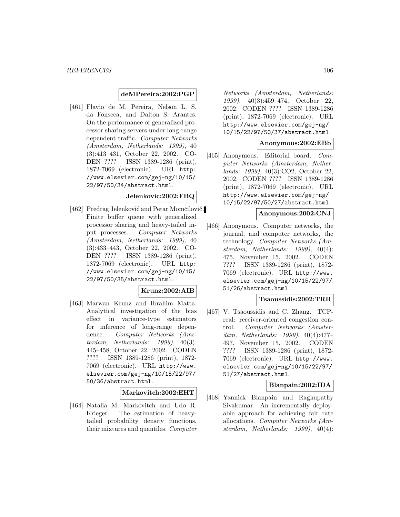### **deMPereira:2002:PGP**

[461] Flavio de M. Pereira, Nelson L. S. da Fonseca, and Dalton S. Arantes. On the performance of generalized processor sharing servers under long-range dependent traffic. Computer Networks (Amsterdam, Netherlands: 1999), 40 (3):413–431, October 22, 2002. CO-DEN ???? ISSN 1389-1286 (print), 1872-7069 (electronic). URL http: //www.elsevier.com/gej-ng/10/15/ 22/97/50/34/abstract.html.

#### **Jelenkovic:2002:FBQ**

[462] Predrag Jelenković and Petar Momčilović. Finite buffer queue with generalized processor sharing and heavy-tailed input processes. Computer Networks (Amsterdam, Netherlands: 1999), 40 (3):433–443, October 22, 2002. CO-DEN ???? ISSN 1389-1286 (print), 1872-7069 (electronic). URL http: //www.elsevier.com/gej-ng/10/15/ 22/97/50/35/abstract.html.

# **Krunz:2002:AIB**

[463] Marwan Krunz and Ibrahim Matta. Analytical investigation of the bias effect in variance-type estimators for inference of long-range dependence. Computer Networks (Amsterdam, Netherlands: 1999), 40(3): 445–458, October 22, 2002. CODEN ???? ISSN 1389-1286 (print), 1872- 7069 (electronic). URL http://www. elsevier.com/gej-ng/10/15/22/97/ 50/36/abstract.html.

#### **Markovitch:2002:EHT**

[464] Natalia M. Markovitch and Udo R. Krieger. The estimation of heavytailed probability density functions, their mixtures and quantiles. Computer

Networks (Amsterdam, Netherlands: 1999), 40(3):459–474, October 22, 2002. CODEN ???? ISSN 1389-1286 (print), 1872-7069 (electronic). URL http://www.elsevier.com/gej-ng/ 10/15/22/97/50/37/abstract.html.

#### **Anonymous:2002:EBb**

[465] Anonymous. Editorial board. Computer Networks (Amsterdam, Netherlands: 1999), 40(3):CO2, October 22, 2002. CODEN ???? ISSN 1389-1286 (print), 1872-7069 (electronic). URL http://www.elsevier.com/gej-ng/ 10/15/22/97/50/27/abstract.html.

#### **Anonymous:2002:CNJ**

[466] Anonymous. Computer networks, the journal, and computer networks, the technology. Computer Networks (Amsterdam, Netherlands: 1999), 40(4): 475, November 15, 2002. CODEN ???? ISSN 1389-1286 (print), 1872- 7069 (electronic). URL http://www. elsevier.com/gej-ng/10/15/22/97/ 51/26/abstract.html.

#### **Tsaoussidis:2002:TRR**

[467] V. Tsaoussidis and C. Zhang. TCPreal: receiver-oriented congestion control. Computer Networks (Amsterdam, Netherlands: 1999), 40(4):477– 497, November 15, 2002. CODEN ???? ISSN 1389-1286 (print), 1872- 7069 (electronic). URL http://www. elsevier.com/gej-ng/10/15/22/97/ 51/27/abstract.html.

### **Blanpain:2002:IDA**

[468] Yannick Blanpain and Raghupathy Sivakumar. An incrementally deployable approach for achieving fair rate allocations. Computer Networks (Amsterdam, Netherlands: 1999), 40(4):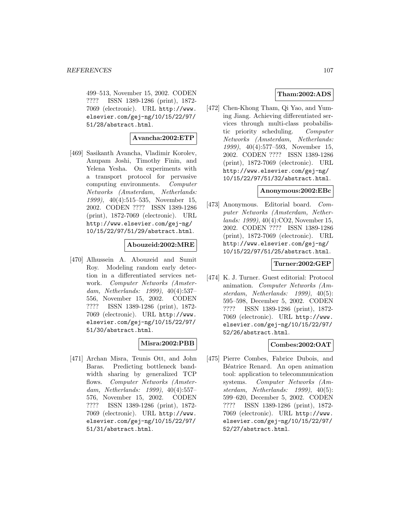499–513, November 15, 2002. CODEN ???? ISSN 1389-1286 (print), 1872- 7069 (electronic). URL http://www. elsevier.com/gej-ng/10/15/22/97/ 51/28/abstract.html.

#### **Avancha:2002:ETP**

[469] Sasikanth Avancha, Vladimir Korolev, Anupam Joshi, Timothy Finin, and Yelena Yesha. On experiments with a transport protocol for pervasive computing environments. Computer Networks (Amsterdam, Netherlands: 1999), 40(4):515–535, November 15, 2002. CODEN ???? ISSN 1389-1286 (print), 1872-7069 (electronic). URL http://www.elsevier.com/gej-ng/ 10/15/22/97/51/29/abstract.html.

#### **Abouzeid:2002:MRE**

[470] Alhussein A. Abouzeid and Sumit Roy. Modeling random early detection in a differentiated services network. Computer Networks (Amsterdam, Netherlands: 1999), 40(4):537– 556, November 15, 2002. CODEN ???? ISSN 1389-1286 (print), 1872- 7069 (electronic). URL http://www. elsevier.com/gej-ng/10/15/22/97/ 51/30/abstract.html.

# **Misra:2002:PBB**

[471] Archan Misra, Teunis Ott, and John Baras. Predicting bottleneck bandwidth sharing by generalized TCP flows. Computer Networks (Amsterdam, Netherlands: 1999), 40(4):557– 576, November 15, 2002. CODEN ???? ISSN 1389-1286 (print), 1872- 7069 (electronic). URL http://www. elsevier.com/gej-ng/10/15/22/97/ 51/31/abstract.html.

# **Tham:2002:ADS**

[472] Chen-Khong Tham, Qi Yao, and Yuming Jiang. Achieving differentiated services through multi-class probabilistic priority scheduling. Computer Networks (Amsterdam, Netherlands: 1999), 40(4):577–593, November 15, 2002. CODEN ???? ISSN 1389-1286 (print), 1872-7069 (electronic). URL http://www.elsevier.com/gej-ng/ 10/15/22/97/51/32/abstract.html.

#### **Anonymous:2002:EBc**

[473] Anonymous. Editorial board. Computer Networks (Amsterdam, Netherlands: 1999), 40(4):CO2, November 15, 2002. CODEN ???? ISSN 1389-1286 (print), 1872-7069 (electronic). URL http://www.elsevier.com/gej-ng/ 10/15/22/97/51/25/abstract.html.

### **Turner:2002:GEP**

[474] K. J. Turner. Guest editorial: Protocol animation. Computer Networks (Amsterdam, Netherlands: 1999), 40(5): 595–598, December 5, 2002. CODEN ???? ISSN 1389-1286 (print), 1872- 7069 (electronic). URL http://www. elsevier.com/gej-ng/10/15/22/97/ 52/26/abstract.html.

### **Combes:2002:OAT**

[475] Pierre Combes, Fabrice Dubois, and Béatrice Renard. An open animation tool: application to telecommunication systems. Computer Networks (Amsterdam, Netherlands: 1999), 40(5): 599–620, December 5, 2002. CODEN ???? ISSN 1389-1286 (print), 1872- 7069 (electronic). URL http://www. elsevier.com/gej-ng/10/15/22/97/ 52/27/abstract.html.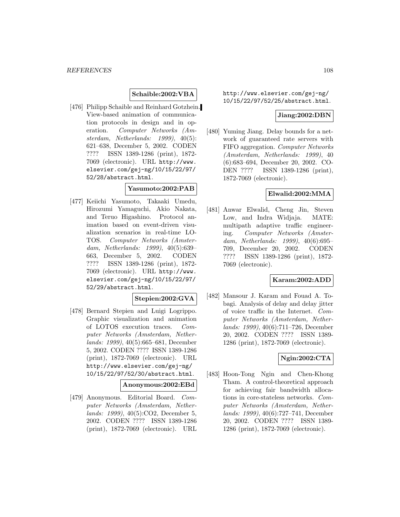### **Schaible:2002:VBA**

[476] Philipp Schaible and Reinhard Gotzhein. View-based animation of communication protocols in design and in operation. Computer Networks (Amsterdam, Netherlands: 1999), 40(5): 621–638, December 5, 2002. CODEN ???? ISSN 1389-1286 (print), 1872- 7069 (electronic). URL http://www. elsevier.com/gej-ng/10/15/22/97/ 52/28/abstract.html.

#### **Yasumoto:2002:PAB**

[477] Keiichi Yasumoto, Takaaki Umedu, Hirozumi Yamaguchi, Akio Nakata, and Teruo Higashino. Protocol animation based on event-driven visualization scenarios in real-time LO-TOS. Computer Networks (Amsterdam, Netherlands: 1999), 40(5):639– 663, December 5, 2002. CODEN ???? ISSN 1389-1286 (print), 1872- 7069 (electronic). URL http://www. elsevier.com/gej-ng/10/15/22/97/ 52/29/abstract.html.

### **Stepien:2002:GVA**

[478] Bernard Stepien and Luigi Logrippo. Graphic visualization and animation of LOTOS execution traces. Computer Networks (Amsterdam, Netherlands: 1999), 40(5):665–681, December 5, 2002. CODEN ???? ISSN 1389-1286 (print), 1872-7069 (electronic). URL http://www.elsevier.com/gej-ng/ 10/15/22/97/52/30/abstract.html.

#### **Anonymous:2002:EBd**

[479] Anonymous. Editorial Board. Computer Networks (Amsterdam, Netherlands: 1999), 40(5):CO2, December 5, 2002. CODEN ???? ISSN 1389-1286 (print), 1872-7069 (electronic). URL http://www.elsevier.com/gej-ng/ 10/15/22/97/52/25/abstract.html.

#### **Jiang:2002:DBN**

[480] Yuming Jiang. Delay bounds for a network of guaranteed rate servers with FIFO aggregation. Computer Networks (Amsterdam, Netherlands: 1999), 40 (6):683–694, December 20, 2002. CO-DEN ???? ISSN 1389-1286 (print), 1872-7069 (electronic).

# **Elwalid:2002:MMA**

[481] Anwar Elwalid, Cheng Jin, Steven Low, and Indra Widjaja. MATE: multipath adaptive traffic engineering. Computer Networks (Amsterdam, Netherlands: 1999), 40(6):695– 709, December 20, 2002. CODEN ???? ISSN 1389-1286 (print), 1872- 7069 (electronic).

# **Karam:2002:ADD**

[482] Mansour J. Karam and Fouad A. Tobagi. Analysis of delay and delay jitter of voice traffic in the Internet. Computer Networks (Amsterdam, Netherlands: 1999), 40(6):711–726, December 20, 2002. CODEN ???? ISSN 1389- 1286 (print), 1872-7069 (electronic).

# **Ngin:2002:CTA**

[483] Hoon-Tong Ngin and Chen-Khong Tham. A control-theoretical approach for achieving fair bandwidth allocations in core-stateless networks. Computer Networks (Amsterdam, Netherlands: 1999), 40(6):727–741, December 20, 2002. CODEN ???? ISSN 1389- 1286 (print), 1872-7069 (electronic).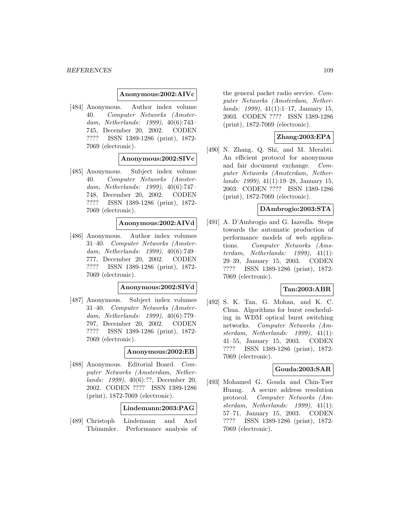#### **Anonymous:2002:AIVc**

[484] Anonymous. Author index volume 40. Computer Networks (Amsterdam, Netherlands: 1999), 40(6):743– 745, December 20, 2002. CODEN ???? ISSN 1389-1286 (print), 1872- 7069 (electronic).

# **Anonymous:2002:SIVc**

[485] Anonymous. Subject index volume 40. Computer Networks (Amsterdam, Netherlands: 1999), 40(6):747– 748, December 20, 2002. CODEN ???? ISSN 1389-1286 (print), 1872- 7069 (electronic).

## **Anonymous:2002:AIVd**

[486] Anonymous. Author index volumes 31–40. Computer Networks (Amsterdam, Netherlands: 1999), 40(6):749– 777, December 20, 2002. CODEN ???? ISSN 1389-1286 (print), 1872- 7069 (electronic).

#### **Anonymous:2002:SIVd**

[487] Anonymous. Subject index volumes 31–40. Computer Networks (Amsterdam, Netherlands: 1999), 40(6):779– 797, December 20, 2002. CODEN ???? ISSN 1389-1286 (print), 1872- 7069 (electronic).

## **Anonymous:2002:EB**

[488] Anonymous. Editorial Board. Computer Networks (Amsterdam, Netherlands: 1999), 40(6):??, December 20, 2002. CODEN ???? ISSN 1389-1286 (print), 1872-7069 (electronic).

#### **Lindemann:2003:PAG**

[489] Christoph Lindemann and Axel Thümmler. Performance analysis of

the general packet radio service. Computer Networks (Amsterdam, Netherlands: 1999), 41(1):1–17, January 15, 2003. CODEN ???? ISSN 1389-1286 (print), 1872-7069 (electronic).

### **Zhang:2003:EPA**

[490] N. Zhang, Q. Shi, and M. Merabti. An efficient protocol for anonymous and fair document exchange. Computer Networks (Amsterdam, Netherlands: 1999), 41(1):19–28, January 15, 2003. CODEN ???? ISSN 1389-1286 (print), 1872-7069 (electronic).

#### **DAmbrogio:2003:STA**

[491] A. D'Ambrogio and G. Iazeolla. Steps towards the automatic production of performance models of web applications. Computer Networks (Amsterdam, Netherlands: 1999), 41(1): 29–39, January 15, 2003. CODEN ???? ISSN 1389-1286 (print), 1872- 7069 (electronic).

### **Tan:2003:ABR**

[492] S. K. Tan, G. Mohan, and K. C. Chua. Algorithms for burst rescheduling in WDM optical burst switching networks. Computer Networks (Amsterdam, Netherlands: 1999), 41(1): 41–55, January 15, 2003. CODEN ???? ISSN 1389-1286 (print), 1872- 7069 (electronic).

#### **Gouda:2003:SAR**

[493] Mohamed G. Gouda and Chin-Tser Huang. A secure address resolution protocol. Computer Networks (Amsterdam, Netherlands: 1999), 41(1): 57–71, January 15, 2003. CODEN ???? ISSN 1389-1286 (print), 1872- 7069 (electronic).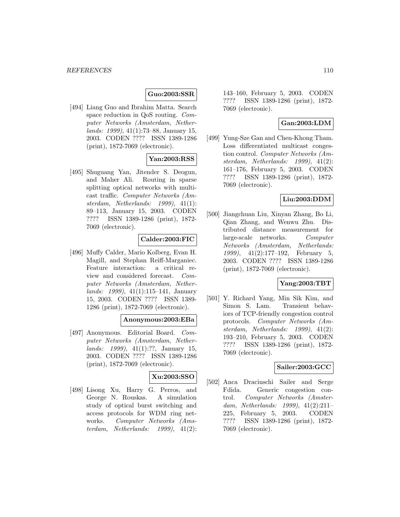# **Guo:2003:SSR**

[494] Liang Guo and Ibrahim Matta. Search space reduction in QoS routing. Computer Networks (Amsterdam, Netherlands: 1999), 41(1):73–88, January 15, 2003. CODEN ???? ISSN 1389-1286 (print), 1872-7069 (electronic).

# **Yan:2003:RSS**

[495] Shuguang Yan, Jitender S. Deogun, and Maher Ali. Routing in sparse splitting optical networks with multicast traffic. Computer Networks (Amsterdam, Netherlands: 1999), 41(1): 89–113, January 15, 2003. CODEN ???? ISSN 1389-1286 (print), 1872- 7069 (electronic).

# **Calder:2003:FIC**

[496] Muffy Calder, Mario Kolberg, Evan H. Magill, and Stephan Reiff-Marganiec. Feature interaction: a critical review and considered forecast. Computer Networks (Amsterdam, Netherlands: 1999), 41(1):115–141, January 15, 2003. CODEN ???? ISSN 1389- 1286 (print), 1872-7069 (electronic).

### **Anonymous:2003:EBa**

[497] Anonymous. Editorial Board. Computer Networks (Amsterdam, Netherlands: 1999), 41(1):??, January 15, 2003. CODEN ???? ISSN 1389-1286 (print), 1872-7069 (electronic).

# **Xu:2003:SSO**

[498] Lisong Xu, Harry G. Perros, and George N. Rouskas. A simulation study of optical burst switching and access protocols for WDM ring networks. Computer Networks (Amsterdam, Netherlands: 1999), 41(2):

143–160, February 5, 2003. CODEN ???? ISSN 1389-1286 (print), 1872- 7069 (electronic).

# **Gan:2003:LDM**

[499] Yung-Sze Gan and Chen-Khong Tham. Loss differentiated multicast congestion control. Computer Networks (Amsterdam, Netherlands: 1999), 41(2): 161–176, February 5, 2003. CODEN ???? ISSN 1389-1286 (print), 1872- 7069 (electronic).

### **Liu:2003:DDM**

[500] Jiangchuan Liu, Xinyan Zhang, Bo Li, Qian Zhang, and Wenwu Zhu. Distributed distance measurement for large-scale networks. Computer Networks (Amsterdam, Netherlands: 1999), 41(2):177–192, February 5, 2003. CODEN ???? ISSN 1389-1286 (print), 1872-7069 (electronic).

#### **Yang:2003:TBT**

[501] Y. Richard Yang, Min Sik Kim, and Simon S. Lam. Transient behaviors of TCP-friendly congestion control protocols. Computer Networks (Amsterdam, Netherlands: 1999), 41(2): 193–210, February 5, 2003. CODEN ???? ISSN 1389-1286 (print), 1872- 7069 (electronic).

#### **Sailer:2003:GCC**

[502] Anca Dracinschi Sailer and Serge Fdida. Generic congestion control. Computer Networks (Amsterdam, Netherlands: 1999), 41(2):211– 225, February 5, 2003. CODEN ???? ISSN 1389-1286 (print), 1872- 7069 (electronic).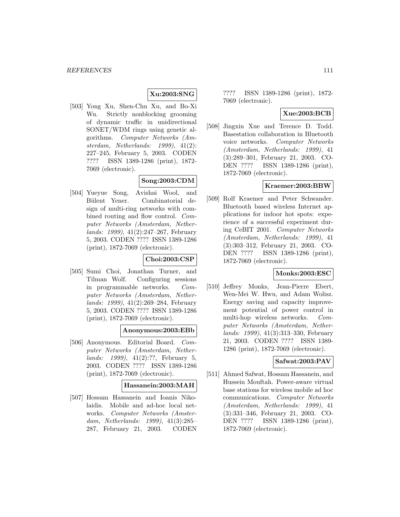# **Xu:2003:SNG**

[503] Yong Xu, Shen-Chu Xu, and Bo-Xi Wu. Strictly nonblocking grooming of dynamic traffic in unidirectional SONET/WDM rings using genetic algorithms. Computer Networks (Amsterdam, Netherlands: 1999), 41(2): 227–245, February 5, 2003. CODEN ???? ISSN 1389-1286 (print), 1872- 7069 (electronic).

# **Song:2003:CDM**

[504] Yueyue Song, Avishai Wool, and Bülent Yener. Combinatorial design of multi-ring networks with combined routing and flow control. Computer Networks (Amsterdam, Netherlands: 1999), 41(2):247–267, February 5, 2003. CODEN ???? ISSN 1389-1286 (print), 1872-7069 (electronic).

### **Choi:2003:CSP**

[505] Sumi Choi, Jonathan Turner, and Tilman Wolf. Configuring sessions in programmable networks. Computer Networks (Amsterdam, Netherlands: 1999), 41(2):269–284, February 5, 2003. CODEN ???? ISSN 1389-1286 (print), 1872-7069 (electronic).

### **Anonymous:2003:EBb**

[506] Anonymous. Editorial Board. Computer Networks (Amsterdam, Netherlands: 1999), 41(2):??, February 5, 2003. CODEN ???? ISSN 1389-1286 (print), 1872-7069 (electronic).

#### **Hassanein:2003:MAH**

[507] Hossam Hassanein and Ioanis Nikolaidis. Mobile and ad-hoc local networks. Computer Networks (Amsterdam, Netherlands: 1999), 41(3):285– 287, February 21, 2003. CODEN ???? ISSN 1389-1286 (print), 1872- 7069 (electronic).

# **Xue:2003:BCB**

[508] Jingxin Xue and Terence D. Todd. Basestation collaboration in Bluetooth voice networks. Computer Networks (Amsterdam, Netherlands: 1999), 41 (3):289–301, February 21, 2003. CO-DEN ???? ISSN 1389-1286 (print), 1872-7069 (electronic).

## **Kraemer:2003:BBW**

[509] Rolf Kraemer and Peter Schwander. Bluetooth based wireless Internet applications for indoor hot spots: experience of a successful experiment during CeBIT 2001. Computer Networks (Amsterdam, Netherlands: 1999), 41 (3):303–312, February 21, 2003. CO-DEN ???? ISSN 1389-1286 (print), 1872-7069 (electronic).

### **Monks:2003:ESC**

[510] Jeffrey Monks, Jean-Pierre Ebert, Wen-Mei W. Hwu, and Adam Wolisz. Energy saving and capacity improvement potential of power control in multi-hop wireless networks. Computer Networks (Amsterdam, Netherlands: 1999), 41(3):313–330, February 21, 2003. CODEN ???? ISSN 1389- 1286 (print), 1872-7069 (electronic).

### **Safwat:2003:PAV**

[511] Ahmed Safwat, Hossam Hassanein, and Hussein Mouftah. Power-aware virtual base stations for wireless mobile ad hoc communications. Computer Networks (Amsterdam, Netherlands: 1999), 41 (3):331–346, February 21, 2003. CO-DEN ???? ISSN 1389-1286 (print), 1872-7069 (electronic).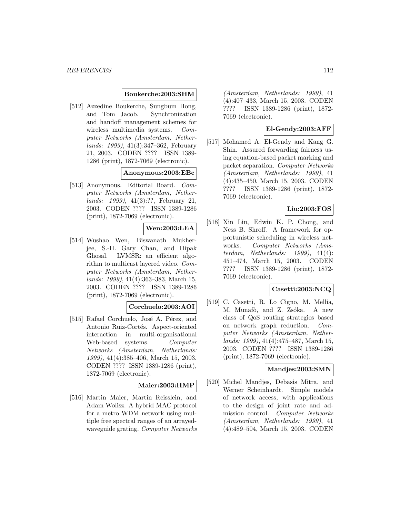### **Boukerche:2003:SHM**

[512] Azzedine Boukerche, Sungbum Hong, and Tom Jacob. Synchronization and handoff management schemes for wireless multimedia systems. Computer Networks (Amsterdam, Netherlands: 1999), 41(3):347–362, February 21, 2003. CODEN ???? ISSN 1389- 1286 (print), 1872-7069 (electronic).

### **Anonymous:2003:EBc**

[513] Anonymous. Editorial Board. Computer Networks (Amsterdam, Netherlands: 1999), 41(3):??, February 21, 2003. CODEN ???? ISSN 1389-1286 (print), 1872-7069 (electronic).

# **Wen:2003:LEA**

[514] Wushao Wen, Biswanath Mukherjee, S.-H. Gary Chan, and Dipak Ghosal. LVMSR: an efficient algorithm to multicast layered video. Computer Networks (Amsterdam, Netherlands: 1999), 41(4):363–383, March 15, 2003. CODEN ???? ISSN 1389-1286 (print), 1872-7069 (electronic).

### **Corchuelo:2003:AOI**

[515] Rafael Corchuelo, José A. Pérez, and Antonio Ruiz-Cortés. Aspect-oriented interaction in multi-organisational Web-based systems. Computer Networks (Amsterdam, Netherlands: 1999), 41(4):385–406, March 15, 2003. CODEN ???? ISSN 1389-1286 (print), 1872-7069 (electronic).

### **Maier:2003:HMP**

[516] Martin Maier, Martin Reisslein, and Adam Wolisz. A hybrid MAC protocol for a metro WDM network using multiple free spectral ranges of an arrayedwaveguide grating. Computer Networks

(Amsterdam, Netherlands: 1999), 41 (4):407–433, March 15, 2003. CODEN ???? ISSN 1389-1286 (print), 1872- 7069 (electronic).

# **El-Gendy:2003:AFF**

[517] Mohamed A. El-Gendy and Kang G. Shin. Assured forwarding fairness using equation-based packet marking and packet separation. Computer Networks (Amsterdam, Netherlands: 1999), 41 (4):435–450, March 15, 2003. CODEN ???? ISSN 1389-1286 (print), 1872- 7069 (electronic).

# **Liu:2003:FOS**

[518] Xin Liu, Edwin K. P. Chong, and Ness B. Shroff. A framework for opportunistic scheduling in wireless networks. Computer Networks (Amsterdam, Netherlands: 1999), 41(4): 451–474, March 15, 2003. CODEN ???? ISSN 1389-1286 (print), 1872- 7069 (electronic).

# **Casetti:2003:NCQ**

[519] C. Casetti, R. Lo Cigno, M. Mellia, M. Munafò, and Z. Zsóka. A new class of QoS routing strategies based on network graph reduction. Computer Networks (Amsterdam, Netherlands: 1999), 41(4):475–487, March 15, 2003. CODEN ???? ISSN 1389-1286 (print), 1872-7069 (electronic).

#### **Mandjes:2003:SMN**

[520] Michel Mandjes, Debasis Mitra, and Werner Scheinhardt. Simple models of network access, with applications to the design of joint rate and admission control. Computer Networks (Amsterdam, Netherlands: 1999), 41 (4):489–504, March 15, 2003. CODEN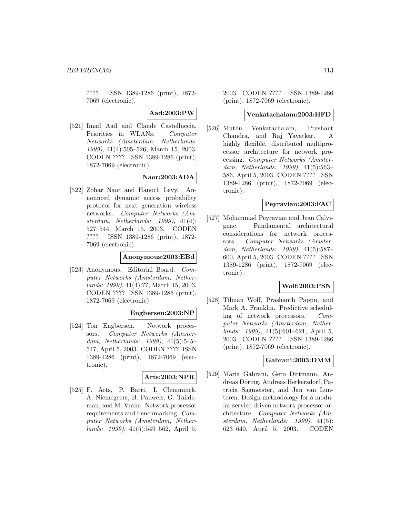???? ISSN 1389-1286 (print), 1872- 7069 (electronic).

**Aad:2003:PW**

[521] Imad Aad and Claude Castelluccia. Priorities in WLANs. Computer Networks (Amsterdam, Netherlands: 1999), 41(4):505–526, March 15, 2003. CODEN ???? ISSN 1389-1286 (print), 1872-7069 (electronic).

# **Naor:2003:ADA**

[522] Zohar Naor and Hanoch Levy. Announced dynamic access probability protocol for next generation wireless networks. Computer Networks (Amsterdam, Netherlands: 1999), 41(4): 527–544, March 15, 2003. CODEN ???? ISSN 1389-1286 (print), 1872- 7069 (electronic).

# **Anonymous:2003:EBd**

[523] Anonymous. Editorial Board. Computer Networks (Amsterdam, Netherlands: 1999), 41(4):??, March 15, 2003. CODEN ???? ISSN 1389-1286 (print), 1872-7069 (electronic).

### **Engbersen:2003:NP**

[524] Ton Engbersen. Network processors. Computer Networks (Amsterdam, Netherlands: 1999), 41(5):545– 547, April 5, 2003. CODEN ???? ISSN 1389-1286 (print), 1872-7069 (electronic).

# **Arts:2003:NPR**

[525] F. Arts, P. Barri, I. Clemminck, A. Niemegeers, B. Pauwels, G. Taildeman, and M. Vrana. Network processor requirements and benchmarking. Computer Networks (Amsterdam, Netherlands: 1999), 41(5):549–562, April 5,

2003. CODEN ???? ISSN 1389-1286 (print), 1872-7069 (electronic).

# **Venkatachalam:2003:HFD**

[526] Muthu Venkatachalam, Prashant Chandra, and Raj Yavatkar. A highly flexible, distributed multiprocessor architecture for network processing. Computer Networks (Amsterdam, Netherlands: 1999), 41(5):563– 586, April 5, 2003. CODEN ???? ISSN 1389-1286 (print), 1872-7069 (electronic).

### **Peyravian:2003:FAC**

[527] Mohammad Peyravian and Jean Calvignac. Fundamental architectural considerations for network processors. Computer Networks (Amsterdam, Netherlands: 1999), 41(5):587– 600, April 5, 2003. CODEN ???? ISSN 1389-1286 (print), 1872-7069 (electronic).

### **Wolf:2003:PSN**

[528] Tilman Wolf, Prashanth Pappu, and Mark A. Franklin. Predictive scheduling of network processors. Computer Networks (Amsterdam, Netherlands: 1999), 41(5):601–621, April 5, 2003. CODEN ???? ISSN 1389-1286 (print), 1872-7069 (electronic).

## **Gabrani:2003:DMM**

[529] Maria Gabrani, Gero Dittmann, Andreas Döring, Andreas Herkersdorf, Patricia Sagmeister, and Jan van Lunteren. Design methodology for a modular service-driven network processor architecture. Computer Networks (Amsterdam, Netherlands: 1999), 41(5): 623–640, April 5, 2003. CODEN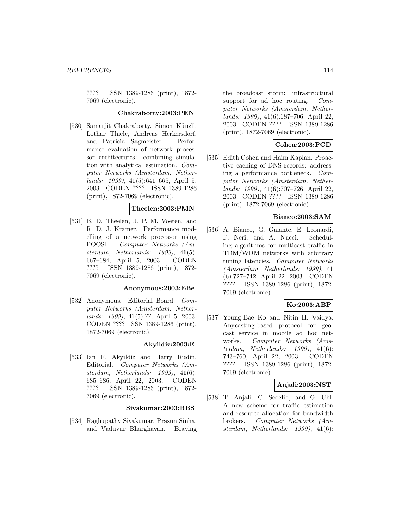???? ISSN 1389-1286 (print), 1872- 7069 (electronic).

#### **Chakraborty:2003:PEN**

[530] Samarjit Chakraborty, Simon Künzli, Lothar Thiele, Andreas Herkersdorf, and Patricia Sagmeister. Performance evaluation of network processor architectures: combining simulation with analytical estimation. Computer Networks (Amsterdam, Netherlands: 1999), 41(5):641–665, April 5, 2003. CODEN ???? ISSN 1389-1286 (print), 1872-7069 (electronic).

### **Theelen:2003:PMN**

[531] B. D. Theelen, J. P. M. Voeten, and R. D. J. Kramer. Performance modelling of a network processor using POOSL. Computer Networks (Amsterdam, Netherlands: 1999), 41(5): 667–684, April 5, 2003. CODEN ???? ISSN 1389-1286 (print), 1872- 7069 (electronic).

#### **Anonymous:2003:EBe**

[532] Anonymous. Editorial Board. Computer Networks (Amsterdam, Netherlands: 1999), 41(5):??, April 5, 2003. CODEN ???? ISSN 1389-1286 (print), 1872-7069 (electronic).

### **Akyildiz:2003:E**

[533] Ian F. Akyildiz and Harry Rudin. Editorial. Computer Networks (Amsterdam, Netherlands: 1999), 41(6): 685–686, April 22, 2003. CODEN ???? ISSN 1389-1286 (print), 1872- 7069 (electronic).

#### **Sivakumar:2003:BBS**

[534] Raghupathy Sivakumar, Prasun Sinha, and Vaduvur Bharghavan. Braving

the broadcast storm: infrastructural support for ad hoc routing. Computer Networks (Amsterdam, Netherlands: 1999), 41(6):687–706, April 22, 2003. CODEN ???? ISSN 1389-1286 (print), 1872-7069 (electronic).

# **Cohen:2003:PCD**

[535] Edith Cohen and Haim Kaplan. Proactive caching of DNS records: addressing a performance bottleneck. Computer Networks (Amsterdam, Netherlands: 1999), 41(6):707–726, April 22, 2003. CODEN ???? ISSN 1389-1286 (print), 1872-7069 (electronic).

# **Bianco:2003:SAM**

[536] A. Bianco, G. Galante, E. Leonardi, F. Neri, and A. Nucci. Scheduling algorithms for multicast traffic in TDM/WDM networks with arbitrary tuning latencies. Computer Networks (Amsterdam, Netherlands: 1999), 41 (6):727–742, April 22, 2003. CODEN ???? ISSN 1389-1286 (print), 1872- 7069 (electronic).

## **Ko:2003:ABP**

[537] Young-Bae Ko and Nitin H. Vaidya. Anycasting-based protocol for geocast service in mobile ad hoc networks. Computer Networks (Amsterdam, Netherlands: 1999), 41(6): 743–760, April 22, 2003. CODEN ???? ISSN 1389-1286 (print), 1872- 7069 (electronic).

#### **Anjali:2003:NST**

[538] T. Anjali, C. Scoglio, and G. Uhl. A new scheme for traffic estimation and resource allocation for bandwidth brokers. Computer Networks (Amsterdam, Netherlands: 1999), 41(6):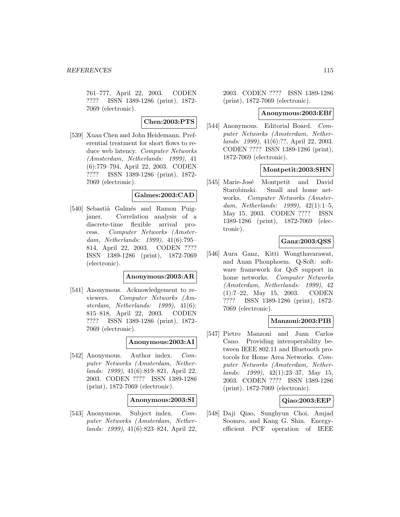761–777, April 22, 2003. CODEN ???? ISSN 1389-1286 (print), 1872- 7069 (electronic).

**Chen:2003:PTS**

[539] Xuan Chen and John Heidemann. Preferential treatment for short flows to reduce web latency. Computer Networks (Amsterdam, Netherlands: 1999), 41 (6):779–794, April 22, 2003. CODEN ???? ISSN 1389-1286 (print), 1872- 7069 (electronic).

#### **Galmes:2003:CAD**

[540] Sebastià Galmés and Ramon Puigjaner. Correlation analysis of a discrete-time flexible arrival process. Computer Networks (Amsterdam, Netherlands: 1999), 41(6):795– 814, April 22, 2003. CODEN ???? ISSN 1389-1286 (print), 1872-7069 (electronic).

### **Anonymous:2003:AR**

[541] Anonymous. Acknowledgement to reviewers. Computer Networks (Amsterdam, Netherlands: 1999), 41(6): 815–818, April 22, 2003. CODEN ???? ISSN 1389-1286 (print), 1872- 7069 (electronic).

### **Anonymous:2003:AI**

[542] Anonymous. Author index. Computer Networks (Amsterdam, Netherlands: 1999), 41(6):819–821, April 22, 2003. CODEN ???? ISSN 1389-1286 (print), 1872-7069 (electronic).

#### **Anonymous:2003:SI**

[543] Anonymous. Subject index. Computer Networks (Amsterdam, Netherlands: 1999), 41(6):823–824, April 22,

2003. CODEN ???? ISSN 1389-1286 (print), 1872-7069 (electronic).

#### **Anonymous:2003:EBf**

[544] Anonymous. Editorial Board. Computer Networks (Amsterdam, Netherlands: 1999), 41(6):??, April 22, 2003. CODEN ???? ISSN 1389-1286 (print), 1872-7069 (electronic).

### **Montpetit:2003:SHN**

[545] Marie-José Montpetit and David Starobinski. Small and home networks. Computer Networks (Amsterdam, Netherlands: 1999), 42(1):1–5, May 15, 2003. CODEN ???? ISSN 1389-1286 (print), 1872-7069 (electronic).

# **Ganz:2003:QSS**

[546] Aura Ganz, Kitti Wongthavarawat, and Anan Phonphoem. Q-Soft: software framework for QoS support in home networks. Computer Networks (Amsterdam, Netherlands: 1999), 42 (1):7–22, May 15, 2003. CODEN ???? ISSN 1389-1286 (print), 1872- 7069 (electronic).

### **Manzoni:2003:PIB**

[547] Pietro Manzoni and Juan Carlos Cano. Providing interoperability between IEEE 802.11 and Bluetooth protocols for Home Area Networks. Computer Networks (Amsterdam, Netherlands: 1999), 42(1):23–37, May 15, 2003. CODEN ???? ISSN 1389-1286 (print), 1872-7069 (electronic).

## **Qiao:2003:EEP**

[548] Daji Qiao, Sunghyun Choi, Amjad Soomro, and Kang G. Shin. Energyefficient PCF operation of IEEE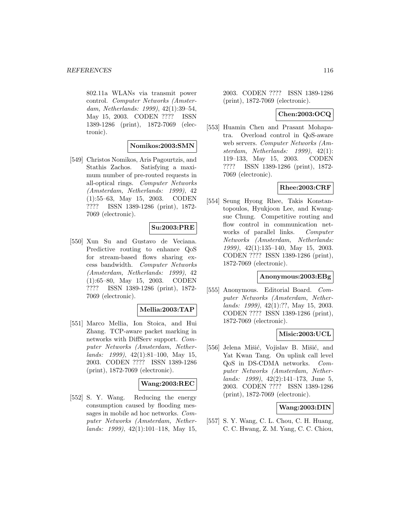802.11a WLANs via transmit power control. Computer Networks (Amsterdam, Netherlands: 1999), 42(1):39–54, May 15, 2003. CODEN ???? ISSN 1389-1286 (print), 1872-7069 (electronic).

#### **Nomikos:2003:SMN**

[549] Christos Nomikos, Aris Pagourtzis, and Stathis Zachos. Satisfying a maximum number of pre-routed requests in all-optical rings. Computer Networks (Amsterdam, Netherlands: 1999), 42 (1):55–63, May 15, 2003. CODEN ???? ISSN 1389-1286 (print), 1872- 7069 (electronic).

### **Su:2003:PRE**

[550] Xun Su and Gustavo de Veciana. Predictive routing to enhance QoS for stream-based flows sharing excess bandwidth. Computer Networks (Amsterdam, Netherlands: 1999), 42 (1):65–80, May 15, 2003. CODEN ???? ISSN 1389-1286 (print), 1872- 7069 (electronic).

### **Mellia:2003:TAP**

[551] Marco Mellia, Ion Stoica, and Hui Zhang. TCP-aware packet marking in networks with DiffServ support. Computer Networks (Amsterdam, Nether $lands: 1999, 42(1):81-100, May 15,$ 2003. CODEN ???? ISSN 1389-1286 (print), 1872-7069 (electronic).

# **Wang:2003:REC**

[552] S. Y. Wang. Reducing the energy consumption caused by flooding messages in mobile ad hoc networks. Computer Networks (Amsterdam, Netherlands: 1999), 42(1):101–118, May 15, 2003. CODEN ???? ISSN 1389-1286 (print), 1872-7069 (electronic).

## **Chen:2003:OCQ**

[553] Huamin Chen and Prasant Mohapatra. Overload control in QoS-aware web servers. Computer Networks (Amsterdam, Netherlands: 1999), 42(1): 119–133, May 15, 2003. CODEN ???? ISSN 1389-1286 (print), 1872- 7069 (electronic).

### **Rhee:2003:CRF**

[554] Seung Hyong Rhee, Takis Konstantopoulos, Hyukjoon Lee, and Kwangsue Chung. Competitive routing and flow control in communication networks of parallel links. Computer Networks (Amsterdam, Netherlands: 1999), 42(1):135–140, May 15, 2003. CODEN ???? ISSN 1389-1286 (print), 1872-7069 (electronic).

#### **Anonymous:2003:EBg**

[555] Anonymous. Editorial Board. Computer Networks (Amsterdam, Netherlands: 1999), 42(1):??, May 15, 2003. CODEN ???? ISSN 1389-1286 (print), 1872-7069 (electronic).

# **Misic:2003:UCL**

[556] Jelena Mišić, Vojislav B. Mišić, and Yat Kwan Tang. On uplink call level QoS in DS-CDMA networks. Computer Networks (Amsterdam, Netherlands: 1999), 42(2):141–173, June 5, 2003. CODEN ???? ISSN 1389-1286 (print), 1872-7069 (electronic).

### **Wang:2003:DIN**

[557] S. Y. Wang, C. L. Chou, C. H. Huang, C. C. Hwang, Z. M. Yang, C. C. Chiou,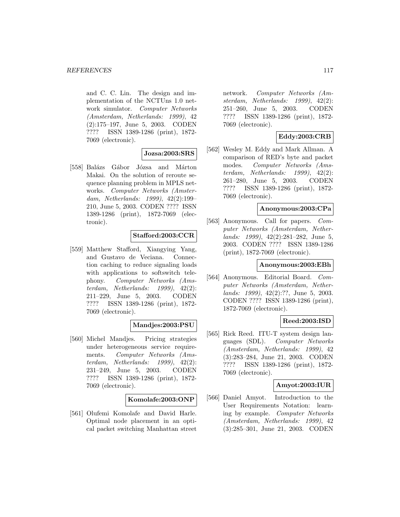and C. C. Lin. The design and implementation of the NCTUns 1.0 network simulator. Computer Networks (Amsterdam, Netherlands: 1999), 42 (2):175–197, June 5, 2003. CODEN ???? ISSN 1389-1286 (print), 1872- 7069 (electronic).

# **Jozsa:2003:SRS**

[558] Balázs Gábor Józsa and Márton Makai. On the solution of reroute sequence planning problem in MPLS networks. Computer Networks (Amsterdam, Netherlands: 1999), 42(2):199– 210, June 5, 2003. CODEN ???? ISSN 1389-1286 (print), 1872-7069 (electronic).

# **Stafford:2003:CCR**

[559] Matthew Stafford, Xiangying Yang, and Gustavo de Veciana. Connection caching to reduce signaling loads with applications to softswitch telephony. Computer Networks (Amsterdam, Netherlands: 1999), 42(2): 211–229, June 5, 2003. CODEN ???? ISSN 1389-1286 (print), 1872- 7069 (electronic).

# **Mandjes:2003:PSU**

[560] Michel Mandjes. Pricing strategies under heterogeneous service requirements. Computer Networks (Amsterdam, Netherlands: 1999), 42(2): 231–249, June 5, 2003. CODEN ???? ISSN 1389-1286 (print), 1872- 7069 (electronic).

**Komolafe:2003:ONP**

[561] Olufemi Komolafe and David Harle. Optimal node placement in an optical packet switching Manhattan street

network. Computer Networks (Amsterdam, Netherlands: 1999), 42(2): 251–260, June 5, 2003. CODEN ???? ISSN 1389-1286 (print), 1872- 7069 (electronic).

# **Eddy:2003:CRB**

[562] Wesley M. Eddy and Mark Allman. A comparison of RED's byte and packet modes. Computer Networks (Amsterdam, Netherlands: 1999), 42(2): 261–280, June 5, 2003. CODEN ???? ISSN 1389-1286 (print), 1872- 7069 (electronic).

#### **Anonymous:2003:CPa**

[563] Anonymous. Call for papers. Computer Networks (Amsterdam, Netherlands: 1999), 42(2):281–282, June 5, 2003. CODEN ???? ISSN 1389-1286 (print), 1872-7069 (electronic).

#### **Anonymous:2003:EBh**

[564] Anonymous. Editorial Board. Computer Networks (Amsterdam, Netherlands: 1999), 42(2):??, June 5, 2003. CODEN ???? ISSN 1389-1286 (print), 1872-7069 (electronic).

# **Reed:2003:ISD**

[565] Rick Reed. ITU-T system design languages (SDL). Computer Networks (Amsterdam, Netherlands: 1999), 42 (3):283–284, June 21, 2003. CODEN ???? ISSN 1389-1286 (print), 1872- 7069 (electronic).

### **Amyot:2003:IUR**

[566] Daniel Amyot. Introduction to the User Requirements Notation: learning by example. Computer Networks (Amsterdam, Netherlands: 1999), 42 (3):285–301, June 21, 2003. CODEN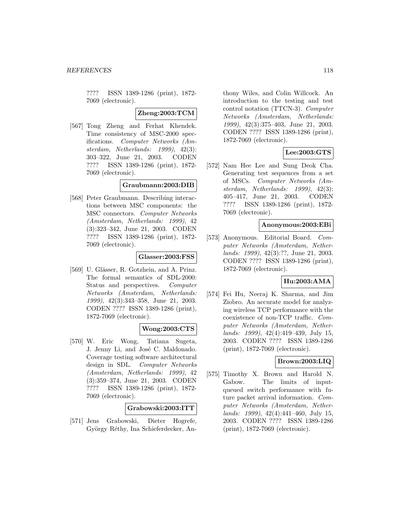???? ISSN 1389-1286 (print), 1872- 7069 (electronic).

**Zheng:2003:TCM**

[567] Tong Zheng and Ferhat Khendek. Time consistency of MSC-2000 specifications. Computer Networks (Amsterdam, Netherlands: 1999), 42(3): 303–322, June 21, 2003. CODEN ???? ISSN 1389-1286 (print), 1872- 7069 (electronic).

### **Graubmann:2003:DIB**

[568] Peter Graubmann. Describing interactions between MSC components: the MSC connectors. Computer Networks (Amsterdam, Netherlands: 1999), 42 (3):323–342, June 21, 2003. CODEN ???? ISSN 1389-1286 (print), 1872- 7069 (electronic).

## **Glasser:2003:FSS**

[569] U. Glässer, R. Gotzhein, and A. Prinz. The formal semantics of SDL-2000: Status and perspectives. Computer Networks (Amsterdam, Netherlands: 1999), 42(3):343–358, June 21, 2003. CODEN ???? ISSN 1389-1286 (print), 1872-7069 (electronic).

### **Wong:2003:CTS**

[570] W. Eric Wong, Tatiana Sugeta, J. Jenny Li, and José C. Maldonado. Coverage testing software architectural design in SDL. Computer Networks (Amsterdam, Netherlands: 1999), 42 (3):359–374, June 21, 2003. CODEN ???? ISSN 1389-1286 (print), 1872- 7069 (electronic).

#### **Grabowski:2003:ITT**

[571] Jens Grabowski, Dieter Hogrefe, György Réthy, Ina Schieferdecker, An-

thony Wiles, and Colin Willcock. An introduction to the testing and test control notation (TTCN-3). Computer Networks (Amsterdam, Netherlands: 1999), 42(3):375–403, June 21, 2003. CODEN ???? ISSN 1389-1286 (print), 1872-7069 (electronic).

# **Lee:2003:GTS**

[572] Nam Hee Lee and Sung Deok Cha. Generating test sequences from a set of MSCs. Computer Networks (Amsterdam, Netherlands: 1999), 42(3): 405–417, June 21, 2003. CODEN ???? ISSN 1389-1286 (print), 1872- 7069 (electronic).

#### **Anonymous:2003:EBi**

[573] Anonymous. Editorial Board. Computer Networks (Amsterdam, Netherlands: 1999), 42(3):??, June 21, 2003. CODEN ???? ISSN 1389-1286 (print), 1872-7069 (electronic).

#### **Hu:2003:AMA**

[574] Fei Hu, Neeraj K. Sharma, and Jim Ziobro. An accurate model for analyzing wireless TCP performance with the coexistence of non-TCP traffic. Computer Networks (Amsterdam, Netherlands: 1999), 42(4):419–439, July 15, 2003. CODEN ???? ISSN 1389-1286 (print), 1872-7069 (electronic).

## **Brown:2003:LIQ**

[575] Timothy X. Brown and Harold N. Gabow. The limits of inputqueued switch performance with future packet arrival information. Computer Networks (Amsterdam, Netherlands: 1999), 42(4):441–460, July 15, 2003. CODEN ???? ISSN 1389-1286 (print), 1872-7069 (electronic).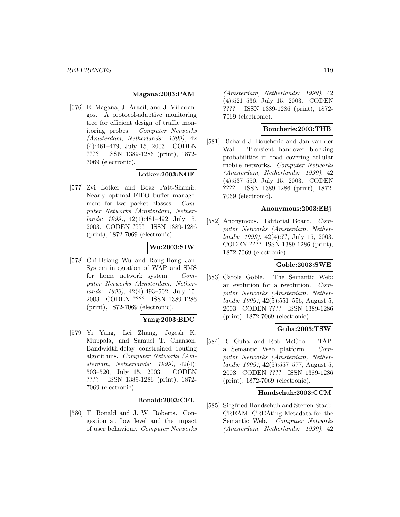## **Magana:2003:PAM**

[576] E. Magaña, J. Aracil, and J. Villadangos. A protocol-adaptive monitoring tree for efficient design of traffic monitoring probes. Computer Networks (Amsterdam, Netherlands: 1999), 42 (4):461–479, July 15, 2003. CODEN ???? ISSN 1389-1286 (print), 1872- 7069 (electronic).

# **Lotker:2003:NOF**

[577] Zvi Lotker and Boaz Patt-Shamir. Nearly optimal FIFO buffer management for two packet classes. Computer Networks (Amsterdam, Netherlands: 1999), 42(4):481–492, July 15, 2003. CODEN ???? ISSN 1389-1286 (print), 1872-7069 (electronic).

# **Wu:2003:SIW**

[578] Chi-Hsiang Wu and Rong-Hong Jan. System integration of WAP and SMS for home network system. Computer Networks (Amsterdam, Netherlands: 1999), 42(4):493–502, July 15, 2003. CODEN ???? ISSN 1389-1286 (print), 1872-7069 (electronic).

## **Yang:2003:BDC**

[579] Yi Yang, Lei Zhang, Jogesh K. Muppala, and Samuel T. Chanson. Bandwidth-delay constrained routing algorithms. Computer Networks (Amsterdam, Netherlands: 1999), 42(4): 503–520, July 15, 2003. CODEN ???? ISSN 1389-1286 (print), 1872- 7069 (electronic).

#### **Bonald:2003:CFL**

[580] T. Bonald and J. W. Roberts. Congestion at flow level and the impact of user behaviour. Computer Networks

(Amsterdam, Netherlands: 1999), 42 (4):521–536, July 15, 2003. CODEN ???? ISSN 1389-1286 (print), 1872- 7069 (electronic).

## **Boucherie:2003:THB**

[581] Richard J. Boucherie and Jan van der Wal. Transient handover blocking probabilities in road covering cellular mobile networks. Computer Networks (Amsterdam, Netherlands: 1999), 42 (4):537–550, July 15, 2003. CODEN ???? ISSN 1389-1286 (print), 1872- 7069 (electronic).

#### **Anonymous:2003:EBj**

[582] Anonymous. Editorial Board. Computer Networks (Amsterdam, Netherlands: 1999), 42(4):??, July 15, 2003. CODEN ???? ISSN 1389-1286 (print), 1872-7069 (electronic).

### **Goble:2003:SWE**

[583] Carole Goble. The Semantic Web: an evolution for a revolution. Computer Networks (Amsterdam, Netherlands: 1999), 42(5):551–556, August 5, 2003. CODEN ???? ISSN 1389-1286 (print), 1872-7069 (electronic).

#### **Guha:2003:TSW**

[584] R. Guha and Rob McCool. TAP: a Semantic Web platform. Computer Networks (Amsterdam, Netherlands: 1999), 42(5):557–577, August 5, 2003. CODEN ???? ISSN 1389-1286 (print), 1872-7069 (electronic).

#### **Handschuh:2003:CCM**

[585] Siegfried Handschuh and Steffen Staab. CREAM: CREAting Metadata for the Semantic Web. Computer Networks (Amsterdam, Netherlands: 1999), 42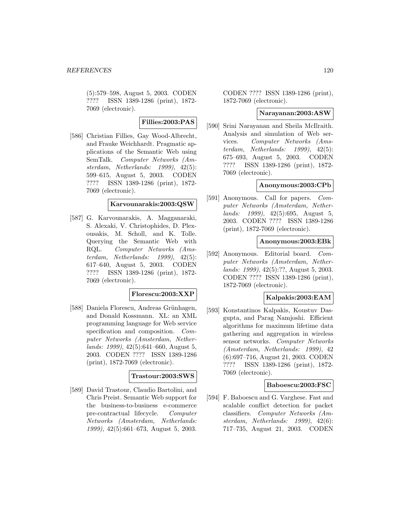(5):579–598, August 5, 2003. CODEN ???? ISSN 1389-1286 (print), 1872- 7069 (electronic).

**Fillies:2003:PAS**

[586] Christian Fillies, Gay Wood-Albrecht, and Frauke Weichhardt. Pragmatic applications of the Semantic Web using SemTalk. Computer Networks (Amsterdam, Netherlands: 1999), 42(5): 599–615, August 5, 2003. CODEN ???? ISSN 1389-1286 (print), 1872- 7069 (electronic).

### **Karvounarakis:2003:QSW**

[587] G. Karvounarakis, A. Magganaraki, S. Alexaki, V. Christophides, D. Plexousakis, M. Scholl, and K. Tolle. Querying the Semantic Web with RQL. Computer Networks (Amsterdam, Netherlands: 1999), 42(5): 617–640, August 5, 2003. CODEN ???? ISSN 1389-1286 (print), 1872- 7069 (electronic).

### **Florescu:2003:XXP**

[588] Daniela Florescu, Andreas Grünhagen, and Donald Kossmann. XL: an XML programming language for Web service specification and composition. Computer Networks (Amsterdam, Netherlands: 1999), 42(5):641–660, August 5, 2003. CODEN ???? ISSN 1389-1286 (print), 1872-7069 (electronic).

#### **Trastour:2003:SWS**

[589] David Trastour, Claudio Bartolini, and Chris Preist. Semantic Web support for the business-to-business e-commerce pre-contractual lifecycle. Computer Networks (Amsterdam, Netherlands: 1999), 42(5):661–673, August 5, 2003.

CODEN ???? ISSN 1389-1286 (print), 1872-7069 (electronic).

#### **Narayanan:2003:ASW**

[590] Srini Narayanan and Sheila McIlraith. Analysis and simulation of Web services. Computer Networks (Amsterdam, Netherlands: 1999), 42(5): 675–693, August 5, 2003. CODEN ???? ISSN 1389-1286 (print), 1872- 7069 (electronic).

#### **Anonymous:2003:CPb**

[591] Anonymous. Call for papers. *Com*puter Networks (Amsterdam, Netherlands: 1999), 42(5):695, August 5, 2003. CODEN ???? ISSN 1389-1286 (print), 1872-7069 (electronic).

#### **Anonymous:2003:EBk**

[592] Anonymous. Editorial board. Computer Networks (Amsterdam, Netherlands: 1999), 42(5):??, August 5, 2003. CODEN ???? ISSN 1389-1286 (print), 1872-7069 (electronic).

#### **Kalpakis:2003:EAM**

[593] Konstantinos Kalpakis, Koustuv Dasgupta, and Parag Namjoshi. Efficient algorithms for maximum lifetime data gathering and aggregation in wireless sensor networks. Computer Networks (Amsterdam, Netherlands: 1999), 42 (6):697–716, August 21, 2003. CODEN ???? ISSN 1389-1286 (print), 1872- 7069 (electronic).

#### **Baboescu:2003:FSC**

[594] F. Baboescu and G. Varghese. Fast and scalable conflict detection for packet classifiers. Computer Networks (Amsterdam, Netherlands: 1999), 42(6): 717–735, August 21, 2003. CODEN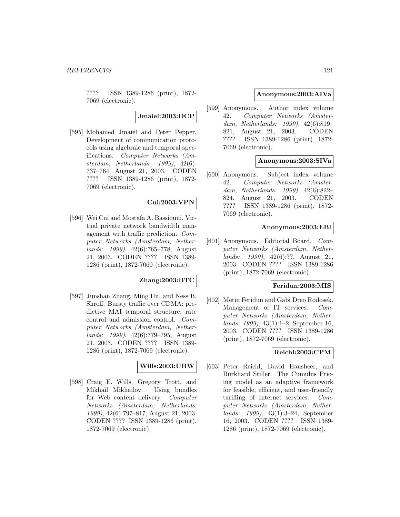???? ISSN 1389-1286 (print), 1872- 7069 (electronic).

**Jmaiel:2003:DCP**

[595] Mohamed Jmaiel and Peter Pepper. Development of communication protocols using algebraic and temporal specifications. Computer Networks (Amsterdam, Netherlands: 1999), 42(6): 737–764, August 21, 2003. CODEN ???? ISSN 1389-1286 (print), 1872- 7069 (electronic).

# **Cui:2003:VPN**

[596] Wei Cui and Mostafa A. Bassiouni. Virtual private network bandwidth management with traffic prediction. Computer Networks (Amsterdam, Netherlands: 1999), 42(6):765–778, August 21, 2003. CODEN ???? ISSN 1389- 1286 (print), 1872-7069 (electronic).

## **Zhang:2003:BTC**

[597] Junshan Zhang, Ming Hu, and Ness B. Shroff. Bursty traffic over CDMA: predictive MAI temporal structure, rate control and admission control. Computer Networks (Amsterdam, Netherlands: 1999), 42(6):779–795, August 21, 2003. CODEN ???? ISSN 1389- 1286 (print), 1872-7069 (electronic).

# **Wills:2003:UBW**

[598] Craig E. Wills, Gregory Trott, and Mikhail Mikhailov. Using bundles for Web content delivery. Computer Networks (Amsterdam, Netherlands: 1999), 42(6):797–817, August 21, 2003. CODEN ???? ISSN 1389-1286 (print), 1872-7069 (electronic).

# **Anonymous:2003:AIVa**

[599] Anonymous. Author index volume 42. Computer Networks (Amsterdam, Netherlands: 1999), 42(6):819– 821, August 21, 2003. CODEN ???? ISSN 1389-1286 (print), 1872- 7069 (electronic).

### **Anonymous:2003:SIVa**

[600] Anonymous. Subject index volume 42. Computer Networks (Amsterdam, Netherlands: 1999), 42(6):822– 824, August 21, 2003. CODEN ???? ISSN 1389-1286 (print), 1872- 7069 (electronic).

#### **Anonymous:2003:EBl**

[601] Anonymous. Editorial Board. Computer Networks (Amsterdam, Netherlands: 1999), 42(6):??, August 21, 2003. CODEN ???? ISSN 1389-1286 (print), 1872-7069 (electronic).

### **Feridun:2003:MIS**

[602] Metin Feridun and Gabi Dreo Rodosek. Management of IT services. Computer Networks (Amsterdam, Netherlands: 1999), 43(1):1–2, September 16, 2003. CODEN ???? ISSN 1389-1286 (print), 1872-7069 (electronic).

### **Reichl:2003:CPM**

[603] Peter Reichl, David Hausheer, and Burkhard Stiller. The Cumulus Pricing model as an adaptive framework for feasible, efficient, and user-friendly tariffing of Internet services. Computer Networks (Amsterdam, Netherlands: 1999), 43(1):3–24, September 16, 2003. CODEN ???? ISSN 1389- 1286 (print), 1872-7069 (electronic).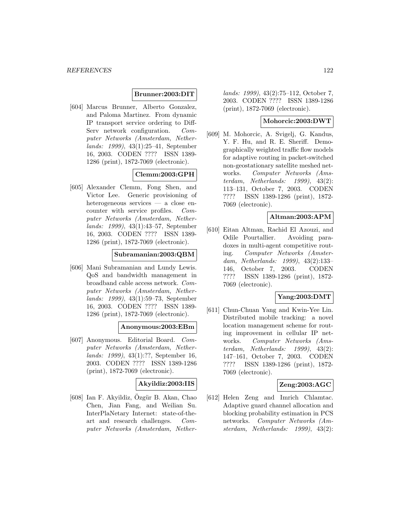### **Brunner:2003:DIT**

[604] Marcus Brunner, Alberto Gonzalez, and Paloma Martinez. From dynamic IP transport service ordering to Diff-Serv network configuration. Computer Networks (Amsterdam, Netherlands: 1999), 43(1):25–41, September 16, 2003. CODEN ???? ISSN 1389- 1286 (print), 1872-7069 (electronic).

# **Clemm:2003:GPH**

[605] Alexander Clemm, Fong Shen, and Victor Lee. Generic provisioning of heterogeneous services — a close encounter with service profiles. Computer Networks (Amsterdam, Netherlands: 1999), 43(1):43–57, September 16, 2003. CODEN ???? ISSN 1389- 1286 (print), 1872-7069 (electronic).

# **Subramanian:2003:QBM**

[606] Mani Subramanian and Lundy Lewis. QoS and bandwidth management in broadband cable access network. Computer Networks (Amsterdam, Netherlands: 1999), 43(1):59–73, September 16, 2003. CODEN ???? ISSN 1389- 1286 (print), 1872-7069 (electronic).

### **Anonymous:2003:EBm**

[607] Anonymous. Editorial Board. Computer Networks (Amsterdam, Netherlands: 1999), 43(1):??, September 16, 2003. CODEN ???? ISSN 1389-1286 (print), 1872-7069 (electronic).

# **Akyildiz:2003:IIS**

 $[608]$  Ian F. Akyildiz, Özgür B. Akan, Chao Chen, Jian Fang, and Weilian Su. InterPlaNetary Internet: state-of-theart and research challenges. Computer Networks (Amsterdam, Nether-

lands: 1999), 43(2):75–112, October 7, 2003. CODEN ???? ISSN 1389-1286 (print), 1872-7069 (electronic).

### **Mohorcic:2003:DWT**

[609] M. Mohorcic, A. Svigelj, G. Kandus, Y. F. Hu, and R. E. Sheriff. Demographically weighted traffic flow models for adaptive routing in packet-switched non-geostationary satellite meshed networks. Computer Networks (Amsterdam, Netherlands: 1999), 43(2): 113–131, October 7, 2003. CODEN ???? ISSN 1389-1286 (print), 1872- 7069 (electronic).

## **Altman:2003:APM**

[610] Eitan Altman, Rachid El Azouzi, and Odile Pourtallier. Avoiding paradoxes in multi-agent competitive routing. Computer Networks (Amsterdam, Netherlands: 1999), 43(2):133– 146, October 7, 2003. CODEN ???? ISSN 1389-1286 (print), 1872- 7069 (electronic).

## **Yang:2003:DMT**

[611] Chun-Chuan Yang and Kwin-Yee Lin. Distributed mobile tracking: a novel location management scheme for routing improvement in cellular IP networks. Computer Networks (Amsterdam, Netherlands: 1999), 43(2): 147–161, October 7, 2003. CODEN ???? ISSN 1389-1286 (print), 1872- 7069 (electronic).

### **Zeng:2003:AGC**

[612] Helen Zeng and Imrich Chlamtac. Adaptive guard channel allocation and blocking probability estimation in PCS networks. Computer Networks (Amsterdam, Netherlands: 1999), 43(2):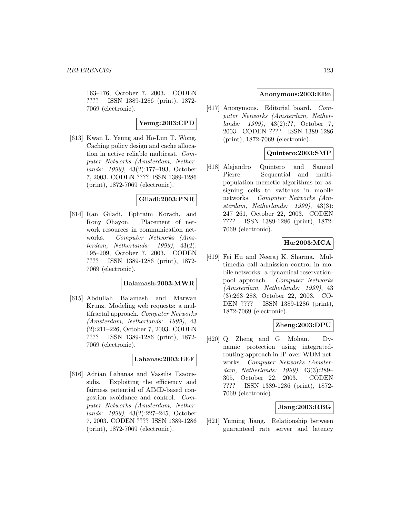163–176, October 7, 2003. CODEN ???? ISSN 1389-1286 (print), 1872- 7069 (electronic).

## **Yeung:2003:CPD**

[613] Kwan L. Yeung and Ho-Lun T. Wong. Caching policy design and cache allocation in active reliable multicast. Computer Networks (Amsterdam, Netherlands: 1999), 43(2):177–193, October 7, 2003. CODEN ???? ISSN 1389-1286 (print), 1872-7069 (electronic).

### **Giladi:2003:PNR**

[614] Ran Giladi, Ephraim Korach, and Rony Ohayon. Placement of network resources in communication networks. Computer Networks (Amsterdam, Netherlands: 1999), 43(2): 195–209, October 7, 2003. CODEN ???? ISSN 1389-1286 (print), 1872- 7069 (electronic).

# **Balamash:2003:MWR**

[615] Abdullah Balamash and Marwan Krunz. Modeling web requests: a multifractal approach. Computer Networks (Amsterdam, Netherlands: 1999), 43 (2):211–226, October 7, 2003. CODEN ???? ISSN 1389-1286 (print), 1872- 7069 (electronic).

## **Lahanas:2003:EEF**

[616] Adrian Lahanas and Vassilis Tsaoussidis. Exploiting the efficiency and fairness potential of AIMD-based congestion avoidance and control. Computer Networks (Amsterdam, Netherlands: 1999), 43(2):227–245, October 7, 2003. CODEN ???? ISSN 1389-1286 (print), 1872-7069 (electronic).

### **Anonymous:2003:EBn**

[617] Anonymous. Editorial board. Computer Networks (Amsterdam, Netherlands: 1999), 43(2):??, October 7, 2003. CODEN ???? ISSN 1389-1286 (print), 1872-7069 (electronic).

# **Quintero:2003:SMP**

[618] Alejandro Quintero and Samuel Pierre. Sequential and multipopulation memetic algorithms for assigning cells to switches in mobile networks. Computer Networks (Amsterdam, Netherlands: 1999), 43(3): 247–261, October 22, 2003. CODEN ???? ISSN 1389-1286 (print), 1872- 7069 (electronic).

# **Hu:2003:MCA**

[619] Fei Hu and Neeraj K. Sharma. Multimedia call admission control in mobile networks: a dynamical reservationpool approach. Computer Networks (Amsterdam, Netherlands: 1999), 43 (3):263–288, October 22, 2003. CO-DEN ???? ISSN 1389-1286 (print), 1872-7069 (electronic).

## **Zheng:2003:DPU**

[620] Q. Zheng and G. Mohan. Dynamic protection using integratedrouting approach in IP-over-WDM networks. Computer Networks (Amsterdam, Netherlands: 1999), 43(3):289– 305, October 22, 2003. CODEN ???? ISSN 1389-1286 (print), 1872- 7069 (electronic).

#### **Jiang:2003:RBG**

[621] Yuming Jiang. Relationship between guaranteed rate server and latency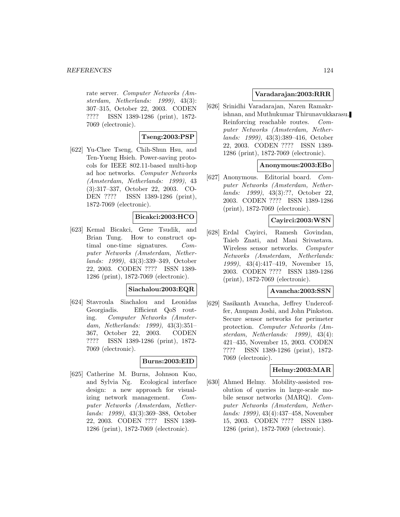rate server. Computer Networks (Amsterdam, Netherlands: 1999), 43(3): 307–315, October 22, 2003. CODEN ???? ISSN 1389-1286 (print), 1872- 7069 (electronic).

# **Tseng:2003:PSP**

[622] Yu-Chee Tseng, Chih-Shun Hsu, and Ten-Yueng Hsieh. Power-saving protocols for IEEE 802.11-based multi-hop ad hoc networks. Computer Networks (Amsterdam, Netherlands: 1999), 43 (3):317–337, October 22, 2003. CO-DEN ???? ISSN 1389-1286 (print), 1872-7069 (electronic).

# **Bicakci:2003:HCO**

[623] Kemal Bicakci, Gene Tsudik, and Brian Tung. How to construct optimal one-time signatures. Computer Networks (Amsterdam, Netherlands: 1999), 43(3):339–349, October 22, 2003. CODEN ???? ISSN 1389- 1286 (print), 1872-7069 (electronic).

#### **Siachalou:2003:EQR**

[624] Stavroula Siachalou and Leonidas Georgiadis. Efficient QoS routing. Computer Networks (Amsterdam, Netherlands: 1999), 43(3):351– 367, October 22, 2003. CODEN ???? ISSN 1389-1286 (print), 1872- 7069 (electronic).

# **Burns:2003:EID**

[625] Catherine M. Burns, Johnson Kuo, and Sylvia Ng. Ecological interface design: a new approach for visualizing network management. Computer Networks (Amsterdam, Netherlands: 1999), 43(3):369–388, October 22, 2003. CODEN ???? ISSN 1389- 1286 (print), 1872-7069 (electronic).

# **Varadarajan:2003:RRR**

[626] Srinidhi Varadarajan, Naren Ramakrishnan, and Muthukumar Thirunavukkarasu. Reinforcing reachable routes. Computer Networks (Amsterdam, Netherlands: 1999), 43(3):389–416, October 22, 2003. CODEN ???? ISSN 1389- 1286 (print), 1872-7069 (electronic).

### **Anonymous:2003:EBo**

[627] Anonymous. Editorial board. Computer Networks (Amsterdam, Netherlands: 1999), 43(3):??, October 22, 2003. CODEN ???? ISSN 1389-1286 (print), 1872-7069 (electronic).

### **Cayirci:2003:WSN**

[628] Erdal Cayirci, Ramesh Govindan, Taieb Znati, and Mani Srivastava. Wireless sensor networks. Computer Networks (Amsterdam, Netherlands: 1999), 43(4):417–419, November 15, 2003. CODEN ???? ISSN 1389-1286 (print), 1872-7069 (electronic).

# **Avancha:2003:SSN**

[629] Sasikanth Avancha, Jeffrey Undercoffer, Anupam Joshi, and John Pinkston. Secure sensor networks for perimeter protection. Computer Networks (Amsterdam, Netherlands: 1999), 43(4): 421–435, November 15, 2003. CODEN ???? ISSN 1389-1286 (print), 1872- 7069 (electronic).

## **Helmy:2003:MAR**

[630] Ahmed Helmy. Mobility-assisted resolution of queries in large-scale mobile sensor networks (MARQ). Computer Networks (Amsterdam, Netherlands: 1999), 43(4):437–458, November 15, 2003. CODEN ???? ISSN 1389- 1286 (print), 1872-7069 (electronic).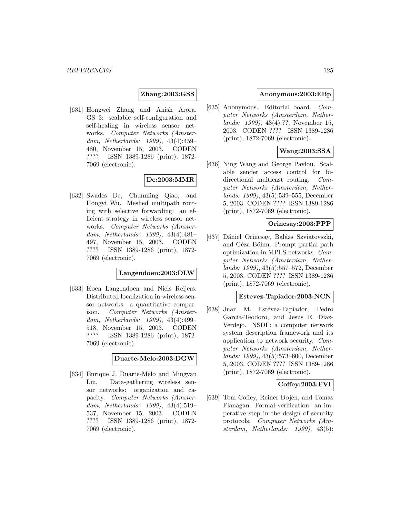#### **Zhang:2003:GSS**

[631] Hongwei Zhang and Anish Arora. GS 3: scalable self-configuration and self-healing in wireless sensor networks. Computer Networks (Amsterdam, Netherlands: 1999), 43(4):459– 480, November 15, 2003. CODEN ???? ISSN 1389-1286 (print), 1872- 7069 (electronic).

# **De:2003:MMR**

[632] Swades De, Chunming Qiao, and Hongyi Wu. Meshed multipath routing with selective forwarding: an efficient strategy in wireless sensor networks. Computer Networks (Amsterdam, Netherlands: 1999), 43(4):481– 497, November 15, 2003. CODEN ???? ISSN 1389-1286 (print), 1872- 7069 (electronic).

#### **Langendoen:2003:DLW**

[633] Koen Langendoen and Niels Reijers. Distributed localization in wireless sensor networks: a quantitative comparison. Computer Networks (Amsterdam, Netherlands: 1999), 43(4):499– 518, November 15, 2003. CODEN ???? ISSN 1389-1286 (print), 1872- 7069 (electronic).

**Duarte-Melo:2003:DGW**

[634] Enrique J. Duarte-Melo and Mingyan Liu. Data-gathering wireless sensor networks: organization and capacity. Computer Networks (Amsterdam, Netherlands: 1999), 43(4):519– 537, November 15, 2003. CODEN ???? ISSN 1389-1286 (print), 1872- 7069 (electronic).

#### **Anonymous:2003:EBp**

[635] Anonymous. Editorial board. Computer Networks (Amsterdam, Netherlands: 1999), 43(4):??, November 15, 2003. CODEN ???? ISSN 1389-1286 (print), 1872-7069 (electronic).

# **Wang:2003:SSA**

[636] Ning Wang and George Pavlou. Scalable sender access control for bidirectional multicast routing. Computer Networks (Amsterdam, Netherlands: 1999), 43(5):539–555, December 5, 2003. CODEN ???? ISSN 1389-1286 (print), 1872-7069 (electronic).

#### **Orincsay:2003:PPP**

[637] Dániel Orincsay, Balázs Szviatovszki, and Géza Böhm. Prompt partial path optimization in MPLS networks. Computer Networks (Amsterdam, Netherlands: 1999), 43(5):557–572, December 5, 2003. CODEN ???? ISSN 1389-1286 (print), 1872-7069 (electronic).

#### **Estevez-Tapiador:2003:NCN**

[638] Juan M. Estévez-Tapiador, Pedro García-Teodoro, and Jesús E. Díaz-Verdejo. NSDF: a computer network system description framework and its application to network security. Computer Networks (Amsterdam, Netherlands: 1999), 43(5):573–600, December 5, 2003. CODEN ???? ISSN 1389-1286 (print), 1872-7069 (electronic).

#### **Coffey:2003:FVI**

[639] Tom Coffey, Reiner Dojen, and Tomas Flanagan. Formal verification: an imperative step in the design of security protocols. Computer Networks (Amsterdam, Netherlands: 1999), 43(5):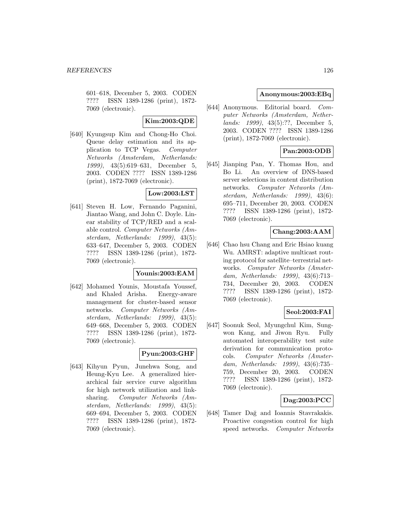601–618, December 5, 2003. CODEN ???? ISSN 1389-1286 (print), 1872- 7069 (electronic).

# **Kim:2003:QDE**

[640] Kyungsup Kim and Chong-Ho Choi. Queue delay estimation and its application to TCP Vegas. Computer Networks (Amsterdam, Netherlands: 1999), 43(5):619–631, December 5, 2003. CODEN ???? ISSN 1389-1286 (print), 1872-7069 (electronic).

# **Low:2003:LST**

[641] Steven H. Low, Fernando Paganini, Jiantao Wang, and John C. Doyle. Linear stability of TCP/RED and a scalable control. Computer Networks (Amsterdam, Netherlands: 1999), 43(5): 633–647, December 5, 2003. CODEN ???? ISSN 1389-1286 (print), 1872- 7069 (electronic).

### **Younis:2003:EAM**

[642] Mohamed Younis, Moustafa Youssef, and Khaled Arisha. Energy-aware management for cluster-based sensor networks. Computer Networks (Amsterdam, Netherlands: 1999), 43(5): 649–668, December 5, 2003. CODEN ???? ISSN 1389-1286 (print), 1872- 7069 (electronic).

# **Pyun:2003:GHF**

[643] Kihyun Pyun, Junehwa Song, and Heung-Kyu Lee. A generalized hierarchical fair service curve algorithm for high network utilization and linksharing. Computer Networks (Amsterdam, Netherlands: 1999), 43(5): 669–694, December 5, 2003. CODEN ???? ISSN 1389-1286 (print), 1872- 7069 (electronic).

# **Anonymous:2003:EBq**

[644] Anonymous. Editorial board. Computer Networks (Amsterdam, Netherlands: 1999), 43(5):??, December 5, 2003. CODEN ???? ISSN 1389-1286 (print), 1872-7069 (electronic).

# **Pan:2003:ODB**

[645] Jianping Pan, Y. Thomas Hou, and Bo Li. An overview of DNS-based server selections in content distribution networks. Computer Networks (Amsterdam, Netherlands: 1999), 43(6): 695–711, December 20, 2003. CODEN ???? ISSN 1389-1286 (print), 1872- 7069 (electronic).

# **Chang:2003:AAM**

[646] Chao hsu Chang and Eric Hsiao kuang Wu. AMRST: adaptive multicast routing protocol for satellite–terrestrial networks. Computer Networks (Amsterdam, Netherlands: 1999), 43(6):713– 734, December 20, 2003. CODEN ???? ISSN 1389-1286 (print), 1872- 7069 (electronic).

# **Seol:2003:FAI**

[647] Soonuk Seol, Myungchul Kim, Sungwon Kang, and Jiwon Ryu. Fully automated interoperability test suite derivation for communication protocols. Computer Networks (Amsterdam, Netherlands: 1999), 43(6):735– 759, December 20, 2003. CODEN ???? ISSN 1389-1286 (print), 1872- 7069 (electronic).

# **Dag:2003:PCC**

[648] Tamer Dağ and Ioannis Stavrakakis. Proactive congestion control for high speed networks. Computer Networks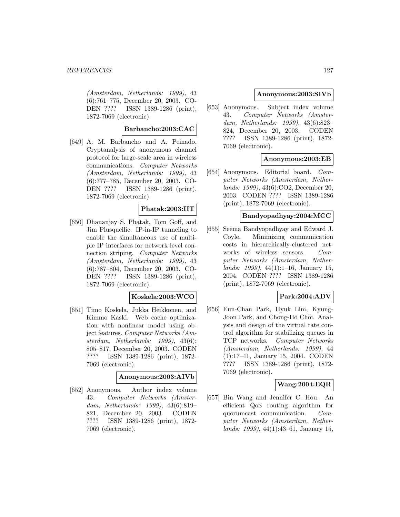(Amsterdam, Netherlands: 1999), 43 (6):761–775, December 20, 2003. CO-DEN ???? ISSN 1389-1286 (print), 1872-7069 (electronic).

# **Barbancho:2003:CAC**

[649] A. M. Barbancho and A. Peinado. Cryptanalysis of anonymous channel protocol for large-scale area in wireless communications. Computer Networks (Amsterdam, Netherlands: 1999), 43 (6):777–785, December 20, 2003. CO-DEN ???? ISSN 1389-1286 (print), 1872-7069 (electronic).

### **Phatak:2003:IIT**

[650] Dhananjay S. Phatak, Tom Goff, and Jim Plusquellic. IP-in-IP tunneling to enable the simultaneous use of multiple IP interfaces for network level connection striping. Computer Networks (Amsterdam, Netherlands: 1999), 43 (6):787–804, December 20, 2003. CO-DEN ???? ISSN 1389-1286 (print), 1872-7069 (electronic).

### **Koskela:2003:WCO**

[651] Timo Koskela, Jukka Heikkonen, and Kimmo Kaski. Web cache optimization with nonlinear model using object features. Computer Networks (Amsterdam, Netherlands: 1999), 43(6): 805–817, December 20, 2003. CODEN ???? ISSN 1389-1286 (print), 1872- 7069 (electronic).

# **Anonymous:2003:AIVb**

[652] Anonymous. Author index volume 43. Computer Networks (Amsterdam, Netherlands: 1999), 43(6):819– 821, December 20, 2003. CODEN ???? ISSN 1389-1286 (print), 1872- 7069 (electronic).

## **Anonymous:2003:SIVb**

[653] Anonymous. Subject index volume 43. Computer Networks (Amsterdam, Netherlands: 1999), 43(6):823– 824, December 20, 2003. CODEN ???? ISSN 1389-1286 (print), 1872- 7069 (electronic).

# **Anonymous:2003:EB**

[654] Anonymous. Editorial board. Computer Networks (Amsterdam, Netherlands: 1999), 43(6):CO2, December 20, 2003. CODEN ???? ISSN 1389-1286 (print), 1872-7069 (electronic).

# **Bandyopadhyay:2004:MCC**

[655] Seema Bandyopadhyay and Edward J. Coyle. Minimizing communication costs in hierarchically-clustered networks of wireless sensors. Computer Networks (Amsterdam, Netherlands: 1999), 44(1):1–16, January 15, 2004. CODEN ???? ISSN 1389-1286 (print), 1872-7069 (electronic).

## **Park:2004:ADV**

[656] Eun-Chan Park, Hyuk Lim, Kyung-Joon Park, and Chong-Ho Choi. Analysis and design of the virtual rate control algorithm for stabilizing queues in TCP networks. Computer Networks (Amsterdam, Netherlands: 1999), 44 (1):17–41, January 15, 2004. CODEN ???? ISSN 1389-1286 (print), 1872- 7069 (electronic).

### **Wang:2004:EQR**

[657] Bin Wang and Jennifer C. Hou. An efficient QoS routing algorithm for quorumcast communication. Computer Networks (Amsterdam, Netherlands: 1999), 44(1):43–61, January 15,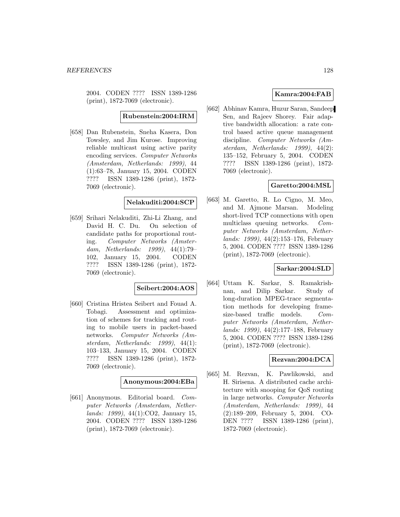2004. CODEN ???? ISSN 1389-1286 (print), 1872-7069 (electronic).

**Rubenstein:2004:IRM**

[658] Dan Rubenstein, Sneha Kasera, Don Towsley, and Jim Kurose. Improving reliable multicast using active parity encoding services. Computer Networks (Amsterdam, Netherlands: 1999), 44 (1):63–78, January 15, 2004. CODEN ???? ISSN 1389-1286 (print), 1872- 7069 (electronic).

#### **Nelakuditi:2004:SCP**

[659] Srihari Nelakuditi, Zhi-Li Zhang, and David H. C. Du. On selection of candidate paths for proportional routing. Computer Networks (Amsterdam, Netherlands: 1999), 44(1):79– 102, January 15, 2004. CODEN ???? ISSN 1389-1286 (print), 1872- 7069 (electronic).

### **Seibert:2004:AOS**

[660] Cristina Hristea Seibert and Fouad A. Tobagi. Assessment and optimization of schemes for tracking and routing to mobile users in packet-based networks. Computer Networks (Amsterdam, Netherlands: 1999), 44(1): 103–133, January 15, 2004. CODEN ???? ISSN 1389-1286 (print), 1872- 7069 (electronic).

#### **Anonymous:2004:EBa**

[661] Anonymous. Editorial board. Computer Networks (Amsterdam, Netherlands: 1999), 44(1):CO2, January 15, 2004. CODEN ???? ISSN 1389-1286 (print), 1872-7069 (electronic).

### **Kamra:2004:FAB**

[662] Abhinav Kamra, Huzur Saran, Sandeep Sen, and Rajeev Shorey. Fair adaptive bandwidth allocation: a rate control based active queue management discipline. Computer Networks (Amsterdam, Netherlands: 1999), 44(2): 135–152, February 5, 2004. CODEN ???? ISSN 1389-1286 (print), 1872- 7069 (electronic).

# **Garetto:2004:MSL**

[663] M. Garetto, R. Lo Cigno, M. Meo, and M. Ajmone Marsan. Modeling short-lived TCP connections with open multiclass queuing networks. Computer Networks (Amsterdam, Netherlands: 1999), 44(2):153–176, February 5, 2004. CODEN ???? ISSN 1389-1286 (print), 1872-7069 (electronic).

### **Sarkar:2004:SLD**

[664] Uttam K. Sarkar, S. Ramakrishnan, and Dilip Sarkar. Study of long-duration MPEG-trace segmentation methods for developing framesize-based traffic models. Computer Networks (Amsterdam, Netherlands: 1999), 44(2):177–188, February 5, 2004. CODEN ???? ISSN 1389-1286 (print), 1872-7069 (electronic).

## **Rezvan:2004:DCA**

[665] M. Rezvan, K. Pawlikowski, and H. Sirisena. A distributed cache architecture with snooping for QoS routing in large networks. Computer Networks (Amsterdam, Netherlands: 1999), 44 (2):189–209, February 5, 2004. CO-DEN ???? ISSN 1389-1286 (print), 1872-7069 (electronic).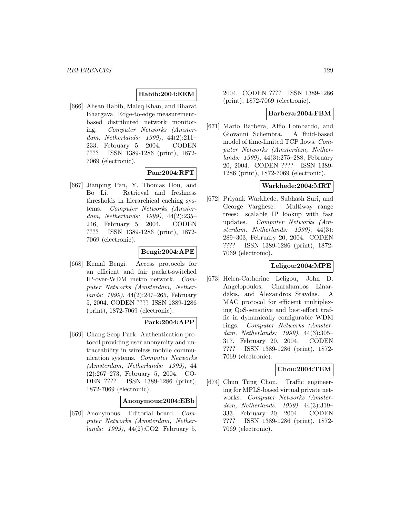# **Habib:2004:EEM**

[666] Ahsan Habib, Maleq Khan, and Bharat Bhargava. Edge-to-edge measurementbased distributed network monitoring. Computer Networks (Amsterdam, Netherlands: 1999), 44(2):211– 233, February 5, 2004. CODEN ???? ISSN 1389-1286 (print), 1872- 7069 (electronic).

# **Pan:2004:RFT**

[667] Jianping Pan, Y. Thomas Hou, and Bo Li. Retrieval and freshness thresholds in hierarchical caching systems. Computer Networks (Amsterdam, Netherlands: 1999), 44(2):235– 246, February 5, 2004. CODEN ???? ISSN 1389-1286 (print), 1872- 7069 (electronic).

### **Bengi:2004:APE**

[668] Kemal Bengi. Access protocols for an efficient and fair packet-switched IP-over-WDM metro network. Computer Networks (Amsterdam, Netherlands: 1999), 44(2):247–265, February 5, 2004. CODEN ???? ISSN 1389-1286 (print), 1872-7069 (electronic).

### **Park:2004:APP**

[669] Chang-Seop Park. Authentication protocol providing user anonymity and untraceability in wireless mobile communication systems. Computer Networks (Amsterdam, Netherlands: 1999), 44 (2):267–273, February 5, 2004. CO-DEN ???? ISSN 1389-1286 (print), 1872-7069 (electronic).

#### **Anonymous:2004:EBb**

[670] Anonymous. Editorial board. Computer Networks (Amsterdam, Netherlands: 1999), 44(2):CO2, February 5,

2004. CODEN ???? ISSN 1389-1286 (print), 1872-7069 (electronic).

#### **Barbera:2004:FBM**

[671] Mario Barbera, Alfio Lombardo, and Giovanni Schembra. A fluid-based model of time-limited TCP flows. Computer Networks (Amsterdam, Netherlands: 1999), 44(3):275–288, February 20, 2004. CODEN ???? ISSN 1389- 1286 (print), 1872-7069 (electronic).

#### **Warkhede:2004:MRT**

[672] Priyank Warkhede, Subhash Suri, and George Varghese. Multiway range trees: scalable IP lookup with fast updates. Computer Networks (Amsterdam, Netherlands: 1999), 44(3): 289–303, February 20, 2004. CODEN ???? ISSN 1389-1286 (print), 1872- 7069 (electronic).

### **Leligou:2004:MPE**

[673] Helen-Catherine Leligou, John D. Angelopoulos, Charalambos Linardakis, and Alexandros Stavdas. A MAC protocol for efficient multiplexing QoS-sensitive and best-effort traffic in dynamically configurable WDM rings. Computer Networks (Amsterdam, Netherlands: 1999), 44(3):305– 317, February 20, 2004. CODEN ???? ISSN 1389-1286 (print), 1872- 7069 (electronic).

#### **Chou:2004:TEM**

[674] Chun Tung Chou. Traffic engineering for MPLS-based virtual private networks. Computer Networks (Amsterdam, Netherlands: 1999), 44(3):319– 333, February 20, 2004. CODEN ???? ISSN 1389-1286 (print), 1872- 7069 (electronic).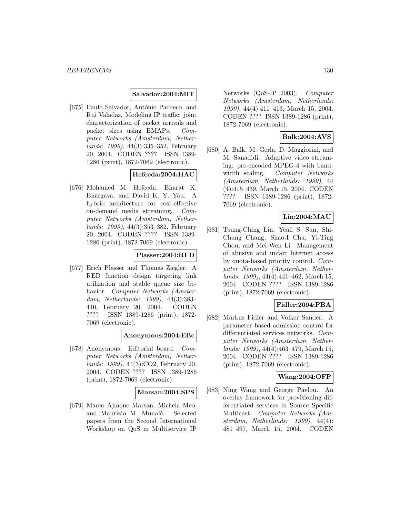#### **Salvador:2004:MIT**

[675] Paulo Salvador, António Pacheco, and Rui Valadas. Modeling IP traffic: joint characterization of packet arrivals and packet sizes using BMAPs. Computer Networks (Amsterdam, Netherlands: 1999), 44(3):335–352, February 20, 2004. CODEN ???? ISSN 1389- 1286 (print), 1872-7069 (electronic).

# **Hefeeda:2004:HAC**

[676] Mohamed M. Hefeeda, Bharat K. Bhargava, and David K. Y. Yau. A hybrid architecture for cost-effective on-demand media streaming. Computer Networks (Amsterdam, Netherlands: 1999), 44(3):353–382, February 20, 2004. CODEN ???? ISSN 1389- 1286 (print), 1872-7069 (electronic).

# **Plasser:2004:RFD**

[677] Erich Plasser and Thomas Ziegler. A RED function design targeting link utilization and stable queue size behavior. Computer Networks (Amsterdam, Netherlands: 1999), 44(3):383– 410, February 20, 2004. CODEN ???? ISSN 1389-1286 (print), 1872- 7069 (electronic).

#### **Anonymous:2004:EBc**

[678] Anonymous. Editorial board. Computer Networks (Amsterdam, Netherlands: 1999), 44(3):CO2, February 20, 2004. CODEN ???? ISSN 1389-1286 (print), 1872-7069 (electronic).

#### **Marsan:2004:SPS**

[679] Marco Ajmone Marsan, Michela Meo, and Maurizio M. Munafò. Selected papers from the Second International Workshop on QoS in Multiservice IP

Networks (QoS-IP 2003). Computer Networks (Amsterdam, Netherlands: 1999), 44(4):411–413, March 15, 2004. CODEN ???? ISSN 1389-1286 (print), 1872-7069 (electronic).

# **Balk:2004:AVS**

[680] A. Balk, M. Gerla, D. Maggiorini, and M. Sanadidi. Adaptive video streaming: pre-encoded MPEG-4 with bandwidth scaling. Computer Networks (Amsterdam, Netherlands: 1999), 44 (4):415–439, March 15, 2004. CODEN ???? ISSN 1389-1286 (print), 1872- 7069 (electronic).

# **Lin:2004:MAU**

[681] Tsung-Ching Lin, Yeali S. Sun, Shi-Chung Chang, Shao-I Chu, Yi-Ting Chou, and Mei-Wen Li. Management of abusive and unfair Internet access by quota-based priority control. Computer Networks (Amsterdam, Netherlands: 1999), 44(4):441–462, March 15, 2004. CODEN ???? ISSN 1389-1286 (print), 1872-7069 (electronic).

### **Fidler:2004:PBA**

[682] Markus Fidler and Volker Sander. A parameter based admission control for differentiated services networks. Computer Networks (Amsterdam, Netherlands: 1999), 44(4):463–479, March 15, 2004. CODEN ???? ISSN 1389-1286 (print), 1872-7069 (electronic).

### **Wang:2004:OFP**

[683] Ning Wang and George Pavlou. An overlay framework for provisioning differentiated services in Source Specific Multicast. Computer Networks (Amsterdam, Netherlands: 1999), 44(4): 481–497, March 15, 2004. CODEN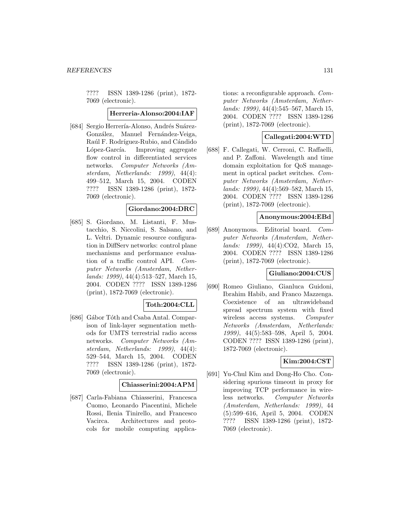???? ISSN 1389-1286 (print), 1872- 7069 (electronic).

#### **Herreria-Alonso:2004:IAF**

[684] Sergio Herrería-Alonso, Andrés Suárez-González, Manuel Fernández-Veiga, Raúl F. Rodríguez-Rubio, and Cándido López-García. Improving aggregate flow control in differentiated services networks. Computer Networks (Amsterdam, Netherlands: 1999), 44(4): 499–512, March 15, 2004. CODEN ???? ISSN 1389-1286 (print), 1872- 7069 (electronic).

#### **Giordano:2004:DRC**

[685] S. Giordano, M. Listanti, F. Mustacchio, S. Niccolini, S. Salsano, and L. Veltri. Dynamic resource configuration in DiffServ networks: control plane mechanisms and performance evaluation of a traffic control API. Computer Networks (Amsterdam, Netherlands: 1999), 44(4):513–527, March 15, 2004. CODEN ???? ISSN 1389-1286 (print), 1872-7069 (electronic).

## **Toth:2004:CLL**

[686] Gábor Tóth and Csaba Antal. Comparison of link-layer segmentation methods for UMTS terrestrial radio access networks. Computer Networks (Amsterdam, Netherlands: 1999), 44(4): 529–544, March 15, 2004. CODEN ???? ISSN 1389-1286 (print), 1872- 7069 (electronic).

#### **Chiasserini:2004:APM**

[687] Carla-Fabiana Chiasserini, Francesca Cuomo, Leonardo Piacentini, Michele Rossi, Ilenia Tinirello, and Francesco Vacirca. Architectures and protocols for mobile computing applica-

tions: a reconfigurable approach. Computer Networks (Amsterdam, Netherlands: 1999), 44(4):545–567, March 15, 2004. CODEN ???? ISSN 1389-1286 (print), 1872-7069 (electronic).

# **Callegati:2004:WTD**

[688] F. Callegati, W. Cerroni, C. Raffaelli, and P. Zaffoni. Wavelength and time domain exploitation for QoS management in optical packet switches. Computer Networks (Amsterdam, Netherlands: 1999), 44(4):569–582, March 15, 2004. CODEN ???? ISSN 1389-1286 (print), 1872-7069 (electronic).

### **Anonymous:2004:EBd**

[689] Anonymous. Editorial board. Computer Networks (Amsterdam, Netherlands: 1999), 44(4):CO2, March 15, 2004. CODEN ???? ISSN 1389-1286 (print), 1872-7069 (electronic).

### **Giuliano:2004:CUS**

[690] Romeo Giuliano, Gianluca Guidoni, Ibrahim Habib, and Franco Mazzenga. Coexistence of an ultrawideband spread spectrum system with fixed wireless access systems. Computer Networks (Amsterdam, Netherlands: 1999), 44(5):583–598, April 5, 2004. CODEN ???? ISSN 1389-1286 (print), 1872-7069 (electronic).

## **Kim:2004:CST**

[691] Yu-Chul Kim and Dong-Ho Cho. Considering spurious timeout in proxy for improving TCP performance in wireless networks. Computer Networks (Amsterdam, Netherlands: 1999), 44 (5):599–616, April 5, 2004. CODEN ???? ISSN 1389-1286 (print), 1872- 7069 (electronic).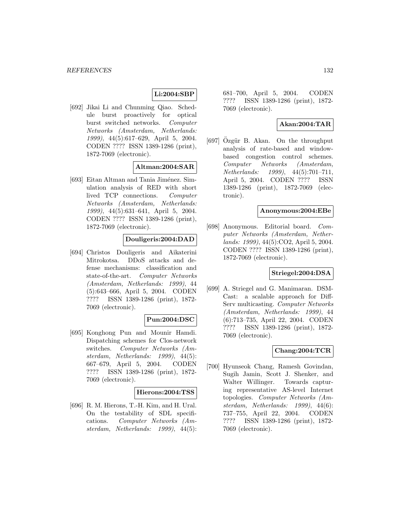# **Li:2004:SBP**

[692] Jikai Li and Chunming Qiao. Schedule burst proactively for optical burst switched networks. Computer Networks (Amsterdam, Netherlands: 1999), 44(5):617–629, April 5, 2004. CODEN ???? ISSN 1389-1286 (print), 1872-7069 (electronic).

#### **Altman:2004:SAR**

[693] Eitan Altman and Tania Jiménez. Simulation analysis of RED with short lived TCP connections. Computer Networks (Amsterdam, Netherlands: 1999), 44(5):631–641, April 5, 2004. CODEN ???? ISSN 1389-1286 (print), 1872-7069 (electronic).

## **Douligeris:2004:DAD**

[694] Christos Douligeris and Aikaterini Mitrokotsa. DDoS attacks and defense mechanisms: classification and state-of-the-art. Computer Networks (Amsterdam, Netherlands: 1999), 44 (5):643–666, April 5, 2004. CODEN ???? ISSN 1389-1286 (print), 1872- 7069 (electronic).

## **Pun:2004:DSC**

[695] Konghong Pun and Mounir Hamdi. Dispatching schemes for Clos-network switches. Computer Networks (Amsterdam, Netherlands: 1999), 44(5): 667–679, April 5, 2004. CODEN ???? ISSN 1389-1286 (print), 1872- 7069 (electronic).

#### **Hierons:2004:TSS**

[696] R. M. Hierons, T.-H. Kim, and H. Ural. On the testability of SDL specifications. Computer Networks (Amsterdam, Netherlands: 1999), 44(5):

681–700, April 5, 2004. CODEN ???? ISSN 1389-1286 (print), 1872- 7069 (electronic).

# **Akan:2004:TAR**

 $[697]$  Ozgür B. Akan. On the throughput analysis of rate-based and windowbased congestion control schemes. Computer Networks (Amsterdam, Netherlands: 1999), 44(5):701–711, April 5, 2004. CODEN ???? ISSN 1389-1286 (print), 1872-7069 (electronic).

#### **Anonymous:2004:EBe**

[698] Anonymous. Editorial board. Computer Networks (Amsterdam, Netherlands: 1999), 44(5):CO2, April 5, 2004. CODEN ???? ISSN 1389-1286 (print), 1872-7069 (electronic).

# **Striegel:2004:DSA**

[699] A. Striegel and G. Manimaran. DSM-Cast: a scalable approach for Diff-Serv multicasting. Computer Networks (Amsterdam, Netherlands: 1999), 44 (6):713–735, April 22, 2004. CODEN ???? ISSN 1389-1286 (print), 1872- 7069 (electronic).

### **Chang:2004:TCR**

[700] Hyunseok Chang, Ramesh Govindan, Sugih Jamin, Scott J. Shenker, and Walter Willinger. Towards capturing representative AS-level Internet topologies. Computer Networks (Amsterdam, Netherlands: 1999), 44(6): 737–755, April 22, 2004. CODEN ???? ISSN 1389-1286 (print), 1872- 7069 (electronic).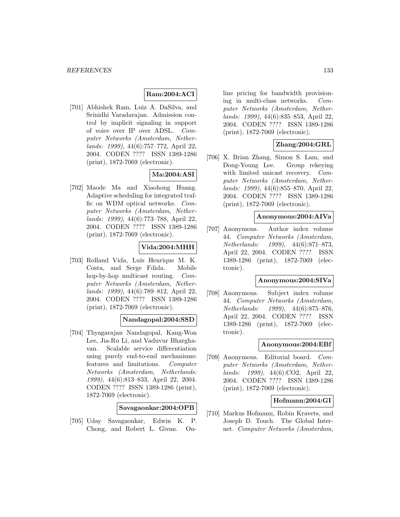# **Ram:2004:ACI**

[701] Abhishek Ram, Luiz A. DaSilva, and Srinidhi Varadarajan. Admission control by implicit signaling in support of voice over IP over ADSL. Computer Networks (Amsterdam, Netherlands: 1999), 44(6):757–772, April 22, 2004. CODEN ???? ISSN 1389-1286 (print), 1872-7069 (electronic).

# **Ma:2004:ASI**

[702] Maode Ma and Xiaohong Huang. Adaptive scheduling for integrated traffic on WDM optical networks. Computer Networks (Amsterdam, Netherlands: 1999), 44(6):773–788, April 22, 2004. CODEN ???? ISSN 1389-1286 (print), 1872-7069 (electronic).

# **Vida:2004:MHH**

[703] Rolland Vida, Luís Henrique M. K. Costa, and Serge Fdida. Mobile hop-by-hop multicast routing. *Com*puter Networks (Amsterdam, Netherlands: 1999), 44(6):789–812, April 22, 2004. CODEN ???? ISSN 1389-1286 (print), 1872-7069 (electronic).

# **Nandagopal:2004:SSD**

[704] Thyagarajan Nandagopal, Kang-Won Lee, Jia-Ru Li, and Vaduvur Bharghavan. Scalable service differentiation using purely end-to-end mechanisms: features and limitations. Computer Networks (Amsterdam, Netherlands: 1999), 44(6):813–833, April 22, 2004. CODEN ???? ISSN 1389-1286 (print), 1872-7069 (electronic).

**Savagaonkar:2004:OPB**

[705] Uday Savagaonkar, Edwin K. P. Chong, and Robert L. Givan. Online pricing for bandwidth provisioning in multi-class networks. Computer Networks (Amsterdam, Netherlands: 1999), 44(6):835–853, April 22, 2004. CODEN ???? ISSN 1389-1286 (print), 1872-7069 (electronic).

# **Zhang:2004:GRL**

[706] X. Brian Zhang, Simon S. Lam, and Dong-Young Lee. Group rekeying with limited unicast recovery. Computer Networks (Amsterdam, Netherlands: 1999), 44(6):855–870, April 22, 2004. CODEN ???? ISSN 1389-1286 (print), 1872-7069 (electronic).

## **Anonymous:2004:AIVa**

[707] Anonymous. Author index volume 44. Computer Networks (Amsterdam, Netherlands: 1999), 44(6):871–873, April 22, 2004. CODEN ???? ISSN 1389-1286 (print), 1872-7069 (electronic).

#### **Anonymous:2004:SIVa**

[708] Anonymous. Subject index volume 44. Computer Networks (Amsterdam, Netherlands: 1999), 44(6):875–876, April 22, 2004. CODEN ???? ISSN 1389-1286 (print), 1872-7069 (electronic).

### **Anonymous:2004:EBf**

[709] Anonymous. Editorial board. Computer Networks (Amsterdam, Netherlands: 1999), 44(6):CO2, April 22, 2004. CODEN ???? ISSN 1389-1286 (print), 1872-7069 (electronic).

## **Hofmann:2004:GI**

[710] Markus Hofmann, Robin Kravets, and Joseph D. Touch. The Global Internet. Computer Networks (Amsterdam,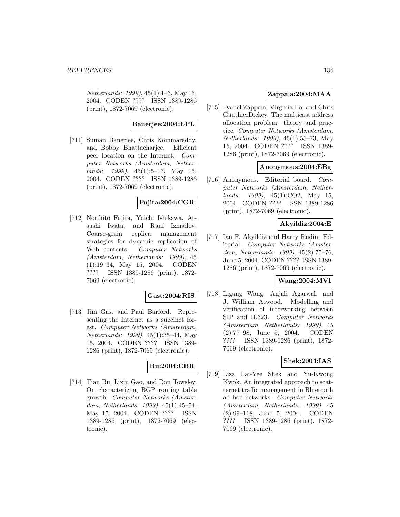Netherlands: 1999), 45(1):1–3, May 15, 2004. CODEN ???? ISSN 1389-1286 (print), 1872-7069 (electronic).

### **Banerjee:2004:EPL**

[711] Suman Banerjee, Chris Kommareddy, and Bobby Bhattacharjee. Efficient peer location on the Internet. Computer Networks (Amsterdam, Netherlands: 1999), 45(1):5–17, May 15, 2004. CODEN ???? ISSN 1389-1286 (print), 1872-7069 (electronic).

# **Fujita:2004:CGR**

[712] Norihito Fujita, Yuichi Ishikawa, Atsushi Iwata, and Rauf Izmailov. Coarse-grain replica management strategies for dynamic replication of Web contents. Computer Networks (Amsterdam, Netherlands: 1999), 45 (1):19–34, May 15, 2004. CODEN ???? ISSN 1389-1286 (print), 1872- 7069 (electronic).

### **Gast:2004:RIS**

[713] Jim Gast and Paul Barford. Representing the Internet as a succinct forest. Computer Networks (Amsterdam, Netherlands: 1999), 45(1):35–44, May 15, 2004. CODEN ???? ISSN 1389- 1286 (print), 1872-7069 (electronic).

# **Bu:2004:CBR**

[714] Tian Bu, Lixin Gao, and Don Towsley. On characterizing BGP routing table growth. Computer Networks (Amsterdam, Netherlands: 1999), 45(1):45–54, May 15, 2004. CODEN ???? ISSN 1389-1286 (print), 1872-7069 (electronic).

# **Zappala:2004:MAA**

[715] Daniel Zappala, Virginia Lo, and Chris GauthierDickey. The multicast address allocation problem: theory and practice. Computer Networks (Amsterdam, Netherlands: 1999), 45(1):55–73, May 15, 2004. CODEN ???? ISSN 1389- 1286 (print), 1872-7069 (electronic).

### **Anonymous:2004:EBg**

[716] Anonymous. Editorial board. Computer Networks (Amsterdam, Netherlands: 1999), 45(1):CO2, May 15, 2004. CODEN ???? ISSN 1389-1286 (print), 1872-7069 (electronic).

# **Akyildiz:2004:E**

[717] Ian F. Akyildiz and Harry Rudin. Editorial. Computer Networks (Amsterdam, Netherlands: 1999), 45(2):75–76, June 5, 2004. CODEN ???? ISSN 1389- 1286 (print), 1872-7069 (electronic).

# **Wang:2004:MVI**

[718] Ligang Wang, Anjali Agarwal, and J. William Atwood. Modelling and verification of interworking between SIP and H.323. Computer Networks (Amsterdam, Netherlands: 1999), 45 (2):77–98, June 5, 2004. CODEN ???? ISSN 1389-1286 (print), 1872- 7069 (electronic).

### **Shek:2004:IAS**

[719] Liza Lai-Yee Shek and Yu-Kwong Kwok. An integrated approach to scatternet traffic management in Bluetooth ad hoc networks. Computer Networks (Amsterdam, Netherlands: 1999), 45 (2):99–118, June 5, 2004. CODEN ???? ISSN 1389-1286 (print), 1872- 7069 (electronic).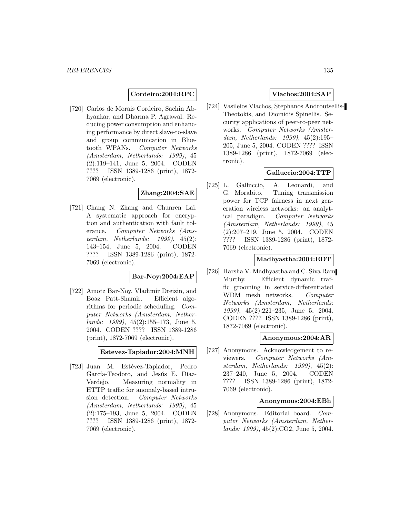**Cordeiro:2004:RPC**

[720] Carlos de Morais Cordeiro, Sachin Abhyankar, and Dharma P. Agrawal. Reducing power consumption and enhancing performance by direct slave-to-slave and group communication in Bluetooth WPANs. Computer Networks (Amsterdam, Netherlands: 1999), 45 (2):119–141, June 5, 2004. CODEN ???? ISSN 1389-1286 (print), 1872- 7069 (electronic).

# **Zhang:2004:SAE**

[721] Chang N. Zhang and Chunren Lai. A systematic approach for encryption and authentication with fault tolerance. Computer Networks (Amsterdam, Netherlands: 1999), 45(2): 143–154, June 5, 2004. CODEN ???? ISSN 1389-1286 (print), 1872- 7069 (electronic).

# **Bar-Noy:2004:EAP**

[722] Amotz Bar-Noy, Vladimir Dreizin, and Boaz Patt-Shamir. Efficient algorithms for periodic scheduling. Computer Networks (Amsterdam, Netherlands: 1999), 45(2):155–173, June 5, 2004. CODEN ???? ISSN 1389-1286 (print), 1872-7069 (electronic).

## **Estevez-Tapiador:2004:MNH**

[723] Juan M. Estévez-Tapiador, Pedro García-Teodoro, and Jesús E. Díaz-Verdejo. Measuring normality in HTTP traffic for anomaly-based intrusion detection. Computer Networks (Amsterdam, Netherlands: 1999), 45 (2):175–193, June 5, 2004. CODEN ???? ISSN 1389-1286 (print), 1872- 7069 (electronic).

# **Vlachos:2004:SAP**

[724] Vasileios Vlachos, Stephanos Androutsellis-Theotokis, and Diomidis Spinellis. Security applications of peer-to-peer networks. Computer Networks (Amsterdam, Netherlands: 1999), 45(2):195– 205, June 5, 2004. CODEN ???? ISSN 1389-1286 (print), 1872-7069 (electronic).

# **Galluccio:2004:TTP**

[725] L. Galluccio, A. Leonardi, and G. Morabito. Tuning transmission power for TCP fairness in next generation wireless networks: an analytical paradigm. Computer Networks (Amsterdam, Netherlands: 1999), 45 (2):207–219, June 5, 2004. CODEN ???? ISSN 1389-1286 (print), 1872- 7069 (electronic).

## **Madhyastha:2004:EDT**

[726] Harsha V. Madhyastha and C. Siva Ram Murthy. Efficient dynamic traffic grooming in service-differentiated WDM mesh networks. Computer Networks (Amsterdam, Netherlands: 1999), 45(2):221–235, June 5, 2004. CODEN ???? ISSN 1389-1286 (print), 1872-7069 (electronic).

#### **Anonymous:2004:AR**

[727] Anonymous. Acknowledgement to reviewers. Computer Networks (Amsterdam, Netherlands: 1999), 45(2): 237–240, June 5, 2004. CODEN ???? ISSN 1389-1286 (print), 1872- 7069 (electronic).

#### **Anonymous:2004:EBh**

[728] Anonymous. Editorial board. Computer Networks (Amsterdam, Netherlands: 1999), 45(2):CO2, June 5, 2004.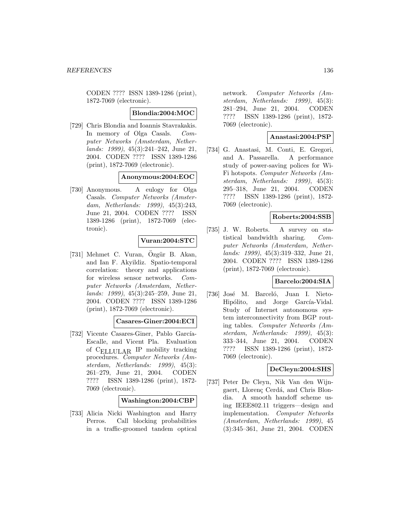CODEN ???? ISSN 1389-1286 (print), 1872-7069 (electronic).

#### **Blondia:2004:MOC**

[729] Chris Blondia and Ioannis Stavrakakis. In memory of Olga Casals. Computer Networks (Amsterdam, Netherlands: 1999), 45(3):241–242, June 21, 2004. CODEN ???? ISSN 1389-1286 (print), 1872-7069 (electronic).

#### **Anonymous:2004:EOC**

[730] Anonymous. A eulogy for Olga Casals. Computer Networks (Amsterdam, Netherlands: 1999), 45(3):243, June 21, 2004. CODEN ???? ISSN 1389-1286 (print), 1872-7069 (electronic).

### **Vuran:2004:STC**

[731] Mehmet C. Vuran, Ozgür B. Akan, and Ian F. Akyildiz. Spatio-temporal correlation: theory and applications for wireless sensor networks. Computer Networks (Amsterdam, Netherlands: 1999), 45(3):245–259, June 21, 2004. CODEN ???? ISSN 1389-1286 (print), 1872-7069 (electronic).

**Casares-Giner:2004:ECI**

[732] Vicente Casares-Giner, Pablo García-Escalle, and Vicent Pla. Evaluation of CELLULAR IP mobility tracking procedures. Computer Networks (Amsterdam, Netherlands: 1999), 45(3): 261–279, June 21, 2004. CODEN ???? ISSN 1389-1286 (print), 1872- 7069 (electronic).

### **Washington:2004:CBP**

[733] Alicia Nicki Washington and Harry Perros. Call blocking probabilities in a traffic-groomed tandem optical

network. Computer Networks (Amsterdam, Netherlands: 1999), 45(3): 281–294, June 21, 2004. CODEN ???? ISSN 1389-1286 (print), 1872- 7069 (electronic).

# **Anastasi:2004:PSP**

[734] G. Anastasi, M. Conti, E. Gregori, and A. Passarella. A performance study of power-saving polices for Wi-Fi hotspots. Computer Networks (Amsterdam, Netherlands: 1999), 45(3): 295–318, June 21, 2004. CODEN ???? ISSN 1389-1286 (print), 1872- 7069 (electronic).

# **Roberts:2004:SSB**

[735] J. W. Roberts. A survey on statistical bandwidth sharing. Computer Networks (Amsterdam, Netherlands: 1999), 45(3):319–332, June 21, 2004. CODEN ???? ISSN 1389-1286 (print), 1872-7069 (electronic).

#### **Barcelo:2004:SIA**

[736] José M. Barceló, Juan I. Nieto-Hipólito, and Jorge García-Vidal. Study of Internet autonomous system interconnectivity from BGP routing tables. Computer Networks (Amsterdam, Netherlands: 1999), 45(3): 333–344, June 21, 2004. CODEN ???? ISSN 1389-1286 (print), 1872- 7069 (electronic).

## **DeCleyn:2004:SHS**

[737] Peter De Cleyn, Nik Van den Wijngaert, Llorenc Cerdá, and Chris Blondia. A smooth handoff scheme using IEEE802.11 triggers—design and implementation. Computer Networks (Amsterdam, Netherlands: 1999), 45 (3):345–361, June 21, 2004. CODEN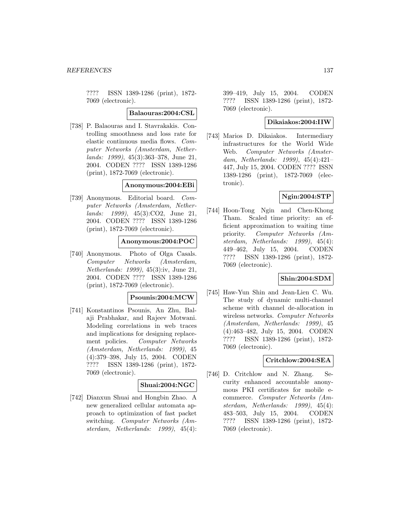???? ISSN 1389-1286 (print), 1872- 7069 (electronic).

#### **Balaouras:2004:CSL**

[738] P. Balaouras and I. Stavrakakis. Controlling smoothness and loss rate for elastic continuous media flows. Computer Networks (Amsterdam, Netherlands: 1999), 45(3):363–378, June 21, 2004. CODEN ???? ISSN 1389-1286 (print), 1872-7069 (electronic).

#### **Anonymous:2004:EBi**

[739] Anonymous. Editorial board. Computer Networks (Amsterdam, Netherlands: 1999), 45(3):CO2, June 21, 2004. CODEN ???? ISSN 1389-1286 (print), 1872-7069 (electronic).

### **Anonymous:2004:POC**

[740] Anonymous. Photo of Olga Casals. Computer Networks (Amsterdam, Netherlands: 1999), 45(3):iv, June 21, 2004. CODEN ???? ISSN 1389-1286 (print), 1872-7069 (electronic).

### **Psounis:2004:MCW**

[741] Konstantinos Psounis, An Zhu, Balaji Prabhakar, and Rajeev Motwani. Modeling correlations in web traces and implications for designing replacement policies. Computer Networks (Amsterdam, Netherlands: 1999), 45 (4):379–398, July 15, 2004. CODEN ???? ISSN 1389-1286 (print), 1872- 7069 (electronic).

### **Shuai:2004:NGC**

[742] Dianxun Shuai and Hongbin Zhao. A new generalized cellular automata approach to optimization of fast packet switching. Computer Networks (Amsterdam, Netherlands: 1999), 45(4): 399–419, July 15, 2004. CODEN ???? ISSN 1389-1286 (print), 1872- 7069 (electronic).

## **Dikaiakos:2004:IIW**

[743] Marios D. Dikaiakos. Intermediary infrastructures for the World Wide Web. Computer Networks (Amsterdam, Netherlands: 1999), 45(4):421– 447, July 15, 2004. CODEN ???? ISSN 1389-1286 (print), 1872-7069 (electronic).

# **Ngin:2004:STP**

[744] Hoon-Tong Ngin and Chen-Khong Tham. Scaled time priority: an efficient approximation to waiting time priority. Computer Networks (Amsterdam, Netherlands: 1999), 45(4): 449–462, July 15, 2004. CODEN ???? ISSN 1389-1286 (print), 1872- 7069 (electronic).

### **Shin:2004:SDM**

[745] Haw-Yun Shin and Jean-Lien C. Wu. The study of dynamic multi-channel scheme with channel de-allocation in wireless networks. Computer Networks (Amsterdam, Netherlands: 1999), 45 (4):463–482, July 15, 2004. CODEN ???? ISSN 1389-1286 (print), 1872- 7069 (electronic).

### **Critchlow:2004:SEA**

[746] D. Critchlow and N. Zhang. Security enhanced accountable anonymous PKI certificates for mobile ecommerce. Computer Networks (Amsterdam, Netherlands: 1999), 45(4): 483–503, July 15, 2004. CODEN ???? ISSN 1389-1286 (print), 1872- 7069 (electronic).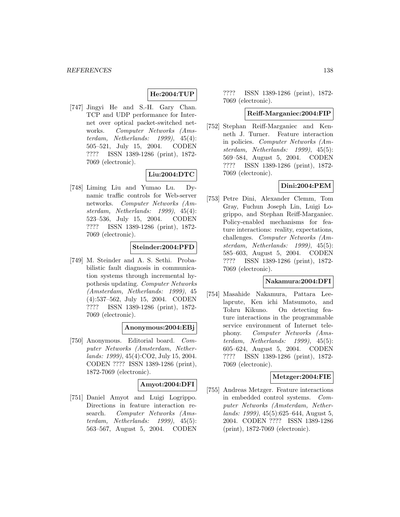# **He:2004:TUP**

[747] Jingyi He and S.-H. Gary Chan. TCP and UDP performance for Internet over optical packet-switched networks. Computer Networks (Amsterdam, Netherlands: 1999), 45(4): 505–521, July 15, 2004. CODEN ???? ISSN 1389-1286 (print), 1872- 7069 (electronic).

# **Liu:2004:DTC**

[748] Liming Liu and Yumao Lu. Dynamic traffic controls for Web-server networks. Computer Networks (Amsterdam, Netherlands: 1999), 45(4): 523–536, July 15, 2004. CODEN ???? ISSN 1389-1286 (print), 1872- 7069 (electronic).

# **Steinder:2004:PFD**

[749] M. Steinder and A. S. Sethi. Probabilistic fault diagnosis in communication systems through incremental hypothesis updating. Computer Networks (Amsterdam, Netherlands: 1999), 45 (4):537–562, July 15, 2004. CODEN ???? ISSN 1389-1286 (print), 1872- 7069 (electronic).

### **Anonymous:2004:EBj**

[750] Anonymous. Editorial board. Computer Networks (Amsterdam, Netherlands: 1999), 45(4):CO2, July 15, 2004. CODEN ???? ISSN 1389-1286 (print), 1872-7069 (electronic).

# **Amyot:2004:DFI**

[751] Daniel Amyot and Luigi Logrippo. Directions in feature interaction research. Computer Networks (Amsterdam, Netherlands: 1999), 45(5): 563–567, August 5, 2004. CODEN ???? ISSN 1389-1286 (print), 1872- 7069 (electronic).

#### **Reiff-Marganiec:2004:FIP**

[752] Stephan Reiff-Marganiec and Kenneth J. Turner. Feature interaction in policies. Computer Networks (Amsterdam, Netherlands: 1999), 45(5): 569–584, August 5, 2004. CODEN ???? ISSN 1389-1286 (print), 1872- 7069 (electronic).

# **Dini:2004:PEM**

[753] Petre Dini, Alexander Clemm, Tom Gray, Fuchun Joseph Lin, Luigi Logrippo, and Stephan Reiff-Marganiec. Policy-enabled mechanisms for feature interactions: reality, expectations, challenges. Computer Networks (Amsterdam, Netherlands: 1999), 45(5): 585–603, August 5, 2004. CODEN ???? ISSN 1389-1286 (print), 1872- 7069 (electronic).

## **Nakamura:2004:DFI**

[754] Masahide Nakamura, Pattara Leelaprute, Ken ichi Matsumoto, and Tohru Kikuno. On detecting feature interactions in the programmable service environment of Internet telephony. Computer Networks (Amsterdam, Netherlands: 1999), 45(5): 605–624, August 5, 2004. CODEN ???? ISSN 1389-1286 (print), 1872- 7069 (electronic).

### **Metzger:2004:FIE**

[755] Andreas Metzger. Feature interactions in embedded control systems. Computer Networks (Amsterdam, Netherlands: 1999), 45(5):625–644, August 5, 2004. CODEN ???? ISSN 1389-1286 (print), 1872-7069 (electronic).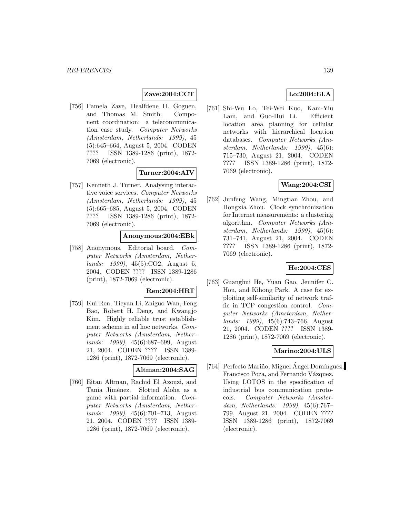# **Zave:2004:CCT**

[756] Pamela Zave, Healfdene H. Goguen, and Thomas M. Smith. Component coordination: a telecommunication case study. Computer Networks (Amsterdam, Netherlands: 1999), 45 (5):645–664, August 5, 2004. CODEN ???? ISSN 1389-1286 (print), 1872- 7069 (electronic).

#### **Turner:2004:AIV**

[757] Kenneth J. Turner. Analysing interactive voice services. Computer Networks (Amsterdam, Netherlands: 1999), 45 (5):665–685, August 5, 2004. CODEN ???? ISSN 1389-1286 (print), 1872- 7069 (electronic).

# **Anonymous:2004:EBk**

[758] Anonymous. Editorial board. Computer Networks (Amsterdam, Netherlands: 1999), 45(5):CO2, August 5, 2004. CODEN ???? ISSN 1389-1286 (print), 1872-7069 (electronic).

## **Ren:2004:HRT**

[759] Kui Ren, Tieyan Li, Zhiguo Wan, Feng Bao, Robert H. Deng, and Kwangjo Kim. Highly reliable trust establishment scheme in ad hoc networks. Computer Networks (Amsterdam, Netherlands: 1999), 45(6):687–699, August 21, 2004. CODEN ???? ISSN 1389- 1286 (print), 1872-7069 (electronic).

#### **Altman:2004:SAG**

[760] Eitan Altman, Rachid El Azouzi, and Tania Jiménez. Slotted Aloha as a game with partial information. Computer Networks (Amsterdam, Netherlands: 1999), 45(6):701–713, August 21, 2004. CODEN ???? ISSN 1389- 1286 (print), 1872-7069 (electronic).

## **Lo:2004:ELA**

[761] Shi-Wu Lo, Tei-Wei Kuo, Kam-Yiu Lam, and Guo-Hui Li. Efficient location area planning for cellular networks with hierarchical location databases. Computer Networks (Amsterdam, Netherlands: 1999), 45(6): 715–730, August 21, 2004. CODEN ???? ISSN 1389-1286 (print), 1872- 7069 (electronic).

# **Wang:2004:CSI**

[762] Junfeng Wang, Mingtian Zhou, and Hongxia Zhou. Clock synchronization for Internet measurements: a clustering algorithm. Computer Networks (Amsterdam, Netherlands: 1999), 45(6): 731–741, August 21, 2004. CODEN ???? ISSN 1389-1286 (print), 1872- 7069 (electronic).

### **He:2004:CES**

[763] Guanghui He, Yuan Gao, Jennifer C. Hou, and Kihong Park. A case for exploiting self-similarity of network traffic in TCP congestion control. Computer Networks (Amsterdam, Netherlands: 1999), 45(6):743–766, August 21, 2004. CODEN ???? ISSN 1389- 1286 (print), 1872-7069 (electronic).

### **Marino:2004:ULS**

[764] Perfecto Mariño, Miguel Ángel Domínguez, Francisco Poza, and Fernando Vázquez. Using LOTOS in the specification of industrial bus communication protocols. Computer Networks (Amsterdam, Netherlands: 1999), 45(6):767– 799, August 21, 2004. CODEN ???? ISSN 1389-1286 (print), 1872-7069 (electronic).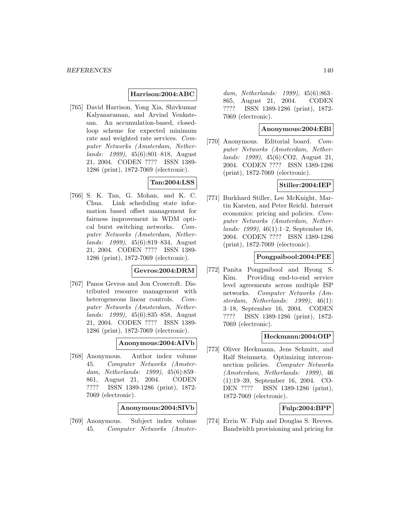### **Harrison:2004:ABC**

[765] David Harrison, Yong Xia, Shivkumar Kalyanaraman, and Arvind Venkatesan. An accumulation-based, closedloop scheme for expected minimum rate and weighted rate services. Computer Networks (Amsterdam, Netherlands: 1999), 45(6):801–818, August 21, 2004. CODEN ???? ISSN 1389- 1286 (print), 1872-7069 (electronic).

# **Tan:2004:LSS**

[766] S. K. Tan, G. Mohan, and K. C. Chua. Link scheduling state information based offset management for fairness improvement in WDM optical burst switching networks. Computer Networks (Amsterdam, Netherlands: 1999), 45(6):819–834, August 21, 2004. CODEN ???? ISSN 1389- 1286 (print), 1872-7069 (electronic).

# **Gevros:2004:DRM**

[767] Panos Gevros and Jon Crowcroft. Distributed resource management with heterogeneous linear controls. Computer Networks (Amsterdam, Netherlands: 1999), 45(6):835–858, August 21, 2004. CODEN ???? ISSN 1389- 1286 (print), 1872-7069 (electronic).

#### **Anonymous:2004:AIVb**

[768] Anonymous. Author index volume 45. Computer Networks (Amsterdam, Netherlands: 1999), 45(6):859– 861, August 21, 2004. CODEN ???? ISSN 1389-1286 (print), 1872- 7069 (electronic).

**Anonymous:2004:SIVb**

[769] Anonymous. Subject index volume 45. Computer Networks (Amster-

dam, Netherlands: 1999), 45(6):863– 865, August 21, 2004. CODEN ???? ISSN 1389-1286 (print), 1872- 7069 (electronic).

## **Anonymous:2004:EBl**

[770] Anonymous. Editorial board. Computer Networks (Amsterdam, Netherlands: 1999), 45(6):CO2, August 21, 2004. CODEN ???? ISSN 1389-1286 (print), 1872-7069 (electronic).

# **Stiller:2004:IEP**

[771] Burkhard Stiller, Lee McKnight, Martin Karsten, and Peter Reichl. Internet economics: pricing and policies. Computer Networks (Amsterdam, Netherlands: 1999), 46(1):1–2, September 16, 2004. CODEN ???? ISSN 1389-1286 (print), 1872-7069 (electronic).

# **Pongpaibool:2004:PEE**

[772] Panita Pongpaibool and Hyong S. Kim. Providing end-to-end service level agreements across multiple ISP networks. Computer Networks (Amsterdam, Netherlands: 1999), 46(1): 3–18, September 16, 2004. CODEN ???? ISSN 1389-1286 (print), 1872- 7069 (electronic).

# **Heckmann:2004:OIP**

[773] Oliver Heckmann, Jens Schmitt, and Ralf Steinmetz. Optimizing interconnection policies. Computer Networks (Amsterdam, Netherlands: 1999), 46 (1):19–39, September 16, 2004. CO-DEN ???? ISSN 1389-1286 (print), 1872-7069 (electronic).

# **Fulp:2004:BPP**

[774] Errin W. Fulp and Douglas S. Reeves. Bandwidth provisioning and pricing for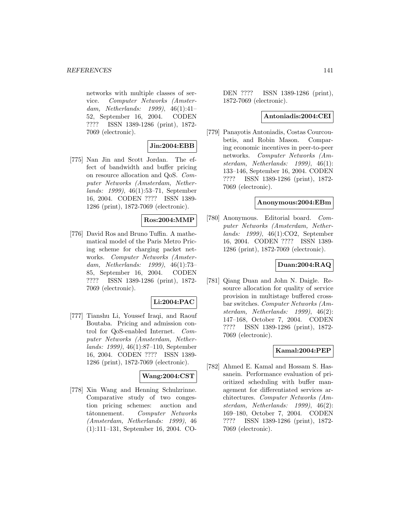networks with multiple classes of service. Computer Networks (Amsterdam, Netherlands: 1999), 46(1):41– 52, September 16, 2004. CODEN ???? ISSN 1389-1286 (print), 1872- 7069 (electronic).

# **Jin:2004:EBB**

[775] Nan Jin and Scott Jordan. The effect of bandwidth and buffer pricing on resource allocation and QoS. Computer Networks (Amsterdam, Netherlands: 1999), 46(1):53–71, September 16, 2004. CODEN ???? ISSN 1389- 1286 (print), 1872-7069 (electronic).

### **Ros:2004:MMP**

[776] David Ros and Bruno Tuffin. A mathematical model of the Paris Metro Pricing scheme for charging packet networks. Computer Networks (Amsterdam, Netherlands: 1999), 46(1):73– 85, September 16, 2004. CODEN ???? ISSN 1389-1286 (print), 1872- 7069 (electronic).

# **Li:2004:PAC**

[777] Tianshu Li, Youssef Iraqi, and Raouf Boutaba. Pricing and admission control for QoS-enabled Internet. Computer Networks (Amsterdam, Netherlands: 1999), 46(1):87–110, September 16, 2004. CODEN ???? ISSN 1389- 1286 (print), 1872-7069 (electronic).

# **Wang:2004:CST**

[778] Xin Wang and Henning Schulzrinne. Comparative study of two congestion pricing schemes: auction and tâtonnement. Computer Networks (Amsterdam, Netherlands: 1999), 46 (1):111–131, September 16, 2004. CO-

DEN ???? ISSN 1389-1286 (print), 1872-7069 (electronic).

#### **Antoniadis:2004:CEI**

[779] Panayotis Antoniadis, Costas Courcoubetis, and Robin Mason. Comparing economic incentives in peer-to-peer networks. Computer Networks (Amsterdam, Netherlands: 1999), 46(1): 133–146, September 16, 2004. CODEN ???? ISSN 1389-1286 (print), 1872- 7069 (electronic).

#### **Anonymous:2004:EBm**

[780] Anonymous. Editorial board. Computer Networks (Amsterdam, Netherlands: 1999), 46(1):CO2, September 16, 2004. CODEN ???? ISSN 1389- 1286 (print), 1872-7069 (electronic).

### **Duan:2004:RAQ**

[781] Qiang Duan and John N. Daigle. Resource allocation for quality of service provision in multistage buffered crossbar switches. Computer Networks (Amsterdam, Netherlands: 1999), 46(2): 147–168, October 7, 2004. CODEN ???? ISSN 1389-1286 (print), 1872- 7069 (electronic).

### **Kamal:2004:PEP**

[782] Ahmed E. Kamal and Hossam S. Hassanein. Performance evaluation of prioritized scheduling with buffer management for differentiated services architectures. Computer Networks (Amsterdam, Netherlands: 1999), 46(2): 169–180, October 7, 2004. CODEN ???? ISSN 1389-1286 (print), 1872- 7069 (electronic).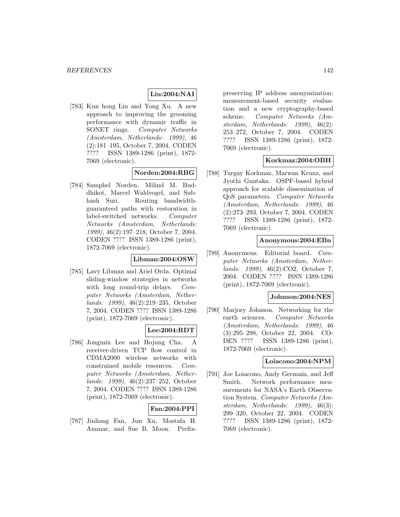# **Liu:2004:NAI**

[783] Kun hong Liu and Yong Xu. A new approach to improving the grooming performance with dynamic traffic in SONET rings. Computer Networks (Amsterdam, Netherlands: 1999), 46 (2):181–195, October 7, 2004. CODEN ???? ISSN 1389-1286 (print), 1872- 7069 (electronic).

# **Norden:2004:RBG**

[784] Samphel Norden, Milind M. Buddhikot, Marcel Waldvogel, and Subhash Suri. Routing bandwidthguaranteed paths with restoration in label-switched networks. Computer Networks (Amsterdam, Netherlands: 1999), 46(2):197–218, October 7, 2004. CODEN ???? ISSN 1389-1286 (print), 1872-7069 (electronic).

### **Libman:2004:OSW**

[785] Lavy Libman and Ariel Orda. Optimal sliding-window strategies in networks with long round-trip delays. Computer Networks (Amsterdam, Netherlands: 1999), 46(2):219–235, October 7, 2004. CODEN ???? ISSN 1389-1286 (print), 1872-7069 (electronic).

# **Lee:2004:RDT**

[786] Jongmin Lee and Hojung Cha. A receiver-driven TCP flow control in CDMA2000 wireless networks with constrained mobile resources. Computer Networks (Amsterdam, Netherlands: 1999), 46(2):237–252, October 7, 2004. CODEN ???? ISSN 1389-1286 (print), 1872-7069 (electronic).

## **Fan:2004:PPI**

[787] Jinliang Fan, Jun Xu, Mostafa H. Ammar, and Sue B. Moon. Prefix-

preserving IP address anonymization: measurement-based security evaluation and a new cryptography-based scheme. Computer Networks (Amsterdam, Netherlands: 1999), 46(2): 253–272, October 7, 2004. CODEN ???? ISSN 1389-1286 (print), 1872- 7069 (electronic).

# **Korkmaz:2004:OBH**

[788] Turgay Korkmaz, Marwan Krunz, and Jyothi Guntaka. OSPF-based hybrid approach for scalable dissemination of QoS parameters. Computer Networks (Amsterdam, Netherlands: 1999), 46 (2):273–293, October 7, 2004. CODEN ???? ISSN 1389-1286 (print), 1872- 7069 (electronic).

## **Anonymous:2004:EBn**

[789] Anonymous. Editorial board. Computer Networks (Amsterdam, Netherlands: 1999), 46(2):CO2, October 7, 2004. CODEN ???? ISSN 1389-1286 (print), 1872-7069 (electronic).

#### **Johnson:2004:NES**

[790] Marjory Johnson. Networking for the earth sciences. Computer Networks (Amsterdam, Netherlands: 1999), 46 (3):295–298, October 22, 2004. CO-DEN ???? ISSN 1389-1286 (print), 1872-7069 (electronic).

# **Loiacono:2004:NPM**

[791] Joe Loiacono, Andy Germain, and Jeff Smith. Network performance measurements for NASA's Earth Observation System. Computer Networks (Amsterdam, Netherlands: 1999), 46(3): 299–320, October 22, 2004. CODEN ???? ISSN 1389-1286 (print), 1872- 7069 (electronic).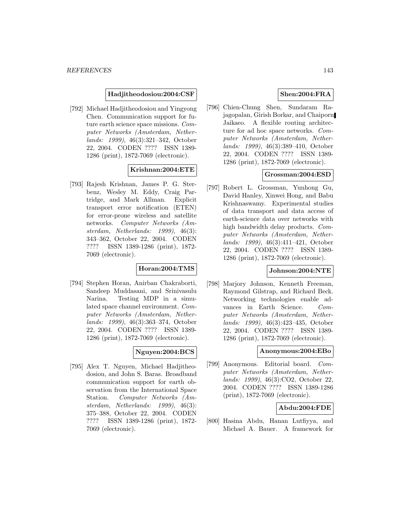#### **Hadjitheodosiou:2004:CSF**

[792] Michael Hadjitheodosiou and Yingyong Chen. Communication support for future earth science space missions. Computer Networks (Amsterdam, Netherlands: 1999), 46(3):321–342, October 22, 2004. CODEN ???? ISSN 1389- 1286 (print), 1872-7069 (electronic).

### **Krishnan:2004:ETE**

[793] Rajesh Krishnan, James P. G. Sterbenz, Wesley M. Eddy, Craig Partridge, and Mark Allman. Explicit transport error notification (ETEN) for error-prone wireless and satellite networks. Computer Networks (Amsterdam, Netherlands: 1999), 46(3): 343–362, October 22, 2004. CODEN ???? ISSN 1389-1286 (print), 1872- 7069 (electronic).

# **Horan:2004:TMS**

[794] Stephen Horan, Anirban Chakraborti, Sandeep Muddasani, and Srinivasulu Narina. Testing MDP in a simulated space channel environment. Computer Networks (Amsterdam, Netherlands: 1999), 46(3):363–374, October 22, 2004. CODEN ???? ISSN 1389- 1286 (print), 1872-7069 (electronic).

# **Nguyen:2004:BCS**

[795] Alex T. Nguyen, Michael Hadjitheodosiou, and John S. Baras. Broadband communication support for earth observation from the International Space Station. Computer Networks (Amsterdam, Netherlands: 1999), 46(3): 375–388, October 22, 2004. CODEN ???? ISSN 1389-1286 (print), 1872- 7069 (electronic).

## **Shen:2004:FRA**

[796] Chien-Chung Shen, Sundaram Rajagopalan, Girish Borkar, and Chaiporn Jaikaeo. A flexible routing architecture for ad hoc space networks. Computer Networks (Amsterdam, Netherlands: 1999), 46(3):389–410, October 22, 2004. CODEN ???? ISSN 1389- 1286 (print), 1872-7069 (electronic).

## **Grossman:2004:ESD**

[797] Robert L. Grossman, Yunhong Gu, David Hanley, Xinwei Hong, and Babu Krishnaswamy. Experimental studies of data transport and data access of earth-science data over networks with high bandwidth delay products. Computer Networks (Amsterdam, Netherlands: 1999), 46(3):411–421, October 22, 2004. CODEN ???? ISSN 1389- 1286 (print), 1872-7069 (electronic).

# **Johnson:2004:NTE**

[798] Marjory Johnson, Kenneth Freeman, Raymond Gilstrap, and Richard Beck. Networking technologies enable advances in Earth Science. Computer Networks (Amsterdam, Netherlands: 1999), 46(3):423–435, October 22, 2004. CODEN ???? ISSN 1389- 1286 (print), 1872-7069 (electronic).

#### **Anonymous:2004:EBo**

[799] Anonymous. Editorial board. Computer Networks (Amsterdam, Netherlands: 1999), 46(3):CO2, October 22, 2004. CODEN ???? ISSN 1389-1286 (print), 1872-7069 (electronic).

### **Abdu:2004:FDE**

[800] Hasina Abdu, Hanan Lutfiyya, and Michael A. Bauer. A framework for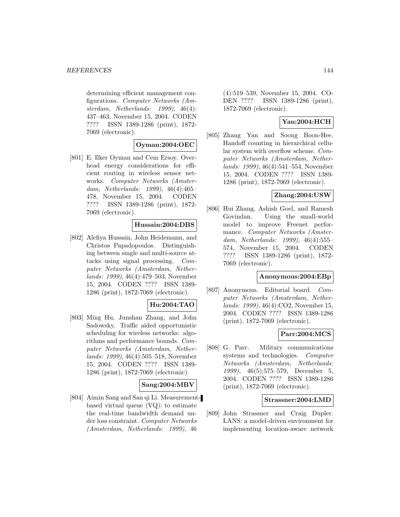determining efficient management configurations. Computer Networks (Amsterdam, Netherlands: 1999), 46(4): 437–463, November 15, 2004. CODEN ???? ISSN 1389-1286 (print), 1872- 7069 (electronic).

### **Oyman:2004:OEC**

[801] E. Ilker Oyman and Cem Ersoy. Overhead energy considerations for efficient routing in wireless sensor networks. Computer Networks (Amsterdam, Netherlands: 1999), 46(4):465– 478, November 15, 2004. CODEN ???? ISSN 1389-1286 (print), 1872- 7069 (electronic).

## **Hussain:2004:DBS**

[802] Alefiya Hussain, John Heidemann, and Christos Papadopoulos. Distinguishing between single and multi-source attacks using signal processing. Computer Networks (Amsterdam, Netherlands: 1999), 46(4):479–503, November 15, 2004. CODEN ???? ISSN 1389- 1286 (print), 1872-7069 (electronic).

# **Hu:2004:TAO**

[803] Ming Hu, Junshan Zhang, and John Sadowsky. Traffic aided opportunistic scheduling for wireless networks: algorithms and performance bounds. Computer Networks (Amsterdam, Netherlands: 1999), 46(4):505–518, November 15, 2004. CODEN ???? ISSN 1389- 1286 (print), 1872-7069 (electronic).

### **Sang:2004:MBV**

[804] Aimin Sang and San qi Li. Measurementbased virtual queue (VQ): to estimate the real-time bandwidth demand under loss constraint. Computer Networks (Amsterdam, Netherlands: 1999), 46

(4):519–539, November 15, 2004. CO-DEN ???? ISSN 1389-1286 (print), 1872-7069 (electronic).

## **Yan:2004:HCH**

[805] Zhang Yan and Soong Boon-Hee. Handoff counting in hierarchical cellular system with overflow scheme. Computer Networks (Amsterdam, Netherlands: 1999), 46(4):541–554, November 15, 2004. CODEN ???? ISSN 1389- 1286 (print), 1872-7069 (electronic).

## **Zhang:2004:USW**

[806] Hui Zhang, Ashish Goel, and Ramesh Govindan. Using the small-world model to improve Freenet performance. Computer Networks (Amsterdam, Netherlands: 1999), 46(4):555– 574, November 15, 2004. CODEN ???? ISSN 1389-1286 (print), 1872- 7069 (electronic).

## **Anonymous:2004:EBp**

[807] Anonymous. Editorial board. Computer Networks (Amsterdam, Netherlands: 1999), 46(4):CO2, November 15, 2004. CODEN ???? ISSN 1389-1286 (print), 1872-7069 (electronic).

# **Parr:2004:MCS**

[808] G. Parr. Military communications systems and technologies. Computer Networks (Amsterdam, Netherlands: 1999), 46(5):575–579, December 5, 2004. CODEN ???? ISSN 1389-1286 (print), 1872-7069 (electronic).

## **Strassner:2004:LMD**

[809] John Strassner and Craig Dupler. LANS: a model-driven environment for implementing location-aware network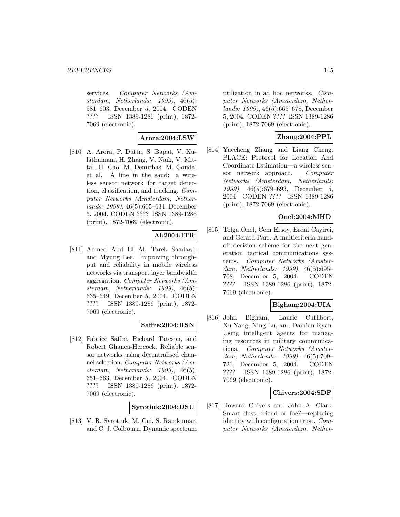services. Computer Networks (Amsterdam, Netherlands: 1999), 46(5): 581–603, December 5, 2004. CODEN ???? ISSN 1389-1286 (print), 1872- 7069 (electronic).

**Arora:2004:LSW**

[810] A. Arora, P. Dutta, S. Bapat, V. Kulathumani, H. Zhang, V. Naik, V. Mittal, H. Cao, M. Demirbas, M. Gouda, et al. A line in the sand: a wireless sensor network for target detection, classification, and tracking. Computer Networks (Amsterdam, Netherlands: 1999), 46(5):605–634, December 5, 2004. CODEN ???? ISSN 1389-1286 (print), 1872-7069 (electronic).

## **Al:2004:ITR**

[811] Ahmed Abd El Al, Tarek Saadawi, and Myung Lee. Improving throughput and reliability in mobile wireless networks via transport layer bandwidth aggregation. Computer Networks (Amsterdam, Netherlands: 1999), 46(5): 635–649, December 5, 2004. CODEN ???? ISSN 1389-1286 (print), 1872- 7069 (electronic).

## **Saffre:2004:RSN**

[812] Fabrice Saffre, Richard Tateson, and Robert Ghanea-Hercock. Reliable sensor networks using decentralised channel selection. Computer Networks (Amsterdam, Netherlands: 1999), 46(5): 651–663, December 5, 2004. CODEN ???? ISSN 1389-1286 (print), 1872- 7069 (electronic).

## **Syrotiuk:2004:DSU**

[813] V. R. Syrotiuk, M. Cui, S. Ramkumar, and C. J. Colbourn. Dynamic spectrum

utilization in ad hoc networks. Computer Networks (Amsterdam, Netherlands: 1999), 46(5):665–678, December 5, 2004. CODEN ???? ISSN 1389-1286 (print), 1872-7069 (electronic).

## **Zhang:2004:PPL**

[814] Yuecheng Zhang and Liang Cheng. PLACE: Protocol for Location And Coordinate Estimation—a wireless sensor network approach. Computer Networks (Amsterdam, Netherlands: 1999), 46(5):679–693, December 5, 2004. CODEN ???? ISSN 1389-1286 (print), 1872-7069 (electronic).

# **Onel:2004:MHD**

[815] Tolga Onel, Cem Ersoy, Erdal Cayirci, and Gerard Parr. A multicriteria handoff decision scheme for the next generation tactical communications systems. Computer Networks (Amsterdam, Netherlands: 1999), 46(5):695– 708, December 5, 2004. CODEN ???? ISSN 1389-1286 (print), 1872- 7069 (electronic).

## **Bigham:2004:UIA**

[816] John Bigham, Laurie Cuthbert, Xu Yang, Ning Lu, and Damian Ryan. Using intelligent agents for managing resources in military communications. Computer Networks (Amsterdam, Netherlands: 1999), 46(5):709– 721, December 5, 2004. CODEN ???? ISSN 1389-1286 (print), 1872- 7069 (electronic).

#### **Chivers:2004:SDF**

[817] Howard Chivers and John A. Clark. Smart dust, friend or foe?—replacing identity with configuration trust. Computer Networks (Amsterdam, Nether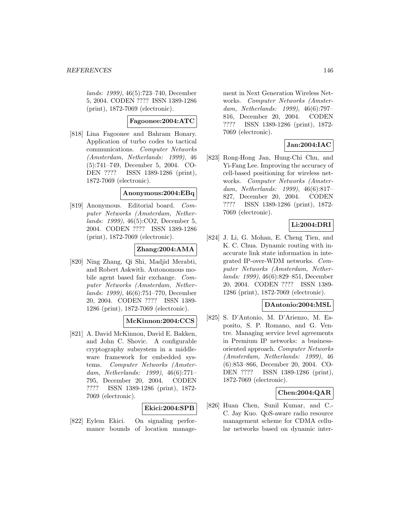lands: 1999), 46(5):723–740, December 5, 2004. CODEN ???? ISSN 1389-1286 (print), 1872-7069 (electronic).

# **Fagoonee:2004:ATC**

[818] Lina Fagoonee and Bahram Honary. Application of turbo codes to tactical communications. Computer Networks (Amsterdam, Netherlands: 1999), 46 (5):741–749, December 5, 2004. CO-DEN ???? ISSN 1389-1286 (print), 1872-7069 (electronic).

### **Anonymous:2004:EBq**

[819] Anonymous. Editorial board. Computer Networks (Amsterdam, Netherlands: 1999), 46(5):CO2, December 5, 2004. CODEN ???? ISSN 1389-1286 (print), 1872-7069 (electronic).

## **Zhang:2004:AMA**

[820] Ning Zhang, Qi Shi, Madjid Merabti, and Robert Askwith. Autonomous mobile agent based fair exchange. Computer Networks (Amsterdam, Netherlands: 1999), 46(6):751–770, December 20, 2004. CODEN ???? ISSN 1389- 1286 (print), 1872-7069 (electronic).

## **McKinnon:2004:CCS**

[821] A. David McKinnon, David E. Bakken, and John C. Shovic. A configurable cryptography subsystem in a middleware framework for embedded systems. Computer Networks (Amsterdam, Netherlands: 1999), 46(6):771– 795, December 20, 2004. CODEN ???? ISSN 1389-1286 (print), 1872- 7069 (electronic).

#### **Ekici:2004:SPB**

[822] Eylem Ekici. On signaling performance bounds of location manage-

ment in Next Generation Wireless Networks. Computer Networks (Amsterdam, Netherlands: 1999), 46(6):797– 816, December 20, 2004. CODEN ???? ISSN 1389-1286 (print), 1872- 7069 (electronic).

## **Jan:2004:IAC**

[823] Rong-Hong Jan, Hung-Chi Chu, and Yi-Fang Lee. Improving the accuracy of cell-based positioning for wireless networks. Computer Networks (Amsterdam, Netherlands: 1999), 46(6):817– 827, December 20, 2004. CODEN ???? ISSN 1389-1286 (print), 1872- 7069 (electronic).

## **Li:2004:DRI**

[824] J. Li, G. Mohan, E. Cheng Tien, and K. C. Chua. Dynamic routing with inaccurate link state information in integrated IP-over-WDM networks. Computer Networks (Amsterdam, Netherlands: 1999), 46(6):829–851, December 20, 2004. CODEN ???? ISSN 1389- 1286 (print), 1872-7069 (electronic).

#### **DAntonio:2004:MSL**

[825] S. D'Antonio, M. D'Arienzo, M. Esposito, S. P. Romano, and G. Ventre. Managing service level agreements in Premium IP networks: a businessoriented approach. Computer Networks (Amsterdam, Netherlands: 1999), 46 (6):853–866, December 20, 2004. CO-DEN ???? ISSN 1389-1286 (print), 1872-7069 (electronic).

## **Chen:2004:QAR**

[826] Huan Chen, Sunil Kumar, and C.- C. Jay Kuo. QoS-aware radio resource management scheme for CDMA cellular networks based on dynamic inter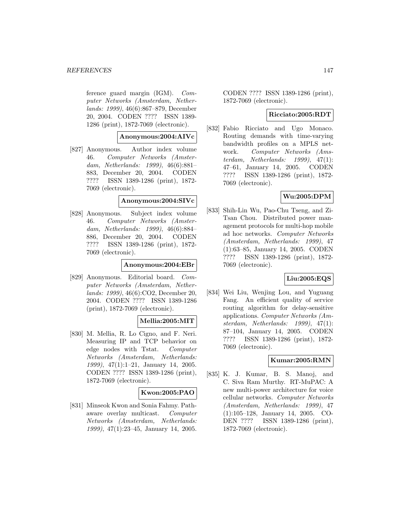ference guard margin  $(IGM)$ . Computer Networks (Amsterdam, Netherlands: 1999), 46(6):867–879, December 20, 2004. CODEN ???? ISSN 1389- 1286 (print), 1872-7069 (electronic).

## **Anonymous:2004:AIVc**

[827] Anonymous. Author index volume 46. Computer Networks (Amsterdam, Netherlands: 1999), 46(6):881– 883, December 20, 2004. CODEN ???? ISSN 1389-1286 (print), 1872- 7069 (electronic).

### **Anonymous:2004:SIVc**

[828] Anonymous. Subject index volume 46. Computer Networks (Amsterdam, Netherlands: 1999), 46(6):884– 886, December 20, 2004. CODEN ???? ISSN 1389-1286 (print), 1872- 7069 (electronic).

## **Anonymous:2004:EBr**

[829] Anonymous. Editorial board. Computer Networks (Amsterdam, Netherlands: 1999), 46(6):CO2, December 20, 2004. CODEN ???? ISSN 1389-1286 (print), 1872-7069 (electronic).

# **Mellia:2005:MIT**

[830] M. Mellia, R. Lo Cigno, and F. Neri. Measuring IP and TCP behavior on edge nodes with Tstat. Computer Networks (Amsterdam, Netherlands: 1999), 47(1):1–21, January 14, 2005. CODEN ???? ISSN 1389-1286 (print), 1872-7069 (electronic).

## **Kwon:2005:PAO**

[831] Minseok Kwon and Sonia Fahmy. Pathaware overlay multicast. Computer Networks (Amsterdam, Netherlands: 1999), 47(1):23–45, January 14, 2005.

CODEN ???? ISSN 1389-1286 (print), 1872-7069 (electronic).

# **Ricciato:2005:RDT**

[832] Fabio Ricciato and Ugo Monaco. Routing demands with time-varying bandwidth profiles on a MPLS network. Computer Networks (Amsterdam, Netherlands: 1999), 47(1): 47–61, January 14, 2005. CODEN ???? ISSN 1389-1286 (print), 1872- 7069 (electronic).

## **Wu:2005:DPM**

[833] Shih-Lin Wu, Pao-Chu Tseng, and Zi-Tsan Chou. Distributed power management protocols for multi-hop mobile ad hoc networks. Computer Networks (Amsterdam, Netherlands: 1999), 47 (1):63–85, January 14, 2005. CODEN ???? ISSN 1389-1286 (print), 1872- 7069 (electronic).

## **Liu:2005:EQS**

[834] Wei Liu, Wenjing Lou, and Yuguang Fang. An efficient quality of service routing algorithm for delay-sensitive applications. Computer Networks (Amsterdam, Netherlands: 1999), 47(1): 87–104, January 14, 2005. CODEN ???? ISSN 1389-1286 (print), 1872- 7069 (electronic).

## **Kumar:2005:RMN**

[835] K. J. Kumar, B. S. Manoj, and C. Siva Ram Murthy. RT-MuPAC: A new multi-power architecture for voice cellular networks. Computer Networks (Amsterdam, Netherlands: 1999), 47 (1):105–128, January 14, 2005. CO-DEN ???? ISSN 1389-1286 (print), 1872-7069 (electronic).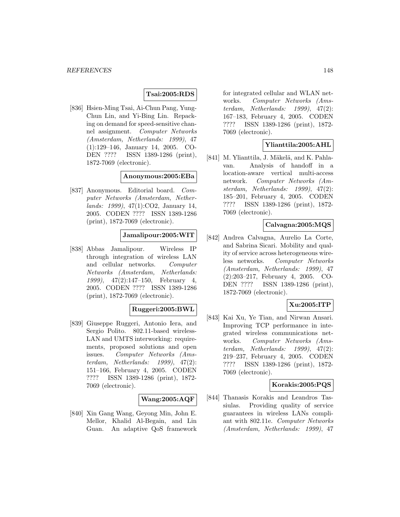## **Tsai:2005:RDS**

[836] Hsien-Ming Tsai, Ai-Chun Pang, Yung-Chun Lin, and Yi-Bing Lin. Repacking on demand for speed-sensitive channel assignment. Computer Networks (Amsterdam, Netherlands: 1999), 47 (1):129–146, January 14, 2005. CO-DEN ???? ISSN 1389-1286 (print), 1872-7069 (electronic).

### **Anonymous:2005:EBa**

[837] Anonymous. Editorial board. Computer Networks (Amsterdam, Netherlands: 1999), 47(1):CO2, January 14, 2005. CODEN ???? ISSN 1389-1286 (print), 1872-7069 (electronic).

## **Jamalipour:2005:WIT**

[838] Abbas Jamalipour. Wireless IP through integration of wireless LAN and cellular networks. Computer Networks (Amsterdam, Netherlands: 1999), 47(2):147–150, February 4, 2005. CODEN ???? ISSN 1389-1286 (print), 1872-7069 (electronic).

## **Ruggeri:2005:BWL**

[839] Giuseppe Ruggeri, Antonio Iera, and Sergio Polito. 802.11-based wireless-LAN and UMTS interworking: requirements, proposed solutions and open issues. Computer Networks (Amsterdam, Netherlands: 1999), 47(2): 151–166, February 4, 2005. CODEN ???? ISSN 1389-1286 (print), 1872- 7069 (electronic).

#### **Wang:2005:AQF**

[840] Xin Gang Wang, Geyong Min, John E. Mellor, Khalid Al-Begain, and Lin Guan. An adaptive QoS framework for integrated cellular and WLAN networks. Computer Networks (Amsterdam, Netherlands: 1999), 47(2): 167–183, February 4, 2005. CODEN ???? ISSN 1389-1286 (print), 1872- 7069 (electronic).

### **Ylianttila:2005:AHL**

[841] M. Ylianttila, J. Mäkelä, and K. Pahlavan. Analysis of handoff in a location-aware vertical multi-access network. Computer Networks (Amsterdam, Netherlands: 1999), 47(2): 185–201, February 4, 2005. CODEN ???? ISSN 1389-1286 (print), 1872- 7069 (electronic).

## **Calvagna:2005:MQS**

[842] Andrea Calvagna, Aurelio La Corte, and Sabrina Sicari. Mobility and quality of service across heterogeneous wireless networks. Computer Networks (Amsterdam, Netherlands: 1999), 47 (2):203–217, February 4, 2005. CO-DEN ???? ISSN 1389-1286 (print), 1872-7069 (electronic).

## **Xu:2005:ITP**

[843] Kai Xu, Ye Tian, and Nirwan Ansari. Improving TCP performance in integrated wireless communications networks. Computer Networks (Amsterdam, Netherlands: 1999), 47(2): 219–237, February 4, 2005. CODEN ???? ISSN 1389-1286 (print), 1872- 7069 (electronic).

## **Korakis:2005:PQS**

[844] Thanasis Korakis and Leandros Tassiulas. Providing quality of service guarantees in wireless LANs compliant with 802.11e. Computer Networks (Amsterdam, Netherlands: 1999), 47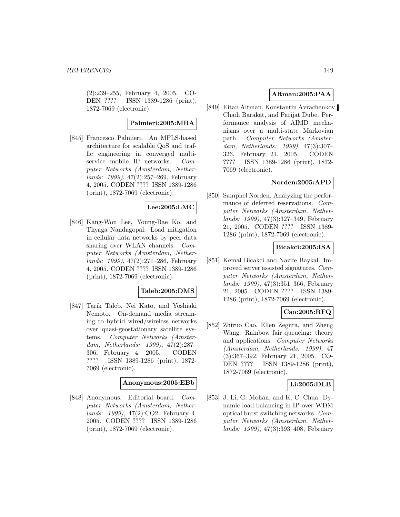(2):239–255, February 4, 2005. CO-DEN ???? ISSN 1389-1286 (print), 1872-7069 (electronic).

### **Palmieri:2005:MBA**

[845] Francesco Palmieri. An MPLS-based architecture for scalable QoS and traffic engineering in converged multiservice mobile IP networks. Computer Networks (Amsterdam, Netherlands: 1999), 47(2):257–269, February 4, 2005. CODEN ???? ISSN 1389-1286 (print), 1872-7069 (electronic).

## **Lee:2005:LMC**

[846] Kang-Won Lee, Young-Bae Ko, and Thyaga Nandagopal. Load mitigation in cellular data networks by peer data sharing over WLAN channels. Computer Networks (Amsterdam, Netherlands: 1999), 47(2):271–286, February 4, 2005. CODEN ???? ISSN 1389-1286 (print), 1872-7069 (electronic).

## **Taleb:2005:DMS**

[847] Tarik Taleb, Nei Kato, and Yoshiaki Nemoto. On-demand media streaming to hybrid wired/wireless networks over quasi-geostationary satellite systems. Computer Networks (Amsterdam, Netherlands: 1999), 47(2):287– 306, February 4, 2005. CODEN ???? ISSN 1389-1286 (print), 1872- 7069 (electronic).

### **Anonymous:2005:EBb**

[848] Anonymous. Editorial board. Computer Networks (Amsterdam, Netherlands: 1999), 47(2):CO2, February 4, 2005. CODEN ???? ISSN 1389-1286 (print), 1872-7069 (electronic).

## **Altman:2005:PAA**

[849] Eitan Altman, Konstantin Avrachenkov, Chadi Barakat, and Parijat Dube. Performance analysis of AIMD mechanisms over a multi-state Markovian path. Computer Networks (Amsterdam, Netherlands: 1999), 47(3):307– 326, February 21, 2005. CODEN ???? ISSN 1389-1286 (print), 1872- 7069 (electronic).

## **Norden:2005:APD**

[850] Samphel Norden. Analyzing the performance of deferred reservations. Computer Networks (Amsterdam, Netherlands: 1999), 47(3):327–349, February 21, 2005. CODEN ???? ISSN 1389- 1286 (print), 1872-7069 (electronic).

## **Bicakci:2005:ISA**

[851] Kemal Bicakci and Nazife Baykal. Improved server assisted signatures. Computer Networks (Amsterdam, Netherlands: 1999), 47(3):351–366, February 21, 2005. CODEN ???? ISSN 1389- 1286 (print), 1872-7069 (electronic).

# **Cao:2005:RFQ**

[852] Zhiruo Cao, Ellen Zegura, and Zheng Wang. Rainbow fair queueing: theory and applications. Computer Networks (Amsterdam, Netherlands: 1999), 47 (3):367–392, February 21, 2005. CO-DEN ???? ISSN 1389-1286 (print), 1872-7069 (electronic).

## **Li:2005:DLB**

[853] J. Li, G. Mohan, and K. C. Chua. Dynamic load balancing in IP-over-WDM optical burst switching networks. Computer Networks (Amsterdam, Netherlands: 1999), 47(3):393–408, February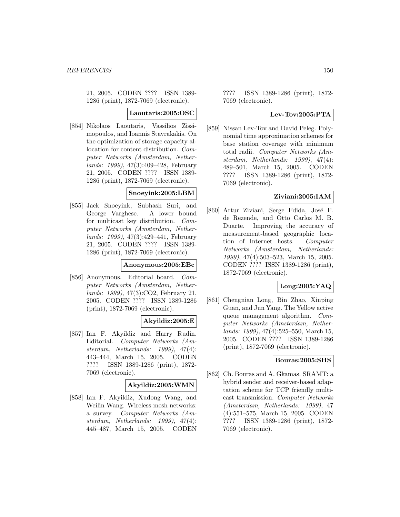21, 2005. CODEN ???? ISSN 1389- 1286 (print), 1872-7069 (electronic).

### **Laoutaris:2005:OSC**

[854] Nikolaos Laoutaris, Vassilios Zissimopoulos, and Ioannis Stavrakakis. On the optimization of storage capacity allocation for content distribution. Computer Networks (Amsterdam, Netherlands: 1999), 47(3):409–428, February 21, 2005. CODEN ???? ISSN 1389- 1286 (print), 1872-7069 (electronic).

# **Snoeyink:2005:LBM**

[855] Jack Snoeyink, Subhash Suri, and George Varghese. A lower bound for multicast key distribution. Computer Networks (Amsterdam, Netherlands: 1999), 47(3):429–441, February 21, 2005. CODEN ???? ISSN 1389- 1286 (print), 1872-7069 (electronic).

#### **Anonymous:2005:EBc**

[856] Anonymous. Editorial board. Computer Networks (Amsterdam, Netherlands: 1999), 47(3):CO2, February 21, 2005. CODEN ???? ISSN 1389-1286 (print), 1872-7069 (electronic).

## **Akyildiz:2005:E**

[857] Ian F. Akyildiz and Harry Rudin. Editorial. Computer Networks (Amsterdam, Netherlands: 1999), 47(4): 443–444, March 15, 2005. CODEN ???? ISSN 1389-1286 (print), 1872- 7069 (electronic).

#### **Akyildiz:2005:WMN**

[858] Ian F. Akyildiz, Xudong Wang, and Weilin Wang. Wireless mesh networks: a survey. Computer Networks (Amsterdam, Netherlands: 1999), 47(4): 445–487, March 15, 2005. CODEN

???? ISSN 1389-1286 (print), 1872- 7069 (electronic).

# **Lev-Tov:2005:PTA**

[859] Nissan Lev-Tov and David Peleg. Polynomial time approximation schemes for base station coverage with minimum total radii. Computer Networks (Amsterdam, Netherlands: 1999), 47(4): 489–501, March 15, 2005. CODEN ???? ISSN 1389-1286 (print), 1872- 7069 (electronic).

## **Ziviani:2005:IAM**

[860] Artur Ziviani, Serge Fdida, José F. de Rezende, and Otto Carlos M. B. Duarte. Improving the accuracy of measurement-based geographic location of Internet hosts. Computer Networks (Amsterdam, Netherlands: 1999), 47(4):503–523, March 15, 2005. CODEN ???? ISSN 1389-1286 (print), 1872-7069 (electronic).

## **Long:2005:YAQ**

[861] Chengnian Long, Bin Zhao, Xinping Guan, and Jun Yang. The Yellow active queue management algorithm. Computer Networks (Amsterdam, Netherlands: 1999), 47(4):525–550, March 15, 2005. CODEN ???? ISSN 1389-1286 (print), 1872-7069 (electronic).

### **Bouras:2005:SHS**

[862] Ch. Bouras and A. Gkamas. SRAMT: a hybrid sender and receiver-based adaptation scheme for TCP friendly multicast transmission. Computer Networks (Amsterdam, Netherlands: 1999), 47 (4):551–575, March 15, 2005. CODEN ???? ISSN 1389-1286 (print), 1872- 7069 (electronic).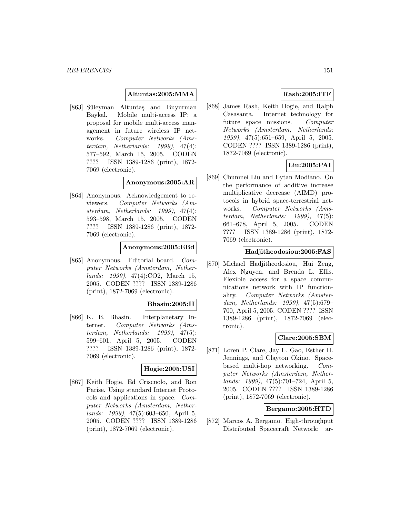### **Altuntas:2005:MMA**

[863] Süleyman Altuntaş and Buyurman Baykal. Mobile multi-access IP: a proposal for mobile multi-access management in future wireless IP networks. Computer Networks (Amsterdam, Netherlands: 1999), 47(4): 577–592, March 15, 2005. CODEN ???? ISSN 1389-1286 (print), 1872- 7069 (electronic).

### **Anonymous:2005:AR**

[864] Anonymous. Acknowledgement to reviewers. Computer Networks (Amsterdam, Netherlands: 1999), 47(4): 593–598, March 15, 2005. CODEN ???? ISSN 1389-1286 (print), 1872- 7069 (electronic).

### **Anonymous:2005:EBd**

[865] Anonymous. Editorial board. Computer Networks (Amsterdam, Netherlands: 1999), 47(4):CO2, March 15, 2005. CODEN ???? ISSN 1389-1286 (print), 1872-7069 (electronic).

### **Bhasin:2005:II**

[866] K. B. Bhasin. Interplanetary Internet. Computer Networks (Amsterdam, Netherlands: 1999), 47(5): 599–601, April 5, 2005. CODEN ???? ISSN 1389-1286 (print), 1872- 7069 (electronic).

## **Hogie:2005:USI**

[867] Keith Hogie, Ed Criscuolo, and Ron Parise. Using standard Internet Protocols and applications in space. Computer Networks (Amsterdam, Netherlands: 1999), 47(5):603–650, April 5, 2005. CODEN ???? ISSN 1389-1286 (print), 1872-7069 (electronic).

# **Rash:2005:ITF**

[868] James Rash, Keith Hogie, and Ralph Casasanta. Internet technology for future space missions. Computer Networks (Amsterdam, Netherlands: 1999), 47(5):651–659, April 5, 2005. CODEN ???? ISSN 1389-1286 (print), 1872-7069 (electronic).

# **Liu:2005:PAI**

[869] Chunmei Liu and Eytan Modiano. On the performance of additive increase multiplicative decrease (AIMD) protocols in hybrid space-terrestrial networks. Computer Networks (Amsterdam, Netherlands: 1999), 47(5): 661–678, April 5, 2005. CODEN ???? ISSN 1389-1286 (print), 1872- 7069 (electronic).

## **Hadjitheodosiou:2005:FAS**

[870] Michael Hadjitheodosiou, Hui Zeng, Alex Nguyen, and Brenda L. Ellis. Flexible access for a space communications network with IP functionality. Computer Networks (Amsterdam, Netherlands: 1999), 47(5):679– 700, April 5, 2005. CODEN ???? ISSN 1389-1286 (print), 1872-7069 (electronic).

## **Clare:2005:SBM**

[871] Loren P. Clare, Jay L. Gao, Esther H. Jennings, and Clayton Okino. Spacebased multi-hop networking. Computer Networks (Amsterdam, Netherlands: 1999), 47(5):701–724, April 5, 2005. CODEN ???? ISSN 1389-1286 (print), 1872-7069 (electronic).

## **Bergamo:2005:HTD**

[872] Marcos A. Bergamo. High-throughput Distributed Spacecraft Network: ar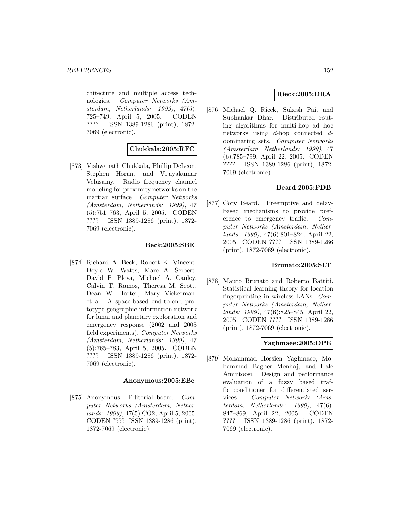chitecture and multiple access technologies. Computer Networks (Amsterdam, Netherlands: 1999), 47(5): 725–749, April 5, 2005. CODEN ???? ISSN 1389-1286 (print), 1872- 7069 (electronic).

## **Chukkala:2005:RFC**

[873] Vishwanath Chukkala, Phillip DeLeon, Stephen Horan, and Vijayakumar Velusamy. Radio frequency channel modeling for proximity networks on the martian surface. Computer Networks (Amsterdam, Netherlands: 1999), 47 (5):751–763, April 5, 2005. CODEN ???? ISSN 1389-1286 (print), 1872- 7069 (electronic).

## **Beck:2005:SBE**

[874] Richard A. Beck, Robert K. Vincent, Doyle W. Watts, Marc A. Seibert, David P. Pleva, Michael A. Cauley, Calvin T. Ramos, Theresa M. Scott, Dean W. Harter, Mary Vickerman, et al. A space-based end-to-end prototype geographic information network for lunar and planetary exploration and emergency response (2002 and 2003 field experiments). Computer Networks (Amsterdam, Netherlands: 1999), 47 (5):765–783, April 5, 2005. CODEN ???? ISSN 1389-1286 (print), 1872- 7069 (electronic).

## **Anonymous:2005:EBe**

[875] Anonymous. Editorial board. Computer Networks (Amsterdam, Netherlands: 1999), 47(5):CO2, April 5, 2005. CODEN ???? ISSN 1389-1286 (print), 1872-7069 (electronic).

## **Rieck:2005:DRA**

[876] Michael Q. Rieck, Sukesh Pai, and Subhankar Dhar. Distributed routing algorithms for multi-hop ad hoc networks using d-hop connected ddominating sets. Computer Networks (Amsterdam, Netherlands: 1999), 47 (6):785–799, April 22, 2005. CODEN ???? ISSN 1389-1286 (print), 1872- 7069 (electronic).

## **Beard:2005:PDB**

[877] Cory Beard. Preemptive and delaybased mechanisms to provide preference to emergency traffic. Computer Networks (Amsterdam, Netherlands: 1999), 47(6):801–824, April 22, 2005. CODEN ???? ISSN 1389-1286 (print), 1872-7069 (electronic).

## **Brunato:2005:SLT**

[878] Mauro Brunato and Roberto Battiti. Statistical learning theory for location fingerprinting in wireless LANs. Computer Networks (Amsterdam, Netherlands: 1999), 47(6):825–845, April 22, 2005. CODEN ???? ISSN 1389-1286 (print), 1872-7069 (electronic).

# **Yaghmaee:2005:DPE**

[879] Mohammad Hossien Yaghmaee, Mohammad Bagher Menhaj, and Hale Amintoosi. Design and performance evaluation of a fuzzy based traffic conditioner for differentiated services. Computer Networks (Amsterdam, Netherlands: 1999), 47(6): 847–869, April 22, 2005. CODEN ???? ISSN 1389-1286 (print), 1872- 7069 (electronic).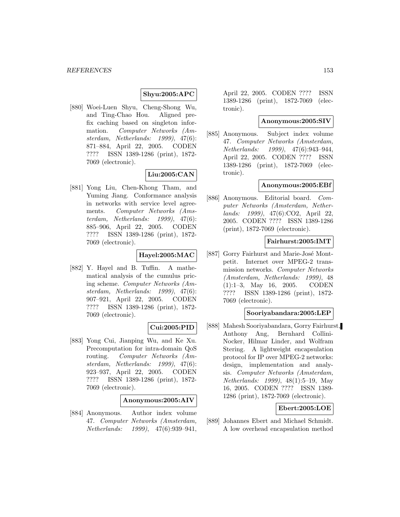### **Shyu:2005:APC**

[880] Woei-Luen Shyu, Cheng-Shong Wu, and Ting-Chao Hou. Aligned prefix caching based on singleton information. Computer Networks (Amsterdam, Netherlands: 1999), 47(6): 871–884, April 22, 2005. CODEN ???? ISSN 1389-1286 (print), 1872- 7069 (electronic).

# **Liu:2005:CAN**

[881] Yong Liu, Chen-Khong Tham, and Yuming Jiang. Conformance analysis in networks with service level agreements. Computer Networks (Amsterdam, Netherlands: 1999), 47(6): 885–906, April 22, 2005. CODEN ???? ISSN 1389-1286 (print), 1872- 7069 (electronic).

# **Hayel:2005:MAC**

[882] Y. Hayel and B. Tuffin. A mathematical analysis of the cumulus pricing scheme. Computer Networks (Amsterdam, Netherlands: 1999), 47(6): 907–921, April 22, 2005. CODEN ???? ISSN 1389-1286 (print), 1872- 7069 (electronic).

## **Cui:2005:PID**

[883] Yong Cui, Jianping Wu, and Ke Xu. Precomputation for intra-domain QoS routing. Computer Networks (Amsterdam, Netherlands: 1999), 47(6): 923–937, April 22, 2005. CODEN ???? ISSN 1389-1286 (print), 1872- 7069 (electronic).

## **Anonymous:2005:AIV**

[884] Anonymous. Author index volume 47. Computer Networks (Amsterdam, Netherlands: 1999), 47(6):939–941,

April 22, 2005. CODEN ???? ISSN 1389-1286 (print), 1872-7069 (electronic).

## **Anonymous:2005:SIV**

[885] Anonymous. Subject index volume 47. Computer Networks (Amsterdam, Netherlands: 1999), 47(6):943–944, April 22, 2005. CODEN ???? ISSN 1389-1286 (print), 1872-7069 (electronic).

## **Anonymous:2005:EBf**

[886] Anonymous. Editorial board. Computer Networks (Amsterdam, Netherlands: 1999), 47(6):CO2, April 22, 2005. CODEN ???? ISSN 1389-1286 (print), 1872-7069 (electronic).

## **Fairhurst:2005:IMT**

[887] Gorry Fairhurst and Marie-José Montpetit. Internet over MPEG-2 transmission networks. Computer Networks (Amsterdam, Netherlands: 1999), 48 (1):1–3, May 16, 2005. CODEN ???? ISSN 1389-1286 (print), 1872- 7069 (electronic).

### **Sooriyabandara:2005:LEP**

[888] Mahesh Sooriyabandara, Gorry Fairhurst, Anthony Ang, Bernhard Collini-Nocker, Hilmar Linder, and Wolfram Stering. A lightweight encapsulation protocol for IP over MPEG-2 networks: design, implementation and analysis. Computer Networks (Amsterdam, Netherlands: 1999), 48(1):5–19, May 16, 2005. CODEN ???? ISSN 1389- 1286 (print), 1872-7069 (electronic).

## **Ebert:2005:LOE**

[889] Johannes Ebert and Michael Schmidt. A low overhead encapsulation method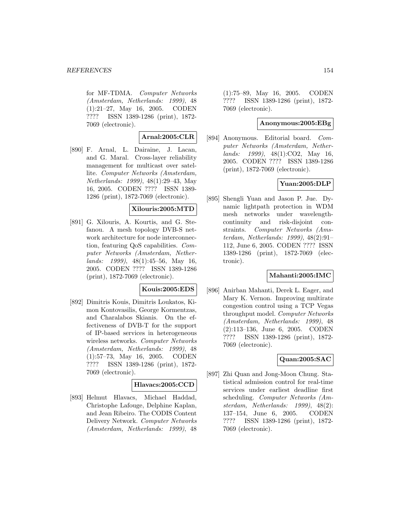for MF-TDMA. Computer Networks (Amsterdam, Netherlands: 1999), 48 (1):21–27, May 16, 2005. CODEN ???? ISSN 1389-1286 (print), 1872- 7069 (electronic).

## **Arnal:2005:CLR**

[890] F. Arnal, L. Dairaine, J. Lacan, and G. Maral. Cross-layer reliability management for multicast over satellite. Computer Networks (Amsterdam, Netherlands: 1999), 48(1):29–43, May 16, 2005. CODEN ???? ISSN 1389- 1286 (print), 1872-7069 (electronic).

## **Xilouris:2005:MTD**

[891] G. Xilouris, A. Kourtis, and G. Stefanou. A mesh topology DVB-S network architecture for node interconnection, featuring QoS capabilities. Computer Networks (Amsterdam, Netherlands: 1999), 48(1):45–56, May 16, 2005. CODEN ???? ISSN 1389-1286 (print), 1872-7069 (electronic).

## **Kouis:2005:EDS**

[892] Dimitris Kouis, Dimitris Loukatos, Kimon Kontovasilis, George Kormentzas, and Charalabos Skianis. On the effectiveness of DVB-T for the support of IP-based services in heterogeneous wireless networks. Computer Networks (Amsterdam, Netherlands: 1999), 48 (1):57–73, May 16, 2005. CODEN ???? ISSN 1389-1286 (print), 1872- 7069 (electronic).

## **Hlavacs:2005:CCD**

[893] Helmut Hlavacs, Michael Haddad, Christophe Lafouge, Delphine Kaplan, and Jean Ribeiro. The CODIS Content Delivery Network. Computer Networks (Amsterdam, Netherlands: 1999), 48

(1):75–89, May 16, 2005. CODEN ???? ISSN 1389-1286 (print), 1872- 7069 (electronic).

#### **Anonymous:2005:EBg**

[894] Anonymous. Editorial board. Computer Networks (Amsterdam, Netherlands: 1999), 48(1):CO2, May 16, 2005. CODEN ???? ISSN 1389-1286 (print), 1872-7069 (electronic).

## **Yuan:2005:DLP**

[895] Shengli Yuan and Jason P. Jue. Dynamic lightpath protection in WDM mesh networks under wavelengthcontinuity and risk-disjoint constraints. Computer Networks (Amsterdam, Netherlands: 1999), 48(2):91– 112, June 6, 2005. CODEN ???? ISSN 1389-1286 (print), 1872-7069 (electronic).

## **Mahanti:2005:IMC**

[896] Anirban Mahanti, Derek L. Eager, and Mary K. Vernon. Improving multirate congestion control using a TCP Vegas throughput model. Computer Networks (Amsterdam, Netherlands: 1999), 48 (2):113–136, June 6, 2005. CODEN ???? ISSN 1389-1286 (print), 1872- 7069 (electronic).

# **Quan:2005:SAC**

[897] Zhi Quan and Jong-Moon Chung. Statistical admission control for real-time services under earliest deadline first scheduling. Computer Networks (Amsterdam, Netherlands: 1999), 48(2): 137–154, June 6, 2005. CODEN ???? ISSN 1389-1286 (print), 1872- 7069 (electronic).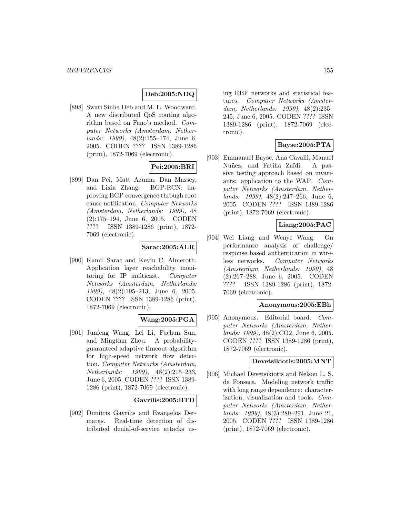# **Deb:2005:NDQ**

[898] Swati Sinha Deb and M. E. Woodward. A new distributed QoS routing algorithm based on Fano's method. Computer Networks (Amsterdam, Netherlands: 1999), 48(2):155–174, June 6, 2005. CODEN ???? ISSN 1389-1286 (print), 1872-7069 (electronic).

# **Pei:2005:BRI**

[899] Dan Pei, Matt Azuma, Dan Massey, and Lixia Zhang. BGP-RCN: improving BGP convergence through root cause notification. Computer Networks (Amsterdam, Netherlands: 1999), 48 (2):175–194, June 6, 2005. CODEN ???? ISSN 1389-1286 (print), 1872- 7069 (electronic).

## **Sarac:2005:ALR**

[900] Kamil Sarac and Kevin C. Almeroth. Application layer reachability monitoring for IP multicast. Computer Networks (Amsterdam, Netherlands: 1999), 48(2):195–213, June 6, 2005. CODEN ???? ISSN 1389-1286 (print), 1872-7069 (electronic).

## **Wang:2005:PGA**

[901] Junfeng Wang, Lei Li, Fuchun Sun, and Mingtian Zhou. A probabilityguaranteed adaptive timeout algorithm for high-speed network flow detection. Computer Networks (Amsterdam, Netherlands: 1999), 48(2):215–233, June 6, 2005. CODEN ???? ISSN 1389- 1286 (print), 1872-7069 (electronic).

#### **Gavrilis:2005:RTD**

[902] Dimitris Gavrilis and Evangelos Dermatas. Real-time detection of distributed denial-of-service attacks using RBF networks and statistical features. Computer Networks (Amsterdam, Netherlands: 1999), 48(2):235– 245, June 6, 2005. CODEN ???? ISSN 1389-1286 (print), 1872-7069 (electronic).

## **Bayse:2005:PTA**

[903] Emmanuel Bayse, Ana Cavalli, Manuel Núñez, and Fatiha Zaïdi. A passive testing approach based on invariants: application to the WAP. Computer Networks (Amsterdam, Netherlands: 1999), 48(2):247–266, June 6, 2005. CODEN ???? ISSN 1389-1286 (print), 1872-7069 (electronic).

## **Liang:2005:PAC**

[904] Wei Liang and Wenye Wang. On performance analysis of challenge/ response based authentication in wireless networks. Computer Networks (Amsterdam, Netherlands: 1999), 48 (2):267–288, June 6, 2005. CODEN ???? ISSN 1389-1286 (print), 1872- 7069 (electronic).

### **Anonymous:2005:EBh**

[905] Anonymous. Editorial board. Computer Networks (Amsterdam, Netherlands: 1999), 48(2):CO2, June 6, 2005. CODEN ???? ISSN 1389-1286 (print), 1872-7069 (electronic).

### **Devetsikiotis:2005:MNT**

[906] Michael Devetsikiotis and Nelson L. S. da Fonseca. Modeling network traffic with long range dependence: characterization, visualization and tools. Computer Networks (Amsterdam, Netherlands: 1999), 48(3):289–291, June 21, 2005. CODEN ???? ISSN 1389-1286 (print), 1872-7069 (electronic).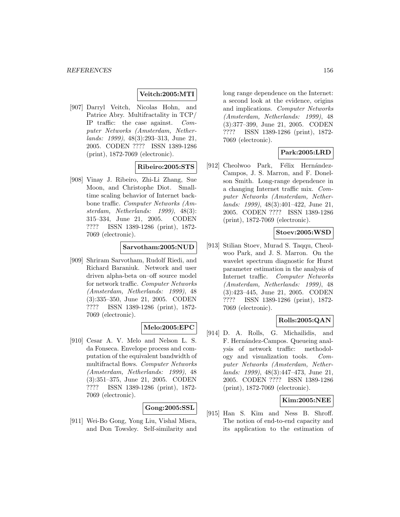## **Veitch:2005:MTI**

[907] Darryl Veitch, Nicolas Hohn, and Patrice Abry. Multifractality in TCP/ IP traffic: the case against. Computer Networks (Amsterdam, Netherlands: 1999), 48(3):293–313, June 21, 2005. CODEN ???? ISSN 1389-1286 (print), 1872-7069 (electronic).

# **Ribeiro:2005:STS**

[908] Vinay J. Ribeiro, Zhi-Li Zhang, Sue Moon, and Christophe Diot. Smalltime scaling behavior of Internet backbone traffic. Computer Networks (Amsterdam, Netherlands: 1999), 48(3): 315–334, June 21, 2005. CODEN ???? ISSN 1389-1286 (print), 1872- 7069 (electronic).

### **Sarvotham:2005:NUD**

[909] Shriram Sarvotham, Rudolf Riedi, and Richard Baraniuk. Network and user driven alpha-beta on–off source model for network traffic. Computer Networks (Amsterdam, Netherlands: 1999), 48 (3):335–350, June 21, 2005. CODEN ???? ISSN 1389-1286 (print), 1872- 7069 (electronic).

#### **Melo:2005:EPC**

[910] Cesar A. V. Melo and Nelson L. S. da Fonseca. Envelope process and computation of the equivalent bandwidth of multifractal flows. Computer Networks (Amsterdam, Netherlands: 1999), 48 (3):351–375, June 21, 2005. CODEN ???? ISSN 1389-1286 (print), 1872- 7069 (electronic).

#### **Gong:2005:SSL**

[911] Wei-Bo Gong, Yong Liu, Vishal Misra, and Don Towsley. Self-similarity and long range dependence on the Internet: a second look at the evidence, origins and implications. Computer Networks (Amsterdam, Netherlands: 1999), 48 (3):377–399, June 21, 2005. CODEN ???? ISSN 1389-1286 (print), 1872- 7069 (electronic).

# **Park:2005:LRD**

[912] Cheolwoo Park, Félix Hernández-Campos, J. S. Marron, and F. Donelson Smith. Long-range dependence in a changing Internet traffic mix. Computer Networks (Amsterdam, Netherlands: 1999), 48(3):401–422, June 21, 2005. CODEN ???? ISSN 1389-1286 (print), 1872-7069 (electronic).

### **Stoev:2005:WSD**

[913] Stilian Stoev, Murad S. Taqqu, Cheolwoo Park, and J. S. Marron. On the wavelet spectrum diagnostic for Hurst parameter estimation in the analysis of Internet traffic. Computer Networks (Amsterdam, Netherlands: 1999), 48 (3):423–445, June 21, 2005. CODEN ???? ISSN 1389-1286 (print), 1872- 7069 (electronic).

## **Rolls:2005:QAN**

[914] D. A. Rolls, G. Michailidis, and F. Hernández-Campos. Queueing analysis of network traffic: methodology and visualization tools. Computer Networks (Amsterdam, Netherlands: 1999), 48(3):447–473, June 21, 2005. CODEN ???? ISSN 1389-1286 (print), 1872-7069 (electronic).

## **Kim:2005:NEE**

[915] Han S. Kim and Ness B. Shroff. The notion of end-to-end capacity and its application to the estimation of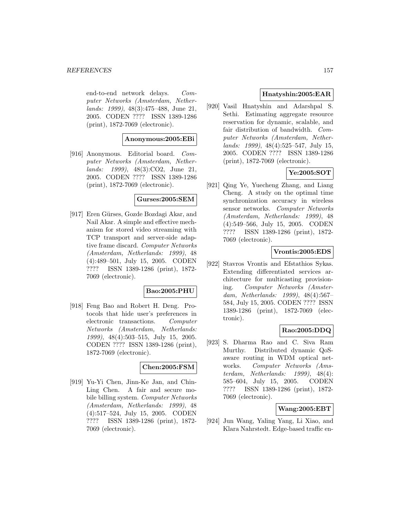end-to-end network delays. Computer Networks (Amsterdam, Netherlands: 1999), 48(3):475–488, June 21, 2005. CODEN ???? ISSN 1389-1286 (print), 1872-7069 (electronic).

## **Anonymous:2005:EBi**

[916] Anonymous. Editorial board. Computer Networks (Amsterdam, Netherlands: 1999), 48(3):CO2, June 21, 2005. CODEN ???? ISSN 1389-1286 (print), 1872-7069 (electronic).

## **Gurses:2005:SEM**

[917] Eren Gürses, Gozde Bozdagi Akar, and Nail Akar. A simple and effective mechanism for stored video streaming with TCP transport and server-side adaptive frame discard. Computer Networks (Amsterdam, Netherlands: 1999), 48 (4):489–501, July 15, 2005. CODEN ???? ISSN 1389-1286 (print), 1872- 7069 (electronic).

## **Bao:2005:PHU**

[918] Feng Bao and Robert H. Deng. Protocols that hide user's preferences in electronic transactions. Computer Networks (Amsterdam, Netherlands: 1999), 48(4):503–515, July 15, 2005. CODEN ???? ISSN 1389-1286 (print), 1872-7069 (electronic).

### **Chen:2005:FSM**

[919] Yu-Yi Chen, Jinn-Ke Jan, and Chin-Ling Chen. A fair and secure mobile billing system. Computer Networks (Amsterdam, Netherlands: 1999), 48 (4):517–524, July 15, 2005. CODEN ???? ISSN 1389-1286 (print), 1872- 7069 (electronic).

## **Hnatyshin:2005:EAR**

[920] Vasil Hnatyshin and Adarshpal S. Sethi. Estimating aggregate resource reservation for dynamic, scalable, and fair distribution of bandwidth. Computer Networks (Amsterdam, Netherlands: 1999), 48(4):525–547, July 15, 2005. CODEN ???? ISSN 1389-1286 (print), 1872-7069 (electronic).

# **Ye:2005:SOT**

[921] Qing Ye, Yuecheng Zhang, and Liang Cheng. A study on the optimal time synchronization accuracy in wireless sensor networks. Computer Networks (Amsterdam, Netherlands: 1999), 48 (4):549–566, July 15, 2005. CODEN ???? ISSN 1389-1286 (print), 1872- 7069 (electronic).

## **Vrontis:2005:EDS**

[922] Stavros Vrontis and Efstathios Sykas. Extending differentiated services architecture for multicasting provisioning. Computer Networks (Amsterdam, Netherlands: 1999), 48(4):567– 584, July 15, 2005. CODEN ???? ISSN 1389-1286 (print), 1872-7069 (electronic).

# **Rao:2005:DDQ**

[923] S. Dharma Rao and C. Siva Ram Murthy. Distributed dynamic QoSaware routing in WDM optical networks. Computer Networks (Amsterdam, Netherlands: 1999), 48(4): 585–604, July 15, 2005. CODEN ???? ISSN 1389-1286 (print), 1872- 7069 (electronic).

## **Wang:2005:EBT**

[924] Jun Wang, Yaling Yang, Li Xiao, and Klara Nahrstedt. Edge-based traffic en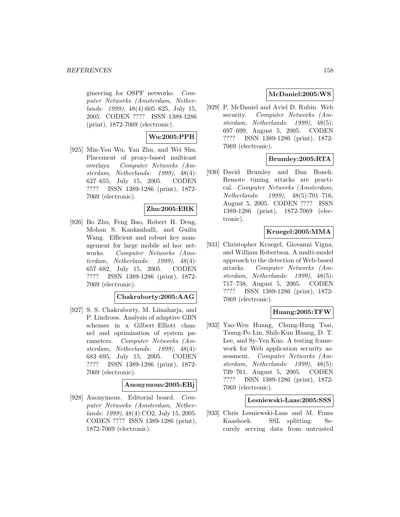gineering for OSPF networks. Computer Networks (Amsterdam, Netherlands: 1999), 48(4):605–625, July 15, 2005. CODEN ???? ISSN 1389-1286 (print), 1872-7069 (electronic).

# **Wu:2005:PPB**

[925] Min-You Wu, Yan Zhu, and Wei Shu. Placement of proxy-based multicast overlays. Computer Networks (Amsterdam, Netherlands: 1999), 48(4): 627–655, July 15, 2005. CODEN ???? ISSN 1389-1286 (print), 1872- 7069 (electronic).

## **Zhu:2005:ERK**

[926] Bo Zhu, Feng Bao, Robert H. Deng, Mohan S. Kankanhalli, and Guilin Wang. Efficient and robust key management for large mobile ad hoc networks. Computer Networks (Amsterdam, Netherlands: 1999), 48(4): 657–682, July 15, 2005. CODEN ???? ISSN 1389-1286 (print), 1872- 7069 (electronic).

## **Chakraborty:2005:AAG**

[927] S. S. Chakraborty, M. Liinaharja, and P. Lindroos. Analysis of adaptive GBN schemes in a Gilbert–Elliott channel and optimisation of system parameters. Computer Networks (Amsterdam, Netherlands: 1999), 48(4): 683–695, July 15, 2005. CODEN ???? ISSN 1389-1286 (print), 1872- 7069 (electronic).

## **Anonymous:2005:EBj**

[928] Anonymous. Editorial board. Computer Networks (Amsterdam, Netherlands: 1999), 48(4):CO2, July 15, 2005. CODEN ???? ISSN 1389-1286 (print), 1872-7069 (electronic).

## **McDaniel:2005:WS**

[929] P. McDaniel and Aviel D. Rubin. Web security. Computer Networks (Amsterdam, Netherlands: 1999), 48(5): 697–699, August 5, 2005. CODEN ???? ISSN 1389-1286 (print), 1872- 7069 (electronic).

## **Brumley:2005:RTA**

[930] David Brumley and Dan Boneh. Remote timing attacks are practical. Computer Networks (Amsterdam, Netherlands: 1999), 48(5):701–716, August 5, 2005. CODEN ???? ISSN 1389-1286 (print), 1872-7069 (electronic).

### **Kruegel:2005:MMA**

[931] Christopher Kruegel, Giovanni Vigna, and William Robertson. A multi-model approach to the detection of Web-based attacks. Computer Networks (Amsterdam, Netherlands: 1999), 48(5): 717–738, August 5, 2005. CODEN ???? ISSN 1389-1286 (print), 1872- 7069 (electronic).

# **Huang:2005:TFW**

[932] Yao-Wen Huang, Chung-Hung Tsai, Tsung-Po Lin, Shih-Kun Huang, D. T. Lee, and Sy-Yen Kuo. A testing framework for Web application security assessment. Computer Networks (Amsterdam, Netherlands: 1999), 48(5): 739–761, August 5, 2005. CODEN ???? ISSN 1389-1286 (print), 1872- 7069 (electronic).

## **Lesniewski-Laas:2005:SSS**

[933] Chris Lesniewski-Laas and M. Frans Kaashoek. SSL splitting: Securely serving data from untrusted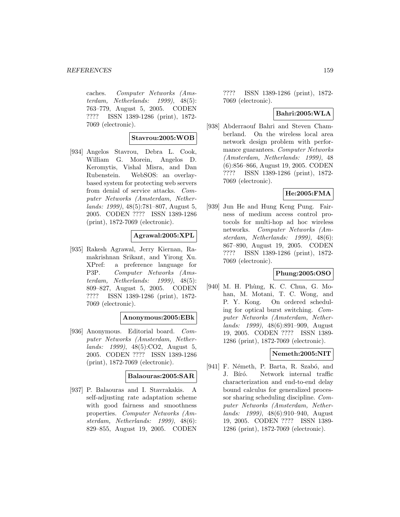caches. Computer Networks (Amsterdam, Netherlands: 1999), 48(5): 763–779, August 5, 2005. CODEN ???? ISSN 1389-1286 (print), 1872- 7069 (electronic).

### **Stavrou:2005:WOB**

[934] Angelos Stavrou, Debra L. Cook, William G. Morein, Angelos D. Keromytis, Vishal Misra, and Dan Rubenstein. WebSOS: an overlaybased system for protecting web servers from denial of service attacks. Computer Networks (Amsterdam, Netherlands: 1999), 48(5):781–807, August 5, 2005. CODEN ???? ISSN 1389-1286 (print), 1872-7069 (electronic).

## **Agrawal:2005:XPL**

[935] Rakesh Agrawal, Jerry Kiernan, Ramakrishnan Srikant, and Yirong Xu. XPref: a preference language for P3P. Computer Networks (Amsterdam, Netherlands: 1999), 48(5): 809–827, August 5, 2005. CODEN ???? ISSN 1389-1286 (print), 1872- 7069 (electronic).

#### **Anonymous:2005:EBk**

[936] Anonymous. Editorial board. Computer Networks (Amsterdam, Netherlands: 1999), 48(5):CO2, August 5, 2005. CODEN ???? ISSN 1389-1286 (print), 1872-7069 (electronic).

### **Balaouras:2005:SAR**

[937] P. Balaouras and I. Stavrakakis. A self-adjusting rate adaptation scheme with good fairness and smoothness properties. Computer Networks (Amsterdam, Netherlands: 1999), 48(6): 829–855, August 19, 2005. CODEN

???? ISSN 1389-1286 (print), 1872- 7069 (electronic).

## **Bahri:2005:WLA**

[938] Abderraouf Bahri and Steven Chamberland. On the wireless local area network design problem with performance guarantees. Computer Networks (Amsterdam, Netherlands: 1999), 48 (6):856–866, August 19, 2005. CODEN ???? ISSN 1389-1286 (print), 1872- 7069 (electronic).

# **He:2005:FMA**

[939] Jun He and Hung Keng Pung. Fairness of medium access control protocols for multi-hop ad hoc wireless networks. Computer Networks (Amsterdam, Netherlands: 1999), 48(6): 867–890, August 19, 2005. CODEN ???? ISSN 1389-1286 (print), 1872- 7069 (electronic).

## **Phung:2005:OSO**

[940] M. H. Phùng, K. C. Chua, G. Mohan, M. Motani, T. C. Wong, and P. Y. Kong. On ordered scheduling for optical burst switching. Computer Networks (Amsterdam, Netherlands: 1999), 48(6):891–909, August 19, 2005. CODEN ???? ISSN 1389- 1286 (print), 1872-7069 (electronic).

# **Nemeth:2005:NIT**

[941] F. Németh, P. Barta, R. Szabó, and J. Bíró. Network internal traffic characterization and end-to-end delay bound calculus for generalized processor sharing scheduling discipline. Computer Networks (Amsterdam, Netherlands: 1999), 48(6):910–940, August 19, 2005. CODEN ???? ISSN 1389- 1286 (print), 1872-7069 (electronic).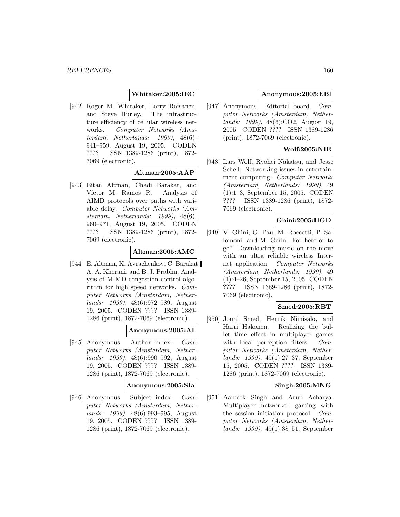## **Whitaker:2005:IEC**

[942] Roger M. Whitaker, Larry Raisanen, and Steve Hurley. The infrastructure efficiency of cellular wireless networks. Computer Networks (Amsterdam, Netherlands: 1999), 48(6): 941–959, August 19, 2005. CODEN ???? ISSN 1389-1286 (print), 1872- 7069 (electronic).

## **Altman:2005:AAP**

[943] Eitan Altman, Chadi Barakat, and Víctor M. Ramos R. Analysis of AIMD protocols over paths with variable delay. Computer Networks (Amsterdam, Netherlands: 1999), 48(6): 960–971, August 19, 2005. CODEN ???? ISSN 1389-1286 (print), 1872- 7069 (electronic).

### **Altman:2005:AMC**

[944] E. Altman, K. Avrachenkov, C. Barakat, A. A. Kherani, and B. J. Prabhu. Analysis of MIMD congestion control algorithm for high speed networks. Computer Networks (Amsterdam, Netherlands: 1999), 48(6):972–989, August 19, 2005. CODEN ???? ISSN 1389- 1286 (print), 1872-7069 (electronic).

## **Anonymous:2005:AI**

[945] Anonymous. Author index. Computer Networks (Amsterdam, Netherlands: 1999), 48(6):990–992, August 19, 2005. CODEN ???? ISSN 1389- 1286 (print), 1872-7069 (electronic).

#### **Anonymous:2005:SIa**

[946] Anonymous. Subject index. Computer Networks (Amsterdam, Netherlands: 1999), 48(6):993–995, August 19, 2005. CODEN ???? ISSN 1389- 1286 (print), 1872-7069 (electronic).

## **Anonymous:2005:EBl**

[947] Anonymous. Editorial board. Computer Networks (Amsterdam, Netherlands: 1999), 48(6):CO2, August 19, 2005. CODEN ???? ISSN 1389-1286 (print), 1872-7069 (electronic).

## **Wolf:2005:NIE**

[948] Lars Wolf, Ryohei Nakatsu, and Jesse Schell. Networking issues in entertainment computing. Computer Networks (Amsterdam, Netherlands: 1999), 49 (1):1–3, September 15, 2005. CODEN ???? ISSN 1389-1286 (print), 1872- 7069 (electronic).

### **Ghini:2005:HGD**

[949] V. Ghini, G. Pau, M. Roccetti, P. Salomoni, and M. Gerla. For here or to go? Downloading music on the move with an ultra reliable wireless Internet application. Computer Networks (Amsterdam, Netherlands: 1999), 49 (1):4–26, September 15, 2005. CODEN ???? ISSN 1389-1286 (print), 1872- 7069 (electronic).

## **Smed:2005:RBT**

[950] Jouni Smed, Henrik Niinisalo, and Harri Hakonen. Realizing the bullet time effect in multiplayer games with local perception filters. Computer Networks (Amsterdam, Netherlands: 1999), 49(1):27–37, September 15, 2005. CODEN ???? ISSN 1389- 1286 (print), 1872-7069 (electronic).

## **Singh:2005:MNG**

[951] Aameek Singh and Arup Acharya. Multiplayer networked gaming with the session initiation protocol. Computer Networks (Amsterdam, Netherlands: 1999), 49(1):38–51, September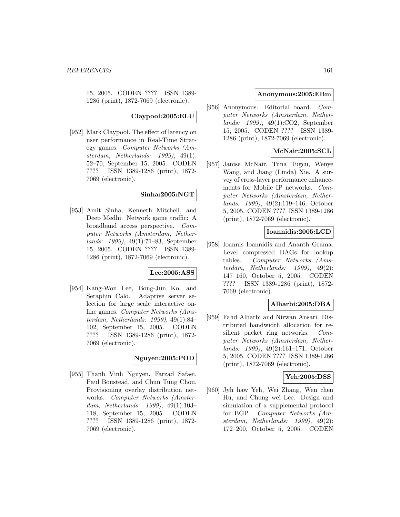15, 2005. CODEN ???? ISSN 1389- 1286 (print), 1872-7069 (electronic).

**Claypool:2005:ELU**

[952] Mark Claypool. The effect of latency on user performance in Real-Time Strategy games. Computer Networks (Amsterdam, Netherlands: 1999), 49(1): 52–70, September 15, 2005. CODEN ???? ISSN 1389-1286 (print), 1872- 7069 (electronic).

## **Sinha:2005:NGT**

[953] Amit Sinha, Kenneth Mitchell, and Deep Medhi. Network game traffic: A broadband access perspective. Computer Networks (Amsterdam, Netherlands: 1999), 49(1):71–83, September 15, 2005. CODEN ???? ISSN 1389- 1286 (print), 1872-7069 (electronic).

## **Lee:2005:ASS**

[954] Kang-Won Lee, Bong-Jun Ko, and Seraphin Calo. Adaptive server selection for large scale interactive online games. Computer Networks (Amsterdam, Netherlands: 1999), 49(1):84– 102, September 15, 2005. CODEN ???? ISSN 1389-1286 (print), 1872- 7069 (electronic).

## **Nguyen:2005:POD**

[955] Thanh Vinh Nguyen, Farzad Safaei, Paul Boustead, and Chun Tung Chou. Provisioning overlay distribution networks. Computer Networks (Amsterdam, Netherlands: 1999), 49(1):103– 118, September 15, 2005. CODEN ???? ISSN 1389-1286 (print), 1872- 7069 (electronic).

## **Anonymous:2005:EBm**

[956] Anonymous. Editorial board. Computer Networks (Amsterdam, Netherlands: 1999), 49(1):CO2, September 15, 2005. CODEN ???? ISSN 1389- 1286 (print), 1872-7069 (electronic).

# **McNair:2005:SCL**

[957] Janise McNair, Tuna Tugcu, Wenye Wang, and Jiang (Linda) Xie. A survey of cross-layer performance enhancements for Mobile IP networks. Computer Networks (Amsterdam, Netherlands: 1999), 49(2):119–146, October 5, 2005. CODEN ???? ISSN 1389-1286 (print), 1872-7069 (electronic).

## **Ioannidis:2005:LCD**

[958] Ioannis Ioannidis and Ananth Grama. Level compressed DAGs for lookup tables. Computer Networks (Amsterdam, Netherlands: 1999), 49(2): 147–160, October 5, 2005. CODEN ???? ISSN 1389-1286 (print), 1872- 7069 (electronic).

## **Alharbi:2005:DBA**

[959] Fahd Alharbi and Nirwan Ansari. Distributed bandwidth allocation for resilient packet ring networks. Computer Networks (Amsterdam, Netherlands: 1999), 49(2):161–171, October 5, 2005. CODEN ???? ISSN 1389-1286 (print), 1872-7069 (electronic).

## **Yeh:2005:DSS**

[960] Jyh haw Yeh, Wei Zhang, Wen chen Hu, and Chung wei Lee. Design and simulation of a supplemental protocol for BGP. Computer Networks (Amsterdam, Netherlands: 1999), 49(2): 172–200, October 5, 2005. CODEN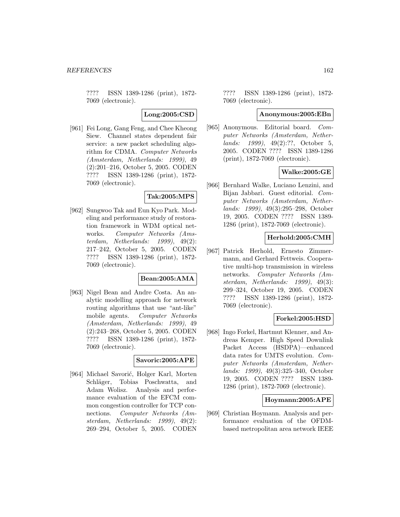???? ISSN 1389-1286 (print), 1872- 7069 (electronic).

**Long:2005:CSD**

[961] Fei Long, Gang Feng, and Chee Kheong Siew. Channel states dependent fair service: a new packet scheduling algorithm for CDMA. Computer Networks (Amsterdam, Netherlands: 1999), 49 (2):201–216, October 5, 2005. CODEN ???? ISSN 1389-1286 (print), 1872- 7069 (electronic).

## **Tak:2005:MPS**

[962] Sungwoo Tak and Eun Kyo Park. Modeling and performance study of restoration framework in WDM optical networks. Computer Networks (Amsterdam, Netherlands: 1999), 49(2): 217–242, October 5, 2005. CODEN ???? ISSN 1389-1286 (print), 1872- 7069 (electronic).

## **Bean:2005:AMA**

[963] Nigel Bean and Andre Costa. An analytic modelling approach for network routing algorithms that use "ant-like" mobile agents. Computer Networks (Amsterdam, Netherlands: 1999), 49 (2):243–268, October 5, 2005. CODEN ???? ISSN 1389-1286 (print), 1872- 7069 (electronic).

## **Savoric:2005:APE**

[964] Michael Savorić, Holger Karl, Morten Schläger, Tobias Poschwatta, and Adam Wolisz. Analysis and performance evaluation of the EFCM common congestion controller for TCP connections. Computer Networks (Amsterdam, Netherlands: 1999), 49(2): 269–294, October 5, 2005. CODEN

???? ISSN 1389-1286 (print), 1872- 7069 (electronic).

### **Anonymous:2005:EBn**

[965] Anonymous. Editorial board. Computer Networks (Amsterdam, Netherlands: 1999), 49(2):??, October 5, 2005. CODEN ???? ISSN 1389-1286 (print), 1872-7069 (electronic).

## **Walke:2005:GE**

[966] Bernhard Walke, Luciano Lenzini, and Bijan Jabbari. Guest editorial. Computer Networks (Amsterdam, Netherlands: 1999), 49(3):295–298, October 19, 2005. CODEN ???? ISSN 1389- 1286 (print), 1872-7069 (electronic).

# **Herhold:2005:CMH**

[967] Patrick Herhold, Ernesto Zimmermann, and Gerhard Fettweis. Cooperative multi-hop transmission in wireless networks. Computer Networks (Amsterdam, Netherlands: 1999), 49(3): 299–324, October 19, 2005. CODEN ???? ISSN 1389-1286 (print), 1872- 7069 (electronic).

#### **Forkel:2005:HSD**

[968] Ingo Forkel, Hartmut Klenner, and Andreas Kemper. High Speed Downlink Packet Access (HSDPA)—enhanced data rates for UMTS evolution. Computer Networks (Amsterdam, Netherlands: 1999), 49(3):325–340, October 19, 2005. CODEN ???? ISSN 1389- 1286 (print), 1872-7069 (electronic).

## **Hoymann:2005:APE**

[969] Christian Hoymann. Analysis and performance evaluation of the OFDMbased metropolitan area network IEEE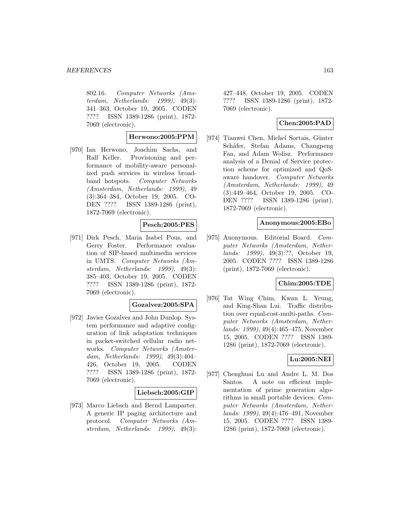802.16. Computer Networks (Amsterdam, Netherlands: 1999), 49(3): 341–363, October 19, 2005. CODEN ???? ISSN 1389-1286 (print), 1872- 7069 (electronic).

# **Herwono:2005:PPM**

[970] Ian Herwono, Joachim Sachs, and Ralf Keller. Provisioning and performance of mobility-aware personalized push services in wireless broadband hotspots. Computer Networks (Amsterdam, Netherlands: 1999), 49 (3):364–384, October 19, 2005. CO-DEN ???? ISSN 1389-1286 (print), 1872-7069 (electronic).

## **Pesch:2005:PES**

[971] Dirk Pesch, Maria Isabel Pous, and Gerry Foster. Performance evaluation of SIP-based multimedia services in UMTS. Computer Networks (Amsterdam, Netherlands: 1999), 49(3): 385–403, October 19, 2005. CODEN ???? ISSN 1389-1286 (print), 1872- 7069 (electronic).

#### **Gozalvez:2005:SPA**

[972] Javier Gozalvez and John Dunlop. System performance and adaptive configuration of link adaptation techniques in packet-switched cellular radio networks. Computer Networks (Amsterdam, Netherlands: 1999), 49(3):404– 426, October 19, 2005. CODEN ???? ISSN 1389-1286 (print), 1872- 7069 (electronic).

#### **Liebsch:2005:GIP**

[973] Marco Liebsch and Bernd Lamparter. A generic IP paging architecture and protocol. Computer Networks (Amsterdam, Netherlands: 1999), 49(3): 427–448, October 19, 2005. CODEN ???? ISSN 1389-1286 (print), 1872- 7069 (electronic).

## **Chen:2005:PAD**

[974] Tianwei Chen, Michel Sortais, Günter Schäfer, Stefan Adams, Changpeng Fan, and Adam Wolisz. Performance analysis of a Denial of Service protection scheme for optimized and QoSaware handover. Computer Networks (Amsterdam, Netherlands: 1999), 49 (3):449–464, October 19, 2005. CO-DEN ???? ISSN 1389-1286 (print), 1872-7069 (electronic).

## **Anonymous:2005:EBo**

[975] Anonymous. Editorial Board. Computer Networks (Amsterdam, Netherlands: 1999), 49(3):??, October 19, 2005. CODEN ???? ISSN 1389-1286 (print), 1872-7069 (electronic).

## **Chim:2005:TDE**

[976] Tat Wing Chim, Kwan L. Yeung, and King-Shan Lui. Traffic distribution over equal-cost-multi-paths. Computer Networks (Amsterdam, Netherlands: 1999), 49(4):465–475, November 15, 2005. CODEN ???? ISSN 1389- 1286 (print), 1872-7069 (electronic).

# **Lu:2005:NEI**

[977] Chenghuai Lu and Andre L. M. Dos Santos. A note on efficient implementation of prime generation algorithms in small portable devices. Computer Networks (Amsterdam, Netherlands: 1999), 49(4):476–491, November 15, 2005. CODEN ???? ISSN 1389- 1286 (print), 1872-7069 (electronic).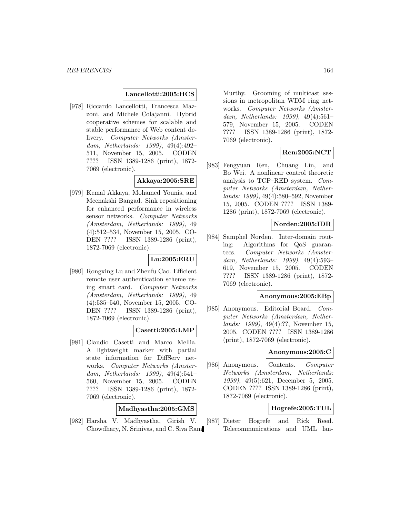### **Lancellotti:2005:HCS**

[978] Riccardo Lancellotti, Francesca Mazzoni, and Michele Colajanni. Hybrid cooperative schemes for scalable and stable performance of Web content delivery. Computer Networks (Amsterdam, Netherlands: 1999), 49(4):492– 511, November 15, 2005. CODEN ???? ISSN 1389-1286 (print), 1872- 7069 (electronic).

## **Akkaya:2005:SRE**

[979] Kemal Akkaya, Mohamed Younis, and Meenakshi Bangad. Sink repositioning for enhanced performance in wireless sensor networks. Computer Networks (Amsterdam, Netherlands: 1999), 49 (4):512–534, November 15, 2005. CO-DEN ???? ISSN 1389-1286 (print), 1872-7069 (electronic).

### **Lu:2005:ERU**

[980] Rongxing Lu and Zhenfu Cao. Efficient remote user authentication scheme using smart card. Computer Networks (Amsterdam, Netherlands: 1999), 49 (4):535–540, November 15, 2005. CO-DEN ???? ISSN 1389-1286 (print), 1872-7069 (electronic).

## **Casetti:2005:LMP**

[981] Claudio Casetti and Marco Mellia. A lightweight marker with partial state information for DiffServ networks. Computer Networks (Amsterdam, Netherlands: 1999), 49(4):541– 560, November 15, 2005. CODEN ???? ISSN 1389-1286 (print), 1872- 7069 (electronic).

## **Madhyastha:2005:GMS**

[982] Harsha V. Madhyastha, Girish V. Chowdhary, N. Srinivas, and C. Siva Ram Murthy. Grooming of multicast sessions in metropolitan WDM ring networks. Computer Networks (Amsterdam, Netherlands: 1999), 49(4):561– 579, November 15, 2005. CODEN ???? ISSN 1389-1286 (print), 1872- 7069 (electronic).

# **Ren:2005:NCT**

[983] Fengyuan Ren, Chuang Lin, and Bo Wei. A nonlinear control theoretic analysis to TCP–RED system. Computer Networks (Amsterdam, Netherlands: 1999), 49(4):580–592, November 15, 2005. CODEN ???? ISSN 1389- 1286 (print), 1872-7069 (electronic).

## **Norden:2005:IDR**

[984] Samphel Norden. Inter-domain routing: Algorithms for QoS guarantees. Computer Networks (Amsterdam, Netherlands: 1999), 49(4):593– 619, November 15, 2005. CODEN ???? ISSN 1389-1286 (print), 1872- 7069 (electronic).

#### **Anonymous:2005:EBp**

[985] Anonymous. Editorial Board. Computer Networks (Amsterdam, Netherlands: 1999), 49(4):??, November 15, 2005. CODEN ???? ISSN 1389-1286 (print), 1872-7069 (electronic).

#### **Anonymous:2005:C**

[986] Anonymous. Contents. Computer Networks (Amsterdam, Netherlands: 1999), 49(5):621, December 5, 2005. CODEN ???? ISSN 1389-1286 (print), 1872-7069 (electronic).

## **Hogrefe:2005:TUL**

[987] Dieter Hogrefe and Rick Reed. Telecommunications and UML lan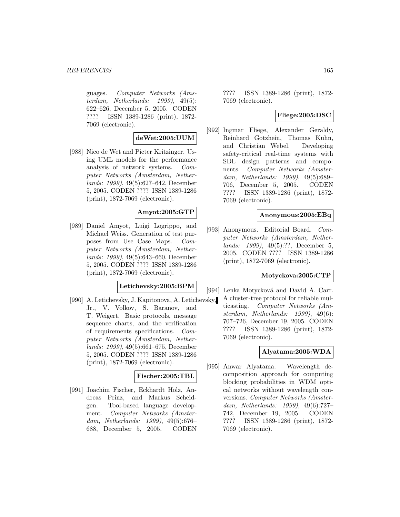guages. Computer Networks (Amsterdam, Netherlands: 1999), 49(5): 622–626, December 5, 2005. CODEN ???? ISSN 1389-1286 (print), 1872- 7069 (electronic).

## **deWet:2005:UUM**

[988] Nico de Wet and Pieter Kritzinger. Using UML models for the performance analysis of network systems. Computer Networks (Amsterdam, Netherlands: 1999), 49(5):627–642, December 5, 2005. CODEN ???? ISSN 1389-1286 (print), 1872-7069 (electronic).

## **Amyot:2005:GTP**

[989] Daniel Amyot, Luigi Logrippo, and Michael Weiss. Generation of test purposes from Use Case Maps. Computer Networks (Amsterdam, Netherlands: 1999), 49(5):643–660, December 5, 2005. CODEN ???? ISSN 1389-1286 (print), 1872-7069 (electronic).

## **Letichevsky:2005:BPM**

[990] A. Letichevsky, J. Kapitonova, A. Letichevsky, Jr., V. Volkov, S. Baranov, and T. Weigert. Basic protocols, message sequence charts, and the verification of requirements specifications. Computer Networks (Amsterdam, Netherlands: 1999), 49(5):661–675, December 5, 2005. CODEN ???? ISSN 1389-1286 (print), 1872-7069 (electronic).

## **Fischer:2005:TBL**

[991] Joachim Fischer, Eckhardt Holz, Andreas Prinz, and Markus Scheidgen. Tool-based language development. Computer Networks (Amsterdam, Netherlands: 1999), 49(5):676– 688, December 5, 2005. CODEN ???? ISSN 1389-1286 (print), 1872- 7069 (electronic).

## **Fliege:2005:DSC**

[992] Ingmar Fliege, Alexander Geraldy, Reinhard Gotzhein, Thomas Kuhn, and Christian Webel. Developing safety-critical real-time systems with SDL design patterns and components. Computer Networks (Amsterdam, Netherlands: 1999), 49(5):689– 706, December 5, 2005. CODEN ???? ISSN 1389-1286 (print), 1872- 7069 (electronic).

## **Anonymous:2005:EBq**

[993] Anonymous. Editorial Board. Computer Networks (Amsterdam, Netherlands: 1999), 49(5):??, December 5, 2005. CODEN ???? ISSN 1389-1286 (print), 1872-7069 (electronic).

## **Motyckova:2005:CTP**

[994] Lenka Motycková and David A. Carr.

A cluster-tree protocol for reliable multicasting. Computer Networks (Amsterdam, Netherlands: 1999), 49(6): 707–726, December 19, 2005. CODEN ???? ISSN 1389-1286 (print), 1872- 7069 (electronic).

## **Alyatama:2005:WDA**

[995] Anwar Alyatama. Wavelength decomposition approach for computing blocking probabilities in WDM optical networks without wavelength conversions. Computer Networks (Amsterdam, Netherlands: 1999), 49(6):727– 742, December 19, 2005. CODEN ???? ISSN 1389-1286 (print), 1872- 7069 (electronic).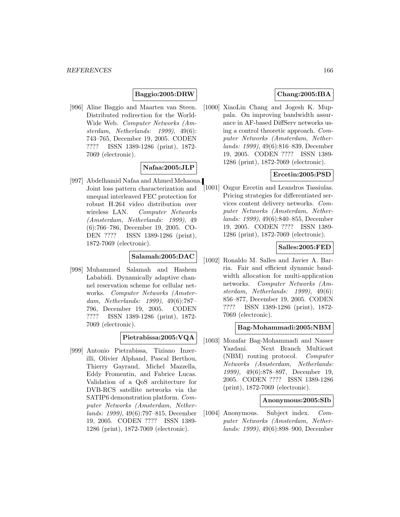## **Baggio:2005:DRW**

[996] Aline Baggio and Maarten van Steen. Distributed redirection for the World-Wide Web. Computer Networks (Amsterdam, Netherlands: 1999), 49(6): 743–765, December 19, 2005. CODEN ???? ISSN 1389-1286 (print), 1872- 7069 (electronic).

## **Nafaa:2005:JLP**

[997] Abdelhamid Nafaa and Ahmed Mehaoua. Joint loss pattern characterization and unequal interleaved FEC protection for robust H.264 video distribution over wireless LAN. Computer Networks (Amsterdam, Netherlands: 1999), 49 (6):766–786, December 19, 2005. CO-DEN ???? ISSN 1389-1286 (print), 1872-7069 (electronic).

## **Salamah:2005:DAC**

[998] Muhammed Salamah and Hashem Lababidi. Dynamically adaptive channel reservation scheme for cellular networks. Computer Networks (Amsterdam, Netherlands: 1999), 49(6):787– 796, December 19, 2005. CODEN ???? ISSN 1389-1286 (print), 1872- 7069 (electronic).

## **Pietrabissa:2005:VQA**

[999] Antonio Pietrabissa, Tiziano Inzerilli, Olivier Alphand, Pascal Berthou, Thierry Gayraud, Michel Mazzella, Eddy Fromentin, and Fabrice Lucas. Validation of a QoS architecture for DVB-RCS satellite networks via the SATIP6 demonstration platform. Computer Networks (Amsterdam, Netherlands: 1999), 49(6):797–815, December 19, 2005. CODEN ???? ISSN 1389- 1286 (print), 1872-7069 (electronic).

# **Chang:2005:IBA**

[1000] XiaoLin Chang and Jogesh K. Muppala. On improving bandwidth assurance in AF-based DiffServ networks using a control theoretic approach. Computer Networks (Amsterdam, Netherlands: 1999), 49(6):816–839, December 19, 2005. CODEN ???? ISSN 1389- 1286 (print), 1872-7069 (electronic).

# **Ercetin:2005:PSD**

[1001] Ozgur Ercetin and Leandros Tassiulas. Pricing strategies for differentiated services content delivery networks. Computer Networks (Amsterdam, Netherlands: 1999), 49(6):840–855, December 19, 2005. CODEN ???? ISSN 1389- 1286 (print), 1872-7069 (electronic).

## **Salles:2005:FED**

[1002] Ronaldo M. Salles and Javier A. Barria. Fair and efficient dynamic bandwidth allocation for multi-application networks. Computer Networks (Amsterdam, Netherlands: 1999), 49(6): 856–877, December 19, 2005. CODEN ???? ISSN 1389-1286 (print), 1872- 7069 (electronic).

## **Bag-Mohammadi:2005:NBM**

[1003] Mozafar Bag-Mohammadi and Nasser Yazdani. Next Branch Multicast (NBM) routing protocol. Computer Networks (Amsterdam, Netherlands: 1999), 49(6):878–897, December 19, 2005. CODEN ???? ISSN 1389-1286 (print), 1872-7069 (electronic).

#### **Anonymous:2005:SIb**

[1004] Anonymous. Subject index. Computer Networks (Amsterdam, Netherlands: 1999), 49(6):898–900, December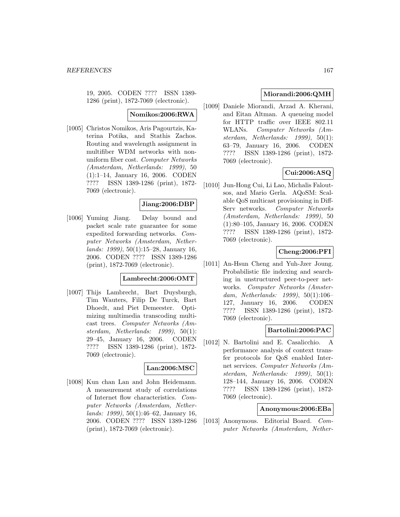19, 2005. CODEN ???? ISSN 1389- 1286 (print), 1872-7069 (electronic).

### **Nomikos:2006:RWA**

[1005] Christos Nomikos, Aris Pagourtzis, Katerina Potika, and Stathis Zachos. Routing and wavelength assignment in multifiber WDM networks with nonuniform fiber cost. Computer Networks (Amsterdam, Netherlands: 1999), 50 (1):1–14, January 16, 2006. CODEN ???? ISSN 1389-1286 (print), 1872- 7069 (electronic).

## **Jiang:2006:DBP**

[1006] Yuming Jiang. Delay bound and packet scale rate guarantee for some expedited forwarding networks. Computer Networks (Amsterdam, Netherlands: 1999), 50(1):15–28, January 16, 2006. CODEN ???? ISSN 1389-1286 (print), 1872-7069 (electronic).

### **Lambrecht:2006:OMT**

[1007] Thijs Lambrecht, Bart Duysburgh, Tim Wauters, Filip De Turck, Bart Dhoedt, and Piet Demeester. Optimizing multimedia transcoding multicast trees. Computer Networks (Amsterdam, Netherlands: 1999), 50(1): 29–45, January 16, 2006. CODEN ???? ISSN 1389-1286 (print), 1872- 7069 (electronic).

#### **Lan:2006:MSC**

[1008] Kun chan Lan and John Heidemann. A measurement study of correlations of Internet flow characteristics. Computer Networks (Amsterdam, Netherlands: 1999), 50(1):46–62, January 16, 2006. CODEN ???? ISSN 1389-1286 (print), 1872-7069 (electronic).

## **Miorandi:2006:QMH**

[1009] Daniele Miorandi, Arzad A. Kherani, and Eitan Altman. A queueing model for HTTP traffic over IEEE 802.11 WLANs. Computer Networks (Amsterdam, Netherlands: 1999), 50(1): 63–79, January 16, 2006. CODEN ???? ISSN 1389-1286 (print), 1872- 7069 (electronic).

# **Cui:2006:ASQ**

[1010] Jun-Hong Cui, Li Lao, Michalis Faloutsos, and Mario Gerla. AQoSM: Scalable QoS multicast provisioning in Diff-Serv networks. Computer Networks (Amsterdam, Netherlands: 1999), 50 (1):80–105, January 16, 2006. CODEN ???? ISSN 1389-1286 (print), 1872- 7069 (electronic).

## **Cheng:2006:PFI**

[1011] An-Hsun Cheng and Yuh-Jzer Joung. Probabilistic file indexing and searching in unstructured peer-to-peer networks. Computer Networks (Amsterdam, Netherlands: 1999), 50(1):106– 127, January 16, 2006. CODEN ???? ISSN 1389-1286 (print), 1872- 7069 (electronic).

## **Bartolini:2006:PAC**

[1012] N. Bartolini and E. Casalicchio. A performance analysis of context transfer protocols for QoS enabled Internet services. Computer Networks (Amsterdam, Netherlands: 1999), 50(1): 128–144, January 16, 2006. CODEN ???? ISSN 1389-1286 (print), 1872- 7069 (electronic).

## **Anonymous:2006:EBa**

[1013] Anonymous. Editorial Board. Computer Networks (Amsterdam, Nether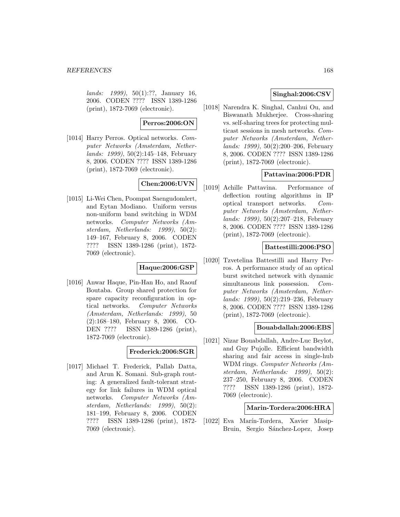lands: 1999), 50(1):??, January 16, 2006. CODEN ???? ISSN 1389-1286 (print), 1872-7069 (electronic).

### **Perros:2006:ON**

[1014] Harry Perros. Optical networks. Computer Networks (Amsterdam, Netherlands: 1999), 50(2):145–148, February 8, 2006. CODEN ???? ISSN 1389-1286 (print), 1872-7069 (electronic).

# **Chen:2006:UVN**

[1015] Li-Wei Chen, Poompat Saengudomlert, and Eytan Modiano. Uniform versus non-uniform band switching in WDM networks. Computer Networks (Amsterdam, Netherlands: 1999), 50(2): 149–167, February 8, 2006. CODEN ???? ISSN 1389-1286 (print), 1872- 7069 (electronic).

## **Haque:2006:GSP**

[1016] Anwar Haque, Pin-Han Ho, and Raouf Boutaba. Group shared protection for spare capacity reconfiguration in optical networks. Computer Networks (Amsterdam, Netherlands: 1999), 50 (2):168–180, February 8, 2006. CO-DEN ???? ISSN 1389-1286 (print), 1872-7069 (electronic).

# **Frederick:2006:SGR**

[1017] Michael T. Frederick, Pallab Datta, and Arun K. Somani. Sub-graph routing: A generalized fault-tolerant strategy for link failures in WDM optical networks. Computer Networks (Amsterdam, Netherlands: 1999), 50(2): 181–199, February 8, 2006. CODEN ???? ISSN 1389-1286 (print), 1872- 7069 (electronic).

# **Singhal:2006:CSV**

[1018] Narendra K. Singhal, Canhui Ou, and Biswanath Mukherjee. Cross-sharing vs. self-sharing trees for protecting multicast sessions in mesh networks. Computer Networks (Amsterdam, Netherlands: 1999), 50(2):200–206, February 8, 2006. CODEN ???? ISSN 1389-1286 (print), 1872-7069 (electronic).

# **Pattavina:2006:PDR**

[1019] Achille Pattavina. Performance of deflection routing algorithms in IP optical transport networks. Computer Networks (Amsterdam, Netherlands: 1999), 50(2):207–218, February 8, 2006. CODEN ???? ISSN 1389-1286 (print), 1872-7069 (electronic).

## **Battestilli:2006:PSO**

[1020] Tzvetelina Battestilli and Harry Perros. A performance study of an optical burst switched network with dynamic simultaneous link possession. Computer Networks (Amsterdam, Netherlands: 1999), 50(2):219–236, February 8, 2006. CODEN ???? ISSN 1389-1286 (print), 1872-7069 (electronic).

#### **Bouabdallah:2006:EBS**

[1021] Nizar Bouabdallah, Andre-Luc Beylot, and Guy Pujolle. Efficient bandwidth sharing and fair access in single-hub WDM rings. Computer Networks (Amsterdam, Netherlands: 1999), 50(2): 237–250, February 8, 2006. CODEN ???? ISSN 1389-1286 (print), 1872- 7069 (electronic).

#### **Marin-Tordera:2006:HRA**

[1022] Eva Marín-Tordera, Xavier Masip-Bruin, Sergio Sánchez-Lopez, Josep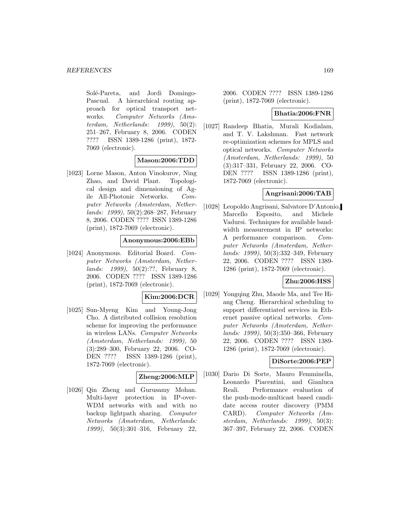Solé-Pareta, and Jordi Domingo-Pascual. A hierarchical routing approach for optical transport networks. Computer Networks (Amsterdam, Netherlands:  $1999$ ,  $50(2)$ : 251–267, February 8, 2006. CODEN ???? ISSN 1389-1286 (print), 1872- 7069 (electronic).

## **Mason:2006:TDD**

[1023] Lorne Mason, Anton Vinokurov, Ning Zhao, and David Plant. Topological design and dimensioning of Agile All-Photonic Networks. Computer Networks (Amsterdam, Netherlands: 1999), 50(2):268–287, February 8, 2006. CODEN ???? ISSN 1389-1286 (print), 1872-7069 (electronic).

## **Anonymous:2006:EBb**

[1024] Anonymous. Editorial Board. Computer Networks (Amsterdam, Netherlands: 1999), 50(2):??, February 8, 2006. CODEN ???? ISSN 1389-1286 (print), 1872-7069 (electronic).

## **Kim:2006:DCR**

[1025] Sun-Myeng Kim and Young-Jong Cho. A distributed collision resolution scheme for improving the performance in wireless LANs. Computer Networks (Amsterdam, Netherlands: 1999), 50 (3):289–300, February 22, 2006. CO-DEN ???? ISSN 1389-1286 (print), 1872-7069 (electronic).

## **Zheng:2006:MLP**

[1026] Qin Zheng and Gurusamy Mohan. Multi-layer protection in IP-over-WDM networks with and with no backup lightpath sharing. Computer Networks (Amsterdam, Netherlands: 1999), 50(3):301–316, February 22,

2006. CODEN ???? ISSN 1389-1286 (print), 1872-7069 (electronic).

## **Bhatia:2006:FNR**

[1027] Randeep Bhatia, Murali Kodialam, and T. V. Lakshman. Fast network re-optimization schemes for MPLS and optical networks. Computer Networks (Amsterdam, Netherlands: 1999), 50 (3):317–331, February 22, 2006. CO-DEN ???? ISSN 1389-1286 (print), 1872-7069 (electronic).

## **Angrisani:2006:TAB**

[1028] Leopoldo Angrisani, Salvatore D'Antonio, Marcello Esposito, and Michele Vadursi. Techniques for available bandwidth measurement in IP networks: A performance comparison. Computer Networks (Amsterdam, Netherlands: 1999), 50(3):332–349, February 22, 2006. CODEN ???? ISSN 1389- 1286 (print), 1872-7069 (electronic).

#### **Zhu:2006:HSS**

[1029] Yongqing Zhu, Maode Ma, and Tee Hiang Cheng. Hierarchical scheduling to support differentiated services in Ethernet passive optical networks. Computer Networks (Amsterdam, Netherlands: 1999), 50(3):350–366, February 22, 2006. CODEN ???? ISSN 1389- 1286 (print), 1872-7069 (electronic).

## **DiSorte:2006:PEP**

[1030] Dario Di Sorte, Mauro Femminella, Leonardo Piacentini, and Gianluca Reali. Performance evaluation of the push-mode-multicast based candidate access router discovery (PMM CARD). Computer Networks (Amsterdam, Netherlands: 1999), 50(3): 367–397, February 22, 2006. CODEN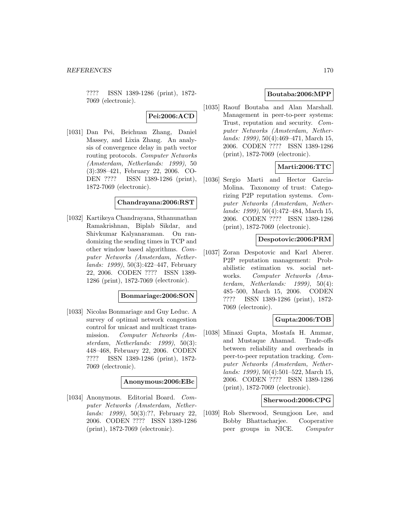???? ISSN 1389-1286 (print), 1872- 7069 (electronic).

**Pei:2006:ACD**

[1031] Dan Pei, Beichuan Zhang, Daniel Massey, and Lixia Zhang. An analysis of convergence delay in path vector routing protocols. Computer Networks (Amsterdam, Netherlands: 1999), 50 (3):398–421, February 22, 2006. CO-DEN ???? ISSN 1389-1286 (print), 1872-7069 (electronic).

### **Chandrayana:2006:RST**

[1032] Kartikeya Chandrayana, Sthanunathan Ramakrishnan, Biplab Sikdar, and Shivkumar Kalyanaraman. On randomizing the sending times in TCP and other window based algorithms. Computer Networks (Amsterdam, Netherlands: 1999), 50(3):422–447, February 22, 2006. CODEN ???? ISSN 1389- 1286 (print), 1872-7069 (electronic).

#### **Bonmariage:2006:SON**

[1033] Nicolas Bonmariage and Guy Leduc. A survey of optimal network congestion control for unicast and multicast transmission. Computer Networks (Amsterdam, Netherlands: 1999), 50(3): 448–468, February 22, 2006. CODEN ???? ISSN 1389-1286 (print), 1872- 7069 (electronic).

#### **Anonymous:2006:EBc**

[1034] Anonymous. Editorial Board. Computer Networks (Amsterdam, Netherlands: 1999), 50(3):??, February 22, 2006. CODEN ???? ISSN 1389-1286 (print), 1872-7069 (electronic).

## **Boutaba:2006:MPP**

[1035] Raouf Boutaba and Alan Marshall. Management in peer-to-peer systems: Trust, reputation and security. Computer Networks (Amsterdam, Netherlands: 1999), 50(4):469–471, March 15, 2006. CODEN ???? ISSN 1389-1286 (print), 1872-7069 (electronic).

## **Marti:2006:TTC**

[1036] Sergio Marti and Hector Garcia-Molina. Taxonomy of trust: Categorizing P2P reputation systems. Computer Networks (Amsterdam, Netherlands: 1999), 50(4):472–484, March 15, 2006. CODEN ???? ISSN 1389-1286 (print), 1872-7069 (electronic).

### **Despotovic:2006:PRM**

[1037] Zoran Despotovic and Karl Aberer. P2P reputation management: Probabilistic estimation vs. social networks. Computer Networks (Amsterdam, Netherlands: 1999), 50(4): 485–500, March 15, 2006. CODEN ???? ISSN 1389-1286 (print), 1872- 7069 (electronic).

## **Gupta:2006:TOB**

[1038] Minaxi Gupta, Mostafa H. Ammar, and Mustaque Ahamad. Trade-offs between reliability and overheads in peer-to-peer reputation tracking. Computer Networks (Amsterdam, Netherlands: 1999), 50(4):501–522, March 15, 2006. CODEN ???? ISSN 1389-1286 (print), 1872-7069 (electronic).

### **Sherwood:2006:CPG**

[1039] Rob Sherwood, Seungjoon Lee, and Bobby Bhattacharjee. Cooperative peer groups in NICE. Computer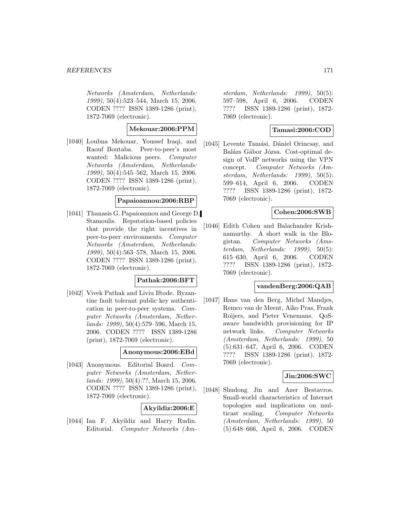#### *REFERENCES* 171

Networks (Amsterdam, Netherlands: 1999), 50(4):523–544, March 15, 2006. CODEN ???? ISSN 1389-1286 (print), 1872-7069 (electronic).

## **Mekouar:2006:PPM**

[1040] Loubna Mekouar, Youssef Iraqi, and Raouf Boutaba. Peer-to-peer's most wanted: Malicious peers. Computer Networks (Amsterdam, Netherlands: 1999), 50(4):545–562, March 15, 2006. CODEN ???? ISSN 1389-1286 (print), 1872-7069 (electronic).

## **Papaioannou:2006:RBP**

[1041] Thanasis G. Papaioannou and George D. Stamoulis. Reputation-based policies that provide the right incentives in peer-to-peer environments. Computer Networks (Amsterdam, Netherlands: 1999), 50(4):563–578, March 15, 2006. CODEN ???? ISSN 1389-1286 (print), 1872-7069 (electronic).

## **Pathak:2006:BFT**

[1042] Vivek Pathak and Liviu Iftode. Byzantine fault tolerant public key authentication in peer-to-peer systems. Computer Networks (Amsterdam, Netherlands: 1999), 50(4):579–596, March 15, 2006. CODEN ???? ISSN 1389-1286 (print), 1872-7069 (electronic).

### **Anonymous:2006:EBd**

[1043] Anonymous. Editorial Board. Computer Networks (Amsterdam, Netherlands: 1999), 50(4):??, March 15, 2006. CODEN ???? ISSN 1389-1286 (print), 1872-7069 (electronic).

## **Akyildiz:2006:E**

[1044] Ian F. Akyildiz and Harry Rudin. Editorial. Computer Networks (Am-

sterdam, Netherlands: 1999), 50(5): 597–598, April 6, 2006. CODEN ???? ISSN 1389-1286 (print), 1872- 7069 (electronic).

## **Tamasi:2006:COD**

[1045] Levente Tamási, Dániel Orincsay, and Balázs Gábor Józsa. Cost-optimal design of VoIP networks using the VPN concept. Computer Networks (Amsterdam, Netherlands: 1999), 50(5): 599–614, April 6, 2006. CODEN ???? ISSN 1389-1286 (print), 1872- 7069 (electronic).

## **Cohen:2006:SWB**

[1046] Edith Cohen and Balachander Krishnamurthy. A short walk in the Blogistan. Computer Networks (Amsterdam, Netherlands: 1999), 50(5): 615–630, April 6, 2006. CODEN ???? ISSN 1389-1286 (print), 1872- 7069 (electronic).

## **vandenBerg:2006:QAB**

[1047] Hans van den Berg, Michel Mandjes, Remco van de Meent, Aiko Pras, Frank Roijers, and Pieter Venemans. QoSaware bandwidth provisioning for IP network links. Computer Networks (Amsterdam, Netherlands: 1999), 50 (5):631–647, April 6, 2006. CODEN ???? ISSN 1389-1286 (print), 1872- 7069 (electronic).

#### **Jin:2006:SWC**

[1048] Shudong Jin and Azer Bestavros. Small-world characteristics of Internet topologies and implications on multicast scaling. Computer Networks (Amsterdam, Netherlands: 1999), 50 (5):648–666, April 6, 2006. CODEN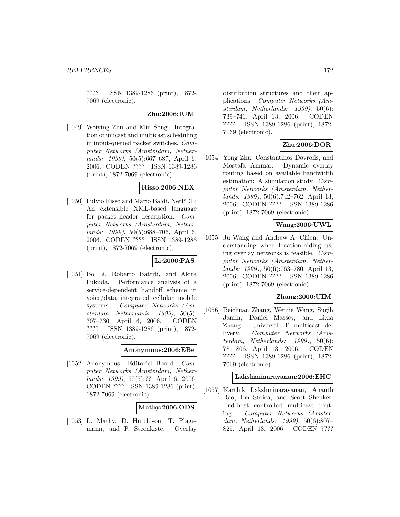???? ISSN 1389-1286 (print), 1872- 7069 (electronic).

# **Zhu:2006:IUM**

[1049] Weiying Zhu and Min Song. Integration of unicast and multicast scheduling in input-queued packet switches. Computer Networks (Amsterdam, Netherlands: 1999), 50(5):667–687, April 6, 2006. CODEN ???? ISSN 1389-1286 (print), 1872-7069 (electronic).

## **Risso:2006:NEX**

[1050] Fulvio Risso and Mario Baldi. NetPDL: An extensible XML-based language for packet header description. Computer Networks (Amsterdam, Netherlands: 1999), 50(5):688–706, April 6, 2006. CODEN ???? ISSN 1389-1286 (print), 1872-7069 (electronic).

# **Li:2006:PAS**

[1051] Bo Li, Roberto Battiti, and Akira Fukuda. Performance analysis of a service-dependent handoff scheme in voice/data integrated cellular mobile systems. Computer Networks (Amsterdam, Netherlands: 1999), 50(5): 707–730, April 6, 2006. CODEN ???? ISSN 1389-1286 (print), 1872- 7069 (electronic).

#### **Anonymous:2006:EBe**

[1052] Anonymous. Editorial Board. Computer Networks (Amsterdam, Netherlands: 1999), 50(5):??, April 6, 2006. CODEN ???? ISSN 1389-1286 (print), 1872-7069 (electronic).

# **Mathy:2006:ODS**

[1053] L. Mathy, D. Hutchison, T. Plagemann, and P. Steenkiste. Overlay distribution structures and their applications. Computer Networks (Amsterdam, Netherlands: 1999), 50(6): 739–741, April 13, 2006. CODEN ???? ISSN 1389-1286 (print), 1872- 7069 (electronic).

# **Zhu:2006:DOR**

[1054] Yong Zhu, Constantinos Dovrolis, and Mostafa Ammar. Dynamic overlay routing based on available bandwidth estimation: A simulation study. Computer Networks (Amsterdam, Netherlands: 1999), 50(6):742–762, April 13, 2006. CODEN ???? ISSN 1389-1286 (print), 1872-7069 (electronic).

## **Wang:2006:UWL**

[1055] Ju Wang and Andrew A. Chien. Understanding when location-hiding using overlay networks is feasible. Computer Networks (Amsterdam, Netherlands: 1999), 50(6):763–780, April 13, 2006. CODEN ???? ISSN 1389-1286 (print), 1872-7069 (electronic).

## **Zhang:2006:UIM**

[1056] Beichuan Zhang, Wenjie Wang, Sugih Jamin, Daniel Massey, and Lixia Zhang. Universal IP multicast delivery. Computer Networks (Amsterdam, Netherlands: 1999), 50(6): 781–806, April 13, 2006. CODEN ???? ISSN 1389-1286 (print), 1872- 7069 (electronic).

### **Lakshminarayanan:2006:EHC**

[1057] Karthik Lakshminarayanan, Ananth Rao, Ion Stoica, and Scott Shenker. End-host controlled multicast routing. Computer Networks (Amsterdam, Netherlands: 1999), 50(6):807– 825, April 13, 2006. CODEN ????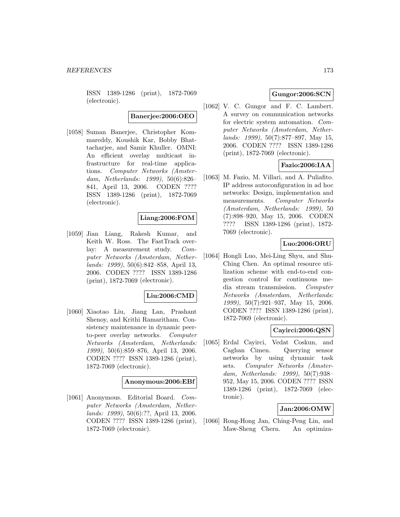ISSN 1389-1286 (print), 1872-7069 (electronic).

**Banerjee:2006:OEO**

[1058] Suman Banerjee, Christopher Kommareddy, Koushik Kar, Bobby Bhattacharjee, and Samir Khuller. OMNI: An efficient overlay multicast infrastructure for real-time applications. Computer Networks (Amsterdam, Netherlands: 1999), 50(6):826– 841, April 13, 2006. CODEN ???? ISSN 1389-1286 (print), 1872-7069 (electronic).

## **Liang:2006:FOM**

[1059] Jian Liang, Rakesh Kumar, and Keith W. Ross. The FastTrack overlay: A measurement study. Computer Networks (Amsterdam, Netherlands: 1999), 50(6):842–858, April 13, 2006. CODEN ???? ISSN 1389-1286 (print), 1872-7069 (electronic).

## **Liu:2006:CMD**

[1060] Xiaotao Liu, Jiang Lan, Prashant Shenoy, and Krithi Ramaritham. Consistency maintenance in dynamic peerto-peer overlay networks. Computer Networks (Amsterdam, Netherlands: 1999), 50(6):859–876, April 13, 2006. CODEN ???? ISSN 1389-1286 (print), 1872-7069 (electronic).

#### **Anonymous:2006:EBf**

[1061] Anonymous. Editorial Board. Computer Networks (Amsterdam, Netherlands: 1999), 50(6):??, April 13, 2006. CODEN ???? ISSN 1389-1286 (print), 1872-7069 (electronic).

# **Gungor:2006:SCN**

[1062] V. C. Gungor and F. C. Lambert. A survey on communication networks for electric system automation. Computer Networks (Amsterdam, Netherlands: 1999), 50(7):877–897, May 15, 2006. CODEN ???? ISSN 1389-1286 (print), 1872-7069 (electronic).

# **Fazio:2006:IAA**

[1063] M. Fazio, M. Villari, and A. Puliafito. IP address autoconfiguration in ad hoc networks: Design, implementation and measurements. Computer Networks (Amsterdam, Netherlands: 1999), 50 (7):898–920, May 15, 2006. CODEN ???? ISSN 1389-1286 (print), 1872- 7069 (electronic).

# **Luo:2006:ORU**

[1064] Hongli Luo, Mei-Ling Shyu, and Shu-Ching Chen. An optimal resource utilization scheme with end-to-end congestion control for continuous media stream transmission. Computer Networks (Amsterdam, Netherlands: 1999), 50(7):921–937, May 15, 2006. CODEN ???? ISSN 1389-1286 (print), 1872-7069 (electronic).

# **Cayirci:2006:QSN**

[1065] Erdal Cayirci, Vedat Coskun, and Caghan Cimen. Querying sensor networks by using dynamic task sets. Computer Networks (Amsterdam, Netherlands: 1999), 50(7):938– 952, May 15, 2006. CODEN ???? ISSN 1389-1286 (print), 1872-7069 (electronic).

## **Jan:2006:OMW**

[1066] Rong-Hong Jan, Ching-Peng Lin, and Maw-Sheng Chern. An optimiza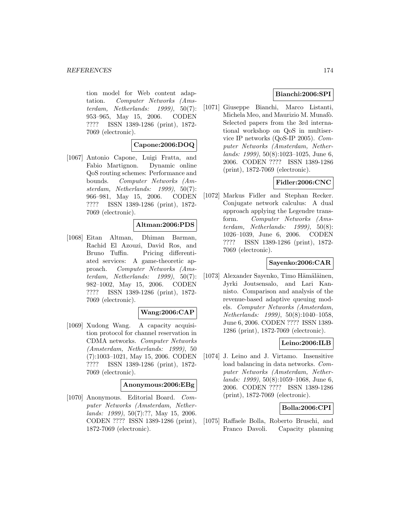tion model for Web content adaptation. Computer Networks (Amsterdam, Netherlands: 1999), 50(7): 953–965, May 15, 2006. CODEN ???? ISSN 1389-1286 (print), 1872- 7069 (electronic).

### **Capone:2006:DOQ**

[1067] Antonio Capone, Luigi Fratta, and Fabio Martignon. Dynamic online QoS routing schemes: Performance and bounds. Computer Networks (Amsterdam, Netherlands: 1999), 50(7): 966–981, May 15, 2006. CODEN ???? ISSN 1389-1286 (print), 1872- 7069 (electronic).

## **Altman:2006:PDS**

[1068] Eitan Altman, Dhiman Barman, Rachid El Azouzi, David Ros, and Bruno Tuffin. Pricing differentiated services: A game-theoretic approach. Computer Networks (Amsterdam, Netherlands: 1999), 50(7): 982–1002, May 15, 2006. CODEN ???? ISSN 1389-1286 (print), 1872- 7069 (electronic).

## **Wang:2006:CAP**

[1069] Xudong Wang. A capacity acquisition protocol for channel reservation in CDMA networks. Computer Networks (Amsterdam, Netherlands: 1999), 50 (7):1003–1021, May 15, 2006. CODEN ???? ISSN 1389-1286 (print), 1872- 7069 (electronic).

#### **Anonymous:2006:EBg**

[1070] Anonymous. Editorial Board. Computer Networks (Amsterdam, Netherlands: 1999), 50(7):??, May 15, 2006. CODEN ???? ISSN 1389-1286 (print), 1872-7069 (electronic).

# **Bianchi:2006:SPI**

[1071] Giuseppe Bianchi, Marco Listanti, Michela Meo, and Maurizio M. Munafò. Selected papers from the 3rd international workshop on QoS in multiservice IP networks (QoS-IP 2005). Computer Networks (Amsterdam, Netherlands: 1999), 50(8):1023–1025, June 6, 2006. CODEN ???? ISSN 1389-1286 (print), 1872-7069 (electronic).

# **Fidler:2006:CNC**

[1072] Markus Fidler and Stephan Recker. Conjugate network calculus: A dual approach applying the Legendre transform. Computer Networks (Amsterdam, Netherlands: 1999), 50(8): 1026–1039, June 6, 2006. CODEN ???? ISSN 1389-1286 (print), 1872- 7069 (electronic).

## **Sayenko:2006:CAR**

[1073] Alexander Sayenko, Timo Hämäläinen, Jyrki Joutsensalo, and Lari Kannisto. Comparison and analysis of the revenue-based adaptive queuing models. Computer Networks (Amsterdam, Netherlands: 1999), 50(8):1040–1058, June 6, 2006. CODEN ???? ISSN 1389- 1286 (print), 1872-7069 (electronic).

## **Leino:2006:ILB**

[1074] J. Leino and J. Virtamo. Insensitive load balancing in data networks. Computer Networks (Amsterdam, Netherlands: 1999), 50(8):1059–1068, June 6, 2006. CODEN ???? ISSN 1389-1286 (print), 1872-7069 (electronic).

## **Bolla:2006:CPI**

[1075] Raffaele Bolla, Roberto Bruschi, and Franco Davoli. Capacity planning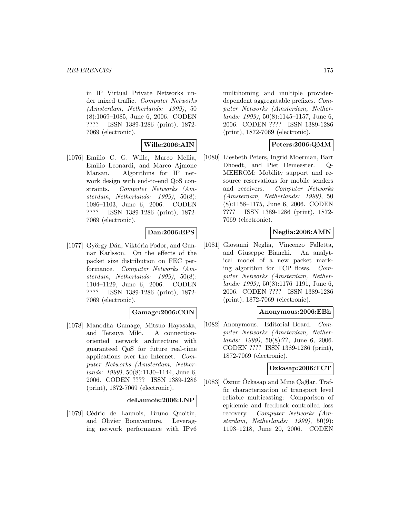in IP Virtual Private Networks under mixed traffic. Computer Networks (Amsterdam, Netherlands: 1999), 50 (8):1069–1085, June 6, 2006. CODEN ???? ISSN 1389-1286 (print), 1872- 7069 (electronic).

## **Wille:2006:AIN**

[1076] Emilio C. G. Wille, Marco Mellia, Emilio Leonardi, and Marco Ajmone Marsan. Algorithms for IP network design with end-to-end QoS constraints. Computer Networks (Amsterdam, Netherlands: 1999), 50(8): 1086–1103, June 6, 2006. CODEN ???? ISSN 1389-1286 (print), 1872- 7069 (electronic).

## **Dan:2006:EPS**

[1077] György Dán, Viktória Fodor, and Gunnar Karlsson. On the effects of the packet size distribution on FEC performance. Computer Networks (Amsterdam, Netherlands: 1999), 50(8): 1104–1129, June 6, 2006. CODEN ???? ISSN 1389-1286 (print), 1872- 7069 (electronic).

# **Gamage:2006:CON**

[1078] Manodha Gamage, Mitsuo Hayasaka, and Tetsuya Miki. A connectionoriented network architecture with guaranteed QoS for future real-time applications over the Internet. Computer Networks (Amsterdam, Netherlands: 1999), 50(8):1130–1144, June 6, 2006. CODEN ???? ISSN 1389-1286 (print), 1872-7069 (electronic).

#### **deLaunois:2006:LNP**

[1079] Cédric de Launois, Bruno Quoitin, and Olivier Bonaventure. Leveraging network performance with IPv6

multihoming and multiple providerdependent aggregatable prefixes. Computer Networks (Amsterdam, Netherlands: 1999), 50(8):1145–1157, June 6, 2006. CODEN ???? ISSN 1389-1286 (print), 1872-7069 (electronic).

## **Peters:2006:QMM**

[1080] Liesbeth Peters, Ingrid Moerman, Bart Dhoedt, and Piet Demeester. Q-MEHROM: Mobility support and resource reservations for mobile senders and receivers. Computer Networks (Amsterdam, Netherlands: 1999), 50 (8):1158–1175, June 6, 2006. CODEN ???? ISSN 1389-1286 (print), 1872- 7069 (electronic).

## **Neglia:2006:AMN**

[1081] Giovanni Neglia, Vincenzo Falletta, and Giuseppe Bianchi. An analytical model of a new packet marking algorithm for TCP flows. Computer Networks (Amsterdam, Netherlands: 1999), 50(8):1176–1191, June 6, 2006. CODEN ???? ISSN 1389-1286 (print), 1872-7069 (electronic).

### **Anonymous:2006:EBh**

[1082] Anonymous. Editorial Board. Computer Networks (Amsterdam, Netherlands: 1999), 50(8):??, June 6, 2006. CODEN ???? ISSN 1389-1286 (print), 1872-7069 (electronic).

### **Ozkasap:2006:TCT**

[ $1083$ ]  $\ddot{O}$ znur  $\ddot{O}$ zkasap and Mine Cağlar. Traffic characterization of transport level reliable multicasting: Comparison of epidemic and feedback controlled loss recovery. Computer Networks (Amsterdam, Netherlands: 1999), 50(9): 1193–1218, June 20, 2006. CODEN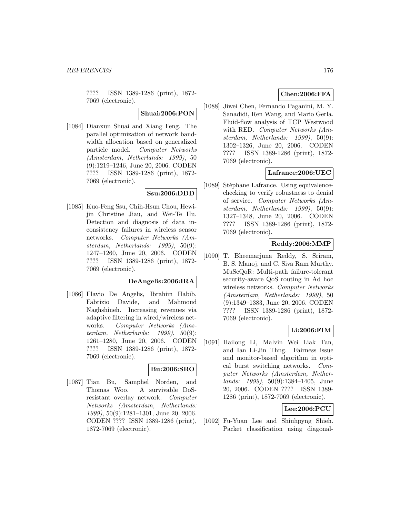???? ISSN 1389-1286 (print), 1872- 7069 (electronic).

**Shuai:2006:PON**

[1084] Dianxun Shuai and Xiang Feng. The parallel optimization of network bandwidth allocation based on generalized particle model. Computer Networks (Amsterdam, Netherlands: 1999), 50 (9):1219–1246, June 20, 2006. CODEN ???? ISSN 1389-1286 (print), 1872- 7069 (electronic).

## **Ssu:2006:DDD**

[1085] Kuo-Feng Ssu, Chih-Hsun Chou, Hewijin Christine Jiau, and Wei-Te Hu. Detection and diagnosis of data inconsistency failures in wireless sensor networks. Computer Networks (Amsterdam, Netherlands: 1999), 50(9): 1247–1260, June 20, 2006. CODEN ???? ISSN 1389-1286 (print), 1872- 7069 (electronic).

#### **DeAngelis:2006:IRA**

[1086] Flavio De Angelis, Ibrahim Habib, Fabrizio Davide, and Mahmoud Naghshineh. Increasing revenues via adaptive filtering in wired/wireless networks. Computer Networks (Amsterdam, Netherlands: 1999), 50(9): 1261–1280, June 20, 2006. CODEN ???? ISSN 1389-1286 (print), 1872- 7069 (electronic).

## **Bu:2006:SRO**

[1087] Tian Bu, Samphel Norden, and Thomas Woo. A survivable DoSresistant overlay network. Computer Networks (Amsterdam, Netherlands: 1999), 50(9):1281–1301, June 20, 2006. CODEN ???? ISSN 1389-1286 (print), 1872-7069 (electronic).

# **Chen:2006:FFA**

[1088] Jiwei Chen, Fernando Paganini, M. Y. Sanadidi, Ren Wang, and Mario Gerla. Fluid-flow analysis of TCP Westwood with RED. Computer Networks (Amsterdam, Netherlands: 1999), 50(9): 1302–1326, June 20, 2006. CODEN ???? ISSN 1389-1286 (print), 1872- 7069 (electronic).

# **Lafrance:2006:UEC**

[1089] Stéphane Lafrance. Using equivalencechecking to verify robustness to denial of service. Computer Networks (Amsterdam, Netherlands: 1999), 50(9): 1327–1348, June 20, 2006. CODEN ???? ISSN 1389-1286 (print), 1872- 7069 (electronic).

## **Reddy:2006:MMP**

[1090] T. Bheemarjuna Reddy, S. Sriram, B. S. Manoj, and C. Siva Ram Murthy. MuSeQoR: Multi-path failure-tolerant security-aware QoS routing in Ad hoc wireless networks. Computer Networks (Amsterdam, Netherlands: 1999), 50 (9):1349–1383, June 20, 2006. CODEN ???? ISSN 1389-1286 (print), 1872- 7069 (electronic).

## **Li:2006:FIM**

[1091] Hailong Li, Malvin Wei Liak Tan, and Ian Li-Jin Thng. Fairness issue and monitor-based algorithm in optical burst switching networks. Computer Networks (Amsterdam, Netherlands: 1999), 50(9):1384–1405, June 20, 2006. CODEN ???? ISSN 1389- 1286 (print), 1872-7069 (electronic).

# **Lee:2006:PCU**

[1092] Fu-Yuan Lee and Shiuhpyng Shieh. Packet classification using diagonal-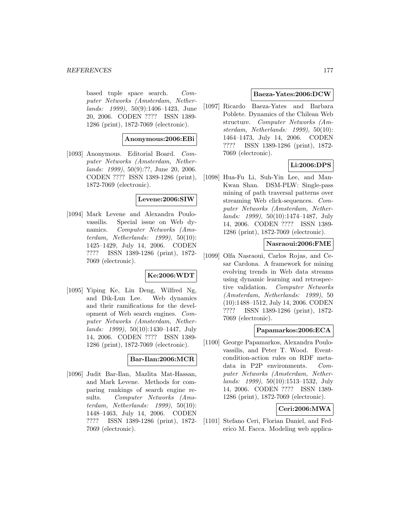#### *REFERENCES* 177

based tuple space search. Computer Networks (Amsterdam, Netherlands: 1999), 50(9):1406–1423, June 20, 2006. CODEN ???? ISSN 1389- 1286 (print), 1872-7069 (electronic).

## **Anonymous:2006:EBi**

[1093] Anonymous. Editorial Board. Computer Networks (Amsterdam, Netherlands: 1999), 50(9):??, June 20, 2006. CODEN ???? ISSN 1389-1286 (print), 1872-7069 (electronic).

### **Levene:2006:SIW**

[1094] Mark Levene and Alexandra Poulovassilis. Special issue on Web dynamics. Computer Networks (Amsterdam, Netherlands: 1999), 50(10): 1425–1429, July 14, 2006. CODEN ???? ISSN 1389-1286 (print), 1872- 7069 (electronic).

## **Ke:2006:WDT**

[1095] Yiping Ke, Lin Deng, Wilfred Ng, and Dik-Lun Lee. Web dynamics and their ramifications for the development of Web search engines. Computer Networks (Amsterdam, Netherlands: 1999), 50(10):1430–1447, July 14, 2006. CODEN ???? ISSN 1389- 1286 (print), 1872-7069 (electronic).

# **Bar-Ilan:2006:MCR**

[1096] Judit Bar-Ilan, Mazlita Mat-Hassan, and Mark Levene. Methods for comparing rankings of search engine results. Computer Networks (Amsterdam, Netherlands: 1999), 50(10): 1448–1463, July 14, 2006. CODEN ???? ISSN 1389-1286 (print), 1872- 7069 (electronic).

#### **Baeza-Yates:2006:DCW**

[1097] Ricardo Baeza-Yates and Barbara Poblete. Dynamics of the Chilean Web structure. Computer Networks (Amsterdam, Netherlands: 1999), 50(10): 1464–1473, July 14, 2006. CODEN ???? ISSN 1389-1286 (print), 1872- 7069 (electronic).

# **Li:2006:DPS**

[1098] Hua-Fu Li, Suh-Yin Lee, and Man-Kwan Shan. DSM-PLW: Single-pass mining of path traversal patterns over streaming Web click-sequences. Computer Networks (Amsterdam, Netherlands: 1999), 50(10):1474–1487, July 14, 2006. CODEN ???? ISSN 1389- 1286 (print), 1872-7069 (electronic).

### **Nasraoui:2006:FME**

[1099] Olfa Nasraoui, Carlos Rojas, and Cesar Cardona. A framework for mining evolving trends in Web data streams using dynamic learning and retrospective validation. Computer Networks (Amsterdam, Netherlands: 1999), 50 (10):1488–1512, July 14, 2006. CODEN ???? ISSN 1389-1286 (print), 1872- 7069 (electronic).

## **Papamarkos:2006:ECA**

[1100] George Papamarkos, Alexandra Poulovassilis, and Peter T. Wood. Eventcondition-action rules on RDF metadata in P2P environments. Computer Networks (Amsterdam, Netherlands: 1999), 50(10):1513–1532, July 14, 2006. CODEN ???? ISSN 1389- 1286 (print), 1872-7069 (electronic).

# **Ceri:2006:MWA**

[1101] Stefano Ceri, Florian Daniel, and Federico M. Facca. Modeling web applica-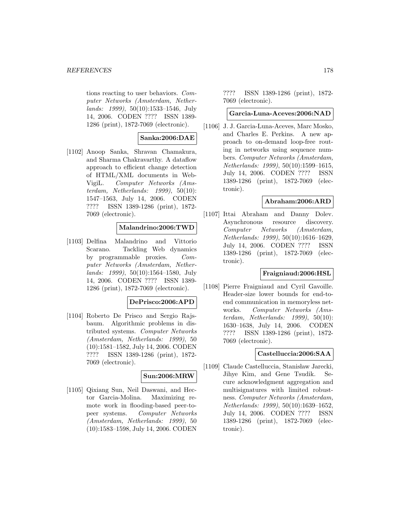#### *REFERENCES* 178

tions reacting to user behaviors. Computer Networks (Amsterdam, Netherlands: 1999), 50(10):1533–1546, July 14, 2006. CODEN ???? ISSN 1389- 1286 (print), 1872-7069 (electronic).

## **Sanka:2006:DAE**

[1102] Anoop Sanka, Shravan Chamakura, and Sharma Chakravarthy. A dataflow approach to efficient change detection of HTML/XML documents in Web-VigiL. Computer Networks (Amsterdam, Netherlands: 1999), 50(10): 1547–1563, July 14, 2006. CODEN ???? ISSN 1389-1286 (print), 1872- 7069 (electronic).

## **Malandrino:2006:TWD**

[1103] Delfina Malandrino and Vittorio Scarano. Tackling Web dynamics by programmable proxies. Computer Networks (Amsterdam, Netherlands: 1999), 50(10):1564–1580, July 14, 2006. CODEN ???? ISSN 1389- 1286 (print), 1872-7069 (electronic).

## **DePrisco:2006:APD**

[1104] Roberto De Prisco and Sergio Rajsbaum. Algorithmic problems in distributed systems. Computer Networks (Amsterdam, Netherlands: 1999), 50 (10):1581–1582, July 14, 2006. CODEN ???? ISSN 1389-1286 (print), 1872- 7069 (electronic).

#### **Sun:2006:MRW**

[1105] Qixiang Sun, Neil Daswani, and Hector Garcia-Molina. Maximizing remote work in flooding-based peer-topeer systems. Computer Networks (Amsterdam, Netherlands: 1999), 50 (10):1583–1598, July 14, 2006. CODEN

???? ISSN 1389-1286 (print), 1872- 7069 (electronic).

#### **Garcia-Luna-Aceves:2006:NAD**

[1106] J. J. Garcia-Luna-Aceves, Marc Mosko, and Charles E. Perkins. A new approach to on-demand loop-free routing in networks using sequence numbers. Computer Networks (Amsterdam, Netherlands: 1999), 50(10):1599–1615, July 14, 2006. CODEN ???? ISSN 1389-1286 (print), 1872-7069 (electronic).

## **Abraham:2006:ARD**

[1107] Ittai Abraham and Danny Dolev. Asynchronous resource discovery. Computer Networks (Amsterdam, Netherlands: 1999), 50(10):1616–1629, July 14, 2006. CODEN ???? ISSN 1389-1286 (print), 1872-7069 (electronic).

## **Fraigniaud:2006:HSL**

[1108] Pierre Fraigniaud and Cyril Gavoille. Header-size lower bounds for end-toend communication in memoryless networks. Computer Networks (Amsterdam, Netherlands: 1999), 50(10): 1630–1638, July 14, 2006. CODEN ???? ISSN 1389-1286 (print), 1872- 7069 (electronic).

## **Castelluccia:2006:SAA**

[1109] Claude Castelluccia, Stanisław Jarecki, Jihye Kim, and Gene Tsudik. Secure acknowledgment aggregation and multisignatures with limited robustness. Computer Networks (Amsterdam, Netherlands: 1999), 50(10):1639–1652, July 14, 2006. CODEN ???? ISSN 1389-1286 (print), 1872-7069 (electronic).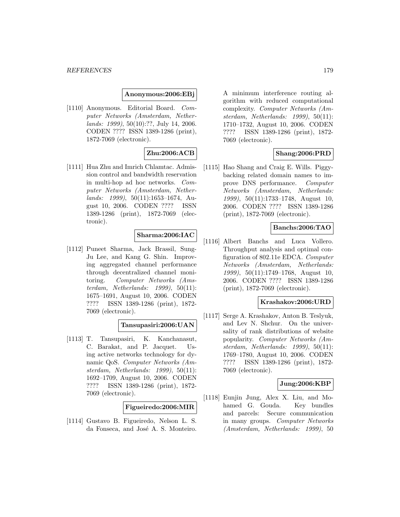## **Anonymous:2006:EBj**

[1110] Anonymous. Editorial Board. Computer Networks (Amsterdam, Netherlands: 1999), 50(10):??, July 14, 2006. CODEN ???? ISSN 1389-1286 (print), 1872-7069 (electronic).

# **Zhu:2006:ACB**

[1111] Hua Zhu and Imrich Chlamtac. Admission control and bandwidth reservation in multi-hop ad hoc networks. Computer Networks (Amsterdam, Netherlands: 1999), 50(11):1653–1674, August 10, 2006. CODEN ???? ISSN 1389-1286 (print), 1872-7069 (electronic).

## **Sharma:2006:IAC**

[1112] Puneet Sharma, Jack Brassil, Sung-Ju Lee, and Kang G. Shin. Improving aggregated channel performance through decentralized channel monitoring. Computer Networks (Amsterdam, Netherlands: 1999), 50(11): 1675–1691, August 10, 2006. CODEN ???? ISSN 1389-1286 (print), 1872- 7069 (electronic).

## **Tansupasiri:2006:UAN**

[1113] T. Tansupasiri, K. Kanchanasut, C. Barakat, and P. Jacquet. Using active networks technology for dynamic QoS. Computer Networks (Amsterdam, Netherlands: 1999), 50(11): 1692–1709, August 10, 2006. CODEN ???? ISSN 1389-1286 (print), 1872- 7069 (electronic).

## **Figueiredo:2006:MIR**

[1114] Gustavo B. Figueiredo, Nelson L. S. da Fonseca, and José A. S. Monteiro.

A minimum interference routing algorithm with reduced computational complexity. Computer Networks (Amsterdam, Netherlands: 1999), 50(11): 1710–1732, August 10, 2006. CODEN ???? ISSN 1389-1286 (print), 1872- 7069 (electronic).

# **Shang:2006:PRD**

[1115] Hao Shang and Craig E. Wills. Piggybacking related domain names to improve DNS performance. Computer Networks (Amsterdam, Netherlands: 1999), 50(11):1733–1748, August 10, 2006. CODEN ???? ISSN 1389-1286 (print), 1872-7069 (electronic).

## **Banchs:2006:TAO**

[1116] Albert Banchs and Luca Vollero. Throughput analysis and optimal configuration of 802.11e EDCA. Computer Networks (Amsterdam, Netherlands: 1999), 50(11):1749–1768, August 10, 2006. CODEN ???? ISSN 1389-1286 (print), 1872-7069 (electronic).

## **Krashakov:2006:URD**

[1117] Serge A. Krashakov, Anton B. Teslyuk, and Lev N. Shchur. On the universality of rank distributions of website popularity. Computer Networks (Amsterdam, Netherlands: 1999), 50(11): 1769–1780, August 10, 2006. CODEN ???? ISSN 1389-1286 (print), 1872- 7069 (electronic).

## **Jung:2006:KBP**

[1118] Eunjin Jung, Alex X. Liu, and Mohamed G. Gouda. Key bundles and parcels: Secure communication in many groups. Computer Networks (Amsterdam, Netherlands: 1999), 50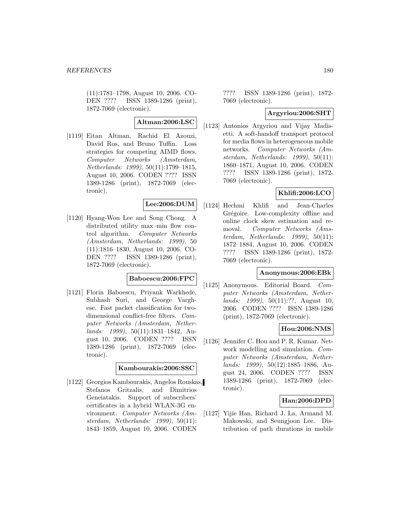(11):1781–1798, August 10, 2006. CO-DEN ???? ISSN 1389-1286 (print), 1872-7069 (electronic).

**Altman:2006:LSC**

[1119] Eitan Altman, Rachid El Azouzi, David Ros, and Bruno Tuffin. Loss strategies for competing AIMD flows. Computer Networks (Amsterdam, Netherlands: 1999), 50(11):1799–1815, August 10, 2006. CODEN ???? ISSN 1389-1286 (print), 1872-7069 (electronic).

# **Lee:2006:DUM**

[1120] Hyang-Won Lee and Song Chong. A distributed utility max–min flow control algorithm. Computer Networks (Amsterdam, Netherlands: 1999), 50 (11):1816–1830, August 10, 2006. CO-DEN ???? ISSN 1389-1286 (print), 1872-7069 (electronic).

#### **Baboescu:2006:FPC**

[1121] Florin Baboescu, Priyank Warkhede, Subhash Suri, and George Varghese. Fast packet classification for twodimensional conflict-free filters. Computer Networks (Amsterdam, Netherlands: 1999), 50(11):1831–1842, August 10, 2006. CODEN ???? ISSN 1389-1286 (print), 1872-7069 (electronic).

#### **Kambourakis:2006:SSC**

[1122] Georgios Kambourakis, Angelos Rouskas, Stefanos Gritzalis, and Dimitrios Geneiatakis. Support of subscribers' certificates in a hybrid WLAN-3G environment. Computer Networks (Amsterdam, Netherlands: 1999), 50(11): 1843–1859, August 10, 2006. CODEN

???? ISSN 1389-1286 (print), 1872- 7069 (electronic).

### **Argyriou:2006:SHT**

[1123] Antonios Argyriou and Vijay Madisetti. A soft-handoff transport protocol for media flows in heterogeneous mobile networks. Computer Networks (Amsterdam, Netherlands: 1999), 50(11): 1860–1871, August 10, 2006. CODEN ???? ISSN 1389-1286 (print), 1872- 7069 (electronic).

## **Khlifi:2006:LCO**

[1124] Hechmi Khlifi and Jean-Charles Grégoire. Low-complexity offline and online clock skew estimation and removal. Computer Networks (Amsterdam, Netherlands: 1999), 50(11): 1872–1884, August 10, 2006. CODEN ???? ISSN 1389-1286 (print), 1872- 7069 (electronic).

### **Anonymous:2006:EBk**

[1125] Anonymous. Editorial Board. Computer Networks (Amsterdam, Netherlands: 1999), 50(11):??, August 10, 2006. CODEN ???? ISSN 1389-1286 (print), 1872-7069 (electronic).

## **Hou:2006:NMS**

[1126] Jennifer C. Hou and P. R. Kumar. Network modelling and simulation. Computer Networks (Amsterdam, Netherlands: 1999), 50(12):1885–1886, August 24, 2006. CODEN ???? ISSN 1389-1286 (print), 1872-7069 (electronic).

## **Han:2006:DPD**

[1127] Yijie Han, Richard J. La, Armand M. Makowski, and Seungjoon Lee. Distribution of path durations in mobile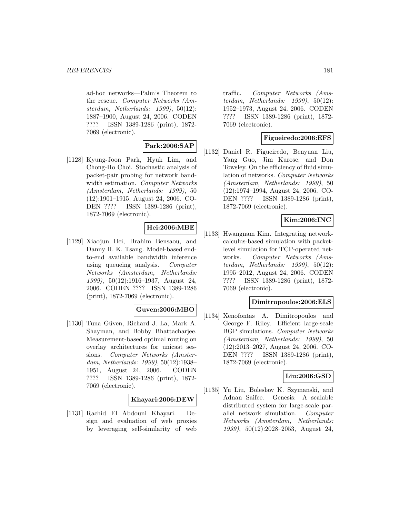ad-hoc networks—Palm's Theorem to the rescue. Computer Networks (Amsterdam, Netherlands: 1999), 50(12): 1887–1900, August 24, 2006. CODEN ???? ISSN 1389-1286 (print), 1872- 7069 (electronic).

## **Park:2006:SAP**

[1128] Kyung-Joon Park, Hyuk Lim, and Chong-Ho Choi. Stochastic analysis of packet-pair probing for network bandwidth estimation. Computer Networks (Amsterdam, Netherlands: 1999), 50 (12):1901–1915, August 24, 2006. CO-DEN ???? ISSN 1389-1286 (print), 1872-7069 (electronic).

# **Hei:2006:MBE**

[1129] Xiaojun Hei, Brahim Bensaou, and Danny H. K. Tsang. Model-based endto-end available bandwidth inference using queueing analysis. Computer Networks (Amsterdam, Netherlands: 1999), 50(12):1916–1937, August 24, 2006. CODEN ???? ISSN 1389-1286 (print), 1872-7069 (electronic).

## **Guven:2006:MBO**

[1130] Tuna Güven, Richard J. La, Mark A. Shayman, and Bobby Bhattacharjee. Measurement-based optimal routing on overlay architectures for unicast sessions. Computer Networks (Amsterdam, Netherlands: 1999), 50(12):1938– 1951, August 24, 2006. CODEN ???? ISSN 1389-1286 (print), 1872- 7069 (electronic).

#### **Khayari:2006:DEW**

[1131] Rachid El Abdouni Khayari. Design and evaluation of web proxies by leveraging self-similarity of web

traffic. Computer Networks (Amsterdam, Netherlands: 1999), 50(12): 1952–1973, August 24, 2006. CODEN ???? ISSN 1389-1286 (print), 1872- 7069 (electronic).

#### **Figueiredo:2006:EFS**

[1132] Daniel R. Figueiredo, Benyuan Liu, Yang Guo, Jim Kurose, and Don Towsley. On the efficiency of fluid simulation of networks. Computer Networks (Amsterdam, Netherlands: 1999), 50 (12):1974–1994, August 24, 2006. CO-DEN ???? ISSN 1389-1286 (print), 1872-7069 (electronic).

### **Kim:2006:INC**

[1133] Hwangnam Kim. Integrating networkcalculus-based simulation with packetlevel simulation for TCP-operated networks. Computer Networks (Amsterdam, Netherlands: 1999), 50(12): 1995–2012, August 24, 2006. CODEN ???? ISSN 1389-1286 (print), 1872- 7069 (electronic).

#### **Dimitropoulos:2006:ELS**

[1134] Xenofontas A. Dimitropoulos and George F. Riley. Efficient large-scale BGP simulations. Computer Networks (Amsterdam, Netherlands: 1999), 50 (12):2013–2027, August 24, 2006. CO-DEN ???? ISSN 1389-1286 (print), 1872-7069 (electronic).

#### **Liu:2006:GSD**

[1135] Yu Liu, Boleslaw K. Szymanski, and Adnan Saifee. Genesis: A scalable distributed system for large-scale parallel network simulation. Computer Networks (Amsterdam, Netherlands: 1999), 50(12):2028–2053, August 24,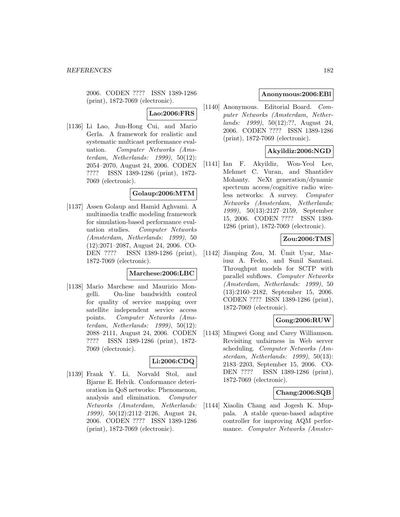2006. CODEN ???? ISSN 1389-1286 (print), 1872-7069 (electronic).

# **Lao:2006:FRS**

[1136] Li Lao, Jun-Hong Cui, and Mario Gerla. A framework for realistic and systematic multicast performance evaluation. Computer Networks (Amsterdam, Netherlands: 1999), 50(12): 2054–2070, August 24, 2006. CODEN ???? ISSN 1389-1286 (print), 1872- 7069 (electronic).

## **Golaup:2006:MTM**

[1137] Assen Golaup and Hamid Aghvami. A multimedia traffic modeling framework for simulation-based performance evaluation studies. Computer Networks (Amsterdam, Netherlands: 1999), 50 (12):2071–2087, August 24, 2006. CO-DEN ???? ISSN 1389-1286 (print), 1872-7069 (electronic).

#### **Marchese:2006:LBC**

[1138] Mario Marchese and Maurizio Mongelli. On-line bandwidth control for quality of service mapping over satellite independent service access points. Computer Networks (Amsterdam, Netherlands: 1999), 50(12): 2088–2111, August 24, 2006. CODEN ???? ISSN 1389-1286 (print), 1872- 7069 (electronic).

## **Li:2006:CDQ**

[1139] Frank Y. Li, Norvald Stol, and Bjarne E. Helvik. Conformance deterioration in QoS networks: Phenomenon, analysis and elimination. Computer Networks (Amsterdam, Netherlands: 1999), 50(12):2112–2126, August 24, 2006. CODEN ???? ISSN 1389-1286 (print), 1872-7069 (electronic).

#### **Anonymous:2006:EBl**

[1140] Anonymous. Editorial Board. Computer Networks (Amsterdam, Netherlands: 1999), 50(12):??, August 24, 2006. CODEN ???? ISSN 1389-1286 (print), 1872-7069 (electronic).

### **Akyildiz:2006:NGD**

[1141] Ian F. Akyildiz, Won-Yeol Lee, Mehmet C. Vuran, and Shantidev Mohanty. NeXt generation/dynamic spectrum access/cognitive radio wireless networks: A survey. Computer Networks (Amsterdam, Netherlands: 1999), 50(13):2127–2159, September 15, 2006. CODEN ???? ISSN 1389- 1286 (print), 1872-7069 (electronic).

# **Zou:2006:TMS**

 $[1142]$  Jianping Zou, M. Umit Uyar, Mariusz A. Fecko, and Sunil Samtani. Throughput models for SCTP with parallel subflows. Computer Networks (Amsterdam, Netherlands: 1999), 50 (13):2160–2182, September 15, 2006. CODEN ???? ISSN 1389-1286 (print), 1872-7069 (electronic).

#### **Gong:2006:RUW**

[1143] Mingwei Gong and Carey Williamson. Revisiting unfairness in Web server scheduling. Computer Networks (Amsterdam, Netherlands: 1999), 50(13): 2183–2203, September 15, 2006. CO-DEN ???? ISSN 1389-1286 (print), 1872-7069 (electronic).

#### **Chang:2006:SQB**

[1144] Xiaolin Chang and Jogesh K. Muppala. A stable queue-based adaptive controller for improving AQM performance. Computer Networks (Amster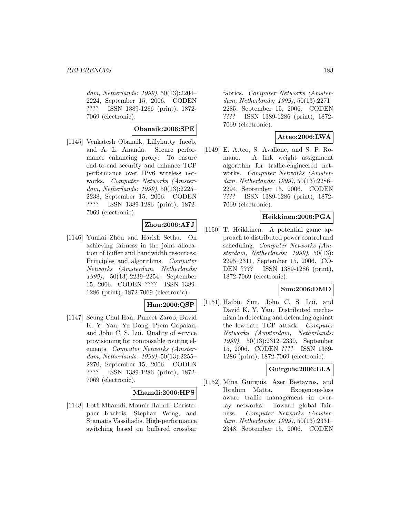dam, Netherlands: 1999), 50(13):2204– 2224, September 15, 2006. CODEN ???? ISSN 1389-1286 (print), 1872- 7069 (electronic).

#### **Obanaik:2006:SPE**

[1145] Venkatesh Obanaik, Lillykutty Jacob, and A. L. Ananda. Secure performance enhancing proxy: To ensure end-to-end security and enhance TCP performance over IPv6 wireless networks. Computer Networks (Amsterdam, Netherlands: 1999), 50(13):2225– 2238, September 15, 2006. CODEN ???? ISSN 1389-1286 (print), 1872- 7069 (electronic).

## **Zhou:2006:AFJ**

[1146] Yunkai Zhou and Harish Sethu. On achieving fairness in the joint allocation of buffer and bandwidth resources: Principles and algorithms. Computer Networks (Amsterdam, Netherlands: 1999), 50(13):2239–2254, September 15, 2006. CODEN ???? ISSN 1389- 1286 (print), 1872-7069 (electronic).

#### **Han:2006:QSP**

[1147] Seung Chul Han, Puneet Zaroo, David K. Y. Yau, Yu Dong, Prem Gopalan, and John C. S. Lui. Quality of service provisioning for composable routing elements. Computer Networks (Amsterdam, Netherlands: 1999), 50(13):2255– 2270, September 15, 2006. CODEN ???? ISSN 1389-1286 (print), 1872- 7069 (electronic).

#### **Mhamdi:2006:HPS**

[1148] Lotfi Mhamdi, Mounir Hamdi, Christopher Kachris, Stephan Wong, and Stamatis Vassiliadis. High-performance switching based on buffered crossbar

fabrics. Computer Networks (Amsterdam, Netherlands: 1999), 50(13):2271– 2285, September 15, 2006. CODEN ???? ISSN 1389-1286 (print), 1872- 7069 (electronic).

### **Atteo:2006:LWA**

[1149] E. Atteo, S. Avallone, and S. P. Romano. A link weight assignment algorithm for traffic-engineered networks. Computer Networks (Amsterdam, Netherlands: 1999), 50(13):2286– 2294, September 15, 2006. CODEN ???? ISSN 1389-1286 (print), 1872- 7069 (electronic).

#### **Heikkinen:2006:PGA**

[1150] T. Heikkinen. A potential game approach to distributed power control and scheduling. Computer Networks (Amsterdam, Netherlands: 1999), 50(13): 2295–2311, September 15, 2006. CO-DEN ???? ISSN 1389-1286 (print), 1872-7069 (electronic).

#### **Sun:2006:DMD**

[1151] Haibin Sun, John C. S. Lui, and David K. Y. Yau. Distributed mechanism in detecting and defending against the low-rate TCP attack. Computer Networks (Amsterdam, Netherlands: 1999), 50(13):2312–2330, September 15, 2006. CODEN ???? ISSN 1389- 1286 (print), 1872-7069 (electronic).

#### **Guirguis:2006:ELA**

[1152] Mina Guirguis, Azer Bestavros, and Ibrahim Matta. Exogenous-loss aware traffic management in overlay networks: Toward global fairness. Computer Networks (Amsterdam, Netherlands: 1999), 50(13):2331– 2348, September 15, 2006. CODEN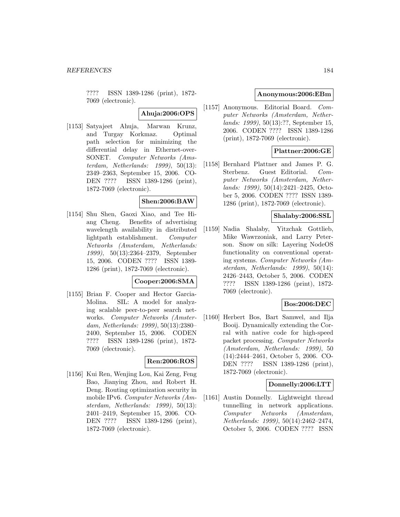???? ISSN 1389-1286 (print), 1872- 7069 (electronic).

**Ahuja:2006:OPS**

[1153] Satyajeet Ahuja, Marwan Krunz, and Turgay Korkmaz. Optimal path selection for minimizing the differential delay in Ethernet-over-SONET. Computer Networks (Amsterdam, Netherlands: 1999), 50(13): 2349–2363, September 15, 2006. CO-DEN ???? ISSN 1389-1286 (print), 1872-7069 (electronic).

### **Shen:2006:BAW**

[1154] Shu Shen, Gaoxi Xiao, and Tee Hiang Cheng. Benefits of advertising wavelength availability in distributed lightpath establishment. Computer Networks (Amsterdam, Netherlands: 1999), 50(13):2364–2379, September 15, 2006. CODEN ???? ISSN 1389- 1286 (print), 1872-7069 (electronic).

#### **Cooper:2006:SMA**

[1155] Brian F. Cooper and Hector Garcia-Molina. SIL: A model for analyzing scalable peer-to-peer search networks. Computer Networks (Amsterdam, Netherlands: 1999), 50(13):2380– 2400, September 15, 2006. CODEN ???? ISSN 1389-1286 (print), 1872- 7069 (electronic).

## **Ren:2006:ROS**

[1156] Kui Ren, Wenjing Lou, Kai Zeng, Feng Bao, Jianying Zhou, and Robert H. Deng. Routing optimization security in mobile IPv6. Computer Networks (Amsterdam, Netherlands: 1999), 50(13): 2401–2419, September 15, 2006. CO-DEN ???? ISSN 1389-1286 (print), 1872-7069 (electronic).

#### **Anonymous:2006:EBm**

[1157] Anonymous. Editorial Board. Computer Networks (Amsterdam, Netherlands: 1999), 50(13):??, September 15, 2006. CODEN ???? ISSN 1389-1286 (print), 1872-7069 (electronic).

### **Plattner:2006:GE**

[1158] Bernhard Plattner and James P. G. Sterbenz. Guest Editorial. Computer Networks (Amsterdam, Netherlands: 1999), 50(14):2421–2425, October 5, 2006. CODEN ???? ISSN 1389- 1286 (print), 1872-7069 (electronic).

# **Shalaby:2006:SSL**

[1159] Nadia Shalaby, Yitzchak Gottlieb, Mike Wawrzoniak, and Larry Peterson. Snow on silk: Layering NodeOS functionality on conventional operating systems. Computer Networks (Amsterdam, Netherlands: 1999), 50(14): 2426–2443, October 5, 2006. CODEN ???? ISSN 1389-1286 (print), 1872- 7069 (electronic).

#### **Bos:2006:DEC**

[1160] Herbert Bos, Bart Samwel, and Ilja Booij. Dynamically extending the Corral with native code for high-speed packet processing. Computer Networks (Amsterdam, Netherlands: 1999), 50 (14):2444–2461, October 5, 2006. CO-DEN ???? ISSN 1389-1286 (print), 1872-7069 (electronic).

#### **Donnelly:2006:LTT**

[1161] Austin Donnelly. Lightweight thread tunnelling in network applications. Computer Networks (Amsterdam, Netherlands: 1999), 50(14):2462–2474, October 5, 2006. CODEN ???? ISSN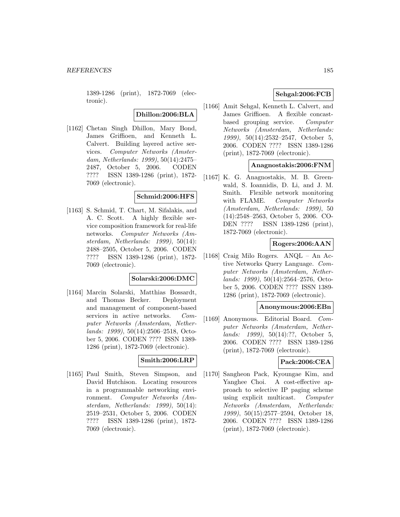1389-1286 (print), 1872-7069 (electronic).

## **Dhillon:2006:BLA**

[1162] Chetan Singh Dhillon, Mary Bond, James Griffioen, and Kenneth L. Calvert. Building layered active services. Computer Networks (Amsterdam, Netherlands: 1999), 50(14):2475– 2487, October 5, 2006. CODEN ???? ISSN 1389-1286 (print), 1872- 7069 (electronic).

#### **Schmid:2006:HFS**

[1163] S. Schmid, T. Chart, M. Sifalakis, and A. C. Scott. A highly flexible service composition framework for real-life networks. Computer Networks (Amsterdam, Netherlands: 1999), 50(14): 2488–2505, October 5, 2006. CODEN ???? ISSN 1389-1286 (print), 1872- 7069 (electronic).

#### **Solarski:2006:DMC**

[1164] Marcin Solarski, Matthias Bossardt, and Thomas Becker. Deployment and management of component-based services in active networks. Computer Networks (Amsterdam, Netherlands: 1999), 50(14):2506–2518, October 5, 2006. CODEN ???? ISSN 1389- 1286 (print), 1872-7069 (electronic).

#### **Smith:2006:LRP**

[1165] Paul Smith, Steven Simpson, and David Hutchison. Locating resources in a programmable networking environment. Computer Networks (Amsterdam, Netherlands: 1999), 50(14): 2519–2531, October 5, 2006. CODEN ???? ISSN 1389-1286 (print), 1872- 7069 (electronic).

### **Sehgal:2006:FCB**

[1166] Amit Sehgal, Kenneth L. Calvert, and James Griffioen. A flexible concastbased grouping service. Computer Networks (Amsterdam, Netherlands: 1999), 50(14):2532–2547, October 5, 2006. CODEN ???? ISSN 1389-1286 (print), 1872-7069 (electronic).

#### **Anagnostakis:2006:FNM**

[1167] K. G. Anagnostakis, M. B. Greenwald, S. Ioannidis, D. Li, and J. M. Smith. Flexible network monitoring with FLAME. Computer Networks (Amsterdam, Netherlands: 1999), 50 (14):2548–2563, October 5, 2006. CO-DEN ???? ISSN 1389-1286 (print), 1872-7069 (electronic).

#### **Rogers:2006:AAN**

[1168] Craig Milo Rogers. ANQL – An Active Networks Query Language. Computer Networks (Amsterdam, Netherlands: 1999), 50(14):2564–2576, October 5, 2006. CODEN ???? ISSN 1389- 1286 (print), 1872-7069 (electronic).

#### **Anonymous:2006:EBn**

[1169] Anonymous. Editorial Board. Computer Networks (Amsterdam, Netherlands: 1999), 50(14):??, October 5, 2006. CODEN ???? ISSN 1389-1286 (print), 1872-7069 (electronic).

#### **Pack:2006:CEA**

[1170] Sangheon Pack, Kyoungae Kim, and Yanghee Choi. A cost-effective approach to selective IP paging scheme using explicit multicast. Computer Networks (Amsterdam, Netherlands: 1999), 50(15):2577–2594, October 18, 2006. CODEN ???? ISSN 1389-1286 (print), 1872-7069 (electronic).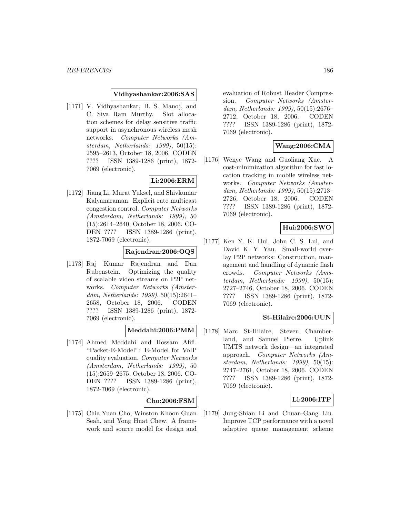#### **Vidhyashankar:2006:SAS**

[1171] V. Vidhyashankar, B. S. Manoj, and C. Siva Ram Murthy. Slot allocation schemes for delay sensitive traffic support in asynchronous wireless mesh networks. Computer Networks (Amsterdam, Netherlands: 1999), 50(15): 2595–2613, October 18, 2006. CODEN ???? ISSN 1389-1286 (print), 1872- 7069 (electronic).

### **Li:2006:ERM**

[1172] Jiang Li, Murat Yuksel, and Shivkumar Kalyanaraman. Explicit rate multicast congestion control. Computer Networks (Amsterdam, Netherlands: 1999), 50 (15):2614–2640, October 18, 2006. CO-DEN ???? ISSN 1389-1286 (print), 1872-7069 (electronic).

### **Rajendran:2006:OQS**

[1173] Raj Kumar Rajendran and Dan Rubenstein. Optimizing the quality of scalable video streams on P2P networks. Computer Networks (Amsterdam, Netherlands: 1999), 50(15):2641– 2658, October 18, 2006. CODEN ???? ISSN 1389-1286 (print), 1872- 7069 (electronic).

#### **Meddahi:2006:PMM**

[1174] Ahmed Meddahi and Hossam Afifi. "Packet-E-Model": E-Model for VoIP quality evaluation. Computer Networks (Amsterdam, Netherlands: 1999), 50 (15):2659–2675, October 18, 2006. CO-DEN ???? ISSN 1389-1286 (print), 1872-7069 (electronic).

#### **Cho:2006:FSM**

[1175] Chia Yuan Cho, Winston Khoon Guan Seah, and Yong Huat Chew. A framework and source model for design and

evaluation of Robust Header Compression. Computer Networks (Amsterdam, Netherlands: 1999), 50(15):2676– 2712, October 18, 2006. CODEN ???? ISSN 1389-1286 (print), 1872- 7069 (electronic).

### **Wang:2006:CMA**

[1176] Wenye Wang and Guoliang Xue. A cost-minimization algorithm for fast location tracking in mobile wireless networks. Computer Networks (Amsterdam, Netherlands: 1999), 50(15):2713– 2726, October 18, 2006. CODEN ???? ISSN 1389-1286 (print), 1872- 7069 (electronic).

### **Hui:2006:SWO**

[1177] Ken Y. K. Hui, John C. S. Lui, and David K. Y. Yau. Small-world overlay P2P networks: Construction, management and handling of dynamic flash crowds. Computer Networks (Amsterdam, Netherlands: 1999), 50(15): 2727–2746, October 18, 2006. CODEN ???? ISSN 1389-1286 (print), 1872- 7069 (electronic).

#### **St-Hilaire:2006:UUN**

[1178] Marc St-Hilaire, Steven Chamberland, and Samuel Pierre. Uplink UMTS network design—an integrated approach. Computer Networks (Amsterdam, Netherlands: 1999), 50(15): 2747–2761, October 18, 2006. CODEN ???? ISSN 1389-1286 (print), 1872- 7069 (electronic).

#### **Li:2006:ITP**

[1179] Jung-Shian Li and Chuan-Gang Liu. Improve TCP performance with a novel adaptive queue management scheme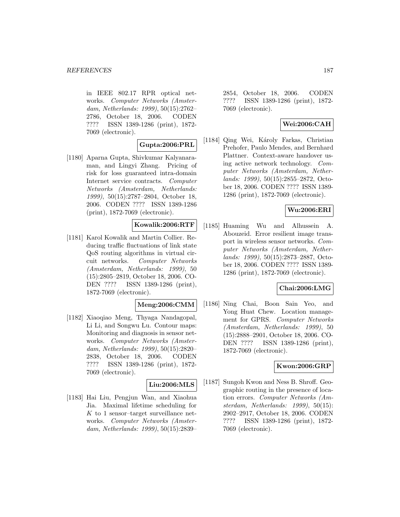in IEEE 802.17 RPR optical networks. Computer Networks (Amsterdam, Netherlands: 1999), 50(15):2762– 2786, October 18, 2006. CODEN ???? ISSN 1389-1286 (print), 1872- 7069 (electronic).

### **Gupta:2006:PRL**

[1180] Aparna Gupta, Shivkumar Kalyanaraman, and Lingyi Zhang. Pricing of risk for loss guaranteed intra-domain Internet service contracts. Computer Networks (Amsterdam, Netherlands: 1999), 50(15):2787–2804, October 18, 2006. CODEN ???? ISSN 1389-1286 (print), 1872-7069 (electronic).

## **Kowalik:2006:RTF**

[1181] Karol Kowalik and Martin Collier. Reducing traffic fluctuations of link state QoS routing algorithms in virtual circuit networks. Computer Networks (Amsterdam, Netherlands: 1999), 50 (15):2805–2819, October 18, 2006. CO-DEN ???? ISSN 1389-1286 (print), 1872-7069 (electronic).

#### **Meng:2006:CMM**

[1182] Xiaoqiao Meng, Thyaga Nandagopal, Li Li, and Songwu Lu. Contour maps: Monitoring and diagnosis in sensor networks. Computer Networks (Amsterdam, Netherlands: 1999), 50(15):2820– 2838, October 18, 2006. CODEN ???? ISSN 1389-1286 (print), 1872- 7069 (electronic).

## **Liu:2006:MLS**

[1183] Hai Liu, Pengjun Wan, and Xiaohua Jia. Maximal lifetime scheduling for  $K$  to 1 sensor-target surveillance networks. Computer Networks (Amsterdam, Netherlands: 1999), 50(15):2839–

2854, October 18, 2006. CODEN ???? ISSN 1389-1286 (print), 1872- 7069 (electronic).

### **Wei:2006:CAH**

[1184] Qing Wei, Károly Farkas, Christian Prehofer, Paulo Mendes, and Bernhard Plattner. Context-aware handover using active network technology. Computer Networks (Amsterdam, Netherlands: 1999), 50(15):2855–2872, October 18, 2006. CODEN ???? ISSN 1389- 1286 (print), 1872-7069 (electronic).

#### **Wu:2006:ERI**

[1185] Huaming Wu and Alhussein A. Abouzeid. Error resilient image transport in wireless sensor networks. Computer Networks (Amsterdam, Netherlands: 1999), 50(15):2873–2887, October 18, 2006. CODEN ???? ISSN 1389- 1286 (print), 1872-7069 (electronic).

#### **Chai:2006:LMG**

[1186] Ning Chai, Boon Sain Yeo, and Yong Huat Chew. Location management for GPRS. Computer Networks (Amsterdam, Netherlands: 1999), 50 (15):2888–2901, October 18, 2006. CO-DEN ???? ISSN 1389-1286 (print), 1872-7069 (electronic).

#### **Kwon:2006:GRP**

[1187] Sungoh Kwon and Ness B. Shroff. Geographic routing in the presence of location errors. Computer Networks (Amsterdam, Netherlands: 1999), 50(15): 2902–2917, October 18, 2006. CODEN ???? ISSN 1389-1286 (print), 1872- 7069 (electronic).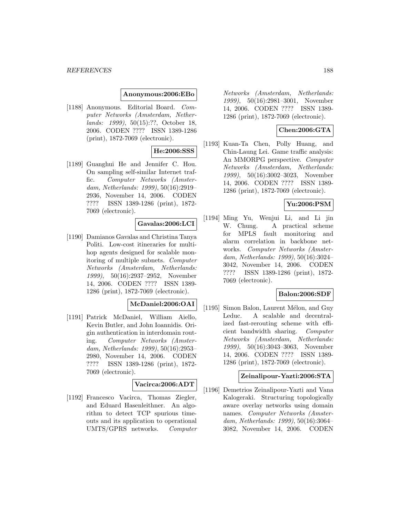#### **Anonymous:2006:EBo**

[1188] Anonymous. Editorial Board. Computer Networks (Amsterdam, Netherlands: 1999), 50(15):??, October 18, 2006. CODEN ???? ISSN 1389-1286 (print), 1872-7069 (electronic).

## **He:2006:SSS**

[1189] Guanghui He and Jennifer C. Hou. On sampling self-similar Internet traffic. Computer Networks (Amsterdam, Netherlands: 1999), 50(16):2919– 2936, November 14, 2006. CODEN ???? ISSN 1389-1286 (print), 1872- 7069 (electronic).

### **Gavalas:2006:LCI**

[1190] Damianos Gavalas and Christina Tanya Politi. Low-cost itineraries for multihop agents designed for scalable monitoring of multiple subnets. Computer Networks (Amsterdam, Netherlands: 1999), 50(16):2937–2952, November 14, 2006. CODEN ???? ISSN 1389- 1286 (print), 1872-7069 (electronic).

### **McDaniel:2006:OAI**

[1191] Patrick McDaniel, William Aiello, Kevin Butler, and John Ioannidis. Origin authentication in interdomain routing. Computer Networks (Amsterdam, Netherlands: 1999), 50(16):2953– 2980, November 14, 2006. CODEN ???? ISSN 1389-1286 (print), 1872- 7069 (electronic).

#### **Vacirca:2006:ADT**

[1192] Francesco Vacirca, Thomas Ziegler, and Eduard Hasenleithner. An algorithm to detect TCP spurious timeouts and its application to operational UMTS/GPRS networks. Computer

Networks (Amsterdam, Netherlands: 1999), 50(16):2981–3001, November 14, 2006. CODEN ???? ISSN 1389- 1286 (print), 1872-7069 (electronic).

## **Chen:2006:GTA**

[1193] Kuan-Ta Chen, Polly Huang, and Chin-Laung Lei. Game traffic analysis: An MMORPG perspective. Computer Networks (Amsterdam, Netherlands: 1999), 50(16):3002–3023, November 14, 2006. CODEN ???? ISSN 1389- 1286 (print), 1872-7069 (electronic).

## **Yu:2006:PSM**

[1194] Ming Yu, Wenjui Li, and Li jin W. Chung. A practical scheme for MPLS fault monitoring and alarm correlation in backbone networks. Computer Networks (Amsterdam, Netherlands: 1999), 50(16):3024– 3042, November 14, 2006. CODEN ???? ISSN 1389-1286 (print), 1872- 7069 (electronic).

#### **Balon:2006:SDF**

[1195] Simon Balon, Laurent Mélon, and Guy Leduc. A scalable and decentralized fast-rerouting scheme with efficient bandwidth sharing. Computer Networks (Amsterdam, Netherlands: 1999), 50(16):3043–3063, November 14, 2006. CODEN ???? ISSN 1389- 1286 (print), 1872-7069 (electronic).

#### **Zeinalipour-Yazti:2006:STA**

[1196] Demetrios Zeinalipour-Yazti and Vana Kalogeraki. Structuring topologically aware overlay networks using domain names. Computer Networks (Amsterdam, Netherlands: 1999), 50(16):3064– 3082, November 14, 2006. CODEN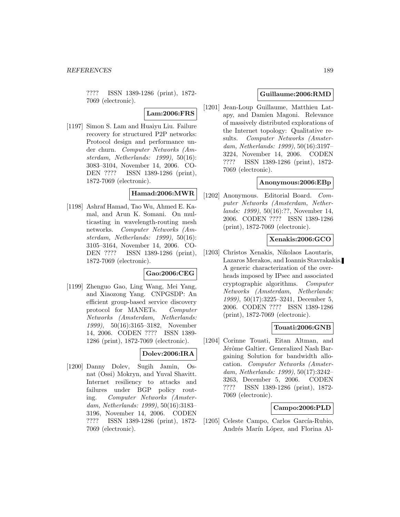???? ISSN 1389-1286 (print), 1872- 7069 (electronic).

**Lam:2006:FRS**

[1197] Simon S. Lam and Huaiyu Liu. Failure recovery for structured P2P networks: Protocol design and performance under churn. Computer Networks (Amsterdam, Netherlands: 1999), 50(16): 3083–3104, November 14, 2006. CO-DEN ???? ISSN 1389-1286 (print), 1872-7069 (electronic).

## **Hamad:2006:MWR**

[1198] Ashraf Hamad, Tao Wu, Ahmed E. Kamal, and Arun K. Somani. On multicasting in wavelength-routing mesh networks. Computer Networks (Amsterdam, Netherlands: 1999), 50(16): 3105–3164, November 14, 2006. CO-DEN ???? ISSN 1389-1286 (print), 1872-7069 (electronic).

#### **Gao:2006:CEG**

[1199] Zhenguo Gao, Ling Wang, Mei Yang, and Xiaozong Yang. CNPGSDP: An efficient group-based service discovery protocol for MANETs. Computer Networks (Amsterdam, Netherlands: 1999), 50(16):3165–3182, November 14, 2006. CODEN ???? ISSN 1389- 1286 (print), 1872-7069 (electronic).

### **Dolev:2006:IRA**

[1200] Danny Dolev, Sugih Jamin, Osnat (Ossi) Mokryn, and Yuval Shavitt. Internet resiliency to attacks and failures under BGP policy routing. Computer Networks (Amsterdam, Netherlands: 1999), 50(16):3183– 3196, November 14, 2006. CODEN ???? ISSN 1389-1286 (print), 1872- 7069 (electronic).

#### **Guillaume:2006:RMD**

[1201] Jean-Loup Guillaume, Matthieu Latapy, and Damien Magoni. Relevance of massively distributed explorations of the Internet topology: Qualitative results. Computer Networks (Amsterdam, Netherlands: 1999), 50(16):3197– 3224, November 14, 2006. CODEN ???? ISSN 1389-1286 (print), 1872- 7069 (electronic).

### **Anonymous:2006:EBp**

[1202] Anonymous. Editorial Board. Computer Networks (Amsterdam, Netherlands: 1999), 50(16):??, November 14, 2006. CODEN ???? ISSN 1389-1286 (print), 1872-7069 (electronic).

#### **Xenakis:2006:GCO**

[1203] Christos Xenakis, Nikolaos Laoutaris, Lazaros Merakos, and Ioannis Stavrakakis. A generic characterization of the overheads imposed by IPsec and associated cryptographic algorithms. Computer Networks (Amsterdam, Netherlands: 1999), 50(17):3225–3241, December 5, 2006. CODEN ???? ISSN 1389-1286 (print), 1872-7069 (electronic).

#### **Touati:2006:GNB**

[1204] Corinne Touati, Eitan Altman, and Jérôme Galtier. Generalized Nash Bargaining Solution for bandwidth allocation. Computer Networks (Amsterdam, Netherlands: 1999), 50(17):3242– 3263, December 5, 2006. CODEN ???? ISSN 1389-1286 (print), 1872- 7069 (electronic).

#### **Campo:2006:PLD**

[1205] Celeste Campo, Carlos García-Rubio, Andrés Marín López, and Florina Al-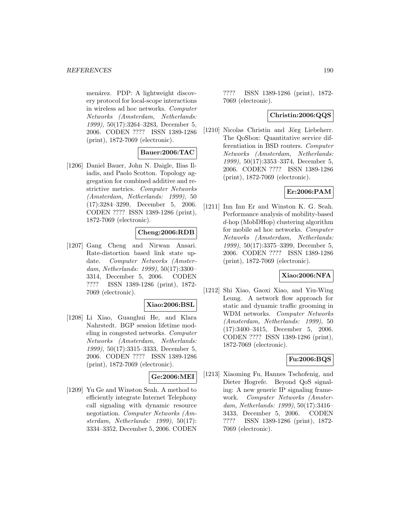menárez. PDP: A lightweight discovery protocol for local-scope interactions in wireless ad hoc networks. Computer Networks (Amsterdam, Netherlands: 1999), 50(17):3264–3283, December 5, 2006. CODEN ???? ISSN 1389-1286 (print), 1872-7069 (electronic).

### **Bauer:2006:TAC**

[1206] Daniel Bauer, John N. Daigle, Ilias Iliadis, and Paolo Scotton. Topology aggregation for combined additive and restrictive metrics. Computer Networks (Amsterdam, Netherlands: 1999), 50 (17):3284–3299, December 5, 2006. CODEN ???? ISSN 1389-1286 (print), 1872-7069 (electronic).

### **Cheng:2006:RDB**

[1207] Gang Cheng and Nirwan Ansari. Rate-distortion based link state update. Computer Networks (Amsterdam, Netherlands: 1999), 50(17):3300– 3314, December 5, 2006. CODEN ???? ISSN 1389-1286 (print), 1872- 7069 (electronic).

#### **Xiao:2006:BSL**

[1208] Li Xiao, Guanghui He, and Klara Nahrstedt. BGP session lifetime modeling in congested networks. Computer Networks (Amsterdam, Netherlands: 1999), 50(17):3315–3333, December 5, 2006. CODEN ???? ISSN 1389-1286 (print), 1872-7069 (electronic).

## **Ge:2006:MEI**

[1209] Yu Ge and Winston Seah. A method to efficiently integrate Internet Telephony call signaling with dynamic resource negotiation. Computer Networks (Amsterdam, Netherlands: 1999), 50(17): 3334–3352, December 5, 2006. CODEN

???? ISSN 1389-1286 (print), 1872- 7069 (electronic).

### **Christin:2006:QQS**

[1210] Nicolas Christin and Jörg Liebeherr. The QoSbox: Quantitative service differentiation in BSD routers. Computer Networks (Amsterdam, Netherlands: 1999), 50(17):3353–3374, December 5, 2006. CODEN ???? ISSN 1389-1286 (print), 1872-7069 (electronic).

### **Er:2006:PAM**

[1211] Inn Inn Er and Winston K. G. Seah. Performance analysis of mobility-based d-hop (MobDHop) clustering algorithm for mobile ad hoc networks. Computer Networks (Amsterdam, Netherlands: 1999), 50(17):3375–3399, December 5, 2006. CODEN ???? ISSN 1389-1286 (print), 1872-7069 (electronic).

#### **Xiao:2006:NFA**

[1212] Shi Xiao, Gaoxi Xiao, and Yiu-Wing Leung. A network flow approach for static and dynamic traffic grooming in WDM networks. Computer Networks (Amsterdam, Netherlands: 1999), 50 (17):3400–3415, December 5, 2006. CODEN ???? ISSN 1389-1286 (print), 1872-7069 (electronic).

#### **Fu:2006:BQS**

[1213] Xiaoming Fu, Hannes Tschofenig, and Dieter Hogrefe. Beyond QoS signaling: A new generic IP signaling framework. Computer Networks (Amsterdam, Netherlands: 1999), 50(17):3416– 3433, December 5, 2006. CODEN ???? ISSN 1389-1286 (print), 1872- 7069 (electronic).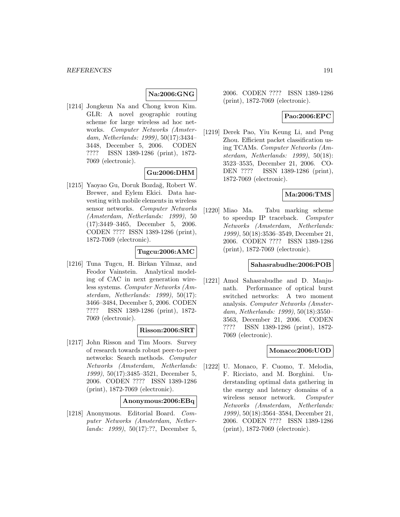# **Na:2006:GNG**

[1214] Jongkeun Na and Chong kwon Kim. GLR: A novel geographic routing scheme for large wireless ad hoc networks. Computer Networks (Amsterdam, Netherlands: 1999), 50(17):3434– 3448, December 5, 2006. CODEN ???? ISSN 1389-1286 (print), 1872- 7069 (electronic).

## **Gu:2006:DHM**

[1215] Yaoyao Gu, Doruk Bozdağ, Robert W. Brewer, and Eylem Ekici. Data harvesting with mobile elements in wireless sensor networks. Computer Networks (Amsterdam, Netherlands: 1999), 50 (17):3449–3465, December 5, 2006. CODEN ???? ISSN 1389-1286 (print), 1872-7069 (electronic).

### **Tugcu:2006:AMC**

[1216] Tuna Tugcu, H. Birkan Yilmaz, and Feodor Vainstein. Analytical modeling of CAC in next generation wireless systems. Computer Networks (Amsterdam, Netherlands: 1999), 50(17): 3466–3484, December 5, 2006. CODEN ???? ISSN 1389-1286 (print), 1872- 7069 (electronic).

## **Risson:2006:SRT**

[1217] John Risson and Tim Moors. Survey of research towards robust peer-to-peer networks: Search methods. Computer Networks (Amsterdam, Netherlands: 1999), 50(17):3485–3521, December 5, 2006. CODEN ???? ISSN 1389-1286 (print), 1872-7069 (electronic).

#### **Anonymous:2006:EBq**

[1218] Anonymous. Editorial Board. Computer Networks (Amsterdam, Netherlands: 1999), 50(17):??, December 5,

2006. CODEN ???? ISSN 1389-1286 (print), 1872-7069 (electronic).

#### **Pao:2006:EPC**

[1219] Derek Pao, Yiu Keung Li, and Peng Zhou. Efficient packet classification using TCAMs. Computer Networks (Amsterdam, Netherlands: 1999), 50(18): 3523–3535, December 21, 2006. CO-DEN ???? ISSN 1389-1286 (print), 1872-7069 (electronic).

#### **Ma:2006:TMS**

[1220] Miao Ma. Tabu marking scheme to speedup IP traceback. Computer Networks (Amsterdam, Netherlands: 1999), 50(18):3536–3549, December 21, 2006. CODEN ???? ISSN 1389-1286 (print), 1872-7069 (electronic).

#### **Sahasrabudhe:2006:POB**

[1221] Amol Sahasrabudhe and D. Manjunath. Performance of optical burst switched networks: A two moment analysis. Computer Networks (Amsterdam, Netherlands: 1999), 50(18):3550– 3563, December 21, 2006. CODEN ???? ISSN 1389-1286 (print), 1872- 7069 (electronic).

#### **Monaco:2006:UOD**

[1222] U. Monaco, F. Cuomo, T. Melodia, F. Ricciato, and M. Borghini. Understanding optimal data gathering in the energy and latency domains of a wireless sensor network. Computer Networks (Amsterdam, Netherlands: 1999), 50(18):3564–3584, December 21, 2006. CODEN ???? ISSN 1389-1286 (print), 1872-7069 (electronic).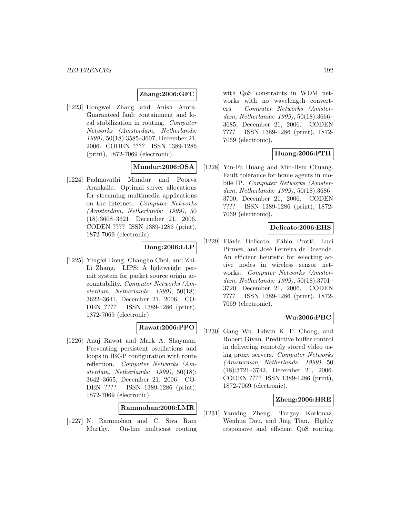### **Zhang:2006:GFC**

[1223] Hongwei Zhang and Anish Arora. Guaranteed fault containment and local stabilization in routing. Computer Networks (Amsterdam, Netherlands: 1999), 50(18):3585–3607, December 21, 2006. CODEN ???? ISSN 1389-1286 (print), 1872-7069 (electronic).

### **Mundur:2006:OSA**

[1224] Padmavathi Mundur and Poorva Arankalle. Optimal server allocations for streaming multimedia applications on the Internet. Computer Networks (Amsterdam, Netherlands: 1999), 50 (18):3608–3621, December 21, 2006. CODEN ???? ISSN 1389-1286 (print), 1872-7069 (electronic).

### **Dong:2006:LLP**

[1225] Yingfei Dong, Changho Choi, and Zhi-Li Zhang. LIPS: A lightweight permit system for packet source origin accountability. Computer Networks (Amsterdam, Netherlands: 1999), 50(18): 3622–3641, December 21, 2006. CO-DEN ???? ISSN 1389-1286 (print), 1872-7069 (electronic).

#### **Rawat:2006:PPO**

[1226] Anuj Rawat and Mark A. Shayman. Preventing persistent oscillations and loops in IBGP configuration with route reflection. Computer Networks (Amsterdam, Netherlands: 1999), 50(18): 3642–3665, December 21, 2006. CO-DEN ???? ISSN 1389-1286 (print), 1872-7069 (electronic).

**Rammohan:2006:LMR**

[1227] N. Rammohan and C. Siva Ram Murthy. On-line multicast routing

with QoS constraints in WDM networks with no wavelength converters. Computer Networks (Amsterdam, Netherlands: 1999), 50(18):3666– 3685, December 21, 2006. CODEN ???? ISSN 1389-1286 (print), 1872- 7069 (electronic).

#### **Huang:2006:FTH**

[1228] Yin-Fu Huang and Min-Hsiu Chuang. Fault tolerance for home agents in mobile IP. Computer Networks (Amsterdam, Netherlands: 1999), 50(18):3686– 3700, December 21, 2006. CODEN ???? ISSN 1389-1286 (print), 1872- 7069 (electronic).

#### **Delicato:2006:EHS**

[1229] Flávia Delicato, Fábio Protti, Luci Pirmez, and José Ferreira de Rezende. An efficient heuristic for selecting active nodes in wireless sensor networks. Computer Networks (Amsterdam, Netherlands: 1999), 50(18):3701– 3720, December 21, 2006. CODEN ???? ISSN 1389-1286 (print), 1872- 7069 (electronic).

#### **Wu:2006:PBC**

[1230] Gang Wu, Edwin K. P. Chong, and Robert Givan. Predictive buffer control in delivering remotely stored video using proxy servers. Computer Networks (Amsterdam, Netherlands: 1999), 50 (18):3721–3742, December 21, 2006. CODEN ???? ISSN 1389-1286 (print), 1872-7069 (electronic).

#### **Zheng:2006:HRE**

[1231] Yanxing Zheng, Turgay Korkmaz, Wenhua Dou, and Jing Tian. Highly responsive and efficient QoS routing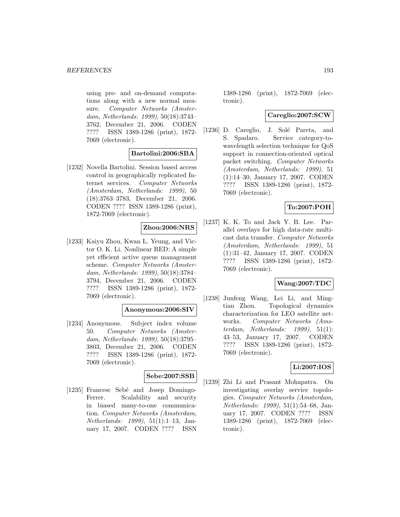using pre- and on-demand computations along with a new normal measure. Computer Networks (Amsterdam, Netherlands: 1999), 50(18):3743– 3762, December 21, 2006. CODEN ???? ISSN 1389-1286 (print), 1872- 7069 (electronic).

### **Bartolini:2006:SBA**

[1232] Novella Bartolini. Session based access control in geographically replicated Internet services. Computer Networks (Amsterdam, Netherlands: 1999), 50 (18):3763–3783, December 21, 2006. CODEN ???? ISSN 1389-1286 (print), 1872-7069 (electronic).

### **Zhou:2006:NRS**

[1233] Kaiyu Zhou, Kwan L. Yeung, and Victor O. K. Li. Nonlinear RED: A simple yet efficient active queue management scheme. Computer Networks (Amsterdam, Netherlands: 1999), 50(18):3784– 3794, December 21, 2006. CODEN ???? ISSN 1389-1286 (print), 1872- 7069 (electronic).

#### **Anonymous:2006:SIV**

[1234] Anonymous. Subject index volume 50. Computer Networks (Amsterdam, Netherlands: 1999), 50(18):3795– 3803, December 21, 2006. CODEN ???? ISSN 1389-1286 (print), 1872- 7069 (electronic).

#### **Sebe:2007:SSB**

[1235] Francesc Sebé and Josep Domingo-Ferrer. Scalability and security in biased many-to-one communication. Computer Networks (Amsterdam, Netherlands: 1999), 51(1):1–13, January 17, 2007. CODEN ???? ISSN

1389-1286 (print), 1872-7069 (electronic).

## **Careglio:2007:SCW**

[1236] D. Careglio, J. Solé Pareta, and S. Spadaro. Service category-towavelength selection technique for QoS support in connection-oriented optical packet switching. Computer Networks (Amsterdam, Netherlands: 1999), 51 (1):14–30, January 17, 2007. CODEN ???? ISSN 1389-1286 (print), 1872- 7069 (electronic).

### **To:2007:POH**

[1237] K. K. To and Jack Y. B. Lee. Parallel overlays for high data-rate multicast data transfer. Computer Networks (Amsterdam, Netherlands: 1999), 51 (1):31–42, January 17, 2007. CODEN ???? ISSN 1389-1286 (print), 1872- 7069 (electronic).

#### **Wang:2007:TDC**

[1238] Junfeng Wang, Lei Li, and Mingtian Zhou. Topological dynamics characterization for LEO satellite networks. Computer Networks (Amsterdam, Netherlands: 1999), 51(1): 43–53, January 17, 2007. CODEN ???? ISSN 1389-1286 (print), 1872- 7069 (electronic).

#### **Li:2007:IOS**

[1239] Zhi Li and Prasant Mohapatra. On investigating overlay service topologies. Computer Networks (Amsterdam, Netherlands: 1999), 51(1):54–68, January 17, 2007. CODEN ???? ISSN 1389-1286 (print), 1872-7069 (electronic).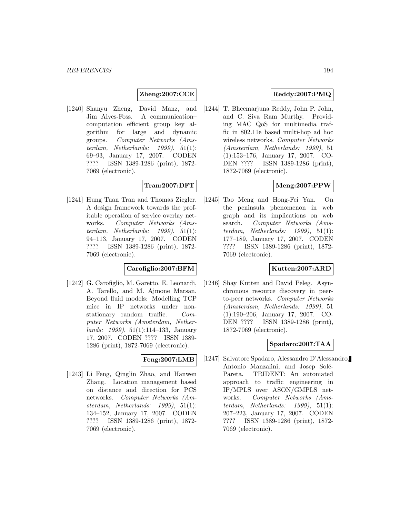#### **Zheng:2007:CCE**

[1240] Shanyu Zheng, David Manz, and Jim Alves-Foss. A communication– computation efficient group key algorithm for large and dynamic groups. Computer Networks (Amsterdam, Netherlands:  $1999$ ,  $51(1)$ : 69–93, January 17, 2007. CODEN ???? ISSN 1389-1286 (print), 1872- 7069 (electronic).

# **Tran:2007:DFT**

[1241] Hung Tuan Tran and Thomas Ziegler. A design framework towards the profitable operation of service overlay networks. Computer Networks (Amsterdam, Netherlands:  $1999$ ),  $51(1)$ : 94–113, January 17, 2007. CODEN ???? ISSN 1389-1286 (print), 1872- 7069 (electronic).

### **Carofiglio:2007:BFM**

[1242] G. Carofiglio, M. Garetto, E. Leonardi, A. Tarello, and M. Ajmone Marsan. Beyond fluid models: Modelling TCP mice in IP networks under nonstationary random traffic. Computer Networks (Amsterdam, Netherlands: 1999), 51(1):114–133, January 17, 2007. CODEN ???? ISSN 1389- 1286 (print), 1872-7069 (electronic).

#### **Feng:2007:LMB**

[1243] Li Feng, Qinglin Zhao, and Hanwen Zhang. Location management based on distance and direction for PCS networks. Computer Networks (Amsterdam, Netherlands: 1999), 51(1): 134–152, January 17, 2007. CODEN ???? ISSN 1389-1286 (print), 1872- 7069 (electronic).

# **Reddy:2007:PMQ**

[1244] T. Bheemarjuna Reddy, John P. John, and C. Siva Ram Murthy. Providing MAC QoS for multimedia traffic in 802.11e based multi-hop ad hoc wireless networks. Computer Networks (Amsterdam, Netherlands: 1999), 51 (1):153–176, January 17, 2007. CO-DEN ???? ISSN 1389-1286 (print), 1872-7069 (electronic).

## **Meng:2007:PPW**

[1245] Tao Meng and Hong-Fei Yan. On the peninsula phenomenon in web graph and its implications on web search. Computer Networks (Amsterdam, Netherlands:  $1999$ ),  $51(1)$ : 177–189, January 17, 2007. CODEN ???? ISSN 1389-1286 (print), 1872- 7069 (electronic).

### **Kutten:2007:ARD**

[1246] Shay Kutten and David Peleg. Asynchronous resource discovery in peerto-peer networks. Computer Networks (Amsterdam, Netherlands: 1999), 51 (1):190–206, January 17, 2007. CO-DEN ???? ISSN 1389-1286 (print), 1872-7069 (electronic).

## **Spadaro:2007:TAA**

[1247] Salvatore Spadaro, Alessandro D'Alessandro, Antonio Manzalini, and Josep Solé-Pareta. TRIDENT: An automated approach to traffic engineering in IP/MPLS over ASON/GMPLS networks. Computer Networks (Amsterdam, Netherlands: 1999), 51(1): 207–223, January 17, 2007. CODEN ???? ISSN 1389-1286 (print), 1872- 7069 (electronic).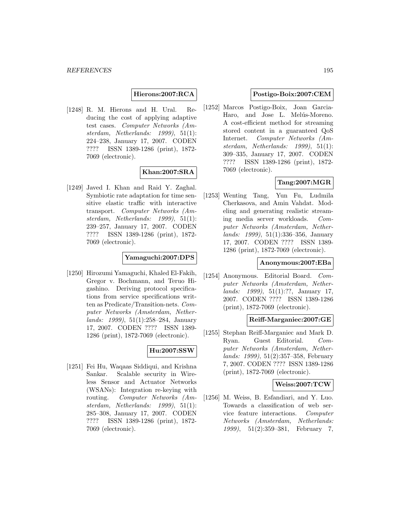**Hierons:2007:RCA**

[1248] R. M. Hierons and H. Ural. Reducing the cost of applying adaptive test cases. Computer Networks (Amsterdam, Netherlands: 1999), 51(1): 224–238, January 17, 2007. CODEN ???? ISSN 1389-1286 (print), 1872- 7069 (electronic).

#### **Khan:2007:SRA**

[1249] Javed I. Khan and Raid Y. Zaghal. Symbiotic rate adaptation for time sensitive elastic traffic with interactive transport. Computer Networks (Amsterdam, Netherlands: 1999), 51(1): 239–257, January 17, 2007. CODEN ???? ISSN 1389-1286 (print), 1872- 7069 (electronic).

### **Yamaguchi:2007:DPS**

[1250] Hirozumi Yamaguchi, Khaled El-Fakih, Gregor v. Bochmann, and Teruo Higashino. Deriving protocol specifications from service specifications written as Predicate/Transition-nets. Computer Networks (Amsterdam, Netherlands: 1999), 51(1):258–284, January 17, 2007. CODEN ???? ISSN 1389- 1286 (print), 1872-7069 (electronic).

#### **Hu:2007:SSW**

[1251] Fei Hu, Waqaas Siddiqui, and Krishna Sankar. Scalable security in Wireless Sensor and Actuator Networks (WSANs): Integration re-keying with routing. Computer Networks (Amsterdam, Netherlands: 1999), 51(1): 285–308, January 17, 2007. CODEN ???? ISSN 1389-1286 (print), 1872- 7069 (electronic).

#### **Postigo-Boix:2007:CEM**

[1252] Marcos Postigo-Boix, Joan Garcia-Haro, and Jose L. Melús-Moreno. A cost-efficient method for streaming stored content in a guaranteed QoS Internet. Computer Networks (Amsterdam, Netherlands: 1999), 51(1): 309–335, January 17, 2007. CODEN ???? ISSN 1389-1286 (print), 1872- 7069 (electronic).

### **Tang:2007:MGR**

[1253] Wenting Tang, Yun Fu, Ludmila Cherkasova, and Amin Vahdat. Modeling and generating realistic streaming media server workloads. Computer Networks (Amsterdam, Netherlands: 1999), 51(1):336–356, January 17, 2007. CODEN ???? ISSN 1389- 1286 (print), 1872-7069 (electronic).

#### **Anonymous:2007:EBa**

[1254] Anonymous. Editorial Board. Computer Networks (Amsterdam, Netherlands: 1999), 51(1):??, January 17, 2007. CODEN ???? ISSN 1389-1286 (print), 1872-7069 (electronic).

#### **Reiff-Marganiec:2007:GE**

[1255] Stephan Reiff-Marganiec and Mark D. Ryan. Guest Editorial. Computer Networks (Amsterdam, Netherlands: 1999), 51(2):357–358, February 7, 2007. CODEN ???? ISSN 1389-1286 (print), 1872-7069 (electronic).

#### **Weiss:2007:TCW**

[1256] M. Weiss, B. Esfandiari, and Y. Luo. Towards a classification of web service feature interactions. Computer Networks (Amsterdam, Netherlands: 1999), 51(2):359–381, February 7,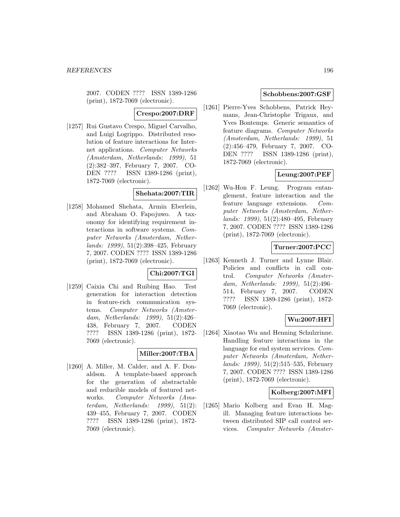2007. CODEN ???? ISSN 1389-1286 (print), 1872-7069 (electronic).

**Crespo:2007:DRF**

[1257] Rui Gustavo Crespo, Miguel Carvalho, and Luigi Logrippo. Distributed resolution of feature interactions for Internet applications. Computer Networks (Amsterdam, Netherlands: 1999), 51 (2):382–397, February 7, 2007. CO-DEN ???? ISSN 1389-1286 (print), 1872-7069 (electronic).

### **Shehata:2007:TIR**

[1258] Mohamed Shehata, Armin Eberlein, and Abraham O. Fapojuwo. A taxonomy for identifying requirement interactions in software systems. Computer Networks (Amsterdam, Netherlands: 1999), 51(2):398–425, February 7, 2007. CODEN ???? ISSN 1389-1286 (print), 1872-7069 (electronic).

#### **Chi:2007:TGI**

[1259] Caixia Chi and Ruibing Hao. Test generation for interaction detection in feature-rich communication systems. Computer Networks (Amsterdam, Netherlands: 1999), 51(2):426– 438, February 7, 2007. CODEN ???? ISSN 1389-1286 (print), 1872- 7069 (electronic).

### **Miller:2007:TBA**

[1260] A. Miller, M. Calder, and A. F. Donaldson. A template-based approach for the generation of abstractable and reducible models of featured networks. Computer Networks (Amsterdam, Netherlands: 1999), 51(2): 439–455, February 7, 2007. CODEN ???? ISSN 1389-1286 (print), 1872- 7069 (electronic).

#### **Schobbens:2007:GSF**

[1261] Pierre-Yves Schobbens, Patrick Heymans, Jean-Christophe Trigaux, and Yves Bontemps. Generic semantics of feature diagrams. Computer Networks (Amsterdam, Netherlands: 1999), 51 (2):456–479, February 7, 2007. CO-DEN ???? ISSN 1389-1286 (print), 1872-7069 (electronic).

### **Leung:2007:PEF**

[1262] Wu-Hon F. Leung. Program entanglement, feature interaction and the feature language extensions. Computer Networks (Amsterdam, Netherlands: 1999), 51(2):480–495, February 7, 2007. CODEN ???? ISSN 1389-1286 (print), 1872-7069 (electronic).

# **Turner:2007:PCC**

[1263] Kenneth J. Turner and Lynne Blair. Policies and conflicts in call control. Computer Networks (Amsterdam, Netherlands: 1999), 51(2):496– 514, February 7, 2007. CODEN ???? ISSN 1389-1286 (print), 1872- 7069 (electronic).

## **Wu:2007:HFI**

[1264] Xiaotao Wu and Henning Schulzrinne. Handling feature interactions in the language for end system services. Computer Networks (Amsterdam, Netherlands: 1999), 51(2):515–535, February 7, 2007. CODEN ???? ISSN 1389-1286 (print), 1872-7069 (electronic).

#### **Kolberg:2007:MFI**

[1265] Mario Kolberg and Evan H. Magill. Managing feature interactions between distributed SIP call control services. Computer Networks (Amster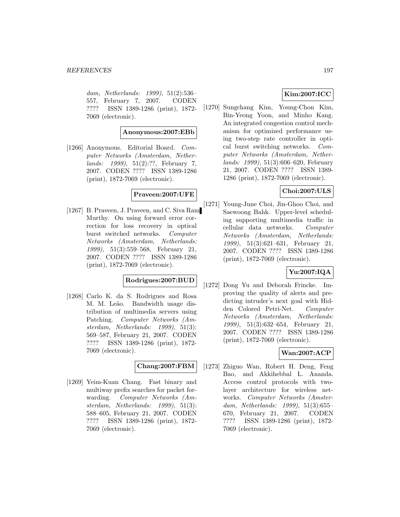dam, Netherlands: 1999), 51(2):536– 557, February 7, 2007. CODEN ???? ISSN 1389-1286 (print), 1872- 7069 (electronic).

**Anonymous:2007:EBb**

[1266] Anonymous. Editorial Board. Computer Networks (Amsterdam, Netherlands: 1999), 51(2):??, February 7, 2007. CODEN ???? ISSN 1389-1286 (print), 1872-7069 (electronic).

### **Praveen:2007:UFE**

[1267] B. Praveen, J. Praveen, and C. Siva Ram Murthy. On using forward error correction for loss recovery in optical burst switched networks. Computer Networks (Amsterdam, Netherlands: 1999), 51(3):559–568, February 21, 2007. CODEN ???? ISSN 1389-1286 (print), 1872-7069 (electronic).

# **Rodrigues:2007:BUD**

[1268] Carlo K. da S. Rodrigues and Rosa M. M. Leão. Bandwidth usage distribution of multimedia servers using Patching. Computer Networks (Amsterdam, Netherlands: 1999), 51(3): 569–587, February 21, 2007. CODEN ???? ISSN 1389-1286 (print), 1872- 7069 (electronic).

### **Chang:2007:FBM**

[1269] Yeim-Kuan Chang. Fast binary and multiway prefix searches for packet forwarding. Computer Networks (Amsterdam, Netherlands: 1999), 51(3): 588–605, February 21, 2007. CODEN ???? ISSN 1389-1286 (print), 1872- 7069 (electronic).

# **Kim:2007:ICC**

[1270] Sungchang Kim, Young-Chon Kim, Bin-Yeong Yoon, and Minho Kang. An integrated congestion control mechanism for optimized performance using two-step rate controller in optical burst switching networks. Computer Networks (Amsterdam, Netherlands: 1999), 51(3):606–620, February 21, 2007. CODEN ???? ISSN 1389- 1286 (print), 1872-7069 (electronic).

# **Choi:2007:ULS**

[1271] Young-June Choi, Jin-Ghoo Choi, and Saewoong Bahk. Upper-level scheduling supporting multimedia traffic in cellular data networks. Computer Networks (Amsterdam, Netherlands: 1999), 51(3):621–631, February 21, 2007. CODEN ???? ISSN 1389-1286 (print), 1872-7069 (electronic).

## **Yu:2007:IQA**

[1272] Dong Yu and Deborah Frincke. Improving the quality of alerts and predicting intruder's next goal with Hidden Colored Petri-Net. Computer Networks (Amsterdam, Netherlands: 1999), 51(3):632–654, February 21, 2007. CODEN ???? ISSN 1389-1286 (print), 1872-7069 (electronic).

## **Wan:2007:ACP**

[1273] Zhiguo Wan, Robert H. Deng, Feng Bao, and Akkihebbal L. Ananda. Access control protocols with twolayer architecture for wireless networks. Computer Networks (Amsterdam, Netherlands: 1999), 51(3):655– 670, February 21, 2007. CODEN ???? ISSN 1389-1286 (print), 1872- 7069 (electronic).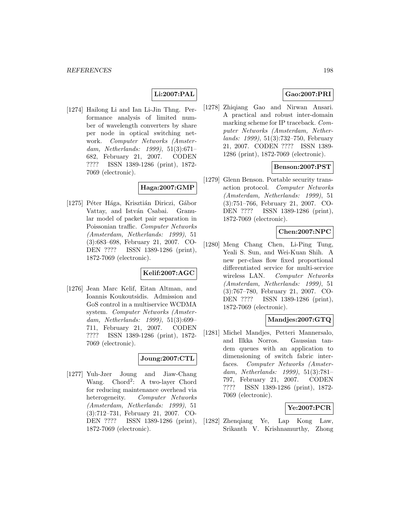### **Li:2007:PAL**

[1274] Hailong Li and Ian Li-Jin Thng. Performance analysis of limited number of wavelength converters by share per node in optical switching network. Computer Networks (Amsterdam, Netherlands: 1999), 51(3):671– 682, February 21, 2007. CODEN ???? ISSN 1389-1286 (print), 1872- 7069 (electronic).

### **Haga:2007:GMP**

[1275] Péter Hága, Krisztián Diriczi, Gábor Vattay, and István Csabai. Granular model of packet pair separation in Poissonian traffic. Computer Networks (Amsterdam, Netherlands: 1999), 51 (3):683–698, February 21, 2007. CO-DEN ???? ISSN 1389-1286 (print), 1872-7069 (electronic).

### **Kelif:2007:AGC**

[1276] Jean Marc Kelif, Eitan Altman, and Ioannis Koukoutsidis. Admission and GoS control in a multiservice WCDMA system. Computer Networks (Amsterdam, Netherlands: 1999), 51(3):699– 711, February 21, 2007. CODEN ???? ISSN 1389-1286 (print), 1872- 7069 (electronic).

# **Joung:2007:CTL**

[1277] Yuh-Jzer Joung and Jiaw-Chang Wang. Chord<sup>2</sup>: A two-layer Chord for reducing maintenance overhead via heterogeneity. Computer Networks (Amsterdam, Netherlands: 1999), 51 (3):712–731, February 21, 2007. CO-DEN ???? ISSN 1389-1286 (print), 1872-7069 (electronic).

### **Gao:2007:PRI**

[1278] Zhiqiang Gao and Nirwan Ansari. A practical and robust inter-domain marking scheme for IP traceback. Computer Networks (Amsterdam, Netherlands: 1999), 51(3):732–750, February 21, 2007. CODEN ???? ISSN 1389- 1286 (print), 1872-7069 (electronic).

### **Benson:2007:PST**

[1279] Glenn Benson. Portable security transaction protocol. Computer Networks (Amsterdam, Netherlands: 1999), 51 (3):751–766, February 21, 2007. CO-DEN ???? ISSN 1389-1286 (print), 1872-7069 (electronic).

#### **Chen:2007:NPC**

[1280] Meng Chang Chen, Li-Ping Tung, Yeali S. Sun, and Wei-Kuan Shih. A new per-class flow fixed proportional differentiated service for multi-service wireless LAN. Computer Networks (Amsterdam, Netherlands: 1999), 51 (3):767–780, February 21, 2007. CO-DEN ???? ISSN 1389-1286 (print), 1872-7069 (electronic).

### **Mandjes:2007:GTQ**

[1281] Michel Mandjes, Petteri Mannersalo, and Ilkka Norros. Gaussian tandem queues with an application to dimensioning of switch fabric interfaces. Computer Networks (Amsterdam, Netherlands: 1999), 51(3):781– 797, February 21, 2007. CODEN ???? ISSN 1389-1286 (print), 1872- 7069 (electronic).

#### **Ye:2007:PCR**

[1282] Zhenqiang Ye, Lap Kong Law, Srikanth V. Krishnamurthy, Zhong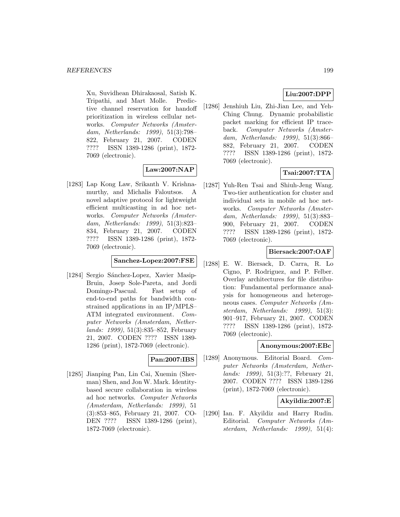Xu, Suvidhean Dhirakaosal, Satish K. Tripathi, and Mart Molle. Predictive channel reservation for handoff prioritization in wireless cellular networks. Computer Networks (Amsterdam, Netherlands: 1999), 51(3):798– 822, February 21, 2007. CODEN ???? ISSN 1389-1286 (print), 1872- 7069 (electronic).

# **Law:2007:NAP**

[1283] Lap Kong Law, Srikanth V. Krishnamurthy, and Michalis Faloutsos. A novel adaptive protocol for lightweight efficient multicasting in ad hoc networks. Computer Networks (Amsterdam, Netherlands: 1999), 51(3):823– 834, February 21, 2007. CODEN ???? ISSN 1389-1286 (print), 1872- 7069 (electronic).

### **Sanchez-Lopez:2007:FSE**

[1284] Sergio Sánchez-Lopez, Xavier Masip-Bruin, Josep Sole-Pareta, and Jordi Domingo-Pascual. Fast setup of end-to-end paths for bandwidth constrained applications in an IP/MPLS– ATM integrated environment. Computer Networks (Amsterdam, Netherlands: 1999), 51(3):835–852, February 21, 2007. CODEN ???? ISSN 1389- 1286 (print), 1872-7069 (electronic).

#### **Pan:2007:IBS**

[1285] Jianping Pan, Lin Cai, Xuemin (Sherman) Shen, and Jon W. Mark. Identitybased secure collaboration in wireless ad hoc networks. Computer Networks (Amsterdam, Netherlands: 1999), 51 (3):853–865, February 21, 2007. CO-DEN ???? ISSN 1389-1286 (print), 1872-7069 (electronic).

# **Liu:2007:DPP**

[1286] Jenshiuh Liu, Zhi-Jian Lee, and Yeh-Ching Chung. Dynamic probabilistic packet marking for efficient IP traceback. Computer Networks (Amsterdam, Netherlands: 1999), 51(3):866– 882, February 21, 2007. CODEN ???? ISSN 1389-1286 (print), 1872- 7069 (electronic).

# **Tsai:2007:TTA**

[1287] Yuh-Ren Tsai and Shiuh-Jeng Wang. Two-tier authentication for cluster and individual sets in mobile ad hoc networks. Computer Networks (Amsterdam, Netherlands: 1999), 51(3):883– 900, February 21, 2007. CODEN ???? ISSN 1389-1286 (print), 1872- 7069 (electronic).

### **Biersack:2007:OAF**

[1288] E. W. Biersack, D. Carra, R. Lo Cigno, P. Rodriguez, and P. Felber. Overlay architectures for file distribution: Fundamental performance analysis for homogeneous and heterogeneous cases. Computer Networks (Amsterdam, Netherlands: 1999), 51(3): 901–917, February 21, 2007. CODEN ???? ISSN 1389-1286 (print), 1872- 7069 (electronic).

#### **Anonymous:2007:EBc**

[1289] Anonymous. Editorial Board. Computer Networks (Amsterdam, Netherlands: 1999), 51(3):??, February 21, 2007. CODEN ???? ISSN 1389-1286 (print), 1872-7069 (electronic).

## **Akyildiz:2007:E**

[1290] Ian. F. Akyildiz and Harry Rudin. Editorial. Computer Networks (Amsterdam, Netherlands: 1999), 51(4):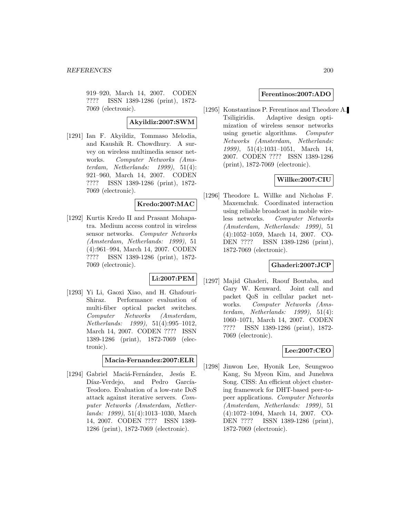919–920, March 14, 2007. CODEN ???? ISSN 1389-1286 (print), 1872- 7069 (electronic).

### **Akyildiz:2007:SWM**

[1291] Ian F. Akyildiz, Tommaso Melodia, and Kaushik R. Chowdhury. A survey on wireless multimedia sensor networks. Computer Networks (Amsterdam, Netherlands:  $1999$ ),  $51(4)$ : 921–960, March 14, 2007. CODEN ???? ISSN 1389-1286 (print), 1872- 7069 (electronic).

### **Kredo:2007:MAC**

[1292] Kurtis Kredo II and Prasant Mohapatra. Medium access control in wireless sensor networks. Computer Networks (Amsterdam, Netherlands: 1999), 51 (4):961–994, March 14, 2007. CODEN ???? ISSN 1389-1286 (print), 1872- 7069 (electronic).

#### **Li:2007:PEM**

[1293] Yi Li, Gaoxi Xiao, and H. Ghafouri-Shiraz. Performance evaluation of multi-fiber optical packet switches. Computer Networks (Amsterdam, Netherlands: 1999), 51(4):995–1012, March 14, 2007. CODEN ???? ISSN 1389-1286 (print), 1872-7069 (electronic).

**Macia-Fernandez:2007:ELR**

[1294] Gabriel Maciá-Fernández, Jesús E. Díaz-Verdejo, and Pedro García-Teodoro. Evaluation of a low-rate DoS attack against iterative servers. Computer Networks (Amsterdam, Netherlands: 1999), 51(4):1013–1030, March 14, 2007. CODEN ???? ISSN 1389- 1286 (print), 1872-7069 (electronic).

#### **Ferentinos:2007:ADO**

[1295] Konstantinos P. Ferentinos and Theodore A. Tsiligiridis. Adaptive design optimization of wireless sensor networks using genetic algorithms. Computer Networks (Amsterdam, Netherlands: 1999), 51(4):1031–1051, March 14, 2007. CODEN ???? ISSN 1389-1286 (print), 1872-7069 (electronic).

## **Willke:2007:CIU**

[1296] Theodore L. Willke and Nicholas F. Maxemchuk. Coordinated interaction using reliable broadcast in mobile wireless networks. Computer Networks (Amsterdam, Netherlands: 1999), 51 (4):1052–1059, March 14, 2007. CO-DEN ???? ISSN 1389-1286 (print), 1872-7069 (electronic).

#### **Ghaderi:2007:JCP**

[1297] Majid Ghaderi, Raouf Boutaba, and Gary W. Kenward. Joint call and packet QoS in cellular packet networks. Computer Networks (Amsterdam, Netherlands: 1999), 51(4): 1060–1071, March 14, 2007. CODEN ???? ISSN 1389-1286 (print), 1872- 7069 (electronic).

#### **Lee:2007:CEO**

[1298] Jinwon Lee, Hyonik Lee, Seungwoo Kang, Su Myeon Kim, and Junehwa Song. CISS: An efficient object clustering framework for DHT-based peer-topeer applications. Computer Networks (Amsterdam, Netherlands: 1999), 51 (4):1072–1094, March 14, 2007. CO-DEN ???? ISSN 1389-1286 (print), 1872-7069 (electronic).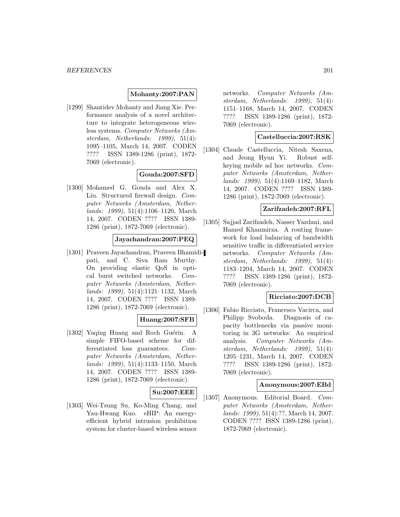### **Mohanty:2007:PAN**

[1299] Shantidev Mohanty and Jiang Xie. Performance analysis of a novel architecture to integrate heterogeneous wireless systems. Computer Networks (Amsterdam, Netherlands: 1999), 51(4): 1095–1105, March 14, 2007. CODEN ???? ISSN 1389-1286 (print), 1872- 7069 (electronic).

### **Gouda:2007:SFD**

[1300] Mohamed G. Gouda and Alex X. Liu. Structured firewall design. Computer Networks (Amsterdam, Netherlands: 1999), 51(4):1106–1120, March 14, 2007. CODEN ???? ISSN 1389- 1286 (print), 1872-7069 (electronic).

### **Jayachandran:2007:PEQ**

[1301] Praveen Jayachandran, Praveen Bhamidipati, and C. Siva Ram Murthy. On providing elastic QoS in optical burst switched networks. Computer Networks (Amsterdam, Netherlands: 1999), 51(4):1121–1132, March 14, 2007. CODEN ???? ISSN 1389- 1286 (print), 1872-7069 (electronic).

#### **Huang:2007:SFB**

[1302] Yaqing Huang and Roch Guérin. A simple FIFO-based scheme for differentiated loss guarantees. Computer Networks (Amsterdam, Netherlands: 1999), 51(4):1133–1150, March 14, 2007. CODEN ???? ISSN 1389- 1286 (print), 1872-7069 (electronic).

#### **Su:2007:EEE**

[1303] Wei-Tsung Su, Ko-Ming Chang, and Yau-Hwang Kuo. eHIP: An energyefficient hybrid intrusion prohibition system for cluster-based wireless sensor

networks. Computer Networks (Amsterdam, Netherlands: 1999), 51(4): 1151–1168, March 14, 2007. CODEN ???? ISSN 1389-1286 (print), 1872- 7069 (electronic).

#### **Castelluccia:2007:RSK**

[1304] Claude Castelluccia, Nitesh Saxena, and Jeong Hyun Yi. Robust selfkeying mobile ad hoc networks. Computer Networks (Amsterdam, Netherlands: 1999), 51(4):1169–1182, March 14, 2007. CODEN ???? ISSN 1389- 1286 (print), 1872-7069 (electronic).

#### **Zarifzadeh:2007:RFL**

[1305] Sajjad Zarifzadeh, Nasser Yazdani, and Hamed Khanmirza. A routing framework for load balancing of bandwidth sensitive traffic in differentiated service networks. Computer Networks (Amsterdam, Netherlands: 1999), 51(4): 1183–1204, March 14, 2007. CODEN ???? ISSN 1389-1286 (print), 1872- 7069 (electronic).

#### **Ricciato:2007:DCB**

[1306] Fabio Ricciato, Francesco Vacirca, and Philipp Svoboda. Diagnosis of capacity bottlenecks via passive monitoring in 3G networks: An empirical analysis. Computer Networks (Amsterdam, Netherlands: 1999), 51(4): 1205–1231, March 14, 2007. CODEN ???? ISSN 1389-1286 (print), 1872- 7069 (electronic).

#### **Anonymous:2007:EBd**

[1307] Anonymous. Editorial Board. Computer Networks (Amsterdam, Netherlands: 1999), 51(4):??, March 14, 2007. CODEN ???? ISSN 1389-1286 (print), 1872-7069 (electronic).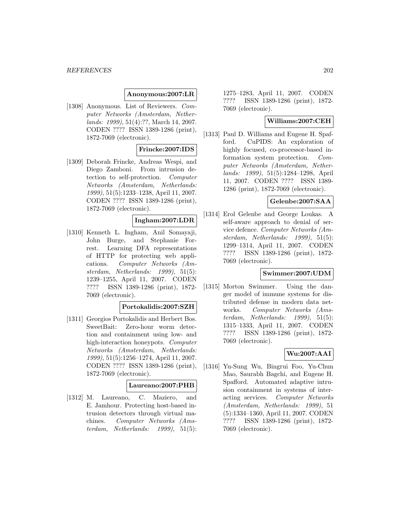#### **Anonymous:2007:LR**

[1308] Anonymous. List of Reviewers. Computer Networks (Amsterdam, Netherlands: 1999), 51(4):??, March 14, 2007. CODEN ???? ISSN 1389-1286 (print), 1872-7069 (electronic).

#### **Frincke:2007:IDS**

[1309] Deborah Frincke, Andreas Wespi, and Diego Zamboni. From intrusion detection to self-protection. Computer Networks (Amsterdam, Netherlands: 1999), 51(5):1233–1238, April 11, 2007. CODEN ???? ISSN 1389-1286 (print), 1872-7069 (electronic).

#### **Ingham:2007:LDR**

[1310] Kenneth L. Ingham, Anil Somayaji, John Burge, and Stephanie Forrest. Learning DFA representations of HTTP for protecting web applications. Computer Networks (Amsterdam, Netherlands: 1999), 51(5): 1239–1255, April 11, 2007. CODEN ???? ISSN 1389-1286 (print), 1872- 7069 (electronic).

#### **Portokalidis:2007:SZH**

[1311] Georgios Portokalidis and Herbert Bos. SweetBait: Zero-hour worm detection and containment using low- and high-interaction honeypots. Computer Networks (Amsterdam, Netherlands: 1999), 51(5):1256–1274, April 11, 2007. CODEN ???? ISSN 1389-1286 (print), 1872-7069 (electronic).

#### **Laureano:2007:PHB**

[1312] M. Laureano, C. Maziero, and E. Jamhour. Protecting host-based intrusion detectors through virtual machines. Computer Networks (Amsterdam, Netherlands: 1999), 51(5): 1275–1283, April 11, 2007. CODEN ???? ISSN 1389-1286 (print), 1872- 7069 (electronic).

## **Williams:2007:CEH**

[1313] Paul D. Williams and Eugene H. Spafford. CuPIDS: An exploration of highly focused, co-processor-based information system protection. Computer Networks (Amsterdam, Netherlands: 1999), 51(5):1284–1298, April 11, 2007. CODEN ???? ISSN 1389- 1286 (print), 1872-7069 (electronic).

### **Gelenbe:2007:SAA**

[1314] Erol Gelenbe and George Loukas. A self-aware approach to denial of service defence. Computer Networks (Amsterdam, Netherlands: 1999), 51(5): 1299–1314, April 11, 2007. CODEN ???? ISSN 1389-1286 (print), 1872- 7069 (electronic).

#### **Swimmer:2007:UDM**

[1315] Morton Swimmer. Using the danger model of immune systems for distributed defense in modern data networks. Computer Networks (Amsterdam, Netherlands: 1999), 51(5): 1315–1333, April 11, 2007. CODEN ???? ISSN 1389-1286 (print), 1872- 7069 (electronic).

## **Wu:2007:AAI**

[1316] Yu-Sung Wu, Bingrui Foo, Yu-Chun Mao, Saurabh Bagchi, and Eugene H. Spafford. Automated adaptive intrusion containment in systems of interacting services. Computer Networks (Amsterdam, Netherlands: 1999), 51 (5):1334–1360, April 11, 2007. CODEN ???? ISSN 1389-1286 (print), 1872- 7069 (electronic).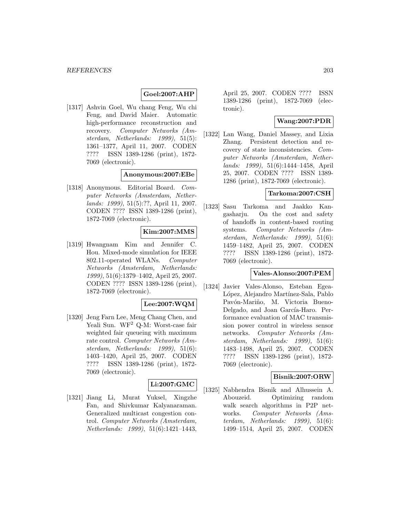#### **Goel:2007:AHP**

[1317] Ashvin Goel, Wu chang Feng, Wu chi Feng, and David Maier. Automatic high-performance reconstruction and recovery. Computer Networks (Amsterdam, Netherlands: 1999), 51(5): 1361–1377, April 11, 2007. CODEN ???? ISSN 1389-1286 (print), 1872- 7069 (electronic).

#### **Anonymous:2007:EBe**

[1318] Anonymous. Editorial Board. Computer Networks (Amsterdam, Netherlands: 1999), 51(5):??, April 11, 2007. CODEN ???? ISSN 1389-1286 (print), 1872-7069 (electronic).

#### **Kim:2007:MMS**

[1319] Hwangnam Kim and Jennifer C. Hou. Mixed-mode simulation for IEEE 802.11-operated WLANs. Computer Networks (Amsterdam, Netherlands: 1999), 51(6):1379–1402, April 25, 2007. CODEN ???? ISSN 1389-1286 (print), 1872-7069 (electronic).

#### **Lee:2007:WQM**

[1320] Jeng Farn Lee, Meng Chang Chen, and Yeali Sun. WF<sup>2</sup> Q-M: Worst-case fair weighted fair queueing with maximum rate control. Computer Networks (Amsterdam, Netherlands: 1999), 51(6): 1403–1420, April 25, 2007. CODEN ???? ISSN 1389-1286 (print), 1872- 7069 (electronic).

## **Li:2007:GMC**

[1321] Jiang Li, Murat Yuksel, Xingzhe Fan, and Shivkumar Kalyanaraman. Generalized multicast congestion control. Computer Networks (Amsterdam, Netherlands: 1999), 51(6):1421–1443,

April 25, 2007. CODEN ???? ISSN 1389-1286 (print), 1872-7069 (electronic).

#### **Wang:2007:PDR**

[1322] Lan Wang, Daniel Massey, and Lixia Zhang. Persistent detection and recovery of state inconsistencies. Computer Networks (Amsterdam, Netherlands: 1999), 51(6):1444–1458, April 25, 2007. CODEN ???? ISSN 1389- 1286 (print), 1872-7069 (electronic).

## **Tarkoma:2007:CSH**

[1323] Sasu Tarkoma and Jaakko Kangasharju. On the cost and safety of handoffs in content-based routing systems. Computer Networks (Amsterdam, Netherlands: 1999), 51(6): 1459–1482, April 25, 2007. CODEN ???? ISSN 1389-1286 (print), 1872- 7069 (electronic).

#### **Vales-Alonso:2007:PEM**

[1324] Javier Vales-Alonso, Esteban Egea-López, Alejandro Martínez-Sala, Pablo Pavón-Mariño, M. Victoria Bueno-Delgado, and Joan García-Haro. Performance evaluation of MAC transmission power control in wireless sensor networks. Computer Networks (Amsterdam, Netherlands: 1999), 51(6): 1483–1498, April 25, 2007. CODEN ???? ISSN 1389-1286 (print), 1872- 7069 (electronic).

#### **Bisnik:2007:ORW**

[1325] Nabhendra Bisnik and Alhussein A. Abouzeid. Optimizing random walk search algorithms in P2P networks. Computer Networks (Amsterdam, Netherlands: 1999), 51(6): 1499–1514, April 25, 2007. CODEN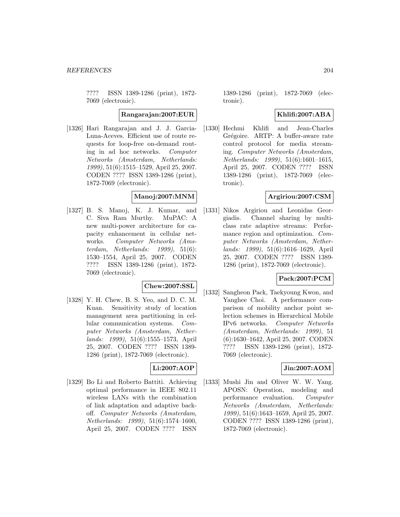???? ISSN 1389-1286 (print), 1872- 7069 (electronic).

#### **Rangarajan:2007:EUR**

[1326] Hari Rangarajan and J. J. Garcia-Luna-Aceves. Efficient use of route requests for loop-free on-demand routing in ad hoc networks. Computer Networks (Amsterdam, Netherlands: 1999), 51(6):1515–1529, April 25, 2007. CODEN ???? ISSN 1389-1286 (print), 1872-7069 (electronic).

#### **Manoj:2007:MNM**

[1327] B. S. Manoj, K. J. Kumar, and C. Siva Ram Murthy. MuPAC: A new multi-power architecture for capacity enhancement in cellular networks. Computer Networks (Amsterdam, Netherlands: 1999), 51(6): 1530–1554, April 25, 2007. CODEN ???? ISSN 1389-1286 (print), 1872- 7069 (electronic).

### **Chew:2007:SSL**

[1328] Y. H. Chew, B. S. Yeo, and D. C. M. Kuan. Sensitivity study of location management area partitioning in cellular communication systems. Computer Networks (Amsterdam, Netherlands: 1999), 51(6):1555–1573, April 25, 2007. CODEN ???? ISSN 1389- 1286 (print), 1872-7069 (electronic).

#### **Li:2007:AOP**

[1329] Bo Li and Roberto Battiti. Achieving optimal performance in IEEE 802.11 wireless LANs with the combination of link adaptation and adaptive backoff. Computer Networks (Amsterdam, Netherlands: 1999), 51(6):1574–1600, April 25, 2007. CODEN ???? ISSN

1389-1286 (print), 1872-7069 (electronic).

## **Khlifi:2007:ABA**

[1330] Hechmi Khlifi and Jean-Charles Grégoire. ARTP: A buffer-aware rate control protocol for media streaming. Computer Networks (Amsterdam, Netherlands: 1999), 51(6):1601–1615, April 25, 2007. CODEN ???? ISSN 1389-1286 (print), 1872-7069 (electronic).

#### **Argiriou:2007:CSM**

[1331] Nikos Argiriou and Leonidas Georgiadis. Channel sharing by multiclass rate adaptive streams: Performance region and optimization. Computer Networks (Amsterdam, Netherlands: 1999), 51(6):1616–1629, April 25, 2007. CODEN ???? ISSN 1389- 1286 (print), 1872-7069 (electronic).

#### **Pack:2007:PCM**

[1332] Sangheon Pack, Taekyoung Kwon, and Yanghee Choi. A performance comparison of mobility anchor point selection schemes in Hierarchical Mobile IPv6 networks. Computer Networks (Amsterdam, Netherlands: 1999), 51 (6):1630–1642, April 25, 2007. CODEN ???? ISSN 1389-1286 (print), 1872- 7069 (electronic).

### **Jin:2007:AOM**

[1333] Mushi Jin and Oliver W. W. Yang. APOSN: Operation, modeling and performance evaluation. Computer Networks (Amsterdam, Netherlands: 1999), 51(6):1643–1659, April 25, 2007. CODEN ???? ISSN 1389-1286 (print), 1872-7069 (electronic).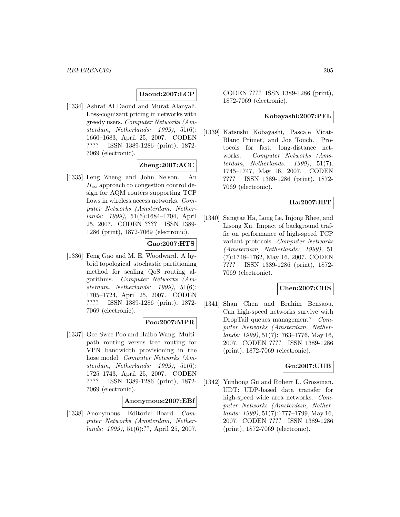### **Daoud:2007:LCP**

[1334] Ashraf Al Daoud and Murat Alanyali. Loss-cognizant pricing in networks with greedy users. Computer Networks (Amsterdam, Netherlands: 1999), 51(6): 1660–1683, April 25, 2007. CODEN ???? ISSN 1389-1286 (print), 1872- 7069 (electronic).

#### **Zheng:2007:ACC**

[1335] Feng Zheng and John Nelson. An  $H_{\infty}$  approach to congestion control design for AQM routers supporting TCP flows in wireless access networks. Computer Networks (Amsterdam, Netherlands: 1999), 51(6):1684–1704, April 25, 2007. CODEN ???? ISSN 1389- 1286 (print), 1872-7069 (electronic).

### **Gao:2007:HTS**

[1336] Feng Gao and M. E. Woodward. A hybrid topological–stochastic partitioning method for scaling QoS routing algorithms. Computer Networks (Amsterdam, Netherlands: 1999), 51(6): 1705–1724, April 25, 2007. CODEN ???? ISSN 1389-1286 (print), 1872- 7069 (electronic).

## **Poo:2007:MPR**

[1337] Gee-Swee Poo and Haibo Wang. Multipath routing versus tree routing for VPN bandwidth provisioning in the hose model. Computer Networks (Amsterdam, Netherlands: 1999), 51(6): 1725–1743, April 25, 2007. CODEN ???? ISSN 1389-1286 (print), 1872- 7069 (electronic).

#### **Anonymous:2007:EBf**

[1338] Anonymous. Editorial Board. Computer Networks (Amsterdam, Netherlands: 1999), 51(6):??, April 25, 2007.

CODEN ???? ISSN 1389-1286 (print), 1872-7069 (electronic).

#### **Kobayashi:2007:PFL**

[1339] Katsushi Kobayashi, Pascale Vicat-Blanc Primet, and Joe Touch. Protocols for fast, long-distance networks. Computer Networks (Amsterdam, Netherlands: 1999), 51(7): 1745–1747, May 16, 2007. CODEN ???? ISSN 1389-1286 (print), 1872- 7069 (electronic).

#### **Ha:2007:IBT**

[1340] Sangtae Ha, Long Le, Injong Rhee, and Lisong Xu. Impact of background traffic on performance of high-speed TCP variant protocols. Computer Networks (Amsterdam, Netherlands: 1999), 51 (7):1748–1762, May 16, 2007. CODEN ???? ISSN 1389-1286 (print), 1872- 7069 (electronic).

#### **Chen:2007:CHS**

[1341] Shan Chen and Brahim Bensaou. Can high-speed networks survive with DropTail queues management? Computer Networks (Amsterdam, Netherlands: 1999), 51(7):1763–1776, May 16, 2007. CODEN ???? ISSN 1389-1286 (print), 1872-7069 (electronic).

#### **Gu:2007:UUB**

[1342] Yunhong Gu and Robert L. Grossman. UDT: UDP-based data transfer for high-speed wide area networks. Computer Networks (Amsterdam, Netherlands: 1999), 51(7):1777–1799, May 16, 2007. CODEN ???? ISSN 1389-1286 (print), 1872-7069 (electronic).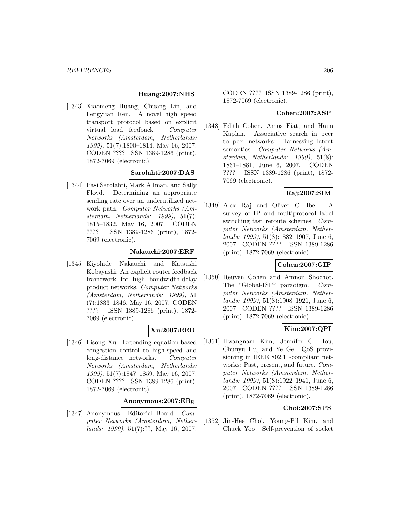#### **Huang:2007:NHS**

[1343] Xiaomeng Huang, Chuang Lin, and Fengyuan Ren. A novel high speed transport protocol based on explicit virtual load feedback. Computer Networks (Amsterdam, Netherlands: 1999), 51(7):1800–1814, May 16, 2007. CODEN ???? ISSN 1389-1286 (print), 1872-7069 (electronic).

## **Sarolahti:2007:DAS**

[1344] Pasi Sarolahti, Mark Allman, and Sally Floyd. Determining an appropriate sending rate over an underutilized network path. Computer Networks (Amsterdam, Netherlands: 1999), 51(7): 1815–1832, May 16, 2007. CODEN ???? ISSN 1389-1286 (print), 1872- 7069 (electronic).

#### **Nakauchi:2007:ERF**

[1345] Kiyohide Nakauchi and Katsushi Kobayashi. An explicit router feedback framework for high bandwidth-delay product networks. Computer Networks (Amsterdam, Netherlands: 1999), 51 (7):1833–1846, May 16, 2007. CODEN ???? ISSN 1389-1286 (print), 1872- 7069 (electronic).

#### **Xu:2007:EEB**

[1346] Lisong Xu. Extending equation-based congestion control to high-speed and long-distance networks. Computer Networks (Amsterdam, Netherlands: 1999), 51(7):1847–1859, May 16, 2007. CODEN ???? ISSN 1389-1286 (print), 1872-7069 (electronic).

#### **Anonymous:2007:EBg**

[1347] Anonymous. Editorial Board. Computer Networks (Amsterdam, Netherlands: 1999), 51(7):??, May 16, 2007.

CODEN ???? ISSN 1389-1286 (print), 1872-7069 (electronic).

#### **Cohen:2007:ASP**

[1348] Edith Cohen, Amos Fiat, and Haim Kaplan. Associative search in peer to peer networks: Harnessing latent semantics. Computer Networks (Amsterdam, Netherlands: 1999), 51(8): 1861–1881, June 6, 2007. CODEN ???? ISSN 1389-1286 (print), 1872- 7069 (electronic).

### **Raj:2007:SIM**

[1349] Alex Raj and Oliver C. Ibe. A survey of IP and multiprotocol label switching fast reroute schemes. Computer Networks (Amsterdam, Netherlands: 1999), 51(8):1882–1907, June 6, 2007. CODEN ???? ISSN 1389-1286 (print), 1872-7069 (electronic).

#### **Cohen:2007:GIP**

[1350] Reuven Cohen and Amnon Shochot. The "Global-ISP" paradigm. Computer Networks (Amsterdam, Netherlands: 1999), 51(8):1908–1921, June 6, 2007. CODEN ???? ISSN 1389-1286 (print), 1872-7069 (electronic).

#### **Kim:2007:QPI**

[1351] Hwangnam Kim, Jennifer C. Hou, Chunyu Hu, and Ye Ge. QoS provisioning in IEEE 802.11-compliant networks: Past, present, and future. Computer Networks (Amsterdam, Netherlands: 1999), 51(8):1922–1941, June 6, 2007. CODEN ???? ISSN 1389-1286 (print), 1872-7069 (electronic).

#### **Choi:2007:SPS**

[1352] Jin-Hee Choi, Young-Pil Kim, and Chuck Yoo. Self-prevention of socket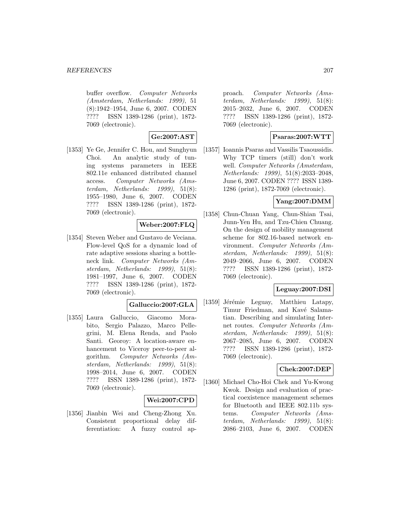#### *REFERENCES* 207

buffer overflow. Computer Networks (Amsterdam, Netherlands: 1999), 51 (8):1942–1954, June 6, 2007. CODEN ???? ISSN 1389-1286 (print), 1872- 7069 (electronic).

# **Ge:2007:AST**

[1353] Ye Ge, Jennifer C. Hou, and Sunghyun Choi. An analytic study of tuning systems parameters in IEEE 802.11e enhanced distributed channel access. Computer Networks (Amsterdam, Netherlands: 1999), 51(8): 1955–1980, June 6, 2007. CODEN ???? ISSN 1389-1286 (print), 1872- 7069 (electronic).

## **Weber:2007:FLQ**

[1354] Steven Weber and Gustavo de Veciana. Flow-level QoS for a dynamic load of rate adaptive sessions sharing a bottleneck link. Computer Networks (Amsterdam, Netherlands: 1999), 51(8): 1981–1997, June 6, 2007. CODEN ???? ISSN 1389-1286 (print), 1872- 7069 (electronic).

#### **Galluccio:2007:GLA**

[1355] Laura Galluccio, Giacomo Morabito, Sergio Palazzo, Marco Pellegrini, M. Elena Renda, and Paolo Santi. Georoy: A location-aware enhancement to Viceroy peer-to-peer algorithm. Computer Networks (Amsterdam, Netherlands: 1999), 51(8): 1998–2014, June 6, 2007. CODEN ???? ISSN 1389-1286 (print), 1872- 7069 (electronic).

#### **Wei:2007:CPD**

[1356] Jianbin Wei and Cheng-Zhong Xu. Consistent proportional delay differentiation: A fuzzy control ap-

proach. Computer Networks (Amsterdam, Netherlands: 1999), 51(8): 2015–2032, June 6, 2007. CODEN ???? ISSN 1389-1286 (print), 1872- 7069 (electronic).

### **Psaras:2007:WTT**

[1357] Ioannis Psaras and Vassilis Tsaoussidis. Why TCP timers (still) don't work well. Computer Networks (Amsterdam, Netherlands: 1999), 51(8):2033–2048, June 6, 2007. CODEN ???? ISSN 1389- 1286 (print), 1872-7069 (electronic).

#### **Yang:2007:DMM**

[1358] Chun-Chuan Yang, Chun-Shian Tsai, Junn-Yen Hu, and Tzu-Chien Chuang. On the design of mobility management scheme for 802.16-based network environment. Computer Networks (Amsterdam, Netherlands: 1999), 51(8): 2049–2066, June 6, 2007. CODEN ???? ISSN 1389-1286 (print), 1872- 7069 (electronic).

#### **Leguay:2007:DSI**

[1359] Jérémie Leguay, Matthieu Latapy, Timur Friedman, and Kavé Salamatian. Describing and simulating Internet routes. Computer Networks (Amsterdam, Netherlands: 1999), 51(8): 2067–2085, June 6, 2007. CODEN ???? ISSN 1389-1286 (print), 1872- 7069 (electronic).

#### **Chek:2007:DEP**

[1360] Michael Cho-Hoi Chek and Yu-Kwong Kwok. Design and evaluation of practical coexistence management schemes for Bluetooth and IEEE 802.11b systems. Computer Networks (Amsterdam, Netherlands: 1999), 51(8): 2086–2103, June 6, 2007. CODEN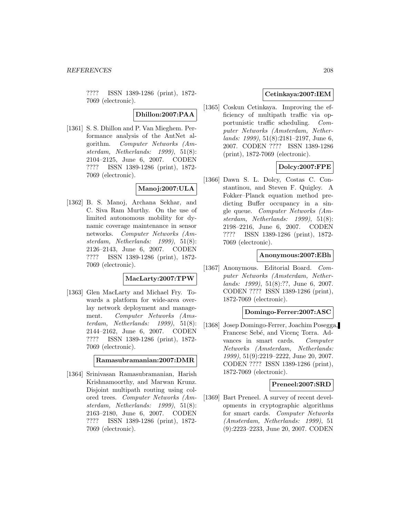???? ISSN 1389-1286 (print), 1872- 7069 (electronic).

**Dhillon:2007:PAA**

[1361] S. S. Dhillon and P. Van Mieghem. Performance analysis of the AntNet algorithm. Computer Networks (Amsterdam, Netherlands: 1999), 51(8): 2104–2125, June 6, 2007. CODEN ???? ISSN 1389-1286 (print), 1872- 7069 (electronic).

# **Manoj:2007:ULA**

[1362] B. S. Manoj, Archana Sekhar, and C. Siva Ram Murthy. On the use of limited autonomous mobility for dynamic coverage maintenance in sensor networks. Computer Networks (Amsterdam, Netherlands: 1999), 51(8): 2126–2143, June 6, 2007. CODEN ???? ISSN 1389-1286 (print), 1872- 7069 (electronic).

#### **MacLarty:2007:TPW**

[1363] Glen MacLarty and Michael Fry. Towards a platform for wide-area overlay network deployment and management. Computer Networks (Amsterdam, Netherlands: 1999), 51(8): 2144–2162, June 6, 2007. CODEN ???? ISSN 1389-1286 (print), 1872- 7069 (electronic).

**Ramasubramanian:2007:DMR**

[1364] Srinivasan Ramasubramanian, Harish Krishnamoorthy, and Marwan Krunz. Disjoint multipath routing using colored trees. Computer Networks (Amsterdam, Netherlands: 1999), 51(8): 2163–2180, June 6, 2007. CODEN ???? ISSN 1389-1286 (print), 1872- 7069 (electronic).

## **Cetinkaya:2007:IEM**

[1365] Coskun Cetinkaya. Improving the efficiency of multipath traffic via opportunistic traffic scheduling. Computer Networks (Amsterdam, Netherlands: 1999), 51(8):2181–2197, June 6, 2007. CODEN ???? ISSN 1389-1286 (print), 1872-7069 (electronic).

## **Dolcy:2007:FPE**

[1366] Dawn S. L. Dolcy, Costas C. Constantinou, and Steven F. Quigley. A Fokker–Planck equation method predicting Buffer occupancy in a single queue. Computer Networks (Amsterdam, Netherlands: 1999), 51(8): 2198–2216, June 6, 2007. CODEN ???? ISSN 1389-1286 (print), 1872- 7069 (electronic).

#### **Anonymous:2007:EBh**

[1367] Anonymous. Editorial Board. Computer Networks (Amsterdam, Netherlands: 1999), 51(8):??, June 6, 2007. CODEN ???? ISSN 1389-1286 (print), 1872-7069 (electronic).

#### **Domingo-Ferrer:2007:ASC**

[1368] Josep Domingo-Ferrer, Joachim Posegga, Francesc Sebé, and Vicenç Torra. Advances in smart cards. Computer Networks (Amsterdam, Netherlands: 1999), 51(9):2219–2222, June 20, 2007. CODEN ???? ISSN 1389-1286 (print), 1872-7069 (electronic).

#### **Preneel:2007:SRD**

[1369] Bart Preneel. A survey of recent developments in cryptographic algorithms for smart cards. Computer Networks (Amsterdam, Netherlands: 1999), 51 (9):2223–2233, June 20, 2007. CODEN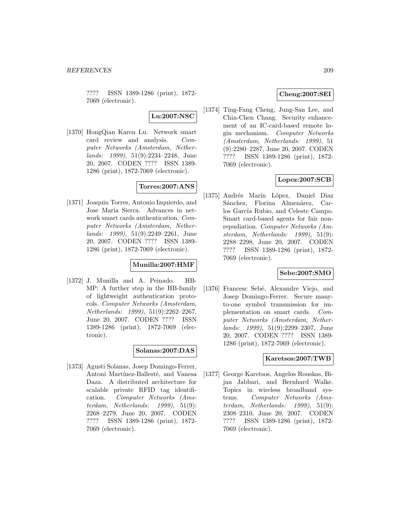???? ISSN 1389-1286 (print), 1872- 7069 (electronic).

**Lu:2007:NSC**

[1370] HongQian Karen Lu. Network smart card review and analysis. Computer Networks (Amsterdam, Netherlands: 1999), 51(9):2234–2248, June 20, 2007. CODEN ???? ISSN 1389- 1286 (print), 1872-7069 (electronic).

# **Torres:2007:ANS**

[1371] Joaquin Torres, Antonio Izquierdo, and Jose Maria Sierra. Advances in network smart cards authentication. Computer Networks (Amsterdam, Netherlands: 1999), 51(9):2249–2261, June 20, 2007. CODEN ???? ISSN 1389- 1286 (print), 1872-7069 (electronic).

#### **Munilla:2007:HMF**

[1372] J. Munilla and A. Peinado. HB-MP: A further step in the HB-family of lightweight authentication protocols. Computer Networks (Amsterdam, Netherlands: 1999), 51(9):2262–2267, June 20, 2007. CODEN ???? ISSN 1389-1286 (print), 1872-7069 (electronic).

## **Solanas:2007:DAS**

[1373] Agusti Solanas, Josep Domingo-Ferrer, Antoni Martínez-Ballesté, and Vanesa Daza. A distributed architecture for scalable private RFID tag identification. Computer Networks (Amsterdam, Netherlands: 1999), 51(9): 2268–2279, June 20, 2007. CODEN ???? ISSN 1389-1286 (print), 1872- 7069 (electronic).

### **Cheng:2007:SEI**

[1374] Ting-Fang Cheng, Jung-San Lee, and Chin-Chen Chang. Security enhancement of an IC-card-based remote login mechanism. Computer Networks (Amsterdam, Netherlands: 1999), 51 (9):2280–2287, June 20, 2007. CODEN ???? ISSN 1389-1286 (print), 1872- 7069 (electronic).

## **Lopez:2007:SCB**

[1375] Andrés Marín López, Daniel Díaz Sánchez, Florina Almenárez, Carlos García Rubio, and Celeste Campo. Smart card-based agents for fair nonrepudiation. Computer Networks (Amsterdam, Netherlands: 1999), 51(9): 2288–2298, June 20, 2007. CODEN ???? ISSN 1389-1286 (print), 1872- 7069 (electronic).

## **Sebe:2007:SMO**

[1376] Francesc Sebé, Alexandre Viejo, and Josep Domingo-Ferrer. Secure manyto-one symbol transmission for implementation on smart cards. Computer Networks (Amsterdam, Netherlands: 1999), 51(9):2299–2307, June 20, 2007. CODEN ???? ISSN 1389- 1286 (print), 1872-7069 (electronic).

## **Karetsos:2007:TWB**

[1377] George Karetsos, Angelos Rouskas, Bijan Jabbari, and Bernhard Walke. Topics in wireless broadband systems. Computer Networks (Amsterdam, Netherlands: 1999), 51(9): 2308–2310, June 20, 2007. CODEN ???? ISSN 1389-1286 (print), 1872- 7069 (electronic).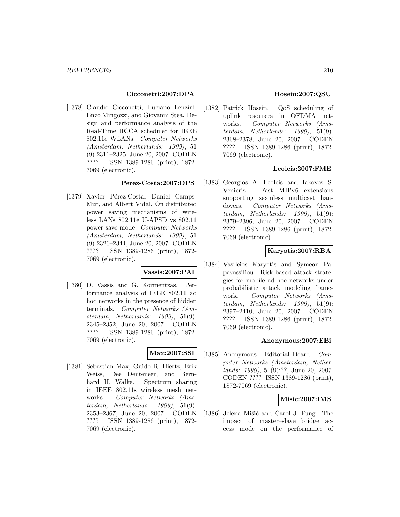#### **Cicconetti:2007:DPA**

[1378] Claudio Cicconetti, Luciano Lenzini, Enzo Mingozzi, and Giovanni Stea. Design and performance analysis of the Real-Time HCCA scheduler for IEEE 802.11e WLANs. Computer Networks (Amsterdam, Netherlands: 1999), 51 (9):2311–2325, June 20, 2007. CODEN ???? ISSN 1389-1286 (print), 1872- 7069 (electronic).

#### **Perez-Costa:2007:DPS**

[1379] Xavier Pérez-Costa, Daniel Camps-Mur, and Albert Vidal. On distributed power saving mechanisms of wireless LANs 802.11e U-APSD vs 802.11 power save mode. Computer Networks (Amsterdam, Netherlands: 1999), 51 (9):2326–2344, June 20, 2007. CODEN ???? ISSN 1389-1286 (print), 1872- 7069 (electronic).

#### **Vassis:2007:PAI**

[1380] D. Vassis and G. Kormentzas. Performance analysis of IEEE 802.11 ad hoc networks in the presence of hidden terminals. Computer Networks (Amsterdam, Netherlands: 1999), 51(9): 2345–2352, June 20, 2007. CODEN ???? ISSN 1389-1286 (print), 1872- 7069 (electronic).

## **Max:2007:SSI**

[1381] Sebastian Max, Guido R. Hiertz, Erik Weiss, Dee Denteneer, and Bernhard H. Walke. Spectrum sharing in IEEE 802.11s wireless mesh networks. Computer Networks (Amsterdam, Netherlands: 1999), 51(9): 2353–2367, June 20, 2007. CODEN ???? ISSN 1389-1286 (print), 1872- 7069 (electronic).

## **Hosein:2007:QSU**

[1382] Patrick Hosein. QoS scheduling of uplink resources in OFDMA networks. Computer Networks (Amsterdam, Netherlands: 1999), 51(9): 2368–2378, June 20, 2007. CODEN ???? ISSN 1389-1286 (print), 1872- 7069 (electronic).

### **Leoleis:2007:FME**

[1383] Georgios A. Leoleis and Iakovos S. Venieris. Fast MIPv6 extensions supporting seamless multicast handovers. Computer Networks (Amsterdam, Netherlands: 1999), 51(9): 2379–2396, June 20, 2007. CODEN ???? ISSN 1389-1286 (print), 1872- 7069 (electronic).

#### **Karyotis:2007:RBA**

[1384] Vasileios Karyotis and Symeon Papavassiliou. Risk-based attack strategies for mobile ad hoc networks under probabilistic attack modeling framework. Computer Networks (Amsterdam, Netherlands:  $1999$ ,  $51(9)$ : 2397–2410, June 20, 2007. CODEN ???? ISSN 1389-1286 (print), 1872- 7069 (electronic).

#### **Anonymous:2007:EBi**

[1385] Anonymous. Editorial Board. Computer Networks (Amsterdam, Netherlands: 1999), 51(9):??, June 20, 2007. CODEN ???? ISSN 1389-1286 (print), 1872-7069 (electronic).

#### **Misic:2007:IMS**

[1386] Jelena Mišić and Carol J. Fung. The impact of master–slave bridge access mode on the performance of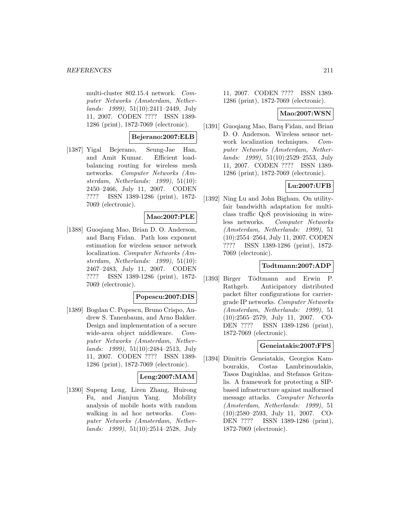multi-cluster 802.15.4 network. Computer Networks (Amsterdam, Netherlands: 1999), 51(10):2411–2449, July 11, 2007. CODEN ???? ISSN 1389- 1286 (print), 1872-7069 (electronic).

#### **Bejerano:2007:ELB**

[1387] Yigal Bejerano, Seung-Jae Han, and Amit Kumar. Efficient loadbalancing routing for wireless mesh networks. Computer Networks (Amsterdam, Netherlands: 1999), 51(10): 2450–2466, July 11, 2007. CODEN ???? ISSN 1389-1286 (print), 1872- 7069 (electronic).

## **Mao:2007:PLE**

[1388] Guoqiang Mao, Brian D. O. Anderson, and Barı¸s Fidan. Path loss exponent estimation for wireless sensor network localization. Computer Networks (Amsterdam, Netherlands: 1999), 51(10): 2467–2483, July 11, 2007. CODEN ???? ISSN 1389-1286 (print), 1872- 7069 (electronic).

#### **Popescu:2007:DIS**

[1389] Bogdan C. Popescu, Bruno Crispo, Andrew S. Tanenbaum, and Arno Bakker. Design and implementation of a secure wide-area object middleware. Computer Networks (Amsterdam, Netherlands: 1999), 51(10):2484–2513, July 11, 2007. CODEN ???? ISSN 1389- 1286 (print), 1872-7069 (electronic).

### **Leng:2007:MAM**

[1390] Supeng Leng, Liren Zhang, Huirong Fu, and Jianjun Yang. Mobility analysis of mobile hosts with random walking in ad hoc networks. Computer Networks (Amsterdam, Netherlands: 1999), 51(10):2514–2528, July

11, 2007. CODEN ???? ISSN 1389- 1286 (print), 1872-7069 (electronic).

#### **Mao:2007:WSN**

[1391] Guoqiang Mao, Barış Fidan, and Brian D. O. Anderson. Wireless sensor network localization techniques. Computer Networks (Amsterdam, Netherlands: 1999), 51(10):2529–2553, July 11, 2007. CODEN ???? ISSN 1389- 1286 (print), 1872-7069 (electronic).

### **Lu:2007:UFB**

[1392] Ning Lu and John Bigham. On utilityfair bandwidth adaptation for multiclass traffic QoS provisioning in wireless networks. Computer Networks (Amsterdam, Netherlands: 1999), 51 (10):2554–2564, July 11, 2007. CODEN ???? ISSN 1389-1286 (print), 1872- 7069 (electronic).

#### **Todtmann:2007:ADP**

[1393] Birger Tödtmann and Erwin P. Rathgeb. Anticipatory distributed packet filter configurations for carriergrade IP networks. Computer Networks (Amsterdam, Netherlands: 1999), 51 (10):2565–2579, July 11, 2007. CO-DEN ???? ISSN 1389-1286 (print), 1872-7069 (electronic).

#### **Geneiatakis:2007:FPS**

[1394] Dimitris Geneiatakis, Georgios Kambourakis, Costas Lambrinoudakis, Tasos Dagiuklas, and Stefanos Gritzalis. A framework for protecting a SIPbased infrastructure against malformed message attacks. Computer Networks (Amsterdam, Netherlands: 1999), 51 (10):2580–2593, July 11, 2007. CO-DEN ???? ISSN 1389-1286 (print), 1872-7069 (electronic).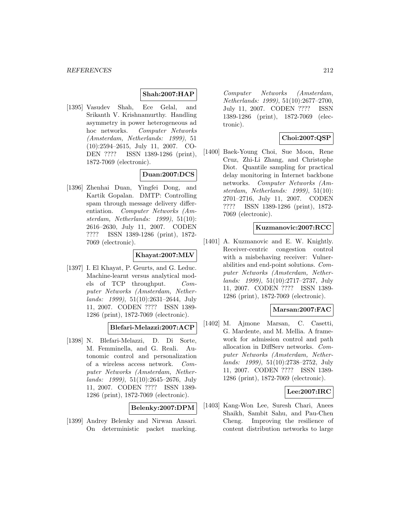#### **Shah:2007:HAP**

[1395] Vasudev Shah, Ece Gelal, and Srikanth V. Krishnamurthy. Handling asymmetry in power heterogeneous ad hoc networks. Computer Networks (Amsterdam, Netherlands: 1999), 51 (10):2594–2615, July 11, 2007. CO-DEN ???? ISSN 1389-1286 (print), 1872-7069 (electronic).

### **Duan:2007:DCS**

[1396] Zhenhai Duan, Yingfei Dong, and Kartik Gopalan. DMTP: Controlling spam through message delivery differentiation. Computer Networks (Amsterdam, Netherlands: 1999), 51(10): 2616–2630, July 11, 2007. CODEN ???? ISSN 1389-1286 (print), 1872- 7069 (electronic).

### **Khayat:2007:MLV**

[1397] I. El Khayat, P. Geurts, and G. Leduc. Machine-learnt versus analytical models of TCP throughput. Computer Networks (Amsterdam, Netherlands: 1999), 51(10):2631–2644, July 11, 2007. CODEN ???? ISSN 1389- 1286 (print), 1872-7069 (electronic).

**Blefari-Melazzi:2007:ACP**

[1398] N. Blefari-Melazzi, D. Di Sorte, M. Femminella, and G. Reali. Autonomic control and personalization of a wireless access network. Computer Networks (Amsterdam, Netherlands: 1999), 51(10):2645–2676, July 11, 2007. CODEN ???? ISSN 1389- 1286 (print), 1872-7069 (electronic).

**Belenky:2007:DPM**

[1399] Andrey Belenky and Nirwan Ansari. On deterministic packet marking.

Computer Networks (Amsterdam, Netherlands: 1999), 51(10):2677–2700, July 11, 2007. CODEN ???? ISSN 1389-1286 (print), 1872-7069 (electronic).

# **Choi:2007:QSP**

[1400] Baek-Young Choi, Sue Moon, Rene Cruz, Zhi-Li Zhang, and Christophe Diot. Quantile sampling for practical delay monitoring in Internet backbone networks. Computer Networks (Amsterdam, Netherlands: 1999), 51(10): 2701–2716, July 11, 2007. CODEN ???? ISSN 1389-1286 (print), 1872- 7069 (electronic).

#### **Kuzmanovic:2007:RCC**

[1401] A. Kuzmanovic and E. W. Knightly. Receiver-centric congestion control with a misbehaving receiver: Vulnerabilities and end-point solutions. Computer Networks (Amsterdam, Netherlands: 1999), 51(10):2717–2737, July 11, 2007. CODEN ???? ISSN 1389- 1286 (print), 1872-7069 (electronic).

#### **Marsan:2007:FAC**

[1402] M. Ajmone Marsan, C. Casetti, G. Mardente, and M. Mellia. A framework for admission control and path allocation in DiffServ networks. Computer Networks (Amsterdam, Netherlands: 1999), 51(10):2738–2752, July 11, 2007. CODEN ???? ISSN 1389- 1286 (print), 1872-7069 (electronic).

## **Lee:2007:IRC**

[1403] Kang-Won Lee, Suresh Chari, Anees Shaikh, Sambit Sahu, and Pau-Chen Cheng. Improving the resilience of content distribution networks to large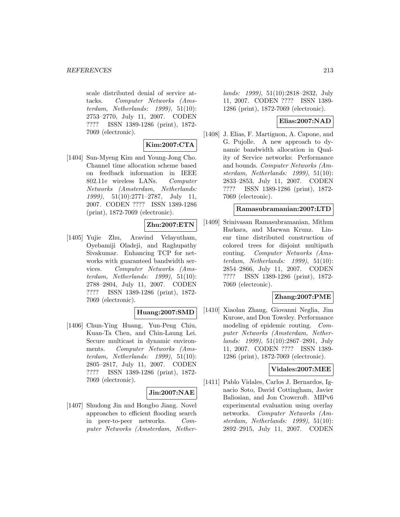scale distributed denial of service attacks. Computer Networks (Amsterdam, Netherlands: 1999), 51(10): 2753–2770, July 11, 2007. CODEN ???? ISSN 1389-1286 (print), 1872- 7069 (electronic).

## **Kim:2007:CTA**

[1404] Sun-Myeng Kim and Young-Jong Cho. Channel time allocation scheme based on feedback information in IEEE 802.11e wireless LANs. Computer Networks (Amsterdam, Netherlands: 1999), 51(10):2771–2787, July 11, 2007. CODEN ???? ISSN 1389-1286 (print), 1872-7069 (electronic).

## **Zhu:2007:ETN**

[1405] Yujie Zhu, Aravind Velayutham, Oyebamiji Oladeji, and Raghupathy Sivakumar. Enhancing TCP for networks with guaranteed bandwidth services. Computer Networks (Amsterdam, Netherlands: 1999), 51(10): 2788–2804, July 11, 2007. CODEN ???? ISSN 1389-1286 (print), 1872- 7069 (electronic).

### **Huang:2007:SMD**

[1406] Chun-Ying Huang, Yun-Peng Chiu, Kuan-Ta Chen, and Chin-Laung Lei. Secure multicast in dynamic environments. Computer Networks (Amsterdam, Netherlands: 1999), 51(10): 2805–2817, July 11, 2007. CODEN ???? ISSN 1389-1286 (print), 1872- 7069 (electronic).

#### **Jin:2007:NAE**

[1407] Shudong Jin and Hongbo Jiang. Novel approaches to efficient flooding search in peer-to-peer networks. Computer Networks (Amsterdam, Netherlands: 1999), 51(10):2818–2832, July 11, 2007. CODEN ???? ISSN 1389- 1286 (print), 1872-7069 (electronic).

### **Elias:2007:NAD**

[1408] J. Elias, F. Martignon, A. Capone, and G. Pujolle. A new approach to dynamic bandwidth allocation in Quality of Service networks: Performance and bounds. Computer Networks (Amsterdam, Netherlands: 1999), 51(10): 2833–2853, July 11, 2007. CODEN ???? ISSN 1389-1286 (print), 1872- 7069 (electronic).

#### **Ramasubramanian:2007:LTD**

[1409] Srinivasan Ramasubramanian, Mithun Harkara, and Marwan Krunz. Linear time distributed construction of colored trees for disjoint multipath routing. Computer Networks (Amsterdam, Netherlands: 1999), 51(10): 2854–2866, July 11, 2007. CODEN ???? ISSN 1389-1286 (print), 1872- 7069 (electronic).

#### **Zhang:2007:PME**

[1410] Xiaolan Zhang, Giovanni Neglia, Jim Kurose, and Don Towsley. Performance modeling of epidemic routing. Computer Networks (Amsterdam, Netherlands: 1999), 51(10):2867–2891, July 11, 2007. CODEN ???? ISSN 1389- 1286 (print), 1872-7069 (electronic).

#### **Vidales:2007:MEE**

[1411] Pablo Vidales, Carlos J. Bernardos, Ignacio Soto, David Cottingham, Javier Baliosian, and Jon Crowcroft. MIPv6 experimental evaluation using overlay networks. Computer Networks (Amsterdam, Netherlands: 1999), 51(10): 2892–2915, July 11, 2007. CODEN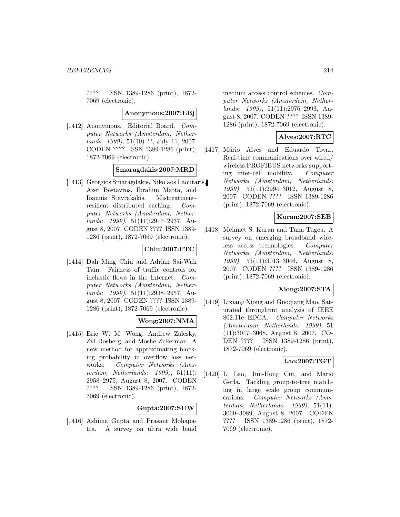???? ISSN 1389-1286 (print), 1872- 7069 (electronic).

#### **Anonymous:2007:EBj**

[1412] Anonymous. Editorial Board. Computer Networks (Amsterdam, Netherlands: 1999), 51(10):??, July 11, 2007. CODEN ???? ISSN 1389-1286 (print), 1872-7069 (electronic).

# **Smaragdakis:2007:MRD**

[1413] Georgios Smaragdakis, Nikolaos Laoutaris, Azer Bestavros, Ibrahim Matta, and Ioannis Stavrakakis. Mistreatmentresilient distributed caching. Computer Networks (Amsterdam, Netherlands: 1999), 51(11):2917–2937, August 8, 2007. CODEN ???? ISSN 1389- 1286 (print), 1872-7069 (electronic).

### **Chiu:2007:FTC**

[1414] Dah Ming Chiu and Adrian Sai-Wah Tam. Fairness of traffic controls for inelastic flows in the Internet. Computer Networks (Amsterdam, Netherlands: 1999), 51(11):2938–2957, August 8, 2007. CODEN ???? ISSN 1389- 1286 (print), 1872-7069 (electronic).

## **Wong:2007:NMA**

[1415] Eric W. M. Wong, Andrew Zalesky, Zvi Rosberg, and Moshe Zukerman. A new method for approximating blocking probability in overflow loss networks. Computer Networks (Amsterdam, Netherlands: 1999), 51(11): 2958–2975, August 8, 2007. CODEN ???? ISSN 1389-1286 (print), 1872- 7069 (electronic).

#### **Gupta:2007:SUW**

[1416] Ashima Gupta and Prasant Mohapatra. A survey on ultra wide band medium access control schemes. Computer Networks (Amsterdam, Netherlands: 1999), 51(11):2976–2993, August 8, 2007. CODEN ???? ISSN 1389- 1286 (print), 1872-7069 (electronic).

## **Alves:2007:RTC**

[1417] Mário Alves and Eduardo Tovar. Real-time communications over wired/ wireless PROFIBUS networks supporting inter-cell mobility. Computer Networks (Amsterdam, Netherlands: 1999), 51(11):2994–3012, August 8, 2007. CODEN ???? ISSN 1389-1286 (print), 1872-7069 (electronic).

#### **Kuran:2007:SEB**

[1418] Mehmet S. Kuran and Tuna Tugcu. A survey on emerging broadband wireless access technologies. Computer Networks (Amsterdam, Netherlands: 1999), 51(11):3013–3046, August 8, 2007. CODEN ???? ISSN 1389-1286 (print), 1872-7069 (electronic).

#### **Xiong:2007:STA**

[1419] Lixiang Xiong and Guoqiang Mao. Saturated throughput analysis of IEEE 802.11e EDCA. Computer Networks (Amsterdam, Netherlands: 1999), 51 (11):3047–3068, August 8, 2007. CO-DEN ???? ISSN 1389-1286 (print), 1872-7069 (electronic).

#### **Lao:2007:TGT**

[1420] Li Lao, Jun-Hong Cui, and Mario Gerla. Tackling group-to-tree matching in large scale group communications. Computer Networks (Amsterdam, Netherlands: 1999), 51(11): 3069–3089, August 8, 2007. CODEN ???? ISSN 1389-1286 (print), 1872- 7069 (electronic).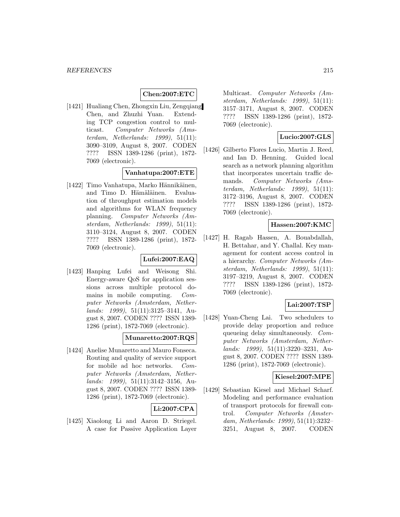#### **Chen:2007:ETC**

[1421] Hualiang Chen, Zhongxin Liu, Zengqiang Chen, and Zhuzhi Yuan. Extending TCP congestion control to multicast. Computer Networks (Amsterdam, Netherlands: 1999), 51(11): 3090–3109, August 8, 2007. CODEN ???? ISSN 1389-1286 (print), 1872- 7069 (electronic).

#### **Vanhatupa:2007:ETE**

[1422] Timo Vanhatupa, Marko Hännikäinen, and Timo D. Hämäläinen. Evaluation of throughput estimation models and algorithms for WLAN frequency planning. Computer Networks (Amsterdam, Netherlands: 1999), 51(11): 3110–3124, August 8, 2007. CODEN ???? ISSN 1389-1286 (print), 1872- 7069 (electronic).

#### **Lufei:2007:EAQ**

[1423] Hanping Lufei and Weisong Shi. Energy-aware QoS for application sessions across multiple protocol domains in mobile computing. Computer Networks (Amsterdam, Netherlands: 1999), 51(11):3125–3141, August 8, 2007. CODEN ???? ISSN 1389- 1286 (print), 1872-7069 (electronic).

#### **Munaretto:2007:RQS**

[1424] Anelise Munaretto and Mauro Fonseca. Routing and quality of service support for mobile ad hoc networks. Computer Networks (Amsterdam, Netherlands: 1999), 51(11):3142–3156, August 8, 2007. CODEN ???? ISSN 1389- 1286 (print), 1872-7069 (electronic).

### **Li:2007:CPA**

[1425] Xiaolong Li and Aaron D. Striegel. A case for Passive Application Layer Multicast. Computer Networks (Amsterdam, Netherlands: 1999), 51(11): 3157–3171, August 8, 2007. CODEN ???? ISSN 1389-1286 (print), 1872- 7069 (electronic).

### **Lucio:2007:GLS**

[1426] Gilberto Flores Lucio, Martin J. Reed, and Ian D. Henning. Guided local search as a network planning algorithm that incorporates uncertain traffic demands. Computer Networks (Amsterdam, Netherlands: 1999), 51(11): 3172–3196, August 8, 2007. CODEN ???? ISSN 1389-1286 (print), 1872- 7069 (electronic).

#### **Hassen:2007:KMC**

[1427] H. Ragab Hassen, A. Bouabdallah, H. Bettahar, and Y. Challal. Key management for content access control in a hierarchy. Computer Networks (Amsterdam, Netherlands: 1999), 51(11): 3197–3219, August 8, 2007. CODEN ???? ISSN 1389-1286 (print), 1872- 7069 (electronic).

#### **Lai:2007:TSP**

[1428] Yuan-Cheng Lai. Two schedulers to provide delay proportion and reduce queueing delay simultaneously. Computer Networks (Amsterdam, Netherlands: 1999), 51(11):3220–3231, August 8, 2007. CODEN ???? ISSN 1389- 1286 (print), 1872-7069 (electronic).

### **Kiesel:2007:MPE**

[1429] Sebastian Kiesel and Michael Scharf. Modeling and performance evaluation of transport protocols for firewall control. Computer Networks (Amsterdam, Netherlands: 1999), 51(11):3232– 3251, August 8, 2007. CODEN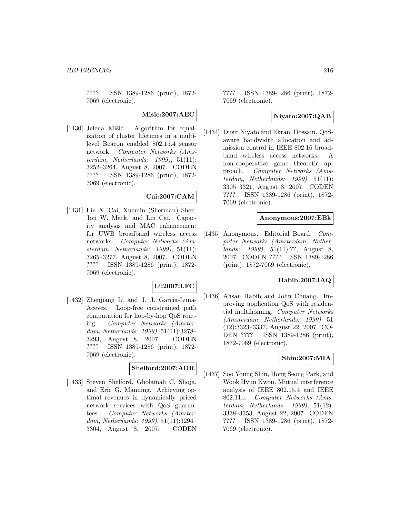???? ISSN 1389-1286 (print), 1872- 7069 (electronic).

**Misic:2007:AEC**

[1430] Jelena Mišić. Algorithm for equalization of cluster lifetimes in a multilevel Beacon enabled 802.15.4 sensor network. Computer Networks (Amsterdam, Netherlands: 1999), 51(11): 3252–3264, August 8, 2007. CODEN ???? ISSN 1389-1286 (print), 1872- 7069 (electronic).

#### **Cai:2007:CAM**

[1431] Lin X. Cai, Xuemin (Sherman) Shen, Jon W. Mark, and Lin Cai. Capacity analysis and MAC enhancement for UWB broadband wireless access networks. Computer Networks (Amsterdam, Netherlands: 1999), 51(11): 3265–3277, August 8, 2007. CODEN ???? ISSN 1389-1286 (print), 1872- 7069 (electronic).

#### **Li:2007:LFC**

[1432] Zhenjiang Li and J. J. Garcia-Luna-Aceves. Loop-free constrained path computation for hop-by-hop QoS routing. Computer Networks (Amsterdam, Netherlands: 1999), 51(11):3278– 3293, August 8, 2007. CODEN ???? ISSN 1389-1286 (print), 1872- 7069 (electronic).

#### **Shelford:2007:AOR**

[1433] Steven Shelford, Gholamali C. Shoja, and Eric G. Manning. Achieving optimal revenues in dynamically priced network services with QoS guarantees. Computer Networks (Amsterdam, Netherlands: 1999), 51(11):3294– 3304, August 8, 2007. CODEN

???? ISSN 1389-1286 (print), 1872- 7069 (electronic).

### **Niyato:2007:QAB**

[1434] Dusit Niyato and Ekram Hossain. QoSaware bandwidth allocation and admission control in IEEE 802.16 broadband wireless access networks: A non-cooperative game theoretic approach. Computer Networks (Amsterdam, Netherlands: 1999), 51(11): 3305–3321, August 8, 2007. CODEN ???? ISSN 1389-1286 (print), 1872- 7069 (electronic).

#### **Anonymous:2007:EBk**

[1435] Anonymous. Editorial Board. Computer Networks (Amsterdam, Netherlands: 1999), 51(11):??, August 8, 2007. CODEN ???? ISSN 1389-1286 (print), 1872-7069 (electronic).

#### **Habib:2007:IAQ**

[1436] Ahsan Habib and John Chuang. Improving application QoS with residential multihoming. Computer Networks (Amsterdam, Netherlands: 1999), 51 (12):3323–3337, August 22, 2007. CO-DEN ???? ISSN 1389-1286 (print), 1872-7069 (electronic).

### **Shin:2007:MIA**

[1437] Soo Young Shin, Hong Seong Park, and Wook Hyun Kwon. Mutual interference analysis of IEEE 802.15.4 and IEEE 802.11b. Computer Networks (Amsterdam, Netherlands: 1999), 51(12): 3338–3353, August 22, 2007. CODEN ???? ISSN 1389-1286 (print), 1872- 7069 (electronic).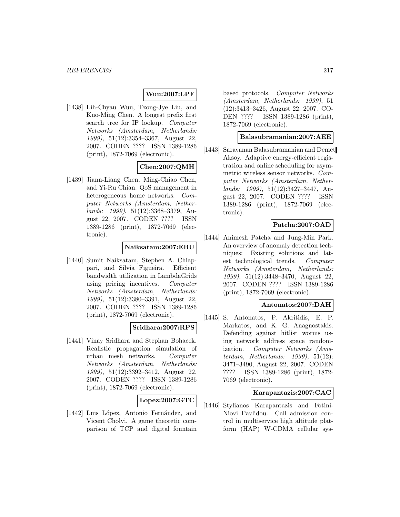## **Wuu:2007:LPF**

[1438] Lih-Chyau Wuu, Tzong-Jye Liu, and Kuo-Ming Chen. A longest prefix first search tree for IP lookup. Computer Networks (Amsterdam, Netherlands: 1999), 51(12):3354–3367, August 22, 2007. CODEN ???? ISSN 1389-1286 (print), 1872-7069 (electronic).

# **Chen:2007:QMH**

[1439] Jiann-Liang Chen, Ming-Chiao Chen, and Yi-Ru Chian. QoS management in heterogeneous home networks. Computer Networks (Amsterdam, Netherlands: 1999), 51(12):3368–3379, August 22, 2007. CODEN ???? ISSN 1389-1286 (print), 1872-7069 (electronic).

# **Naiksatam:2007:EBU**

[1440] Sumit Naiksatam, Stephen A. Chiappari, and Silvia Figueira. Efficient bandwidth utilization in LambdaGrids using pricing incentives. Computer Networks (Amsterdam, Netherlands: 1999), 51(12):3380–3391, August 22, 2007. CODEN ???? ISSN 1389-1286 (print), 1872-7069 (electronic).

## **Sridhara:2007:RPS**

[1441] Vinay Sridhara and Stephan Bohacek. Realistic propagation simulation of urban mesh networks. Computer Networks (Amsterdam, Netherlands: 1999), 51(12):3392–3412, August 22, 2007. CODEN ???? ISSN 1389-1286 (print), 1872-7069 (electronic).

# **Lopez:2007:GTC**

[1442] Luis López, Antonio Fernández, and Vicent Cholvi. A game theoretic comparison of TCP and digital fountain

based protocols. Computer Networks (Amsterdam, Netherlands: 1999), 51 (12):3413–3426, August 22, 2007. CO-DEN ???? ISSN 1389-1286 (print), 1872-7069 (electronic).

#### **Balasubramanian:2007:AEE**

[1443] Saravanan Balasubramanian and Demet Aksoy. Adaptive energy-efficient registration and online scheduling for asymmetric wireless sensor networks. Computer Networks (Amsterdam, Netherlands: 1999), 51(12):3427–3447, August 22, 2007. CODEN ???? ISSN 1389-1286 (print), 1872-7069 (electronic).

# **Patcha:2007:OAD**

[1444] Animesh Patcha and Jung-Min Park. An overview of anomaly detection techniques: Existing solutions and latest technological trends. Computer Networks (Amsterdam, Netherlands: 1999), 51(12):3448–3470, August 22, 2007. CODEN ???? ISSN 1389-1286 (print), 1872-7069 (electronic).

#### **Antonatos:2007:DAH**

[1445] S. Antonatos, P. Akritidis, E. P. Markatos, and K. G. Anagnostakis. Defending against hitlist worms using network address space randomization. Computer Networks (Amsterdam, Netherlands: 1999), 51(12): 3471–3490, August 22, 2007. CODEN ???? ISSN 1389-1286 (print), 1872- 7069 (electronic).

## **Karapantazis:2007:CAC**

[1446] Stylianos Karapantazis and Fotini-Niovi Pavlidou. Call admission control in multiservice high altitude platform (HAP) W-CDMA cellular sys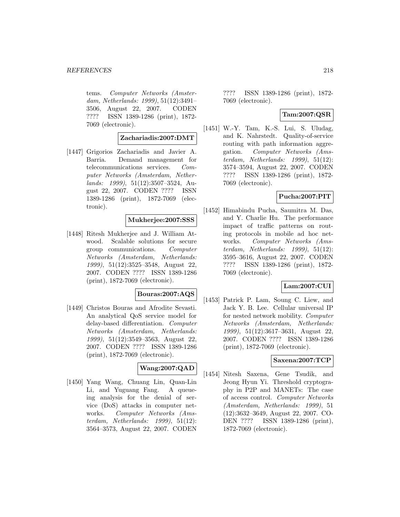tems. Computer Networks (Amsterdam, Netherlands: 1999), 51(12):3491– 3506, August 22, 2007. CODEN ???? ISSN 1389-1286 (print), 1872- 7069 (electronic).

## **Zachariadis:2007:DMT**

[1447] Grigorios Zachariadis and Javier A. Barria. Demand management for telecommunications services. Computer Networks (Amsterdam, Netherlands: 1999), 51(12):3507–3524, August 22, 2007. CODEN ???? ISSN 1389-1286 (print), 1872-7069 (electronic).

#### **Mukherjee:2007:SSS**

[1448] Ritesh Mukherjee and J. William Atwood. Scalable solutions for secure group communications. Computer Networks (Amsterdam, Netherlands: 1999), 51(12):3525–3548, August 22, 2007. CODEN ???? ISSN 1389-1286 (print), 1872-7069 (electronic).

# **Bouras:2007:AQS**

[1449] Christos Bouras and Afrodite Sevasti. An analytical QoS service model for delay-based differentiation. Computer Networks (Amsterdam, Netherlands: 1999), 51(12):3549–3563, August 22, 2007. CODEN ???? ISSN 1389-1286 (print), 1872-7069 (electronic).

## **Wang:2007:QAD**

[1450] Yang Wang, Chuang Lin, Quan-Lin Li, and Yuguang Fang. A queueing analysis for the denial of service (DoS) attacks in computer networks. Computer Networks (Amsterdam, Netherlands: 1999), 51(12): 3564–3573, August 22, 2007. CODEN

???? ISSN 1389-1286 (print), 1872- 7069 (electronic).

# **Tam:2007:QSR**

[1451] W.-Y. Tam, K.-S. Lui, S. Uludag, and K. Nahrstedt. Quality-of-service routing with path information aggregation. Computer Networks (Amsterdam, Netherlands: 1999), 51(12): 3574–3594, August 22, 2007. CODEN ???? ISSN 1389-1286 (print), 1872- 7069 (electronic).

#### **Pucha:2007:PIT**

[1452] Himabindu Pucha, Saumitra M. Das, and Y. Charlie Hu. The performance impact of traffic patterns on routing protocols in mobile ad hoc networks. Computer Networks (Amsterdam, Netherlands: 1999), 51(12): 3595–3616, August 22, 2007. CODEN ???? ISSN 1389-1286 (print), 1872- 7069 (electronic).

#### **Lam:2007:CUI**

[1453] Patrick P. Lam, Soung C. Liew, and Jack Y. B. Lee. Cellular universal IP for nested network mobility. Computer Networks (Amsterdam, Netherlands: 1999), 51(12):3617–3631, August 22, 2007. CODEN ???? ISSN 1389-1286 (print), 1872-7069 (electronic).

#### **Saxena:2007:TCP**

[1454] Nitesh Saxena, Gene Tsudik, and Jeong Hyun Yi. Threshold cryptography in P2P and MANETs: The case of access control. Computer Networks (Amsterdam, Netherlands: 1999), 51 (12):3632–3649, August 22, 2007. CO-DEN ???? ISSN 1389-1286 (print), 1872-7069 (electronic).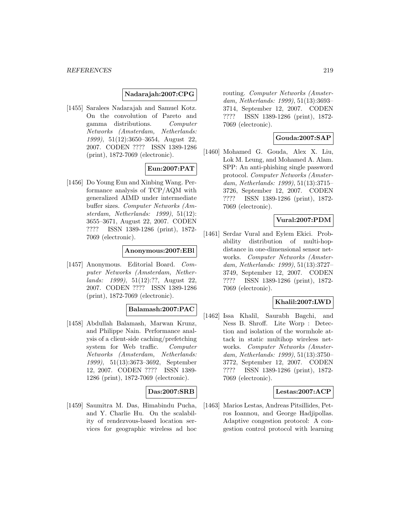#### **Nadarajah:2007:CPG**

[1455] Saralees Nadarajah and Samuel Kotz. On the convolution of Pareto and gamma distributions. Computer Networks (Amsterdam, Netherlands: 1999), 51(12):3650–3654, August 22, 2007. CODEN ???? ISSN 1389-1286 (print), 1872-7069 (electronic).

# **Eun:2007:PAT**

[1456] Do Young Eun and Xinbing Wang. Performance analysis of TCP/AQM with generalized AIMD under intermediate buffer sizes. Computer Networks (Amsterdam, Netherlands: 1999), 51(12): 3655–3671, August 22, 2007. CODEN ???? ISSN 1389-1286 (print), 1872- 7069 (electronic).

#### **Anonymous:2007:EBl**

[1457] Anonymous. Editorial Board. Computer Networks (Amsterdam, Netherlands: 1999), 51(12):??, August 22, 2007. CODEN ???? ISSN 1389-1286 (print), 1872-7069 (electronic).

## **Balamash:2007:PAC**

[1458] Abdullah Balamash, Marwan Krunz, and Philippe Nain. Performance analysis of a client-side caching/prefetching system for Web traffic. Computer Networks (Amsterdam, Netherlands: 1999), 51(13):3673–3692, September 12, 2007. CODEN ???? ISSN 1389- 1286 (print), 1872-7069 (electronic).

## **Das:2007:SRB**

[1459] Saumitra M. Das, Himabindu Pucha, and Y. Charlie Hu. On the scalability of rendezvous-based location services for geographic wireless ad hoc routing. Computer Networks (Amsterdam, Netherlands: 1999), 51(13):3693– 3714, September 12, 2007. CODEN ???? ISSN 1389-1286 (print), 1872- 7069 (electronic).

#### **Gouda:2007:SAP**

[1460] Mohamed G. Gouda, Alex X. Liu, Lok M. Leung, and Mohamed A. Alam. SPP: An anti-phishing single password protocol. Computer Networks (Amsterdam, Netherlands: 1999), 51(13):3715– 3726, September 12, 2007. CODEN ???? ISSN 1389-1286 (print), 1872- 7069 (electronic).

## **Vural:2007:PDM**

[1461] Serdar Vural and Eylem Ekici. Probability distribution of multi-hopdistance in one-dimensional sensor networks. Computer Networks (Amsterdam, Netherlands: 1999), 51(13):3727– 3749, September 12, 2007. CODEN ???? ISSN 1389-1286 (print), 1872- 7069 (electronic).

## **Khalil:2007:LWD**

[1462] Issa Khalil, Saurabh Bagchi, and Ness B. Shroff. Lite Worp : Detection and isolation of the wormhole attack in static multihop wireless networks. Computer Networks (Amsterdam, Netherlands: 1999), 51(13):3750– 3772, September 12, 2007. CODEN ???? ISSN 1389-1286 (print), 1872- 7069 (electronic).

#### **Lestas:2007:ACP**

[1463] Marios Lestas, Andreas Pitsillides, Petros Ioannou, and George Hadjipollas. Adaptive congestion protocol: A congestion control protocol with learning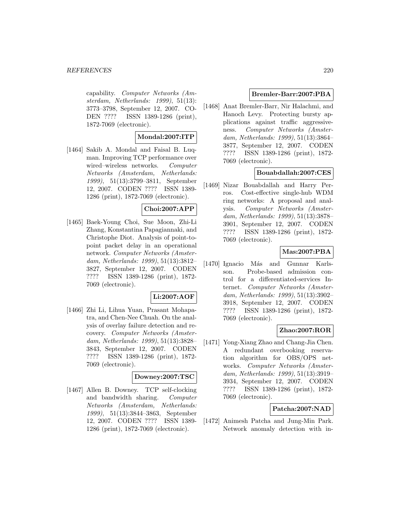capability. Computer Networks (Amsterdam, Netherlands: 1999), 51(13): 3773–3798, September 12, 2007. CO-DEN ???? ISSN 1389-1286 (print), 1872-7069 (electronic).

# **Mondal:2007:ITP**

[1464] Sakib A. Mondal and Faisal B. Luqman. Improving TCP performance over wired–wireless networks. Computer Networks (Amsterdam, Netherlands: 1999), 51(13):3799–3811, September 12, 2007. CODEN ???? ISSN 1389- 1286 (print), 1872-7069 (electronic).

## **Choi:2007:APP**

[1465] Baek-Young Choi, Sue Moon, Zhi-Li Zhang, Konstantina Papagiannaki, and Christophe Diot. Analysis of point-topoint packet delay in an operational network. Computer Networks (Amsterdam, Netherlands: 1999), 51(13):3812– 3827, September 12, 2007. CODEN ???? ISSN 1389-1286 (print), 1872- 7069 (electronic).

## **Li:2007:AOF**

[1466] Zhi Li, Lihua Yuan, Prasant Mohapatra, and Chen-Nee Chuah. On the analysis of overlay failure detection and recovery. Computer Networks (Amsterdam, Netherlands: 1999), 51(13):3828– 3843, September 12, 2007. CODEN ???? ISSN 1389-1286 (print), 1872- 7069 (electronic).

#### **Downey:2007:TSC**

[1467] Allen B. Downey. TCP self-clocking and bandwidth sharing. Computer Networks (Amsterdam, Netherlands: 1999), 51(13):3844–3863, September 12, 2007. CODEN ???? ISSN 1389- 1286 (print), 1872-7069 (electronic).

#### **Bremler-Barr:2007:PBA**

[1468] Anat Bremler-Barr, Nir Halachmi, and Hanoch Levy. Protecting bursty applications against traffic aggressiveness. Computer Networks (Amsterdam, Netherlands: 1999), 51(13):3864– 3877, September 12, 2007. CODEN ???? ISSN 1389-1286 (print), 1872- 7069 (electronic).

# **Bouabdallah:2007:CES**

[1469] Nizar Bouabdallah and Harry Perros. Cost-effective single-hub WDM ring networks: A proposal and analysis. Computer Networks (Amsterdam, Netherlands: 1999), 51(13):3878– 3901, September 12, 2007. CODEN ???? ISSN 1389-1286 (print), 1872- 7069 (electronic).

# **Mas:2007:PBA**

[1470] Ignacio Más and Gunnar Karlsson. Probe-based admission control for a differentiated-services Internet. Computer Networks (Amsterdam, Netherlands: 1999), 51(13):3902– 3918, September 12, 2007. CODEN ???? ISSN 1389-1286 (print), 1872- 7069 (electronic).

# **Zhao:2007:ROR**

[1471] Yong-Xiang Zhao and Chang-Jia Chen. A redundant overbooking reservation algorithm for OBS/OPS networks. Computer Networks (Amsterdam, Netherlands: 1999), 51(13):3919– 3934, September 12, 2007. CODEN ???? ISSN 1389-1286 (print), 1872- 7069 (electronic).

## **Patcha:2007:NAD**

[1472] Animesh Patcha and Jung-Min Park. Network anomaly detection with in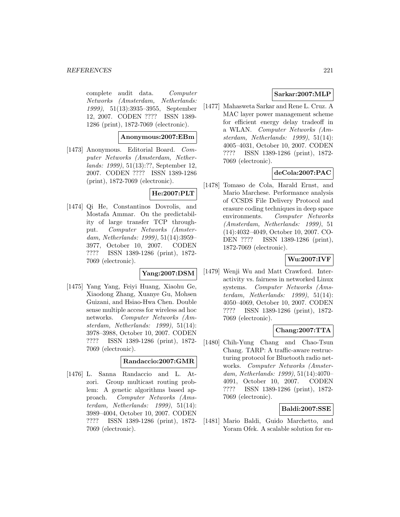complete audit data. Computer Networks (Amsterdam, Netherlands: 1999), 51(13):3935–3955, September 12, 2007. CODEN ???? ISSN 1389- 1286 (print), 1872-7069 (electronic).

## **Anonymous:2007:EBm**

[1473] Anonymous. Editorial Board. Computer Networks (Amsterdam, Netherlands: 1999), 51(13):??, September 12, 2007. CODEN ???? ISSN 1389-1286 (print), 1872-7069 (electronic).

## **He:2007:PLT**

[1474] Qi He, Constantinos Dovrolis, and Mostafa Ammar. On the predictability of large transfer TCP throughput. Computer Networks (Amsterdam, Netherlands: 1999), 51(14):3959– 3977, October 10, 2007. CODEN ???? ISSN 1389-1286 (print), 1872- 7069 (electronic).

## **Yang:2007:DSM**

[1475] Yang Yang, Feiyi Huang, Xiaohu Ge, Xiaodong Zhang, Xuanye Gu, Mohsen Guizani, and Hsiao-Hwa Chen. Double sense multiple access for wireless ad hoc networks. Computer Networks (Amsterdam, Netherlands: 1999), 51(14): 3978–3988, October 10, 2007. CODEN ???? ISSN 1389-1286 (print), 1872- 7069 (electronic).

## **Randaccio:2007:GMR**

[1476] L. Sanna Randaccio and L. Atzori. Group multicast routing problem: A genetic algorithms based approach. Computer Networks (Amsterdam, Netherlands: 1999), 51(14): 3989–4004, October 10, 2007. CODEN ???? ISSN 1389-1286 (print), 1872- 7069 (electronic).

# **Sarkar:2007:MLP**

[1477] Mahasweta Sarkar and Rene L. Cruz. A MAC layer power management scheme for efficient energy delay tradeoff in a WLAN. Computer Networks (Amsterdam, Netherlands: 1999), 51(14): 4005–4031, October 10, 2007. CODEN ???? ISSN 1389-1286 (print), 1872- 7069 (electronic).

# **deCola:2007:PAC**

[1478] Tomaso de Cola, Harald Ernst, and Mario Marchese. Performance analysis of CCSDS File Delivery Protocol and erasure coding techniques in deep space environments. Computer Networks (Amsterdam, Netherlands: 1999), 51 (14):4032–4049, October 10, 2007. CO-DEN ???? ISSN 1389-1286 (print), 1872-7069 (electronic).

# **Wu:2007:IVF**

[1479] Wenji Wu and Matt Crawford. Interactivity vs. fairness in networked Linux systems. Computer Networks (Amsterdam, Netherlands: 1999), 51(14): 4050–4069, October 10, 2007. CODEN ???? ISSN 1389-1286 (print), 1872- 7069 (electronic).

## **Chang:2007:TTA**

[1480] Chih-Yung Chang and Chao-Tsun Chang. TARP: A traffic-aware restructuring protocol for Bluetooth radio networks. Computer Networks (Amsterdam, Netherlands: 1999), 51(14):4070– 4091, October 10, 2007. CODEN ???? ISSN 1389-1286 (print), 1872- 7069 (electronic).

# **Baldi:2007:SSE**

[1481] Mario Baldi, Guido Marchetto, and Yoram Ofek. A scalable solution for en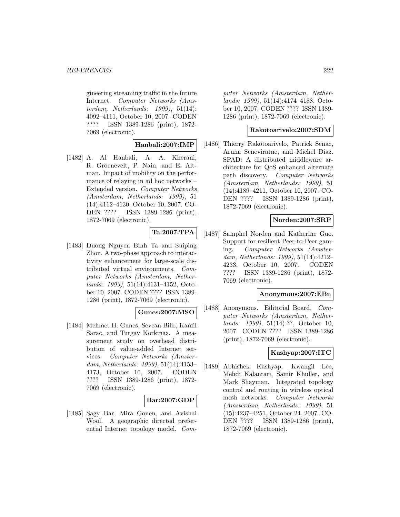gineering streaming traffic in the future Internet. Computer Networks (Amsterdam, Netherlands: 1999), 51(14): 4092–4111, October 10, 2007. CODEN ???? ISSN 1389-1286 (print), 1872- 7069 (electronic).

#### **Hanbali:2007:IMP**

[1482] A. Al Hanbali, A. A. Kherani, R. Groenevelt, P. Nain, and E. Altman. Impact of mobility on the performance of relaying in ad hoc networks – Extended version. Computer Networks (Amsterdam, Netherlands: 1999), 51 (14):4112–4130, October 10, 2007. CO-DEN ???? ISSN 1389-1286 (print), 1872-7069 (electronic).

# **Ta:2007:TPA**

[1483] Duong Nguyen Binh Ta and Suiping Zhou. A two-phase approach to interactivity enhancement for large-scale distributed virtual environments. Computer Networks (Amsterdam, Netherlands: 1999), 51(14):4131–4152, October 10, 2007. CODEN ???? ISSN 1389- 1286 (print), 1872-7069 (electronic).

# **Gunes:2007:MSO**

[1484] Mehmet H. Gunes, Sevcan Bilir, Kamil Sarac, and Turgay Korkmaz. A measurement study on overhead distribution of value-added Internet services. Computer Networks (Amsterdam, Netherlands: 1999), 51(14):4153– 4173, October 10, 2007. CODEN ???? ISSN 1389-1286 (print), 1872- 7069 (electronic).

## **Bar:2007:GDP**

[1485] Sagy Bar, Mira Gonen, and Avishai Wool. A geographic directed preferential Internet topology model. Com-

puter Networks (Amsterdam, Netherlands: 1999), 51(14):4174–4188, October 10, 2007. CODEN ???? ISSN 1389- 1286 (print), 1872-7069 (electronic).

#### **Rakotoarivelo:2007:SDM**

[1486] Thierry Rakotoarivelo, Patrick Sénac, Aruna Seneviratne, and Michel Diaz. SPAD: A distributed middleware architecture for QoS enhanced alternate path discovery. Computer Networks (Amsterdam, Netherlands: 1999), 51 (14):4189–4211, October 10, 2007. CO-DEN ???? ISSN 1389-1286 (print), 1872-7069 (electronic).

#### **Norden:2007:SRP**

[1487] Samphel Norden and Katherine Guo. Support for resilient Peer-to-Peer gaming. Computer Networks (Amsterdam, Netherlands: 1999), 51(14):4212– 4233, October 10, 2007. CODEN ???? ISSN 1389-1286 (print), 1872- 7069 (electronic).

#### **Anonymous:2007:EBn**

[1488] Anonymous. Editorial Board. Computer Networks (Amsterdam, Netherlands: 1999), 51(14):??, October 10, 2007. CODEN ???? ISSN 1389-1286 (print), 1872-7069 (electronic).

## **Kashyap:2007:ITC**

[1489] Abhishek Kashyap, Kwangil Lee, Mehdi Kalantari, Samir Khuller, and Mark Shayman. Integrated topology control and routing in wireless optical mesh networks. Computer Networks (Amsterdam, Netherlands: 1999), 51 (15):4237–4251, October 24, 2007. CO-DEN ???? ISSN 1389-1286 (print), 1872-7069 (electronic).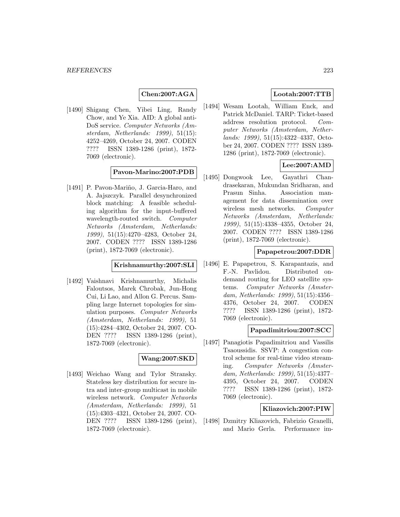## **Chen:2007:AGA**

[1490] Shigang Chen, Yibei Ling, Randy Chow, and Ye Xia. AID: A global anti-DoS service. Computer Networks (Amsterdam, Netherlands: 1999), 51(15): 4252–4269, October 24, 2007. CODEN ???? ISSN 1389-1286 (print), 1872- 7069 (electronic).

# **Pavon-Marino:2007:PDB**

[1491] P. Pavon-Mariño, J. Garcia-Haro, and A. Jajszczyk. Parallel desynchronized block matching: A feasible scheduling algorithm for the input-buffered wavelength-routed switch. Computer Networks (Amsterdam, Netherlands: 1999), 51(15):4270–4283, October 24, 2007. CODEN ???? ISSN 1389-1286 (print), 1872-7069 (electronic).

#### **Krishnamurthy:2007:SLI**

[1492] Vaishnavi Krishnamurthy, Michalis Faloutsos, Marek Chrobak, Jun-Hong Cui, Li Lao, and Allon G. Percus. Sampling large Internet topologies for simulation purposes. Computer Networks (Amsterdam, Netherlands: 1999), 51 (15):4284–4302, October 24, 2007. CO-DEN ???? ISSN 1389-1286 (print), 1872-7069 (electronic).

# **Wang:2007:SKD**

[1493] Weichao Wang and Tylor Stransky. Stateless key distribution for secure intra and inter-group multicast in mobile wireless network. Computer Networks (Amsterdam, Netherlands: 1999), 51 (15):4303–4321, October 24, 2007. CO-DEN ???? ISSN 1389-1286 (print), 1872-7069 (electronic).

# **Lootah:2007:TTB**

[1494] Wesam Lootah, William Enck, and Patrick McDaniel. TARP: Ticket-based address resolution protocol. Computer Networks (Amsterdam, Netherlands: 1999), 51(15):4322–4337, October 24, 2007. CODEN ???? ISSN 1389- 1286 (print), 1872-7069 (electronic).

# **Lee:2007:AMD**

[1495] Dongwook Lee, Gayathri Chandrasekaran, Mukundan Sridharan, and Prasun Sinha. Association management for data dissemination over wireless mesh networks. Computer Networks (Amsterdam, Netherlands: 1999), 51(15):4338–4355, October 24, 2007. CODEN ???? ISSN 1389-1286 (print), 1872-7069 (electronic).

## **Papapetrou:2007:DDR**

[1496] E. Papapetrou, S. Karapantazis, and F.-N. Pavlidou. Distributed ondemand routing for LEO satellite systems. Computer Networks (Amsterdam, Netherlands: 1999), 51(15):4356– 4376, October 24, 2007. CODEN ???? ISSN 1389-1286 (print), 1872- 7069 (electronic).

## **Papadimitriou:2007:SCC**

[1497] Panagiotis Papadimitriou and Vassilis Tsaoussidis. SSVP: A congestion control scheme for real-time video streaming. Computer Networks (Amsterdam, Netherlands: 1999), 51(15):4377– 4395, October 24, 2007. CODEN ???? ISSN 1389-1286 (print), 1872- 7069 (electronic).

# **Kliazovich:2007:PIW**

[1498] Dzmitry Kliazovich, Fabrizio Granelli, and Mario Gerla. Performance im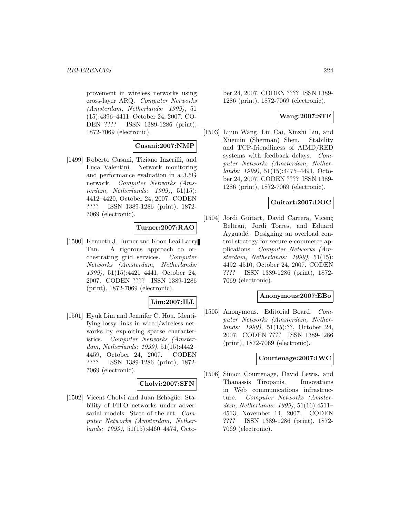provement in wireless networks using cross-layer ARQ. Computer Networks (Amsterdam, Netherlands: 1999), 51 (15):4396–4411, October 24, 2007. CO-DEN ???? ISSN 1389-1286 (print), 1872-7069 (electronic).

## **Cusani:2007:NMP**

[1499] Roberto Cusani, Tiziano Inzerilli, and Luca Valentini. Network monitoring and performance evaluation in a 3.5G network. Computer Networks (Amsterdam, Netherlands: 1999), 51(15): 4412–4420, October 24, 2007. CODEN ???? ISSN 1389-1286 (print), 1872- 7069 (electronic).

## **Turner:2007:RAO**

[1500] Kenneth J. Turner and Koon Leai Larry Tan. A rigorous approach to orchestrating grid services. Computer Networks (Amsterdam, Netherlands: 1999), 51(15):4421–4441, October 24, 2007. CODEN ???? ISSN 1389-1286 (print), 1872-7069 (electronic).

## **Lim:2007:ILL**

[1501] Hyuk Lim and Jennifer C. Hou. Identifying lossy links in wired/wireless networks by exploiting sparse characteristics. Computer Networks (Amsterdam, Netherlands: 1999), 51(15):4442– 4459, October 24, 2007. CODEN ???? ISSN 1389-1286 (print), 1872- 7069 (electronic).

## **Cholvi:2007:SFN**

[1502] Vicent Cholvi and Juan Echagüe. Stability of FIFO networks under adversarial models: State of the art. Computer Networks (Amsterdam, Netherlands: 1999), 51(15):4460–4474, October 24, 2007. CODEN ???? ISSN 1389- 1286 (print), 1872-7069 (electronic).

## **Wang:2007:STF**

[1503] Lijun Wang, Lin Cai, Xinzhi Liu, and Xuemin (Sherman) Shen. Stability and TCP-friendliness of AIMD/RED systems with feedback delays. Computer Networks (Amsterdam, Netherlands: 1999), 51(15):4475–4491, October 24, 2007. CODEN ???? ISSN 1389- 1286 (print), 1872-7069 (electronic).

## **Guitart:2007:DOC**

[1504] Jordi Guitart, David Carrera, Vicenç Beltran, Jordi Torres, and Eduard Ayguadé. Designing an overload control strategy for secure e-commerce applications. Computer Networks (Amsterdam, Netherlands: 1999), 51(15): 4492–4510, October 24, 2007. CODEN ???? ISSN 1389-1286 (print), 1872- 7069 (electronic).

#### **Anonymous:2007:EBo**

[1505] Anonymous. Editorial Board. Computer Networks (Amsterdam, Netherlands: 1999), 51(15):??, October 24, 2007. CODEN ???? ISSN 1389-1286 (print), 1872-7069 (electronic).

## **Courtenage:2007:IWC**

[1506] Simon Courtenage, David Lewis, and Thanassis Tiropanis. Innovations in Web communications infrastructure. Computer Networks (Amsterdam, Netherlands: 1999), 51(16):4511– 4513, November 14, 2007. CODEN ???? ISSN 1389-1286 (print), 1872- 7069 (electronic).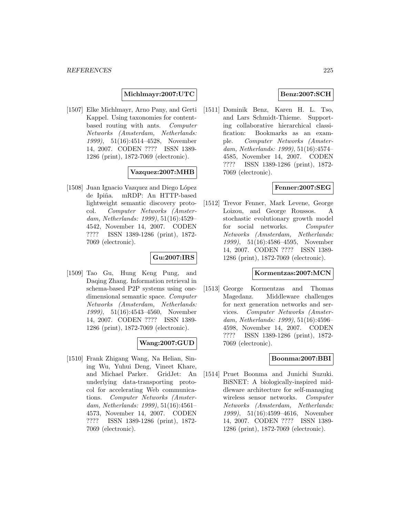**Michlmayr:2007:UTC**

[1507] Elke Michlmayr, Arno Pany, and Gerti Kappel. Using taxonomies for contentbased routing with ants. Computer Networks (Amsterdam, Netherlands: 1999), 51(16):4514–4528, November 14, 2007. CODEN ???? ISSN 1389- 1286 (print), 1872-7069 (electronic).

# **Vazquez:2007:MHB**

[1508] Juan Ignacio Vazquez and Diego López de Ipiña. mRDP: An HTTP-based lightweight semantic discovery protocol. Computer Networks (Amsterdam, Netherlands: 1999), 51(16):4529– 4542, November 14, 2007. CODEN ???? ISSN 1389-1286 (print), 1872- 7069 (electronic).

# **Gu:2007:IRS**

[1509] Tao Gu, Hung Keng Pung, and Daqing Zhang. Information retrieval in schema-based P2P systems using onedimensional semantic space. Computer Networks (Amsterdam, Netherlands: 1999), 51(16):4543–4560, November 14, 2007. CODEN ???? ISSN 1389- 1286 (print), 1872-7069 (electronic).

# **Wang:2007:GUD**

[1510] Frank Zhigang Wang, Na Helian, Sining Wu, Yuhui Deng, Vineet Khare, and Michael Parker. GridJet: An underlying data-transporting protocol for accelerating Web communications. Computer Networks (Amsterdam, Netherlands: 1999), 51(16):4561– 4573, November 14, 2007. CODEN ???? ISSN 1389-1286 (print), 1872- 7069 (electronic).

# **Benz:2007:SCH**

[1511] Dominik Benz, Karen H. L. Tso, and Lars Schmidt-Thieme. Supporting collaborative hierarchical classification: Bookmarks as an example. Computer Networks (Amsterdam, Netherlands: 1999), 51(16):4574– 4585, November 14, 2007. CODEN ???? ISSN 1389-1286 (print), 1872- 7069 (electronic).

# **Fenner:2007:SEG**

[1512] Trevor Fenner, Mark Levene, George Loizou, and George Roussos. A stochastic evolutionary growth model for social networks. Computer Networks (Amsterdam, Netherlands: 1999), 51(16):4586–4595, November 14, 2007. CODEN ???? ISSN 1389- 1286 (print), 1872-7069 (electronic).

## **Kormentzas:2007:MCN**

[1513] George Kormentzas and Thomas Magedanz. Middleware challenges for next generation networks and services. Computer Networks (Amsterdam, Netherlands: 1999), 51(16):4596– 4598, November 14, 2007. CODEN ???? ISSN 1389-1286 (print), 1872- 7069 (electronic).

# **Boonma:2007:BBI**

[1514] Pruet Boonma and Junichi Suzuki. BiSNET: A biologically-inspired middleware architecture for self-managing wireless sensor networks. Computer Networks (Amsterdam, Netherlands: 1999), 51(16):4599–4616, November 14, 2007. CODEN ???? ISSN 1389- 1286 (print), 1872-7069 (electronic).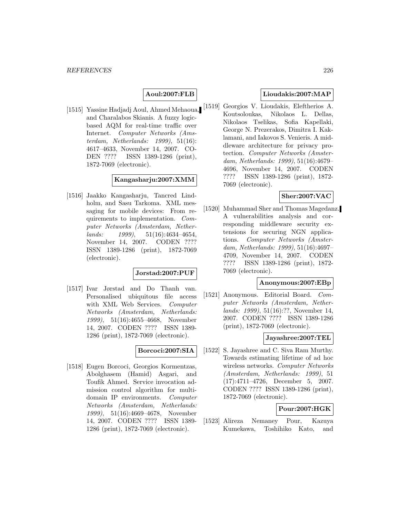# **Aoul:2007:FLB**

[1515] Yassine Hadjadj Aoul, Ahmed Mehaoua, and Charalabos Skianis. A fuzzy logicbased AQM for real-time traffic over Internet. Computer Networks (Amsterdam, Netherlands: 1999), 51(16): 4617–4633, November 14, 2007. CO-DEN ???? ISSN 1389-1286 (print), 1872-7069 (electronic).

# **Kangasharju:2007:XMM**

[1516] Jaakko Kangasharju, Tancred Lindholm, and Sasu Tarkoma. XML messaging for mobile devices: From requirements to implementation. Computer Networks (Amsterdam, Nether $lands: 1999, 51(16):4634-4654,$ November 14, 2007. CODEN ???? ISSN 1389-1286 (print), 1872-7069 (electronic).

## **Jorstad:2007:PUF**

[1517] Ivar Jørstad and Do Thanh van. Personalised ubiquitous file access with XML Web Services. Computer Networks (Amsterdam, Netherlands: 1999), 51(16):4655–4668, November 14, 2007. CODEN ???? ISSN 1389- 1286 (print), 1872-7069 (electronic).

## **Borcoci:2007:SIA**

[1518] Eugen Borcoci, Georgios Kormentzas, Abolghasem (Hamid) Asgari, and Toufik Ahmed. Service invocation admission control algorithm for multidomain IP environments. Computer Networks (Amsterdam, Netherlands: 1999), 51(16):4669–4678, November 14, 2007. CODEN ???? ISSN 1389- 1286 (print), 1872-7069 (electronic).

# **Lioudakis:2007:MAP**

[1519] Georgios V. Lioudakis, Eleftherios A. Koutsoloukas, Nikolaos L. Dellas, Nikolaos Tselikas, Sofia Kapellaki, George N. Prezerakos, Dimitra I. Kaklamani, and Iakovos S. Venieris. A middleware architecture for privacy protection. Computer Networks (Amsterdam, Netherlands: 1999), 51(16):4679– 4696, November 14, 2007. CODEN ???? ISSN 1389-1286 (print), 1872- 7069 (electronic).

# **Sher:2007:VAC**

[1520] Muhammad Sher and Thomas Magedanz. A vulnerabilities analysis and corresponding middleware security extensions for securing NGN applications. Computer Networks (Amsterdam, Netherlands: 1999), 51(16):4697– 4709, November 14, 2007. CODEN ???? ISSN 1389-1286 (print), 1872- 7069 (electronic).

#### **Anonymous:2007:EBp**

[1521] Anonymous. Editorial Board. Computer Networks (Amsterdam, Netherlands: 1999), 51(16):??, November 14, 2007. CODEN ???? ISSN 1389-1286 (print), 1872-7069 (electronic).

#### **Jayashree:2007:TEL**

[1522] S. Jayashree and C. Siva Ram Murthy. Towards estimating lifetime of ad hoc wireless networks. Computer Networks (Amsterdam, Netherlands: 1999), 51 (17):4711–4726, December 5, 2007. CODEN ???? ISSN 1389-1286 (print), 1872-7069 (electronic).

# **Pour:2007:HGK**

[1523] Alireza Nemaney Pour, Kazuya Kumekawa, Toshihiko Kato, and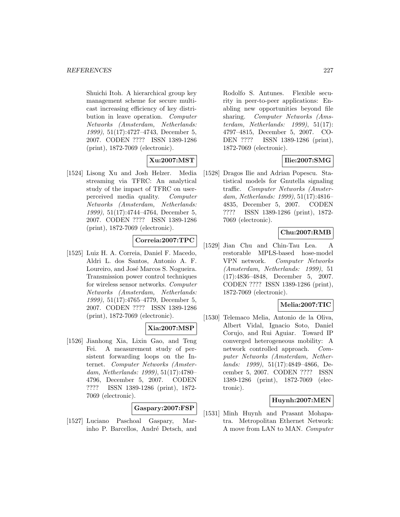Shuichi Itoh. A hierarchical group key management scheme for secure multicast increasing efficiency of key distribution in leave operation. Computer Networks (Amsterdam, Netherlands: 1999), 51(17):4727–4743, December 5, 2007. CODEN ???? ISSN 1389-1286 (print), 1872-7069 (electronic).

# **Xu:2007:MST**

[1524] Lisong Xu and Josh Helzer. Media streaming via TFRC: An analytical study of the impact of TFRC on userperceived media quality. Computer Networks (Amsterdam, Netherlands: 1999), 51(17):4744–4764, December 5, 2007. CODEN ???? ISSN 1389-1286 (print), 1872-7069 (electronic).

# **Correia:2007:TPC**

[1525] Luiz H. A. Correia, Daniel F. Macedo, Aldri L. dos Santos, Antonio A. F. Loureiro, and José Marcos S. Nogueira. Transmission power control techniques for wireless sensor networks. Computer Networks (Amsterdam, Netherlands: 1999), 51(17):4765–4779, December 5, 2007. CODEN ???? ISSN 1389-1286 (print), 1872-7069 (electronic).

# **Xia:2007:MSP**

[1526] Jianhong Xia, Lixin Gao, and Teng Fei. A measurement study of persistent forwarding loops on the Internet. Computer Networks (Amsterdam, Netherlands: 1999), 51(17):4780– 4796, December 5, 2007. CODEN ???? ISSN 1389-1286 (print), 1872- 7069 (electronic).

## **Gaspary:2007:FSP**

[1527] Luciano Paschoal Gaspary, Marinho P. Barcellos, André Detsch, and

Rodolfo S. Antunes. Flexible security in peer-to-peer applications: Enabling new opportunities beyond file sharing. Computer Networks (Amsterdam, Netherlands: 1999), 51(17): 4797–4815, December 5, 2007. CO-DEN ???? ISSN 1389-1286 (print), 1872-7069 (electronic).

# **Ilie:2007:SMG**

[1528] Dragos Ilie and Adrian Popescu. Statistical models for Gnutella signaling traffic. Computer Networks (Amsterdam, Netherlands: 1999), 51(17):4816– 4835, December 5, 2007. CODEN ???? ISSN 1389-1286 (print), 1872- 7069 (electronic).

# **Chu:2007:RMB**

[1529] Jian Chu and Chin-Tau Lea. A restorable MPLS-based hose-model VPN network. Computer Networks (Amsterdam, Netherlands: 1999), 51 (17):4836–4848, December 5, 2007. CODEN ???? ISSN 1389-1286 (print), 1872-7069 (electronic).

# **Melia:2007:TIC**

[1530] Telemaco Melia, Antonio de la Oliva, Albert Vidal, Ignacio Soto, Daniel Corujo, and Rui Aguiar. Toward IP converged heterogeneous mobility: A network controlled approach. Computer Networks (Amsterdam, Netherlands: 1999), 51(17):4849–4866, December 5, 2007. CODEN ???? ISSN 1389-1286 (print), 1872-7069 (electronic).

# **Huynh:2007:MEN**

[1531] Minh Huynh and Prasant Mohapatra. Metropolitan Ethernet Network: A move from LAN to MAN. Computer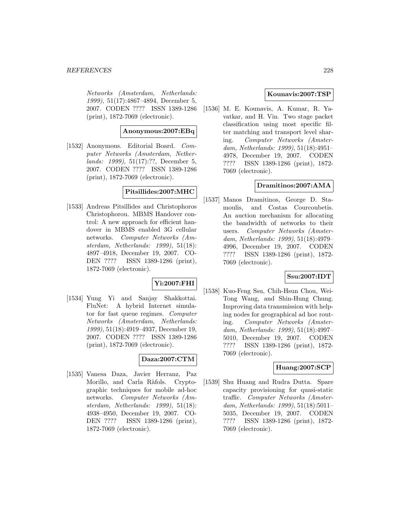Networks (Amsterdam, Netherlands: 1999), 51(17):4867–4894, December 5, 2007. CODEN ???? ISSN 1389-1286 (print), 1872-7069 (electronic).

# **Anonymous:2007:EBq**

[1532] Anonymous. Editorial Board. Computer Networks (Amsterdam, Netherlands: 1999), 51(17):??, December 5, 2007. CODEN ???? ISSN 1389-1286 (print), 1872-7069 (electronic).

# **Pitsillides:2007:MHC**

[1533] Andreas Pitsillides and Christophoros Christophorou. MBMS Handover control: A new approach for efficient handover in MBMS enabled 3G cellular networks. Computer Networks (Amsterdam, Netherlands: 1999), 51(18): 4897–4918, December 19, 2007. CO-DEN ???? ISSN 1389-1286 (print), 1872-7069 (electronic).

# **Yi:2007:FHI**

[1534] Yung Yi and Sanjay Shakkottai. FluNet: A hybrid Internet simulator for fast queue regimes. Computer Networks (Amsterdam, Netherlands: 1999), 51(18):4919–4937, December 19, 2007. CODEN ???? ISSN 1389-1286 (print), 1872-7069 (electronic).

# **Daza:2007:CTM**

[1535] Vanesa Daza, Javier Herranz, Paz Morillo, and Carla Ràfols. Cryptographic techniques for mobile ad-hoc networks. Computer Networks (Amsterdam, Netherlands: 1999), 51(18): 4938–4950, December 19, 2007. CO-DEN ???? ISSN 1389-1286 (print), 1872-7069 (electronic).

## **Kounavis:2007:TSP**

[1536] M. E. Kounavis, A. Kumar, R. Yavatkar, and H. Vin. Two stage packet classification using most specific filter matching and transport level sharing. Computer Networks (Amsterdam, Netherlands: 1999), 51(18):4951– 4978, December 19, 2007. CODEN ???? ISSN 1389-1286 (print), 1872- 7069 (electronic).

# **Dramitinos:2007:AMA**

[1537] Manos Dramitinos, George D. Stamoulis, and Costas Courcoubetis. An auction mechanism for allocating the bandwidth of networks to their users. Computer Networks (Amsterdam, Netherlands: 1999), 51(18):4979– 4996, December 19, 2007. CODEN ???? ISSN 1389-1286 (print), 1872- 7069 (electronic).

# **Ssu:2007:IDT**

[1538] Kuo-Feng Ssu, Chih-Hsun Chou, Wei-Tong Wang, and Shin-Hung Chung. Improving data transmission with helping nodes for geographical ad hoc routing. Computer Networks (Amsterdam, Netherlands: 1999), 51(18):4997– 5010, December 19, 2007. CODEN ???? ISSN 1389-1286 (print), 1872- 7069 (electronic).

## **Huang:2007:SCP**

[1539] Shu Huang and Rudra Dutta. Spare capacity provisioning for quasi-static traffic. Computer Networks (Amsterdam, Netherlands: 1999), 51(18):5011– 5035, December 19, 2007. CODEN ???? ISSN 1389-1286 (print), 1872- 7069 (electronic).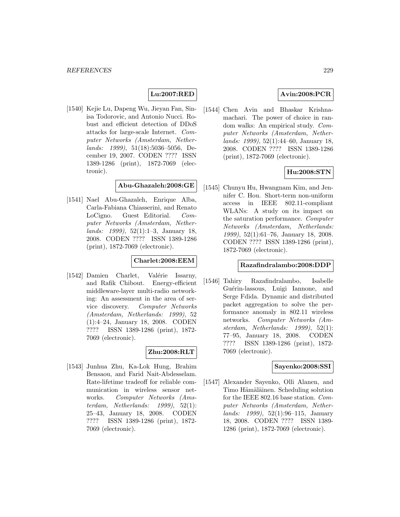# **Lu:2007:RED**

[1540] Kejie Lu, Dapeng Wu, Jieyan Fan, Sinisa Todorovic, and Antonio Nucci. Robust and efficient detection of DDoS attacks for large-scale Internet. Computer Networks (Amsterdam, Netherlands: 1999), 51(18):5036–5056, December 19, 2007. CODEN ???? ISSN 1389-1286 (print), 1872-7069 (electronic).

## **Abu-Ghazaleh:2008:GE**

[1541] Nael Abu-Ghazaleh, Enrique Alba, Carla-Fabiana Chiasserini, and Renato LoCigno. Guest Editorial. Computer Networks (Amsterdam, Netherlands: 1999), 52(1):1–3, January 18, 2008. CODEN ???? ISSN 1389-1286 (print), 1872-7069 (electronic).

# **Charlet:2008:EEM**

[1542] Damien Charlet, Valérie Issarny, and Rafik Chibout. Energy-efficient middleware-layer multi-radio networking: An assessment in the area of service discovery. Computer Networks (Amsterdam, Netherlands: 1999), 52 (1):4–24, January 18, 2008. CODEN ???? ISSN 1389-1286 (print), 1872- 7069 (electronic).

# **Zhu:2008:RLT**

[1543] Junhua Zhu, Ka-Lok Hung, Brahim Bensaou, and Farid Nait-Abdesselam. Rate-lifetime tradeoff for reliable communication in wireless sensor networks. Computer Networks (Amsterdam, Netherlands:  $1999$ ,  $52(1)$ : 25–43, January 18, 2008. CODEN ???? ISSN 1389-1286 (print), 1872- 7069 (electronic).

# **Avin:2008:PCR**

[1544] Chen Avin and Bhaskar Krishnamachari. The power of choice in random walks: An empirical study. Computer Networks (Amsterdam, Netherlands: 1999), 52(1):44–60, January 18, 2008. CODEN ???? ISSN 1389-1286 (print), 1872-7069 (electronic).

# **Hu:2008:STN**

[1545] Chunyu Hu, Hwangnam Kim, and Jennifer C. Hou. Short-term non-uniform access in IEEE 802.11-compliant WLANs: A study on its impact on the saturation performance. Computer Networks (Amsterdam, Netherlands: 1999), 52(1):61–76, January 18, 2008. CODEN ???? ISSN 1389-1286 (print), 1872-7069 (electronic).

#### **Razafindralambo:2008:DDP**

[1546] Tahiry Razafindralambo, Isabelle Guérin-lassous, Luigi Iannone, and Serge Fdida. Dynamic and distributed packet aggregation to solve the performance anomaly in 802.11 wireless networks. Computer Networks (Amsterdam, Netherlands: 1999), 52(1): 77–95, January 18, 2008. CODEN ???? ISSN 1389-1286 (print), 1872- 7069 (electronic).

#### **Sayenko:2008:SSI**

[1547] Alexander Sayenko, Olli Alanen, and Timo Hämäläinen. Scheduling solution for the IEEE 802.16 base station. Computer Networks (Amsterdam, Netherlands: 1999), 52(1):96–115, January 18, 2008. CODEN ???? ISSN 1389- 1286 (print), 1872-7069 (electronic).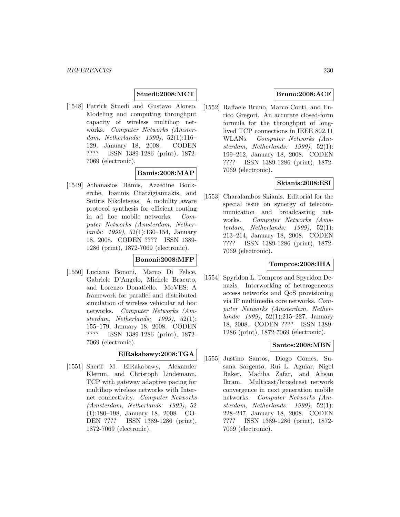# **Stuedi:2008:MCT**

[1548] Patrick Stuedi and Gustavo Alonso. Modeling and computing throughput capacity of wireless multihop networks. Computer Networks (Amsterdam, Netherlands: 1999), 52(1):116– 129, January 18, 2008. CODEN ???? ISSN 1389-1286 (print), 1872- 7069 (electronic).

#### **Bamis:2008:MAP**

[1549] Athanasios Bamis, Azzedine Boukerche, Ioannis Chatzigiannakis, and Sotiris Nikoletseas. A mobility aware protocol synthesis for efficient routing in ad hoc mobile networks. Computer Networks (Amsterdam, Netherlands: 1999), 52(1):130–154, January 18, 2008. CODEN ???? ISSN 1389- 1286 (print), 1872-7069 (electronic).

#### **Bononi:2008:MFP**

[1550] Luciano Bononi, Marco Di Felice, Gabriele D'Angelo, Michele Bracuto, and Lorenzo Donatiello. MoVES: A framework for parallel and distributed simulation of wireless vehicular ad hoc networks. Computer Networks (Amsterdam, Netherlands: 1999), 52(1): 155–179, January 18, 2008. CODEN ???? ISSN 1389-1286 (print), 1872- 7069 (electronic).

## **ElRakabawy:2008:TGA**

[1551] Sherif M. ElRakabawy, Alexander Klemm, and Christoph Lindemann. TCP with gateway adaptive pacing for multihop wireless networks with Internet connectivity. Computer Networks (Amsterdam, Netherlands: 1999), 52 (1):180–198, January 18, 2008. CO-DEN ???? ISSN 1389-1286 (print), 1872-7069 (electronic).

# **Bruno:2008:ACF**

[1552] Raffaele Bruno, Marco Conti, and Enrico Gregori. An accurate closed-form formula for the throughput of longlived TCP connections in IEEE 802.11 WLANs. Computer Networks (Amsterdam, Netherlands: 1999), 52(1): 199–212, January 18, 2008. CODEN ???? ISSN 1389-1286 (print), 1872- 7069 (electronic).

# **Skianis:2008:ESI**

[1553] Charalambos Skianis. Editorial for the special issue on synergy of telecommunication and broadcasting networks. Computer Networks (Amsterdam, Netherlands:  $1999$ ,  $52(1)$ : 213–214, January 18, 2008. CODEN ???? ISSN 1389-1286 (print), 1872- 7069 (electronic).

## **Tompros:2008:IHA**

[1554] Spyridon L. Tompros and Spyridon Denazis. Interworking of heterogeneous access networks and QoS provisioning via IP multimedia core networks. Computer Networks (Amsterdam, Netherlands: 1999), 52(1):215–227, January 18, 2008. CODEN ???? ISSN 1389- 1286 (print), 1872-7069 (electronic).

# **Santos:2008:MBN**

[1555] Justino Santos, Diogo Gomes, Susana Sargento, Rui L. Aguiar, Nigel Baker, Madiha Zafar, and Ahsan Ikram. Multicast/broadcast network convergence in next generation mobile networks. Computer Networks (Amsterdam, Netherlands: 1999), 52(1): 228–247, January 18, 2008. CODEN ???? ISSN 1389-1286 (print), 1872- 7069 (electronic).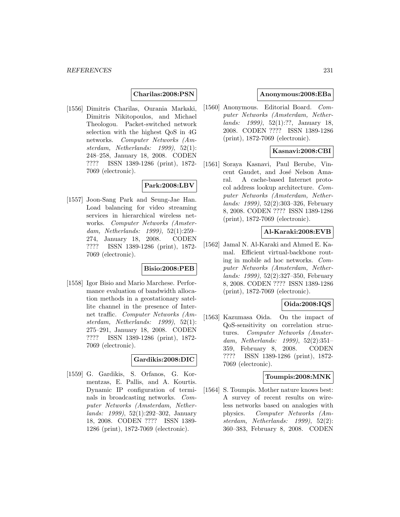#### **Charilas:2008:PSN**

[1556] Dimitris Charilas, Ourania Markaki, Dimitris Nikitopoulos, and Michael Theologou. Packet-switched network selection with the highest QoS in 4G networks. Computer Networks (Amsterdam, Netherlands: 1999), 52(1): 248–258, January 18, 2008. CODEN ???? ISSN 1389-1286 (print), 1872- 7069 (electronic).

# **Park:2008:LBV**

[1557] Joon-Sang Park and Seung-Jae Han. Load balancing for video streaming services in hierarchical wireless networks. Computer Networks (Amsterdam, Netherlands: 1999), 52(1):259– 274, January 18, 2008. CODEN ???? ISSN 1389-1286 (print), 1872- 7069 (electronic).

# **Bisio:2008:PEB**

[1558] Igor Bisio and Mario Marchese. Performance evaluation of bandwidth allocation methods in a geostationary satellite channel in the presence of Internet traffic. Computer Networks (Amsterdam, Netherlands: 1999), 52(1): 275–291, January 18, 2008. CODEN ???? ISSN 1389-1286 (print), 1872- 7069 (electronic).

# **Gardikis:2008:DIC**

[1559] G. Gardikis, S. Orfanos, G. Kormentzas, E. Pallis, and A. Kourtis. Dynamic IP configuration of terminals in broadcasting networks. Computer Networks (Amsterdam, Netherlands: 1999), 52(1):292–302, January 18, 2008. CODEN ???? ISSN 1389- 1286 (print), 1872-7069 (electronic).

#### **Anonymous:2008:EBa**

[1560] Anonymous. Editorial Board. Computer Networks (Amsterdam, Netherlands: 1999), 52(1):??, January 18, 2008. CODEN ???? ISSN 1389-1286 (print), 1872-7069 (electronic).

# **Kasnavi:2008:CBI**

[1561] Soraya Kasnavi, Paul Berube, Vincent Gaudet, and José Nelson Amaral. A cache-based Internet protocol address lookup architecture. Computer Networks (Amsterdam, Netherlands: 1999), 52(2):303–326, February 8, 2008. CODEN ???? ISSN 1389-1286 (print), 1872-7069 (electronic).

#### **Al-Karaki:2008:EVB**

[1562] Jamal N. Al-Karaki and Ahmed E. Kamal. Efficient virtual-backbone routing in mobile ad hoc networks. Computer Networks (Amsterdam, Netherlands: 1999), 52(2):327–350, February 8, 2008. CODEN ???? ISSN 1389-1286 (print), 1872-7069 (electronic).

## **Oida:2008:IQS**

[1563] Kazumasa Oida. On the impact of QoS-sensitivity on correlation structures. Computer Networks (Amsterdam, Netherlands: 1999), 52(2):351– 359, February 8, 2008. CODEN ???? ISSN 1389-1286 (print), 1872- 7069 (electronic).

#### **Toumpis:2008:MNK**

[1564] S. Toumpis. Mother nature knows best: A survey of recent results on wireless networks based on analogies with physics. Computer Networks (Amsterdam, Netherlands: 1999), 52(2): 360–383, February 8, 2008. CODEN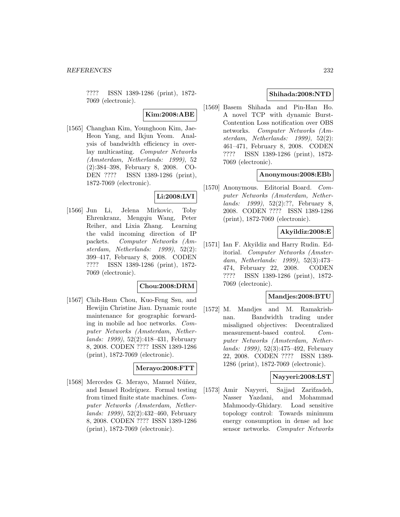???? ISSN 1389-1286 (print), 1872- 7069 (electronic).

# **Kim:2008:ABE**

[1565] Changhan Kim, Younghoon Kim, Jae-Heon Yang, and Ikjun Yeom. Analysis of bandwidth efficiency in overlay multicasting. Computer Networks (Amsterdam, Netherlands: 1999), 52 (2):384–398, February 8, 2008. CO-DEN ???? ISSN 1389-1286 (print), 1872-7069 (electronic).

# **Li:2008:LVI**

[1566] Jun Li, Jelena Mirkovic, Toby Ehrenkranz, Mengqiu Wang, Peter Reiher, and Lixia Zhang. Learning the valid incoming direction of IP packets. Computer Networks (Amsterdam, Netherlands: 1999), 52(2): 399–417, February 8, 2008. CODEN ???? ISSN 1389-1286 (print), 1872- 7069 (electronic).

## **Chou:2008:DRM**

[1567] Chih-Hsun Chou, Kuo-Feng Ssu, and Hewijin Christine Jiau. Dynamic route maintenance for geographic forwarding in mobile ad hoc networks. Computer Networks (Amsterdam, Netherlands: 1999), 52(2):418–431, February 8, 2008. CODEN ???? ISSN 1389-1286 (print), 1872-7069 (electronic).

#### **Merayo:2008:FTT**

[1568] Mercedes G. Merayo, Manuel Núñez, and Ismael Rodríguez. Formal testing from timed finite state machines. Computer Networks (Amsterdam, Netherlands: 1999), 52(2):432–460, February 8, 2008. CODEN ???? ISSN 1389-1286 (print), 1872-7069 (electronic).

# **Shihada:2008:NTD**

[1569] Basem Shihada and Pin-Han Ho. A novel TCP with dynamic Burst-Contention Loss notification over OBS networks. Computer Networks (Amsterdam, Netherlands: 1999), 52(2): 461–471, February 8, 2008. CODEN ???? ISSN 1389-1286 (print), 1872- 7069 (electronic).

## **Anonymous:2008:EBb**

[1570] Anonymous. Editorial Board. Computer Networks (Amsterdam, Netherlands: 1999), 52(2):??, February 8, 2008. CODEN ???? ISSN 1389-1286 (print), 1872-7069 (electronic).

## **Akyildiz:2008:E**

[1571] Ian F. Akyildiz and Harry Rudin. Editorial. Computer Networks (Amsterdam, Netherlands: 1999), 52(3):473– 474, February 22, 2008. CODEN ???? ISSN 1389-1286 (print), 1872- 7069 (electronic).

#### **Mandjes:2008:BTU**

[1572] M. Mandjes and M. Ramakrishnan. Bandwidth trading under misaligned objectives: Decentralized measurement-based control. Computer Networks (Amsterdam, Netherlands: 1999), 52(3):475–492, February 22, 2008. CODEN ???? ISSN 1389- 1286 (print), 1872-7069 (electronic).

#### **Nayyeri:2008:LST**

[1573] Amir Nayyeri, Sajjad Zarifzadeh, Nasser Yazdani, and Mohammad Mahmoody-Ghidary. Load sensitive topology control: Towards minimum energy consumption in dense ad hoc sensor networks. Computer Networks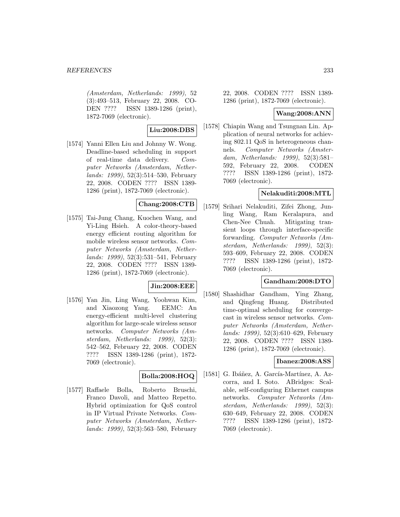#### *REFERENCES* 233

(Amsterdam, Netherlands: 1999), 52 (3):493–513, February 22, 2008. CO-DEN ???? ISSN 1389-1286 (print), 1872-7069 (electronic).

# **Liu:2008:DBS**

[1574] Yanni Ellen Liu and Johnny W. Wong. Deadline-based scheduling in support of real-time data delivery. Computer Networks (Amsterdam, Netherlands: 1999), 52(3):514–530, February 22, 2008. CODEN ???? ISSN 1389- 1286 (print), 1872-7069 (electronic).

# **Chang:2008:CTB**

[1575] Tai-Jung Chang, Kuochen Wang, and Yi-Ling Hsieh. A color-theory-based energy efficient routing algorithm for mobile wireless sensor networks. Computer Networks (Amsterdam, Netherlands: 1999), 52(3):531–541, February 22, 2008. CODEN ???? ISSN 1389- 1286 (print), 1872-7069 (electronic).

## **Jin:2008:EEE**

[1576] Yan Jin, Ling Wang, Yoohwan Kim, and Xiaozong Yang. EEMC: An energy-efficient multi-level clustering algorithm for large-scale wireless sensor networks. Computer Networks (Amsterdam, Netherlands: 1999), 52(3): 542–562, February 22, 2008. CODEN ???? ISSN 1389-1286 (print), 1872- 7069 (electronic).

# **Bolla:2008:HOQ**

[1577] Raffaele Bolla, Roberto Bruschi, Franco Davoli, and Matteo Repetto. Hybrid optimization for QoS control in IP Virtual Private Networks. Computer Networks (Amsterdam, Netherlands: 1999), 52(3):563–580, February

22, 2008. CODEN ???? ISSN 1389- 1286 (print), 1872-7069 (electronic).

#### **Wang:2008:ANN**

[1578] Chiapin Wang and Tsungnan Lin. Application of neural networks for achieving 802.11 QoS in heterogeneous channels. Computer Networks (Amsterdam, Netherlands: 1999), 52(3):581– 592, February 22, 2008. CODEN ???? ISSN 1389-1286 (print), 1872- 7069 (electronic).

# **Nelakuditi:2008:MTL**

[1579] Srihari Nelakuditi, Zifei Zhong, Junling Wang, Ram Keralapura, and Chen-Nee Chuah. Mitigating transient loops through interface-specific forwarding. Computer Networks (Amsterdam, Netherlands: 1999), 52(3): 593–609, February 22, 2008. CODEN ???? ISSN 1389-1286 (print), 1872- 7069 (electronic).

#### **Gandham:2008:DTO**

[1580] Shashidhar Gandham, Ying Zhang, and Qingfeng Huang. Distributed time-optimal scheduling for convergecast in wireless sensor networks. Computer Networks (Amsterdam, Netherlands: 1999), 52(3):610–629, February 22, 2008. CODEN ???? ISSN 1389- 1286 (print), 1872-7069 (electronic).

#### **Ibanez:2008:ASS**

[1581] G. Ibáñez, A. García-Martínez, A. Azcorra, and I. Soto. ABridges: Scalable, self-configuring Ethernet campus networks. Computer Networks (Amsterdam, Netherlands: 1999), 52(3): 630–649, February 22, 2008. CODEN ???? ISSN 1389-1286 (print), 1872- 7069 (electronic).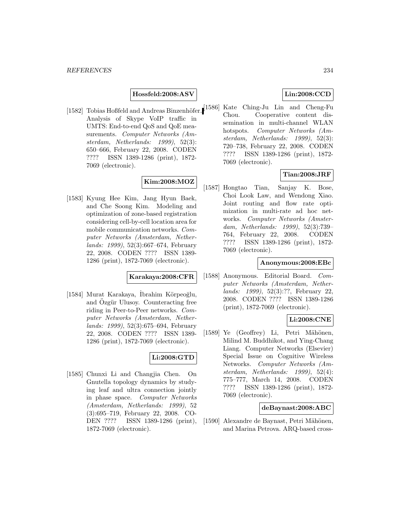#### **Hossfeld:2008:ASV**

Analysis of Skype VoIP traffic in UMTS: End-to-end QoS and QoE measurements. Computer Networks (Amsterdam, Netherlands: 1999), 52(3): 650–666, February 22, 2008. CODEN ???? ISSN 1389-1286 (print), 1872- 7069 (electronic).

# **Kim:2008:MOZ**

[1583] Kyung Hee Kim, Jang Hyun Baek, and Che Soong Kim. Modeling and optimization of zone-based registration considering cell-by-cell location area for mobile communication networks. Computer Networks (Amsterdam, Netherlands: 1999), 52(3):667–674, February 22, 2008. CODEN ???? ISSN 1389- 1286 (print), 1872-7069 (electronic).

#### **Karakaya:2008:CFR**

[1584] Murat Karakaya, İbrahim Körpeoğlu, and Ozgür Ulusoy. Counteracting free riding in Peer-to-Peer networks. Computer Networks (Amsterdam, Netherlands: 1999), 52(3):675–694, February 22, 2008. CODEN ???? ISSN 1389- 1286 (print), 1872-7069 (electronic).

# **Li:2008:GTD**

[1585] Chunxi Li and Changjia Chen. On Gnutella topology dynamics by studying leaf and ultra connection jointly in phase space. Computer Networks (Amsterdam, Netherlands: 1999), 52 (3):695–719, February 22, 2008. CO-DEN ???? ISSN 1389-1286 (print), 1872-7069 (electronic).

# **Lin:2008:CCD**

[1582] Tobias Hoßfeld and Andreas Binzenhöfer. [1586] Kate Ching-Ju Lin and Cheng-Fu Chou. Cooperative content dissemination in multi-channel WLAN hotspots. Computer Networks (Amsterdam, Netherlands: 1999), 52(3): 720–738, February 22, 2008. CODEN ???? ISSN 1389-1286 (print), 1872- 7069 (electronic).

# **Tian:2008:JRF**

[1587] Hongtao Tian, Sanjay K. Bose, Choi Look Law, and Wendong Xiao. Joint routing and flow rate optimization in multi-rate ad hoc networks. Computer Networks (Amsterdam, Netherlands: 1999), 52(3):739– 764, February 22, 2008. CODEN ???? ISSN 1389-1286 (print), 1872- 7069 (electronic).

#### **Anonymous:2008:EBc**

[1588] Anonymous. Editorial Board. Computer Networks (Amsterdam, Netherlands: 1999), 52(3):??, February 22, 2008. CODEN ???? ISSN 1389-1286 (print), 1872-7069 (electronic).

# **Li:2008:CNE**

[1589] Ye (Geoffrey) Li, Petri Mähönen, Milind M. Buddhikot, and Ying-Chang Liang. Computer Networks (Elsevier) Special Issue on Cognitive Wireless Networks. Computer Networks (Amsterdam, Netherlands: 1999), 52(4): 775–777, March 14, 2008. CODEN ???? ISSN 1389-1286 (print), 1872- 7069 (electronic).

#### **deBaynast:2008:ABC**

[1590] Alexandre de Baynast, Petri Mähönen, and Marina Petrova. ARQ-based cross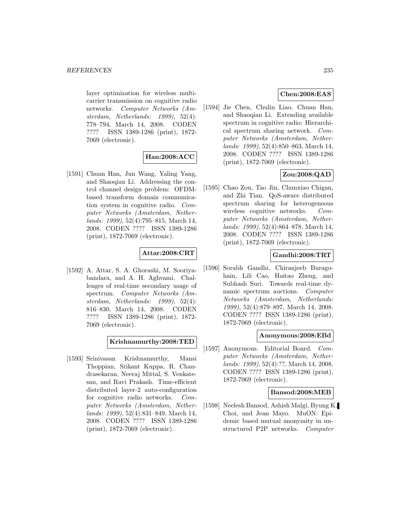layer optimization for wireless multicarrier transmission on cognitive radio networks. Computer Networks (Amsterdam, Netherlands: 1999), 52(4): 778–794, March 14, 2008. CODEN ???? ISSN 1389-1286 (print), 1872- 7069 (electronic).

# **Han:2008:ACC**

[1591] Chuan Han, Jun Wang, Yaling Yang, and Shaoqian Li. Addressing the control channel design problem: OFDMbased transform domain communication system in cognitive radio. Computer Networks (Amsterdam, Netherlands: 1999), 52(4):795–815, March 14, 2008. CODEN ???? ISSN 1389-1286 (print), 1872-7069 (electronic).

# **Attar:2008:CRT**

[1592] A. Attar, S. A. Ghorashi, M. Sooriyabandara, and A. H. Aghvami. Challenges of real-time secondary usage of spectrum. Computer Networks (Amsterdam, Netherlands: 1999), 52(4): 816–830, March 14, 2008. CODEN ???? ISSN 1389-1286 (print), 1872- 7069 (electronic).

# **Krishnamurthy:2008:TED**

[1593] Srinivasan Krishnamurthy, Mansi Thoppian, Srikant Kuppa, R. Chandrasekaran, Neeraj Mittal, S. Venkatesan, and Ravi Prakash. Time-efficient distributed layer-2 auto-configuration for cognitive radio networks. Computer Networks (Amsterdam, Netherlands: 1999), 52(4):831–849, March 14, 2008. CODEN ???? ISSN 1389-1286 (print), 1872-7069 (electronic).

# **Chen:2008:EAS**

[1594] Jie Chen, Chulin Liao, Chuan Han, and Shaoqian Li. Extending available spectrum in cognitive radio: Hierarchical spectrum sharing network. Computer Networks (Amsterdam, Netherlands: 1999), 52(4):850–863, March 14, 2008. CODEN ???? ISSN 1389-1286 (print), 1872-7069 (electronic).

# **Zou:2008:QAD**

[1595] Chao Zou, Tao Jin, Chunxiao Chigan, and Zhi Tian. QoS-aware distributed spectrum sharing for heterogeneous wireless cognitive networks. Computer Networks (Amsterdam, Netherlands: 1999), 52(4):864–878, March 14, 2008. CODEN ???? ISSN 1389-1286 (print), 1872-7069 (electronic).

# **Gandhi:2008:TRT**

[1596] Sorabh Gandhi, Chiranjeeb Buragohain, Lili Cao, Haitao Zheng, and Subhash Suri. Towards real-time dynamic spectrum auctions. Computer Networks (Amsterdam, Netherlands: 1999), 52(4):879–897, March 14, 2008. CODEN ???? ISSN 1389-1286 (print), 1872-7069 (electronic).

## **Anonymous:2008:EBd**

[1597] Anonymous. Editorial Board. Computer Networks (Amsterdam, Netherlands: 1999), 52(4):??, March 14, 2008. CODEN ???? ISSN 1389-1286 (print), 1872-7069 (electronic).

## **Bansod:2008:MEB**

[1598] Neelesh Bansod, Ashish Malgi, Byung K. Choi, and Jean Mayo. MuON: Epidemic based mutual anonymity in unstructured P2P networks. Computer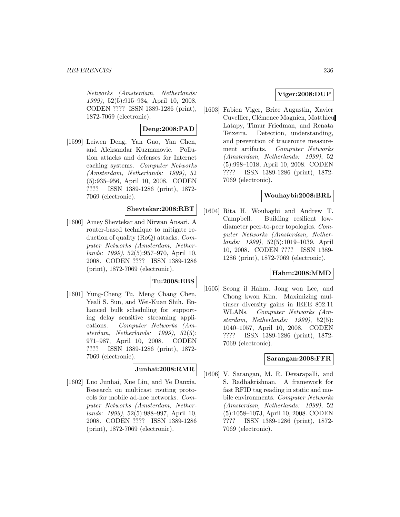#### *REFERENCES* 236

Networks (Amsterdam, Netherlands: 1999), 52(5):915–934, April 10, 2008. CODEN ???? ISSN 1389-1286 (print), 1872-7069 (electronic).

# **Deng:2008:PAD**

[1599] Leiwen Deng, Yan Gao, Yan Chen, and Aleksandar Kuzmanovic. Pollution attacks and defenses for Internet caching systems. Computer Networks (Amsterdam, Netherlands: 1999), 52 (5):935–956, April 10, 2008. CODEN ???? ISSN 1389-1286 (print), 1872- 7069 (electronic).

## **Shevtekar:2008:RBT**

[1600] Amey Shevtekar and Nirwan Ansari. A router-based technique to mitigate reduction of quality (RoQ) attacks. Computer Networks (Amsterdam, Netherlands: 1999), 52(5):957–970, April 10, 2008. CODEN ???? ISSN 1389-1286 (print), 1872-7069 (electronic).

#### **Tu:2008:EBS**

[1601] Yung-Cheng Tu, Meng Chang Chen, Yeali S. Sun, and Wei-Kuan Shih. Enhanced bulk scheduling for supporting delay sensitive streaming applications. Computer Networks (Amsterdam, Netherlands: 1999), 52(5): 971–987, April 10, 2008. CODEN ???? ISSN 1389-1286 (print), 1872- 7069 (electronic).

## **Junhai:2008:RMR**

[1602] Luo Junhai, Xue Liu, and Ye Danxia. Research on multicast routing protocols for mobile ad-hoc networks. Computer Networks (Amsterdam, Netherlands: 1999), 52(5):988–997, April 10, 2008. CODEN ???? ISSN 1389-1286 (print), 1872-7069 (electronic).

## **Viger:2008:DUP**

[1603] Fabien Viger, Brice Augustin, Xavier Cuvellier, Clémence Magnien, Matthieu Latapy, Timur Friedman, and Renata Teixeira. Detection, understanding, and prevention of traceroute measurement artifacts. Computer Networks (Amsterdam, Netherlands: 1999), 52 (5):998–1018, April 10, 2008. CODEN ???? ISSN 1389-1286 (print), 1872- 7069 (electronic).

## **Wouhaybi:2008:BRL**

[1604] Rita H. Wouhaybi and Andrew T. Campbell. Building resilient lowdiameter peer-to-peer topologies. Computer Networks (Amsterdam, Netherlands: 1999), 52(5):1019–1039, April 10, 2008. CODEN ???? ISSN 1389- 1286 (print), 1872-7069 (electronic).

## **Hahm:2008:MMD**

[1605] Seong il Hahm, Jong won Lee, and Chong kwon Kim. Maximizing multiuser diversity gains in IEEE 802.11 WLANs. Computer Networks (Amsterdam, Netherlands: 1999), 52(5): 1040–1057, April 10, 2008. CODEN ???? ISSN 1389-1286 (print), 1872- 7069 (electronic).

# **Sarangan:2008:FFR**

[1606] V. Sarangan, M. R. Devarapalli, and S. Radhakrishnan. A framework for fast RFID tag reading in static and mobile environments. Computer Networks (Amsterdam, Netherlands: 1999), 52 (5):1058–1073, April 10, 2008. CODEN ???? ISSN 1389-1286 (print), 1872- 7069 (electronic).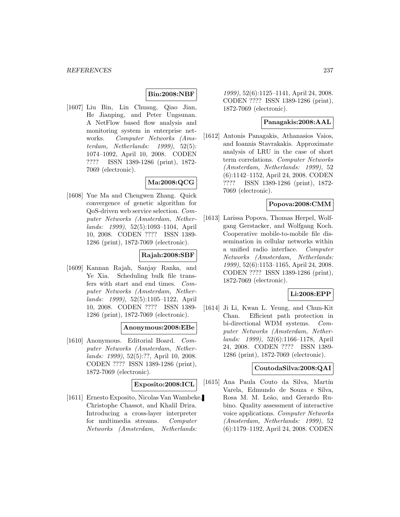# **Bin:2008:NBF**

[1607] Liu Bin, Lin Chuang, Qiao Jian, He Jianping, and Peter Ungsunan. A NetFlow based flow analysis and monitoring system in enterprise networks. Computer Networks (Amsterdam, Netherlands: 1999), 52(5): 1074–1092, April 10, 2008. CODEN ???? ISSN 1389-1286 (print), 1872- 7069 (electronic).

# **Ma:2008:QCG**

[1608] Yue Ma and Chengwen Zhang. Quick convergence of genetic algorithm for QoS-driven web service selection. Computer Networks (Amsterdam, Netherlands: 1999), 52(5):1093–1104, April 10, 2008. CODEN ???? ISSN 1389- 1286 (print), 1872-7069 (electronic).

# **Rajah:2008:SBF**

[1609] Kannan Rajah, Sanjay Ranka, and Ye Xia. Scheduling bulk file transfers with start and end times. Computer Networks (Amsterdam, Netherlands: 1999), 52(5):1105–1122, April 10, 2008. CODEN ???? ISSN 1389- 1286 (print), 1872-7069 (electronic).

## **Anonymous:2008:EBe**

[1610] Anonymous. Editorial Board. Computer Networks (Amsterdam, Netherlands: 1999), 52(5):??, April 10, 2008. CODEN ???? ISSN 1389-1286 (print), 1872-7069 (electronic).

#### **Exposito:2008:ICL**

[1611] Ernesto Exposito, Nicolas Van Wambeke, Christophe Chassot, and Khalil Drira. Introducing a cross-layer interpreter for multimedia streams. Computer Networks (Amsterdam, Netherlands:

1999), 52(6):1125–1141, April 24, 2008. CODEN ???? ISSN 1389-1286 (print), 1872-7069 (electronic).

## **Panagakis:2008:AAL**

[1612] Antonis Panagakis, Athanasios Vaios, and Ioannis Stavrakakis. Approximate analysis of LRU in the case of short term correlations. Computer Networks (Amsterdam, Netherlands: 1999), 52 (6):1142–1152, April 24, 2008. CODEN ???? ISSN 1389-1286 (print), 1872- 7069 (electronic).

# **Popova:2008:CMM**

[1613] Larissa Popova, Thomas Herpel, Wolfgang Gerstacker, and Wolfgang Koch. Cooperative mobile-to-mobile file dissemination in cellular networks within a unified radio interface. Computer Networks (Amsterdam, Netherlands: 1999), 52(6):1153–1165, April 24, 2008. CODEN ???? ISSN 1389-1286 (print), 1872-7069 (electronic).

# **Li:2008:EPP**

[1614] Ji Li, Kwan L. Yeung, and Chun-Kit Chan. Efficient path protection in bi-directional WDM systems. Computer Networks (Amsterdam, Netherlands: 1999), 52(6):1166–1178, April 24, 2008. CODEN ???? ISSN 1389- 1286 (print), 1872-7069 (electronic).

# **CoutodaSilva:2008:QAI**

[1615] Ana Paula Couto da Silva, Martín Varela, Edmundo de Souza e Silva, Rosa M. M. Leão, and Gerardo Rubino. Quality assessment of interactive voice applications. Computer Networks (Amsterdam, Netherlands: 1999), 52 (6):1179–1192, April 24, 2008. CODEN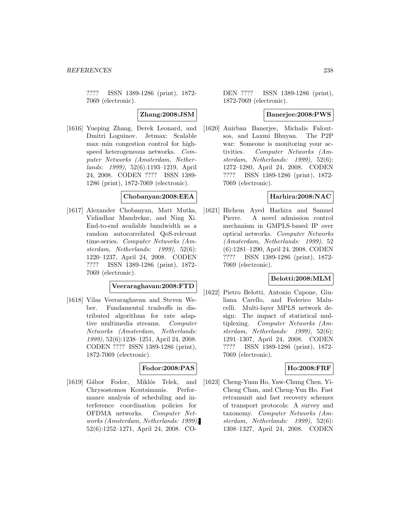???? ISSN 1389-1286 (print), 1872- 7069 (electronic).

**Zhang:2008:JSM**

[1616] Yueping Zhang, Derek Leonard, and Dmitri Loguinov. Jetmax: Scalable max–min congestion control for highspeed heterogeneous networks. Computer Networks (Amsterdam, Netherlands: 1999), 52(6):1193–1219, April 24, 2008. CODEN ???? ISSN 1389- 1286 (print), 1872-7069 (electronic).

#### **Chobanyan:2008:EEA**

[1617] Alexander Chobanyan, Matt Mutka, Vidiadhar Mandrekar, and Ning Xi. End-to-end available bandwidth as a random autocorrelated QoS-relevant time-series. Computer Networks (Amsterdam, Netherlands: 1999), 52(6): 1220–1237, April 24, 2008. CODEN ???? ISSN 1389-1286 (print), 1872- 7069 (electronic).

# **Veeraraghavan:2008:FTD**

[1618] Vilas Veeraraghavan and Steven Weber. Fundamental tradeoffs in distributed algorithms for rate adaptive multimedia streams. Computer Networks (Amsterdam, Netherlands: 1999), 52(6):1238–1251, April 24, 2008. CODEN ???? ISSN 1389-1286 (print), 1872-7069 (electronic).

#### **Fodor:2008:PAS**

[1619] Gábor Fodor, Miklós Telek, and Chrysostomos Koutsimanis. Performance analysis of scheduling and interference coordination policies for OFDMA networks. Computer Networks (Amsterdam, Netherlands: 1999), 52(6):1252–1271, April 24, 2008. CO-

DEN ???? ISSN 1389-1286 (print), 1872-7069 (electronic).

# **Banerjee:2008:PWS**

[1620] Anirban Banerjee, Michalis Faloutsos, and Laxmi Bhuyan. The P2P war: Someone is monitoring your activities. Computer Networks (Amsterdam, Netherlands: 1999), 52(6): 1272–1280, April 24, 2008. CODEN ???? ISSN 1389-1286 (print), 1872- 7069 (electronic).

#### **Harhira:2008:NAC**

[1621] Hichem Ayed Harhira and Samuel Pierre. A novel admission control mechanism in GMPLS-based IP over optical networks. Computer Networks (Amsterdam, Netherlands: 1999), 52 (6):1281–1290, April 24, 2008. CODEN ???? ISSN 1389-1286 (print), 1872- 7069 (electronic).

## **Belotti:2008:MLM**

[1622] Pietro Belotti, Antonio Capone, Giuliana Carello, and Federico Malucelli. Multi-layer MPLS network design: The impact of statistical multiplexing. Computer Networks (Amsterdam, Netherlands: 1999), 52(6): 1291–1307, April 24, 2008. CODEN ???? ISSN 1389-1286 (print), 1872- 7069 (electronic).

#### **Ho:2008:FRF**

[1623] Cheng-Yuan Ho, Yaw-Chung Chen, Yi-Cheng Chan, and Cheng-Yun Ho. Fast retransmit and fast recovery schemes of transport protocols: A survey and taxonomy. Computer Networks (Amsterdam, Netherlands: 1999), 52(6): 1308–1327, April 24, 2008. CODEN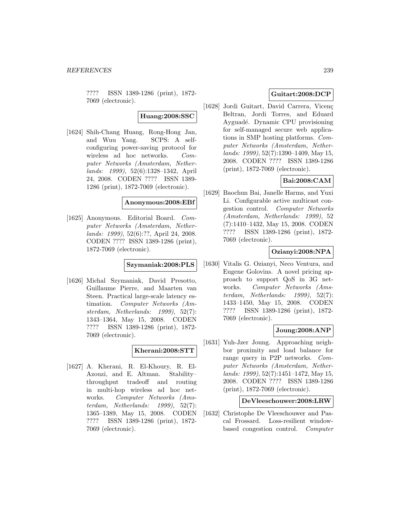???? ISSN 1389-1286 (print), 1872- 7069 (electronic).

**Huang:2008:SSC**

[1624] Shih-Chang Huang, Rong-Hong Jan, and Wuu Yang. SCPS: A selfconfiguring power-saving protocol for wireless ad hoc networks. Computer Networks (Amsterdam, Netherlands: 1999), 52(6):1328–1342, April 24, 2008. CODEN ???? ISSN 1389- 1286 (print), 1872-7069 (electronic).

#### **Anonymous:2008:EBf**

[1625] Anonymous. Editorial Board. Computer Networks (Amsterdam, Netherlands: 1999), 52(6):??, April 24, 2008. CODEN ???? ISSN 1389-1286 (print), 1872-7069 (electronic).

#### **Szymaniak:2008:PLS**

[1626] Michal Szymaniak, David Presotto, Guillaume Pierre, and Maarten van Steen. Practical large-scale latency estimation. Computer Networks (Amsterdam, Netherlands: 1999), 52(7): 1343–1364, May 15, 2008. CODEN ???? ISSN 1389-1286 (print), 1872- 7069 (electronic).

## **Kherani:2008:STT**

[1627] A. Kherani, R. El-Khoury, R. El-Azouzi, and E. Altman. Stability– throughput tradeoff and routing in multi-hop wireless ad hoc networks. Computer Networks (Amsterdam, Netherlands: 1999), 52(7): 1365–1389, May 15, 2008. CODEN ???? ISSN 1389-1286 (print), 1872- 7069 (electronic).

# **Guitart:2008:DCP**

[1628] Jordi Guitart, David Carrera, Vicenç Beltran, Jordi Torres, and Eduard Ayguadé. Dynamic CPU provisioning for self-managed secure web applications in SMP hosting platforms. Computer Networks (Amsterdam, Netherlands: 1999), 52(7):1390–1409, May 15, 2008. CODEN ???? ISSN 1389-1286 (print), 1872-7069 (electronic).

# **Bai:2008:CAM**

[1629] Baochun Bai, Janelle Harms, and Yuxi Li. Configurable active multicast congestion control. Computer Networks (Amsterdam, Netherlands: 1999), 52 (7):1410–1432, May 15, 2008. CODEN ???? ISSN 1389-1286 (print), 1872- 7069 (electronic).

# **Ozianyi:2008:NPA**

[1630] Vitalis G. Ozianyi, Neco Ventura, and Eugene Golovins. A novel pricing approach to support QoS in 3G networks. Computer Networks (Amsterdam, Netherlands: 1999), 52(7): 1433–1450, May 15, 2008. CODEN ???? ISSN 1389-1286 (print), 1872- 7069 (electronic).

## **Joung:2008:ANP**

[1631] Yuh-Jzer Joung. Approaching neighbor proximity and load balance for range query in P2P networks. Computer Networks (Amsterdam, Netherlands: 1999), 52(7):1451–1472, May 15, 2008. CODEN ???? ISSN 1389-1286 (print), 1872-7069 (electronic).

#### **DeVleeschouwer:2008:LRW**

[1632] Christophe De Vleeschouwer and Pascal Frossard. Loss-resilient windowbased congestion control. Computer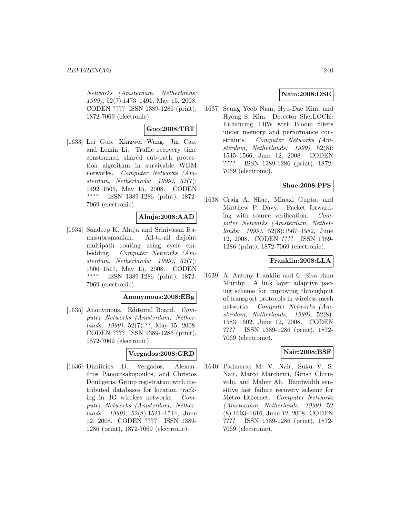Networks (Amsterdam, Netherlands: 1999), 52(7):1473–1491, May 15, 2008. CODEN ???? ISSN 1389-1286 (print), 1872-7069 (electronic).

# **Guo:2008:TRT**

[1633] Lei Guo, Xingwei Wang, Jin Cao, and Lemin Li. Traffic recovery time constrained shared sub-path protection algorithm in survivable WDM networks. Computer Networks (Amsterdam, Netherlands: 1999), 52(7): 1492–1505, May 15, 2008. CODEN ???? ISSN 1389-1286 (print), 1872- 7069 (electronic).

# **Ahuja:2008:AAD**

[1634] Sandeep K. Ahuja and Srinivasan Ramasubramanian. All-to-all disjoint multipath routing using cycle embedding. Computer Networks (Amsterdam, Netherlands: 1999), 52(7): 1506–1517, May 15, 2008. CODEN ???? ISSN 1389-1286 (print), 1872- 7069 (electronic).

## **Anonymous:2008:EBg**

[1635] Anonymous. Editorial Board. Computer Networks (Amsterdam, Netherlands: 1999), 52(7):??, May 15, 2008. CODEN ???? ISSN 1389-1286 (print), 1872-7069 (electronic).

## **Vergados:2008:GRD**

[1636] Dimitrios D. Vergados, Alexandros Panoutsakopoulos, and Christos Douligeris. Group registration with distributed databases for location tracking in 3G wireless networks. Computer Networks (Amsterdam, Netherlands: 1999), 52(8):1521–1544, June 12, 2008. CODEN ???? ISSN 1389- 1286 (print), 1872-7069 (electronic).

# **Nam:2008:DSE**

[1637] Seung Yeob Nam, Hyu-Dae Kim, and Hyong S. Kim. Detector SherLOCK: Enhancing TRW with Bloom filters under memory and performance constraints. Computer Networks (Amsterdam, Netherlands: 1999), 52(8): 1545–1566, June 12, 2008. CODEN ???? ISSN 1389-1286 (print), 1872- 7069 (electronic).

# **Shue:2008:PFS**

[1638] Craig A. Shue, Minaxi Gupta, and Matthew P. Davy. Packet forwarding with source verification. Computer Networks (Amsterdam, Netherlands: 1999), 52(8):1567–1582, June 12, 2008. CODEN ???? ISSN 1389- 1286 (print), 1872-7069 (electronic).

# **Franklin:2008:LLA**

[1639] A. Antony Franklin and C. Siva Ram Murthy. A link layer adaptive pacing scheme for improving throughput of transport protocols in wireless mesh networks. Computer Networks (Amsterdam, Netherlands: 1999), 52(8): 1583–1602, June 12, 2008. CODEN ???? ISSN 1389-1286 (print), 1872- 7069 (electronic).

## **Nair:2008:BSF**

[1640] Padmaraj M. V. Nair, Suku V. S. Nair, Marco Marchetti, Girish Chiruvolu, and Maher Ali. Bandwidth sensitive fast failure recovery scheme for Metro Ethernet. Computer Networks (Amsterdam, Netherlands: 1999), 52 (8):1603–1616, June 12, 2008. CODEN ???? ISSN 1389-1286 (print), 1872- 7069 (electronic).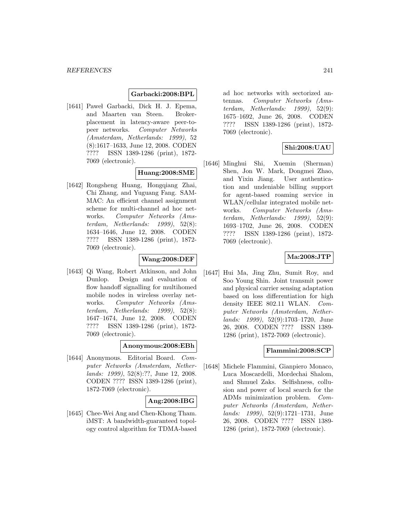#### **Garbacki:2008:BPL**

[1641] Pawel Garbacki, Dick H. J. Epema, and Maarten van Steen. Brokerplacement in latency-aware peer-topeer networks. Computer Networks (Amsterdam, Netherlands: 1999), 52 (8):1617–1633, June 12, 2008. CODEN ???? ISSN 1389-1286 (print), 1872- 7069 (electronic).

## **Huang:2008:SME**

[1642] Rongsheng Huang, Hongqiang Zhai, Chi Zhang, and Yuguang Fang. SAM-MAC: An efficient channel assignment scheme for multi-channel ad hoc networks. Computer Networks (Amsterdam, Netherlands:  $1999$ ,  $52(8)$ : 1634–1646, June 12, 2008. CODEN ???? ISSN 1389-1286 (print), 1872- 7069 (electronic).

#### **Wang:2008:DEF**

[1643] Qi Wang, Robert Atkinson, and John Dunlop. Design and evaluation of flow handoff signalling for multihomed mobile nodes in wireless overlay networks. Computer Networks (Amsterdam, Netherlands: 1999), 52(8): 1647–1674, June 12, 2008. CODEN ???? ISSN 1389-1286 (print), 1872- 7069 (electronic).

#### **Anonymous:2008:EBh**

[1644] Anonymous. Editorial Board. Computer Networks (Amsterdam, Netherlands: 1999), 52(8):??, June 12, 2008. CODEN ???? ISSN 1389-1286 (print), 1872-7069 (electronic).

## **Ang:2008:IBG**

[1645] Chee-Wei Ang and Chen-Khong Tham. iMST: A bandwidth-guaranteed topology control algorithm for TDMA-based

ad hoc networks with sectorized antennas. Computer Networks (Amsterdam, Netherlands: 1999), 52(9): 1675–1692, June 26, 2008. CODEN ???? ISSN 1389-1286 (print), 1872- 7069 (electronic).

## **Shi:2008:UAU**

[1646] Minghui Shi, Xuemin (Sherman) Shen, Jon W. Mark, Dongmei Zhao, and Yixin Jiang. User authentication and undeniable billing support for agent-based roaming service in WLAN/cellular integrated mobile networks. Computer Networks (Amsterdam, Netherlands: 1999), 52(9): 1693–1702, June 26, 2008. CODEN ???? ISSN 1389-1286 (print), 1872- 7069 (electronic).

## **Ma:2008:JTP**

[1647] Hui Ma, Jing Zhu, Sumit Roy, and Soo Young Shin. Joint transmit power and physical carrier sensing adaptation based on loss differentiation for high density IEEE 802.11 WLAN. Computer Networks (Amsterdam, Netherlands: 1999), 52(9):1703–1720, June 26, 2008. CODEN ???? ISSN 1389- 1286 (print), 1872-7069 (electronic).

#### **Flammini:2008:SCP**

[1648] Michele Flammini, Gianpiero Monaco, Luca Moscardelli, Mordechai Shalom, and Shmuel Zaks. Selfishness, collusion and power of local search for the ADMs minimization problem. Computer Networks (Amsterdam, Netherlands: 1999), 52(9):1721–1731, June 26, 2008. CODEN ???? ISSN 1389- 1286 (print), 1872-7069 (electronic).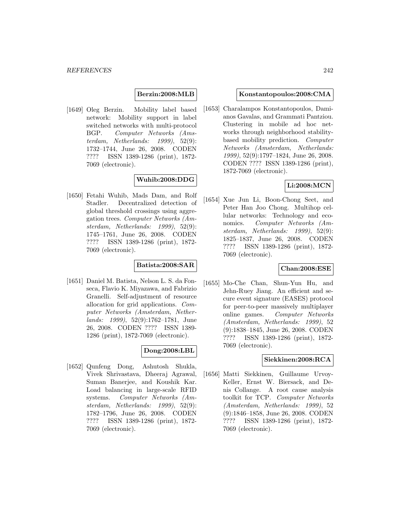## **Berzin:2008:MLB**

[1649] Oleg Berzin. Mobility label based network: Mobility support in label switched networks with multi-protocol BGP. Computer Networks (Amsterdam, Netherlands: 1999), 52(9): 1732–1744, June 26, 2008. CODEN ???? ISSN 1389-1286 (print), 1872- 7069 (electronic).

# **Wuhib:2008:DDG**

[1650] Fetahi Wuhib, Mads Dam, and Rolf Stadler. Decentralized detection of global threshold crossings using aggregation trees. Computer Networks (Amsterdam, Netherlands: 1999), 52(9): 1745–1761, June 26, 2008. CODEN ???? ISSN 1389-1286 (print), 1872- 7069 (electronic).

## **Batista:2008:SAR**

[1651] Daniel M. Batista, Nelson L. S. da Fonseca, Flavio K. Miyazawa, and Fabrizio Granelli. Self-adjustment of resource allocation for grid applications. Computer Networks (Amsterdam, Netherlands: 1999), 52(9):1762–1781, June 26, 2008. CODEN ???? ISSN 1389- 1286 (print), 1872-7069 (electronic).

## **Dong:2008:LBL**

[1652] Qunfeng Dong, Ashutosh Shukla, Vivek Shrivastava, Dheeraj Agrawal, Suman Banerjee, and Koushik Kar. Load balancing in large-scale RFID systems. Computer Networks (Amsterdam, Netherlands: 1999), 52(9): 1782–1796, June 26, 2008. CODEN ???? ISSN 1389-1286 (print), 1872- 7069 (electronic).

#### **Konstantopoulos:2008:CMA**

[1653] Charalampos Konstantopoulos, Damianos Gavalas, and Grammati Pantziou. Clustering in mobile ad hoc networks through neighborhood stabilitybased mobility prediction. Computer Networks (Amsterdam, Netherlands: 1999), 52(9):1797–1824, June 26, 2008. CODEN ???? ISSN 1389-1286 (print), 1872-7069 (electronic).

# **Li:2008:MCN**

[1654] Xue Jun Li, Boon-Chong Seet, and Peter Han Joo Chong. Multihop cellular networks: Technology and economics. Computer Networks (Amsterdam, Netherlands: 1999), 52(9): 1825–1837, June 26, 2008. CODEN ???? ISSN 1389-1286 (print), 1872- 7069 (electronic).

## **Chan:2008:ESE**

[1655] Mo-Che Chan, Shun-Yun Hu, and Jehn-Ruey Jiang. An efficient and secure event signature (EASES) protocol for peer-to-peer massively multiplayer online games. Computer Networks (Amsterdam, Netherlands: 1999), 52 (9):1838–1845, June 26, 2008. CODEN ???? ISSN 1389-1286 (print), 1872- 7069 (electronic).

#### **Siekkinen:2008:RCA**

[1656] Matti Siekkinen, Guillaume Urvoy-Keller, Ernst W. Biersack, and Denis Collange. A root cause analysis toolkit for TCP. Computer Networks (Amsterdam, Netherlands: 1999), 52 (9):1846–1858, June 26, 2008. CODEN ???? ISSN 1389-1286 (print), 1872- 7069 (electronic).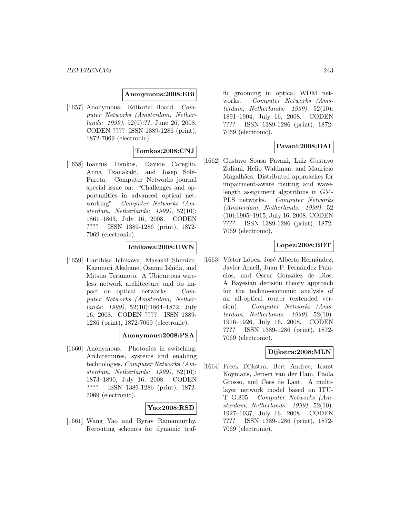#### **Anonymous:2008:EBi**

[1657] Anonymous. Editorial Board. Computer Networks (Amsterdam, Netherlands: 1999), 52(9):??, June 26, 2008. CODEN ???? ISSN 1389-1286 (print), 1872-7069 (electronic).

## **Tomkos:2008:CNJ**

[1658] Ioannis Tomkos, Davide Careglio, Anna Tzanakaki, and Josep Solé-Pareta. Computer Networks journal special issue on: "Challenges and opportunities in advanced optical networking". Computer Networks (Amsterdam, Netherlands: 1999), 52(10): 1861–1863, July 16, 2008. CODEN ???? ISSN 1389-1286 (print), 1872- 7069 (electronic).

# **Ichikawa:2008:UWN**

[1659] Haruhisa Ichikawa, Masashi Shimizu, Kazunori Akabane, Osamu Ishida, and Mitsuo Teramoto. A Ubiquitous wireless network architecture and its impact on optical networks. Computer Networks (Amsterdam, Netherlands: 1999), 52(10):1864–1872, July 16, 2008. CODEN ???? ISSN 1389- 1286 (print), 1872-7069 (electronic).

#### **Anonymous:2008:PSA**

[1660] Anonymous. Photonics in switching: Architectures, systems and enabling technologies. Computer Networks (Amsterdam, Netherlands: 1999), 52(10): 1873–1890, July 16, 2008. CODEN ???? ISSN 1389-1286 (print), 1872- 7069 (electronic).

#### **Yao:2008:RSD**

[1661] Wang Yao and Byrav Ramamurthy. Rerouting schemes for dynamic traffic grooming in optical WDM networks. Computer Networks (Amsterdam, Netherlands: 1999), 52(10): 1891–1904, July 16, 2008. CODEN ???? ISSN 1389-1286 (print), 1872- 7069 (electronic).

## **Pavani:2008:DAI**

[1662] Gustavo Sousa Pavani, Luiz Gustavo Zuliani, Helio Waldman, and Mauricio Magalhães. Distributed approaches for impairment-aware routing and wavelength assignment algorithms in GM-PLS networks. Computer Networks (Amsterdam, Netherlands: 1999), 52 (10):1905–1915, July 16, 2008. CODEN ???? ISSN 1389-1286 (print), 1872- 7069 (electronic).

# **Lopez:2008:BDT**

[1663] Víctor López, José Alberto Hernández, Javier Aracil, Juan P. Fernández Palacios, and Óscar González de Dios. A Bayesian decision theory approach for the techno-economic analysis of an all-optical router (extended version). Computer Networks (Amsterdam, Netherlands: 1999), 52(10): 1916–1926, July 16, 2008. CODEN ???? ISSN 1389-1286 (print), 1872- 7069 (electronic).

# **Dijkstra:2008:MLN**

[1664] Freek Dijkstra, Bert Andree, Karst Koymans, Jeroen van der Ham, Paola Grosso, and Cees de Laat. A multilayer network model based on ITU-T G.805. Computer Networks (Amsterdam, Netherlands: 1999), 52(10): 1927–1937, July 16, 2008. CODEN ???? ISSN 1389-1286 (print), 1872- 7069 (electronic).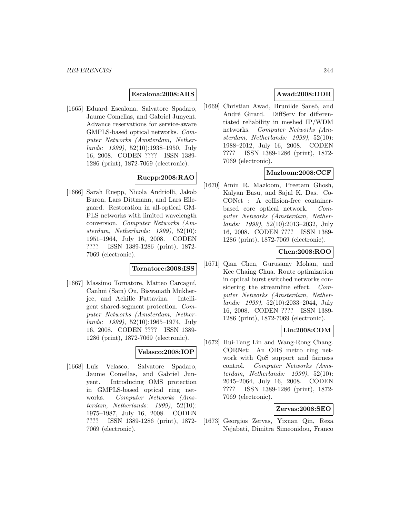## **Escalona:2008:ARS**

[1665] Eduard Escalona, Salvatore Spadaro, Jaume Comellas, and Gabriel Junyent. Advance reservations for service-aware GMPLS-based optical networks. Computer Networks (Amsterdam, Netherlands: 1999), 52(10):1938–1950, July 16, 2008. CODEN ???? ISSN 1389- 1286 (print), 1872-7069 (electronic).

# **Ruepp:2008:RAO**

[1666] Sarah Ruepp, Nicola Andriolli, Jakob Buron, Lars Dittmann, and Lars Ellegaard. Restoration in all-optical GM-PLS networks with limited wavelength conversion. Computer Networks (Amsterdam, Netherlands: 1999), 52(10): 1951–1964, July 16, 2008. CODEN ???? ISSN 1389-1286 (print), 1872- 7069 (electronic).

## **Tornatore:2008:ISS**

[1667] Massimo Tornatore, Matteo Carcagní, Canhui (Sam) Ou, Biswanath Mukherjee, and Achille Pattavina. Intelligent shared-segment protection. Computer Networks (Amsterdam, Netherlands: 1999), 52(10):1965–1974, July 16, 2008. CODEN ???? ISSN 1389- 1286 (print), 1872-7069 (electronic).

## **Velasco:2008:IOP**

[1668] Luis Velasco, Salvatore Spadaro, Jaume Comellas, and Gabriel Junyent. Introducing OMS protection in GMPLS-based optical ring networks. Computer Networks (Amsterdam, Netherlands: 1999), 52(10): 1975–1987, July 16, 2008. CODEN ???? ISSN 1389-1286 (print), 1872- 7069 (electronic).

# **Awad:2008:DDR**

[1669] Christian Awad, Brunilde Sansò, and André Girard. DiffServ for differentiated reliability in meshed IP/WDM networks. Computer Networks (Amsterdam, Netherlands: 1999), 52(10): 1988–2012, July 16, 2008. CODEN ???? ISSN 1389-1286 (print), 1872- 7069 (electronic).

# **Mazloom:2008:CCF**

[1670] Amin R. Mazloom, Preetam Ghosh, Kalyan Basu, and Sajal K. Das. Co-CONet : A collision-free containerbased core optical network. Computer Networks (Amsterdam, Netherlands: 1999), 52(10):2013–2032, July 16, 2008. CODEN ???? ISSN 1389- 1286 (print), 1872-7069 (electronic).

# **Chen:2008:ROO**

[1671] Qian Chen, Gurusamy Mohan, and Kee Chaing Chua. Route optimization in optical burst switched networks considering the streamline effect. Computer Networks (Amsterdam, Netherlands: 1999), 52(10):2033–2044, July 16, 2008. CODEN ???? ISSN 1389- 1286 (print), 1872-7069 (electronic).

# **Lin:2008:COM**

[1672] Hui-Tang Lin and Wang-Rong Chang. CORNet: An OBS metro ring network with QoS support and fairness control. Computer Networks (Amsterdam, Netherlands: 1999), 52(10): 2045–2064, July 16, 2008. CODEN ???? ISSN 1389-1286 (print), 1872- 7069 (electronic).

#### **Zervas:2008:SEO**

[1673] Georgios Zervas, Yixuan Qin, Reza Nejabati, Dimitra Simeonidou, Franco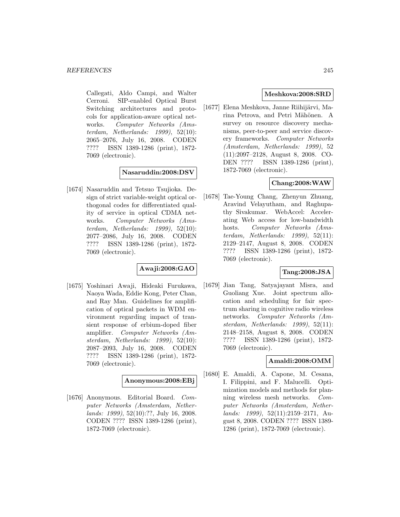Callegati, Aldo Campi, and Walter Cerroni. SIP-enabled Optical Burst Switching architectures and protocols for application-aware optical networks. Computer Networks (Amsterdam, Netherlands: 1999), 52(10): 2065–2076, July 16, 2008. CODEN ???? ISSN 1389-1286 (print), 1872- 7069 (electronic).

# **Nasaruddin:2008:DSV**

[1674] Nasaruddin and Tetsuo Tsujioka. Design of strict variable-weight optical orthogonal codes for differentiated quality of service in optical CDMA networks. Computer Networks (Amsterdam, Netherlands: 1999), 52(10): 2077–2086, July 16, 2008. CODEN ???? ISSN 1389-1286 (print), 1872- 7069 (electronic).

# **Awaji:2008:GAO**

[1675] Yoshinari Awaji, Hideaki Furukawa, Naoya Wada, Eddie Kong, Peter Chan, and Ray Man. Guidelines for amplification of optical packets in WDM environment regarding impact of transient response of erbium-doped fiber amplifier. Computer Networks (Amsterdam, Netherlands: 1999), 52(10): 2087–2093, July 16, 2008. CODEN ???? ISSN 1389-1286 (print), 1872- 7069 (electronic).

#### **Anonymous:2008:EBj**

[1676] Anonymous. Editorial Board. Computer Networks (Amsterdam, Netherlands: 1999), 52(10):??, July 16, 2008. CODEN ???? ISSN 1389-1286 (print), 1872-7069 (electronic).

# **Meshkova:2008:SRD**

[1677] Elena Meshkova, Janne Riihijärvi, Marina Petrova, and Petri Mähönen. A survey on resource discovery mechanisms, peer-to-peer and service discovery frameworks. Computer Networks (Amsterdam, Netherlands: 1999), 52 (11):2097–2128, August 8, 2008. CO-DEN ???? ISSN 1389-1286 (print), 1872-7069 (electronic).

# **Chang:2008:WAW**

[1678] Tae-Young Chang, Zhenyun Zhuang, Aravind Velayutham, and Raghupathy Sivakumar. WebAccel: Accelerating Web access for low-bandwidth hosts. Computer Networks (Amsterdam, Netherlands: 1999), 52(11): 2129–2147, August 8, 2008. CODEN ???? ISSN 1389-1286 (print), 1872- 7069 (electronic).

## **Tang:2008:JSA**

[1679] Jian Tang, Satyajayant Misra, and Guoliang Xue. Joint spectrum allocation and scheduling for fair spectrum sharing in cognitive radio wireless networks. Computer Networks (Amsterdam, Netherlands: 1999), 52(11): 2148–2158, August 8, 2008. CODEN ???? ISSN 1389-1286 (print), 1872- 7069 (electronic).

## **Amaldi:2008:OMM**

[1680] E. Amaldi, A. Capone, M. Cesana, I. Filippini, and F. Malucelli. Optimization models and methods for planning wireless mesh networks. Computer Networks (Amsterdam, Netherlands: 1999), 52(11):2159–2171, August 8, 2008. CODEN ???? ISSN 1389- 1286 (print), 1872-7069 (electronic).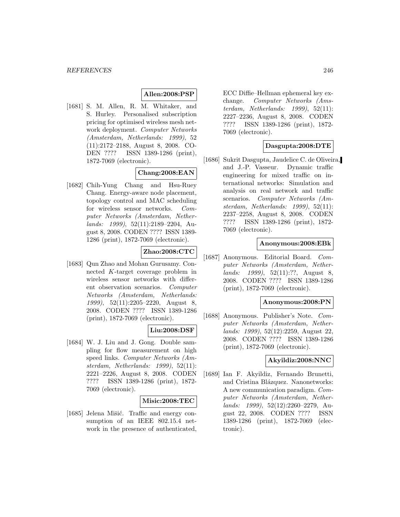#### **Allen:2008:PSP**

[1681] S. M. Allen, R. M. Whitaker, and S. Hurley. Personalised subscription pricing for optimised wireless mesh network deployment. Computer Networks (Amsterdam, Netherlands: 1999), 52 (11):2172–2188, August 8, 2008. CO-DEN ???? ISSN 1389-1286 (print), 1872-7069 (electronic).

# **Chang:2008:EAN**

[1682] Chih-Yung Chang and Hsu-Ruey Chang. Energy-aware node placement, topology control and MAC scheduling for wireless sensor networks. Computer Networks (Amsterdam, Netherlands: 1999), 52(11):2189–2204, August 8, 2008. CODEN ???? ISSN 1389- 1286 (print), 1872-7069 (electronic).

# **Zhao:2008:CTC**

[1683] Qun Zhao and Mohan Gurusamy. Connected K-target coverage problem in wireless sensor networks with different observation scenarios. Computer Networks (Amsterdam, Netherlands: 1999), 52(11):2205–2220, August 8, 2008. CODEN ???? ISSN 1389-1286 (print), 1872-7069 (electronic).

## **Liu:2008:DSF**

[1684] W. J. Liu and J. Gong. Double sampling for flow measurement on high speed links. Computer Networks (Amsterdam, Netherlands: 1999), 52(11): 2221–2226, August 8, 2008. CODEN ???? ISSN 1389-1286 (print), 1872- 7069 (electronic).

#### **Misic:2008:TEC**

[1685] Jelena Mišić. Traffic and energy consumption of an IEEE 802.15.4 network in the presence of authenticated, ECC Diffie–Hellman ephemeral key exchange. Computer Networks (Amsterdam, Netherlands: 1999), 52(11): 2227–2236, August 8, 2008. CODEN ???? ISSN 1389-1286 (print), 1872- 7069 (electronic).

## **Dasgupta:2008:DTE**

[1686] Sukrit Dasgupta, Jaudelice C. de Oliveira, and J.-P. Vasseur. Dynamic traffic engineering for mixed traffic on international networks: Simulation and analysis on real network and traffic scenarios. Computer Networks (Amsterdam, Netherlands: 1999), 52(11): 2237–2258, August 8, 2008. CODEN ???? ISSN 1389-1286 (print), 1872- 7069 (electronic).

#### **Anonymous:2008:EBk**

[1687] Anonymous. Editorial Board. Computer Networks (Amsterdam, Netherlands: 1999), 52(11):??, August 8, 2008. CODEN ???? ISSN 1389-1286 (print), 1872-7069 (electronic).

## **Anonymous:2008:PN**

[1688] Anonymous. Publisher's Note. Computer Networks (Amsterdam, Netherlands: 1999), 52(12):2259, August 22, 2008. CODEN ???? ISSN 1389-1286 (print), 1872-7069 (electronic).

#### **Akyildiz:2008:NNC**

[1689] Ian F. Akyildiz, Fernando Brunetti, and Cristina Blázquez. Nanonetworks: A new communication paradigm. Computer Networks (Amsterdam, Netherlands: 1999), 52(12):2260–2279, August 22, 2008. CODEN ???? ISSN 1389-1286 (print), 1872-7069 (electronic).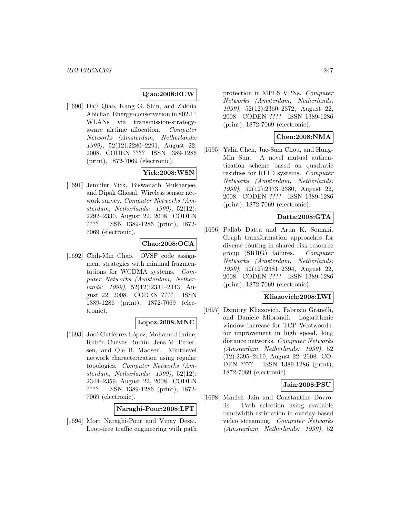#### **Qiao:2008:ECW**

[1690] Daji Qiao, Kang G. Shin, and Zakhia Abichar. Energy-conservation in 802.11 WLANs via transmission-strategyaware airtime allocation. Computer Networks (Amsterdam, Netherlands: 1999), 52(12):2280–2291, August 22, 2008. CODEN ???? ISSN 1389-1286 (print), 1872-7069 (electronic).

# **Yick:2008:WSN**

[1691] Jennifer Yick, Biswanath Mukherjee, and Dipak Ghosal. Wireless sensor network survey. Computer Networks (Amsterdam, Netherlands: 1999), 52(12): 2292–2330, August 22, 2008. CODEN ???? ISSN 1389-1286 (print), 1872- 7069 (electronic).

## **Chao:2008:OCA**

[1692] Chih-Min Chao. OVSF code assignment strategies with minimal fragmentations for WCDMA systems. Computer Networks (Amsterdam, Netherlands: 1999), 52(12):2331–2343, August 22, 2008. CODEN ???? ISSN 1389-1286 (print), 1872-7069 (electronic).

# **Lopez:2008:MNC**

[1693] José Gutiérrez López, Mohamed Imine, Rubén Cuevas Rumín, Jens M. Pedersen, and Ole B. Madsen. Multilevel network characterization using regular topologies. Computer Networks (Amsterdam, Netherlands: 1999), 52(12): 2344–2359, August 22, 2008. CODEN ???? ISSN 1389-1286 (print), 1872- 7069 (electronic).

**Naraghi-Pour:2008:LFT**

[1694] Mort Naraghi-Pour and Vinay Desai. Loop-free traffic engineering with path

protection in MPLS VPNs. Computer Networks (Amsterdam, Netherlands: 1999), 52(12):2360–2372, August 22, 2008. CODEN ???? ISSN 1389-1286 (print), 1872-7069 (electronic).

## **Chen:2008:NMA**

[1695] Yalin Chen, Jue-Sam Chou, and Hung-Min Sun. A novel mutual authentication scheme based on quadratic residues for RFID systems. Computer Networks (Amsterdam, Netherlands: 1999), 52(12):2373–2380, August 22, 2008. CODEN ???? ISSN 1389-1286 (print), 1872-7069 (electronic).

# **Datta:2008:GTA**

[1696] Pallab Datta and Arun K. Somani. Graph transformation approaches for diverse routing in shared risk resource group (SRRG) failures. Computer Networks (Amsterdam, Netherlands: 1999), 52(12):2381–2394, August 22, 2008. CODEN ???? ISSN 1389-1286 (print), 1872-7069 (electronic).

## **Kliazovich:2008:LWI**

[1697] Dzmitry Kliazovich, Fabrizio Granelli, and Daniele Miorandi. Logarithmic window increase for TCP Westwood+ for improvement in high speed, long distance networks. Computer Networks (Amsterdam, Netherlands: 1999), 52 (12):2395–2410, August 22, 2008. CO-DEN ???? ISSN 1389-1286 (print), 1872-7069 (electronic).

## **Jain:2008:PSU**

[1698] Manish Jain and Constantine Dovrolis. Path selection using available bandwidth estimation in overlay-based video streaming. Computer Networks (Amsterdam, Netherlands: 1999), 52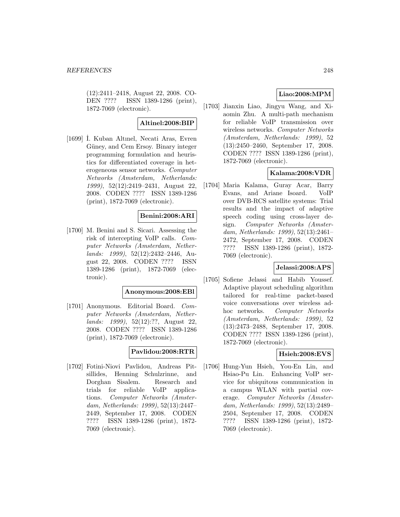(12):2411–2418, August 22, 2008. CO-DEN ???? ISSN 1389-1286 (print), 1872-7069 (electronic).

## **Altinel:2008:BIP**

[1699] ˙ I. Kuban Altınel, Necati Aras, Evren Güney, and Cem Ersoy. Binary integer programming formulation and heuristics for differentiated coverage in heterogeneous sensor networks. Computer Networks (Amsterdam, Netherlands: 1999), 52(12):2419–2431, August 22, 2008. CODEN ???? ISSN 1389-1286 (print), 1872-7069 (electronic).

# **Benini:2008:ARI**

[1700] M. Benini and S. Sicari. Assessing the risk of intercepting VoIP calls. Computer Networks (Amsterdam, Netherlands: 1999), 52(12):2432–2446, August 22, 2008. CODEN ???? ISSN 1389-1286 (print), 1872-7069 (electronic).

# **Anonymous:2008:EBl**

[1701] Anonymous. Editorial Board. Computer Networks (Amsterdam, Netherlands: 1999), 52(12):??, August 22, 2008. CODEN ???? ISSN 1389-1286 (print), 1872-7069 (electronic).

# **Pavlidou:2008:RTR**

[1702] Fotini-Niovi Pavlidou, Andreas Pitsillides, Henning Schulzrinne, and Dorghan Sisalem. Research and trials for reliable VoIP applications. Computer Networks (Amsterdam, Netherlands: 1999), 52(13):2447– 2449, September 17, 2008. CODEN ???? ISSN 1389-1286 (print), 1872- 7069 (electronic).

# **Liao:2008:MPM**

[1703] Jianxin Liao, Jingyu Wang, and Xiaomin Zhu. A multi-path mechanism for reliable VoIP transmission over wireless networks. Computer Networks (Amsterdam, Netherlands: 1999), 52 (13):2450–2460, September 17, 2008. CODEN ???? ISSN 1389-1286 (print), 1872-7069 (electronic).

# **Kalama:2008:VDR**

[1704] Maria Kalama, Guray Acar, Barry Evans, and Ariane Isoard. VoIP over DVB-RCS satellite systems: Trial results and the impact of adaptive speech coding using cross-layer design. Computer Networks (Amsterdam, Netherlands: 1999), 52(13):2461– 2472, September 17, 2008. CODEN ???? ISSN 1389-1286 (print), 1872- 7069 (electronic).

## **Jelassi:2008:APS**

[1705] Sofiene Jelassi and Habib Youssef. Adaptive playout scheduling algorithm tailored for real-time packet-based voice conversations over wireless adhoc networks. Computer Networks (Amsterdam, Netherlands: 1999), 52 (13):2473–2488, September 17, 2008. CODEN ???? ISSN 1389-1286 (print), 1872-7069 (electronic).

# **Hsieh:2008:EVS**

[1706] Hung-Yun Hsieh, You-En Lin, and Hsiao-Pu Lin. Enhancing VoIP service for ubiquitous communication in a campus WLAN with partial coverage. Computer Networks (Amsterdam, Netherlands: 1999), 52(13):2489– 2504, September 17, 2008. CODEN ???? ISSN 1389-1286 (print), 1872- 7069 (electronic).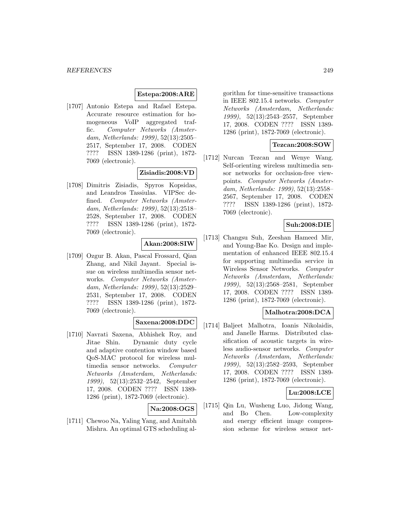#### **Estepa:2008:ARE**

[1707] Antonio Estepa and Rafael Estepa. Accurate resource estimation for homogeneous VoIP aggregated traffic. Computer Networks (Amsterdam, Netherlands: 1999), 52(13):2505– 2517, September 17, 2008. CODEN ???? ISSN 1389-1286 (print), 1872- 7069 (electronic).

## **Zisiadis:2008:VD**

[1708] Dimitris Zisiadis, Spyros Kopsidas, and Leandros Tassiulas. VIPSec defined. Computer Networks (Amsterdam, Netherlands: 1999), 52(13):2518– 2528, September 17, 2008. CODEN ???? ISSN 1389-1286 (print), 1872- 7069 (electronic).

# **Akan:2008:SIW**

[1709] Ozgur B. Akan, Pascal Frossard, Qian Zhang, and Nikil Jayant. Special issue on wireless multimedia sensor networks. Computer Networks (Amsterdam, Netherlands: 1999), 52(13):2529– 2531, September 17, 2008. CODEN ???? ISSN 1389-1286 (print), 1872- 7069 (electronic).

# **Saxena:2008:DDC**

[1710] Navrati Saxena, Abhishek Roy, and Jitae Shin. Dynamic duty cycle and adaptive contention window based QoS-MAC protocol for wireless multimedia sensor networks. Computer Networks (Amsterdam, Netherlands: 1999), 52(13):2532–2542, September 17, 2008. CODEN ???? ISSN 1389- 1286 (print), 1872-7069 (electronic).

# **Na:2008:OGS**

[1711] Chewoo Na, Yaling Yang, and Amitabh Mishra. An optimal GTS scheduling algorithm for time-sensitive transactions in IEEE 802.15.4 networks. Computer Networks (Amsterdam, Netherlands: 1999), 52(13):2543–2557, September 17, 2008. CODEN ???? ISSN 1389- 1286 (print), 1872-7069 (electronic).

#### **Tezcan:2008:SOW**

[1712] Nurcan Tezcan and Wenye Wang. Self-orienting wireless multimedia sensor networks for occlusion-free viewpoints. Computer Networks (Amsterdam, Netherlands: 1999), 52(13):2558– 2567, September 17, 2008. CODEN ???? ISSN 1389-1286 (print), 1872- 7069 (electronic).

## **Suh:2008:DIE**

[1713] Changsu Suh, Zeeshan Hameed Mir, and Young-Bae Ko. Design and implementation of enhanced IEEE 802.15.4 for supporting multimedia service in Wireless Sensor Networks. Computer Networks (Amsterdam, Netherlands: 1999), 52(13):2568–2581, September 17, 2008. CODEN ???? ISSN 1389- 1286 (print), 1872-7069 (electronic).

## **Malhotra:2008:DCA**

[1714] Baljeet Malhotra, Ioanis Nikolaidis, and Janelle Harms. Distributed classification of acoustic targets in wireless audio-sensor networks. Computer Networks (Amsterdam, Netherlands: 1999), 52(13):2582–2593, September 17, 2008. CODEN ???? ISSN 1389- 1286 (print), 1872-7069 (electronic).

#### **Lu:2008:LCE**

[1715] Qin Lu, Wusheng Luo, Jidong Wang, and Bo Chen. Low-complexity and energy efficient image compression scheme for wireless sensor net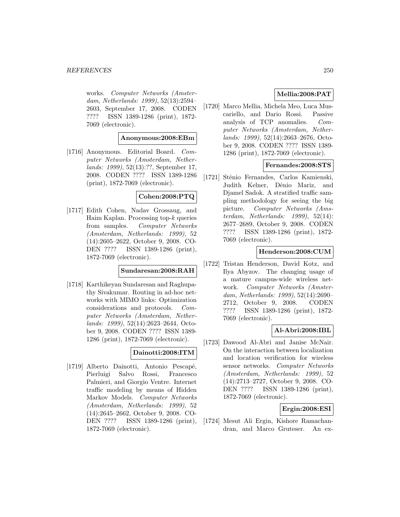works. Computer Networks (Amsterdam, Netherlands: 1999), 52(13):2594– 2603, September 17, 2008. CODEN ???? ISSN 1389-1286 (print), 1872- 7069 (electronic).

#### **Anonymous:2008:EBm**

[1716] Anonymous. Editorial Board. Computer Networks (Amsterdam, Netherlands: 1999), 52(13):??, September 17, 2008. CODEN ???? ISSN 1389-1286 (print), 1872-7069 (electronic).

#### **Cohen:2008:PTQ**

[1717] Edith Cohen, Nadav Grossaug, and Haim Kaplan. Processing top- $k$  queries from samples. Computer Networks (Amsterdam, Netherlands: 1999), 52 (14):2605–2622, October 9, 2008. CO-DEN ???? ISSN 1389-1286 (print), 1872-7069 (electronic).

## **Sundaresan:2008:RAH**

[1718] Karthikeyan Sundaresan and Raghupathy Sivakumar. Routing in ad-hoc networks with MIMO links: Optimization considerations and protocols. Computer Networks (Amsterdam, Netherlands: 1999), 52(14):2623–2644, October 9, 2008. CODEN ???? ISSN 1389- 1286 (print), 1872-7069 (electronic).

## **Dainotti:2008:ITM**

[1719] Alberto Dainotti, Antonio Pescapé, Pierluigi Salvo Rossi, Francesco Palmieri, and Giorgio Ventre. Internet traffic modeling by means of Hidden Markov Models. Computer Networks (Amsterdam, Netherlands: 1999), 52 (14):2645–2662, October 9, 2008. CO-DEN ???? ISSN 1389-1286 (print), 1872-7069 (electronic).

## **Mellia:2008:PAT**

[1720] Marco Mellia, Michela Meo, Luca Muscariello, and Dario Rossi. Passive analysis of TCP anomalies. Computer Networks (Amsterdam, Netherlands: 1999), 52(14):2663–2676, October 9, 2008. CODEN ???? ISSN 1389- 1286 (print), 1872-7069 (electronic).

## **Fernandes:2008:STS**

[1721] Stênio Fernandes, Carlos Kamienski, Judith Kelner, Dênio Mariz, and Djamel Sadok. A stratified traffic sampling methodology for seeing the big picture. Computer Networks (Amsterdam, Netherlands: 1999), 52(14): 2677–2689, October 9, 2008. CODEN ???? ISSN 1389-1286 (print), 1872- 7069 (electronic).

#### **Henderson:2008:CUM**

[1722] Tristan Henderson, David Kotz, and Ilya Abyzov. The changing usage of a mature campus-wide wireless network. Computer Networks (Amsterdam, Netherlands: 1999), 52(14):2690– 2712, October 9, 2008. CODEN ???? ISSN 1389-1286 (print), 1872- 7069 (electronic).

# **Al-Abri:2008:IBL**

[1723] Dawood Al-Abri and Janise McNair. On the interaction between localization and location verification for wireless sensor networks. Computer Networks (Amsterdam, Netherlands: 1999), 52 (14):2713–2727, October 9, 2008. CO-DEN ???? ISSN 1389-1286 (print), 1872-7069 (electronic).

# **Ergin:2008:ESI**

[1724] Mesut Ali Ergin, Kishore Ramachandran, and Marco Gruteser. An ex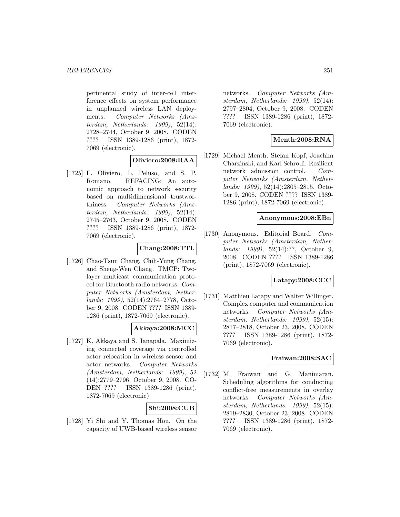perimental study of inter-cell interference effects on system performance in unplanned wireless LAN deployments. Computer Networks (Amsterdam, Netherlands: 1999), 52(14): 2728–2744, October 9, 2008. CODEN ???? ISSN 1389-1286 (print), 1872- 7069 (electronic).

## **Oliviero:2008:RAA**

[1725] F. Oliviero, L. Peluso, and S. P. Romano. REFACING: An autonomic approach to network security based on multidimensional trustworthiness. Computer Networks (Amsterdam, Netherlands: 1999), 52(14): 2745–2763, October 9, 2008. CODEN ???? ISSN 1389-1286 (print), 1872- 7069 (electronic).

# **Chang:2008:TTL**

[1726] Chao-Tsun Chang, Chih-Yung Chang, and Sheng-Wen Chang. TMCP: Twolayer multicast communication protocol for Bluetooth radio networks. Computer Networks (Amsterdam, Netherlands: 1999), 52(14):2764–2778, October 9, 2008. CODEN ???? ISSN 1389- 1286 (print), 1872-7069 (electronic).

# **Akkaya:2008:MCC**

[1727] K. Akkaya and S. Janapala. Maximizing connected coverage via controlled actor relocation in wireless sensor and actor networks. Computer Networks (Amsterdam, Netherlands: 1999), 52 (14):2779–2796, October 9, 2008. CO-DEN ???? ISSN 1389-1286 (print), 1872-7069 (electronic).

## **Shi:2008:CUB**

[1728] Yi Shi and Y. Thomas Hou. On the capacity of UWB-based wireless sensor

networks. Computer Networks (Amsterdam, Netherlands: 1999), 52(14): 2797–2804, October 9, 2008. CODEN ???? ISSN 1389-1286 (print), 1872- 7069 (electronic).

# **Menth:2008:RNA**

[1729] Michael Menth, Stefan Kopf, Joachim Charzinski, and Karl Schrodi. Resilient network admission control. Computer Networks (Amsterdam, Netherlands: 1999), 52(14):2805–2815, October 9, 2008. CODEN ???? ISSN 1389- 1286 (print), 1872-7069 (electronic).

## **Anonymous:2008:EBn**

[1730] Anonymous. Editorial Board. Computer Networks (Amsterdam, Netherlands: 1999), 52(14):??, October 9, 2008. CODEN ???? ISSN 1389-1286 (print), 1872-7069 (electronic).

## **Latapy:2008:CCC**

[1731] Matthieu Latapy and Walter Willinger. Complex computer and communication networks. Computer Networks (Amsterdam, Netherlands: 1999), 52(15): 2817–2818, October 23, 2008. CODEN ???? ISSN 1389-1286 (print), 1872- 7069 (electronic).

## **Fraiwan:2008:SAC**

[1732] M. Fraiwan and G. Manimaran. Scheduling algorithms for conducting conflict-free measurements in overlay networks. Computer Networks (Amsterdam, Netherlands: 1999), 52(15): 2819–2830, October 23, 2008. CODEN ???? ISSN 1389-1286 (print), 1872- 7069 (electronic).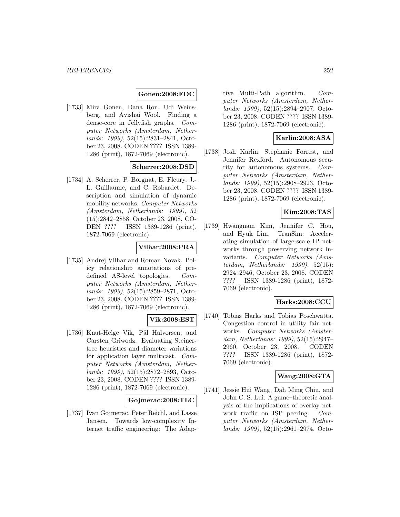#### **Gonen:2008:FDC**

[1733] Mira Gonen, Dana Ron, Udi Weinsberg, and Avishai Wool. Finding a dense-core in Jellyfish graphs. Computer Networks (Amsterdam, Netherlands: 1999), 52(15):2831–2841, October 23, 2008. CODEN ???? ISSN 1389- 1286 (print), 1872-7069 (electronic).

## **Scherrer:2008:DSD**

[1734] A. Scherrer, P. Borgnat, E. Fleury, J.- L. Guillaume, and C. Robardet. Description and simulation of dynamic mobility networks. Computer Networks (Amsterdam, Netherlands: 1999), 52 (15):2842–2858, October 23, 2008. CO-DEN ???? ISSN 1389-1286 (print), 1872-7069 (electronic).

# **Vilhar:2008:PRA**

[1735] Andrej Vilhar and Roman Novak. Policy relationship annotations of predefined AS-level topologies. Computer Networks (Amsterdam, Netherlands: 1999), 52(15):2859–2871, October 23, 2008. CODEN ???? ISSN 1389- 1286 (print), 1872-7069 (electronic).

## **Vik:2008:EST**

[1736] Knut-Helge Vik, Pål Halvorsen, and Carsten Griwodz. Evaluating Steinertree heuristics and diameter variations for application layer multicast. Computer Networks (Amsterdam, Netherlands: 1999), 52(15):2872–2893, October 23, 2008. CODEN ???? ISSN 1389- 1286 (print), 1872-7069 (electronic).

#### **Gojmerac:2008:TLC**

[1737] Ivan Gojmerac, Peter Reichl, and Lasse Jansen. Towards low-complexity Internet traffic engineering: The Adap-

tive Multi-Path algorithm. Computer Networks (Amsterdam, Netherlands: 1999), 52(15):2894–2907, October 23, 2008. CODEN ???? ISSN 1389- 1286 (print), 1872-7069 (electronic).

#### **Karlin:2008:ASA**

[1738] Josh Karlin, Stephanie Forrest, and Jennifer Rexford. Autonomous security for autonomous systems. Computer Networks (Amsterdam, Netherlands: 1999), 52(15):2908–2923, October 23, 2008. CODEN ???? ISSN 1389- 1286 (print), 1872-7069 (electronic).

## **Kim:2008:TAS**

[1739] Hwangnam Kim, Jennifer C. Hou, and Hyuk Lim. TranSim: Accelerating simulation of large-scale IP networks through preserving network invariants. Computer Networks (Amsterdam, Netherlands: 1999), 52(15): 2924–2946, October 23, 2008. CODEN ???? ISSN 1389-1286 (print), 1872- 7069 (electronic).

#### **Harks:2008:CCU**

[1740] Tobias Harks and Tobias Poschwatta. Congestion control in utility fair networks. Computer Networks (Amsterdam, Netherlands: 1999), 52(15):2947– 2960, October 23, 2008. CODEN ???? ISSN 1389-1286 (print), 1872- 7069 (electronic).

#### **Wang:2008:GTA**

[1741] Jessie Hui Wang, Dah Ming Chiu, and John C. S. Lui. A game–theoretic analysis of the implications of overlay network traffic on ISP peering. Computer Networks (Amsterdam, Netherlands: 1999), 52(15):2961–2974, Octo-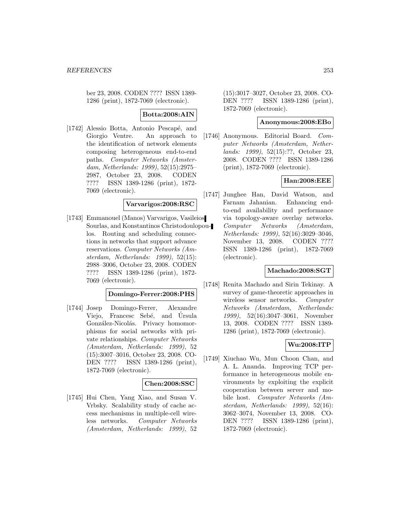ber 23, 2008. CODEN ???? ISSN 1389- 1286 (print), 1872-7069 (electronic).

**Botta:2008:AIN**

[1742] Alessio Botta, Antonio Pescapé, and Giorgio Ventre. An approach to the identification of network elements composing heterogeneous end-to-end paths. Computer Networks (Amsterdam, Netherlands: 1999), 52(15):2975– 2987, October 23, 2008. CODEN ???? ISSN 1389-1286 (print), 1872- 7069 (electronic).

### **Varvarigos:2008:RSC**

[1743] Emmanouel (Manos) Varvarigos, Vasileios Sourlas, and Konstantinos Christodoulopoulos. Routing and scheduling connections in networks that support advance reservations. Computer Networks (Amsterdam, Netherlands: 1999), 52(15): 2988–3006, October 23, 2008. CODEN ???? ISSN 1389-1286 (print), 1872- 7069 (electronic).

#### **Domingo-Ferrer:2008:PHS**

[1744] Josep Domingo-Ferrer, Alexandre Viejo, Francesc Sebé, and Úrsula González-Nicolás. Privacy homomorphisms for social networks with private relationships. Computer Networks (Amsterdam, Netherlands: 1999), 52 (15):3007–3016, October 23, 2008. CO-DEN ???? ISSN 1389-1286 (print), 1872-7069 (electronic).

## **Chen:2008:SSC**

[1745] Hui Chen, Yang Xiao, and Susan V. Vrbsky. Scalability study of cache access mechanisms in multiple-cell wireless networks. Computer Networks (Amsterdam, Netherlands: 1999), 52

(15):3017–3027, October 23, 2008. CO-DEN ???? ISSN 1389-1286 (print), 1872-7069 (electronic).

#### **Anonymous:2008:EBo**

[1746] Anonymous. Editorial Board. Computer Networks (Amsterdam, Netherlands: 1999), 52(15):??, October 23, 2008. CODEN ???? ISSN 1389-1286 (print), 1872-7069 (electronic).

#### **Han:2008:EEE**

[1747] Junghee Han, David Watson, and Farnam Jahanian. Enhancing endto-end availability and performance via topology-aware overlay networks. Computer Networks (Amsterdam, Netherlands: 1999), 52(16):3029–3046, November 13, 2008. CODEN ???? ISSN 1389-1286 (print), 1872-7069 (electronic).

#### **Machado:2008:SGT**

[1748] Renita Machado and Sirin Tekinay. A survey of game-theoretic approaches in wireless sensor networks. Computer Networks (Amsterdam, Netherlands: 1999), 52(16):3047–3061, November 13, 2008. CODEN ???? ISSN 1389- 1286 (print), 1872-7069 (electronic).

#### **Wu:2008:ITP**

[1749] Xiuchao Wu, Mun Choon Chan, and A. L. Ananda. Improving TCP performance in heterogeneous mobile environments by exploiting the explicit cooperation between server and mobile host. Computer Networks (Amsterdam, Netherlands: 1999), 52(16): 3062–3074, November 13, 2008. CO-DEN ???? ISSN 1389-1286 (print), 1872-7069 (electronic).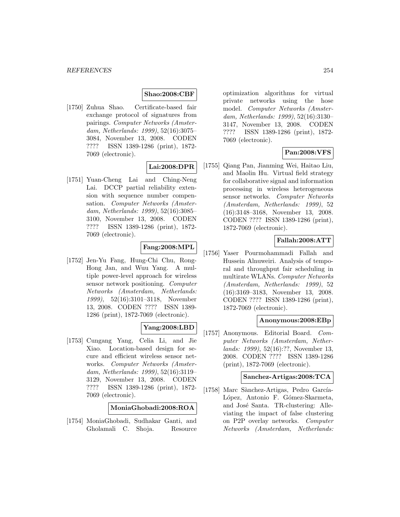### **Shao:2008:CBF**

[1750] Zuhua Shao. Certificate-based fair exchange protocol of signatures from pairings. Computer Networks (Amsterdam, Netherlands: 1999), 52(16):3075– 3084, November 13, 2008. CODEN ???? ISSN 1389-1286 (print), 1872- 7069 (electronic).

## **Lai:2008:DPR**

[1751] Yuan-Cheng Lai and Ching-Neng Lai. DCCP partial reliability extension with sequence number compensation. Computer Networks (Amsterdam, Netherlands: 1999), 52(16):3085– 3100, November 13, 2008. CODEN ???? ISSN 1389-1286 (print), 1872- 7069 (electronic).

### **Fang:2008:MPL**

[1752] Jen-Yu Fang, Hung-Chi Chu, Rong-Hong Jan, and Wuu Yang. A multiple power-level approach for wireless sensor network positioning. Computer Networks (Amsterdam, Netherlands: 1999), 52(16):3101–3118, November 13, 2008. CODEN ???? ISSN 1389- 1286 (print), 1872-7069 (electronic).

#### **Yang:2008:LBD**

[1753] Cungang Yang, Celia Li, and Jie Xiao. Location-based design for secure and efficient wireless sensor networks. Computer Networks (Amsterdam, Netherlands: 1999), 52(16):3119– 3129, November 13, 2008. CODEN ???? ISSN 1389-1286 (print), 1872- 7069 (electronic).

**MoniaGhobadi:2008:ROA**

[1754] MoniaGhobadi, Sudhakar Ganti, and Gholamali C. Shoja. Resource optimization algorithms for virtual private networks using the hose model. Computer Networks (Amsterdam, Netherlands: 1999), 52(16):3130– 3147, November 13, 2008. CODEN ???? ISSN 1389-1286 (print), 1872- 7069 (electronic).

### **Pan:2008:VFS**

[1755] Qiang Pan, Jianming Wei, Haitao Liu, and Maolin Hu. Virtual field strategy for collaborative signal and information processing in wireless heterogeneous sensor networks. Computer Networks (Amsterdam, Netherlands: 1999), 52 (16):3148–3168, November 13, 2008. CODEN ???? ISSN 1389-1286 (print), 1872-7069 (electronic).

### **Fallah:2008:ATT**

[1756] Yaser Pourmohammadi Fallah and Hussein Alnuweiri. Analysis of temporal and throughput fair scheduling in multirate WLANs. Computer Networks (Amsterdam, Netherlands: 1999), 52 (16):3169–3183, November 13, 2008. CODEN ???? ISSN 1389-1286 (print), 1872-7069 (electronic).

#### **Anonymous:2008:EBp**

[1757] Anonymous. Editorial Board. Computer Networks (Amsterdam, Netherlands: 1999), 52(16):??, November 13, 2008. CODEN ???? ISSN 1389-1286 (print), 1872-7069 (electronic).

### **Sanchez-Artigas:2008:TCA**

[1758] Marc Sànchez-Artigas, Pedro García-López, Antonio F. Gómez-Skarmeta, and José Santa. TR-clustering: Alleviating the impact of false clustering on P2P overlay networks. Computer Networks (Amsterdam, Netherlands: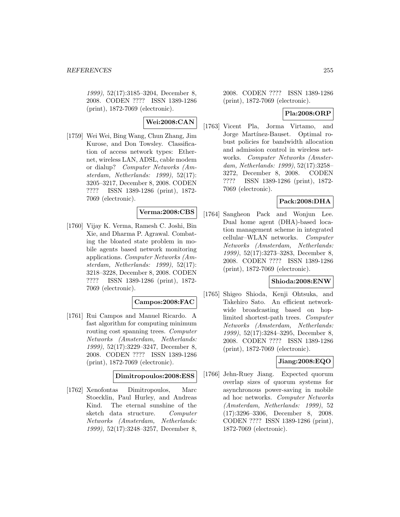1999), 52(17):3185–3204, December 8, 2008. CODEN ???? ISSN 1389-1286 (print), 1872-7069 (electronic).

# **Wei:2008:CAN**

[1759] Wei Wei, Bing Wang, Chun Zhang, Jim Kurose, and Don Towsley. Classification of access network types: Ethernet, wireless LAN, ADSL, cable modem or dialup? Computer Networks (Amsterdam, Netherlands: 1999), 52(17): 3205–3217, December 8, 2008. CODEN ???? ISSN 1389-1286 (print), 1872- 7069 (electronic).

## **Verma:2008:CBS**

[1760] Vijay K. Verma, Ramesh C. Joshi, Bin Xie, and Dharma P. Agrawal. Combating the bloated state problem in mobile agents based network monitoring applications. Computer Networks (Amsterdam, Netherlands: 1999), 52(17): 3218–3228, December 8, 2008. CODEN ???? ISSN 1389-1286 (print), 1872- 7069 (electronic).

#### **Campos:2008:FAC**

[1761] Rui Campos and Manuel Ricardo. A fast algorithm for computing minimum routing cost spanning trees. Computer Networks (Amsterdam, Netherlands: 1999), 52(17):3229–3247, December 8, 2008. CODEN ???? ISSN 1389-1286 (print), 1872-7069 (electronic).

#### **Dimitropoulos:2008:ESS**

[1762] Xenofontas Dimitropoulos, Marc Stoecklin, Paul Hurley, and Andreas Kind. The eternal sunshine of the sketch data structure. Computer Networks (Amsterdam, Netherlands: 1999), 52(17):3248–3257, December 8,

2008. CODEN ???? ISSN 1389-1286 (print), 1872-7069 (electronic).

### **Pla:2008:ORP**

[1763] Vicent Pla, Jorma Virtamo, and Jorge Martínez-Bauset. Optimal robust policies for bandwidth allocation and admission control in wireless networks. Computer Networks (Amsterdam, Netherlands: 1999), 52(17):3258– 3272, December 8, 2008. CODEN ???? ISSN 1389-1286 (print), 1872- 7069 (electronic).

### **Pack:2008:DHA**

[1764] Sangheon Pack and Wonjun Lee. Dual home agent (DHA)-based location management scheme in integrated cellular–WLAN networks. Computer Networks (Amsterdam, Netherlands: 1999), 52(17):3273–3283, December 8, 2008. CODEN ???? ISSN 1389-1286 (print), 1872-7069 (electronic).

### **Shioda:2008:ENW**

[1765] Shigeo Shioda, Kenji Ohtsuka, and Takehiro Sato. An efficient networkwide broadcasting based on hoplimited shortest-path trees. Computer Networks (Amsterdam, Netherlands: 1999), 52(17):3284–3295, December 8, 2008. CODEN ???? ISSN 1389-1286 (print), 1872-7069 (electronic).

### **Jiang:2008:EQO**

[1766] Jehn-Ruey Jiang. Expected quorum overlap sizes of quorum systems for asynchronous power-saving in mobile ad hoc networks. Computer Networks (Amsterdam, Netherlands: 1999), 52 (17):3296–3306, December 8, 2008. CODEN ???? ISSN 1389-1286 (print), 1872-7069 (electronic).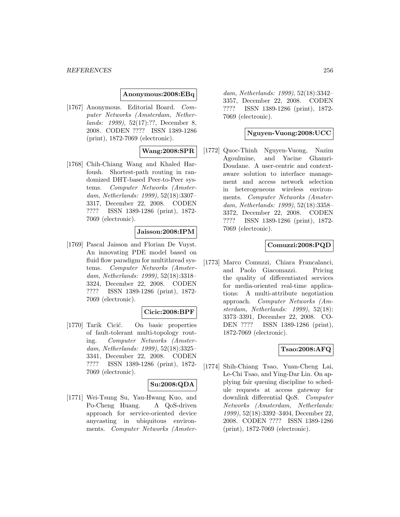#### **Anonymous:2008:EBq**

[1767] Anonymous. Editorial Board. Computer Networks (Amsterdam, Netherlands: 1999), 52(17):??, December 8, 2008. CODEN ???? ISSN 1389-1286 (print), 1872-7069 (electronic).

## **Wang:2008:SPR**

[1768] Chih-Chiang Wang and Khaled Harfoush. Shortest-path routing in randomized DHT-based Peer-to-Peer systems. Computer Networks (Amsterdam, Netherlands: 1999), 52(18):3307– 3317, December 22, 2008. CODEN ???? ISSN 1389-1286 (print), 1872- 7069 (electronic).

#### **Jaisson:2008:IPM**

[1769] Pascal Jaisson and Florian De Vuyst. An innovating PDE model based on fluid flow paradigm for multithread systems. Computer Networks (Amsterdam, Netherlands: 1999), 52(18):3318– 3324, December 22, 2008. CODEN ???? ISSN 1389-1286 (print), 1872- 7069 (electronic).

## **Cicic:2008:BPF**

[1770] Tarik Cicić. On basic properties of fault-tolerant multi-topology routing. Computer Networks (Amsterdam, Netherlands: 1999), 52(18):3325– 3341, December 22, 2008. CODEN ???? ISSN 1389-1286 (print), 1872- 7069 (electronic).

#### **Su:2008:QDA**

[1771] Wei-Tsung Su, Yau-Hwang Kuo, and Po-Cheng Huang. A QoS-driven approach for service-oriented device anycasting in ubiquitous environments. Computer Networks (Amster-

dam, Netherlands: 1999), 52(18):3342– 3357, December 22, 2008. CODEN ???? ISSN 1389-1286 (print), 1872- 7069 (electronic).

#### **Nguyen-Vuong:2008:UCC**

[1772] Quoc-Thinh Nguyen-Vuong, Nazim Agoulmine, and Yacine Ghamri-Doudane. A user-centric and contextaware solution to interface management and access network selection in heterogeneous wireless environments. Computer Networks (Amsterdam, Netherlands: 1999), 52(18):3358– 3372, December 22, 2008. CODEN ???? ISSN 1389-1286 (print), 1872- 7069 (electronic).

#### **Comuzzi:2008:PQD**

[1773] Marco Comuzzi, Chiara Francalanci, and Paolo Giacomazzi. Pricing the quality of differentiated services for media-oriented real-time applications: A multi-attribute negotiation approach. Computer Networks (Amsterdam, Netherlands: 1999), 52(18): 3373–3391, December 22, 2008. CO-DEN ???? ISSN 1389-1286 (print), 1872-7069 (electronic).

#### **Tsao:2008:AFQ**

[1774] Shih-Chiang Tsao, Yuan-Cheng Lai, Le-Chi Tsao, and Ying-Dar Lin. On applying fair queuing discipline to schedule requests at access gateway for downlink differential QoS. Computer Networks (Amsterdam, Netherlands: 1999), 52(18):3392–3404, December 22, 2008. CODEN ???? ISSN 1389-1286 (print), 1872-7069 (electronic).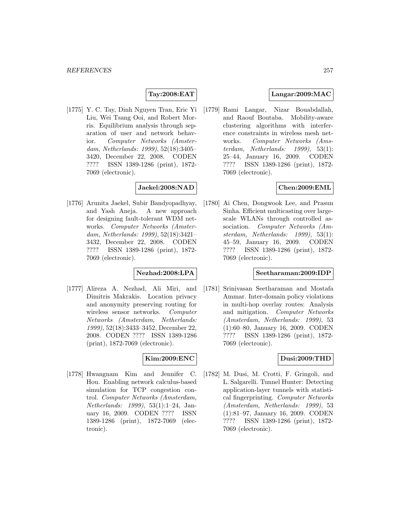## **Tay:2008:EAT**

[1775] Y. C. Tay, Dinh Nguyen Tran, Eric Yi Liu, Wei Tsang Ooi, and Robert Morris. Equilibrium analysis through separation of user and network behavior. Computer Networks (Amsterdam, Netherlands: 1999), 52(18):3405– 3420, December 22, 2008. CODEN ???? ISSN 1389-1286 (print), 1872- 7069 (electronic).

### **Jaekel:2008:NAD**

[1776] Arunita Jaekel, Subir Bandyopadhyay, and Yash Aneja. A new approach for designing fault-tolerant WDM networks. Computer Networks (Amsterdam, Netherlands: 1999), 52(18):3421– 3432, December 22, 2008. CODEN ???? ISSN 1389-1286 (print), 1872- 7069 (electronic).

### **Nezhad:2008:LPA**

[1777] Alireza A. Nezhad, Ali Miri, and Dimitris Makrakis. Location privacy and anonymity preserving routing for wireless sensor networks. Computer Networks (Amsterdam, Netherlands: 1999), 52(18):3433–3452, December 22, 2008. CODEN ???? ISSN 1389-1286 (print), 1872-7069 (electronic).

### **Kim:2009:ENC**

[1778] Hwangnam Kim and Jennifer C. Hou. Enabling network calculus-based simulation for TCP congestion control. Computer Networks (Amsterdam, Netherlands: 1999), 53(1):1–24, January 16, 2009. CODEN ???? ISSN 1389-1286 (print), 1872-7069 (electronic).

### **Langar:2009:MAC**

[1779] Rami Langar, Nizar Bouabdallah, and Raouf Boutaba. Mobility-aware clustering algorithms with interference constraints in wireless mesh networks. Computer Networks (Amsterdam, Netherlands: 1999), 53(1): 25–44, January 16, 2009. CODEN ???? ISSN 1389-1286 (print), 1872- 7069 (electronic).

#### **Chen:2009:EML**

[1780] Ai Chen, Dongwook Lee, and Prasun Sinha. Efficient multicasting over largescale WLANs through controlled association. Computer Networks (Amsterdam, Netherlands: 1999), 53(1): 45–59, January 16, 2009. CODEN ???? ISSN 1389-1286 (print), 1872- 7069 (electronic).

#### **Seetharaman:2009:IDP**

[1781] Srinivasan Seetharaman and Mostafa Ammar. Inter-domain policy violations in multi-hop overlay routes: Analysis and mitigation. Computer Networks (Amsterdam, Netherlands: 1999), 53 (1):60–80, January 16, 2009. CODEN ???? ISSN 1389-1286 (print), 1872- 7069 (electronic).

### **Dusi:2009:THD**

[1782] M. Dusi, M. Crotti, F. Gringoli, and L. Salgarelli. Tunnel Hunter: Detecting application-layer tunnels with statistical fingerprinting. Computer Networks (Amsterdam, Netherlands: 1999), 53 (1):81–97, January 16, 2009. CODEN ???? ISSN 1389-1286 (print), 1872- 7069 (electronic).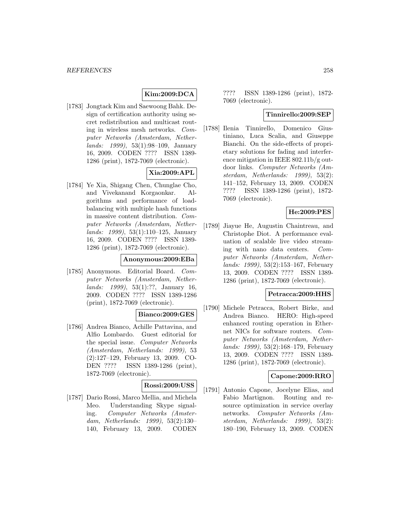## **Kim:2009:DCA**

[1783] Jongtack Kim and Saewoong Bahk. Design of certification authority using secret redistribution and multicast routing in wireless mesh networks. Computer Networks (Amsterdam, Netherlands: 1999), 53(1):98–109, January 16, 2009. CODEN ???? ISSN 1389- 1286 (print), 1872-7069 (electronic).

## **Xia:2009:APL**

[1784] Ye Xia, Shigang Chen, Chunglae Cho, and Vivekanand Korgaonkar. Algorithms and performance of loadbalancing with multiple hash functions in massive content distribution. Computer Networks (Amsterdam, Netherlands: 1999), 53(1):110–125, January 16, 2009. CODEN ???? ISSN 1389- 1286 (print), 1872-7069 (electronic).

#### **Anonymous:2009:EBa**

[1785] Anonymous. Editorial Board. Computer Networks (Amsterdam, Netherlands: 1999), 53(1):??, January 16, 2009. CODEN ???? ISSN 1389-1286 (print), 1872-7069 (electronic).

#### **Bianco:2009:GES**

[1786] Andrea Bianco, Achille Pattavina, and Alfio Lombardo. Guest editorial for the special issue. Computer Networks (Amsterdam, Netherlands: 1999), 53 (2):127–129, February 13, 2009. CO-DEN ???? ISSN 1389-1286 (print), 1872-7069 (electronic).

#### **Rossi:2009:USS**

[1787] Dario Rossi, Marco Mellia, and Michela Meo. Understanding Skype signaling. Computer Networks (Amsterdam, Netherlands: 1999), 53(2):130– 140, February 13, 2009. CODEN

???? ISSN 1389-1286 (print), 1872- 7069 (electronic).

### **Tinnirello:2009:SEP**

[1788] Ilenia Tinnirello, Domenico Giustiniano, Luca Scalia, and Giuseppe Bianchi. On the side-effects of proprietary solutions for fading and interference mitigation in IEEE 802.11b/g outdoor links. Computer Networks (Amsterdam, Netherlands: 1999), 53(2): 141–152, February 13, 2009. CODEN ???? ISSN 1389-1286 (print), 1872- 7069 (electronic).

## **He:2009:PES**

[1789] Jiayue He, Augustin Chaintreau, and Christophe Diot. A performance evaluation of scalable live video streaming with nano data centers. Computer Networks (Amsterdam, Netherlands: 1999), 53(2):153–167, February 13, 2009. CODEN ???? ISSN 1389- 1286 (print), 1872-7069 (electronic).

#### **Petracca:2009:HHS**

[1790] Michele Petracca, Robert Birke, and Andrea Bianco. HERO: High-speed enhanced routing operation in Ethernet NICs for software routers. Computer Networks (Amsterdam, Netherlands: 1999), 53(2):168–179, February 13, 2009. CODEN ???? ISSN 1389- 1286 (print), 1872-7069 (electronic).

#### **Capone:2009:RRO**

[1791] Antonio Capone, Jocelyne Elias, and Fabio Martignon. Routing and resource optimization in service overlay networks. Computer Networks (Amsterdam, Netherlands: 1999), 53(2): 180–190, February 13, 2009. CODEN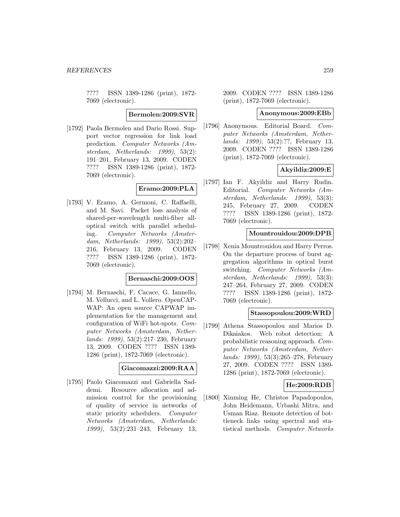???? ISSN 1389-1286 (print), 1872- 7069 (electronic).

**Bermolen:2009:SVR**

[1792] Paola Bermolen and Dario Rossi. Support vector regression for link load prediction. Computer Networks (Amsterdam, Netherlands: 1999), 53(2): 191–201, February 13, 2009. CODEN ???? ISSN 1389-1286 (print), 1872- 7069 (electronic).

## **Eramo:2009:PLA**

[1793] V. Eramo, A. Germoni, C. Raffaelli, and M. Savi. Packet loss analysis of shared-per-wavelength multi-fiber alloptical switch with parallel scheduling. Computer Networks (Amsterdam, Netherlands: 1999), 53(2):202– 216, February 13, 2009. CODEN ???? ISSN 1389-1286 (print), 1872- 7069 (electronic).

#### **Bernaschi:2009:OOS**

[1794] M. Bernaschi, F. Cacace, G. Iannello, M. Vellucci, and L. Vollero. OpenCAP-WAP: An open source CAPWAP implementation for the management and configuration of WiFi hot-spots. Computer Networks (Amsterdam, Netherlands: 1999), 53(2):217–230, February 13, 2009. CODEN ???? ISSN 1389- 1286 (print), 1872-7069 (electronic).

#### **Giacomazzi:2009:RAA**

[1795] Paolo Giacomazzi and Gabriella Saddemi. Resource allocation and admission control for the provisioning of quality of service in networks of static priority schedulers. Computer Networks (Amsterdam, Netherlands: 1999), 53(2):231–243, February 13,

2009. CODEN ???? ISSN 1389-1286 (print), 1872-7069 (electronic).

#### **Anonymous:2009:EBb**

[1796] Anonymous. Editorial Board. Computer Networks (Amsterdam, Netherlands: 1999), 53(2):??, February 13, 2009. CODEN ???? ISSN 1389-1286 (print), 1872-7069 (electronic).

## **Akyildiz:2009:E**

[1797] Ian F. Akyildiz and Harry Rudin. Editorial. Computer Networks (Amsterdam, Netherlands: 1999), 53(3): 245, February 27, 2009. CODEN ???? ISSN 1389-1286 (print), 1872- 7069 (electronic).

#### **Mountrouidou:2009:DPB**

[1798] Xenia Mountrouidou and Harry Perros. On the departure process of burst aggregation algorithms in optical burst switching. Computer Networks (Amsterdam, Netherlands: 1999), 53(3): 247–264, February 27, 2009. CODEN ???? ISSN 1389-1286 (print), 1872- 7069 (electronic).

#### **Stassopoulou:2009:WRD**

[1799] Athena Stassopoulou and Marios D. Dikaiakos. Web robot detection: A probabilistic reasoning approach. Computer Networks (Amsterdam, Netherlands: 1999), 53(3):265–278, February 27, 2009. CODEN ???? ISSN 1389- 1286 (print), 1872-7069 (electronic).

#### **He:2009:RDB**

[1800] Xinming He, Christos Papadopoulos, John Heidemann, Urbashi Mitra, and Usman Riaz. Remote detection of bottleneck links using spectral and statistical methods. Computer Networks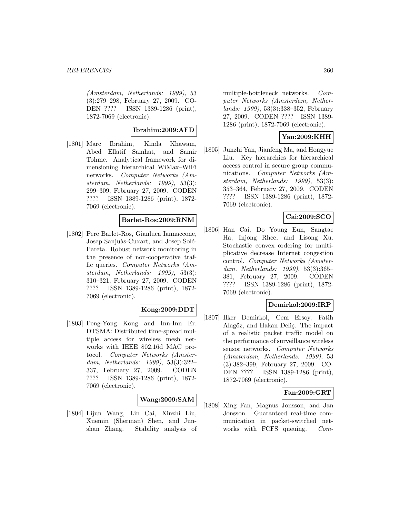(Amsterdam, Netherlands: 1999), 53 (3):279–298, February 27, 2009. CO-DEN ???? ISSN 1389-1286 (print), 1872-7069 (electronic).

#### **Ibrahim:2009:AFD**

[1801] Marc Ibrahim, Kinda Khawam, Abed Ellatif Samhat, and Samir Tohme. Analytical framework for dimensioning hierarchical WiMax–WiFi networks. Computer Networks (Amsterdam, Netherlands: 1999), 53(3): 299–309, February 27, 2009. CODEN ???? ISSN 1389-1286 (print), 1872- 7069 (electronic).

#### **Barlet-Ros:2009:RNM**

[1802] Pere Barlet-Ros, Gianluca Iannaccone, Josep Sanjuàs-Cuxart, and Josep Solé-Pareta. Robust network monitoring in the presence of non-cooperative traffic queries. Computer Networks (Amsterdam, Netherlands: 1999), 53(3): 310–321, February 27, 2009. CODEN ???? ISSN 1389-1286 (print), 1872- 7069 (electronic).

#### **Kong:2009:DDT**

[1803] Peng-Yong Kong and Inn-Inn Er. DTSMA: Distributed time-spread multiple access for wireless mesh networks with IEEE 802.16d MAC protocol. Computer Networks (Amsterdam, Netherlands: 1999), 53(3):322– 337, February 27, 2009. CODEN ???? ISSN 1389-1286 (print), 1872- 7069 (electronic).

## **Wang:2009:SAM**

[1804] Lijun Wang, Lin Cai, Xinzhi Liu, Xuemin (Sherman) Shen, and Junshan Zhang. Stability analysis of

multiple-bottleneck networks. Computer Networks (Amsterdam, Netherlands: 1999), 53(3):338–352, February 27, 2009. CODEN ???? ISSN 1389- 1286 (print), 1872-7069 (electronic).

## **Yan:2009:KHH**

[1805] Junzhi Yan, Jianfeng Ma, and Hongyue Liu. Key hierarchies for hierarchical access control in secure group communications. Computer Networks (Amsterdam, Netherlands: 1999), 53(3): 353–364, February 27, 2009. CODEN ???? ISSN 1389-1286 (print), 1872- 7069 (electronic).

### **Cai:2009:SCO**

[1806] Han Cai, Do Young Eun, Sangtae Ha, Injong Rhee, and Lisong Xu. Stochastic convex ordering for multiplicative decrease Internet congestion control. Computer Networks (Amsterdam, Netherlands: 1999), 53(3):365– 381, February 27, 2009. CODEN ???? ISSN 1389-1286 (print), 1872- 7069 (electronic).

#### **Demirkol:2009:IRP**

[1807] Ilker Demirkol, Cem Ersoy, Fatih Alagöz, and Hakan Deliç. The impact of a realistic packet traffic model on the performance of surveillance wireless sensor networks. Computer Networks (Amsterdam, Netherlands: 1999), 53 (3):382–399, February 27, 2009. CO-DEN ???? ISSN 1389-1286 (print), 1872-7069 (electronic).

#### **Fan:2009:GRT**

[1808] Xing Fan, Magnus Jonsson, and Jan Jonsson. Guaranteed real-time communication in packet-switched networks with FCFS queuing. Com-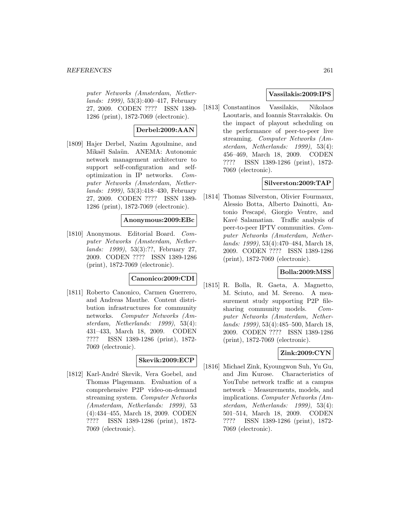#### *REFERENCES* 261

puter Networks (Amsterdam, Netherlands: 1999), 53(3):400–417, February 27, 2009. CODEN ???? ISSN 1389- 1286 (print), 1872-7069 (electronic).

## **Derbel:2009:AAN**

[1809] Hajer Derbel, Nazim Agoulmine, and Mikaël Salaün. ANEMA: Autonomic network management architecture to support self-configuration and selfoptimization in IP networks. Computer Networks (Amsterdam, Netherlands: 1999), 53(3):418–430, February 27, 2009. CODEN ???? ISSN 1389- 1286 (print), 1872-7069 (electronic).

#### **Anonymous:2009:EBc**

[1810] Anonymous. Editorial Board. Computer Networks (Amsterdam, Netherlands: 1999), 53(3):??, February 27, 2009. CODEN ???? ISSN 1389-1286 (print), 1872-7069 (electronic).

#### **Canonico:2009:CDI**

[1811] Roberto Canonico, Carmen Guerrero, and Andreas Mauthe. Content distribution infrastructures for community networks. Computer Networks (Amsterdam, Netherlands: 1999), 53(4): 431–433, March 18, 2009. CODEN ???? ISSN 1389-1286 (print), 1872- 7069 (electronic).

## **Skevik:2009:ECP**

[1812] Karl-André Skevik, Vera Goebel, and Thomas Plagemann. Evaluation of a comprehensive P2P video-on-demand streaming system. Computer Networks (Amsterdam, Netherlands: 1999), 53 (4):434–455, March 18, 2009. CODEN ???? ISSN 1389-1286 (print), 1872- 7069 (electronic).

#### **Vassilakis:2009:IPS**

[1813] Constantinos Vassilakis, Nikolaos Laoutaris, and Ioannis Stavrakakis. On the impact of playout scheduling on the performance of peer-to-peer live streaming. Computer Networks (Amsterdam, Netherlands: 1999), 53(4): 456–469, March 18, 2009. CODEN ???? ISSN 1389-1286 (print), 1872- 7069 (electronic).

## **Silverston:2009:TAP**

[1814] Thomas Silverston, Olivier Fourmaux, Alessio Botta, Alberto Dainotti, Antonio Pescapé, Giorgio Ventre, and Kavé Salamatian. Traffic analysis of peer-to-peer IPTV communities. Computer Networks (Amsterdam, Netherlands: 1999), 53(4):470–484, March 18, 2009. CODEN ???? ISSN 1389-1286 (print), 1872-7069 (electronic).

### **Bolla:2009:MSS**

[1815] R. Bolla, R. Gaeta, A. Magnetto, M. Sciuto, and M. Sereno. A measurement study supporting P2P filesharing community models. Computer Networks (Amsterdam, Netherlands: 1999), 53(4):485–500, March 18, 2009. CODEN ???? ISSN 1389-1286 (print), 1872-7069 (electronic).

#### **Zink:2009:CYN**

[1816] Michael Zink, Kyoungwon Suh, Yu Gu, and Jim Kurose. Characteristics of YouTube network traffic at a campus network – Measurements, models, and implications. Computer Networks (Amsterdam, Netherlands: 1999), 53(4): 501–514, March 18, 2009. CODEN ???? ISSN 1389-1286 (print), 1872- 7069 (electronic).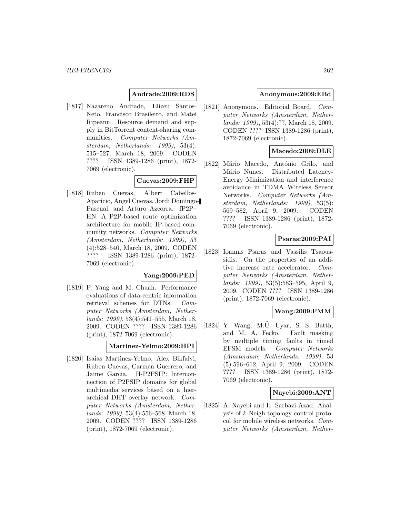#### **Andrade:2009:RDS**

[1817] Nazareno Andrade, Elizeu Santos-Neto, Francisco Brasileiro, and Matei Ripeanu. Resource demand and supply in BitTorrent content-sharing communities. Computer Networks (Amsterdam, Netherlands: 1999), 53(4): 515–527, March 18, 2009. CODEN ???? ISSN 1389-1286 (print), 1872- 7069 (electronic).

### **Cuevas:2009:FHP**

[1818] Ruben Cuevas, Albert Cabellos-Aparicio, Angel Cuevas, Jordi Domingo-Pascual, and Arturo Azcorra. fP2P– HN: A P2P-based route optimization architecture for mobile IP-based community networks. Computer Networks (Amsterdam, Netherlands: 1999), 53 (4):528–540, March 18, 2009. CODEN ???? ISSN 1389-1286 (print), 1872- 7069 (electronic).

#### **Yang:2009:PED**

[1819] P. Yang and M. Chuah. Performance evaluations of data-centric information retrieval schemes for DTNs. Computer Networks (Amsterdam, Netherlands: 1999), 53(4):541–555, March 18, 2009. CODEN ???? ISSN 1389-1286 (print), 1872-7069 (electronic).

#### **Martinez-Yelmo:2009:HPI**

[1820] Isaias Martinez-Yelmo, Alex Bikfalvi, Ruben Cuevas, Carmen Guerrero, and Jaime Garcia. H-P2PSIP: Interconnection of P2PSIP domains for global multimedia services based on a hierarchical DHT overlay network. Computer Networks (Amsterdam, Netherlands: 1999), 53(4):556–568, March 18, 2009. CODEN ???? ISSN 1389-1286 (print), 1872-7069 (electronic).

#### **Anonymous:2009:EBd**

[1821] Anonymous. Editorial Board. Computer Networks (Amsterdam, Netherlands: 1999), 53(4):??, March 18, 2009. CODEN ???? ISSN 1389-1286 (print), 1872-7069 (electronic).

#### **Macedo:2009:DLE**

[1822] Mário Macedo, António Grilo, and Mário Nunes. Distributed Latency-Energy Minimization and interference avoidance in TDMA Wireless Sensor Networks. Computer Networks (Amsterdam, Netherlands: 1999), 53(5): 569–582, April 9, 2009. CODEN ???? ISSN 1389-1286 (print), 1872- 7069 (electronic).

## **Psaras:2009:PAI**

[1823] Ioannis Psaras and Vassilis Tsaoussidis. On the properties of an additive increase rate accelerator. Computer Networks (Amsterdam, Netherlands: 1999), 53(5):583–595, April 9, 2009. CODEN ???? ISSN 1389-1286 (print), 1872-7069 (electronic).

#### **Wang:2009:FMM**

 $[1824]$  Y. Wang, M.U. Uyar, S. S. Batth, and M. A. Fecko. Fault masking by multiple timing faults in timed EFSM models. Computer Networks (Amsterdam, Netherlands: 1999), 53 (5):596–612, April 9, 2009. CODEN ???? ISSN 1389-1286 (print), 1872- 7069 (electronic).

#### **Nayebi:2009:ANT**

[1825] A. Nayebi and H. Sarbazi-Azad. Analysis of k-Neigh topology control protocol for mobile wireless networks. Computer Networks (Amsterdam, Nether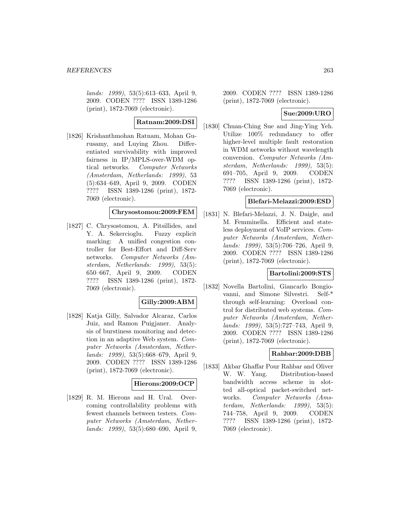lands: 1999), 53(5):613–633, April 9, 2009. CODEN ???? ISSN 1389-1286 (print), 1872-7069 (electronic).

# **Ratnam:2009:DSI**

[1826] Krishanthmohan Ratnam, Mohan Gurusamy, and Luying Zhou. Differentiated survivability with improved fairness in IP/MPLS-over-WDM optical networks. Computer Networks (Amsterdam, Netherlands: 1999), 53 (5):634–649, April 9, 2009. CODEN ???? ISSN 1389-1286 (print), 1872- 7069 (electronic).

## **Chrysostomou:2009:FEM**

[1827] C. Chrysostomou, A. Pitsillides, and Y. A. Sekercioglu. Fuzzy explicit marking: A unified congestion controller for Best-Effort and Diff-Serv networks. Computer Networks (Amsterdam, Netherlands: 1999), 53(5): 650–667, April 9, 2009. CODEN ???? ISSN 1389-1286 (print), 1872- 7069 (electronic).

#### **Gilly:2009:ABM**

[1828] Katja Gilly, Salvador Alcaraz, Carlos Juiz, and Ramon Puigjaner. Analysis of burstiness monitoring and detection in an adaptive Web system. Computer Networks (Amsterdam, Netherlands: 1999), 53(5):668–679, April 9, 2009. CODEN ???? ISSN 1389-1286 (print), 1872-7069 (electronic).

#### **Hierons:2009:OCP**

[1829] R. M. Hierons and H. Ural. Overcoming controllability problems with fewest channels between testers. Computer Networks (Amsterdam, Netherlands: 1999), 53(5):680–690, April 9,

2009. CODEN ???? ISSN 1389-1286 (print), 1872-7069 (electronic).

### **Sue:2009:URO**

[1830] Chuan-Ching Sue and Jing-Ying Yeh. Utilize 100% redundancy to offer higher-level multiple fault restoration in WDM networks without wavelength conversion. Computer Networks (Amsterdam, Netherlands: 1999), 53(5): 691–705, April 9, 2009. CODEN ???? ISSN 1389-1286 (print), 1872- 7069 (electronic).

### **Blefari-Melazzi:2009:ESD**

[1831] N. Blefari-Melazzi, J. N. Daigle, and M. Femminella. Efficient and stateless deployment of VoIP services. Computer Networks (Amsterdam, Netherlands: 1999), 53(5):706–726, April 9, 2009. CODEN ???? ISSN 1389-1286 (print), 1872-7069 (electronic).

#### **Bartolini:2009:STS**

[1832] Novella Bartolini, Giancarlo Bongiovanni, and Simone Silvestri. Self-\* through self-learning: Overload control for distributed web systems. Computer Networks (Amsterdam, Netherlands: 1999), 53(5):727–743, April 9, 2009. CODEN ???? ISSN 1389-1286 (print), 1872-7069 (electronic).

## **Rahbar:2009:DBB**

[1833] Akbar Ghaffar Pour Rahbar and Oliver W. W. Yang. Distribution-based bandwidth access scheme in slotted all-optical packet-switched networks. Computer Networks (Amsterdam, Netherlands: 1999), 53(5): 744–758, April 9, 2009. CODEN ???? ISSN 1389-1286 (print), 1872- 7069 (electronic).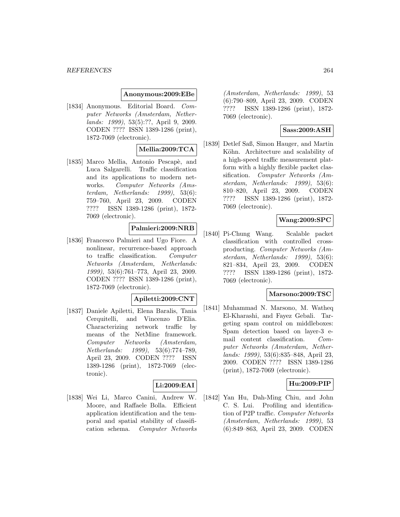#### **Anonymous:2009:EBe**

[1834] Anonymous. Editorial Board. Computer Networks (Amsterdam, Netherlands: 1999), 53(5):??, April 9, 2009. CODEN ???? ISSN 1389-1286 (print), 1872-7069 (electronic).

#### **Mellia:2009:TCA**

[1835] Marco Mellia, Antonio Pescapè, and Luca Salgarelli. Traffic classification and its applications to modern networks. Computer Networks (Amsterdam, Netherlands: 1999), 53(6): 759–760, April 23, 2009. CODEN ???? ISSN 1389-1286 (print), 1872- 7069 (electronic).

# **Palmieri:2009:NRB**

[1836] Francesco Palmieri and Ugo Fiore. A nonlinear, recurrence-based approach to traffic classification. Computer Networks (Amsterdam, Netherlands: 1999), 53(6):761–773, April 23, 2009. CODEN ???? ISSN 1389-1286 (print), 1872-7069 (electronic).

#### **Apiletti:2009:CNT**

[1837] Daniele Apiletti, Elena Baralis, Tania Cerquitelli, and Vincenzo D'Elia. Characterizing network traffic by means of the NetMine framework. Computer Networks (Amsterdam, Netherlands: 1999), 53(6):774–789, April 23, 2009. CODEN ???? ISSN 1389-1286 (print), 1872-7069 (electronic).

## **Li:2009:EAI**

[1838] Wei Li, Marco Canini, Andrew W. Moore, and Raffaele Bolla. Efficient application identification and the temporal and spatial stability of classification schema. Computer Networks

(Amsterdam, Netherlands: 1999), 53 (6):790–809, April 23, 2009. CODEN ???? ISSN 1389-1286 (print), 1872- 7069 (electronic).

## **Sass:2009:ASH**

[1839] Detlef Saß, Simon Hauger, and Martin Köhn. Architecture and scalability of a high-speed traffic measurement platform with a highly flexible packet classification. Computer Networks (Amsterdam, Netherlands: 1999), 53(6): 810–820, April 23, 2009. CODEN ???? ISSN 1389-1286 (print), 1872- 7069 (electronic).

### **Wang:2009:SPC**

[1840] Pi-Chung Wang. Scalable packet classification with controlled crossproducting. Computer Networks (Amsterdam, Netherlands: 1999), 53(6): 821–834, April 23, 2009. CODEN ???? ISSN 1389-1286 (print), 1872- 7069 (electronic).

#### **Marsono:2009:TSC**

[1841] Muhammad N. Marsono, M. Watheq El-Kharashi, and Fayez Gebali. Targeting spam control on middleboxes: Spam detection based on layer-3 email content classification. Computer Networks (Amsterdam, Netherlands: 1999), 53(6):835–848, April 23, 2009. CODEN ???? ISSN 1389-1286 (print), 1872-7069 (electronic).

## **Hu:2009:PIP**

[1842] Yan Hu, Dah-Ming Chiu, and John C. S. Lui. Profiling and identification of P2P traffic. Computer Networks (Amsterdam, Netherlands: 1999), 53 (6):849–863, April 23, 2009. CODEN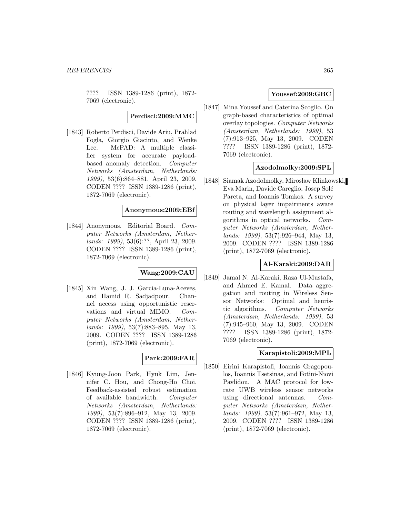???? ISSN 1389-1286 (print), 1872- 7069 (electronic).

**Perdisci:2009:MMC**

[1843] Roberto Perdisci, Davide Ariu, Prahlad Fogla, Giorgio Giacinto, and Wenke Lee. McPAD: A multiple classifier system for accurate payloadbased anomaly detection. Computer Networks (Amsterdam, Netherlands: 1999), 53(6):864–881, April 23, 2009. CODEN ???? ISSN 1389-1286 (print), 1872-7069 (electronic).

#### **Anonymous:2009:EBf**

[1844] Anonymous. Editorial Board. Computer Networks (Amsterdam, Netherlands: 1999), 53(6):??, April 23, 2009. CODEN ???? ISSN 1389-1286 (print), 1872-7069 (electronic).

# **Wang:2009:CAU**

[1845] Xin Wang, J. J. Garcia-Luna-Aceves, and Hamid R. Sadjadpour. Channel access using opportunistic reservations and virtual MIMO. Computer Networks (Amsterdam, Netherlands: 1999), 53(7):883–895, May 13, 2009. CODEN ???? ISSN 1389-1286 (print), 1872-7069 (electronic).

## **Park:2009:FAR**

[1846] Kyung-Joon Park, Hyuk Lim, Jennifer C. Hou, and Chong-Ho Choi. Feedback-assisted robust estimation of available bandwidth. Computer Networks (Amsterdam, Netherlands: 1999), 53(7):896–912, May 13, 2009. CODEN ???? ISSN 1389-1286 (print), 1872-7069 (electronic).

### **Youssef:2009:GBC**

[1847] Mina Youssef and Caterina Scoglio. On graph-based characteristics of optimal overlay topologies. Computer Networks (Amsterdam, Netherlands: 1999), 53 (7):913–925, May 13, 2009. CODEN ???? ISSN 1389-1286 (print), 1872- 7069 (electronic).

## **Azodolmolky:2009:SPL**

[1848] Siamak Azodolmolky, Mirosław Klinkowski, Eva Marin, Davide Careglio, Josep Sol´e Pareta, and Ioannis Tomkos. A survey on physical layer impairments aware routing and wavelength assignment algorithms in optical networks. Computer Networks (Amsterdam, Netherlands: 1999), 53(7):926–944, May 13, 2009. CODEN ???? ISSN 1389-1286 (print), 1872-7069 (electronic).

#### **Al-Karaki:2009:DAR**

[1849] Jamal N. Al-Karaki, Raza Ul-Mustafa, and Ahmed E. Kamal. Data aggregation and routing in Wireless Sensor Networks: Optimal and heuristic algorithms. Computer Networks (Amsterdam, Netherlands: 1999), 53 (7):945–960, May 13, 2009. CODEN ???? ISSN 1389-1286 (print), 1872- 7069 (electronic).

#### **Karapistoli:2009:MPL**

[1850] Eirini Karapistoli, Ioannis Gragopoulos, Ioannis Tsetsinas, and Fotini-Niovi Pavlidou. A MAC protocol for lowrate UWB wireless sensor networks using directional antennas. Computer Networks (Amsterdam, Netherlands: 1999), 53(7):961–972, May 13, 2009. CODEN ???? ISSN 1389-1286 (print), 1872-7069 (electronic).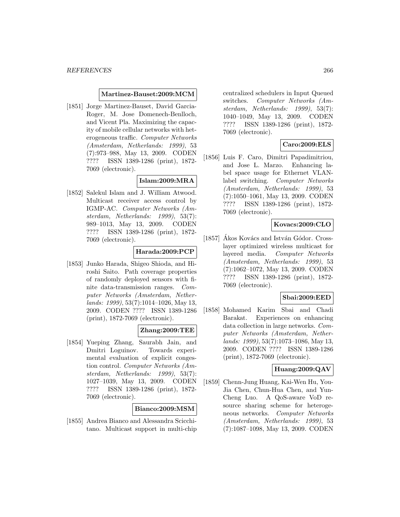#### **Martinez-Bauset:2009:MCM**

[1851] Jorge Martinez-Bauset, David Garcia-Roger, M. Jose Domenech-Benlloch, and Vicent Pla. Maximizing the capacity of mobile cellular networks with heterogeneous traffic. Computer Networks (Amsterdam, Netherlands: 1999), 53 (7):973–988, May 13, 2009. CODEN ???? ISSN 1389-1286 (print), 1872- 7069 (electronic).

#### **Islam:2009:MRA**

[1852] Salekul Islam and J. William Atwood. Multicast receiver access control by IGMP-AC. Computer Networks (Amsterdam, Netherlands: 1999), 53(7): 989–1013, May 13, 2009. CODEN ???? ISSN 1389-1286 (print), 1872- 7069 (electronic).

#### **Harada:2009:PCP**

[1853] Junko Harada, Shigeo Shioda, and Hiroshi Saito. Path coverage properties of randomly deployed sensors with finite data-transmission ranges. Computer Networks (Amsterdam, Netherlands: 1999), 53(7):1014–1026, May 13, 2009. CODEN ???? ISSN 1389-1286 (print), 1872-7069 (electronic).

## **Zhang:2009:TEE**

[1854] Yueping Zhang, Saurabh Jain, and Dmitri Loguinov. Towards experimental evaluation of explicit congestion control. Computer Networks (Amsterdam, Netherlands: 1999), 53(7): 1027–1039, May 13, 2009. CODEN ???? ISSN 1389-1286 (print), 1872- 7069 (electronic).

#### **Bianco:2009:MSM**

[1855] Andrea Bianco and Alessandra Scicchitano. Multicast support in multi-chip centralized schedulers in Input Queued switches. Computer Networks (Amsterdam, Netherlands: 1999), 53(7): 1040–1049, May 13, 2009. CODEN ???? ISSN 1389-1286 (print), 1872- 7069 (electronic).

### **Caro:2009:ELS**

[1856] Luis F. Caro, Dimitri Papadimitriou, and Jose L. Marzo. Enhancing label space usage for Ethernet VLANlabel switching. Computer Networks (Amsterdam, Netherlands: 1999), 53 (7):1050–1061, May 13, 2009. CODEN ???? ISSN 1389-1286 (print), 1872- 7069 (electronic).

### **Kovacs:2009:CLO**

[1857] Akos Kovács and István Gódor. Crosslayer optimized wireless multicast for layered media. Computer Networks (Amsterdam, Netherlands: 1999), 53 (7):1062–1072, May 13, 2009. CODEN ???? ISSN 1389-1286 (print), 1872- 7069 (electronic).

#### **Sbai:2009:EED**

[1858] Mohamed Karim Sbai and Chadi Barakat. Experiences on enhancing data collection in large networks. Computer Networks (Amsterdam, Netherlands: 1999), 53(7):1073–1086, May 13, 2009. CODEN ???? ISSN 1389-1286 (print), 1872-7069 (electronic).

## **Huang:2009:QAV**

[1859] Chenn-Jung Huang, Kai-Wen Hu, You-Jia Chen, Chun-Hua Chen, and Yun-Cheng Luo. A QoS-aware VoD resource sharing scheme for heterogeneous networks. Computer Networks (Amsterdam, Netherlands: 1999), 53 (7):1087–1098, May 13, 2009. CODEN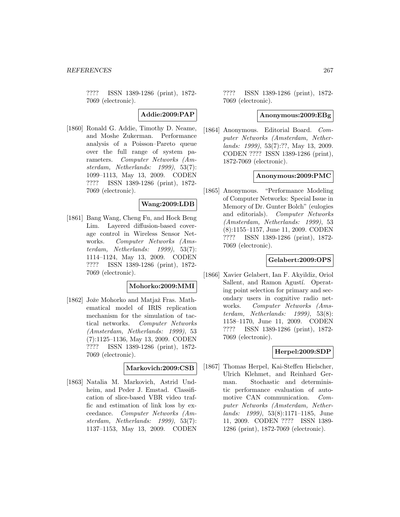???? ISSN 1389-1286 (print), 1872- 7069 (electronic).

**Addie:2009:PAP**

[1860] Ronald G. Addie, Timothy D. Neame, and Moshe Zukerman. Performance analysis of a Poisson–Pareto queue over the full range of system parameters. Computer Networks (Amsterdam, Netherlands: 1999), 53(7): 1099–1113, May 13, 2009. CODEN ???? ISSN 1389-1286 (print), 1872- 7069 (electronic).

# **Wang:2009:LDB**

[1861] Bang Wang, Cheng Fu, and Hock Beng Lim. Layered diffusion-based coverage control in Wireless Sensor Networks. Computer Networks (Amsterdam, Netherlands: 1999), 53(7): 1114–1124, May 13, 2009. CODEN ???? ISSN 1389-1286 (print), 1872- 7069 (electronic).

#### **Mohorko:2009:MMI**

[1862] Jože Mohorko and Matjaž Fras. Mathematical model of IRIS replication mechanism for the simulation of tactical networks. Computer Networks (Amsterdam, Netherlands: 1999), 53 (7):1125–1136, May 13, 2009. CODEN ???? ISSN 1389-1286 (print), 1872- 7069 (electronic).

#### **Markovich:2009:CSB**

[1863] Natalia M. Markovich, Astrid Undheim, and Peder J. Emstad. Classification of slice-based VBR video traffic and estimation of link loss by exceedance. Computer Networks (Amsterdam, Netherlands: 1999), 53(7): 1137–1153, May 13, 2009. CODEN

???? ISSN 1389-1286 (print), 1872- 7069 (electronic).

#### **Anonymous:2009:EBg**

[1864] Anonymous. Editorial Board. Computer Networks (Amsterdam, Netherlands: 1999), 53(7):??, May 13, 2009. CODEN ???? ISSN 1389-1286 (print), 1872-7069 (electronic).

### **Anonymous:2009:PMC**

[1865] Anonymous. "Performance Modeling of Computer Networks: Special Issue in Memory of Dr. Gunter Bolch" (eulogies and editorials). Computer Networks (Amsterdam, Netherlands: 1999), 53 (8):1155–1157, June 11, 2009. CODEN ???? ISSN 1389-1286 (print), 1872- 7069 (electronic).

#### **Gelabert:2009:OPS**

[1866] Xavier Gelabert, Ian F. Akyildiz, Oriol Sallent, and Ramon Agustí. Operating point selection for primary and secondary users in cognitive radio networks. Computer Networks (Amsterdam, Netherlands: 1999), 53(8): 1158–1170, June 11, 2009. CODEN ???? ISSN 1389-1286 (print), 1872- 7069 (electronic).

#### **Herpel:2009:SDP**

[1867] Thomas Herpel, Kai-Steffen Hielscher, Ulrich Klehmet, and Reinhard German. Stochastic and deterministic performance evaluation of automotive CAN communication. Computer Networks (Amsterdam, Netherlands: 1999), 53(8):1171–1185, June 11, 2009. CODEN ???? ISSN 1389- 1286 (print), 1872-7069 (electronic).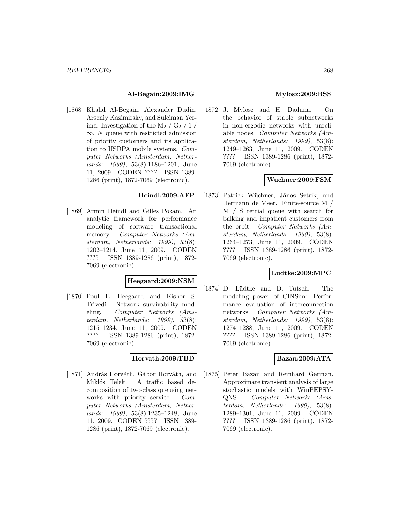#### **Al-Begain:2009:IMG**

[1868] Khalid Al-Begain, Alexander Dudin, Arseniy Kazimirsky, and Suleiman Yerima. Investigation of the  $M_2 / G_2 / 1 /$  $\infty$ , N queue with restricted admission of priority customers and its application to HSDPA mobile systems. Computer Networks (Amsterdam, Netherlands: 1999), 53(8):1186–1201, June 11, 2009. CODEN ???? ISSN 1389- 1286 (print), 1872-7069 (electronic).

### **Heindl:2009:AFP**

[1869] Armin Heindl and Gilles Pokam. An analytic framework for performance modeling of software transactional memory. Computer Networks (Amsterdam, Netherlands: 1999), 53(8): 1202–1214, June 11, 2009. CODEN ???? ISSN 1389-1286 (print), 1872- 7069 (electronic).

## **Heegaard:2009:NSM**

[1870] Poul E. Heegaard and Kishor S. Trivedi. Network survivability modeling. Computer Networks (Amsterdam, Netherlands: 1999), 53(8): 1215–1234, June 11, 2009. CODEN ???? ISSN 1389-1286 (print), 1872- 7069 (electronic).

### **Horvath:2009:TBD**

[1871] András Horváth, Gábor Horváth, and Miklós Telek. A traffic based decomposition of two-class queueing networks with priority service. Computer Networks (Amsterdam, Netherlands: 1999), 53(8):1235–1248, June 11, 2009. CODEN ???? ISSN 1389- 1286 (print), 1872-7069 (electronic).

### **Mylosz:2009:BSS**

[1872] J. Mylosz and H. Daduna. On the behavior of stable subnetworks in non-ergodic networks with unreliable nodes. Computer Networks (Amsterdam, Netherlands: 1999), 53(8): 1249–1263, June 11, 2009. CODEN ???? ISSN 1389-1286 (print), 1872- 7069 (electronic).

## **Wuchner:2009:FSM**

[1873] Patrick Wüchner, János Sztrik, and Hermann de Meer. Finite-source M / M / S retrial queue with search for balking and impatient customers from the orbit. Computer Networks (Amsterdam, Netherlands: 1999), 53(8): 1264–1273, June 11, 2009. CODEN ???? ISSN 1389-1286 (print), 1872- 7069 (electronic).

### **Ludtke:2009:MPC**

[1874] D. Lüdtke and D. Tutsch. The modeling power of CINSim: Performance evaluation of interconnection networks. Computer Networks (Amsterdam, Netherlands: 1999), 53(8): 1274–1288, June 11, 2009. CODEN ???? ISSN 1389-1286 (print), 1872- 7069 (electronic).

### **Bazan:2009:ATA**

[1875] Peter Bazan and Reinhard German. Approximate transient analysis of large stochastic models with WinPEPSY-QNS. Computer Networks (Amsterdam, Netherlands: 1999), 53(8): 1289–1301, June 11, 2009. CODEN ???? ISSN 1389-1286 (print), 1872- 7069 (electronic).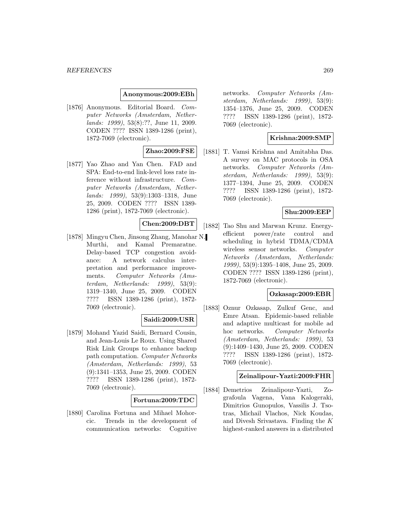#### **Anonymous:2009:EBh**

[1876] Anonymous. Editorial Board. Computer Networks (Amsterdam, Netherlands: 1999), 53(8):??, June 11, 2009. CODEN ???? ISSN 1389-1286 (print), 1872-7069 (electronic).

## **Zhao:2009:FSE**

[1877] Yao Zhao and Yan Chen. FAD and SPA: End-to-end link-level loss rate inference without infrastructure. Computer Networks (Amsterdam, Netherlands: 1999), 53(9):1303–1318, June 25, 2009. CODEN ???? ISSN 1389- 1286 (print), 1872-7069 (electronic).

## **Chen:2009:DBT**

[1878] Mingyu Chen, Jinsong Zhang, Manohar N. Murthi, and Kamal Premaratne. Delay-based TCP congestion avoidance: A network calculus interpretation and performance improvements. Computer Networks (Amsterdam, Netherlands: 1999), 53(9): 1319–1340, June 25, 2009. CODEN ???? ISSN 1389-1286 (print), 1872- 7069 (electronic).

#### **Saidi:2009:USR**

[1879] Mohand Yazid Saidi, Bernard Cousin, and Jean-Louis Le Roux. Using Shared Risk Link Groups to enhance backup path computation. Computer Networks (Amsterdam, Netherlands: 1999), 53 (9):1341–1353, June 25, 2009. CODEN ???? ISSN 1389-1286 (print), 1872- 7069 (electronic).

#### **Fortuna:2009:TDC**

[1880] Carolina Fortuna and Mihael Mohorcic. Trends in the development of communication networks: Cognitive

networks. Computer Networks (Amsterdam, Netherlands: 1999), 53(9): 1354–1376, June 25, 2009. CODEN ???? ISSN 1389-1286 (print), 1872- 7069 (electronic).

#### **Krishna:2009:SMP**

[1881] T. Vamsi Krishna and Amitabha Das. A survey on MAC protocols in OSA networks. Computer Networks (Amsterdam, Netherlands: 1999), 53(9): 1377–1394, June 25, 2009. CODEN ???? ISSN 1389-1286 (print), 1872- 7069 (electronic).

## **Shu:2009:EEP**

[1882] Tao Shu and Marwan Krunz. Energyefficient power/rate control and scheduling in hybrid TDMA/CDMA wireless sensor networks. Computer Networks (Amsterdam, Netherlands: 1999), 53(9):1395–1408, June 25, 2009. CODEN ???? ISSN 1389-1286 (print), 1872-7069 (electronic).

#### **Ozkasap:2009:EBR**

[1883] Oznur Ozkasap, Zulkuf Genc, and Emre Atsan. Epidemic-based reliable and adaptive multicast for mobile ad hoc networks. Computer Networks (Amsterdam, Netherlands: 1999), 53 (9):1409–1430, June 25, 2009. CODEN ???? ISSN 1389-1286 (print), 1872- 7069 (electronic).

#### **Zeinalipour-Yazti:2009:FHR**

[1884] Demetrios Zeinalipour-Yazti, Zografoula Vagena, Vana Kalogeraki, Dimitrios Gunopulos, Vassilis J. Tsotras, Michail Vlachos, Nick Koudas, and Divesh Srivastava. Finding the K highest-ranked answers in a distributed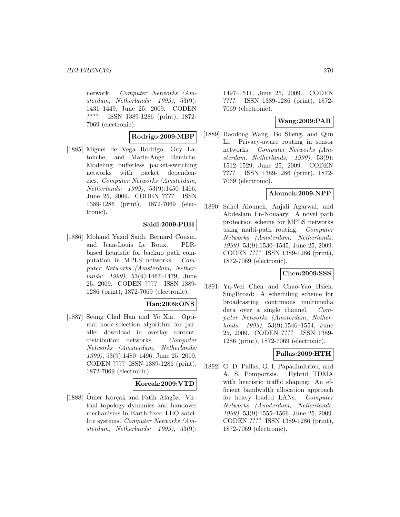network. Computer Networks (Amsterdam, Netherlands: 1999), 53(9): 1431–1449, June 25, 2009. CODEN ???? ISSN 1389-1286 (print), 1872- 7069 (electronic).

#### **Rodrigo:2009:MBP**

[1885] Miguel de Vega Rodrigo, Guy Latouche, and Marie-Ange Remiche. Modeling bufferless packet-switching networks with packet dependencies. Computer Networks (Amsterdam, Netherlands: 1999), 53(9):1450–1466, June 25, 2009. CODEN ???? ISSN 1389-1286 (print), 1872-7069 (electronic).

#### **Saidi:2009:PBH**

[1886] Mohand Yazid Saidi, Bernard Cousin, and Jean-Louis Le Roux. PLRbased heuristic for backup path computation in MPLS networks. Computer Networks (Amsterdam, Netherlands: 1999), 53(9):1467–1479, June 25, 2009. CODEN ???? ISSN 1389- 1286 (print), 1872-7069 (electronic).

#### **Han:2009:ONS**

[1887] Seung Chul Han and Ye Xia. Optimal node-selection algorithm for parallel download in overlay contentdistribution networks. Computer Networks (Amsterdam, Netherlands: 1999), 53(9):1480–1496, June 25, 2009. CODEN ???? ISSN 1389-1286 (print), 1872-7069 (electronic).

#### **Korcak:2009:VTD**

[1888] Ömer Korçak and Fatih Alagöz. Virtual topology dynamics and handover mechanisms in Earth-fixed LEO satellite systems. Computer Networks (Amsterdam, Netherlands: 1999), 53(9): 1497–1511, June 25, 2009. CODEN ???? ISSN 1389-1286 (print), 1872- 7069 (electronic).

## **Wang:2009:PAR**

[1889] Haodong Wang, Bo Sheng, and Qun Li. Privacy-aware routing in sensor networks. Computer Networks (Amsterdam, Netherlands: 1999), 53(9): 1512–1529, June 25, 2009. CODEN ???? ISSN 1389-1286 (print), 1872- 7069 (electronic).

## **Alouneh:2009:NPP**

[1890] Sahel Alouneh, Anjali Agarwal, and Abdeslam En-Nouaary. A novel path protection scheme for MPLS networks using multi-path routing. Computer Networks (Amsterdam, Netherlands: 1999), 53(9):1530–1545, June 25, 2009. CODEN ???? ISSN 1389-1286 (print), 1872-7069 (electronic).

#### **Chen:2009:SSS**

[1891] Yu-Wei Chen and Chao-Yao Hsieh. SingBroad: A scheduling scheme for broadcasting continuous multimedia data over a single channel. Computer Networks (Amsterdam, Netherlands: 1999), 53(9):1546–1554, June 25, 2009. CODEN ???? ISSN 1389- 1286 (print), 1872-7069 (electronic).

## **Pallas:2009:HTH**

[1892] G. D. Pallas, G. I. Papadimitriou, and A. S. Pomportsis. Hybrid TDMA with heuristic traffic shaping: An efficient bandwidth allocation approach for heavy loaded LANs. Computer Networks (Amsterdam, Netherlands: 1999), 53(9):1555–1566, June 25, 2009. CODEN ???? ISSN 1389-1286 (print), 1872-7069 (electronic).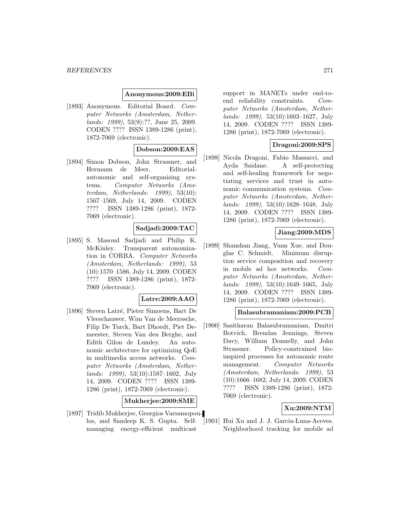#### **Anonymous:2009:EBi**

[1893] Anonymous. Editorial Board. Computer Networks (Amsterdam, Netherlands: 1999), 53(9):??, June 25, 2009. CODEN ???? ISSN 1389-1286 (print), 1872-7069 (electronic).

#### **Dobson:2009:EAS**

[1894] Simon Dobson, John Strassner, and Hermann de Meer. Editorialautonomic and self-organising systems. Computer Networks (Amsterdam, Netherlands: 1999), 53(10): 1567–1569, July 14, 2009. CODEN ???? ISSN 1389-1286 (print), 1872- 7069 (electronic).

### **Sadjadi:2009:TAC**

[1895] S. Masoud Sadjadi and Philip K. McKinley. Transparent autonomization in CORBA. Computer Networks (Amsterdam, Netherlands: 1999), 53 (10):1570–1586, July 14, 2009. CODEN ???? ISSN 1389-1286 (print), 1872- 7069 (electronic).

#### **Latre:2009:AAO**

[1896] Steven Latré, Pieter Simoens, Bart De Vleeschauwer, Wim Van de Meerssche, Filip De Turck, Bart Dhoedt, Piet Demeester, Steven Van den Berghe, and Edith Gilon de Lumley. An autonomic architecture for optimizing QoE in multimedia access networks. Computer Networks (Amsterdam, Netherlands: 1999), 53(10):1587–1602, July 14, 2009. CODEN ???? ISSN 1389- 1286 (print), 1872-7069 (electronic).

#### **Mukherjee:2009:SME**

[1897] Tridib Mukherjee, Georgios Varsamopoulos, and Sandeep K. S. Gupta. Selfmanaging energy-efficient multicast

support in MANETs under end-toend reliability constraints. Computer Networks (Amsterdam, Netherlands: 1999), 53(10):1603–1627, July 14, 2009. CODEN ???? ISSN 1389- 1286 (print), 1872-7069 (electronic).

#### **Dragoni:2009:SPS**

[1898] Nicola Dragoni, Fabio Massacci, and Ayda Saidane. A self-protecting and self-healing framework for negotiating services and trust in autonomic communication systems. Computer Networks (Amsterdam, Netherlands: 1999), 53(10):1628–1648, July 14, 2009. CODEN ???? ISSN 1389- 1286 (print), 1872-7069 (electronic).

#### **Jiang:2009:MDS**

[1899] Shanshan Jiang, Yuan Xue, and Douglas C. Schmidt. Minimum disruption service composition and recovery in mobile ad hoc networks. Computer Networks (Amsterdam, Netherlands: 1999), 53(10):1649–1665, July 14, 2009. CODEN ???? ISSN 1389- 1286 (print), 1872-7069 (electronic).

### **Balasubramaniam:2009:PCB**

[1900] Sasitharan Balasubramaniam, Dmitri Botvich, Brendan Jennings, Steven Davy, William Donnelly, and John Strassner. Policy-constrained bioinspired processes for autonomic route management. Computer Networks (Amsterdam, Netherlands: 1999), 53 (10):1666–1682, July 14, 2009. CODEN ???? ISSN 1389-1286 (print), 1872- 7069 (electronic).

#### **Xu:2009:NTM**

[1901] Hui Xu and J. J. Garcia-Luna-Aceves. Neighborhood tracking for mobile ad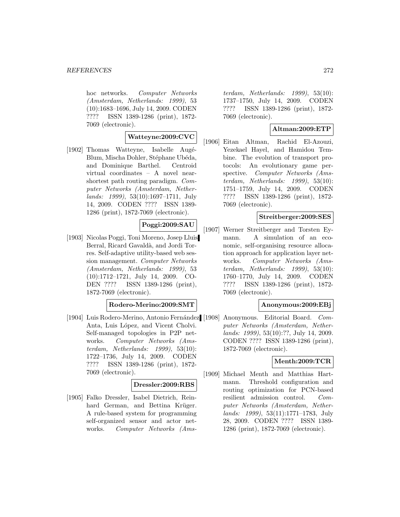hoc networks. Computer Networks (Amsterdam, Netherlands: 1999), 53 (10):1683–1696, July 14, 2009. CODEN ???? ISSN 1389-1286 (print), 1872- 7069 (electronic).

### **Watteyne:2009:CVC**

[1902] Thomas Watteyne, Isabelle Augé-Blum, Mischa Dohler, Stéphane Ubéda, and Dominique Barthel. Centroid virtual coordinates – A novel nearshortest path routing paradigm. Computer Networks (Amsterdam, Netherlands: 1999), 53(10):1697–1711, July 14, 2009. CODEN ???? ISSN 1389- 1286 (print), 1872-7069 (electronic).

### **Poggi:2009:SAU**

[1903] Nicolas Poggi, Toni Moreno, Josep Lluis Berral, Ricard Gavaldà, and Jordi Torres. Self-adaptive utility-based web session management. Computer Networks (Amsterdam, Netherlands: 1999), 53 (10):1712–1721, July 14, 2009. CO-DEN ???? ISSN 1389-1286 (print), 1872-7069 (electronic).

#### **Rodero-Merino:2009:SMT**

[1904] Luis Rodero-Merino, Antonio Fernández [1908] Anta, Luis López, and Vicent Cholvi. Self-managed topologies in P2P networks. Computer Networks (Amsterdam, Netherlands: 1999), 53(10): 1722–1736, July 14, 2009. CODEN ???? ISSN 1389-1286 (print), 1872- 7069 (electronic).

#### **Dressler:2009:RBS**

[1905] Falko Dressler, Isabel Dietrich, Reinhard German, and Bettina Krüger. A rule-based system for programming self-organized sensor and actor networks. Computer Networks (Ams-

terdam, Netherlands: 1999), 53(10): 1737–1750, July 14, 2009. CODEN ???? ISSN 1389-1286 (print), 1872- 7069 (electronic).

### **Altman:2009:ETP**

[1906] Eitan Altman, Rachid El-Azouzi, Yezekael Hayel, and Hamidou Tembine. The evolution of transport protocols: An evolutionary game perspective. Computer Networks (Amsterdam, Netherlands: 1999), 53(10): 1751–1759, July 14, 2009. CODEN ???? ISSN 1389-1286 (print), 1872- 7069 (electronic).

### **Streitberger:2009:SES**

[1907] Werner Streitberger and Torsten Eymann. A simulation of an economic, self-organising resource allocation approach for application layer networks. Computer Networks (Amsterdam, Netherlands: 1999), 53(10): 1760–1770, July 14, 2009. CODEN ???? ISSN 1389-1286 (print), 1872- 7069 (electronic).

#### **Anonymous:2009:EBj**

Anonymous. Editorial Board. Computer Networks (Amsterdam, Netherlands: 1999), 53(10):??, July 14, 2009. CODEN ???? ISSN 1389-1286 (print), 1872-7069 (electronic).

## **Menth:2009:TCR**

[1909] Michael Menth and Matthias Hartmann. Threshold configuration and routing optimization for PCN-based resilient admission control. Computer Networks (Amsterdam, Netherlands: 1999), 53(11):1771–1783, July 28, 2009. CODEN ???? ISSN 1389- 1286 (print), 1872-7069 (electronic).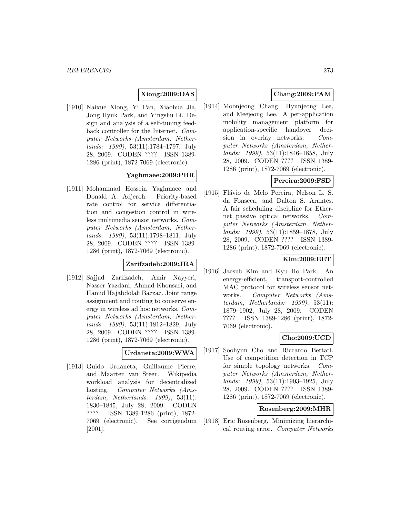## **Xiong:2009:DAS**

[1910] Naixue Xiong, Yi Pan, Xiaohua Jia, Jong Hyuk Park, and Yingshu Li. Design and analysis of a self-tuning feedback controller for the Internet. Computer Networks (Amsterdam, Netherlands: 1999), 53(11):1784–1797, July 28, 2009. CODEN ???? ISSN 1389- 1286 (print), 1872-7069 (electronic).

### **Yaghmaee:2009:PBR**

[1911] Mohammad Hossein Yaghmaee and Donald A. Adjeroh. Priority-based rate control for service differentiation and congestion control in wireless multimedia sensor networks. Computer Networks (Amsterdam, Netherlands: 1999), 53(11):1798–1811, July 28, 2009. CODEN ???? ISSN 1389- 1286 (print), 1872-7069 (electronic).

#### **Zarifzadeh:2009:JRA**

[1912] Sajjad Zarifzadeh, Amir Nayyeri, Nasser Yazdani, Ahmad Khonsari, and Hamid Hajabdolali Bazzaz. Joint range assignment and routing to conserve energy in wireless ad hoc networks. Computer Networks (Amsterdam, Netherlands: 1999), 53(11):1812–1829, July 28, 2009. CODEN ???? ISSN 1389- 1286 (print), 1872-7069 (electronic).

#### **Urdaneta:2009:WWA**

[1913] Guido Urdaneta, Guillaume Pierre, and Maarten van Steen. Wikipedia workload analysis for decentralized hosting. Computer Networks (Amsterdam, Netherlands: 1999), 53(11): 1830–1845, July 28, 2009. CODEN ???? ISSN 1389-1286 (print), 1872- 7069 (electronic). See corrigendum [2001].

## **Chang:2009:PAM**

[1914] Moonjeong Chang, Hyunjeong Lee, and Meejeong Lee. A per-application mobility management platform for application-specific handover decision in overlay networks. Computer Networks (Amsterdam, Netherlands: 1999), 53(11):1846–1858, July 28, 2009. CODEN ???? ISSN 1389- 1286 (print), 1872-7069 (electronic).

## **Pereira:2009:FSD**

[1915] Flávio de Melo Pereira, Nelson L. S. da Fonseca, and Dalton S. Arantes. A fair scheduling discipline for Ethernet passive optical networks. Computer Networks (Amsterdam, Netherlands: 1999), 53(11):1859–1878, July 28, 2009. CODEN ???? ISSN 1389- 1286 (print), 1872-7069 (electronic).

## **Kim:2009:EET**

[1916] Jaesub Kim and Kyu Ho Park. An energy-efficient, transport-controlled MAC protocol for wireless sensor networks. Computer Networks (Amsterdam, Netherlands: 1999), 53(11): 1879–1902, July 28, 2009. CODEN ???? ISSN 1389-1286 (print), 1872- 7069 (electronic).

## **Cho:2009:UCD**

[1917] Soohyun Cho and Riccardo Bettati. Use of competition detection in TCP for simple topology networks. Computer Networks (Amsterdam, Netherlands: 1999), 53(11):1903–1925, July 28, 2009. CODEN ???? ISSN 1389- 1286 (print), 1872-7069 (electronic).

## **Rosenberg:2009:MHR**

[1918] Eric Rosenberg. Minimizing hierarchical routing error. Computer Networks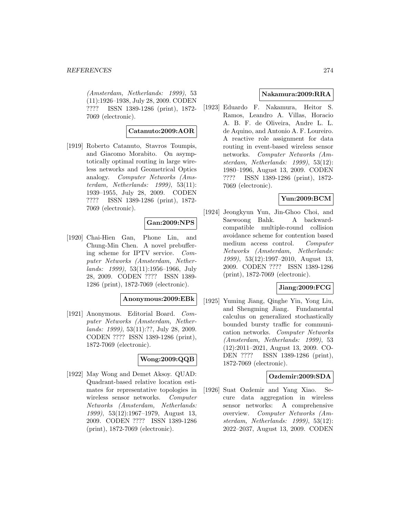(Amsterdam, Netherlands: 1999), 53 (11):1926–1938, July 28, 2009. CODEN ???? ISSN 1389-1286 (print), 1872- 7069 (electronic).

### **Catanuto:2009:AOR**

[1919] Roberto Catanuto, Stavros Toumpis, and Giacomo Morabito. On asymptotically optimal routing in large wireless networks and Geometrical Optics analogy. Computer Networks (Amsterdam, Netherlands: 1999), 53(11): 1939–1955, July 28, 2009. CODEN ???? ISSN 1389-1286 (print), 1872- 7069 (electronic).

## **Gan:2009:NPS**

[1920] Chai-Hien Gan, Phone Lin, and Chung-Min Chen. A novel prebuffering scheme for IPTV service. Computer Networks (Amsterdam, Netherlands: 1999), 53(11):1956–1966, July 28, 2009. CODEN ???? ISSN 1389- 1286 (print), 1872-7069 (electronic).

#### **Anonymous:2009:EBk**

[1921] Anonymous. Editorial Board. Computer Networks (Amsterdam, Netherlands: 1999), 53(11):??, July 28, 2009. CODEN ???? ISSN 1389-1286 (print), 1872-7069 (electronic).

# **Wong:2009:QQB**

[1922] May Wong and Demet Aksoy. QUAD: Quadrant-based relative location estimates for representative topologies in wireless sensor networks. Computer Networks (Amsterdam, Netherlands: 1999), 53(12):1967–1979, August 13, 2009. CODEN ???? ISSN 1389-1286 (print), 1872-7069 (electronic).

### **Nakamura:2009:RRA**

[1923] Eduardo F. Nakamura, Heitor S. Ramos, Leandro A. Villas, Horacio A. B. F. de Oliveira, Andre L. L. de Aquino, and Antonio A. F. Loureiro. A reactive role assignment for data routing in event-based wireless sensor networks. Computer Networks (Amsterdam, Netherlands: 1999), 53(12): 1980–1996, August 13, 2009. CODEN ???? ISSN 1389-1286 (print), 1872- 7069 (electronic).

### **Yun:2009:BCM**

[1924] Jeongkyun Yun, Jin-Ghoo Choi, and Saewoong Bahk. A backwardcompatible multiple-round collision avoidance scheme for contention based medium access control. Computer Networks (Amsterdam, Netherlands: 1999), 53(12):1997–2010, August 13, 2009. CODEN ???? ISSN 1389-1286 (print), 1872-7069 (electronic).

## **Jiang:2009:FCG**

[1925] Yuming Jiang, Qinghe Yin, Yong Liu, and Shengming Jiang. Fundamental calculus on generalized stochastically bounded bursty traffic for communication networks. Computer Networks (Amsterdam, Netherlands: 1999), 53 (12):2011–2021, August 13, 2009. CO-DEN ???? ISSN 1389-1286 (print), 1872-7069 (electronic).

## **Ozdemir:2009:SDA**

[1926] Suat Ozdemir and Yang Xiao. Secure data aggregation in wireless sensor networks: A comprehensive overview. Computer Networks (Amsterdam, Netherlands: 1999), 53(12): 2022–2037, August 13, 2009. CODEN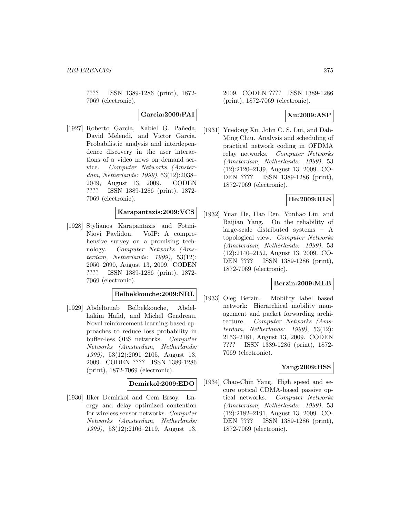???? ISSN 1389-1286 (print), 1872- 7069 (electronic).

**Garcia:2009:PAI**

[1927] Roberto García, Xabiel G. Pañeda, David Melendi, and Victor Garcia. Probabilistic analysis and interdependence discovery in the user interactions of a video news on demand service. Computer Networks (Amsterdam, Netherlands: 1999), 53(12):2038– 2049, August 13, 2009. CODEN ???? ISSN 1389-1286 (print), 1872- 7069 (electronic).

## **Karapantazis:2009:VCS**

[1928] Stylianos Karapantazis and Fotini-Niovi Pavlidou. VoIP: A comprehensive survey on a promising technology. Computer Networks (Amsterdam, Netherlands: 1999), 53(12): 2050–2090, August 13, 2009. CODEN ???? ISSN 1389-1286 (print), 1872- 7069 (electronic).

## **Belbekkouche:2009:NRL**

[1929] Abdeltouab Belbekkouche, Abdelhakim Hafid, and Michel Gendreau. Novel reinforcement learning-based approaches to reduce loss probability in buffer-less OBS networks. Computer Networks (Amsterdam, Netherlands: 1999), 53(12):2091–2105, August 13, 2009. CODEN ???? ISSN 1389-1286 (print), 1872-7069 (electronic).

#### **Demirkol:2009:EDO**

[1930] Ilker Demirkol and Cem Ersoy. Energy and delay optimized contention for wireless sensor networks. Computer Networks (Amsterdam, Netherlands: 1999), 53(12):2106–2119, August 13,

2009. CODEN ???? ISSN 1389-1286 (print), 1872-7069 (electronic).

## **Xu:2009:ASP**

[1931] Yuedong Xu, John C. S. Lui, and Dah-Ming Chiu. Analysis and scheduling of practical network coding in OFDMA relay networks. Computer Networks (Amsterdam, Netherlands: 1999), 53 (12):2120–2139, August 13, 2009. CO-DEN ???? ISSN 1389-1286 (print), 1872-7069 (electronic).

### **He:2009:RLS**

[1932] Yuan He, Hao Ren, Yunhao Liu, and Baijian Yang. On the reliability of large-scale distributed systems – A topological view. Computer Networks (Amsterdam, Netherlands: 1999), 53 (12):2140–2152, August 13, 2009. CO-DEN ???? ISSN 1389-1286 (print), 1872-7069 (electronic).

## **Berzin:2009:MLB**

[1933] Oleg Berzin. Mobility label based network: Hierarchical mobility management and packet forwarding architecture. Computer Networks (Amsterdam, Netherlands: 1999), 53(12): 2153–2181, August 13, 2009. CODEN ???? ISSN 1389-1286 (print), 1872- 7069 (electronic).

#### **Yang:2009:HSS**

[1934] Chao-Chin Yang. High speed and secure optical CDMA-based passive optical networks. Computer Networks (Amsterdam, Netherlands: 1999), 53 (12):2182–2191, August 13, 2009. CO-DEN ???? ISSN 1389-1286 (print), 1872-7069 (electronic).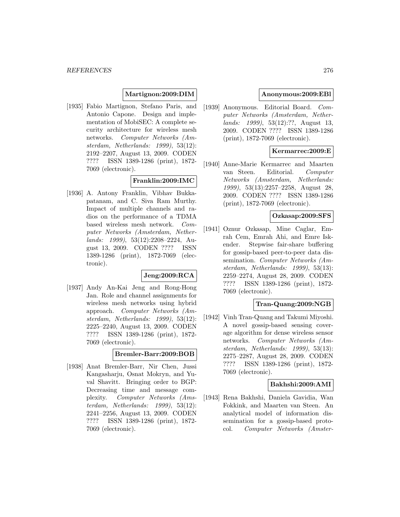#### **Martignon:2009:DIM**

[1935] Fabio Martignon, Stefano Paris, and Antonio Capone. Design and implementation of MobiSEC: A complete security architecture for wireless mesh networks. Computer Networks (Amsterdam, Netherlands: 1999), 53(12): 2192–2207, August 13, 2009. CODEN ???? ISSN 1389-1286 (print), 1872- 7069 (electronic).

### **Franklin:2009:IMC**

[1936] A. Antony Franklin, Vibhav Bukkapatanam, and C. Siva Ram Murthy. Impact of multiple channels and radios on the performance of a TDMA based wireless mesh network. Computer Networks (Amsterdam, Netherlands: 1999), 53(12):2208–2224, August 13, 2009. CODEN ???? ISSN 1389-1286 (print), 1872-7069 (electronic).

#### **Jeng:2009:RCA**

[1937] Andy An-Kai Jeng and Rong-Hong Jan. Role and channel assignments for wireless mesh networks using hybrid approach. Computer Networks (Amsterdam, Netherlands: 1999), 53(12): 2225–2240, August 13, 2009. CODEN ???? ISSN 1389-1286 (print), 1872- 7069 (electronic).

#### **Bremler-Barr:2009:BOB**

[1938] Anat Bremler-Barr, Nir Chen, Jussi Kangasharju, Osnat Mokryn, and Yuval Shavitt. Bringing order to BGP: Decreasing time and message complexity. Computer Networks (Amsterdam, Netherlands: 1999), 53(12): 2241–2256, August 13, 2009. CODEN ???? ISSN 1389-1286 (print), 1872- 7069 (electronic).

### **Anonymous:2009:EBl**

[1939] Anonymous. Editorial Board. Computer Networks (Amsterdam, Netherlands: 1999), 53(12):??, August 13, 2009. CODEN ???? ISSN 1389-1286 (print), 1872-7069 (electronic).

## **Kermarrec:2009:E**

[1940] Anne-Marie Kermarrec and Maarten van Steen. Editorial. Computer Networks (Amsterdam, Netherlands: 1999), 53(13):2257–2258, August 28, 2009. CODEN ???? ISSN 1389-1286 (print), 1872-7069 (electronic).

# **Ozkasap:2009:SFS**

[1941] Oznur Ozkasap, Mine Caglar, Emrah Cem, Emrah Ahi, and Emre Iskender. Stepwise fair-share buffering for gossip-based peer-to-peer data dissemination. Computer Networks (Amsterdam, Netherlands: 1999), 53(13): 2259–2274, August 28, 2009. CODEN ???? ISSN 1389-1286 (print), 1872- 7069 (electronic).

### **Tran-Quang:2009:NGB**

[1942] Vinh Tran-Quang and Takumi Miyoshi. A novel gossip-based sensing coverage algorithm for dense wireless sensor networks. Computer Networks (Amsterdam, Netherlands: 1999), 53(13): 2275–2287, August 28, 2009. CODEN ???? ISSN 1389-1286 (print), 1872- 7069 (electronic).

#### **Bakhshi:2009:AMI**

[1943] Rena Bakhshi, Daniela Gavidia, Wan Fokkink, and Maarten van Steen. An analytical model of information dissemination for a gossip-based protocol. Computer Networks (Amster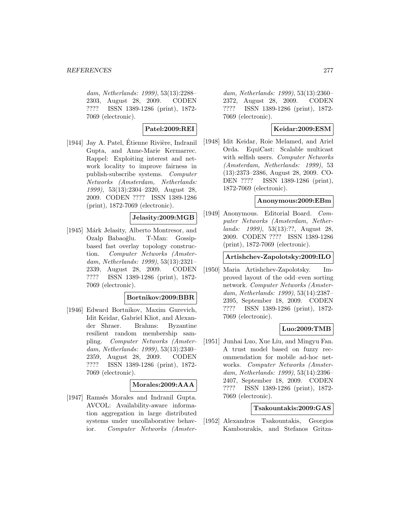dam, Netherlands: 1999), 53(13):2288– 2303, August 28, 2009. CODEN ???? ISSN 1389-1286 (print), 1872- 7069 (electronic).

## **Patel:2009:REI**

[1944] Jay A. Patel, Étienne Rivière, Indranil Gupta, and Anne-Marie Kermarrec. Rappel: Exploiting interest and network locality to improve fairness in publish-subscribe systems. Computer Networks (Amsterdam, Netherlands: 1999), 53(13):2304–2320, August 28, 2009. CODEN ???? ISSN 1389-1286 (print), 1872-7069 (electronic).

### **Jelasity:2009:MGB**

[1945] Márk Jelasity, Alberto Montresor, and Ozalp Babaoğlu. T-Man: Gossipbased fast overlay topology construction. Computer Networks (Amsterdam, Netherlands: 1999), 53(13):2321– 2339, August 28, 2009. CODEN ???? ISSN 1389-1286 (print), 1872- 7069 (electronic).

#### **Bortnikov:2009:BBR**

[1946] Edward Bortnikov, Maxim Gurevich, Idit Keidar, Gabriel Kliot, and Alexander Shraer. Brahms: Byzantine resilient random membership sampling. Computer Networks (Amsterdam, Netherlands: 1999), 53(13):2340– 2359, August 28, 2009. CODEN ???? ISSN 1389-1286 (print), 1872- 7069 (electronic).

#### **Morales:2009:AAA**

[1947] Ramsés Morales and Indranil Gupta. AVCOL: Availability-aware information aggregation in large distributed systems under uncollaborative behavior. Computer Networks (Amster-

dam, Netherlands: 1999), 53(13):2360– 2372, August 28, 2009. CODEN ???? ISSN 1389-1286 (print), 1872- 7069 (electronic).

## **Keidar:2009:ESM**

[1948] Idit Keidar, Roie Melamed, and Ariel Orda. EquiCast: Scalable multicast with selfish users. Computer Networks (Amsterdam, Netherlands: 1999), 53 (13):2373–2386, August 28, 2009. CO-DEN ???? ISSN 1389-1286 (print), 1872-7069 (electronic).

#### **Anonymous:2009:EBm**

[1949] Anonymous. Editorial Board. Computer Networks (Amsterdam, Netherlands: 1999), 53(13):??, August 28, 2009. CODEN ???? ISSN 1389-1286 (print), 1872-7069 (electronic).

## **Artishchev-Zapolotsky:2009:ILO**

[1950] Maria Artishchev-Zapolotsky. Improved layout of the odd–even sorting network. Computer Networks (Amsterdam, Netherlands: 1999), 53(14):2387– 2395, September 18, 2009. CODEN ???? ISSN 1389-1286 (print), 1872- 7069 (electronic).

#### **Luo:2009:TMB**

[1951] Junhai Luo, Xue Liu, and Mingyu Fan. A trust model based on fuzzy recommendation for mobile ad-hoc networks. Computer Networks (Amsterdam, Netherlands: 1999), 53(14):2396– 2407, September 18, 2009. CODEN ???? ISSN 1389-1286 (print), 1872- 7069 (electronic).

#### **Tsakountakis:2009:GAS**

[1952] Alexandros Tsakountakis, Georgios Kambourakis, and Stefanos Gritza-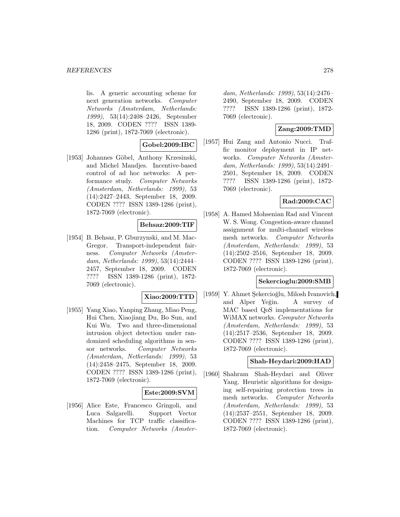#### *REFERENCES* 278

lis. A generic accounting scheme for next generation networks. Computer Networks (Amsterdam, Netherlands: 1999), 53(14):2408–2426, September 18, 2009. CODEN ???? ISSN 1389- 1286 (print), 1872-7069 (electronic).

### **Gobel:2009:IBC**

[1953] Johannes Göbel, Anthony Krzesinski, and Michel Mandjes. Incentive-based control of ad hoc networks: A performance study. Computer Networks (Amsterdam, Netherlands: 1999), 53 (14):2427–2443, September 18, 2009. CODEN ???? ISSN 1389-1286 (print), 1872-7069 (electronic).

## **Behsaz:2009:TIF**

[1954] B. Behsaz, P. Gburzynski, and M. Mac-Gregor. Transport-independent fairness. Computer Networks (Amsterdam, Netherlands: 1999), 53(14):2444– 2457, September 18, 2009. CODEN ???? ISSN 1389-1286 (print), 1872- 7069 (electronic).

#### **Xiao:2009:TTD**

[1955] Yang Xiao, Yanping Zhang, Miao Peng, Hui Chen, Xiaojiang Du, Bo Sun, and Kui Wu. Two and three-dimensional intrusion object detection under randomized scheduling algorithms in sensor networks. Computer Networks (Amsterdam, Netherlands: 1999), 53 (14):2458–2475, September 18, 2009. CODEN ???? ISSN 1389-1286 (print), 1872-7069 (electronic).

#### **Este:2009:SVM**

[1956] Alice Este, Francesco Gringoli, and Luca Salgarelli. Support Vector Machines for TCP traffic classification. Computer Networks (Amster-

dam, Netherlands: 1999), 53(14):2476– 2490, September 18, 2009. CODEN ???? ISSN 1389-1286 (print), 1872- 7069 (electronic).

## **Zang:2009:TMD**

[1957] Hui Zang and Antonio Nucci. Traffic monitor deployment in IP networks. Computer Networks (Amsterdam, Netherlands: 1999), 53(14):2491– 2501, September 18, 2009. CODEN ???? ISSN 1389-1286 (print), 1872- 7069 (electronic).

### **Rad:2009:CAC**

[1958] A. Hamed Mohsenian Rad and Vincent W. S. Wong. Congestion-aware channel assignment for multi-channel wireless mesh networks. Computer Networks (Amsterdam, Netherlands: 1999), 53 (14):2502–2516, September 18, 2009. CODEN ???? ISSN 1389-1286 (print), 1872-7069 (electronic).

#### **Sekercioglu:2009:SMB**

[1959] Y. Ahmet Şekercioğlu, Milosh Ivanovich, and Alper Yeğin. A survey of MAC based QoS implementations for WiMAX networks. Computer Networks (Amsterdam, Netherlands: 1999), 53 (14):2517–2536, September 18, 2009. CODEN ???? ISSN 1389-1286 (print), 1872-7069 (electronic).

#### **Shah-Heydari:2009:HAD**

[1960] Shahram Shah-Heydari and Oliver Yang. Heuristic algorithms for designing self-repairing protection trees in mesh networks. Computer Networks (Amsterdam, Netherlands: 1999), 53 (14):2537–2551, September 18, 2009. CODEN ???? ISSN 1389-1286 (print), 1872-7069 (electronic).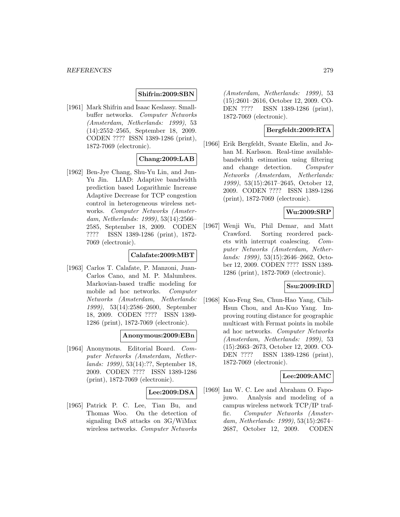### **Shifrin:2009:SBN**

[1961] Mark Shifrin and Isaac Keslassy. Smallbuffer networks. Computer Networks (Amsterdam, Netherlands: 1999), 53 (14):2552–2565, September 18, 2009. CODEN ???? ISSN 1389-1286 (print), 1872-7069 (electronic).

### **Chang:2009:LAB**

[1962] Ben-Jye Chang, Shu-Yu Lin, and Jun-Yu Jin. LIAD: Adaptive bandwidth prediction based Logarithmic Increase Adaptive Decrease for TCP congestion control in heterogeneous wireless networks. Computer Networks (Amsterdam, Netherlands: 1999), 53(14):2566– 2585, September 18, 2009. CODEN ???? ISSN 1389-1286 (print), 1872- 7069 (electronic).

### **Calafate:2009:MBT**

[1963] Carlos T. Calafate, P. Manzoni, Juan-Carlos Cano, and M. P. Malumbres. Markovian-based traffic modeling for mobile ad hoc networks. Computer Networks (Amsterdam, Netherlands: 1999), 53(14):2586–2600, September 18, 2009. CODEN ???? ISSN 1389- 1286 (print), 1872-7069 (electronic).

#### **Anonymous:2009:EBn**

[1964] Anonymous. Editorial Board. Computer Networks (Amsterdam, Netherlands: 1999), 53(14):??, September 18, 2009. CODEN ???? ISSN 1389-1286 (print), 1872-7069 (electronic).

#### **Lee:2009:DSA**

[1965] Patrick P. C. Lee, Tian Bu, and Thomas Woo. On the detection of signaling DoS attacks on 3G/WiMax wireless networks. Computer Networks

(Amsterdam, Netherlands: 1999), 53 (15):2601–2616, October 12, 2009. CO-DEN ???? ISSN 1389-1286 (print), 1872-7069 (electronic).

## **Bergfeldt:2009:RTA**

[1966] Erik Bergfeldt, Svante Ekelin, and Johan M. Karlsson. Real-time availablebandwidth estimation using filtering and change detection. Computer Networks (Amsterdam, Netherlands: 1999), 53(15):2617–2645, October 12, 2009. CODEN ???? ISSN 1389-1286 (print), 1872-7069 (electronic).

## **Wu:2009:SRP**

[1967] Wenji Wu, Phil Demar, and Matt Crawford. Sorting reordered packets with interrupt coalescing. Computer Networks (Amsterdam, Netherlands: 1999), 53(15):2646–2662, October 12, 2009. CODEN ???? ISSN 1389- 1286 (print), 1872-7069 (electronic).

#### **Ssu:2009:IRD**

[1968] Kuo-Feng Ssu, Chun-Hao Yang, Chih-Hsun Chou, and An-Kuo Yang. Improving routing distance for geographic multicast with Fermat points in mobile ad hoc networks. Computer Networks (Amsterdam, Netherlands: 1999), 53 (15):2663–2673, October 12, 2009. CO-DEN ???? ISSN 1389-1286 (print), 1872-7069 (electronic).

#### **Lee:2009:AMC**

[1969] Ian W. C. Lee and Abraham O. Fapojuwo. Analysis and modeling of a campus wireless network TCP/IP traffic. Computer Networks (Amsterdam, Netherlands: 1999), 53(15):2674– 2687, October 12, 2009. CODEN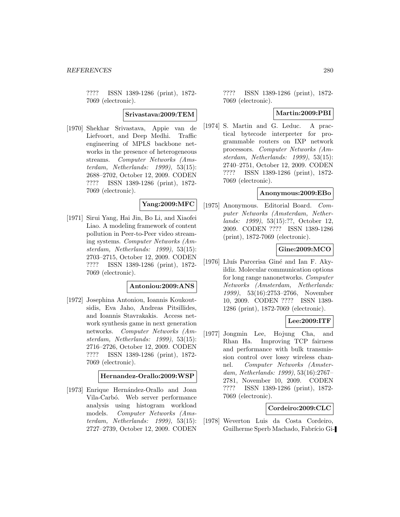???? ISSN 1389-1286 (print), 1872- 7069 (electronic).

**Srivastava:2009:TEM**

[1970] Shekhar Srivastava, Appie van de Liefvoort, and Deep Medhi. Traffic engineering of MPLS backbone networks in the presence of heterogeneous streams. Computer Networks (Amsterdam, Netherlands: 1999), 53(15): 2688–2702, October 12, 2009. CODEN ???? ISSN 1389-1286 (print), 1872- 7069 (electronic).

## **Yang:2009:MFC**

[1971] Sirui Yang, Hai Jin, Bo Li, and Xiaofei Liao. A modeling framework of content pollution in Peer-to-Peer video streaming systems. Computer Networks (Amsterdam, Netherlands: 1999), 53(15): 2703–2715, October 12, 2009. CODEN ???? ISSN 1389-1286 (print), 1872- 7069 (electronic).

#### **Antoniou:2009:ANS**

[1972] Josephina Antoniou, Ioannis Koukoutsidis, Eva Jaho, Andreas Pitsillides, and Ioannis Stavrakakis. Access network synthesis game in next generation networks. Computer Networks (Amsterdam, Netherlands: 1999), 53(15): 2716–2726, October 12, 2009. CODEN ???? ISSN 1389-1286 (print), 1872- 7069 (electronic).

#### **Hernandez-Orallo:2009:WSP**

[1973] Enrique Hernández-Orallo and Joan Vila-Carbó. Web server performance analysis using histogram workload models. Computer Networks (Amsterdam, Netherlands: 1999), 53(15): 2727–2739, October 12, 2009. CODEN

???? ISSN 1389-1286 (print), 1872- 7069 (electronic).

#### **Martin:2009:PBI**

[1974] S. Martin and G. Leduc. A practical bytecode interpreter for programmable routers on IXP network processors. Computer Networks (Amsterdam, Netherlands: 1999), 53(15): 2740–2751, October 12, 2009. CODEN ???? ISSN 1389-1286 (print), 1872- 7069 (electronic).

## **Anonymous:2009:EBo**

[1975] Anonymous. Editorial Board. Computer Networks (Amsterdam, Netherlands: 1999), 53(15):??, October 12, 2009. CODEN ???? ISSN 1389-1286 (print), 1872-7069 (electronic).

#### **Gine:2009:MCO**

[1976] Lluís Parcerisa Giné and Ian F. Akyildiz. Molecular communication options for long range nanonetworks. Computer Networks (Amsterdam, Netherlands: 1999), 53(16):2753–2766, November 10, 2009. CODEN ???? ISSN 1389- 1286 (print), 1872-7069 (electronic).

#### **Lee:2009:ITF**

[1977] Jongmin Lee, Hojung Cha, and Rhan Ha. Improving TCP fairness and performance with bulk transmission control over lossy wireless channel. Computer Networks (Amsterdam, Netherlands: 1999), 53(16):2767– 2781, November 10, 2009. CODEN ???? ISSN 1389-1286 (print), 1872- 7069 (electronic).

#### **Cordeiro:2009:CLC**

[1978] Weverton Luis da Costa Cordeiro, Guilherme Sperb Machado, Fabrício Gi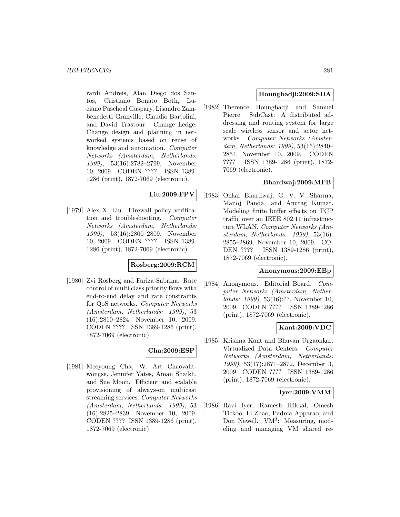rardi Andreis, Alan Diego dos Santos, Cristiano Bonato Both, Luciano Paschoal Gaspary, Lisandro Zambenedetti Granville, Claudio Bartolini, and David Trastour. Change Ledge: Change design and planning in networked systems based on reuse of knowledge and automation. Computer Networks (Amsterdam, Netherlands: 1999), 53(16):2782–2799, November 10, 2009. CODEN ???? ISSN 1389- 1286 (print), 1872-7069 (electronic).

## **Liu:2009:FPV**

[1979] Alex X. Liu. Firewall policy verification and troubleshooting. Computer Networks (Amsterdam, Netherlands: 1999), 53(16):2800–2809, November 10, 2009. CODEN ???? ISSN 1389- 1286 (print), 1872-7069 (electronic).

#### **Rosberg:2009:RCM**

[1980] Zvi Rosberg and Fariza Sabrina. Rate control of multi class priority flows with end-to-end delay and rate constraints for QoS networks. Computer Networks (Amsterdam, Netherlands: 1999), 53 (16):2810–2824, November 10, 2009. CODEN ???? ISSN 1389-1286 (print), 1872-7069 (electronic).

#### **Cha:2009:ESP**

[1981] Meeyoung Cha, W. Art Chaovalitwongse, Jennifer Yates, Aman Shaikh, and Sue Moon. Efficient and scalable provisioning of always-on multicast streaming services. Computer Networks (Amsterdam, Netherlands: 1999), 53 (16):2825–2839, November 10, 2009. CODEN ???? ISSN 1389-1286 (print), 1872-7069 (electronic).

### **Houngbadji:2009:SDA**

[1982] Therence Houngbadji and Samuel Pierre. SubCast: A distributed addressing and routing system for large scale wireless sensor and actor networks. Computer Networks (Amsterdam, Netherlands: 1999), 53(16):2840– 2854, November 10, 2009. CODEN ???? ISSN 1389-1286 (print), 1872- 7069 (electronic).

### **Bhardwaj:2009:MFB**

[1983] Onkar Bhardwaj, G. V. V. Sharma, Manoj Panda, and Anurag Kumar. Modeling finite buffer effects on TCP traffic over an IEEE 802.11 infrastructure WLAN. Computer Networks (Amsterdam, Netherlands: 1999), 53(16): 2855–2869, November 10, 2009. CO-DEN ???? ISSN 1389-1286 (print), 1872-7069 (electronic).

#### **Anonymous:2009:EBp**

[1984] Anonymous. Editorial Board. Computer Networks (Amsterdam, Netherlands: 1999), 53(16):??, November 10, 2009. CODEN ???? ISSN 1389-1286 (print), 1872-7069 (electronic).

#### **Kant:2009:VDC**

[1985] Krishna Kant and Bhuvan Urgaonkar. Virtualized Data Centers. Computer Networks (Amsterdam, Netherlands: 1999), 53(17):2871–2872, December 3, 2009. CODEN ???? ISSN 1389-1286 (print), 1872-7069 (electronic).

#### **Iyer:2009:VMM**

[1986] Ravi Iyer, Ramesh Illikkal, Omesh Tickoo, Li Zhao, Padma Apparao, and Don Newell.  $VM^3$ : Measuring, modeling and managing VM shared re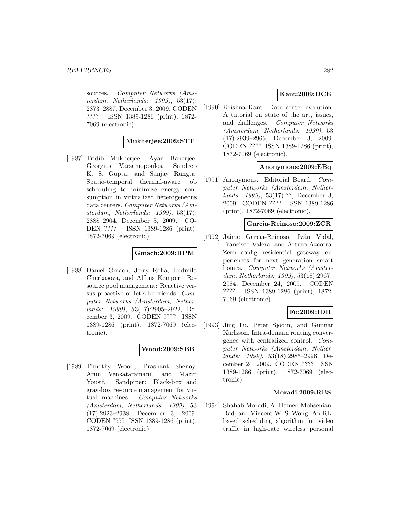sources. Computer Networks (Amsterdam, Netherlands: 1999), 53(17): 2873–2887, December 3, 2009. CODEN ???? ISSN 1389-1286 (print), 1872- 7069 (electronic).

#### **Mukherjee:2009:STT**

[1987] Tridib Mukherjee, Ayan Banerjee, Georgios Varsamopoulos, Sandeep K. S. Gupta, and Sanjay Rungta. Spatio-temporal thermal-aware job scheduling to minimize energy consumption in virtualized heterogeneous data centers. Computer Networks (Amsterdam, Netherlands: 1999), 53(17): 2888–2904, December 3, 2009. CO-DEN ???? ISSN 1389-1286 (print), 1872-7069 (electronic).

#### **Gmach:2009:RPM**

[1988] Daniel Gmach, Jerry Rolia, Ludmila Cherkasova, and Alfons Kemper. Resource pool management: Reactive versus proactive or let's be friends. Computer Networks (Amsterdam, Netherlands: 1999), 53(17):2905–2922, December 3, 2009. CODEN ???? ISSN 1389-1286 (print), 1872-7069 (electronic).

#### **Wood:2009:SBB**

[1989] Timothy Wood, Prashant Shenoy, Arun Venkataramani, and Mazin Yousif. Sandpiper: Black-box and gray-box resource management for virtual machines. Computer Networks (Amsterdam, Netherlands: 1999), 53 (17):2923–2938, December 3, 2009. CODEN ???? ISSN 1389-1286 (print), 1872-7069 (electronic).

## **Kant:2009:DCE**

[1990] Krishna Kant. Data center evolution: A tutorial on state of the art, issues, and challenges. Computer Networks (Amsterdam, Netherlands: 1999), 53 (17):2939–2965, December 3, 2009. CODEN ???? ISSN 1389-1286 (print), 1872-7069 (electronic).

#### **Anonymous:2009:EBq**

[1991] Anonymous. Editorial Board. Computer Networks (Amsterdam, Netherlands: 1999), 53(17):??, December 3, 2009. CODEN ???? ISSN 1389-1286 (print), 1872-7069 (electronic).

#### **Garcia-Reinoso:2009:ZCR**

[1992] Jaime García-Reinoso, Iván Vidal, Francisco Valera, and Arturo Azcorra. Zero config residential gateway experiences for next generation smart homes. Computer Networks (Amsterdam, Netherlands: 1999), 53(18):2967– 2984, December 24, 2009. CODEN ???? ISSN 1389-1286 (print), 1872- 7069 (electronic).

## **Fu:2009:IDR**

[1993] Jing Fu, Peter Sjödin, and Gunnar Karlsson. Intra-domain routing convergence with centralized control. Computer Networks (Amsterdam, Netherlands: 1999), 53(18):2985–2996, December 24, 2009. CODEN ???? ISSN 1389-1286 (print), 1872-7069 (electronic).

#### **Moradi:2009:RBS**

[1994] Shahab Moradi, A. Hamed Mohsenian-Rad, and Vincent W. S. Wong. An RLbased scheduling algorithm for video traffic in high-rate wireless personal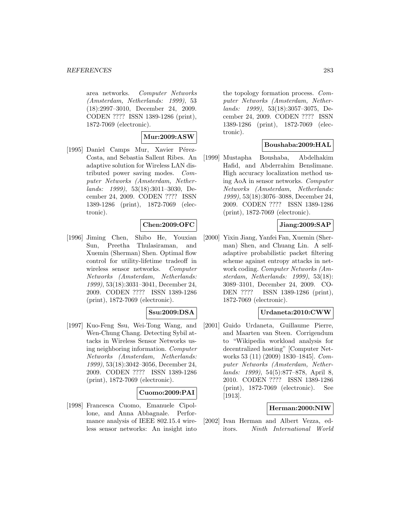area networks. Computer Networks (Amsterdam, Netherlands: 1999), 53 (18):2997–3010, December 24, 2009. CODEN ???? ISSN 1389-1286 (print), 1872-7069 (electronic).

### **Mur:2009:ASW**

[1995] Daniel Camps Mur, Xavier Pérez-Costa, and Sebastia Sallent Ribes. An adaptive solution for Wireless LAN distributed power saving modes. Computer Networks (Amsterdam, Netherlands: 1999), 53(18):3011–3030, December 24, 2009. CODEN ???? ISSN 1389-1286 (print), 1872-7069 (electronic).

### **Chen:2009:OFC**

[1996] Jiming Chen, Shibo He, Youxian Sun, Preetha Thulasiraman, and Xuemin (Sherman) Shen. Optimal flow control for utility-lifetime tradeoff in wireless sensor networks. Computer Networks (Amsterdam, Netherlands: 1999), 53(18):3031–3041, December 24, 2009. CODEN ???? ISSN 1389-1286 (print), 1872-7069 (electronic).

# **Ssu:2009:DSA**

[1997] Kuo-Feng Ssu, Wei-Tong Wang, and Wen-Chung Chang. Detecting Sybil attacks in Wireless Sensor Networks using neighboring information. Computer Networks (Amsterdam, Netherlands: 1999), 53(18):3042–3056, December 24, 2009. CODEN ???? ISSN 1389-1286 (print), 1872-7069 (electronic).

#### **Cuomo:2009:PAI**

[1998] Francesca Cuomo, Emanuele Cipollone, and Anna Abbagnale. Performance analysis of IEEE 802.15.4 wireless sensor networks: An insight into

the topology formation process. Computer Networks (Amsterdam, Netherlands: 1999), 53(18):3057–3075, December 24, 2009. CODEN ???? ISSN 1389-1286 (print), 1872-7069 (electronic).

#### **Boushaba:2009:HAL**

[1999] Mustapha Boushaba, Abdelhakim Hafid, and Abderrahim Benslimane. High accuracy localization method using AoA in sensor networks. Computer Networks (Amsterdam, Netherlands: 1999), 53(18):3076–3088, December 24, 2009. CODEN ???? ISSN 1389-1286 (print), 1872-7069 (electronic).

### **Jiang:2009:SAP**

[2000] Yixin Jiang, Yanfei Fan, Xuemin (Sherman) Shen, and Chuang Lin. A selfadaptive probabilistic packet filtering scheme against entropy attacks in network coding. Computer Networks (Amsterdam, Netherlands: 1999), 53(18): 3089–3101, December 24, 2009. CO-DEN ???? ISSN 1389-1286 (print), 1872-7069 (electronic).

# **Urdaneta:2010:CWW**

[2001] Guido Urdaneta, Guillaume Pierre, and Maarten van Steen. Corrigendum to "Wikipedia workload analysis for decentralized hosting" [Computer Networks 53 (11) (2009) 1830–1845]. Computer Networks (Amsterdam, Netherlands: 1999), 54(5):877–878, April 8, 2010. CODEN ???? ISSN 1389-1286 (print), 1872-7069 (electronic). See [1913].

#### **Herman:2000:NIW**

[2002] Ivan Herman and Albert Vezza, editors. Ninth International World